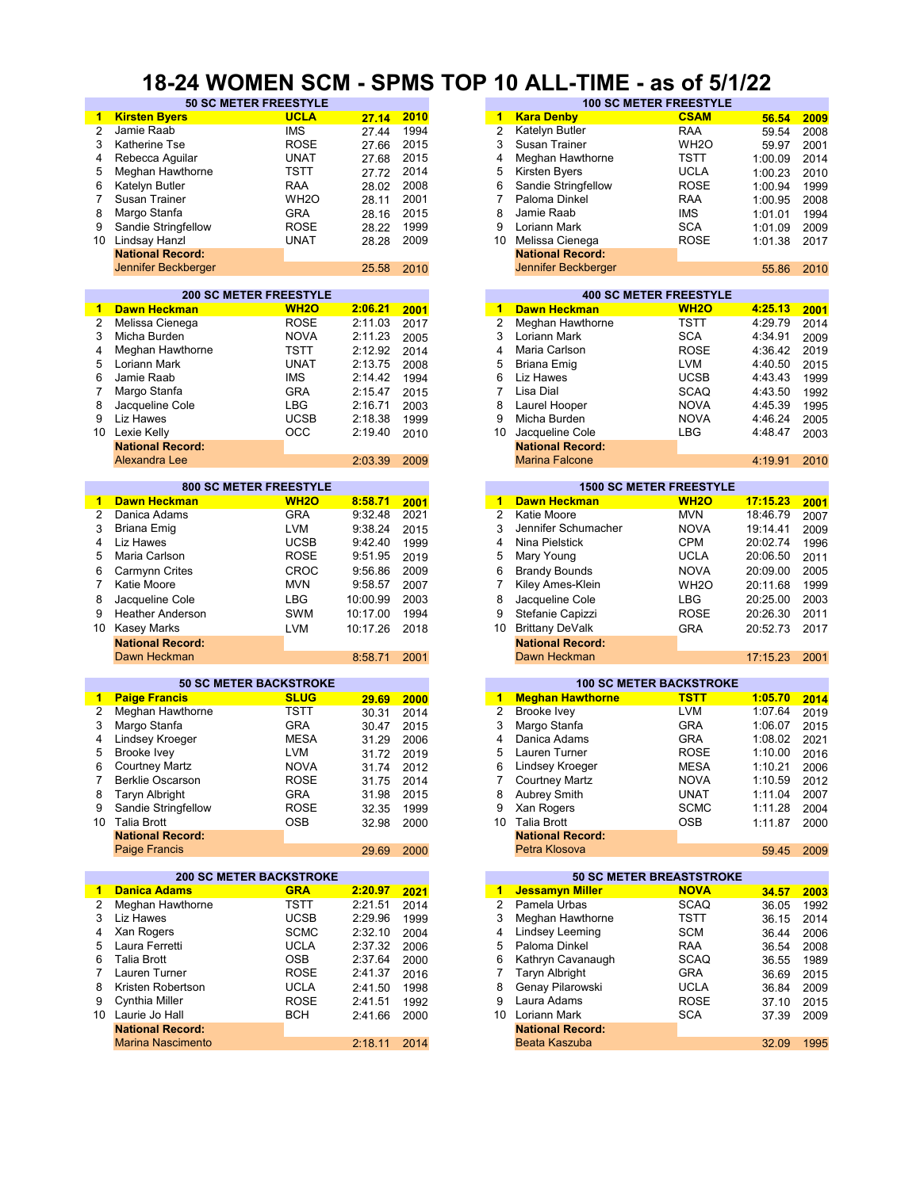#### **18-24 WOMEN SCM - SPMS TOP 10 ALL-TIME - as of 5/1/22**

| 1  | <b>Kirsten Byers</b>           | <b>UCLA</b>      | 27.14      | 2010 | $\blacktriangleleft$ | <b>Kara Denby</b>       | <b>CSAM</b>                     | 56.54    | 2009 |
|----|--------------------------------|------------------|------------|------|----------------------|-------------------------|---------------------------------|----------|------|
| 2  | Jamie Raab                     | <b>IMS</b>       | 27.44      | 1994 | $\overline{2}$       | Katelyn Butler          | <b>RAA</b>                      | 59.54    | 2008 |
| 3  | <b>Katherine Tse</b>           | <b>ROSE</b>      |            | 2015 | 3                    | Susan Trainer           | WH <sub>2</sub> O               |          |      |
|    |                                |                  | 27.66      |      |                      |                         |                                 | 59.97    | 2001 |
| 4  | Rebecca Aguilar                | <b>UNAT</b>      | 27.68      | 2015 | 4                    | Meghan Hawthorne        | TSTT                            | 1:00.09  | 2014 |
| 5  | Meghan Hawthorne               | TSTT             | 27.72      | 2014 | 5                    | Kirsten Byers           | <b>UCLA</b>                     | 1:00.23  | 2010 |
|    |                                |                  |            |      |                      |                         |                                 |          |      |
| 6  | Katelyn Butler                 | RAA              | 28.02      | 2008 | 6                    | Sandie Stringfellow     | ROSE                            | 1:00.94  | 1999 |
| 7  | Susan Trainer                  | WH <sub>20</sub> | 28.11      | 2001 | 7                    | Paloma Dinkel           | RAA                             | 1:00.95  | 2008 |
| 8  | Margo Stanfa                   | <b>GRA</b>       | 28.16      | 2015 | 8                    | Jamie Raab              | <b>IMS</b>                      | 1:01.01  | 1994 |
|    |                                |                  |            |      |                      |                         |                                 |          |      |
| 9  | Sandie Stringfellow            | ROSE             | 28.22      | 1999 | 9                    | Loriann Mark            | <b>SCA</b>                      | 1:01.09  | 2009 |
| 10 | Lindsay Hanzl                  | <b>UNAT</b>      | 28.28      | 2009 | 10                   | Melissa Cienega         | <b>ROSE</b>                     | 1:01.38  | 2017 |
|    | <b>National Record:</b>        |                  |            |      |                      | <b>National Record:</b> |                                 |          |      |
|    |                                |                  |            |      |                      |                         |                                 |          |      |
|    | Jennifer Beckberger            |                  | 25.58      | 2010 |                      | Jennifer Beckberger     |                                 | 55.86    | 2010 |
|    |                                |                  |            |      |                      |                         |                                 |          |      |
|    | <b>200 SC METER FREESTYLE</b>  |                  |            |      |                      |                         | <b>400 SC METER FREESTYLE</b>   |          |      |
| 1  | <b>Dawn Heckman</b>            | <b>WH2O</b>      | 2:06.21    | 2001 | 1                    | <b>Dawn Heckman</b>     | <b>WH2O</b>                     | 4:25.13  | 2001 |
|    |                                |                  |            |      |                      |                         |                                 |          |      |
| 2  | Melissa Cienega                | <b>ROSE</b>      | 2:11.03    | 2017 | $\overline{2}$       | Meghan Hawthorne        | TSTT                            | 4:29.79  | 2014 |
| 3  | Micha Burden                   | <b>NOVA</b>      | 2:11.23    | 2005 | 3                    | Loriann Mark            | <b>SCA</b>                      | 4:34.91  | 2009 |
| 4  | Meghan Hawthorne               | <b>TSTT</b>      | 2:12.92    | 2014 | 4                    | Maria Carlson           | <b>ROSE</b>                     | 4:36.42  | 2019 |
|    |                                |                  |            |      |                      |                         |                                 |          |      |
| 5  | Loriann Mark                   | <b>UNAT</b>      | 2:13.75    | 2008 | 5                    | Briana Emig             | <b>LVM</b>                      | 4:40.50  | 2015 |
| 6  | Jamie Raab                     | <b>IMS</b>       | 2:14.42    | 1994 | 6                    | Liz Hawes               | <b>UCSB</b>                     | 4:43.43  | 1999 |
| 7  | Margo Stanfa                   | <b>GRA</b>       | 2:15.47    | 2015 | $\overline{7}$       | Lisa Dial               | <b>SCAQ</b>                     | 4:43.50  | 1992 |
|    |                                |                  |            |      |                      |                         |                                 |          |      |
| 8  | Jacqueline Cole                | <b>LBG</b>       | 2:16.71    | 2003 | 8                    | Laurel Hooper           | <b>NOVA</b>                     | 4:45.39  | 1995 |
| 9  | Liz Hawes                      | <b>UCSB</b>      | 2:18.38    | 1999 | 9                    | Micha Burden            | <b>NOVA</b>                     | 4:46.24  | 2005 |
|    | 10 Lexie Kelly                 | OCC              | 2:19.40    |      | 10                   | Jacqueline Cole         | LBG                             | 4:48.47  |      |
|    |                                |                  |            | 2010 |                      |                         |                                 |          | 2003 |
|    | <b>National Record:</b>        |                  |            |      |                      | <b>National Record:</b> |                                 |          |      |
|    | Alexandra Lee                  |                  | 2:03.39    | 2009 |                      | <b>Marina Falcone</b>   |                                 | 4:19.91  | 2010 |
|    |                                |                  |            |      |                      |                         |                                 |          |      |
|    | <b>800 SC METER FREESTYLE</b>  |                  |            |      |                      |                         | <b>1500 SC METER FREESTYLE</b>  |          |      |
|    |                                |                  |            |      |                      |                         |                                 |          |      |
| 1. | <b>Dawn Heckman</b>            | <b>WH2O</b>      | 8:58.71    | 2001 | $\mathbf{1}$         | <b>Dawn Heckman</b>     | <b>WH2O</b>                     | 17:15.23 | 2001 |
| 2  | Danica Adams                   | <b>GRA</b>       | 9:32.48    | 2021 | $\overline{2}$       | Katie Moore             | <b>MVN</b>                      | 18:46.79 | 2007 |
| 3  | Briana Emig                    | <b>LVM</b>       | 9:38.24    | 2015 | 3                    | Jennifer Schumacher     | <b>NOVA</b>                     | 19:14.41 | 2009 |
|    |                                |                  |            |      |                      |                         |                                 |          |      |
| 4  | Liz Hawes                      | <b>UCSB</b>      | 9:42.40    | 1999 | 4                    | Nina Pielstick          | <b>CPM</b>                      | 20:02.74 | 1996 |
| 5  | Maria Carlson                  | <b>ROSE</b>      | 9:51.95    | 2019 | 5                    | Mary Young              | <b>UCLA</b>                     | 20:06.50 | 2011 |
| 6  | Carmynn Crites                 | <b>CROC</b>      | 9:56.86    | 2009 | 6                    | <b>Brandy Bounds</b>    | <b>NOVA</b>                     | 20:09.00 | 2005 |
|    |                                |                  |            |      |                      |                         |                                 |          |      |
| 7  | Katie Moore                    | <b>MVN</b>       | 9:58.57    | 2007 | 7                    | Kiley Ames-Klein        | WH <sub>2</sub> O               | 20:11.68 | 1999 |
| 8  | Jacqueline Cole                | <b>LBG</b>       | 10:00.99   | 2003 | 8                    | Jacqueline Cole         | LBG                             | 20:25.00 | 2003 |
| 9  |                                | <b>SWM</b>       |            | 1994 | 9                    | Stefanie Capizzi        | ROSE                            | 20:26.30 | 2011 |
|    | <b>Heather Anderson</b>        |                  | 10:17.00   |      |                      |                         |                                 |          |      |
| 10 | <b>Kasey Marks</b>             | <b>LVM</b>       | 10:17.26   | 2018 | 10                   | <b>Brittany DeValk</b>  | <b>GRA</b>                      | 20:52.73 | 2017 |
|    | <b>National Record:</b>        |                  |            |      |                      | <b>National Record:</b> |                                 |          |      |
|    | Dawn Heckman                   |                  | 8:58.71    | 2001 |                      | Dawn Heckman            |                                 | 17:15.23 | 2001 |
|    |                                |                  |            |      |                      |                         |                                 |          |      |
|    |                                |                  |            |      |                      |                         |                                 |          |      |
|    | <b>50 SC METER BACKSTROKE</b>  |                  |            |      |                      |                         | <b>100 SC METER BACKSTROKE</b>  |          |      |
| 1  | <b>Paige Francis</b>           | <b>SLUG</b>      | 29.69      | 2000 | $\blacktriangleleft$ | <b>Meghan Hawthorne</b> | <b>TSTT</b>                     | 1:05.70  | 2014 |
| 2  | Meghan Hawthorne               | <b>TSTT</b>      | 30.31      | 2014 | $\overline{2}$       | <b>Brooke Ivev</b>      | <b>LVM</b>                      | 1:07.64  | 2019 |
|    | Margo Stanfa                   |                  |            |      |                      |                         |                                 |          |      |
| 3  |                                | <b>GRA</b>       | 30.47      | 2015 | 3                    | Margo Stanfa            | <b>GRA</b>                      | 1:06.07  | 2015 |
| 4  | Lindsey Kroeger                | <b>MESA</b>      | 31.29      | 2006 | 4                    | Danica Adams            | GRA                             | 1:08.02  | 2021 |
| 5  | Brooke Ivey                    | <b>LVM</b>       | 31.72      | 2019 | 5                    | Lauren Turner           | ROSE                            | 1:10.00  | 2016 |
|    |                                |                  |            |      |                      |                         | <b>MESA</b>                     |          |      |
| 6  | <b>Courtney Martz</b>          | <b>NOVA</b>      | 31.74      | 2012 | 6                    | Lindsey Kroeger         |                                 | 1:10.21  | 2006 |
| 7  |                                |                  |            |      | 7                    |                         |                                 |          |      |
|    | Berklie Oscarson               |                  |            |      |                      |                         | <b>NOVA</b>                     | 1:10.59  |      |
|    |                                | <b>ROSE</b>      | 31.75 2014 |      |                      | <b>Courtney Martz</b>   |                                 |          | 2012 |
| 8  | <b>Taryn Albright</b>          | GRA              | 31.98      | 2015 | 8                    | Aubrey Smith            | <b>UNAT</b>                     | 1:11.04  | 2007 |
| 9  | Sandie Stringfellow            | <b>ROSE</b>      | 32.35      | 1999 | 9                    | Xan Rogers              | <b>SCMC</b>                     | 1:11.28  | 2004 |
|    | 10 Talia Brott                 | OSB              |            |      |                      | 10 Talia Brott          | OSB                             |          | 2000 |
|    |                                |                  | 32.98      | 2000 |                      |                         |                                 | 1:11.87  |      |
|    | <b>National Record:</b>        |                  |            |      |                      | <b>National Record:</b> |                                 |          |      |
|    | Paige Francis                  |                  | 29.69      | 2000 |                      | Petra Klosova           |                                 | 59.45    | 2009 |
|    |                                |                  |            |      |                      |                         |                                 |          |      |
|    | <b>200 SC METER BACKSTROKE</b> |                  |            |      |                      |                         | <b>50 SC METER BREASTSTROKE</b> |          |      |
| 1. | <b>Danica Adams</b>            | <b>GRA</b>       | 2:20.97    | 2021 | $\mathbf{1}$         | <b>Jessamyn Miller</b>  | <b>NOVA</b>                     | 34.57    | 2003 |
| 2  | Meghan Hawthorne               | <b>TSTT</b>      | 2:21.51    | 2014 | $\overline{2}$       | Pamela Urbas            | SCAQ                            | 36.05    | 1992 |
| 3  | Liz Hawes                      |                  |            |      | 3                    | Meghan Hawthorne        |                                 |          |      |
|    |                                | <b>UCSB</b>      | 2:29.96    | 1999 |                      |                         | <b>TSTT</b>                     | 36.15    | 2014 |
| 4  | Xan Rogers                     | <b>SCMC</b>      | 2:32.10    | 2004 | 4                    | Lindsey Leeming         | SCM                             | 36.44    | 2006 |
| 5  | Laura Ferretti                 | <b>UCLA</b>      | 2:37.32    | 2006 | 5                    | Paloma Dinkel           | RAA                             | 36.54    | 2008 |
|    |                                |                  |            |      |                      |                         |                                 |          |      |
| 6  | <b>Talia Brott</b>             | OSB              | 2:37.64    | 2000 | 6                    | Kathryn Cavanaugh       | SCAQ                            | 36.55    | 1989 |
| 7  | Lauren Turner                  | ROSE             | 2:41.37    | 2016 | 7                    | <b>Taryn Albright</b>   | GRA                             | 36.69    | 2015 |
| 8  | Kristen Robertson              | <b>UCLA</b>      | 2:41.50    | 1998 | 8                    | Genay Pilarowski        | UCLA                            | 36.84    | 2009 |
|    |                                |                  |            |      |                      |                         |                                 |          |      |
| 9  | Cynthia Miller                 | ROSE             | 2:41.51    | 1992 | 9                    | Laura Adams             | ROSE                            | 37.10    | 2015 |
|    | 10 Laurie Jo Hall              | <b>BCH</b>       | 2:41.66    | 2000 | 10                   | Loriann Mark            | <b>SCA</b>                      | 37.39    | 2009 |
|    | <b>National Record:</b>        |                  |            |      |                      | <b>National Record:</b> |                                 |          |      |
|    | <b>Marina Nascimento</b>       |                  |            |      |                      | Beata Kaszuba           |                                 |          |      |
|    |                                |                  | 2:18.11    | 2014 |                      |                         |                                 | 32.09    | 1995 |

| <b>50 SC METER FREESTYLE</b> |                   |       |      | <b>100 SC METER FREESTYLE</b> |                         |                   |         |      |  |  |
|------------------------------|-------------------|-------|------|-------------------------------|-------------------------|-------------------|---------|------|--|--|
|                              | <b>UCLA</b>       | 27.14 | 2010 | 1                             | <b>Kara Denby</b>       | <b>CSAM</b>       | 56.54   | 2009 |  |  |
|                              | <b>IMS</b>        | 27.44 | 1994 | 2                             | Katelyn Butler          | <b>RAA</b>        | 59.54   | 2008 |  |  |
|                              | <b>ROSE</b>       | 27.66 | 2015 | 3                             | Susan Trainer           | WH <sub>2</sub> O | 59.97   | 2001 |  |  |
| lar                          | <b>UNAT</b>       | 27.68 | 2015 | 4                             | Meghan Hawthorne        | <b>TSTT</b>       | 1:00.09 | 2014 |  |  |
| horne                        | TSTT              | 27.72 | 2014 | 5                             | Kirsten Byers           | <b>UCLA</b>       | 1:00.23 | 2010 |  |  |
|                              | RAA               | 28.02 | 2008 | 6                             | Sandie Stringfellow     | <b>ROSE</b>       | 1:00.94 | 1999 |  |  |
|                              | WH <sub>2</sub> O | 28.11 | 2001 |                               | Paloma Dinkel           | RAA               | 1:00.95 | 2008 |  |  |
|                              | <b>GRA</b>        | 28.16 | 2015 | 8                             | Jamie Raab              | <b>IMS</b>        | 1:01.01 | 1994 |  |  |
| ellow                        | <b>ROSE</b>       | 28.22 | 1999 | 9                             | Loriann Mark            | <b>SCA</b>        | 1:01.09 | 2009 |  |  |
|                              | <b>UNAT</b>       | 28.28 | 2009 | 10                            | Melissa Cienega         | <b>ROSE</b>       | 1:01.38 | 2017 |  |  |
| :brc                         |                   |       |      |                               | <b>National Record:</b> |                   |         |      |  |  |
| berger                       |                   | 25.58 | 2010 |                               | Jennifer Beckberger     |                   | 55.86   | 2010 |  |  |
|                              |                   |       |      |                               |                         |                   |         |      |  |  |

|         |      |    |                         | <b>400 SC METER FREESTYLE</b> |         |      |
|---------|------|----|-------------------------|-------------------------------|---------|------|
| 2:06.21 | 2001 | 1  | <b>Dawn Heckman</b>     | <b>WH2O</b>                   | 4:25.13 | 2001 |
| 2:11.03 | 2017 | 2  | Meghan Hawthorne        | <b>TSTT</b>                   | 4:29.79 | 2014 |
| 2:11.23 | 2005 | 3  | Loriann Mark            | <b>SCA</b>                    | 4:34.91 | 2009 |
| 2:12.92 | 2014 | 4  | Maria Carlson           | <b>ROSE</b>                   | 4:36.42 | 2019 |
| 2:13.75 | 2008 | 5  | Briana Emig             | <b>LVM</b>                    | 4:40.50 | 2015 |
| 2:14.42 | 1994 | 6  | Liz Hawes               | <b>UCSB</b>                   | 4:43.43 | 1999 |
| 2:15.47 | 2015 |    | Lisa Dial               | <b>SCAQ</b>                   | 4:43.50 | 1992 |
| 2:16.71 | 2003 | 8  | Laurel Hooper           | <b>NOVA</b>                   | 4:45.39 | 1995 |
| 2:18.38 | 1999 | 9  | Micha Burden            | <b>NOVA</b>                   | 4:46.24 | 2005 |
| 2:19.40 | 2010 | 10 | Jacqueline Cole         | LBG                           | 4:48.47 | 2003 |
|         |      |    | <b>National Record:</b> |                               |         |      |
| 2:03.39 | 2009 |    | <b>Marina Falcone</b>   |                               | 4:19.91 | 2010 |
|         |      |    |                         |                               |         |      |

| 8:58.71 | 2001 |
|---------|------|
| 9:32.48 | 2021 |
| 9:38.24 | 2015 |
| 9:42.40 | 1999 |
| 9:51.95 | 2019 |
| 9:56.86 | 2009 |
| 9:58.57 | 2007 |
| 0:00.99 | 2003 |
| 0:17.00 | 1994 |
| 0:17.26 | 2018 |
|         |      |
| 8:58.71 | 2001 |
|         |      |

|       |      |    |                         | <b>100 SC METER BACKSTROKE</b> |         |
|-------|------|----|-------------------------|--------------------------------|---------|
| 29.69 | 2000 | 1  | <b>Meghan Hawthorne</b> | <b>TSTT</b>                    | 1:05.70 |
| 30.31 | 2014 | 2  | Brooke Ivey             | <b>LVM</b>                     | 1:07.64 |
| 30.47 | 2015 | 3  | Margo Stanfa            | <b>GRA</b>                     | 1:06.07 |
| 31.29 | 2006 | 4  | Danica Adams            | <b>GRA</b>                     | 1:08.02 |
| 31.72 | 2019 | 5  | Lauren Turner           | <b>ROSE</b>                    | 1:10.00 |
| 31.74 | 2012 | 6  | Lindsey Kroeger         | <b>MESA</b>                    | 1:10.21 |
| 31.75 | 2014 |    | <b>Courtney Martz</b>   | <b>NOVA</b>                    | 1:10.59 |
| 31.98 | 2015 | 8  | Aubrey Smith            | <b>UNAT</b>                    | 1:11.04 |
| 32.35 | 1999 | 9  | Xan Rogers              | <b>SCMC</b>                    | 1:11.28 |
| 32.98 | 2000 | 10 | Talia Brott             | <b>OSB</b>                     | 1:11.87 |
|       |      |    | <b>National Record:</b> |                                |         |
| 29.69 | 2000 |    | Petra Klosova           |                                | 59.45   |
|       |      |    |                         |                                |         |

|         |      |    |                         | <b>50 SC METER BREASTSTROKE</b> |       |
|---------|------|----|-------------------------|---------------------------------|-------|
| 2:20.97 | 2021 | 1  | <b>Jessamyn Miller</b>  | <b>NOVA</b>                     | 34.57 |
| 2:21.51 | 2014 | 2  | Pamela Urbas            | <b>SCAQ</b>                     | 36.05 |
| 2:29.96 | 1999 | 3  | Meghan Hawthorne        | <b>TSTT</b>                     | 36.15 |
| 2:32.10 | 2004 | 4  | Lindsey Leeming         | <b>SCM</b>                      | 36.44 |
| 2:37.32 | 2006 | 5  | Paloma Dinkel           | <b>RAA</b>                      | 36.54 |
| 2:37.64 | 2000 | 6  | Kathryn Cavanaugh       | <b>SCAQ</b>                     | 36.55 |
| 2:41.37 | 2016 |    | <b>Taryn Albright</b>   | <b>GRA</b>                      | 36.69 |
| 2:41.50 | 1998 | 8  | Genay Pilarowski        | <b>UCLA</b>                     | 36.84 |
| 2:41.51 | 1992 | 9  | Laura Adams             | <b>ROSE</b>                     | 37.10 |
| 2:41.66 | 2000 | 10 | Loriann Mark            | <b>SCA</b>                      | 37.39 |
|         |      |    | <b>National Record:</b> |                                 |       |
| 2:18.11 | 2014 |    | Beata Kaszuba           |                                 | 32.09 |
|         |      |    |                         |                                 |       |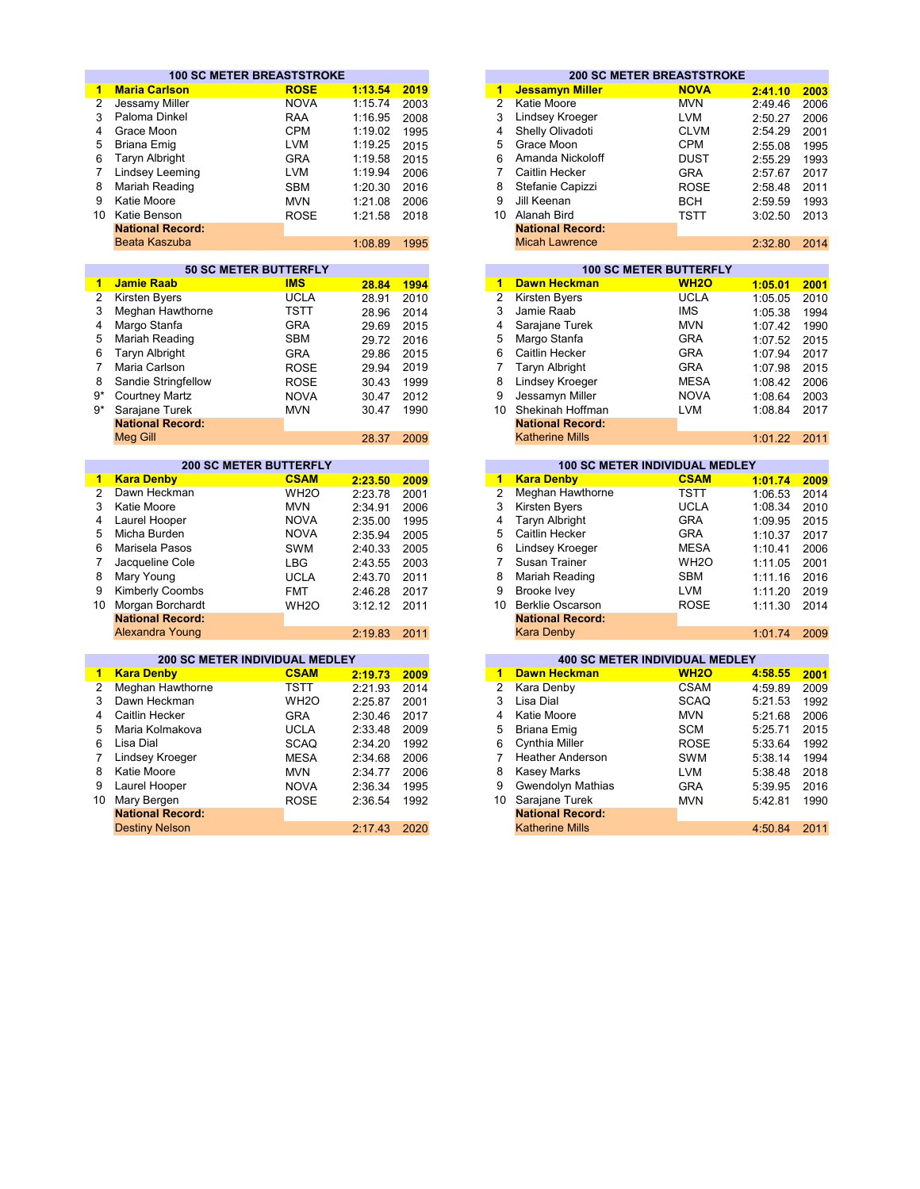|                 | <b>100 SC METER BREASTSTROKE</b> |                               |         |      |                |                          | <b>200 SC METER BREASTSTROKE</b>      |         |      |
|-----------------|----------------------------------|-------------------------------|---------|------|----------------|--------------------------|---------------------------------------|---------|------|
| $\mathbf{1}$    | <b>Maria Carlson</b>             | <b>ROSE</b>                   | 1:13.54 | 2019 | 1              | <b>Jessamyn Miller</b>   | <b>NOVA</b>                           | 2:41.10 | 2003 |
| 2               | Jessamy Miller                   | <b>NOVA</b>                   | 1:15.74 | 2003 | $\overline{2}$ | Katie Moore              | <b>MVN</b>                            | 2:49.46 | 2006 |
| 3               | Paloma Dinkel                    | <b>RAA</b>                    | 1:16.95 | 2008 | 3              | Lindsey Kroeger          | <b>LVM</b>                            | 2:50.27 | 2006 |
| 4               | Grace Moon                       | <b>CPM</b>                    | 1:19.02 | 1995 | 4              | Shelly Olivadoti         | <b>CLVM</b>                           | 2:54.29 | 2001 |
| 5               | <b>Briana Emig</b>               | <b>LVM</b>                    | 1:19.25 | 2015 | 5              | Grace Moon               | <b>CPM</b>                            | 2:55.08 | 1995 |
| 6               | <b>Taryn Albright</b>            | <b>GRA</b>                    | 1:19.58 | 2015 | 6              | Amanda Nickoloff         | <b>DUST</b>                           | 2:55.29 | 1993 |
| $\overline{7}$  | Lindsey Leeming                  | <b>LVM</b>                    | 1:19.94 | 2006 | 7              | Caitlin Hecker           | <b>GRA</b>                            | 2:57.67 | 2017 |
| 8               |                                  | <b>SBM</b>                    |         | 2016 | 8              |                          |                                       |         | 2011 |
|                 | Mariah Reading                   |                               | 1:20.30 |      |                | Stefanie Capizzi         | <b>ROSE</b>                           | 2:58.48 |      |
| 9               | Katie Moore                      | <b>MVN</b>                    | 1:21.08 | 2006 | 9              | Jill Keenan              | <b>BCH</b>                            | 2:59.59 | 1993 |
|                 | 10 Katie Benson                  | <b>ROSE</b>                   | 1:21.58 | 2018 |                | 10 Alanah Bird           | <b>TSTT</b>                           | 3:02.50 | 2013 |
|                 | <b>National Record:</b>          |                               |         |      |                | <b>National Record:</b>  |                                       |         |      |
|                 | Beata Kaszuba                    |                               | 1:08.89 | 1995 |                | <b>Micah Lawrence</b>    |                                       | 2:32.80 | 2014 |
|                 |                                  | <b>50 SC METER BUTTERFLY</b>  |         |      |                |                          | <b>100 SC METER BUTTERFLY</b>         |         |      |
| $\mathbf{1}$    | <b>Jamie Raab</b>                | <b>IMS</b>                    | 28.84   | 1994 | 1              | <b>Dawn Heckman</b>      | <b>WH2O</b>                           | 1:05.01 | 2001 |
| $\overline{2}$  | Kirsten Byers                    | <b>UCLA</b>                   | 28.91   | 2010 | $\overline{2}$ | <b>Kirsten Byers</b>     | <b>UCLA</b>                           | 1:05.05 | 2010 |
| 3               | Meghan Hawthorne                 | <b>TSTT</b>                   | 28.96   | 2014 | 3              | Jamie Raab               | <b>IMS</b>                            | 1:05.38 | 1994 |
| 4               | Margo Stanfa                     | <b>GRA</b>                    | 29.69   | 2015 | 4              | Sarajane Turek           | <b>MVN</b>                            | 1:07.42 | 1990 |
| 5               | Mariah Reading                   | <b>SBM</b>                    | 29.72   | 2016 | 5              | Margo Stanfa             | <b>GRA</b>                            | 1:07.52 | 2015 |
| 6               | <b>Taryn Albright</b>            | <b>GRA</b>                    | 29.86   | 2015 | 6              | Caitlin Hecker           | <b>GRA</b>                            | 1:07.94 | 2017 |
| $\overline{7}$  | Maria Carlson                    |                               |         | 2019 | $\overline{7}$ | <b>Taryn Albright</b>    | <b>GRA</b>                            |         |      |
|                 |                                  | <b>ROSE</b>                   | 29.94   |      |                |                          |                                       | 1:07.98 | 2015 |
| 8               | Sandie Stringfellow              | <b>ROSE</b>                   | 30.43   | 1999 | 8              | <b>Lindsey Kroeger</b>   | <b>MESA</b>                           | 1:08.42 | 2006 |
| $9*$            | <b>Courtney Martz</b>            | <b>NOVA</b>                   | 30.47   | 2012 | 9              | Jessamyn Miller          | <b>NOVA</b>                           | 1:08.64 | 2003 |
| $9*$            | Sarajane Turek                   | <b>MVN</b>                    | 30.47   | 1990 |                | 10 Shekinah Hoffman      | <b>LVM</b>                            | 1:08.84 | 2017 |
|                 | <b>National Record:</b>          |                               |         |      |                | <b>National Record:</b>  |                                       |         |      |
|                 | <b>Meg Gill</b>                  |                               | 28.37   | 2009 |                | <b>Katherine Mills</b>   |                                       | 1:01.22 | 2011 |
|                 |                                  | <b>200 SC METER BUTTERFLY</b> |         |      |                |                          | 100 SC METER INDIVIDUAL MEDLEY        |         |      |
| 1               | <b>Kara Denby</b>                | <b>CSAM</b>                   | 2:23.50 | 2009 | $\overline{1}$ | <b>Kara Denby</b>        | <b>CSAM</b>                           | 1:01.74 | 2009 |
| $\overline{2}$  | Dawn Heckman                     | WH <sub>2</sub> O             | 2:23.78 | 2001 | $\overline{2}$ | Meghan Hawthorne         | <b>TSTT</b>                           | 1:06.53 | 2014 |
| 3               | Katie Moore                      | <b>MVN</b>                    | 2:34.91 | 2006 | 3              | <b>Kirsten Byers</b>     | <b>UCLA</b>                           | 1:08.34 | 2010 |
| 4               | Laurel Hooper                    | <b>NOVA</b>                   | 2:35.00 | 1995 | 4              | <b>Taryn Albright</b>    | <b>GRA</b>                            | 1:09.95 | 2015 |
| 5               | Micha Burden                     | <b>NOVA</b>                   | 2:35.94 | 2005 | 5              | Caitlin Hecker           | <b>GRA</b>                            | 1:10.37 | 2017 |
| 6               | Marisela Pasos                   | <b>SWM</b>                    | 2:40.33 | 2005 | 6              | Lindsey Kroeger          | <b>MESA</b>                           | 1:10.41 | 2006 |
| $\overline{7}$  | Jacqueline Cole                  | <b>LBG</b>                    | 2:43.55 | 2003 | $\overline{7}$ | Susan Trainer            | WH <sub>2</sub> O                     | 1:11.05 | 2001 |
| 8               | Mary Young                       | <b>UCLA</b>                   | 2:43.70 | 2011 | 8              | Mariah Reading           | <b>SBM</b>                            | 1:11.16 | 2016 |
| 9               | <b>Kimberly Coombs</b>           | <b>FMT</b>                    | 2:46.28 | 2017 | 9              | <b>Brooke Ivev</b>       | <b>LVM</b>                            | 1:11.20 | 2019 |
| 10 <sup>1</sup> | Morgan Borchardt                 | WH <sub>2</sub> O             | 3:12.12 | 2011 |                | 10 Berklie Oscarson      | <b>ROSE</b>                           | 1:11.30 | 2014 |
|                 | <b>National Record:</b>          |                               |         |      |                | <b>National Record:</b>  |                                       |         |      |
|                 | Alexandra Young                  |                               | 2:19.83 | 2011 |                | <b>Kara Denby</b>        |                                       | 1:01.74 | 2009 |
|                 |                                  |                               |         |      |                |                          |                                       |         |      |
|                 | 200 SC METER INDIVIDUAL MEDLEY   |                               |         |      |                |                          | <b>400 SC METER INDIVIDUAL MEDLEY</b> |         |      |
| 1               | <b>Kara Denby</b>                | <b>CSAM</b>                   | 2:19.73 | 2009 | 1              | <b>Dawn Heckman</b>      | <b>WH2O</b>                           | 4:58.55 | 2001 |
| $\overline{2}$  | Meghan Hawthorne                 | <b>TSTT</b>                   | 2:21.93 | 2014 | $\overline{2}$ | Kara Denby               | <b>CSAM</b>                           | 4:59.89 | 2009 |
| 3               | Dawn Heckman                     | WH <sub>2</sub> O             | 2:25.87 | 2001 | 3              | Lisa Dial                | <b>SCAQ</b>                           | 5:21.53 | 1992 |
| 4               | Caitlin Hecker                   | <b>GRA</b>                    | 2:30.46 | 2017 | 4              | Katie Moore              | <b>MVN</b>                            | 5:21.68 | 2006 |
| 5               | Maria Kolmakova                  | <b>UCLA</b>                   | 2:33.48 | 2009 | 5              | <b>Briana Emig</b>       | <b>SCM</b>                            | 5:25.71 | 2015 |
| 6               | Lisa Dial                        | <b>SCAQ</b>                   | 2:34.20 | 1992 | 6              | Cynthia Miller           | <b>ROSE</b>                           | 5:33.64 | 1992 |
| 7               | Lindsey Kroeger                  | <b>MESA</b>                   | 2:34.68 | 2006 | $\overline{7}$ | <b>Heather Anderson</b>  | <b>SWM</b>                            | 5:38.14 | 1994 |
| 8               | Katie Moore                      | <b>MVN</b>                    | 2:34.77 | 2006 | 8              | <b>Kasey Marks</b>       | <b>LVM</b>                            | 5:38.48 | 2018 |
| 9               | Laurel Hooper                    | <b>NOVA</b>                   | 2:36.34 | 1995 | 9              | <b>Gwendolyn Mathias</b> | <b>GRA</b>                            | 5:39.95 | 2016 |
| 10              | Mary Bergen                      | <b>ROSE</b>                   | 2:36.54 | 1992 | 10             | Sarajane Turek           | <b>MVN</b>                            | 5:42.81 | 1990 |
|                 | <b>National Record:</b>          |                               |         |      |                | <b>National Record:</b>  |                                       |         |      |
|                 | <b>Destiny Nelson</b>            |                               | 2:17.43 | 2020 |                | <b>Katherine Mills</b>   |                                       | 4:50.84 | 2011 |
|                 |                                  |                               |         |      |                |                          |                                       |         |      |

| <b>Maria Carlson</b>    | <b>ROSE</b> | 1:13.54 | 2019                             |
|-------------------------|-------------|---------|----------------------------------|
| 2 Jessamy Miller        | <b>NOVA</b> | 1:15.74 | 2003                             |
| 3 Paloma Dinkel         | <b>RAA</b>  | 1:16.95 | 2008                             |
| 4 Grace Moon            | <b>CPM</b>  | 1:19.02 | 1995                             |
| 5 Briana Emig           | LVM         | 1:19.25 | 2015                             |
| 6 Taryn Albright        | <b>GRA</b>  | 1:19.58 | 2015                             |
| Lindsey Leeming<br>7    | <b>LVM</b>  | 1:19.94 | 2006                             |
| 8 Mariah Reading        | <b>SBM</b>  | 1:20.30 | 2016                             |
| 9 Katie Moore           | <b>MVN</b>  | 1:21.08 | 2006                             |
| Katie Benson<br>0       | <b>ROSE</b> | 1:21.58 | 2018                             |
| <b>National Record:</b> |             |         |                                  |
| Beata Kaszuba           |             | 1:08.89 | 1995                             |
|                         |             |         | <b>100 SC METER BREASTSTROKE</b> |

|       |      |    |                         | <b>100 SC METER BUTTERFLY</b> |         |
|-------|------|----|-------------------------|-------------------------------|---------|
| 28.84 | 1994 | 1  | <b>Dawn Heckman</b>     | <b>WH20</b>                   | 1:05.01 |
| 28.91 | 2010 | 2  | Kirsten Byers           | <b>UCLA</b>                   | 1:05.05 |
| 28.96 | 2014 | 3  | Jamie Raab              | IMS.                          | 1:05.38 |
| 29.69 | 2015 | 4  | Sarajane Turek          | <b>MVN</b>                    | 1:07.42 |
| 29.72 | 2016 | 5  | Margo Stanfa            | <b>GRA</b>                    | 1:07.52 |
| 29.86 | 2015 | 6  | Caitlin Hecker          | <b>GRA</b>                    | 1:07.94 |
| 29.94 | 2019 |    | <b>Taryn Albright</b>   | <b>GRA</b>                    | 1:07.98 |
| 30.43 | 1999 | 8  | Lindsey Kroeger         | <b>MESA</b>                   | 1:08.42 |
| 30.47 | 2012 | 9  | Jessamyn Miller         | <b>NOVA</b>                   | 1:08.64 |
| 30.47 | 1990 | 10 | Shekinah Hoffman        | LVM                           | 1:08.84 |
|       |      |    | <b>National Record:</b> |                               |         |
| 28.37 | 2009 |    | <b>Katherine Mills</b>  |                               | 1:01.22 |

|                   |                               |      | <b>100 SC METER INDIVIDUAL MEDLEY</b> |                                       |                   |         |      |  |
|-------------------|-------------------------------|------|---------------------------------------|---------------------------------------|-------------------|---------|------|--|
| <b>CSAM</b>       | 2:23.50                       | 2009 |                                       | <b>Kara Denby</b>                     | <b>CSAM</b>       | 1:01.74 | 2009 |  |
| WH <sub>2</sub> O | 2:23.78                       | 2001 |                                       | Meghan Hawthorne                      | <b>TSTT</b>       | 1:06.53 | 2014 |  |
| MVN               | 2:34.91                       | 2006 |                                       | <b>Kirsten Byers</b>                  | <b>UCLA</b>       | 1:08.34 | 2010 |  |
| <b>NOVA</b>       | 2:35.00                       | 1995 |                                       | Taryn Albright                        | <b>GRA</b>        | 1:09.95 | 2015 |  |
| <b>NOVA</b>       | 2:35.94                       | 2005 |                                       | Caitlin Hecker                        | <b>GRA</b>        | 1:10.37 | 2017 |  |
| SWM               | 2:40.33                       | 2005 |                                       | Lindsey Kroeger                       | <b>MESA</b>       | 1:10.41 | 2006 |  |
| LBG               | 2:43.55                       | 2003 |                                       | Susan Trainer                         | WH <sub>2</sub> O | 1:11.05 | 2001 |  |
| <b>UCLA</b>       | 2:43.70                       | 2011 |                                       | Mariah Reading                        | <b>SBM</b>        | 1:11.16 | 2016 |  |
| <b>FMT</b>        | 2:46.28                       | 2017 |                                       | Brooke Ivey                           | <b>LVM</b>        | 1:11.20 | 2019 |  |
| WH <sub>2</sub> O | 3:12.12                       | 2011 |                                       | <b>Berklie Oscarson</b>               | <b>ROSE</b>       | 1:11.30 | 2014 |  |
|                   |                               |      |                                       | <b>National Record:</b>               |                   |         |      |  |
|                   | 2:19.83                       | 2011 |                                       | Kara Denby                            |                   | 1:01.74 | 2009 |  |
|                   | <b>200 SC METER BUTTERFLY</b> |      |                                       | 2<br>3<br>4<br>5<br>6<br>8<br>9<br>10 |                   |         |      |  |

|         |      |    | <b>400 SC METER INDIVIDUAL MEDLEY</b> |             |         |      |  |  |  |  |
|---------|------|----|---------------------------------------|-------------|---------|------|--|--|--|--|
| 2:19.73 | 2009 | 1  | <b>Dawn Heckman</b>                   | <b>WH2O</b> | 4:58.55 | 2001 |  |  |  |  |
| 2:21.93 | 2014 | 2  | Kara Denby                            | <b>CSAM</b> | 4:59.89 | 2009 |  |  |  |  |
| 2:25.87 | 2001 | 3  | Lisa Dial                             | <b>SCAQ</b> | 5:21.53 | 1992 |  |  |  |  |
| 2:30.46 | 2017 | 4  | Katie Moore                           | <b>MVN</b>  | 5:21.68 | 2006 |  |  |  |  |
| 2:33.48 | 2009 | 5  | Briana Emig                           | <b>SCM</b>  | 5:25.71 | 2015 |  |  |  |  |
| 2:34.20 | 1992 | 6  | Cynthia Miller                        | <b>ROSE</b> | 5:33.64 | 1992 |  |  |  |  |
| 2:34.68 | 2006 |    | <b>Heather Anderson</b>               | SWM         | 5:38.14 | 1994 |  |  |  |  |
| 2:34.77 | 2006 | 8  | Kasey Marks                           | <b>LVM</b>  | 5:38.48 | 2018 |  |  |  |  |
| 2:36.34 | 1995 | 9  | Gwendolyn Mathias                     | <b>GRA</b>  | 5:39.95 | 2016 |  |  |  |  |
| 2:36.54 | 1992 | 10 | Sarajane Turek                        | <b>MVN</b>  | 5:42.81 | 1990 |  |  |  |  |
|         |      |    | <b>National Record:</b>               |             |         |      |  |  |  |  |
| 2:17.43 | 2020 |    | <b>Katherine Mills</b>                |             | 4:50.84 | 2011 |  |  |  |  |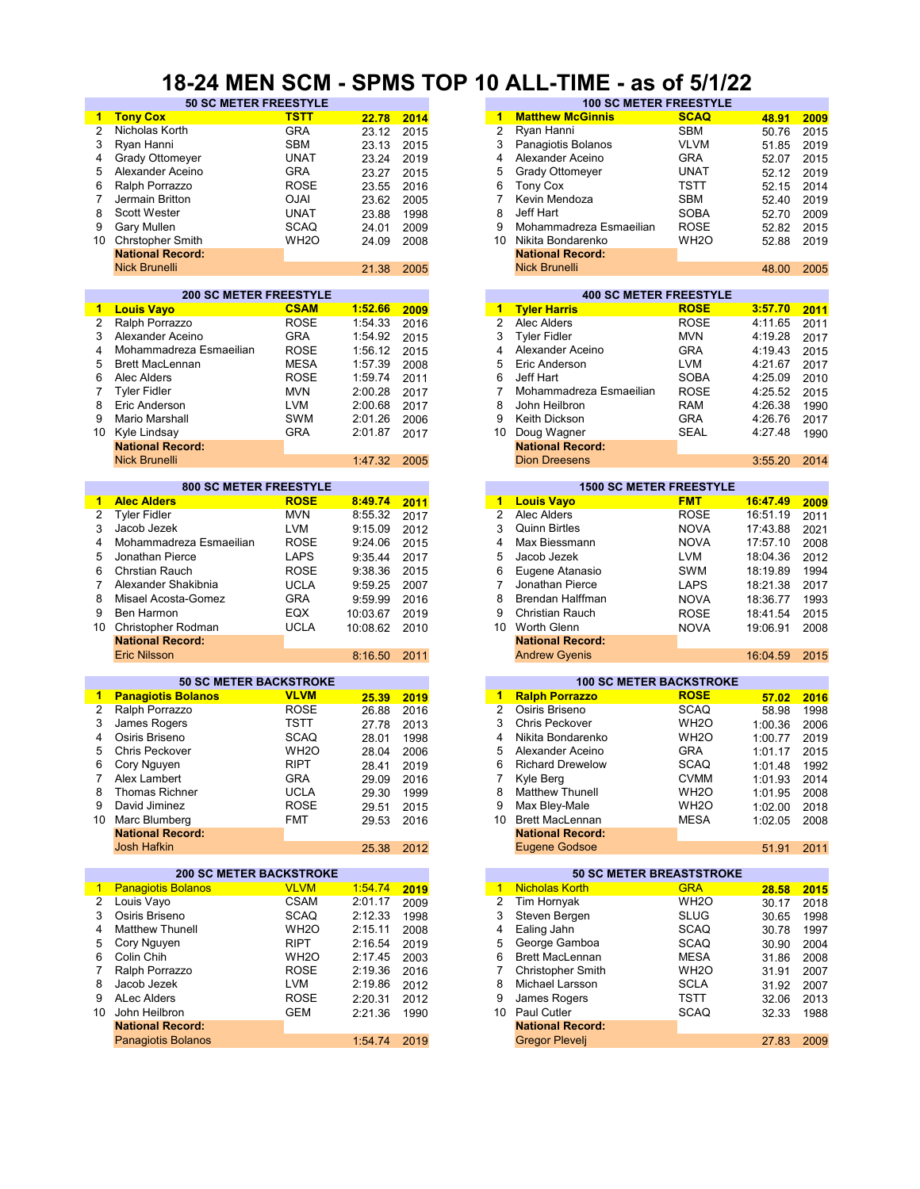#### **18-24 MEN SCM - SPMS TOP 10 ALL-TIME - as of 5/1/22**

| $\mathbf{1}$         | <b>Tony Cox</b>                | <b>TSTT</b>       | 22.78    | 2014 | $\blacktriangleleft$    | <b>Matthew McGinnis</b>         | <b>SCAQ</b>       | 48.91    | 2009 |
|----------------------|--------------------------------|-------------------|----------|------|-------------------------|---------------------------------|-------------------|----------|------|
| 2                    | Nicholas Korth                 | <b>GRA</b>        | 23.12    | 2015 | 2                       | Ryan Hanni                      | <b>SBM</b>        | 50.76    | 2015 |
|                      |                                |                   |          |      |                         |                                 |                   |          |      |
| 3                    | Ryan Hanni                     | <b>SBM</b>        | 23.13    | 2015 | 3                       | Panagiotis Bolanos              | <b>VLVM</b>       | 51.85    | 2019 |
| 4                    | <b>Grady Ottomeyer</b>         | <b>UNAT</b>       | 23.24    | 2019 | 4                       | Alexander Aceino                | <b>GRA</b>        | 52.07    | 2015 |
| 5                    | Alexander Aceino               | <b>GRA</b>        | 23.27    | 2015 | 5                       | <b>Grady Ottomeyer</b>          | <b>UNAT</b>       | 52.12    | 2019 |
| 6                    | Ralph Porrazzo                 | <b>ROSE</b>       | 23.55    | 2016 | 6                       | <b>Tony Cox</b>                 | <b>TSTT</b>       | 52.15    | 2014 |
| 7                    | Jermain Britton                | <b>OJAI</b>       | 23.62    | 2005 | 7                       | Kevin Mendoza                   | <b>SBM</b>        | 52.40    | 2019 |
| 8                    | Scott Wester                   | <b>UNAT</b>       | 23.88    | 1998 | 8                       | Jeff Hart                       | <b>SOBA</b>       | 52.70    | 2009 |
|                      |                                |                   |          |      | 9                       |                                 |                   |          |      |
| 9                    | Gary Mullen                    | <b>SCAQ</b>       | 24.01    | 2009 |                         | Mohammadreza Esmaeilian         | <b>ROSE</b>       | 52.82    | 2015 |
| 10                   | <b>Chrstopher Smith</b>        | WH <sub>2</sub> O | 24.09    | 2008 | 10                      | Nikita Bondarenko               | WH <sub>2</sub> O | 52.88    | 2019 |
|                      | <b>National Record:</b>        |                   |          |      |                         | <b>National Record:</b>         |                   |          |      |
|                      | <b>Nick Brunelli</b>           |                   | 21.38    | 2005 |                         | <b>Nick Brunelli</b>            |                   | 48.00    | 2005 |
|                      |                                |                   |          |      |                         |                                 |                   |          |      |
|                      | <b>200 SC METER FREESTYLE</b>  |                   |          |      |                         | <b>400 SC METER FREESTYLE</b>   |                   |          |      |
| $\blacktriangleleft$ | <b>Louis Vayo</b>              | <b>CSAM</b>       | 1:52.66  | 2009 |                         | 1 Tyler Harris                  | <b>ROSE</b>       | 3:57.70  | 2011 |
| $\overline{2}$       | Ralph Porrazzo                 | <b>ROSE</b>       | 1:54.33  | 2016 | $\overline{2}$          | Alec Alders                     | <b>ROSE</b>       | 4:11.65  | 2011 |
| 3                    | Alexander Aceino               | <b>GRA</b>        | 1:54.92  | 2015 | 3                       | <b>Tyler Fidler</b>             | <b>MVN</b>        | 4:19.28  | 2017 |
| 4                    | Mohammadreza Esmaeilian        | <b>ROSE</b>       | 1:56.12  | 2015 | 4                       | Alexander Aceino                | <b>GRA</b>        | 4:19.43  | 2015 |
| 5                    | <b>Brett MacLennan</b>         | <b>MESA</b>       | 1:57.39  | 2008 | 5                       | Eric Anderson                   | <b>LVM</b>        | 4:21.67  | 2017 |
|                      |                                |                   |          |      |                         |                                 |                   |          |      |
| 6                    | Alec Alders                    | <b>ROSE</b>       | 1:59.74  | 2011 | 6                       | Jeff Hart                       | <b>SOBA</b>       | 4:25.09  | 2010 |
| 7                    | <b>Tyler Fidler</b>            | <b>MVN</b>        | 2:00.28  | 2017 | 7                       | Mohammadreza Esmaeilian         | <b>ROSE</b>       | 4:25.52  | 2015 |
| 8                    | Eric Anderson                  | LVM               | 2:00.68  | 2017 | 8                       | John Heilbron                   | <b>RAM</b>        | 4:26.38  | 1990 |
| 9                    | Mario Marshall                 | <b>SWM</b>        | 2:01.26  | 2006 | 9                       | Keith Dickson                   | <b>GRA</b>        | 4:26.76  | 2017 |
| 10                   | Kyle Lindsay                   | <b>GRA</b>        | 2:01.87  | 2017 | 10                      | Doug Wagner                     | <b>SEAL</b>       | 4:27.48  | 1990 |
|                      | <b>National Record:</b>        |                   |          |      |                         | <b>National Record:</b>         |                   |          |      |
|                      | <b>Nick Brunelli</b>           |                   | 1:47.32  | 2005 |                         | <b>Dion Dreesens</b>            |                   | 3:55.20  | 2014 |
|                      |                                |                   |          |      |                         |                                 |                   |          |      |
|                      | <b>800 SC METER FREESTYLE</b>  |                   |          |      |                         | <b>1500 SC METER FREESTYLE</b>  |                   |          |      |
| 1                    | <b>Alec Alders</b>             | <b>ROSE</b>       | 8:49.74  | 2011 |                         | 1 Louis Vayo                    | <b>FMT</b>        | 16:47.49 | 2009 |
| 2                    | <b>Tyler Fidler</b>            | <b>MVN</b>        | 8:55.32  | 2017 | $\overline{2}$          | Alec Alders                     | <b>ROSE</b>       | 16:51.19 | 2011 |
| 3                    | Jacob Jezek                    | <b>LVM</b>        | 9:15.09  | 2012 | 3                       | <b>Quinn Birtles</b>            | <b>NOVA</b>       | 17:43.88 | 2021 |
| 4                    | Mohammadreza Esmaeilian        | <b>ROSE</b>       | 9:24.06  | 2015 | $\overline{4}$          | Max Biessmann                   | <b>NOVA</b>       | 17:57.10 | 2008 |
|                      |                                |                   |          |      |                         |                                 |                   |          |      |
| 5                    | Jonathan Pierce                | <b>LAPS</b>       | 9:35.44  | 2017 | 5                       | Jacob Jezek                     | LVM               | 18:04.36 | 2012 |
| 6                    | <b>Chrstian Rauch</b>          | <b>ROSE</b>       | 9:38.36  | 2015 | 6                       | Eugene Atanasio                 | <b>SWM</b>        | 18:19.89 | 1994 |
| $\overline{7}$       | Alexander Shakibnia            | <b>UCLA</b>       | 9:59.25  | 2007 | $\overline{7}$          | Jonathan Pierce                 | <b>LAPS</b>       | 18:21.38 | 2017 |
| 8                    | Misael Acosta-Gomez            | <b>GRA</b>        | 9:59.99  | 2016 | 8                       | Brendan Halffman                | <b>NOVA</b>       | 18:36.77 | 1993 |
| 9                    | Ben Harmon                     | EQX               | 10:03.67 | 2019 | 9                       | Christian Rauch                 | <b>ROSE</b>       | 18:41.54 | 2015 |
|                      |                                |                   |          |      |                         |                                 |                   |          |      |
| 10                   | Christopher Rodman             | <b>UCLA</b>       | 10:08.62 | 2010 | 10                      | Worth Glenn                     | <b>NOVA</b>       | 19:06.91 | 2008 |
|                      | <b>National Record:</b>        |                   |          |      |                         | <b>National Record:</b>         |                   |          |      |
|                      | <b>Eric Nilsson</b>            |                   | 8:16.50  | 2011 |                         | <b>Andrew Gyenis</b>            |                   | 16:04.59 | 2015 |
|                      | <b>50 SC METER BACKSTROKE</b>  |                   |          |      |                         | <b>100 SC METER BACKSTROKE</b>  |                   |          |      |
| $\mathbf{1}$         | <b>Panagiotis Bolanos</b>      | <b>VLVM</b>       | 25.39    | 2019 |                         | 1 Ralph Porrazzo                | <b>ROSE</b>       | 57.02    | 2016 |
| 2                    | Ralph Porrazzo                 | <b>ROSE</b>       |          |      | $\overline{2}$          | Osiris Briseno                  | <b>SCAQ</b>       |          |      |
|                      |                                |                   | 26.88    | 2016 |                         |                                 |                   | 58.98    | 1998 |
| 3                    | James Rogers                   | <b>TSTT</b>       | 27.78    | 2013 | 3                       | <b>Chris Peckover</b>           | WH <sub>2</sub> O | 1:00.36  | 2006 |
| 4                    | Osiris Briseno                 | <b>SCAQ</b>       | 28.01    | 1998 | 4                       | Nikita Bondarenko               | WH <sub>2</sub> O | 1:00.77  | 2019 |
| 5                    | <b>Chris Peckover</b>          | WH <sub>2</sub> O | 28.04    | 2006 | 5                       | Alexander Aceino                | <b>GRA</b>        | 1:01.17  | 2015 |
| 6                    | Cory Nguyen                    | <b>RIPT</b>       | 28.41    | 2019 | 6                       | <b>Richard Drewelow</b>         | <b>SCAQ</b>       | 1:01.48  | 1992 |
| 7                    | Alex Lambert                   | GRA               | 29.09    | 2016 | 7                       | Kyle Berg                       | <b>CVMM</b>       | 1:01.93  | 2014 |
| 8                    | Thomas Richner                 | <b>UCLA</b>       | 29.30    | 1999 | 8                       | <b>Matthew Thunell</b>          | WH <sub>2</sub> O | 1:01.95  | 2008 |
| 9                    | David Jiminez                  | <b>ROSE</b>       | 29.51    | 2015 | 9                       | Max Bley-Male                   | WH <sub>2</sub> O | 1:02.00  | 2018 |
| 10                   | Marc Blumberg                  | <b>FMT</b>        |          |      |                         | 10 Brett MacLennan              | <b>MESA</b>       |          |      |
|                      | <b>National Record:</b>        |                   | 29.53    | 2016 |                         | <b>National Record:</b>         |                   | 1:02.05  | 2008 |
|                      | Josh Hafkin                    |                   |          |      |                         | <b>Eugene Godsoe</b>            |                   |          |      |
|                      |                                |                   | 25.38    | 2012 |                         |                                 |                   | 51.91    | 2011 |
|                      | <b>200 SC METER BACKSTROKE</b> |                   |          |      |                         | <b>50 SC METER BREASTSTROKE</b> |                   |          |      |
| $\mathbf{1}$         | <b>Panagiotis Bolanos</b>      | <b>VLVM</b>       | 1:54.74  | 2019 |                         | 1 Nicholas Korth                | <b>GRA</b>        | 28.58    | 2015 |
| 2                    | Louis Vayo                     | <b>CSAM</b>       | 2:01.17  | 2009 | $\overline{\mathbf{c}}$ | <b>Tim Hornyak</b>              | WH <sub>2</sub> O | 30.17    | 2018 |
| 3                    | Osiris Briseno                 | <b>SCAQ</b>       | 2:12.33  | 1998 | 3                       | Steven Bergen                   | <b>SLUG</b>       | 30.65    | 1998 |
| 4                    | <b>Matthew Thunell</b>         | WH <sub>2</sub> O | 2:15.11  | 2008 | 4                       | Ealing Jahn                     | <b>SCAQ</b>       | 30.78    | 1997 |
|                      |                                |                   |          |      |                         |                                 |                   |          |      |
| 5                    | Cory Nguyen                    | <b>RIPT</b>       | 2:16.54  | 2019 | 5                       | George Gamboa                   | <b>SCAQ</b>       | 30.90    | 2004 |
| 6                    | Colin Chih                     | WH <sub>2</sub> O | 2:17.45  | 2003 | 6                       | <b>Brett MacLennan</b>          | <b>MESA</b>       | 31.86    | 2008 |
| 7                    | Ralph Porrazzo                 | <b>ROSE</b>       | 2:19.36  | 2016 | 7                       | <b>Christopher Smith</b>        | WH <sub>2</sub> O | 31.91    | 2007 |
| 8                    | Jacob Jezek                    | LVM               | 2:19.86  | 2012 | 8                       | Michael Larsson                 | <b>SCLA</b>       | 31.92    | 2007 |
| 9                    | <b>ALec Alders</b>             | <b>ROSE</b>       | 2:20.31  | 2012 | 9                       | James Rogers                    | <b>TSTT</b>       | 32.06    | 2013 |
| 10                   | John Heilbron                  | GEM               | 2:21.36  | 1990 |                         | 10 Paul Cutler                  | <b>SCAQ</b>       | 32.33    | 1988 |
|                      | <b>National Record:</b>        |                   |          |      |                         | <b>National Record:</b>         |                   |          |      |
|                      | <b>Panagiotis Bolanos</b>      |                   | 1:54.74  | 2019 |                         | <b>Gregor Plevelj</b>           |                   | 27.83    | 2009 |
|                      |                                |                   |          |      |                         |                                 |                   |          |      |
|                      |                                |                   |          |      |                         |                                 |                   |          |      |

|      |                              |       | .    |    |                         |                               |       |      |
|------|------------------------------|-------|------|----|-------------------------|-------------------------------|-------|------|
|      | <b>50 SC METER FREESTYLE</b> |       |      |    |                         | <b>100 SC METER FREESTYLE</b> |       |      |
|      | <b>TSTT</b>                  | 22.78 | 2014 |    | <b>Matthew McGinnis</b> | <b>SCAQ</b>                   | 48.91 | 2009 |
|      | <b>GRA</b>                   | 23.12 | 2015 |    | Ryan Hanni              | <b>SBM</b>                    | 50.76 | 2015 |
|      | <b>SBM</b>                   | 23.13 | 2015 | 3  | Panagiotis Bolanos      | <b>VLVM</b>                   | 51.85 | 2019 |
| ver  | UNAT                         | 23.24 | 2019 | 4  | Alexander Aceino        | <b>GRA</b>                    | 52.07 | 2015 |
| eino | <b>GRA</b>                   | 23.27 | 2015 | 5  | <b>Grady Ottomeyer</b>  | <b>UNAT</b>                   | 52.12 | 2019 |
| O    | <b>ROSE</b>                  | 23.55 | 2016 | 6  | Tony Cox                | TSTT                          | 52.15 | 2014 |
|      | <b>OJAI</b>                  | 23.62 | 2005 |    | Kevin Mendoza           | <b>SBM</b>                    | 52.40 | 2019 |
|      | <b>UNAT</b>                  | 23.88 | 1998 | 8  | Jeff Hart               | <b>SOBA</b>                   | 52.70 | 2009 |
|      | <b>SCAQ</b>                  | 24.01 | 2009 | 9  | Mohammadreza Esmaeilian | <b>ROSE</b>                   | 52.82 | 2015 |
| nith | WH <sub>2</sub> O            | 24.09 | 2008 | 10 | Nikita Bondarenko       | WH <sub>2</sub> O             | 52.88 | 2019 |
| :bıc |                              |       |      |    | <b>National Record:</b> |                               |       |      |
|      |                              | 21.38 | 2005 |    | <b>Nick Brunelli</b>    |                               | 48.00 | 2005 |
|      |                              |       |      |    |                         |                               |       |      |

|         |      |    | <b>400 SC METER FREESTYLE</b> |             |         |
|---------|------|----|-------------------------------|-------------|---------|
| 1:52.66 | 2009 | 1  | <b>Tyler Harris</b>           | <b>ROSE</b> | 3:57.70 |
| 1:54.33 | 2016 | 2  | Alec Alders                   | <b>ROSE</b> | 4:11.65 |
| 1:54.92 | 2015 | 3  | <b>Tyler Fidler</b>           | <b>MVN</b>  | 4:19.28 |
| 1:56.12 | 2015 | 4  | Alexander Aceino              | <b>GRA</b>  | 4:19.43 |
| 1:57.39 | 2008 | 5  | Eric Anderson                 | LVM         | 4:21.67 |
| 1:59.74 | 2011 | 6  | Jeff Hart                     | <b>SOBA</b> | 4:25.09 |
| 2:00.28 | 2017 | 7  | Mohammadreza Esmaeilian       | <b>ROSE</b> | 4:25.52 |
| 2:00.68 | 2017 | 8  | John Heilbron                 | <b>RAM</b>  | 4:26.38 |
| 2:01.26 | 2006 | 9  | Keith Dickson                 | <b>GRA</b>  | 4:26.76 |
| 2:01.87 | 2017 | 10 | Doug Wagner                   | <b>SEAL</b> | 4:27.48 |
|         |      |    | <b>National Record:</b>       |             |         |
| 1:47.32 | 2005 |    | <b>Dion Dreesens</b>          |             | 3:55.20 |
|         |      |    |                               |             |         |

|         |      |    |                         | <b>1500 SC METER FREESTYLE</b> |          |
|---------|------|----|-------------------------|--------------------------------|----------|
| 8:49.74 | 2011 | 1. | <b>Louis Vayo</b>       | <b>FMT</b>                     | 16:47.49 |
| 8:55.32 | 2017 | 2  | Alec Alders             | <b>ROSE</b>                    | 16:51.19 |
| 9:15.09 | 2012 | 3  | <b>Quinn Birtles</b>    | <b>NOVA</b>                    | 17:43.88 |
| 9:24.06 | 2015 | 4  | Max Biessmann           | <b>NOVA</b>                    | 17:57.10 |
| 9:35.44 | 2017 | 5  | Jacob Jezek             | <b>LVM</b>                     | 18:04.36 |
| 9:38.36 | 2015 | 6  | Eugene Atanasio         | SWM                            | 18:19.89 |
| 9:59.25 | 2007 |    | Jonathan Pierce         | <b>LAPS</b>                    | 18:21.38 |
| 9:59.99 | 2016 | 8  | Brendan Halffman        | <b>NOVA</b>                    | 18:36.77 |
| 0:03.67 | 2019 | 9  | <b>Christian Rauch</b>  | <b>ROSE</b>                    | 18:41.54 |
| 0:08.62 | 2010 | 10 | Worth Glenn             | <b>NOVA</b>                    | 19:06.91 |
|         |      |    | <b>National Record:</b> |                                |          |
| 8:16.50 | 2011 |    | <b>Andrew Gyenis</b>    |                                | 16:04.59 |
|         |      |    |                         |                                |          |

|       |      |    |                         | <b>100 SC METER BACKSTROKE</b> |         |      |
|-------|------|----|-------------------------|--------------------------------|---------|------|
| 25.39 | 2019 | 1  | <b>Ralph Porrazzo</b>   | <b>ROSE</b>                    | 57.02   | 2016 |
| 26.88 | 2016 | 2  | Osiris Briseno          | <b>SCAQ</b>                    | 58.98   | 1998 |
| 27.78 | 2013 | 3  | <b>Chris Peckover</b>   | WH <sub>2</sub> O              | 1:00.36 | 2006 |
| 28.01 | 1998 | 4  | Nikita Bondarenko       | WH <sub>2</sub> O              | 1:00.77 | 2019 |
| 28.04 | 2006 | 5  | Alexander Aceino        | <b>GRA</b>                     | 1:01.17 | 2015 |
| 28.41 | 2019 | 6  | <b>Richard Drewelow</b> | <b>SCAQ</b>                    | 1:01.48 | 1992 |
| 29.09 | 2016 | 7  | Kyle Berg               | <b>CVMM</b>                    | 1:01.93 | 2014 |
| 29.30 | 1999 | 8  | <b>Matthew Thunell</b>  | WH <sub>2</sub> O              | 1:01.95 | 2008 |
| 29.51 | 2015 | 9  | Max Bley-Male           | WH <sub>2</sub> O              | 1:02.00 | 2018 |
| 29.53 | 2016 | 10 | <b>Brett MacLennan</b>  | <b>MESA</b>                    | 1:02.05 | 2008 |
|       |      |    | <b>National Record:</b> |                                |         |      |
| 25.38 | 2012 |    | Eugene Godsoe           |                                | 51.91   | 2011 |

|         |      |    |                          | <b>50 SC METER BREASTSTROKE</b> |       |      |
|---------|------|----|--------------------------|---------------------------------|-------|------|
| 1:54.74 | 2019 | 1  | <b>Nicholas Korth</b>    | <b>GRA</b>                      | 28.58 | 2015 |
| 2:01.17 | 2009 | 2  | Tim Hornyak              | WH <sub>2</sub> O               | 30.17 | 2018 |
| 2:12.33 | 1998 | 3  | Steven Bergen            | <b>SLUG</b>                     | 30.65 | 1998 |
| 2:15.11 | 2008 | 4  | Ealing Jahn              | <b>SCAQ</b>                     | 30.78 | 1997 |
| 2:16.54 | 2019 | 5  | George Gamboa            | <b>SCAQ</b>                     | 30.90 | 2004 |
| 2:17.45 | 2003 | 6  | <b>Brett MacLennan</b>   | <b>MESA</b>                     | 31.86 | 2008 |
| 2:19.36 | 2016 |    | <b>Christopher Smith</b> | WH <sub>2</sub> O               | 31.91 | 2007 |
| 2:19.86 | 2012 | 8  | Michael Larsson          | <b>SCLA</b>                     | 31.92 | 2007 |
| 2:20.31 | 2012 | 9  | James Rogers             | <b>TSTT</b>                     | 32.06 | 2013 |
| 2:21.36 | 1990 | 10 | <b>Paul Cutler</b>       | <b>SCAQ</b>                     | 32.33 | 1988 |
|         |      |    | <b>National Record:</b>  |                                 |       |      |
| 1:54.74 | 2019 |    | <b>Gregor Pleveli</b>    |                                 | 27.83 | 2009 |
|         |      |    |                          |                                 |       |      |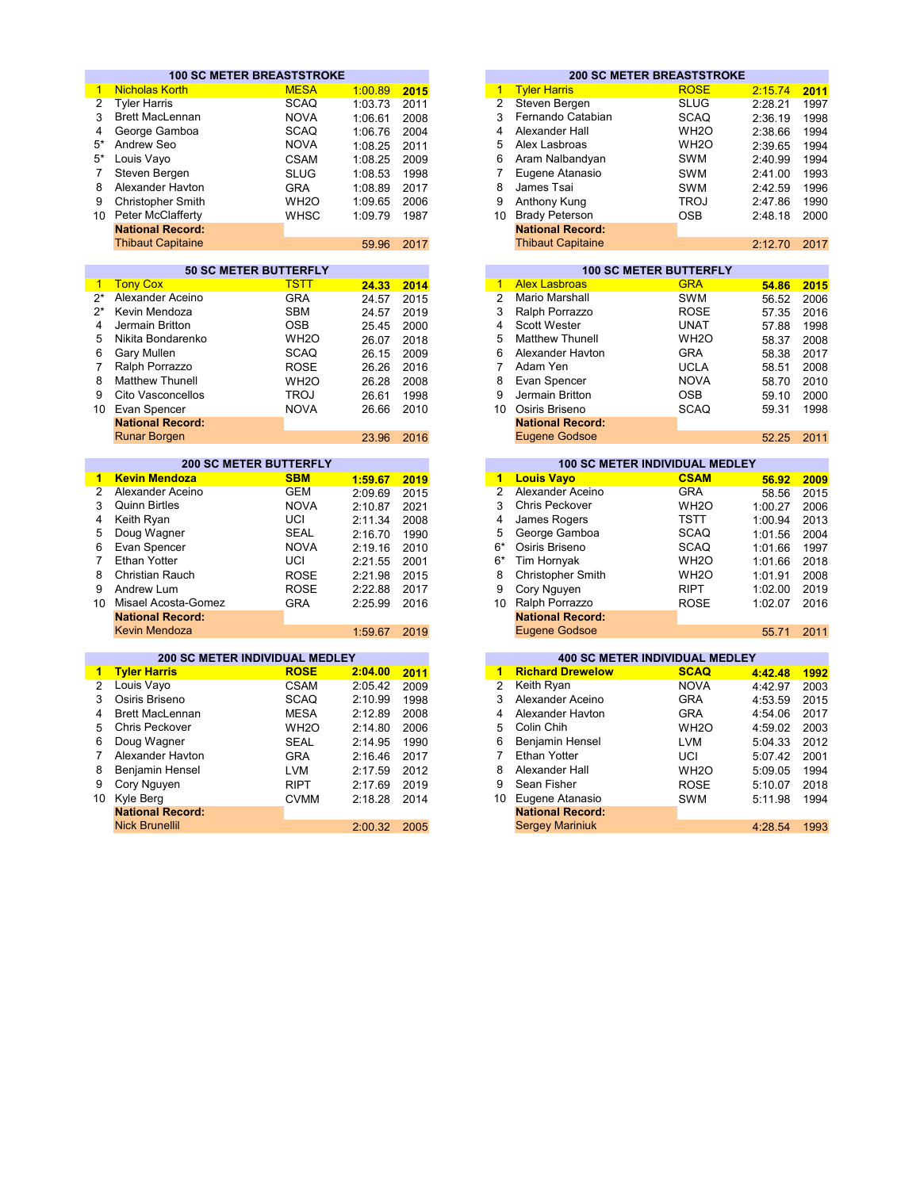|                 | <b>100 SC METER BREASTSTROKE</b>      |                   |         |      |                      |                                            | <b>200 SC METER BREASTSTROKE</b>      |         |                                                                                      |
|-----------------|---------------------------------------|-------------------|---------|------|----------------------|--------------------------------------------|---------------------------------------|---------|--------------------------------------------------------------------------------------|
| $\mathbf{1}$    | <b>Nicholas Korth</b>                 | <b>MESA</b>       | 1:00.89 | 2015 | $\mathbf{1}$         | <b>Tyler Harris</b>                        | <b>ROSE</b>                           | 2:15.74 | 2011                                                                                 |
| $\overline{2}$  | <b>Tyler Harris</b>                   | <b>SCAQ</b>       | 1:03.73 | 2011 | $\overline{c}$       | Steven Bergen                              | <b>SLUG</b>                           | 2:28.21 | 1997                                                                                 |
| 3               | <b>Brett MacLennan</b>                | <b>NOVA</b>       | 1:06.61 | 2008 | 3                    | Fernando Catabian                          | <b>SCAQ</b>                           | 2:36.19 | 1998                                                                                 |
| 4               | George Gamboa                         | <b>SCAQ</b>       | 1:06.76 | 2004 | 4                    | Alexander Hall                             | WH <sub>2</sub> O                     | 2:38.66 | 1994                                                                                 |
| $5*$            | Andrew Seo                            | <b>NOVA</b>       | 1:08.25 | 2011 | 5                    | Alex Lasbroas                              | WH <sub>2</sub> O                     | 2:39.65 | 1994                                                                                 |
| $5*$            | Louis Vayo                            | <b>CSAM</b>       | 1:08.25 | 2009 | 6                    | Aram Nalbandyan                            | <b>SWM</b>                            | 2:40.99 | 1994                                                                                 |
| $\overline{7}$  | Steven Bergen                         | <b>SLUG</b>       | 1:08.53 | 1998 | 7                    | Eugene Atanasio                            | <b>SWM</b>                            | 2:41.00 | 1993                                                                                 |
| 8               | Alexander Havton                      | <b>GRA</b>        | 1:08.89 | 2017 | 8                    | James Tsai                                 | <b>SWM</b>                            | 2:42.59 | 1996                                                                                 |
| 9               | <b>Christopher Smith</b>              | WH <sub>2</sub> O | 1:09.65 | 2006 | 9                    | Anthony Kung                               | <b>TROJ</b>                           | 2:47.86 | 1990                                                                                 |
| 10 <sup>°</sup> | <b>Peter McClafferty</b>              | <b>WHSC</b>       | 1:09.79 | 1987 | 10                   | <b>Brady Peterson</b>                      | <b>OSB</b>                            | 2:48.18 | 2000                                                                                 |
|                 | <b>National Record:</b>               |                   |         |      |                      | <b>National Record:</b>                    |                                       |         |                                                                                      |
|                 | <b>Thibaut Capitaine</b>              |                   | 59.96   | 2017 |                      | <b>Thibaut Capitaine</b>                   |                                       | 2:12.70 | 2017                                                                                 |
|                 |                                       |                   |         |      |                      |                                            |                                       |         |                                                                                      |
|                 | <b>50 SC METER BUTTERFLY</b>          |                   |         |      |                      |                                            | <b>100 SC METER BUTTERFLY</b>         |         |                                                                                      |
| $\mathbf{1}$    | <b>Tony Cox</b>                       | <b>TSTT</b>       | 24.33   | 2014 | $\overline{1}$       | <b>Alex Lasbroas</b>                       | <b>GRA</b>                            | 54.86   | 2015                                                                                 |
| $2^*$           | Alexander Aceino                      | <b>GRA</b>        | 24.57   | 2015 | $\overline{2}$       | <b>Mario Marshall</b>                      | <b>SWM</b>                            | 56.52   | 2006                                                                                 |
| $2^*$           | Kevin Mendoza                         | <b>SBM</b>        | 24.57   | 2019 | 3                    | Ralph Porrazzo                             | <b>ROSE</b>                           | 57.35   | 2016                                                                                 |
| 4               | Jermain Britton                       | <b>OSB</b>        | 25.45   | 2000 | 4                    | <b>Scott Wester</b>                        | <b>UNAT</b>                           | 57.88   | 1998                                                                                 |
| 5               | Nikita Bondarenko                     | WH <sub>2</sub> O | 26.07   | 2018 | 5                    | <b>Matthew Thunell</b>                     | WH <sub>2</sub> O                     | 58.37   | 2008                                                                                 |
| 6               | Gary Mullen                           | <b>SCAQ</b>       | 26.15   | 2009 | 6                    | Alexander Havton                           | <b>GRA</b>                            | 58.38   | 2017                                                                                 |
| $\overline{7}$  | Ralph Porrazzo                        | <b>ROSE</b>       | 26.26   | 2016 | $\overline{7}$       | Adam Yen                                   | <b>UCLA</b>                           | 58.51   | 2008                                                                                 |
| 8               | <b>Matthew Thunell</b>                | WH <sub>2</sub> O | 26.28   | 2008 | 8                    | Evan Spencer                               | <b>NOVA</b>                           | 58.70   | 2010                                                                                 |
| 9               | Cito Vasconcellos                     | <b>TROJ</b>       | 26.61   | 1998 | 9                    | Jermain Britton                            | <b>OSB</b>                            | 59.10   | 2000                                                                                 |
| 10 <sup>1</sup> | Evan Spencer                          | <b>NOVA</b>       | 26.66   | 2010 |                      | 10 Osiris Briseno                          | <b>SCAQ</b>                           | 59.31   | 1998                                                                                 |
|                 | <b>National Record:</b>               |                   |         |      |                      | <b>National Record:</b>                    |                                       |         |                                                                                      |
|                 | <b>Runar Borgen</b>                   |                   | 23.96   | 2016 |                      | <b>Eugene Godsoe</b>                       |                                       | 52.25   | 2011                                                                                 |
|                 |                                       |                   |         |      |                      |                                            |                                       |         |                                                                                      |
|                 |                                       |                   |         |      |                      |                                            |                                       |         |                                                                                      |
|                 | <b>200 SC METER BUTTERFLY</b>         |                   |         |      |                      |                                            | <b>100 SC METER INDIVIDUAL MEDLEY</b> |         |                                                                                      |
| 1               | <b>Kevin Mendoza</b>                  | <b>SBM</b>        | 1:59.67 | 2019 | $\blacktriangleleft$ | <b>Louis Vayo</b>                          | <b>CSAM</b>                           | 56.92   |                                                                                      |
| $\overline{2}$  | Alexander Aceino                      | <b>GEM</b>        | 2:09.69 | 2015 | $\overline{2}$       | Alexander Aceino                           | <b>GRA</b>                            | 58.56   |                                                                                      |
| 3               | <b>Quinn Birtles</b>                  | <b>NOVA</b>       | 2:10.87 | 2021 | 3                    | Chris Peckover                             | WH <sub>2</sub> O                     | 1:00.27 |                                                                                      |
| 4               | Keith Ryan                            | UCI               | 2:11.34 | 2008 | 4                    | James Rogers                               | <b>TSTT</b>                           | 1:00.94 |                                                                                      |
| 5               | Doug Wagner                           | <b>SEAL</b>       | 2:16.70 | 1990 | 5                    | George Gamboa                              | <b>SCAQ</b>                           | 1:01.56 |                                                                                      |
| 6               | Evan Spencer                          | <b>NOVA</b>       | 2:19.16 | 2010 | $6*$                 | Osiris Briseno                             | <b>SCAQ</b>                           | 1:01.66 |                                                                                      |
| $\overline{7}$  | <b>Ethan Yotter</b>                   | UCI               | 2:21.55 | 2001 | $6*$                 | Tim Hornyak                                | WH <sub>2</sub> O                     | 1:01.66 |                                                                                      |
| 8               | Christian Rauch                       | <b>ROSE</b>       | 2:21.98 | 2015 | 8                    | Christopher Smith                          | WH <sub>2</sub> O                     | 1:01.91 |                                                                                      |
| 9               | Andrew Lum                            | <b>ROSE</b>       | 2:22.88 | 2017 | 9                    | Cory Nguyen                                | <b>RIPT</b>                           | 1:02.00 |                                                                                      |
| 10              | Misael Acosta-Gomez                   |                   |         |      | $10-10$              | Ralph Porrazzo                             | <b>ROSE</b>                           |         |                                                                                      |
|                 | <b>National Record:</b>               | <b>GRA</b>        | 2:25.99 | 2016 |                      | <b>National Record:</b>                    |                                       | 1:02.07 |                                                                                      |
|                 | Kevin Mendoza                         |                   | 1:59.67 | 2019 |                      | <b>Eugene Godsoe</b>                       |                                       | 55.71   |                                                                                      |
|                 |                                       |                   |         |      |                      |                                            |                                       |         | 2009<br>2015<br>2006<br>2013<br>2004<br>1997<br>2018<br>2008<br>2019<br>2016<br>2011 |
|                 | <b>200 SC METER INDIVIDUAL MEDLEY</b> |                   |         |      |                      |                                            | <b>400 SC METER INDIVIDUAL MEDLEY</b> |         |                                                                                      |
| $\mathbf{1}$    | <b>Tyler Harris</b>                   | <b>ROSE</b>       | 2:04.00 | 2011 | $\blacktriangleleft$ | <b>Richard Drewelow</b>                    | <b>SCAQ</b>                           | 4:42.48 | 1992                                                                                 |
| 2               | Louis Vayo                            | <b>CSAM</b>       | 2:05.42 | 2009 | $\overline{2}$       | Keith Ryan                                 | <b>NOVA</b>                           | 4:42.97 | 2003                                                                                 |
| 3               | Osiris Briseno                        | <b>SCAQ</b>       | 2:10.99 | 1998 | 3                    | Alexander Aceino                           | <b>GRA</b>                            | 4:53.59 | 2015                                                                                 |
| 4               | <b>Brett MacLennan</b>                | <b>MESA</b>       | 2:12.89 | 2008 | 4                    | Alexander Havton                           | <b>GRA</b>                            | 4:54.06 | 2017                                                                                 |
| 5               | <b>Chris Peckover</b>                 | WH <sub>2</sub> O | 2:14.80 | 2006 | 5                    | Colin Chih                                 | WH <sub>2</sub> O                     | 4:59.02 |                                                                                      |
| 6               | Doug Wagner                           | <b>SEAL</b>       | 2:14.95 | 1990 | 6                    | Benjamin Hensel                            | <b>LVM</b>                            | 5:04.33 |                                                                                      |
| 7               | Alexander Havton                      | <b>GRA</b>        | 2:16.46 | 2017 | $\overline{7}$       | <b>Ethan Yotter</b>                        | UCI                                   | 5:07.42 |                                                                                      |
| 8               | Benjamin Hensel                       | <b>LVM</b>        | 2:17.59 | 2012 | 8                    | Alexander Hall                             | WH <sub>2</sub> O                     | 5:09.05 | 2003<br>2012<br>2001<br>1994                                                         |
| 9               |                                       |                   |         | 2019 | 9                    | Sean Fisher                                |                                       |         |                                                                                      |
|                 | Cory Nguyen                           | <b>RIPT</b>       | 2:17.69 |      |                      |                                            | <b>ROSE</b>                           | 5:10.07 | 2018                                                                                 |
| 10              | Kyle Berg<br><b>National Record:</b>  | <b>CVMM</b>       | 2:18.28 | 2014 | 10                   | Eugene Atanasio<br><b>National Record:</b> | <b>SWM</b>                            | 5:11.98 | 1994                                                                                 |

|       |      |    |                          | <b>200 SC METER BREASTSTROKE</b> |         |  |
|-------|------|----|--------------------------|----------------------------------|---------|--|
| 00.89 | 2015 | 1  | <b>Tyler Harris</b>      | <b>ROSE</b>                      | 2:15.74 |  |
| 03.73 | 2011 | 2  | Steven Bergen            | <b>SLUG</b>                      | 2:28.21 |  |
| 06.61 | 2008 | 3  | Fernando Catabian        | <b>SCAQ</b>                      | 2:36.19 |  |
| 06.76 | 2004 | 4  | Alexander Hall           | WH <sub>2</sub> O                | 2:38.66 |  |
| 08.25 | 2011 | 5  | Alex Lasbroas            | WH <sub>2</sub> O                | 2:39.65 |  |
| 08.25 | 2009 | 6  | Aram Nalbandyan          | <b>SWM</b>                       | 2:40.99 |  |
| 08.53 | 1998 | 7  | Eugene Atanasio          | <b>SWM</b>                       | 2:41.00 |  |
| 08.89 | 2017 | 8  | James Tsai               | <b>SWM</b>                       | 2:42.59 |  |
| 09.65 | 2006 | 9  | Anthony Kung             | <b>TROJ</b>                      | 2:47.86 |  |
| 09.79 | 1987 | 10 | <b>Brady Peterson</b>    | <b>OSB</b>                       | 2:48.18 |  |
|       |      |    | <b>National Record:</b>  |                                  |         |  |
| 59.96 | 2017 |    | <b>Thibaut Capitaine</b> |                                  | 2:12.70 |  |
|       |      |    |                          |                                  |         |  |

|       |      |    |                         | <b>100 SC METER BUTTERFLY</b> |       |  |
|-------|------|----|-------------------------|-------------------------------|-------|--|
| 24.33 | 2014 | 1. | <b>Alex Lasbroas</b>    | <b>GRA</b>                    | 54.86 |  |
| 24.57 | 2015 | 2  | Mario Marshall          | <b>SWM</b>                    | 56.52 |  |
| 24.57 | 2019 | 3  | Ralph Porrazzo          | <b>ROSE</b>                   | 57.35 |  |
| 25.45 | 2000 | 4  | <b>Scott Wester</b>     | <b>UNAT</b>                   | 57.88 |  |
| 26.07 | 2018 | 5  | <b>Matthew Thunell</b>  | WH <sub>2</sub> O             | 58.37 |  |
| 26.15 | 2009 | 6  | Alexander Havton        | <b>GRA</b>                    | 58.38 |  |
| 26.26 | 2016 |    | Adam Yen                | <b>UCLA</b>                   | 58.51 |  |
| 26.28 | 2008 | 8  | Evan Spencer            | <b>NOVA</b>                   | 58.70 |  |
| 26.61 | 1998 | 9  | Jermain Britton         | <b>OSB</b>                    | 59.10 |  |
| 26.66 | 2010 | 10 | Osiris Briseno          | <b>SCAQ</b>                   | 59.31 |  |
|       |      |    | <b>National Record:</b> |                               |       |  |
| 23.96 | 2016 |    | Eugene Godsoe           |                               | 52.25 |  |

|         | <b>200 SC METER BUTTERFLY</b> |         |      |      | <b>100 SC METER INDIVIDUAL MEDLEY</b> |                          |                   |         |      |  |  |
|---------|-------------------------------|---------|------|------|---------------------------------------|--------------------------|-------------------|---------|------|--|--|
| za      | <b>SBM</b>                    | 1:59.67 | 2019 |      |                                       | <b>Louis Vayo</b>        | <b>CSAM</b>       | 56.92   | 2009 |  |  |
| eino    | <b>GEM</b>                    | 2:09.69 | 2015 |      |                                       | Alexander Aceino         | <b>GRA</b>        | 58.56   | 2015 |  |  |
|         | <b>NOVA</b>                   | 2:10.87 | 2021 | 3    |                                       | <b>Chris Peckover</b>    | WH <sub>2</sub> O | 1:00.27 | 2006 |  |  |
|         | UCI                           | 2:11.34 | 2008 | 4    |                                       | James Rogers             | <b>TSTT</b>       | 1:00.94 | 2013 |  |  |
|         | <b>SEAL</b>                   | 2:16.70 | 1990 | 5    |                                       | George Gamboa            | <b>SCAQ</b>       | 1:01.56 | 2004 |  |  |
|         | <b>NOVA</b>                   | 2:19.16 | 2010 | 6*   |                                       | Osiris Briseno           | <b>SCAQ</b>       | 1:01.66 | 1997 |  |  |
|         | UCI                           | 2:21.55 | 2001 | $6*$ |                                       | Tim Hornyak              | WH <sub>2</sub> O | 1:01.66 | 2018 |  |  |
| ch      | <b>ROSE</b>                   | 2:21.98 | 2015 | 8    |                                       | <b>Christopher Smith</b> | WH <sub>2</sub> O | 1:01.91 | 2008 |  |  |
|         | <b>ROSE</b>                   | 2:22.88 | 2017 | 9    |                                       | Cory Nguyen              | <b>RIPT</b>       | 1:02.00 | 2019 |  |  |
| a-Gomez | <b>GRA</b>                    | 2:25.99 | 2016 | 10   |                                       | Ralph Porrazzo           | <b>ROSE</b>       | 1:02.07 | 2016 |  |  |
| ord:    |                               |         |      |      |                                       | <b>National Record:</b>  |                   |         |      |  |  |
| za      |                               | 1:59.67 | 2019 |      |                                       | Eugene Godsoe            |                   | 55.71   | 2011 |  |  |

|         |      |    |                         | <b>400 SC METER INDIVIDUAL MEDLEY</b> |         |      |
|---------|------|----|-------------------------|---------------------------------------|---------|------|
| 2:04.00 | 2011 | 1  | <b>Richard Drewelow</b> | <b>SCAQ</b>                           | 4:42.48 |      |
| 2:05.42 | 2009 | 2  | Keith Ryan              | <b>NOVA</b>                           | 4:42.97 |      |
| 2:10.99 | 1998 | 3  | Alexander Aceino        | <b>GRA</b>                            | 4:53.59 |      |
| 2:12.89 | 2008 | 4  | Alexander Havton        | <b>GRA</b>                            | 4:54.06 |      |
| 2:14.80 | 2006 | 5  | Colin Chih              | WH <sub>2</sub> O                     | 4:59.02 | 2003 |
| 2:14.95 | 1990 | 6  | Benjamin Hensel         | <b>LVM</b>                            | 5:04.33 |      |
| 2:16.46 | 2017 |    | Ethan Yotter            | UCI                                   | 5:07.42 | 2001 |
| 2:17.59 | 2012 | 8  | Alexander Hall          | WH <sub>2</sub> O                     | 5:09.05 |      |
| 2:17.69 | 2019 | 9  | Sean Fisher             | <b>ROSE</b>                           | 5:10.07 | 2018 |
| 2:18.28 | 2014 | 10 | Eugene Atanasio         | <b>SWM</b>                            | 5:11.98 |      |
|         |      |    | <b>National Record:</b> |                                       |         |      |
| 2:00.32 | 2005 |    | <b>Sergey Mariniuk</b>  |                                       | 4:28.54 |      |
|         |      |    |                         |                                       |         |      |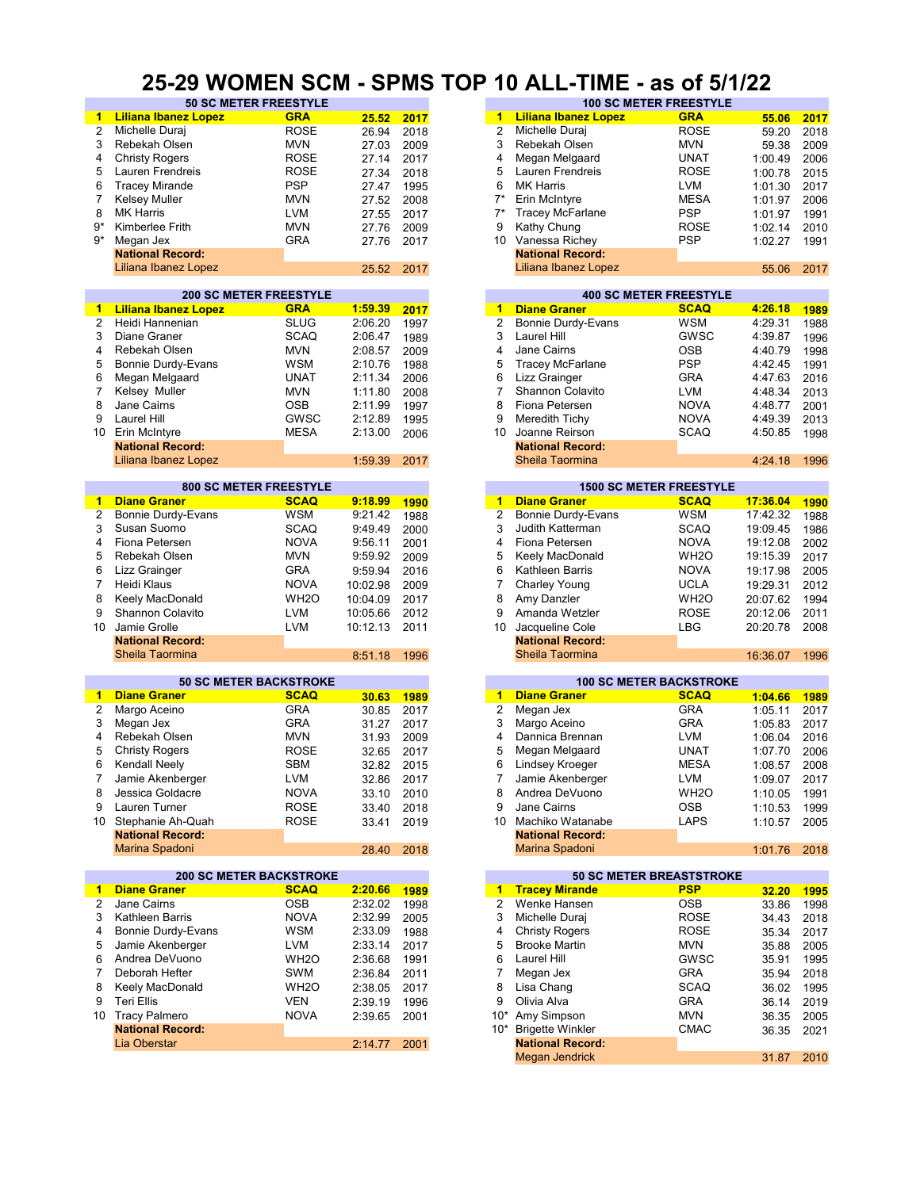#### **25-29 WOMEN SCM - SPMS TOP 10 ALL-TIME - as of 5/1/22**

| -1               | <b>Liliana Ibanez Lopez</b>    | <b>GRA</b>        | 25.52      | 2017        | $\blacktriangleleft$ | <b>Liliana Ibanez Lopez</b>     | <b>GRA</b>        | 55.06    | 2017 |
|------------------|--------------------------------|-------------------|------------|-------------|----------------------|---------------------------------|-------------------|----------|------|
| 2                | Michelle Duraj                 | <b>ROSE</b>       | 26.94      | 2018        | 2                    | Michelle Duraj                  | <b>ROSE</b>       | 59.20    | 2018 |
| 3                | Rebekah Olsen                  | <b>MVN</b>        | 27.03      | 2009        | 3                    | Rebekah Olsen                   | <b>MVN</b>        | 59.38    | 2009 |
| 4                | <b>Christy Rogers</b>          | <b>ROSE</b>       | 27.14      | 2017        | 4                    | Megan Melgaard                  | UNAT              | 1:00.49  | 2006 |
|                  |                                |                   |            |             |                      |                                 |                   |          |      |
| 5                | Lauren Frendreis               | <b>ROSE</b>       | 27.34      | 2018        | 5                    | Lauren Frendreis                | <b>ROSE</b>       | 1:00.78  | 2015 |
| 6                | <b>Tracey Mirande</b>          | <b>PSP</b>        | 27.47      | 1995        | 6                    | <b>MK Harris</b>                | <b>LVM</b>        | 1:01.30  | 2017 |
| 7                | <b>Kelsey Muller</b>           | <b>MVN</b>        | 27.52      | 2008        | $7^*$                | Erin McIntyre                   | <b>MESA</b>       | 1:01.97  | 2006 |
| 8                | <b>MK Harris</b>               | <b>LVM</b>        | 27.55      | 2017        | $7^*$                | <b>Tracey McFarlane</b>         | <b>PSP</b>        | 1:01.97  | 1991 |
|                  |                                |                   |            |             |                      |                                 |                   |          |      |
| $9*$             | Kimberlee Frith                | <b>MVN</b>        | 27.76      | 2009        | 9                    | Kathy Chung                     | <b>ROSE</b>       | 1:02.14  | 2010 |
| 9*               | Megan Jex                      | GRA               | 27.76      | 2017        | 10                   | Vanessa Richey                  | <b>PSP</b>        | 1:02.27  | 1991 |
|                  | <b>National Record:</b>        |                   |            |             |                      | <b>National Record:</b>         |                   |          |      |
|                  | Liliana Ibanez Lopez           |                   | 25.52      | 2017        |                      | Liliana Ibanez Lopez            |                   | 55.06    | 2017 |
|                  |                                |                   |            |             |                      |                                 |                   |          |      |
|                  |                                |                   |            |             |                      |                                 |                   |          |      |
|                  | <b>200 SC METER FREESTYLE</b>  |                   |            |             |                      | <b>400 SC METER FREESTYLE</b>   |                   |          |      |
| 1                | <b>Liliana Ibanez Lopez</b>    | <b>GRA</b>        | 1:59.39    | 2017        | $\overline{1}$       | <b>Diane Graner</b>             | <b>SCAQ</b>       | 4:26.18  | 1989 |
| $\overline{2}$   | Heidi Hannenian                | <b>SLUG</b>       | 2:06.20    | 1997        | $\overline{2}$       | <b>Bonnie Durdy-Evans</b>       | <b>WSM</b>        | 4:29.31  | 1988 |
| 3                | Diane Graner                   | <b>SCAQ</b>       | 2:06.47    |             | 3                    | Laurel Hill                     | <b>GWSC</b>       | 4:39.87  |      |
|                  |                                |                   |            | 1989        |                      |                                 |                   |          | 1996 |
| 4                | Rebekah Olsen                  | <b>MVN</b>        | 2:08.57    | 2009        | 4                    | Jane Cairns                     | <b>OSB</b>        | 4:40.79  | 1998 |
| 5                | Bonnie Durdy-Evans             | WSM               | 2:10.76    | 1988        | 5                    | <b>Tracey McFarlane</b>         | <b>PSP</b>        | 4:42.45  | 1991 |
| 6                | Megan Melgaard                 | <b>UNAT</b>       | 2:11.34    | 2006        | 6                    | Lizz Grainger                   | <b>GRA</b>        | 4:47.63  | 2016 |
| 7                | Kelsey Muller                  | <b>MVN</b>        | 1:11.80    |             | 7                    | Shannon Colavito                | LVM               | 4:48.34  |      |
|                  |                                |                   |            | 2008        |                      |                                 |                   |          | 2013 |
| 8                | Jane Cairns                    | OSB               | 2:11.99    | 1997        | 8                    | Fiona Petersen                  | <b>NOVA</b>       | 4:48.77  | 2001 |
| 9                | Laurel Hill                    | <b>GWSC</b>       | 2:12.89    | 1995        | 9                    | Meredith Tichy                  | <b>NOVA</b>       | 4:49.39  | 2013 |
|                  | 10 Erin McIntyre               | <b>MESA</b>       | 2:13.00    | 2006        | 10                   | Joanne Reirson                  | <b>SCAQ</b>       | 4:50.85  | 1998 |
|                  | <b>National Record:</b>        |                   |            |             |                      | <b>National Record:</b>         |                   |          |      |
|                  |                                |                   |            |             |                      |                                 |                   |          |      |
|                  | Liliana Ibanez Lopez           |                   | 1:59.39    | 2017        |                      | Sheila Taormina                 |                   | 4:24.18  | 1996 |
|                  |                                |                   |            |             |                      |                                 |                   |          |      |
|                  | <b>800 SC METER FREESTYLE</b>  |                   |            |             |                      | <b>1500 SC METER FREESTYLE</b>  |                   |          |      |
| -1               | <b>Diane Graner</b>            | <b>SCAQ</b>       | 9:18.99    | 1990        | $\blacktriangleleft$ | <b>Diane Graner</b>             | <b>SCAQ</b>       | 17:36.04 | 1990 |
| $\boldsymbol{2}$ | Bonnie Durdy-Evans             | <b>WSM</b>        | 9:21.42    | 1988        | $\overline{2}$       | Bonnie Durdy-Evans              | WSM               | 17:42.32 | 1988 |
|                  |                                |                   |            |             |                      |                                 |                   |          |      |
| 3                | Susan Suomo                    | SCAQ              | 9:49.49    | 2000        | 3                    | Judith Katterman                | <b>SCAQ</b>       | 19:09.45 | 1986 |
| 4                | Fiona Petersen                 | <b>NOVA</b>       | 9:56.11    | 2001        | 4                    | Fiona Petersen                  | <b>NOVA</b>       | 19:12.08 | 2002 |
| 5                | Rebekah Olsen                  | <b>MVN</b>        | 9:59.92    | 2009        | 5                    | Keely MacDonald                 | WH <sub>2</sub> O | 19:15.39 | 2017 |
| 6                | Lizz Grainger                  | <b>GRA</b>        | 9:59.94    | 2016        | 6                    | Kathleen Barris                 | <b>NOVA</b>       | 19:17.98 | 2005 |
|                  |                                |                   |            |             |                      |                                 |                   |          |      |
| 7                | Heidi Klaus                    | <b>NOVA</b>       | 10:02.98   | 2009        | 7                    | Charley Young                   | <b>UCLA</b>       | 19:29.31 | 2012 |
| 8                | Keely MacDonald                | WH <sub>2</sub> O | 10:04.09   | 2017        | 8                    | Amy Danzler                     | WH <sub>2</sub> O | 20:07.62 | 1994 |
| 9                | Shannon Colavito               | <b>LVM</b>        | 10:05.66   | 2012        | 9                    | Amanda Wetzler                  | <b>ROSE</b>       | 20:12.06 | 2011 |
| 10               | Jamie Grolle                   | <b>LVM</b>        |            |             | 10                   |                                 | <b>LBG</b>        |          |      |
|                  |                                |                   | 10:12.13   | 2011        |                      | Jacqueline Cole                 |                   | 20:20.78 | 2008 |
|                  | <b>National Record:</b>        |                   |            |             |                      | <b>National Record:</b>         |                   |          |      |
|                  | Sheila Taormina                |                   | 8:51.18    | 1996        |                      | Sheila Taormina                 |                   | 16:36.07 | 1996 |
|                  |                                |                   |            |             |                      |                                 |                   |          |      |
|                  | <b>50 SC METER BACKSTROKE</b>  |                   |            |             |                      | <b>100 SC METER BACKSTROKE</b>  |                   |          |      |
| -1               | <b>Diane Graner</b>            | <b>SCAQ</b>       | 30.63      | <b>1989</b> | 1                    | <b>Diane Graner</b>             | <b>SCAQ</b>       | 1:04.66  | 1989 |
| 2                | Margo Aceino                   | <b>GRA</b>        |            |             | 2                    | Megan Jex                       | <b>GRA</b>        |          | 2017 |
|                  |                                |                   | 30.85      | 2017        |                      |                                 |                   | 1:05.11  |      |
| 3                | Megan Jex                      | <b>GRA</b>        | 31.27      | 2017        | 3                    | Margo Aceino                    | <b>GRA</b>        | 1:05.83  | 2017 |
| 4                | Rebekah Olsen                  | <b>MVN</b>        | 31.93      | 2009        | 4                    | Dannica Brennan                 | LVM               | 1:06.04  | 2016 |
| 5                | <b>Christy Rogers</b>          | <b>ROSE</b>       | 32.65      | 2017        | 5                    | Megan Melgaard                  | <b>UNAT</b>       | 1:07.70  | 2006 |
| 6                | Kendall Neely                  | SBM               |            | 2015        | 6                    | Lindsey Kroeger                 | <b>MESA</b>       |          | 2008 |
|                  |                                |                   | 32.82      |             |                      |                                 |                   | 1:08.57  |      |
| 7.               | Jamie Akenberger               | <b>LVM</b>        |            |             | 7                    |                                 |                   |          | 2017 |
| 8                |                                |                   | 32.86 2017 |             |                      | Jamie Akenberger                | LVM               | 1:09.07  |      |
| 9                | Jessica Goldacre               | <b>NOVA</b>       | 33.10      | 2010        | 8                    | Andrea DeVuono                  | WH2O              | 1:10.05  | 1991 |
|                  |                                |                   |            |             |                      |                                 |                   |          |      |
|                  | Lauren Turner                  | <b>ROSE</b>       | 33.40      | 2018        | 9                    | Jane Cairns                     | <b>OSB</b>        | 1:10.53  | 1999 |
|                  | 10 Stephanie Ah-Quah           | ROSE              | 33.41      | 2019        | 10                   | Machiko Watanabe                | LAPS              | 1:10.57  | 2005 |
|                  | <b>National Record:</b>        |                   |            |             |                      | <b>National Record:</b>         |                   |          |      |
|                  | Marina Spadoni                 |                   | 28.40      | 2018        |                      | Marina Spadoni                  |                   | 1:01.76  | 2018 |
|                  |                                |                   |            |             |                      |                                 |                   |          |      |
|                  | <b>200 SC METER BACKSTROKE</b> |                   |            |             |                      | <b>50 SC METER BREASTSTROKE</b> |                   |          |      |
|                  | <b>Diane Graner</b>            | <b>SCAQ</b>       |            |             |                      |                                 | <b>PSP</b>        |          |      |
| $\mathbf{1}$     |                                |                   | 2:20.66    | 1989        |                      | 1 Tracey Mirande                |                   | 32.20    | 1995 |
| $\overline{2}$   | Jane Cairns                    | OSB               | 2:32.02    | 1998        | $\overline{2}$       | Wenke Hansen                    | OSB               | 33.86    | 1998 |
| 3                | Kathleen Barris                | NOVA              | 2:32.99    | 2005        | 3                    | Michelle Duraj                  | <b>ROSE</b>       | 34.43    | 2018 |
| 4                | Bonnie Durdy-Evans             | WSM               | 2:33.09    | 1988        | 4                    | <b>Christy Rogers</b>           | ROSE              | 35.34    | 2017 |
| 5                | Jamie Akenberger               | LVM               | 2:33.14    | 2017        | 5                    | <b>Brooke Martin</b>            | <b>MVN</b>        | 35.88    | 2005 |
|                  |                                |                   |            |             |                      |                                 |                   |          |      |
| 6                | Andrea DeVuono                 | WH <sub>2</sub> O | 2:36.68    | 1991        | 6                    | Laurel Hill                     | GWSC              | 35.91    | 1995 |
| 7                | Deborah Hefter                 | SWM               | 2:36.84    | 2011        | 7                    | Megan Jex                       | <b>GRA</b>        | 35.94    | 2018 |
| 8                | Keely MacDonald                | WH <sub>2</sub> O | 2:38.05    | 2017        | 8                    | Lisa Chang                      | <b>SCAQ</b>       | 36.02    | 1995 |
| 9                | Teri Ellis                     | VEN               |            | 1996        | 9                    | Olivia Alva                     | GRA               | 36.14    | 2019 |
|                  |                                |                   | 2:39.19    |             |                      |                                 |                   |          |      |
| 10               | <b>Tracy Palmero</b>           | NOVA              | 2:39.65    | 2001        |                      | 10* Amy Simpson                 | <b>MVN</b>        | 36.35    | 2005 |
|                  | <b>National Record:</b>        |                   |            |             |                      | 10* Brigette Winkler            | <b>CMAC</b>       | 36.35    | 2021 |
|                  | Lia Oberstar                   |                   | 2:14.77    | 2001        |                      | <b>National Record:</b>         |                   |          |      |
|                  |                                |                   |            |             |                      | <b>Megan Jendrick</b>           |                   | 31.87    | 2010 |

|          | <b>50 SC METER FREESTYLE</b> |       |      | <b>100 SC METER FREESTYLE</b> |                             |             |         |      |
|----------|------------------------------|-------|------|-------------------------------|-----------------------------|-------------|---------|------|
| z Lopezi | <b>GRA</b>                   | 25.52 | 2017 | 1.                            | <b>Liliana Ibanez Lopez</b> | <b>GRA</b>  | 55.06   | 2017 |
|          | <b>ROSE</b>                  | 26.94 | 2018 |                               | Michelle Duraj              | <b>ROSE</b> | 59.20   | 2018 |
| 'n       | <b>MVN</b>                   | 27.03 | 2009 |                               | Rebekah Olsen               | <b>MVN</b>  | 59.38   | 2009 |
|          | <b>ROSE</b>                  | 27.14 | 2017 | 4                             | Megan Melgaard              | <b>UNAT</b> | 1:00.49 | 2006 |
| eis      | <b>ROSE</b>                  | 27.34 | 2018 | 5                             | Lauren Frendreis            | <b>ROSE</b> | 1:00.78 | 2015 |
| le       | <b>PSP</b>                   | 27.47 | 1995 | 6                             | <b>MK Harris</b>            | <b>LVM</b>  | 1:01.30 | 2017 |
|          | <b>MVN</b>                   | 27.52 | 2008 | 7*                            | Erin McIntyre               | <b>MESA</b> | 1:01.97 | 2006 |
|          | <b>LVM</b>                   | 27.55 | 2017 |                               | <b>Tracey McFarlane</b>     | <b>PSP</b>  | 1:01.97 | 1991 |
|          | <b>MVN</b>                   | 27.76 | 2009 | 9                             | Kathy Chung                 | <b>ROSE</b> | 1:02.14 | 2010 |
|          | <b>GRA</b>                   | 27.76 | 2017 | 10                            | Vanessa Richey              | <b>PSP</b>  | 1:02.27 | 1991 |
| :brc     |                              |       |      |                               | <b>National Record:</b>     |             |         |      |
| Lopez    |                              | 25.52 | 2017 |                               | Liliana Ibanez Lopez        |             | 55.06   | 2017 |
|          |                              |       |      |                               |                             |             |         |      |

|         |      |    |                         | <b>400 SC METER FREESTYLE</b> |         |      |
|---------|------|----|-------------------------|-------------------------------|---------|------|
| 1:59.39 | 2017 | 1  | <b>Diane Graner</b>     | <b>SCAQ</b>                   | 4:26.18 | 1989 |
| 2:06.20 | 1997 | 2  | Bonnie Durdy-Evans      | <b>WSM</b>                    | 4:29.31 | 1988 |
| 2:06.47 | 1989 | 3  | Laurel Hill             | <b>GWSC</b>                   | 4:39.87 | 1996 |
| 2:08.57 | 2009 | 4  | Jane Cairns             | <b>OSB</b>                    | 4:40.79 | 1998 |
| 2:10.76 | 1988 | 5  | <b>Tracey McFarlane</b> | <b>PSP</b>                    | 4:42.45 | 1991 |
| 2:11.34 | 2006 | 6  | Lizz Grainger           | <b>GRA</b>                    | 4:47.63 | 2016 |
| 1:11.80 | 2008 |    | Shannon Colavito        | <b>LVM</b>                    | 4:48.34 | 2013 |
| 2:11.99 | 1997 | 8  | Fiona Petersen          | <b>NOVA</b>                   | 4:48.77 | 2001 |
| 2:12.89 | 1995 | 9  | Meredith Tichy          | <b>NOVA</b>                   | 4:49.39 | 2013 |
| 2:13.00 | 2006 | 10 | Joanne Reirson          | <b>SCAQ</b>                   | 4:50.85 | 1998 |
|         |      |    | <b>National Record:</b> |                               |         |      |
| 1:59.39 | 2017 |    | Sheila Taormina         |                               | 4:24.18 | 1996 |
|         |      |    |                         |                               |         |      |

|         |      |                | <b>1500 SC METER FREESTYLE</b> |                   |          |      |  |  |  |  |
|---------|------|----------------|--------------------------------|-------------------|----------|------|--|--|--|--|
| 9:18.99 | 1990 | 1              | <b>Diane Graner</b>            | <b>SCAQ</b>       | 17:36.04 | 1990 |  |  |  |  |
| 9:21.42 | 1988 | $\overline{2}$ | Bonnie Durdy-Evans             | <b>WSM</b>        | 17:42.32 | 1988 |  |  |  |  |
| 9:49.49 | 2000 | 3              | Judith Katterman               | <b>SCAQ</b>       | 19:09.45 | 1986 |  |  |  |  |
| 9:56.11 | 2001 | 4              | Fiona Petersen                 | <b>NOVA</b>       | 19:12.08 | 2002 |  |  |  |  |
| 9:59.92 | 2009 | 5              | Keely MacDonald                | WH <sub>2</sub> O | 19:15.39 | 2017 |  |  |  |  |
| 9:59.94 | 2016 | 6              | Kathleen Barris                | <b>NOVA</b>       | 19:17.98 | 2005 |  |  |  |  |
| 0:02.98 | 2009 | 7              | Charley Young                  | <b>UCLA</b>       | 19:29.31 | 2012 |  |  |  |  |
| 0:04.09 | 2017 | 8              | Amy Danzler                    | WH <sub>2</sub> O | 20:07.62 | 1994 |  |  |  |  |
| 0:05.66 | 2012 | 9              | Amanda Wetzler                 | <b>ROSE</b>       | 20:12.06 | 2011 |  |  |  |  |
| 0:12.13 | 2011 | 10             | Jacqueline Cole                | <b>LBG</b>        | 20:20.78 | 2008 |  |  |  |  |
|         |      |                | <b>National Record:</b>        |                   |          |      |  |  |  |  |
| 8:51.18 | 1996 |                | Sheila Taormina                |                   | 16:36.07 | 1996 |  |  |  |  |
|         |      |                |                                |                   |          |      |  |  |  |  |

|       |      |    |                         | <b>100 SC METER BACKSTROKE</b> |         |      |
|-------|------|----|-------------------------|--------------------------------|---------|------|
| 30.63 | 1989 | 1  | <b>Diane Graner</b>     | <b>SCAQ</b>                    | 1:04.66 | 1989 |
| 30.85 | 2017 | 2  | Megan Jex               | <b>GRA</b>                     | 1:05.11 | 2017 |
| 31.27 | 2017 | 3  | Margo Aceino            | <b>GRA</b>                     | 1:05.83 | 2017 |
| 31.93 | 2009 | 4  | Dannica Brennan         | <b>LVM</b>                     | 1:06.04 | 2016 |
| 32.65 | 2017 | 5  | Megan Melgaard          | <b>UNAT</b>                    | 1:07.70 | 2006 |
| 32.82 | 2015 | 6  | Lindsey Kroeger         | <b>MESA</b>                    | 1:08.57 | 2008 |
| 32.86 | 2017 |    | Jamie Akenberger        | <b>LVM</b>                     | 1:09.07 | 2017 |
| 33.10 | 2010 | 8  | Andrea DeVuono          | WH <sub>2</sub> O              | 1:10.05 | 1991 |
| 33.40 | 2018 | 9  | Jane Cairns             | <b>OSB</b>                     | 1:10.53 | 1999 |
| 33.41 | 2019 | 10 | Machiko Watanabe        | <b>LAPS</b>                    | 1:10.57 | 2005 |
|       |      |    | <b>National Record:</b> |                                |         |      |
| 28.40 | 2018 |    | Marina Spadoni          |                                | 1:01.76 | 2018 |
|       |      |    |                         |                                |         |      |

| <b>Diane Graner</b>     | <b>SCAQ</b>       | 2:20.66                        | 1989 |
|-------------------------|-------------------|--------------------------------|------|
| Jane Cairns             | <b>OSB</b>        | 2:32.02                        | 1998 |
| Kathleen Barris         | <b>NOVA</b>       | 2:32.99                        | 2005 |
| Bonnie Durdy-Evans      | <b>WSM</b>        | 2:33.09                        | 1988 |
| 5 Jamie Akenberger      | <b>LVM</b>        | 2:33.14                        | 2017 |
| 6 Andrea DeVuono        | WH <sub>2</sub> O | 2:36.68                        | 1991 |
| Deborah Hefter          | SWM               | 2:36.84                        | 2011 |
| 8 Keely MacDonald       | WH <sub>2</sub> O | 2:38.05                        | 2017 |
| 9 Teri Ellis            | <b>VEN</b>        | 2:39.19                        | 1996 |
| Tracy Palmero<br>0      | <b>NOVA</b>       | 2:39.65                        | 2001 |
| <b>National Record:</b> |                   |                                |      |
| Lia Oberstar            |                   | 2:14.77                        | 2001 |
|                         |                   |                                |      |
|                         |                   | <b>200 SC METER BACKSTROKE</b> |      |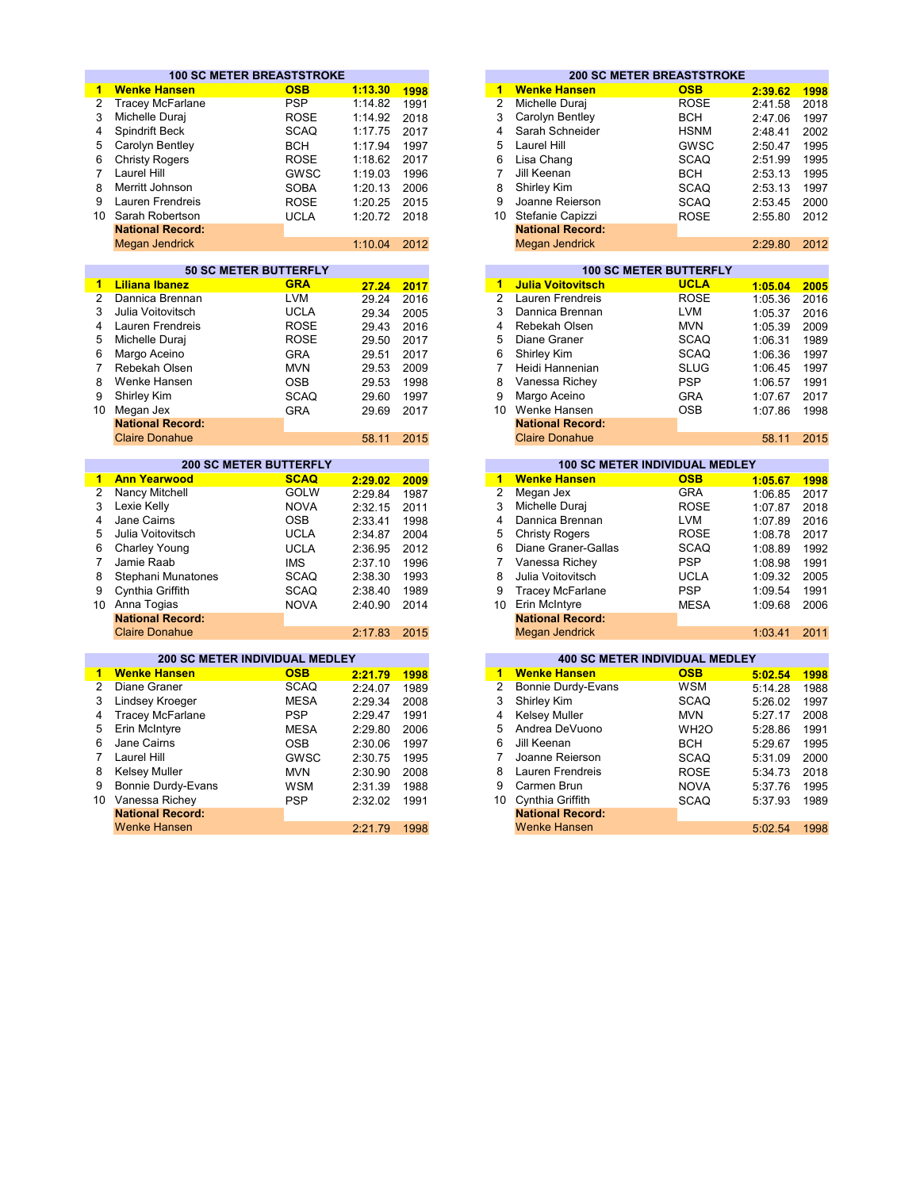|                      | <b>100 SC METER BREASTSTROKE</b>      |                               |         |      |                      |                          | <b>200 SC METER BREASTSTROKE</b>      |         |                              |
|----------------------|---------------------------------------|-------------------------------|---------|------|----------------------|--------------------------|---------------------------------------|---------|------------------------------|
| $\mathbf{1}$         | <b>Wenke Hansen</b>                   | <b>OSB</b>                    | 1:13.30 | 1998 | 1                    | <b>Wenke Hansen</b>      | <b>OSB</b>                            | 2:39.62 | 1998                         |
| $\overline{2}$       | <b>Tracey McFarlane</b>               | <b>PSP</b>                    | 1:14.82 | 1991 | $\overline{2}$       | Michelle Durai           | <b>ROSE</b>                           | 2:41.58 | 2018                         |
| 3                    | Michelle Duraj                        | <b>ROSE</b>                   | 1:14.92 | 2018 | 3                    | Carolyn Bentley          | <b>BCH</b>                            | 2:47.06 | 1997                         |
| 4                    | Spindrift Beck                        | <b>SCAQ</b>                   | 1:17.75 | 2017 | $\overline{4}$       | Sarah Schneider          | <b>HSNM</b>                           | 2:48.41 | 2002                         |
| 5                    | Carolyn Bentley                       | <b>BCH</b>                    | 1:17.94 | 1997 | 5                    | Laurel Hill              | <b>GWSC</b>                           | 2:50.47 | 1995                         |
| 6                    | <b>Christy Rogers</b>                 | <b>ROSE</b>                   | 1:18.62 | 2017 | 6                    | Lisa Chang               | <b>SCAQ</b>                           | 2:51.99 | 1995                         |
| $\overline{7}$       | Laurel Hill                           | GWSC                          |         | 1996 | $\overline{7}$       | Jill Keenan              |                                       |         | 1995                         |
| 8                    |                                       |                               | 1:19.03 |      | 8                    | Shirley Kim              | BCH                                   | 2:53.13 |                              |
| 9                    | Merritt Johnson                       | <b>SOBA</b>                   | 1:20.13 | 2006 |                      |                          | <b>SCAQ</b>                           | 2:53.13 | 1997                         |
|                      | Lauren Frendreis                      | <b>ROSE</b>                   | 1:20.25 | 2015 | 9                    | Joanne Reierson          | <b>SCAQ</b>                           | 2:53.45 | 2000                         |
| 10                   | Sarah Robertson                       | <b>UCLA</b>                   | 1:20.72 | 2018 |                      | 10 Stefanie Capizzi      | <b>ROSE</b>                           | 2:55.80 | 2012                         |
|                      | <b>National Record:</b>               |                               |         |      |                      | <b>National Record:</b>  |                                       |         |                              |
|                      | <b>Megan Jendrick</b>                 |                               | 1:10.04 | 2012 |                      | Megan Jendrick           |                                       | 2:29.80 | 2012                         |
|                      |                                       | <b>50 SC METER BUTTERFLY</b>  |         |      |                      |                          | <b>100 SC METER BUTTERFLY</b>         |         |                              |
| 1.                   | <b>Liliana Ibanez</b>                 | <b>GRA</b>                    | 27.24   | 2017 | 1                    | <b>Julia Voitovitsch</b> | <b>UCLA</b>                           | 1:05.04 | 2005                         |
| $\overline{2}$       | Dannica Brennan                       | <b>LVM</b>                    | 29.24   | 2016 | $\overline{2}$       | Lauren Frendreis         | <b>ROSE</b>                           | 1:05.36 | 2016                         |
| 3                    | Julia Voitovitsch                     | <b>UCLA</b>                   | 29.34   | 2005 | 3                    | Dannica Brennan          | <b>LVM</b>                            | 1:05.37 | 2016                         |
| 4                    | Lauren Frendreis                      | <b>ROSE</b>                   | 29.43   | 2016 | $\overline{4}$       | Rebekah Olsen            | <b>MVN</b>                            | 1:05.39 | 2009                         |
| 5                    | Michelle Duraj                        | <b>ROSE</b>                   | 29.50   | 2017 | 5                    | Diane Graner             | <b>SCAQ</b>                           | 1:06.31 | 1989                         |
| 6                    | Margo Aceino                          | <b>GRA</b>                    | 29.51   | 2017 | 6                    | Shirley Kim              | <b>SCAQ</b>                           | 1:06.36 | 1997                         |
| $\overline{7}$       | Rebekah Olsen                         |                               |         |      | $\overline{7}$       | Heidi Hannenian          | <b>SLUG</b>                           |         | 1997                         |
|                      |                                       | <b>MVN</b>                    | 29.53   | 2009 | 8                    |                          |                                       | 1:06.45 |                              |
| 8                    | Wenke Hansen                          | <b>OSB</b>                    | 29.53   | 1998 |                      | Vanessa Richey           | <b>PSP</b>                            | 1:06.57 | 1991                         |
| 9                    | Shirley Kim                           | <b>SCAQ</b>                   | 29.60   | 1997 | 9                    | Margo Aceino             | <b>GRA</b>                            | 1:07.67 | 2017                         |
|                      | 10 Megan Jex                          | <b>GRA</b>                    | 29.69   | 2017 |                      | 10 Wenke Hansen          | <b>OSB</b>                            | 1:07.86 | 1998                         |
|                      | <b>National Record:</b>               |                               |         |      |                      | <b>National Record:</b>  |                                       |         |                              |
|                      | <b>Claire Donahue</b>                 |                               | 58.11   | 2015 |                      | <b>Claire Donahue</b>    |                                       | 58.11   | 2015                         |
|                      |                                       | <b>200 SC METER BUTTERFLY</b> |         |      |                      |                          | <b>100 SC METER INDIVIDUAL MEDLEY</b> |         |                              |
| $\mathbf{1}$         | <b>Ann Yearwood</b>                   | <b>SCAQ</b>                   | 2:29.02 | 2009 | $\blacktriangleleft$ | <b>Wenke Hansen</b>      | <b>OSB</b>                            | 1:05.67 | 1998                         |
| $\overline{2}$       | Nancy Mitchell                        | <b>GOLW</b>                   | 2:29.84 | 1987 | $\overline{2}$       | Megan Jex                | <b>GRA</b>                            | 1:06.85 | 2017                         |
| 3                    | Lexie Kelly                           | <b>NOVA</b>                   | 2:32.15 | 2011 | 3                    | Michelle Duraj           | <b>ROSE</b>                           | 1:07.87 | 2018                         |
| 4                    | Jane Cairns                           | <b>OSB</b>                    | 2:33.41 | 1998 | $\overline{4}$       | Dannica Brennan          | <b>LVM</b>                            | 1:07.89 | 2016                         |
| 5                    | Julia Voitovitsch                     | <b>UCLA</b>                   | 2:34.87 | 2004 | 5                    | <b>Christy Rogers</b>    | <b>ROSE</b>                           | 1:08.78 | 2017                         |
| 6                    | <b>Charley Young</b>                  | <b>UCLA</b>                   | 2:36.95 | 2012 | 6                    | Diane Graner-Gallas      | <b>SCAQ</b>                           | 1:08.89 | 1992                         |
| $\overline{7}$       | Jamie Raab                            | <b>IMS</b>                    | 2:37.10 | 1996 | $\overline{7}$       | Vanessa Richey           | <b>PSP</b>                            | 1:08.98 | 1991                         |
| 8                    | Stephani Munatones                    | <b>SCAQ</b>                   | 2:38.30 | 1993 | 8                    | Julia Voitovitsch        | <b>UCLA</b>                           | 1:09.32 | 2005                         |
| 9                    | Cynthia Griffith                      | <b>SCAQ</b>                   | 2:38.40 | 1989 | 9                    | <b>Tracey McFarlane</b>  | <b>PSP</b>                            | 1:09.54 | 1991                         |
| 10                   | Anna Togias                           | <b>NOVA</b>                   | 2:40.90 | 2014 | 10 <sup>°</sup>      | Erin McIntyre            | <b>MESA</b>                           | 1:09.68 | 2006                         |
|                      | <b>National Record:</b>               |                               |         |      |                      | <b>National Record:</b>  |                                       |         |                              |
|                      | <b>Claire Donahue</b>                 |                               | 2:17.83 | 2015 |                      | <b>Megan Jendrick</b>    |                                       | 1:03.41 | 2011                         |
|                      |                                       |                               |         |      |                      |                          |                                       |         |                              |
|                      | <b>200 SC METER INDIVIDUAL MEDLEY</b> |                               |         |      |                      |                          | <b>400 SC METER INDIVIDUAL MEDLEY</b> |         |                              |
| $\blacktriangleleft$ | <b>Wenke Hansen</b>                   | <b>OSB</b>                    | 2:21.79 | 1998 | $\overline{1}$       | <b>Wenke Hansen</b>      | <b>OSB</b>                            | 5:02.54 | 1998                         |
| $\overline{2}$       | Diane Graner                          | <b>SCAQ</b>                   | 2:24.07 | 1989 | $\overline{2}$       | Bonnie Durdy-Evans       | <b>WSM</b>                            | 5:14.28 | 1988                         |
| 3                    | Lindsey Kroeger                       | <b>MESA</b>                   | 2:29.34 | 2008 | 3                    | Shirley Kim              | <b>SCAQ</b>                           | 5:26.02 | 1997                         |
| 4                    | <b>Tracey McFarlane</b>               | <b>PSP</b>                    | 2:29.47 | 1991 | 4                    | <b>Kelsey Muller</b>     | <b>MVN</b>                            | 5:27.17 | 2008                         |
| 5                    | Erin McIntyre                         | <b>MESA</b>                   | 2:29.80 | 2006 | 5                    | Andrea DeVuono           | WH <sub>2</sub> O                     | 5:28.86 | 1991                         |
|                      | Jane Cairns                           | <b>OSB</b>                    | 2:30.06 | 1997 | 6                    | Jill Keenan              | <b>BCH</b>                            | 5:29.67 | 1995                         |
| 6                    |                                       |                               |         |      | $\overline{7}$       | Joanne Reierson          | <b>SCAQ</b>                           | 5:31.09 | 2000                         |
| $\overline{7}$       | Laurel Hill                           | GWSC                          | 2:30.75 | 1995 |                      |                          |                                       |         |                              |
| 8                    | <b>Kelsey Muller</b>                  | <b>MVN</b>                    | 2:30.90 | 2008 | 8                    | <b>Lauren Frendreis</b>  | <b>ROSE</b>                           | 5:34.73 |                              |
| 9                    | Bonnie Durdy-Evans                    | <b>WSM</b>                    | 2:31.39 | 1988 | 9                    | Carmen Brun              | <b>NOVA</b>                           | 5:37.76 |                              |
|                      | 10 Vanessa Richey                     | <b>PSP</b>                    |         | 1991 |                      | 10 Cynthia Griffith      |                                       |         |                              |
|                      | <b>National Record:</b>               |                               | 2:32.02 |      |                      | <b>National Record:</b>  | <b>SCAQ</b>                           | 5:37.93 |                              |
|                      | <b>Wenke Hansen</b>                   |                               | 2:21.79 | 1998 |                      | <b>Wenke Hansen</b>      |                                       | 5:02.54 | 2018<br>1995<br>1989<br>1998 |

|          |                         | <b>100 SC METER BREASTSTROKE</b> |         |      |
|----------|-------------------------|----------------------------------|---------|------|
|          | <b>Wenke Hansen</b>     | <b>OSB</b>                       | 1:13.30 | 1998 |
| 2        | <b>Tracey McFarlane</b> | <b>PSP</b>                       | 1:14.82 | 1991 |
| 3.       | Michelle Durai          | <b>ROSE</b>                      | 1:14.92 | 2018 |
|          | 4 Spindrift Beck        | <b>SCAQ</b>                      | 1:17.75 | 2017 |
|          | 5 Carolyn Bentley       | <b>BCH</b>                       | 1:17.94 | 1997 |
|          | 6 Christy Rogers        | <b>ROSE</b>                      | 1:18.62 | 2017 |
|          | Laurel Hill             | GWSC                             | 1:19.03 | 1996 |
|          | 8 Merritt Johnson       | <b>SOBA</b>                      | 1:20.13 | 2006 |
| 9        | Lauren Frendreis        | <b>ROSE</b>                      | 1:20.25 | 2015 |
| $\Omega$ | Sarah Robertson         | <b>UCLA</b>                      | 1:20.72 | 2018 |
|          | <b>National Record:</b> |                                  |         |      |
|          | Megan Jendrick          |                                  | 1:10.04 | 2012 |

|       |      |    | <b>100 SC METER BUTTERFLY</b> |             |         |      |  |  |  |  |
|-------|------|----|-------------------------------|-------------|---------|------|--|--|--|--|
| 27.24 | 2017 | 1  | <b>Julia Voitovitsch</b>      | <b>UCLA</b> | 1:05.04 |      |  |  |  |  |
| 29.24 | 2016 | 2  | Lauren Frendreis              | <b>ROSE</b> | 1:05.36 | 2016 |  |  |  |  |
| 29.34 | 2005 | 3  | Dannica Brennan               | <b>LVM</b>  | 1:05.37 | 2016 |  |  |  |  |
| 29.43 | 2016 | 4  | Rebekah Olsen                 | <b>MVN</b>  | 1:05.39 |      |  |  |  |  |
| 29.50 | 2017 | 5  | Diane Graner                  | SCAQ        | 1:06.31 |      |  |  |  |  |
| 29.51 | 2017 | 6  | Shirley Kim                   | <b>SCAQ</b> | 1:06.36 |      |  |  |  |  |
| 29.53 | 2009 |    | Heidi Hannenian               | <b>SLUG</b> | 1:06.45 |      |  |  |  |  |
| 29.53 | 1998 | 8  | Vanessa Richey                | <b>PSP</b>  | 1:06.57 |      |  |  |  |  |
| 29.60 | 1997 | 9  | Margo Aceino                  | <b>GRA</b>  | 1:07.67 | 2017 |  |  |  |  |
| 29.69 | 2017 | 10 | Wenke Hansen                  | <b>OSB</b>  | 1:07.86 |      |  |  |  |  |
|       |      |    | <b>National Record:</b>       |             |         |      |  |  |  |  |
| 58.11 | 2015 |    | <b>Claire Donahue</b>         |             | 58.11   | 2015 |  |  |  |  |

| <b>200 SC METER BUTTERFLY</b> |             |         |      |    | <b>100 SC METER INDIVIDUAL MEDLEY</b> |             |         |      |
|-------------------------------|-------------|---------|------|----|---------------------------------------|-------------|---------|------|
| bc                            | <b>SCAQ</b> | 2:29.02 | 2009 |    | <b>Wenke Hansen</b>                   | <b>OSB</b>  | 1:05.67 | 1998 |
| łL.                           | <b>GOLW</b> | 2:29.84 | 1987 | 2  | Megan Jex                             | <b>GRA</b>  | 1:06.85 | 2017 |
|                               | <b>NOVA</b> | 2:32.15 | 2011 | 3  | Michelle Duraj                        | <b>ROSE</b> | 1:07.87 | 2018 |
|                               | <b>OSB</b>  | 2:33.41 | 1998 | 4  | Dannica Brennan                       | <b>LVM</b>  | 1:07.89 | 2016 |
| :ch                           | <b>UCLA</b> | 2:34.87 | 2004 | 5  | <b>Christy Rogers</b>                 | <b>ROSE</b> | 1:08.78 | 2017 |
| g                             | <b>UCLA</b> | 2:36.95 | 2012 | 6  | Diane Graner-Gallas                   | <b>SCAQ</b> | 1:08.89 | 1992 |
|                               | <b>IMS</b>  | 2:37.10 | 1996 |    | Vanessa Richey                        | <b>PSP</b>  | 1:08.98 | 1991 |
| natones                       | <b>SCAQ</b> | 2:38.30 | 1993 | 8  | Julia Voitovitsch                     | <b>UCLA</b> | 1:09.32 | 2005 |
| :h                            | <b>SCAQ</b> | 2:38.40 | 1989 | 9  | <b>Tracey McFarlane</b>               | <b>PSP</b>  | 1:09.54 | 1991 |
|                               | <b>NOVA</b> | 2:40.90 | 2014 | 10 | Erin McIntyre                         | <b>MESA</b> | 1:09.68 | 2006 |
| ord:                          |             |         |      |    | <b>National Record:</b>               |             |         |      |
| ue                            |             | 2:17.83 | 2015 |    | Megan Jendrick                        |             | 1:03.41 | 2011 |

|    | <b>400 SC METER INDIVIDUAL MEDLEY</b> |                   |         |      |
|----|---------------------------------------|-------------------|---------|------|
| 1  | <b>Wenke Hansen</b>                   | <b>OSB</b>        | 5:02.54 | 1998 |
| 2  | Bonnie Durdy-Evans                    | <b>WSM</b>        | 5:14.28 | 1988 |
| 3  | Shirley Kim                           | <b>SCAQ</b>       | 5:26.02 | 1997 |
| 4  | <b>Kelsey Muller</b>                  | <b>MVN</b>        | 5:27.17 | 2008 |
| 5  | Andrea DeVuono                        | WH <sub>2</sub> O | 5:28.86 | 1991 |
| 6  | Jill Keenan                           | <b>BCH</b>        | 5:29.67 | 1995 |
| 7  | Joanne Reierson                       | <b>SCAO</b>       | 5:31.09 | 2000 |
| 8  | Lauren Frendreis                      | <b>ROSE</b>       | 5:34.73 | 2018 |
| 9  | Carmen Brun                           | <b>NOVA</b>       | 5:37.76 | 1995 |
| 10 | Cynthia Griffith                      | <b>SCAO</b>       | 5:37.93 | 1989 |
|    | <b>National Record:</b>               |                   |         |      |
|    | <b>Wenke Hansen</b>                   |                   | 5:02.54 | 1998 |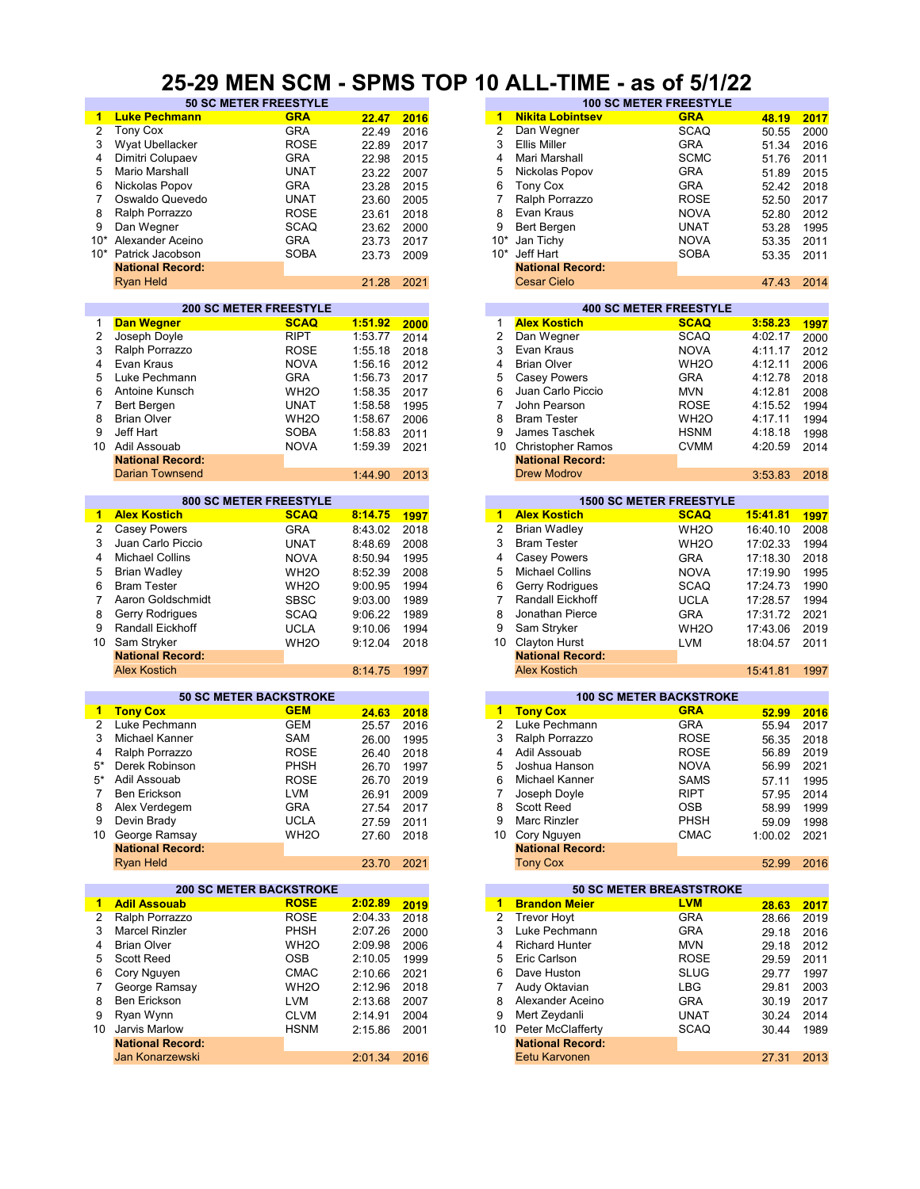#### **25-29 MEN SCM - SPMS TOP 10 ALL-TIME - as of 5/1/22**

|                |                         | <b>50 SC METER FREESTYLE</b>   |         |      |                      |                          | <b>100 SC METER FREESTYLE</b>   |          |      |
|----------------|-------------------------|--------------------------------|---------|------|----------------------|--------------------------|---------------------------------|----------|------|
| 1              | <b>Luke Pechmann</b>    | <b>GRA</b>                     | 22.47   | 2016 | 1                    | <b>Nikita Lobintsev</b>  | <b>GRA</b>                      | 48.19    | 2017 |
| 2              | <b>Tony Cox</b>         | <b>GRA</b>                     | 22.49   | 2016 | $\overline{2}$       | Dan Wegner               | <b>SCAQ</b>                     | 50.55    | 2000 |
| 3              | Wyat Ubellacker         | <b>ROSE</b>                    | 22.89   | 2017 | 3                    | <b>Ellis Miller</b>      | <b>GRA</b>                      | 51.34    | 2016 |
| 4              | Dimitri Colupaev        | <b>GRA</b>                     | 22.98   | 2015 | 4                    | Mari Marshall            | <b>SCMC</b>                     | 51.76    | 2011 |
| 5              | Mario Marshall          | <b>UNAT</b>                    | 23.22   | 2007 | 5                    | Nickolas Popov           | <b>GRA</b>                      | 51.89    | 2015 |
| 6              |                         | <b>GRA</b>                     |         |      | 6                    |                          | <b>GRA</b>                      |          |      |
|                | Nickolas Popov          |                                | 23.28   | 2015 |                      | <b>Tony Cox</b>          |                                 | 52.42    | 2018 |
| $\overline{7}$ | Oswaldo Quevedo         | <b>UNAT</b>                    | 23.60   | 2005 | 7                    | Ralph Porrazzo           | <b>ROSE</b>                     | 52.50    | 2017 |
| 8              | Ralph Porrazzo          | <b>ROSE</b>                    | 23.61   | 2018 | 8                    | Evan Kraus               | <b>NOVA</b>                     | 52.80    | 2012 |
| 9              | Dan Wegner              | <b>SCAQ</b>                    | 23.62   | 2000 | 9                    | Bert Bergen              | <b>UNAT</b>                     | 53.28    | 1995 |
| $10*$          | Alexander Aceino        | <b>GRA</b>                     | 23.73   | 2017 | $10*$                | Jan Tichy                | <b>NOVA</b>                     | 53.35    | 2011 |
|                | 10* Patrick Jacobson    | <b>SOBA</b>                    | 23.73   | 2009 | $10*$                | Jeff Hart                | <b>SOBA</b>                     | 53.35    | 2011 |
|                | <b>National Record:</b> |                                |         |      |                      | <b>National Record:</b>  |                                 |          |      |
|                | <b>Ryan Held</b>        |                                | 21.28   | 2021 |                      | <b>Cesar Cielo</b>       |                                 | 47.43    | 2014 |
|                |                         |                                |         |      |                      |                          |                                 |          |      |
|                |                         | <b>200 SC METER FREESTYLE</b>  |         |      |                      |                          | <b>400 SC METER FREESTYLE</b>   |          |      |
| 1              | <b>Dan Wegner</b>       | <b>SCAQ</b>                    | 1:51.92 | 2000 | 1                    | <b>Alex Kostich</b>      | <b>SCAQ</b>                     | 3:58.23  | 1997 |
| 2              | Joseph Doyle            | <b>RIPT</b>                    | 1:53.77 | 2014 | $\overline{2}$       | Dan Wegner               | <b>SCAQ</b>                     | 4:02.17  | 2000 |
| 3              | Ralph Porrazzo          | <b>ROSE</b>                    | 1:55.18 | 2018 | 3                    | Evan Kraus               | <b>NOVA</b>                     | 4:11.17  | 2012 |
| 4              | Evan Kraus              | <b>NOVA</b>                    | 1:56.16 | 2012 | 4                    | <b>Brian Olver</b>       | WH <sub>2</sub> O               | 4:12.11  | 2006 |
| 5              | Luke Pechmann           | <b>GRA</b>                     | 1:56.73 | 2017 | 5                    | <b>Casey Powers</b>      | <b>GRA</b>                      | 4:12.78  | 2018 |
| 6              | Antoine Kunsch          | WH <sub>20</sub>               | 1:58.35 | 2017 | 6                    | Juan Carlo Piccio        | <b>MVN</b>                      | 4:12.81  | 2008 |
| 7              | Bert Bergen             | <b>UNAT</b>                    | 1:58.58 | 1995 | $\overline{7}$       | John Pearson             | ROSE                            | 4:15.52  | 1994 |
| 8              | <b>Brian Olver</b>      | WH <sub>2</sub> O              | 1:58.67 | 2006 | 8                    | <b>Bram Tester</b>       | WH <sub>2</sub> O               | 4:17.11  |      |
| 9              | Jeff Hart               | <b>SOBA</b>                    | 1:58.83 |      | 9                    | James Taschek            | <b>HSNM</b>                     | 4:18.18  |      |
|                |                         |                                |         | 2011 |                      |                          |                                 |          | 2014 |
| 10             | Adil Assouab            | <b>NOVA</b>                    | 1:59.39 | 2021 | 10                   | <b>Christopher Ramos</b> | <b>CVMM</b>                     | 4:20.59  |      |
|                | <b>National Record:</b> |                                |         |      |                      | <b>National Record:</b>  |                                 |          | 2018 |
|                | <b>Darian Townsend</b>  |                                | 1:44.90 | 2013 |                      | <b>Drew Modrov</b>       |                                 | 3:53.83  |      |
|                |                         | <b>800 SC METER FREESTYLE</b>  |         |      |                      |                          | <b>1500 SC METER FREESTYLE</b>  |          |      |
| 1              | <b>Alex Kostich</b>     | <b>SCAQ</b>                    | 8:14.75 | 1997 | $\blacktriangleleft$ | <b>Alex Kostich</b>      | <b>SCAQ</b>                     | 15:41.81 | 1997 |
| 2              | <b>Casey Powers</b>     | <b>GRA</b>                     | 8:43.02 | 2018 | $\overline{2}$       | <b>Brian Wadley</b>      | WH <sub>2</sub> O               | 16:40.10 | 2008 |
| 3              | Juan Carlo Piccio       | <b>UNAT</b>                    | 8:48.69 | 2008 | 3                    | <b>Bram Tester</b>       | WH <sub>2</sub> O               | 17:02.33 | 1994 |
| 4              | <b>Michael Collins</b>  | <b>NOVA</b>                    | 8:50.94 | 1995 | 4                    | <b>Casey Powers</b>      | <b>GRA</b>                      | 17:18.30 | 2018 |
|                |                         |                                |         |      |                      |                          |                                 |          | 1995 |
| 5              | <b>Brian Wadley</b>     | WH <sub>2</sub> O              | 8:52.39 | 2008 | 5                    | <b>Michael Collins</b>   | <b>NOVA</b>                     | 17:19.90 |      |
| 6              | <b>Bram Tester</b>      | WH <sub>20</sub>               | 9:00.95 | 1994 | 6                    | Gerry Rodrigues          | <b>SCAQ</b>                     | 17:24.73 | 1990 |
| $\overline{7}$ | Aaron Goldschmidt       | <b>SBSC</b>                    | 9:03.00 | 1989 | $\overline{7}$       | <b>Randall Eickhoff</b>  | <b>UCLA</b>                     | 17:28.57 | 1994 |
| 8              | Gerry Rodrigues         | <b>SCAQ</b>                    | 9:06.22 | 1989 | 8                    | Jonathan Pierce          | <b>GRA</b>                      | 17:31.72 | 2021 |
| 9              | Randall Eickhoff        | <b>UCLA</b>                    | 9:10.06 | 1994 | 9                    | Sam Stryker              | WH <sub>2</sub> O               | 17:43.06 | 2019 |
| 10             | Sam Stryker             | WH <sub>20</sub>               | 9:12.04 | 2018 | 10 <sup>1</sup>      | <b>Clayton Hurst</b>     | <b>LVM</b>                      | 18:04.57 | 2011 |
|                | <b>National Record:</b> |                                |         |      |                      | <b>National Record:</b>  |                                 |          |      |
|                | <b>Alex Kostich</b>     |                                | 8:14.75 | 1997 |                      | <b>Alex Kostich</b>      |                                 | 15:41.81 | 1997 |
|                |                         |                                |         |      |                      |                          |                                 |          |      |
|                |                         | <b>50 SC METER BACKSTROKE</b>  |         |      |                      |                          | <b>100 SC METER BACKSTROKE</b>  |          |      |
| 1              | <b>Tony Cox</b>         | <b>GEM</b>                     | 24.63   | 2018 | $\blacksquare$       | <b>Tony Cox</b>          | <b>GRA</b>                      | 52.99    | 2016 |
| 2              | Luke Pechmann           | <b>GEM</b>                     | 25.57   | 2016 | $\overline{2}$       | Luke Pechmann            | <b>GRA</b>                      | 55.94    | 2017 |
| 3              | Michael Kanner          | <b>SAM</b>                     | 26.00   | 1995 | 3                    | Ralph Porrazzo           | <b>ROSE</b>                     | 56.35    | 2018 |
| 4              | Ralph Porrazzo          | <b>ROSE</b>                    | 26.40   | 2018 | 4                    | Adil Assouab             | <b>ROSE</b>                     | 56.89    |      |
| 5*             | Derek Robinson          | <b>PHSH</b>                    | 26.70   | 1997 | 5                    | Joshua Hanson            | <b>NOVA</b>                     | 56.99    | 2021 |
| 5*             | Adil Assouab            | <b>ROSE</b>                    | 26.70   | 2019 | 6                    | Michael Kanner           | <b>SAMS</b>                     | 57.11    | 1995 |
| 7              | Ben Erickson            | <b>LVM</b>                     | 26.91   | 2009 | 7                    | Joseph Doyle             | <b>RIPT</b>                     | 57.95    | 2014 |
| 8              | Alex Verdegem           | <b>GRA</b>                     |         |      | 8                    | Scott Reed               | OSB                             |          |      |
|                |                         |                                | 27.54   | 2017 |                      |                          |                                 | 58.99    |      |
| 9              | Devin Brady             | <b>UCLA</b>                    | 27.59   | 2011 | 9                    | Marc Rinzler             | <b>PHSH</b>                     | 59.09    | 1998 |
| 10             | George Ramsay           | WH <sub>2</sub> O              | 27.60   | 2018 | 10                   | Cory Nguyen              | <b>CMAC</b>                     | 1:00.02  | 2021 |
|                | <b>National Record:</b> |                                |         |      |                      | <b>National Record:</b>  |                                 |          |      |
|                | <b>Ryan Held</b>        |                                | 23.70   | 2021 |                      | <b>Tony Cox</b>          |                                 | 52.99    | 2016 |
|                |                         | <b>200 SC METER BACKSTROKE</b> |         |      |                      |                          | <b>50 SC METER BREASTSTROKE</b> |          |      |
| 1              | <b>Adil Assouab</b>     | <b>ROSE</b>                    | 2:02.89 | 2019 |                      | 1 Brandon Meier          | <b>LVM</b>                      | 28.63    | 2017 |
| 2              | Ralph Porrazzo          | <b>ROSE</b>                    | 2:04.33 | 2018 | $\overline{2}$       | <b>Trevor Hoyt</b>       | <b>GRA</b>                      | 28.66    |      |
| 3              | <b>Marcel Rinzler</b>   | <b>PHSH</b>                    | 2:07.26 | 2000 | 3                    | Luke Pechmann            | <b>GRA</b>                      | 29.18    |      |
|                |                         |                                |         |      |                      |                          |                                 |          |      |
| 4              | <b>Brian Olver</b>      | WH <sub>2</sub> O              | 2:09.98 | 2006 | 4                    | <b>Richard Hunter</b>    | <b>MVN</b>                      | 29.18    |      |
| 5              | Scott Reed              | <b>OSB</b>                     | 2:10.05 | 1999 | 5                    | Eric Carlson             | ROSE                            | 29.59    |      |
| 6              | Cory Nguyen             | <b>CMAC</b>                    | 2:10.66 | 2021 | 6                    | Dave Huston              | <b>SLUG</b>                     | 29.77    |      |
| 7              | George Ramsay           | WH <sub>20</sub>               | 2:12.96 | 2018 | $\overline{7}$       | Audy Oktavian            | LBG                             | 29.81    |      |
| 8              | Ben Erickson            | LVM                            | 2:13.68 | 2007 | 8                    | Alexander Aceino         | <b>GRA</b>                      | 30.19    |      |
|                |                         |                                |         |      | 9                    |                          |                                 |          |      |
|                |                         |                                |         |      |                      |                          |                                 |          |      |
| 9              | Ryan Wynn               | <b>CLVM</b>                    | 2:14.91 | 2004 |                      | Mert Zeydanli            | <b>UNAT</b>                     | 30.24    |      |
| 10             | Jarvis Marlow           | <b>HSNM</b>                    | 2:15.86 | 2001 |                      | 10 Peter McClafferty     | SCAQ                            | 30.44    | 2014 |
|                | <b>National Record:</b> |                                |         |      |                      | <b>National Record:</b>  |                                 |          |      |
|                | Jan Konarzewski         |                                | 2:01.34 | 2016 |                      | Eetu Karvonen            |                                 | 27.31    |      |

| 22.47          | 2016        | 1                       | <b>Nikita Lobintsev</b>                       | <b>GRA</b>                     | 48.19      | 2017 |
|----------------|-------------|-------------------------|-----------------------------------------------|--------------------------------|------------|------|
| 22.49          | 2016        | $\overline{c}$          | Dan Wegner                                    | <b>SCAQ</b>                    | 50.55      | 2000 |
| 22.89          | 2017        | 3                       | <b>Ellis Miller</b>                           | <b>GRA</b>                     | 51.34      | 2016 |
| 22.98          | 2015        | 4                       | Mari Marshall                                 | <b>SCMC</b>                    | 51.76      | 2011 |
| 23.22          | 2007        | 5                       | Nickolas Popov                                | <b>GRA</b>                     | 51.89      | 2015 |
| 23.28          | 2015        | 6                       | <b>Tony Cox</b>                               | <b>GRA</b>                     | 52.42      | 2018 |
| 23.60          | 2005        | $\overline{7}$          | Ralph Porrazzo                                | <b>ROSE</b>                    | 52.50      | 2017 |
| 23.61          | 2018        | 8                       | Evan Kraus                                    | <b>NOVA</b>                    | 52.80      | 2012 |
| 23.62          | 2000        | 9                       | Bert Bergen                                   | UNAT                           | 53.28      | 1995 |
| 23.73          | 2017        | $10^*$                  | Jan Tichy                                     | <b>NOVA</b>                    | 53.35      | 2011 |
| 23.73          | 2009        |                         | 10* Jeff Hart                                 | <b>SOBA</b>                    | 53.35      | 2011 |
|                |             |                         | <b>National Record:</b>                       |                                |            |      |
| 21.28          | 2021        |                         | <b>Cesar Cielo</b>                            |                                | 47.43      | 2014 |
|                |             |                         |                                               |                                |            |      |
|                |             |                         |                                               | <b>400 SC METER FREESTYLE</b>  |            |      |
| <u>1:51.92</u> | <b>2000</b> | 1                       | <b>Alex Kostich</b>                           | <b>SCAQ</b>                    | 3:58.23    | 1997 |
| 1:53.77        | 2014        | 2                       | Dan Wegner                                    | SCAQ                           | 4:02.17    | 2000 |
| 1:55.18        | 2018        | 3                       | Evan Kraus                                    | <b>NOVA</b>                    | 4:11.17    | 2012 |
| 1:56.16        | 2012        | 4                       | <b>Brian Olver</b>                            | WH <sub>2</sub> O              | 4:12.11    | 2006 |
| 1:56.73        | 2017        | 5                       | <b>Casey Powers</b>                           | <b>GRA</b>                     | 4:12.78    | 2018 |
| 1:58.35        | 2017        | 6                       | Juan Carlo Piccio                             | <b>MVN</b>                     | 4:12.81    | 2008 |
| 1:58.58        | 1995        | 7                       | John Pearson                                  | <b>ROSE</b>                    | 4:15.52    | 1994 |
| 1:58.67        | 2006        | 8                       | <b>Bram Tester</b>                            | WH <sub>2</sub> O              | 4:17.11    | 1994 |
| 1:58.83        | 2011        | 9                       | James Taschek                                 | <b>HSNM</b>                    | 4:18.18    | 1998 |
| 1:59.39        | 2021        | 10                      | <b>Christopher Ramos</b>                      | <b>CVMM</b>                    | 4:20.59    | 2014 |
|                |             |                         | <b>National Record:</b><br><b>Drew Modrov</b> |                                |            |      |
| 1:44.90        | 2013        |                         |                                               |                                | 3:53.83    | 2018 |
|                |             |                         |                                               | <b>1500 SC METER FREESTYLE</b> |            |      |
| 8:14.75        | 1997        | 1                       | <b>Alex Kostich</b>                           | <b>SCAQ</b>                    | 15:41.81   | 1997 |
| 8:43.02        | 2018        | 2                       | <b>Brian Wadley</b>                           | WH <sub>2</sub> O              | 16:40.10   | 2008 |
| 8:48.69        | 2008        | 3                       | <b>Bram Tester</b>                            | WH2O                           | 17:02.33   | 1994 |
| 8:50.94        | 1995        | 4                       | <b>Casey Powers</b>                           | <b>GRA</b>                     | 17:18.30   | 2018 |
| 8:52.39        | 2008        | 5                       | <b>Michael Collins</b>                        | <b>NOVA</b>                    | 17:19.90   | 1995 |
| 9:00.95        | 1994        | 6                       | Gerry Rodrigues                               | SCAQ                           | 17:24.73   | 1990 |
| 9:03.00        | 1989        | 7                       | Randall Eickhoff                              | <b>UCLA</b>                    | 17:28.57   | 1994 |
| 9:06.22        | 1989        | 8                       | Jonathan Pierce                               | <b>GRA</b>                     | 17:31.72   | 2021 |
| 9:10.06        | 1994        | 9                       | Sam Stryker                                   | WH <sub>2</sub> O              | 17:43.06   | 2019 |
| 9:12.04        | 2018        | 10                      | <b>Clayton Hurst</b>                          | <b>LVM</b>                     | 18:04.57   | 2011 |
|                |             |                         | <b>National Record:</b>                       |                                |            |      |
| 8:14.75        | 1997        |                         | <b>Alex Kostich</b>                           |                                | 15:41.81   | 1997 |
|                |             |                         |                                               |                                |            |      |
|                |             |                         |                                               | <b>100 SC METER BACKSTROKE</b> |            |      |
| 24.63          | 2018        | $\mathbf{1}$            | <b>Tony Cox</b>                               | <b>GRA</b>                     | 52.99      | 2016 |
| 25.57          | 2016        | $\overline{\mathbf{c}}$ | Luke Pechmann                                 | <b>GRA</b>                     | 55.94      | 2017 |
| 26.00          | 1995        | 3                       | Ralph Porrazzo                                | <b>ROSE</b>                    | 56.35      | 2018 |
| 26.40          | 2018        | 4                       | Adil Assouab                                  | <b>ROSE</b>                    | 56.89      | 2019 |
| 26.70          | 1997        | 5                       | Joshua Hanson                                 | <b>NOVA</b>                    | 56.99      | 2021 |
| 26.70          | 2019        | 6                       | Michael Kanner                                | SAMS                           | 57.11 1995 |      |
| 26.91          | 2009        | 7                       | Joseph Doyle                                  | <b>RIPT</b>                    | 57.95      | 2014 |
| 27.54          | 2017        | 8                       | Scott Reed                                    | OSB                            | 58.99      | 1999 |
| 27.59          | 2011        | 9                       | Marc Rinzler                                  | <b>PHSH</b>                    | 59.09      | 1998 |
| 27.60          | 2018        | 10                      | Cory Nguyen                                   | <b>CMAC</b>                    | 1:00.02    | 2021 |
|                |             |                         | <b>National Record:</b>                       |                                |            |      |
| 23.70          | 2021        |                         | <b>Tony Cox</b>                               |                                | 52.99      | 2016 |
|                |             |                         |                                               | 50 SC METER BREASTSTROKE       |            |      |
| 2:02.89        | 2019        | $\mathbf{1}$            | <b>Brandon Meier</b>                          | <b>LVM</b>                     | 28.63      | 2017 |
| 2:04.33        | 2018        | 2                       | <b>Trevor Hoyt</b>                            | <b>GRA</b>                     | 28.66      | 2019 |
| 2:07.26        | 2000        | 3                       | Luke Pechmann                                 | GRA                            | 29.18      | 2016 |
| 2:09.98        | 2006        | 4                       | <b>Richard Hunter</b>                         | <b>MVN</b>                     | 29.18      | 2012 |
| 2:10.05        | 1999        | 5                       | Eric Carlson                                  | ROSE                           | 29.59      | 2011 |
| 2:10.66        | 2021        | 6                       | Dave Huston                                   | <b>SLUG</b>                    | 29.77      | 1997 |
| 2:12.96        | 2018        | 7                       | Audy Oktavian                                 | LBG                            | 29.81      | 2003 |
| 2:13.68        | 2007        | 8                       | Alexander Aceino                              | GRA                            | 30.19      | 2017 |
| 2:14.91        | 2004        | 9                       | Mert Zeydanli                                 | UNAT                           | 30.24      | 2014 |
| 2:15.86        | 2001        |                         | 10 Peter McClafferty                          | <b>SCAQ</b>                    | 30.44      | 1989 |
|                |             |                         | <b>National Record:</b>                       |                                |            |      |
| 2:01.34        | 2016        |                         | Eetu Karvonen                                 |                                | 27.31      | 2013 |
|                |             |                         |                                               |                                |            |      |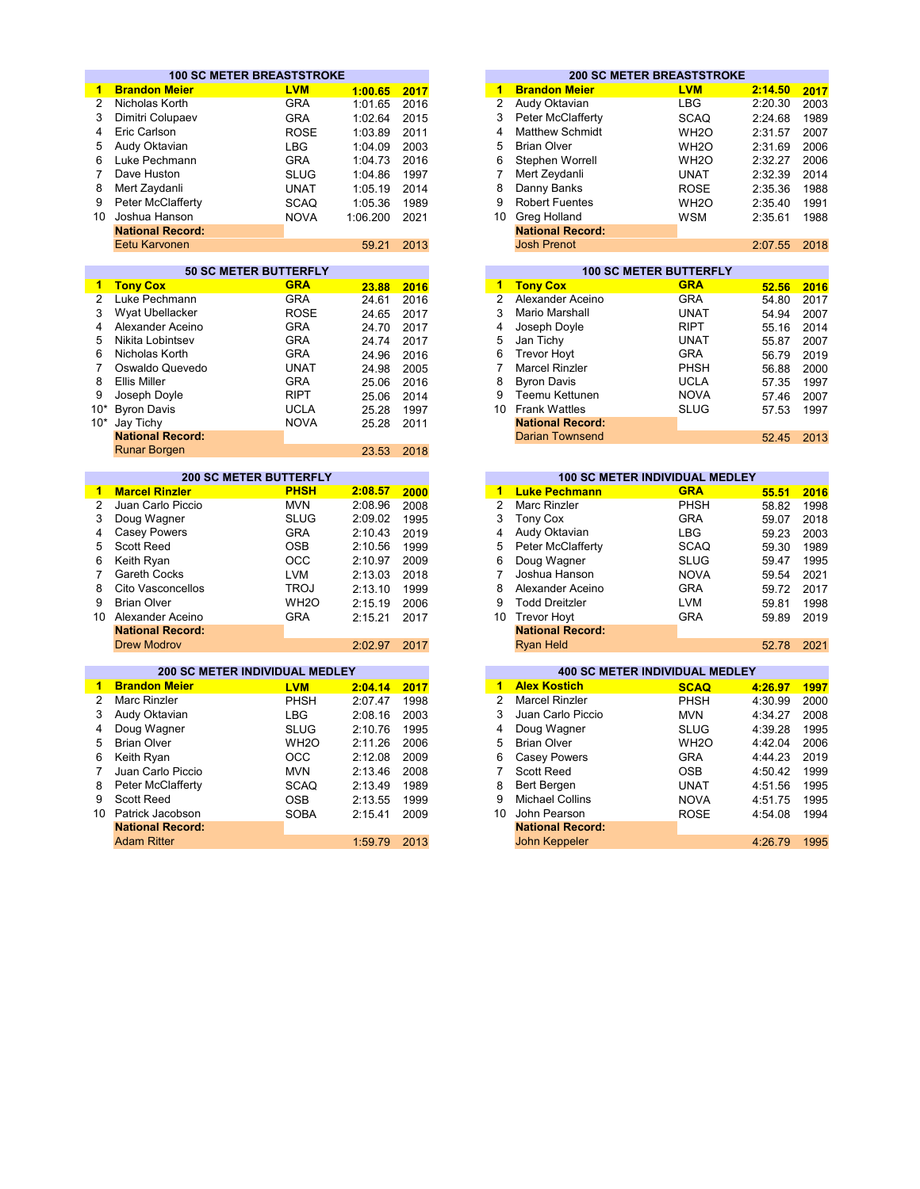|                 | <b>100 SC METER BREASTSTROKE</b>      |                   |          |      |                         |                                      | <b>200 SC METER BREASTSTROKE</b>                                                                               |         |      |
|-----------------|---------------------------------------|-------------------|----------|------|-------------------------|--------------------------------------|----------------------------------------------------------------------------------------------------------------|---------|------|
| 1               | <b>Brandon Meier</b>                  | <b>LVM</b>        | 1:00.65  | 2017 | 1                       | <b>Brandon Meier</b>                 | <b>LVM</b>                                                                                                     | 2:14.50 | 2017 |
| $\overline{2}$  | Nicholas Korth                        | <b>GRA</b>        | 1:01.65  | 2016 | 2                       | Audy Oktavian                        | <b>LBG</b>                                                                                                     | 2:20.30 | 2003 |
| 3               | Dimitri Colupaev                      | <b>GRA</b>        | 1:02.64  | 2015 | 3                       | <b>Peter McClafferty</b>             | <b>SCAQ</b>                                                                                                    | 2:24.68 | 1989 |
| 4               | Eric Carlson                          | <b>ROSE</b>       | 1:03.89  | 2011 | $\overline{\mathbf{4}}$ | <b>Matthew Schmidt</b>               | WH <sub>2</sub> O                                                                                              | 2:31.57 | 2007 |
| 5               | Audy Oktavian                         | <b>LBG</b>        | 1:04.09  | 2003 | 5                       | <b>Brian Olver</b>                   | WH <sub>2</sub> O                                                                                              | 2:31.69 | 2006 |
| 6               | Luke Pechmann                         | <b>GRA</b>        | 1:04.73  | 2016 | 6                       | Stephen Worrell                      | WH <sub>2</sub> O                                                                                              | 2:32.27 | 2006 |
| $\overline{7}$  | Dave Huston                           | <b>SLUG</b>       | 1:04.86  | 1997 | 7                       | Mert Zeydanli                        | <b>UNAT</b>                                                                                                    | 2:32.39 | 2014 |
| 8               | Mert Zaydanli                         | <b>UNAT</b>       | 1:05.19  | 2014 | 8                       | Danny Banks                          | <b>ROSE</b>                                                                                                    | 2:35.36 | 1988 |
| 9               | Peter McClafferty                     | <b>SCAQ</b>       | 1:05.36  | 1989 | 9                       | <b>Robert Fuentes</b>                | WH <sub>2</sub> O                                                                                              | 2:35.40 | 1991 |
| 10              | Joshua Hanson                         |                   |          |      | 10                      | Greg Holland                         |                                                                                                                |         |      |
|                 | <b>National Record:</b>               | <b>NOVA</b>       | 1:06.200 | 2021 |                         | <b>National Record:</b>              | <b>WSM</b>                                                                                                     | 2:35.61 | 1988 |
|                 | Eetu Karvonen                         |                   |          |      |                         | <b>Josh Prenot</b>                   |                                                                                                                |         | 2018 |
|                 |                                       |                   | 59.21    | 2013 |                         |                                      |                                                                                                                | 2:07.55 |      |
|                 | <b>50 SC METER BUTTERFLY</b>          |                   |          |      |                         |                                      | <b>100 SC METER BUTTERFLY</b>                                                                                  |         |      |
| $\mathbf{1}$    | <b>Tony Cox</b>                       | <b>GRA</b>        | 23.88    | 2016 | 1                       | <b>Tony Cox</b>                      | <b>GRA</b>                                                                                                     | 52.56   | 2016 |
| $\overline{2}$  | Luke Pechmann                         | <b>GRA</b>        | 24.61    | 2016 | $\overline{2}$          | Alexander Aceino                     | <b>GRA</b>                                                                                                     | 54.80   | 2017 |
| 3               | Wyat Ubellacker                       | <b>ROSE</b>       | 24.65    | 2017 | 3                       | Mario Marshall                       | <b>UNAT</b>                                                                                                    | 54.94   | 2007 |
| 4               | Alexander Aceino                      | <b>GRA</b>        | 24.70    | 2017 | $\overline{\mathbf{4}}$ | Joseph Doyle                         | <b>RIPT</b>                                                                                                    | 55.16   | 2014 |
| 5               | Nikita Lobintsev                      | <b>GRA</b>        | 24.74    | 2017 | 5                       | Jan Tichy                            | <b>UNAT</b>                                                                                                    | 55.87   | 2007 |
| 6               | Nicholas Korth                        | <b>GRA</b>        | 24.96    | 2016 | 6                       | <b>Trevor Hoyt</b>                   | <b>GRA</b>                                                                                                     | 56.79   | 2019 |
| $\overline{7}$  | Oswaldo Quevedo                       | <b>UNAT</b>       | 24.98    | 2005 | $\overline{7}$          | <b>Marcel Rinzler</b>                | <b>PHSH</b>                                                                                                    | 56.88   | 2000 |
| 8               | <b>Ellis Miller</b>                   | <b>GRA</b>        | 25.06    | 2016 | 8                       | <b>Byron Davis</b>                   | <b>UCLA</b>                                                                                                    | 57.35   | 1997 |
| 9               | Joseph Doyle                          | <b>RIPT</b>       | 25.06    | 2014 | 9                       | Teemu Kettunen                       | <b>NOVA</b>                                                                                                    | 57.46   | 2007 |
| $10*$           | <b>Byron Davis</b>                    | <b>UCLA</b>       | 25.28    | 1997 | 10                      | <b>Frank Wattles</b>                 | <b>SLUG</b>                                                                                                    | 57.53   | 1997 |
| $10*$           | Jay Tichy                             | <b>NOVA</b>       | 25.28    | 2011 |                         | <b>National Record:</b>              |                                                                                                                |         |      |
|                 | <b>National Record:</b>               |                   |          |      |                         | <b>Darian Townsend</b>               |                                                                                                                | 52.45   | 2013 |
|                 | <b>Runar Borgen</b>                   |                   | 23.53    | 2018 |                         |                                      |                                                                                                                |         |      |
|                 |                                       |                   |          |      |                         |                                      |                                                                                                                |         |      |
|                 | <b>200 SC METER BUTTERFLY</b>         | <b>PHSH</b>       |          |      |                         |                                      | <b>100 SC METER INDIVIDUAL MEDLEY</b><br><b>GRA</b>                                                            |         |      |
| 1               | <b>Marcel Rinzler</b>                 |                   | 2:08.57  | 2000 | 1                       | <b>Luke Pechmann</b><br>Marc Rinzler | and the state of the state of the state of the state of the state of the state of the state of the state of th | 55.51   | 2016 |
| $\overline{2}$  | Juan Carlo Piccio                     | <b>MVN</b>        | 2:08.96  | 2008 | $\overline{2}$          |                                      | PHSH                                                                                                           | 58.82   | 1998 |
| 3               | Doug Wagner                           | <b>SLUG</b>       | 2:09.02  | 1995 | 3                       | <b>Tony Cox</b>                      | <b>GRA</b>                                                                                                     | 59.07   | 2018 |
| 4               | <b>Casey Powers</b>                   | <b>GRA</b>        | 2:10.43  | 2019 | 4                       | Audy Oktavian                        | <b>LBG</b>                                                                                                     | 59.23   | 2003 |
| 5               | Scott Reed                            | <b>OSB</b>        | 2:10.56  | 1999 | 5                       | Peter McClafferty                    | <b>SCAQ</b>                                                                                                    | 59.30   | 1989 |
| 6               | Keith Ryan                            | <b>OCC</b>        | 2:10.97  | 2009 | 6                       | Doug Wagner                          | <b>SLUG</b>                                                                                                    | 59.47   | 1995 |
| $\overline{7}$  | Gareth Cocks                          | <b>LVM</b>        | 2:13.03  | 2018 | $\overline{7}$          | Joshua Hanson                        | <b>NOVA</b>                                                                                                    | 59.54   | 2021 |
| 8               | Cito Vasconcellos                     | <b>TROJ</b>       | 2:13.10  | 1999 | 8                       | Alexander Aceino                     | <b>GRA</b>                                                                                                     | 59.72   | 2017 |
| 9               | <b>Brian Olver</b>                    | WH <sub>2</sub> O | 2:15.19  | 2006 | 9                       | <b>Todd Dreitzler</b>                | <b>LVM</b>                                                                                                     | 59.81   | 1998 |
| 10              | Alexander Aceino                      | <b>GRA</b>        | 2:15.21  | 2017 | 10                      | <b>Trevor Hoyt</b>                   | <b>GRA</b>                                                                                                     | 59.89   | 2019 |
|                 | <b>National Record:</b>               |                   |          |      |                         | <b>National Record:</b>              |                                                                                                                |         |      |
|                 | <b>Drew Modrov</b>                    |                   | 2:02.97  | 2017 |                         | <b>Ryan Held</b>                     |                                                                                                                | 52.78   | 2021 |
|                 | <b>200 SC METER INDIVIDUAL MEDLEY</b> |                   |          |      |                         |                                      | <b>400 SC METER INDIVIDUAL MEDLEY</b>                                                                          |         |      |
| $\mathbf{1}$    | <b>Brandon Meier</b>                  | <b>LVM</b>        | 2:04.14  | 2017 | $\overline{1}$          | <b>Alex Kostich</b>                  | <b>SCAQ</b>                                                                                                    | 4:26.97 | 1997 |
| 2               | Marc Rinzler                          | <b>PHSH</b>       | 2:07.47  | 1998 | $\overline{2}$          | <b>Marcel Rinzler</b>                | PHSH                                                                                                           | 4:30.99 | 2000 |
| 3               | Audy Oktavian                         | <b>LBG</b>        | 2:08.16  | 2003 | 3                       | Juan Carlo Piccio                    | <b>MVN</b>                                                                                                     | 4:34.27 | 2008 |
| 4               | Doug Wagner                           | <b>SLUG</b>       | 2:10.76  | 1995 | 4                       | Doug Wagner                          | <b>SLUG</b>                                                                                                    | 4:39.28 | 1995 |
| 5               | <b>Brian Olver</b>                    | WH <sub>2</sub> O | 2:11.26  | 2006 | 5                       | <b>Brian Olver</b>                   | WH <sub>2</sub> O                                                                                              | 4:42.04 | 2006 |
| 6               |                                       | <b>OCC</b>        |          | 2009 | 6                       | <b>Casey Powers</b>                  |                                                                                                                |         | 2019 |
| $\overline{7}$  | Keith Ryan                            |                   | 2:12.08  |      | $\overline{7}$          | <b>Scott Reed</b>                    | <b>GRA</b>                                                                                                     | 4:44.23 |      |
|                 | Juan Carlo Piccio                     | <b>MVN</b>        | 2:13.46  | 2008 |                         |                                      | <b>OSB</b>                                                                                                     | 4:50.42 | 1999 |
| 8               | <b>Peter McClafferty</b>              | <b>SCAQ</b>       | 2:13.49  | 1989 | 8                       | <b>Bert Bergen</b>                   | <b>UNAT</b>                                                                                                    | 4:51.56 | 1995 |
| 9               | Scott Reed                            | <b>OSB</b>        | 2:13.55  | 1999 | 9                       | <b>Michael Collins</b>               | <b>NOVA</b>                                                                                                    | 4:51.75 | 1995 |
| 10 <sup>1</sup> | Patrick Jacobson                      | <b>SOBA</b>       | 2:15.41  | 2009 | 10 <sup>1</sup>         | John Pearson                         | <b>ROSE</b>                                                                                                    | 4:54.08 | 1994 |
|                 | <b>National Record:</b>               |                   |          |      |                         | <b>National Record:</b>              |                                                                                                                |         |      |
|                 | <b>Adam Ritter</b>                    |                   | 1:59.79  | 2013 |                         | John Keppeler                        |                                                                                                                | 4:26.79 | 1995 |

| 2017 | 1  |                         | <b>200 SC METER BREASTSTROKE</b> |         |
|------|----|-------------------------|----------------------------------|---------|
|      |    |                         |                                  |         |
|      |    | <b>Brandon Meier</b>    | <b>LVM</b>                       | 2:14.50 |
| 2016 | 2  | Audy Oktavian           | LBG.                             | 2:20.30 |
| 2015 | 3  | Peter McClafferty       | <b>SCAQ</b>                      | 2:24.68 |
| 2011 | 4  | <b>Matthew Schmidt</b>  | WH <sub>2</sub> O                | 2:31.57 |
| 2003 | 5  | <b>Brian Olver</b>      | WH <sub>2</sub> O                | 2:31.69 |
| 2016 | 6  | Stephen Worrell         | WH <sub>2</sub> O                | 2:32.27 |
| 1997 | 7  | Mert Zeydanli           | <b>UNAT</b>                      | 2:32.39 |
| 2014 | 8  | Danny Banks             | <b>ROSE</b>                      | 2:35.36 |
| 1989 | 9  | <b>Robert Fuentes</b>   | WH <sub>2</sub> O                | 2:35.40 |
| 2021 | 10 | Greg Holland            | WSM                              | 2:35.61 |
|      |    | <b>National Record:</b> |                                  |         |
| 2013 |    | <b>Josh Prenot</b>      |                                  | 2:07.55 |
|      |    |                         |                                  |         |

|    | <b>100 SC METER BUTTERFLY</b> |             |       |      |
|----|-------------------------------|-------------|-------|------|
| 1  | <b>Tony Cox</b>               | <b>GRA</b>  | 52.56 | 2016 |
| 2  | Alexander Aceino              | <b>GRA</b>  | 54.80 | 2017 |
| 3  | Mario Marshall                | <b>UNAT</b> | 54.94 | 2007 |
| 4  | Joseph Doyle                  | <b>RIPT</b> | 55.16 | 2014 |
| 5  | Jan Tichy                     | <b>UNAT</b> | 55.87 | 2007 |
| 6  | <b>Trevor Hoyt</b>            | GRA         | 56.79 | 2019 |
| 7  | <b>Marcel Rinzler</b>         | <b>PHSH</b> | 56.88 | 2000 |
| 8  | <b>Byron Davis</b>            | <b>UCLA</b> | 57.35 | 1997 |
| 9  | Teemu Kettunen                | <b>NOVA</b> | 57.46 | 2007 |
| 10 | <b>Frank Wattles</b>          | SLUG        | 57.53 | 1997 |
|    | <b>National Record:</b>       |             |       |      |
|    | Darian Townsend               |             | 52.45 | 2013 |

|       | <b>200 SC METER BUTTERFLY</b> |         |      |    |                         | <b>100 SC METER INDIVIDUAL MEDLEY</b> |         |      |
|-------|-------------------------------|---------|------|----|-------------------------|---------------------------------------|---------|------|
| er    | <b>PHSH</b>                   | 2:08.57 | 2000 | 1  | <b>Luke Pechmann</b>    | <b>GRA</b>                            | 55.51   | 2016 |
| ccio  | <b>MVN</b>                    | 2:08.96 | 2008 | 2  | <b>Marc Rinzler</b>     | <b>PHSH</b>                           | 58.82   | 1998 |
|       | <b>SLUG</b>                   | 2:09.02 | 1995 | 3  | <b>Tony Cox</b>         | <b>GRA</b>                            | 59.07   | 2018 |
| s     | <b>GRA</b>                    | 2:10.43 | 2019 | 4  | Audy Oktavian           | <b>LBG</b>                            | 59.23   | 2003 |
|       | <b>OSB</b>                    | 2:10.56 | 1999 | 5  | Peter McClafferty       | <b>SCAQ</b>                           | 59.30   | 1989 |
|       | <b>OCC</b>                    | 2:10.97 | 2009 | 6  | Doug Wagner             | <b>SLUG</b>                           | 59.47   | 1995 |
|       | <b>LVM</b>                    | 2:13.03 | 2018 |    | Joshua Hanson           | <b>NOVA</b>                           | 59.54   | 2021 |
| ellos | <b>TROJ</b>                   | 2:13.10 | 1999 | 8  | Alexander Aceino        | <b>GRA</b>                            | 59.72   | 2017 |
|       | WH <sub>2</sub> O             | 2:15.19 | 2006 | 9  | <b>Todd Dreitzler</b>   | <b>LVM</b>                            | 59.81   | 1998 |
| eino  | <b>GRA</b>                    | 2:15.21 | 2017 | 10 | <b>Trevor Hoyt</b>      | <b>GRA</b>                            | 59.89   | 2019 |
| ord:  |                               |         |      |    | <b>National Record:</b> |                                       |         |      |
|       |                               | 2:02.97 | 2017 |    | <b>Ryan Held</b>        |                                       | 52.78   | 2021 |
|       |                               |         |      |    |                         |                                       |         |      |
|       | SC METER INDIVIDUAL MEDLEY    |         |      |    |                         | <b>400 SC METER INDIVIDUAL MEDLEY</b> |         |      |
| er    | <b>LVM</b>                    | 2:04.14 | 2017 | 1  | <b>Alex Kostich</b>     | <b>SCAQ</b>                           | 4:26.97 | 1997 |
|       | PHSH                          | 2:07.47 | 1998 | 2  | <b>Marcel Rinzler</b>   | <b>PHSH</b>                           | 4:30.99 | 2000 |

| 2:04.14 | 2017 |    | <b>AIRX NOSTICH</b>     | SCAQ              | 4:26.97 | 1997 |
|---------|------|----|-------------------------|-------------------|---------|------|
| 2:07.47 | 1998 | 2  | <b>Marcel Rinzler</b>   | <b>PHSH</b>       | 4:30.99 | 2000 |
| 2:08.16 | 2003 | 3  | Juan Carlo Piccio       | <b>MVN</b>        | 4:34.27 | 2008 |
| 2:10.76 | 1995 | 4  | Doug Wagner             | <b>SLUG</b>       | 4:39.28 | 1995 |
| 2:11.26 | 2006 | 5  | <b>Brian Olver</b>      | WH <sub>2</sub> O | 4:42.04 | 2006 |
| 2:12.08 | 2009 | 6  | Casey Powers            | <b>GRA</b>        | 4:44.23 | 2019 |
| 2:13.46 | 2008 |    | Scott Reed              | <b>OSB</b>        | 4:50.42 | 1999 |
| 2:13.49 | 1989 | 8  | <b>Bert Bergen</b>      | <b>UNAT</b>       | 4:51.56 | 1995 |
| 2:13.55 | 1999 | 9  | <b>Michael Collins</b>  | <b>NOVA</b>       | 4:51.75 | 1995 |
| 2:15.41 | 2009 | 10 | John Pearson            | <b>ROSE</b>       | 4:54.08 | 1994 |
|         |      |    | <b>National Record:</b> |                   |         |      |
| 1:59.79 | 2013 |    | John Keppeler           |                   | 4:26.79 | 1995 |
|         |      |    |                         |                   |         |      |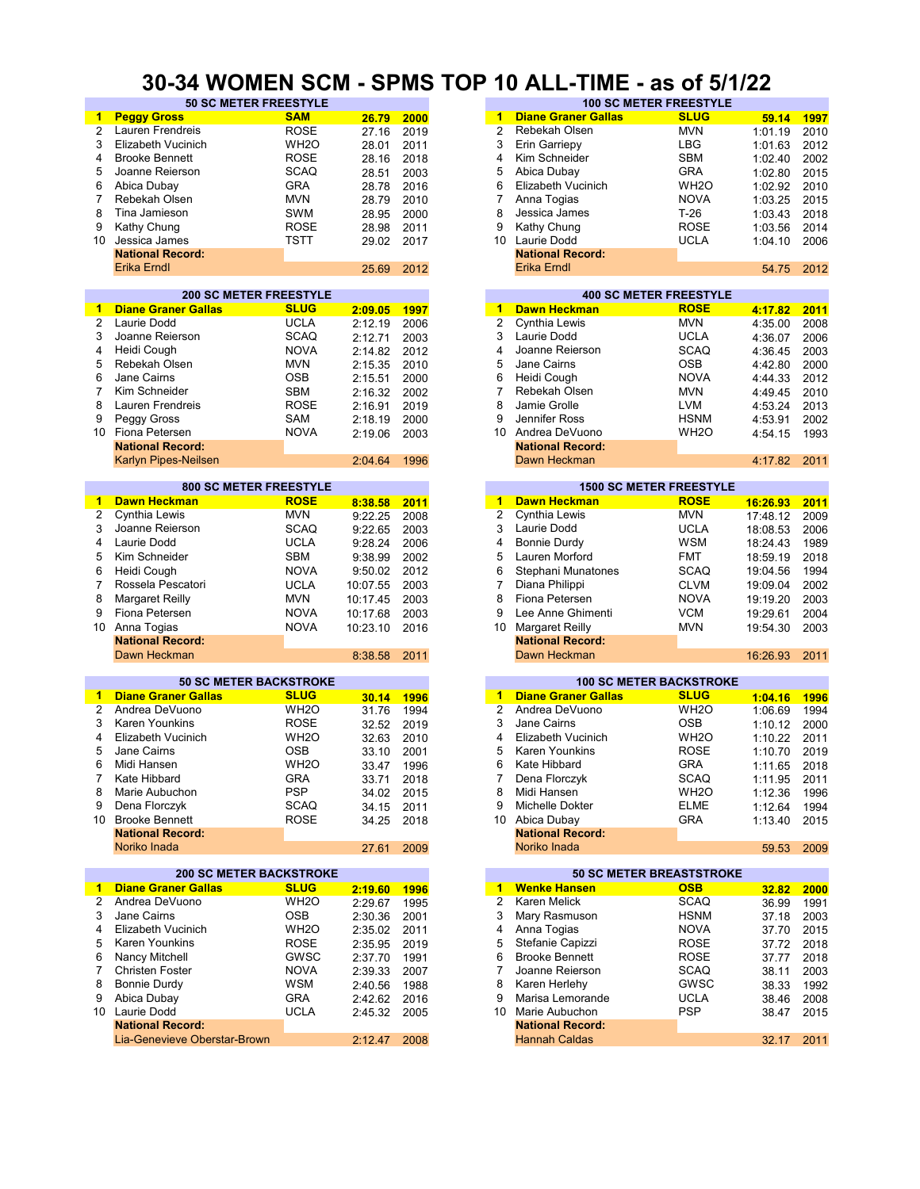#### **30-34 WOMEN SCM - SPMS TOP 10 ALL-TIME - as of 5/1/22**

| $\blacktriangleleft$ | <b>Peggy Gross</b>             | <b>SAM</b>        | 26.79      | 2000 | 1                    | <b>Diane Graner Gallas</b>      | <b>SLUG</b>       | 59.14    | 1997 |
|----------------------|--------------------------------|-------------------|------------|------|----------------------|---------------------------------|-------------------|----------|------|
| $\overline{c}$       | Lauren Frendreis               | <b>ROSE</b>       | 27.16      | 2019 | $\overline{2}$       | Rebekah Olsen                   | <b>MVN</b>        | 1:01.19  | 2010 |
|                      |                                |                   |            |      |                      |                                 |                   |          |      |
| 3                    | Elizabeth Vucinich             | WH <sub>2</sub> O | 28.01      | 2011 | 3                    | Erin Garriepy                   | LBG               | 1:01.63  | 2012 |
| 4                    | <b>Brooke Bennett</b>          | <b>ROSE</b>       | 28.16      | 2018 | 4                    | Kim Schneider                   | SBM               | 1:02.40  | 2002 |
| 5                    | Joanne Reierson                | <b>SCAQ</b>       | 28.51      | 2003 | 5                    | Abica Dubay                     | <b>GRA</b>        | 1:02.80  | 2015 |
| 6                    | Abica Dubay                    | <b>GRA</b>        | 28.78      | 2016 | 6                    | Elizabeth Vucinich              | WH <sub>2</sub> O | 1:02.92  | 2010 |
|                      |                                |                   |            |      |                      |                                 |                   |          |      |
| 7                    | Rebekah Olsen                  | <b>MVN</b>        | 28.79      | 2010 | 7                    | Anna Togias                     | <b>NOVA</b>       | 1:03.25  | 2015 |
| 8                    | Tina Jamieson                  | <b>SWM</b>        | 28.95      | 2000 | 8                    | Jessica James                   | $T-26$            | 1:03.43  | 2018 |
| 9                    | Kathy Chung                    | <b>ROSE</b>       | 28.98      | 2011 | 9                    | Kathy Chung                     | <b>ROSE</b>       | 1:03.56  | 2014 |
|                      |                                |                   |            |      |                      |                                 |                   |          |      |
| 10                   | Jessica James                  | <b>TSTT</b>       | 29.02      | 2017 |                      | 10 Laurie Dodd                  | <b>UCLA</b>       | 1:04.10  | 2006 |
|                      | <b>National Record:</b>        |                   |            |      |                      | <b>National Record:</b>         |                   |          |      |
|                      | <b>Erika Erndl</b>             |                   | 25.69      | 2012 |                      | Erika Erndl                     |                   | 54.75    | 2012 |
|                      |                                |                   |            |      |                      |                                 |                   |          |      |
|                      | <b>200 SC METER FREESTYLE</b>  |                   |            |      |                      | <b>400 SC METER FREESTYLE</b>   |                   |          |      |
|                      |                                |                   |            |      |                      |                                 |                   |          |      |
| 1                    | <b>Diane Graner Gallas</b>     | <b>SLUG</b>       | 2:09.05    | 1997 | $\blacktriangleleft$ | <b>Dawn Heckman</b>             | <b>ROSE</b>       | 4:17.82  | 2011 |
| $\overline{2}$       | Laurie Dodd                    | <b>UCLA</b>       | 2:12.19    | 2006 | $\overline{2}$       | Cynthia Lewis                   | <b>MVN</b>        | 4:35.00  | 2008 |
| 3                    | Joanne Reierson                | <b>SCAQ</b>       | 2:12.71    | 2003 | 3                    | Laurie Dodd                     | <b>UCLA</b>       | 4:36.07  | 2006 |
|                      | Heidi Cough                    |                   |            |      |                      | Joanne Reierson                 |                   |          |      |
| 4                    |                                | <b>NOVA</b>       | 2:14.82    | 2012 | 4                    |                                 | <b>SCAQ</b>       | 4:36.45  | 2003 |
| 5                    | Rebekah Olsen                  | <b>MVN</b>        | 2:15.35    | 2010 | 5                    | Jane Cairns                     | <b>OSB</b>        | 4:42.80  | 2000 |
| 6                    | Jane Cairns                    | <b>OSB</b>        | 2:15.51    | 2000 | 6                    | Heidi Cough                     | <b>NOVA</b>       | 4:44.33  | 2012 |
| $\overline{7}$       | Kim Schneider                  | <b>SBM</b>        | 2:16.32    | 2002 | $\overline{7}$       | Rebekah Olsen                   | <b>MVN</b>        | 4:49.45  | 2010 |
|                      |                                |                   |            |      |                      |                                 |                   |          |      |
| 8                    | Lauren Frendreis               | <b>ROSE</b>       | 2:16.91    | 2019 | 8                    | Jamie Grolle                    | <b>LVM</b>        | 4:53.24  | 2013 |
| 9                    | Peggy Gross                    | SAM               | 2:18.19    | 2000 | 9                    | Jennifer Ross                   | <b>HSNM</b>       | 4:53.91  | 2002 |
| 10                   | Fiona Petersen                 | <b>NOVA</b>       | 2:19.06    | 2003 | 10                   | Andrea DeVuono                  | WH <sub>2</sub> O | 4:54.15  | 1993 |
|                      | <b>National Record:</b>        |                   |            |      |                      | <b>National Record:</b>         |                   |          |      |
|                      |                                |                   |            |      |                      |                                 |                   |          |      |
|                      | Karlyn Pipes-Neilsen           |                   | 2:04.64    | 1996 |                      | Dawn Heckman                    |                   | 4:17.82  | 2011 |
|                      |                                |                   |            |      |                      |                                 |                   |          |      |
|                      | <b>800 SC METER FREESTYLE</b>  |                   |            |      |                      | <b>1500 SC METER FREESTYLE</b>  |                   |          |      |
| $\mathbf{1}$         | <b>Dawn Heckman</b>            | <b>ROSE</b>       | 8:38.58    | 2011 |                      | 1 Dawn Heckman                  | <b>ROSE</b>       | 16:26.93 | 2011 |
| $\overline{2}$       | Cynthia Lewis                  | <b>MVN</b>        | 9:22.25    | 2008 | $\overline{2}$       | Cynthia Lewis                   | <b>MVN</b>        | 17:48.12 | 2009 |
|                      |                                |                   |            |      |                      |                                 |                   |          |      |
| 3                    | Joanne Reierson                | <b>SCAQ</b>       | 9:22.65    | 2003 | 3                    | Laurie Dodd                     | <b>UCLA</b>       | 18:08.53 | 2006 |
| 4                    | Laurie Dodd                    | <b>UCLA</b>       | 9:28.24    | 2006 | 4                    | <b>Bonnie Durdy</b>             | <b>WSM</b>        | 18:24.43 | 1989 |
| 5                    | Kim Schneider                  | <b>SBM</b>        | 9:38.99    | 2002 | 5                    | Lauren Morford                  | <b>FMT</b>        | 18:59.19 | 2018 |
| 6                    |                                | <b>NOVA</b>       |            | 2012 | 6                    |                                 | <b>SCAQ</b>       |          | 1994 |
|                      | Heidi Cough                    |                   | 9:50.02    |      |                      | Stephani Munatones              |                   | 19:04.56 |      |
| 7                    | Rossela Pescatori              | <b>UCLA</b>       | 10:07.55   | 2003 | 7                    | Diana Philippi                  | <b>CLVM</b>       | 19:09.04 | 2002 |
| 8                    | Margaret Reilly                | <b>MVN</b>        | 10:17.45   | 2003 | 8                    | Fiona Petersen                  | <b>NOVA</b>       | 19:19.20 | 2003 |
| 9                    | Fiona Petersen                 | <b>NOVA</b>       | 10:17.68   | 2003 | 9                    | Lee Anne Ghimenti               | <b>VCM</b>        | 19:29.61 | 2004 |
|                      |                                |                   |            |      |                      |                                 |                   |          |      |
| 10                   | Anna Togias                    | <b>NOVA</b>       | 10:23.10   | 2016 | 10                   | Margaret Reilly                 | <b>MVN</b>        | 19:54.30 | 2003 |
|                      | <b>National Record:</b>        |                   |            |      |                      | <b>National Record:</b>         |                   |          |      |
|                      | Dawn Heckman                   |                   | 8:38.58    | 2011 |                      | Dawn Heckman                    |                   | 16:26.93 | 2011 |
|                      |                                |                   |            |      |                      |                                 |                   |          |      |
|                      | <b>50 SC METER BACKSTROKE</b>  |                   |            |      |                      | <b>100 SC METER BACKSTROKE</b>  |                   |          |      |
|                      |                                |                   |            |      |                      |                                 |                   |          |      |
| 1                    | <b>Diane Graner Gallas</b>     | <b>SLUG</b>       | 30.14      | 1996 | 1                    | <b>Diane Graner Gallas</b>      | <b>SLUG</b>       | 1:04.16  | 1996 |
| 2                    | Andrea DeVuono                 | WH <sub>2</sub> O | 31.76      | 1994 | 2                    | Andrea DeVuono                  | WH <sub>2</sub> O | 1:06.69  | 1994 |
| 3                    | Karen Younkins                 | <b>ROSE</b>       | 32.52      | 2019 | 3                    | Jane Cairns                     | <b>OSB</b>        | 1:10.12  | 2000 |
| 4                    | Elizabeth Vucinich             | WH <sub>2</sub> O |            |      | 4                    | Elizabeth Vucinich              | WH <sub>2</sub> O |          |      |
|                      |                                |                   | 32.63      | 2010 |                      |                                 |                   | 1:10.22  | 2011 |
| 5                    | Jane Cairns                    | <b>OSB</b>        | 33.10      | 2001 | 5                    | <b>Karen Younkins</b>           | <b>ROSE</b>       | 1:10.70  | 2019 |
| 6                    | Midi Hansen                    | WH <sub>2</sub> O | 33.47      | 1996 | 6                    | Kate Hibbard                    | <b>GRA</b>        | 1:11.65  | 2018 |
| 7                    | Kate Hibbard                   | <b>GRA</b>        | 33.71      | 2018 | 7                    | Dena Florczyk                   | SCAQ              | 1:11.95  | 2011 |
| 8                    | Marie Aubuchon                 | <b>PSP</b>        | 34.02 2015 |      | 8                    | Midi Hansen                     | WH <sub>2</sub> O | 1:12.36  | 1996 |
|                      |                                |                   |            |      |                      |                                 |                   |          |      |
| 9                    | Dena Florczyk                  | <b>SCAQ</b>       | 34.15      | 2011 | 9                    | Michelle Dokter                 | <b>ELME</b>       | 1:12.64  | 1994 |
|                      | 10 Brooke Bennett              | <b>ROSE</b>       | 34.25      | 2018 |                      | 10 Abica Dubay                  | GRA               | 1:13.40  | 2015 |
|                      | <b>National Record:</b>        |                   |            |      |                      | <b>National Record:</b>         |                   |          |      |
|                      | Noriko Inada                   |                   | 27.61      | 2009 |                      | Noriko Inada                    |                   | 59.53    | 2009 |
|                      |                                |                   |            |      |                      |                                 |                   |          |      |
|                      |                                |                   |            |      |                      |                                 |                   |          |      |
|                      | <b>200 SC METER BACKSTROKE</b> |                   |            |      |                      | <b>50 SC METER BREASTSTROKE</b> |                   |          |      |
| $\blacksquare$       | <b>Diane Graner Gallas</b>     | <b>SLUG</b>       | 2:19.60    | 1996 |                      | 1 Wenke Hansen                  | <b>OSB</b>        | 32.82    | 2000 |
| 2                    | Andrea DeVuono                 | WH <sub>2</sub> O | 2:29.67    | 1995 | 2                    | Karen Melick                    | <b>SCAQ</b>       | 36.99    | 1991 |
| 3                    | Jane Cairns                    | <b>OSB</b>        | 2:30.36    | 2001 | 3                    | Mary Rasmuson                   | <b>HSNM</b>       | 37.18    | 2003 |
| 4                    | Elizabeth Vucinich             | WH <sub>2</sub> O |            |      | 4                    | Anna Togias                     | <b>NOVA</b>       |          |      |
|                      |                                |                   | 2:35.02    | 2011 |                      |                                 |                   | 37.70    | 2015 |
| 5                    | Karen Younkins                 | <b>ROSE</b>       | 2:35.95    | 2019 | 5                    | Stefanie Capizzi                | <b>ROSE</b>       | 37.72    | 2018 |
| 6                    | Nancy Mitchell                 | GWSC              | 2:37.70    | 1991 | 6                    | <b>Brooke Bennett</b>           | <b>ROSE</b>       | 37.77    | 2018 |
| 7                    | <b>Christen Foster</b>         | <b>NOVA</b>       | 2:39.33    | 2007 | 7                    | Joanne Reierson                 | <b>SCAQ</b>       | 38.11    | 2003 |
|                      | Bonnie Durdy                   | WSM               |            |      | 8                    | Karen Herlehy                   |                   |          |      |
| 8                    |                                |                   | 2:40.56    | 1988 |                      |                                 | GWSC              | 38.33    | 1992 |
| 9                    |                                | GRA               | 2:42.62    | 2016 | 9                    | Marisa Lemorande                | <b>UCLA</b>       | 38.46    | 2008 |
|                      | Abica Dubay                    |                   |            |      | 10                   |                                 |                   |          |      |
|                      | 10 Laurie Dodd                 | <b>UCLA</b>       | 2:45.32    | 2005 |                      | Marie Aubuchon                  | <b>PSP</b>        | 38.47    | 2015 |
|                      |                                |                   |            |      |                      |                                 |                   |          |      |
|                      | <b>National Record:</b>        |                   |            |      |                      | <b>National Record:</b>         |                   |          |      |
|                      | Lia-Genevieve Oberstar-Brown   |                   | 2:12.47    | 2008 |                      | <b>Hannah Caldas</b>            |                   | 32.17    | 2011 |

| <b>50 SC METER FREESTYLE</b> |                   |       |      |    |                            | <b>100 SC METER FREESTYLE</b> |         |      |
|------------------------------|-------------------|-------|------|----|----------------------------|-------------------------------|---------|------|
|                              | <b>SAM</b>        | 26.79 | 2000 | 1  | <b>Diane Graner Gallas</b> | <b>SLUG</b>                   | 59.14   | 1997 |
| eis                          | <b>ROSE</b>       | 27.16 | 2019 |    | Rebekah Olsen              | <b>MVN</b>                    | 1:01.19 | 2010 |
| nich                         | WH <sub>2</sub> O | 28.01 | 2011 | 3  | Erin Garriepy              | <b>LBG</b>                    | 1:01.63 | 2012 |
| tt                           | <b>ROSE</b>       | 28.16 | 2018 | 4  | Kim Schneider              | <b>SBM</b>                    | 1:02.40 | 2002 |
| on:                          | <b>SCAQ</b>       | 28.51 | 2003 | 5  | Abica Dubay                | <b>GRA</b>                    | 1:02.80 | 2015 |
|                              | <b>GRA</b>        | 28.78 | 2016 | 6  | Elizabeth Vucinich         | WH <sub>2</sub> O             | 1:02.92 | 2010 |
| 'n                           | <b>MVN</b>        | 28.79 | 2010 |    | Anna Togias                | <b>NOVA</b>                   | 1:03.25 | 2015 |
|                              | <b>SWM</b>        | 28.95 | 2000 | 8  | Jessica James              | $T-26$                        | 1:03.43 | 2018 |
|                              | <b>ROSE</b>       | 28.98 | 2011 | 9  | Kathy Chung                | <b>ROSE</b>                   | 1:03.56 | 2014 |
|                              | TSTT              | 29.02 | 2017 | 10 | Laurie Dodd                | <b>UCLA</b>                   | 1:04.10 | 2006 |
| :bıc                         |                   |       |      |    | <b>National Record:</b>    |                               |         |      |
|                              |                   | 25.69 | 2012 |    | Erika Erndl                |                               | 54.75   | 2012 |
|                              |                   |       |      |    |                            |                               |         |      |

|         |      |    |                         | <b>400 SC METER FREESTYLE</b> |  |
|---------|------|----|-------------------------|-------------------------------|--|
| 2:09.05 | 1997 | 1  | <b>Dawn Heckman</b>     | <b>ROSE</b>                   |  |
| 2:12.19 | 2006 | 2  | Cynthia Lewis           | <b>MVN</b>                    |  |
| 2:12.71 | 2003 | 3  | Laurie Dodd             | <b>UCLA</b>                   |  |
| 2:14.82 | 2012 | 4  | Joanne Reierson         | <b>SCAQ</b>                   |  |
| 2:15.35 | 2010 | 5  | Jane Cairns             | <b>OSB</b>                    |  |
| 2:15.51 | 2000 | 6  | Heidi Cough             | <b>NOVA</b>                   |  |
| 2:16.32 | 2002 |    | Rebekah Olsen           | <b>MVN</b>                    |  |
| 2:16.91 | 2019 | 8  | Jamie Grolle            | LVM                           |  |
| 2:18.19 | 2000 | 9  | Jennifer Ross           | <b>HSNM</b>                   |  |
| 2:19.06 | 2003 | 10 | Andrea DeVuono          | WH <sub>2</sub> O             |  |
|         |      |    | <b>National Record:</b> |                               |  |
| 2:04.64 | 1996 |    | Dawn Heckman            |                               |  |
|         |      |    |                         |                               |  |

|         |      |                      |                         | <b>1500 SC METER FREESTYLE</b> |  |
|---------|------|----------------------|-------------------------|--------------------------------|--|
| 8:38.58 | 2011 |                      | <b>Dawn Heckman</b>     | <b>ROSE</b>                    |  |
| 9:22.25 | 2008 | $\mathbf{2}^{\circ}$ | Cynthia Lewis           | <b>MVN</b>                     |  |
| 9:22.65 | 2003 | 3                    | Laurie Dodd             | <b>UCLA</b>                    |  |
| 9:28.24 | 2006 | 4                    | Bonnie Durdy            | <b>WSM</b>                     |  |
| 9:38.99 | 2002 | 5.                   | Lauren Morford          | <b>FMT</b>                     |  |
| 9:50.02 | 2012 | 6                    | Stephani Munatones      | <b>SCAQ</b>                    |  |
| 0:07.55 | 2003 |                      | Diana Philippi          | <b>CLVM</b>                    |  |
| 0:17.45 | 2003 | 8                    | Fiona Petersen          | <b>NOVA</b>                    |  |
| 0:17.68 | 2003 | 9                    | Lee Anne Ghimenti       | <b>VCM</b>                     |  |
| 0:23.10 | 2016 | 10                   | <b>Margaret Reilly</b>  | <b>MVN</b>                     |  |
|         |      |                      | <b>National Record:</b> |                                |  |
| 8:38.58 | 2011 |                      | Dawn Heckman            |                                |  |
|         |      |                      |                         |                                |  |

| 30.14 | 1996 |
|-------|------|
| 31.76 | 1994 |
| 32.52 | 2019 |
| 32.63 | 2010 |
| 33.10 | 2001 |
| 33.47 | 1996 |
| 33.71 | 2018 |
| 34.02 | 2015 |
| 34.15 | 2011 |
| 34.25 | 2018 |
|       |      |
| 27.61 | 2009 |
|       |      |

| <b>50 SC METER BREASTSTROKE</b><br><b>Wenke Hansen</b><br><b>OSB</b><br>1.<br>1996<br>Karen Melick<br><b>SCAQ</b><br>2<br>1995<br><b>HSNM</b><br>Mary Rasmuson<br>2001<br>3<br>Anna Togias<br><b>NOVA</b><br>2011<br>4<br>Stefanie Capizzi<br><b>ROSE</b><br>2019<br>5 |       |
|------------------------------------------------------------------------------------------------------------------------------------------------------------------------------------------------------------------------------------------------------------------------|-------|
| 2:19.60                                                                                                                                                                                                                                                                |       |
| 2:29.67                                                                                                                                                                                                                                                                | 32.82 |
| 2:30.36                                                                                                                                                                                                                                                                | 36.99 |
| 2:35.02                                                                                                                                                                                                                                                                | 37.18 |
| 2:35.95                                                                                                                                                                                                                                                                | 37.70 |
|                                                                                                                                                                                                                                                                        | 37.72 |
| <b>Brooke Bennett</b><br><b>ROSE</b><br>6<br>2:37.70<br>1991                                                                                                                                                                                                           | 37.77 |
| <b>SCAQ</b><br>Joanne Reierson<br>2:39.33<br>2007                                                                                                                                                                                                                      | 38.11 |
| Karen Herlehy<br>GWSC<br>2:40.56<br>8<br>1988                                                                                                                                                                                                                          | 38.33 |
| Marisa Lemorande<br><b>UCLA</b><br>9<br>2:42.62<br>2016                                                                                                                                                                                                                | 38.46 |
| Marie Aubuchon<br><b>PSP</b><br>2:45.32<br>10<br>2005                                                                                                                                                                                                                  | 38.47 |
| <b>National Record:</b>                                                                                                                                                                                                                                                |       |
| <b>Hannah Caldas</b><br>2:12.47<br>2008                                                                                                                                                                                                                                | 32.17 |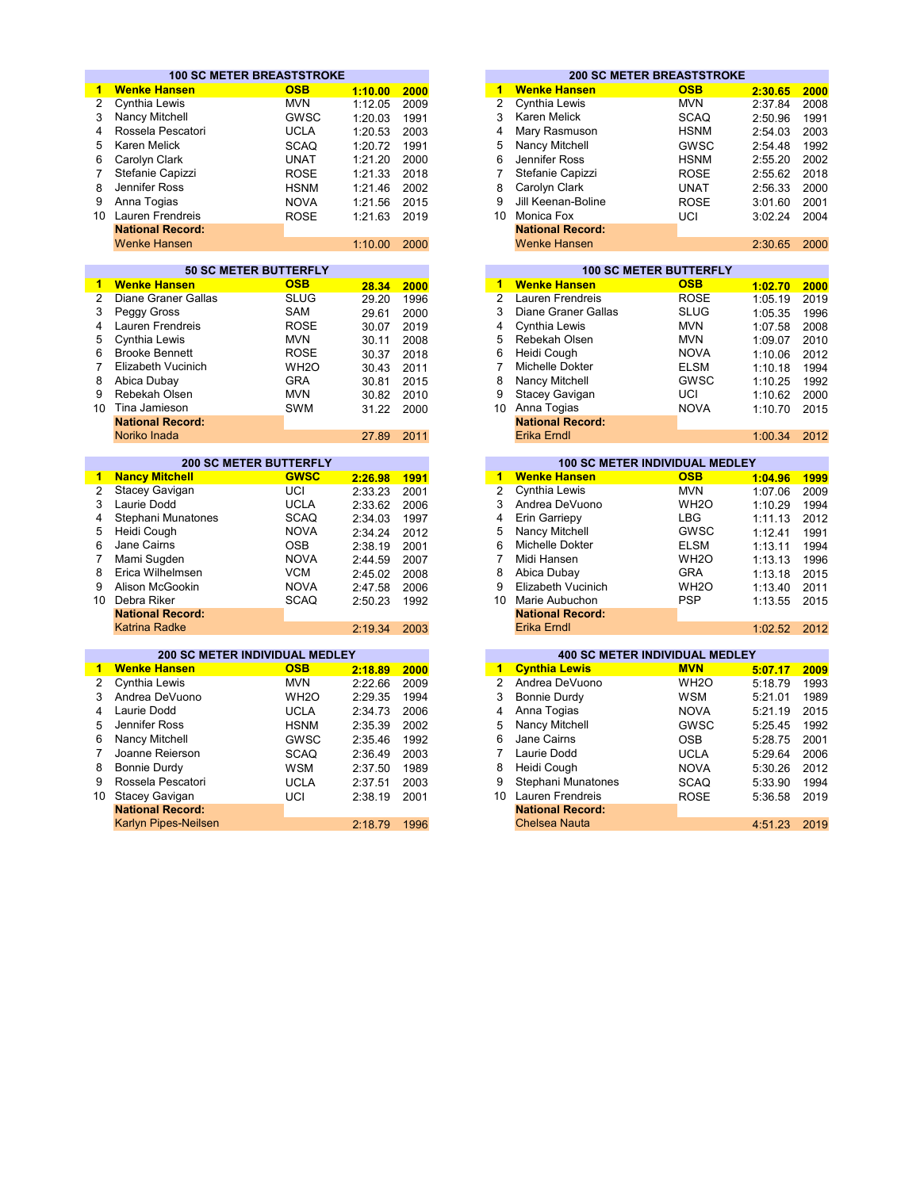|                 |                                                   | <b>100 SC METER BREASTSTROKE</b> |         |      |                      |                                               | <b>200 SC METER BREASTSTROKE</b>            |         |      |
|-----------------|---------------------------------------------------|----------------------------------|---------|------|----------------------|-----------------------------------------------|---------------------------------------------|---------|------|
| 1               | <b>Wenke Hansen</b>                               | <b>OSB</b>                       | 1:10.00 | 2000 | 1                    | <b>Wenke Hansen</b>                           | <b>OSB</b>                                  | 2:30.65 | 2000 |
| $\overline{c}$  | Cynthia Lewis                                     | <b>MVN</b>                       | 1:12.05 | 2009 | $\overline{2}$       | Cynthia Lewis                                 | <b>MVN</b>                                  | 2:37.84 | 2008 |
| 3               | Nancy Mitchell                                    | GWSC                             | 1:20.03 | 1991 | 3                    | Karen Melick                                  | <b>SCAQ</b>                                 | 2:50.96 | 1991 |
| 4               | Rossela Pescatori                                 | <b>UCLA</b>                      | 1:20.53 | 2003 | 4                    | Mary Rasmuson                                 | <b>HSNM</b>                                 | 2:54.03 | 2003 |
| 5               | Karen Melick                                      | <b>SCAQ</b>                      | 1:20.72 | 1991 | 5                    | Nancy Mitchell                                | <b>GWSC</b>                                 | 2:54.48 | 1992 |
| 6               | Carolyn Clark                                     | <b>UNAT</b>                      | 1:21.20 | 2000 | 6                    | Jennifer Ross                                 | <b>HSNM</b>                                 | 2:55.20 | 2002 |
| $\overline{7}$  | Stefanie Capizzi                                  |                                  |         |      | $\overline{7}$       | Stefanie Capizzi                              |                                             |         | 2018 |
|                 | Jennifer Ross                                     | <b>ROSE</b>                      | 1:21.33 | 2018 |                      |                                               | <b>ROSE</b>                                 | 2:55.62 |      |
| 8               |                                                   | <b>HSNM</b>                      | 1:21.46 | 2002 | 8                    | Carolyn Clark                                 | <b>UNAT</b>                                 | 2:56.33 | 2000 |
| 9               | Anna Togias                                       | <b>NOVA</b>                      | 1:21.56 | 2015 | 9                    | Jill Keenan-Boline                            | <b>ROSE</b>                                 | 3:01.60 | 2001 |
|                 | 10 Lauren Frendreis                               | <b>ROSE</b>                      | 1:21.63 | 2019 |                      | 10 Monica Fox                                 | UCI                                         | 3:02.24 | 2004 |
|                 | <b>National Record:</b>                           |                                  |         |      |                      | <b>National Record:</b>                       |                                             |         |      |
|                 | <b>Wenke Hansen</b>                               |                                  | 1:10.00 | 2000 |                      | <b>Wenke Hansen</b>                           |                                             | 2:30.65 | 2000 |
|                 |                                                   |                                  |         |      |                      |                                               |                                             |         |      |
| 1.              |                                                   | <b>50 SC METER BUTTERFLY</b>     |         |      | 1                    |                                               | <b>100 SC METER BUTTERFLY</b><br><b>OSB</b> |         |      |
| $\overline{2}$  | <b>Wenke Hansen</b><br><b>Diane Graner Gallas</b> | <b>OSB</b><br><b>SLUG</b>        | 28.34   | 2000 | $\overline{2}$       | <b>Wenke Hansen</b><br>Lauren Frendreis       | <b>ROSE</b>                                 | 1:02.70 | 2000 |
|                 |                                                   |                                  | 29.20   | 1996 |                      |                                               |                                             | 1:05.19 | 2019 |
| 3               | Peggy Gross                                       | SAM                              | 29.61   | 2000 | 3                    | Diane Graner Gallas                           | <b>SLUG</b>                                 | 1:05.35 | 1996 |
| 4               | Lauren Frendreis                                  | <b>ROSE</b>                      | 30.07   | 2019 | 4                    | Cynthia Lewis                                 | <b>MVN</b>                                  | 1:07.58 | 2008 |
| 5               | Cynthia Lewis                                     | <b>MVN</b>                       | 30.11   | 2008 | 5                    | Rebekah Olsen                                 | <b>MVN</b>                                  | 1:09.07 | 2010 |
| 6               | <b>Brooke Bennett</b>                             | <b>ROSE</b>                      | 30.37   | 2018 | 6                    | Heidi Cough                                   | <b>NOVA</b>                                 | 1:10.06 | 2012 |
| $\overline{7}$  | Elizabeth Vucinich                                | WH <sub>2</sub> O                | 30.43   | 2011 | $\overline{7}$       | Michelle Dokter                               | <b>ELSM</b>                                 | 1:10.18 | 1994 |
| 8               | Abica Dubay                                       | <b>GRA</b>                       | 30.81   | 2015 | 8                    | Nancy Mitchell                                | GWSC                                        | 1:10.25 | 1992 |
| 9               | Rebekah Olsen                                     | <b>MVN</b>                       | 30.82   | 2010 | 9                    | Stacey Gavigan                                | UCI                                         | 1:10.62 | 2000 |
| 10 <sup>1</sup> | Tina Jamieson                                     | <b>SWM</b>                       | 31.22   | 2000 |                      | 10 Anna Togias                                | <b>NOVA</b>                                 | 1:10.70 | 2015 |
|                 | <b>National Record:</b>                           |                                  |         |      |                      | <b>National Record:</b>                       |                                             |         |      |
|                 | Noriko Inada                                      |                                  | 27.89   | 2011 |                      | <b>Erika Erndl</b>                            |                                             | 1:00.34 | 2012 |
|                 |                                                   | <b>200 SC METER BUTTERFLY</b>    |         |      |                      |                                               | 100 SC METER INDIVIDUAL MEDLEY              |         |      |
| $\mathbf{1}$    | <b>Nancy Mitchell</b>                             | <b>GWSC</b>                      | 2:26.98 | 1991 | $\blacktriangleleft$ | <b>Wenke Hansen</b>                           | <b>OSB</b>                                  | 1:04.96 | 1999 |
| $\overline{c}$  | Stacey Gavigan                                    | UCI                              | 2:33.23 | 2001 | $\overline{2}$       | Cynthia Lewis                                 | <b>MVN</b>                                  | 1:07.06 | 2009 |
| 3               | Laurie Dodd                                       | <b>UCLA</b>                      | 2:33.62 | 2006 | 3                    | Andrea DeVuono                                | WH <sub>2</sub> O                           | 1:10.29 | 1994 |
| 4               | Stephani Munatones                                | <b>SCAQ</b>                      | 2:34.03 | 1997 | 4                    | Erin Garriepy                                 | <b>LBG</b>                                  | 1:11.13 | 2012 |
| 5               | Heidi Cough                                       | <b>NOVA</b>                      | 2:34.24 | 2012 | 5                    | Nancy Mitchell                                | <b>GWSC</b>                                 | 1:12.41 | 1991 |
| 6               | Jane Cairns                                       | <b>OSB</b>                       | 2:38.19 | 2001 | 6                    | Michelle Dokter                               | <b>ELSM</b>                                 | 1:13.11 | 1994 |
| 7               | Mami Sugden                                       | <b>NOVA</b>                      | 2:44.59 | 2007 | $\overline{7}$       | Midi Hansen                                   | WH <sub>2</sub> O                           | 1:13.13 | 1996 |
| 8               | Erica Wilhelmsen                                  | <b>VCM</b>                       |         |      | 8                    |                                               | <b>GRA</b>                                  |         |      |
| 9               | Alison McGookin                                   | <b>NOVA</b>                      | 2:45.02 | 2008 | 9                    | Abica Dubay<br>Elizabeth Vucinich             | WH <sub>2</sub> O                           | 1:13.18 | 2015 |
|                 |                                                   |                                  | 2:47.58 | 2006 |                      |                                               |                                             | 1:13.40 | 2011 |
| 10 <sup>1</sup> | Debra Riker                                       | <b>SCAQ</b>                      | 2:50.23 | 1992 |                      | 10 Marie Aubuchon                             | <b>PSP</b>                                  | 1:13.55 | 2015 |
|                 | <b>National Record:</b><br><b>Katrina Radke</b>   |                                  | 2:19.34 | 2003 |                      | <b>National Record:</b><br><b>Erika Erndl</b> |                                             | 1:02.52 | 2012 |
|                 |                                                   |                                  |         |      |                      |                                               |                                             |         |      |
|                 | <b>200 SC METER INDIVIDUAL MEDLEY</b>             |                                  |         |      |                      |                                               | <b>400 SC METER INDIVIDUAL MEDLEY</b>       |         |      |
| 1.              | <b>Wenke Hansen</b>                               | <b>OSB</b>                       | 2:18.89 | 2000 | $\blacktriangleleft$ | <b>Cynthia Lewis</b>                          | <b>MVN</b>                                  | 5:07.17 | 2009 |
| $\overline{2}$  | Cynthia Lewis                                     | <b>MVN</b>                       | 2:22.66 | 2009 | $\overline{2}$       | Andrea DeVuono                                | WH <sub>2</sub> O                           | 5:18.79 | 1993 |
| 3               | Andrea DeVuono                                    | WH <sub>2</sub> O                | 2:29.35 | 1994 | 3                    | <b>Bonnie Durdy</b>                           | <b>WSM</b>                                  | 5:21.01 | 1989 |
| 4               | Laurie Dodd                                       | <b>UCLA</b>                      | 2:34.73 | 2006 | 4                    | Anna Togias                                   | <b>NOVA</b>                                 | 5:21.19 | 2015 |
| 5               | Jennifer Ross                                     | <b>HSNM</b>                      | 2:35.39 | 2002 | 5                    | Nancy Mitchell                                | GWSC                                        | 5:25.45 | 1992 |
| 6               | Nancy Mitchell                                    | GWSC                             | 2:35.46 | 1992 | 6                    | Jane Cairns                                   | <b>OSB</b>                                  | 5:28.75 | 2001 |
|                 |                                                   |                                  |         |      |                      | Laurie Dodd                                   |                                             |         |      |
| 7               | Joanne Reierson                                   | <b>SCAQ</b>                      | 2:36.49 | 2003 | $\overline{7}$       |                                               | <b>UCLA</b>                                 | 5:29.64 | 2006 |
| 8               | <b>Bonnie Durdy</b>                               | <b>WSM</b>                       | 2:37.50 | 1989 | 8                    | Heidi Cough                                   | <b>NOVA</b>                                 | 5:30.26 | 2012 |
| 9               | Rossela Pescatori                                 | <b>UCLA</b>                      | 2:37.51 | 2003 | 9                    | Stephani Munatones                            | <b>SCAQ</b>                                 | 5:33.90 | 1994 |
| 10              | <b>Stacey Gavigan</b>                             | UCI                              | 2:38.19 | 2001 |                      | 10 Lauren Frendreis                           | <b>ROSE</b>                                 | 5:36.58 | 2019 |
|                 | <b>National Record:</b>                           |                                  |         |      |                      | <b>National Record:</b>                       |                                             |         |      |
|                 | Karlyn Pipes-Neilsen                              |                                  | 2:18.79 | 1996 |                      | <b>Chelsea Nauta</b>                          |                                             | 4:51.23 | 2019 |

|         |      |    |                         | <b>200 SC METER BREASTSTROKE</b> |         |      |
|---------|------|----|-------------------------|----------------------------------|---------|------|
| 1:10.00 | 2000 | 1  | <b>Wenke Hansen</b>     | <b>OSB</b>                       | 2:30.65 | 2000 |
| 1:12.05 | 2009 | 2  | Cynthia Lewis           | <b>MVN</b>                       | 2:37.84 | 2008 |
| 1:20.03 | 1991 | 3  | Karen Melick            | <b>SCAQ</b>                      | 2:50.96 | 1991 |
| 1:20.53 | 2003 | 4  | Mary Rasmuson           | <b>HSNM</b>                      | 2:54.03 | 2003 |
| 1:20.72 | 1991 | 5  | Nancy Mitchell          | <b>GWSC</b>                      | 2:54.48 | 1992 |
| 1:21.20 | 2000 | 6  | Jennifer Ross           | <b>HSNM</b>                      | 2:55.20 | 2002 |
| 1:21.33 | 2018 |    | Stefanie Capizzi        | <b>ROSE</b>                      | 2:55.62 | 2018 |
| 1:21.46 | 2002 | 8  | Carolyn Clark           | <b>UNAT</b>                      | 2:56.33 | 2000 |
| 1:21.56 | 2015 | 9  | Jill Keenan-Boline      | <b>ROSE</b>                      | 3:01.60 | 2001 |
| 1:21.63 | 2019 | 10 | Monica Fox              | UCI                              | 3:02.24 | 2004 |
|         |      |    | <b>National Record:</b> |                                  |         |      |
| 1:10.00 | 2000 |    | <b>Wenke Hansen</b>     |                                  | 2:30.65 | 2000 |
|         |      |    |                         |                                  |         |      |

|       |      |    | <b>100 SC METER BUTTERFLY</b> |             |         |      |  |  |  |  |
|-------|------|----|-------------------------------|-------------|---------|------|--|--|--|--|
| 28.34 | 2000 | 1  | <b>Wenke Hansen</b>           | <b>OSB</b>  | 1:02.70 | 2000 |  |  |  |  |
| 29.20 | 1996 | 2  | Lauren Frendreis              | <b>ROSE</b> | 1:05.19 | 2019 |  |  |  |  |
| 29.61 | 2000 | 3  | Diane Graner Gallas           | <b>SLUG</b> | 1:05.35 | 1996 |  |  |  |  |
| 30.07 | 2019 | 4  | Cynthia Lewis                 | <b>MVN</b>  | 1:07.58 | 2008 |  |  |  |  |
| 30.11 | 2008 | 5  | Rebekah Olsen                 | <b>MVN</b>  | 1:09.07 | 2010 |  |  |  |  |
| 30.37 | 2018 | 6  | Heidi Cough                   | <b>NOVA</b> | 1:10.06 | 2012 |  |  |  |  |
| 30.43 | 2011 |    | Michelle Dokter               | <b>ELSM</b> | 1:10.18 | 1994 |  |  |  |  |
| 30.81 | 2015 | 8  | Nancy Mitchell                | <b>GWSC</b> | 1:10.25 | 1992 |  |  |  |  |
| 30.82 | 2010 | 9  | <b>Stacey Gavigan</b>         | UCI         | 1:10.62 | 2000 |  |  |  |  |
| 31.22 | 2000 | 10 | Anna Togias                   | <b>NOVA</b> | 1:10.70 | 2015 |  |  |  |  |
|       |      |    | <b>National Record:</b>       |             |         |      |  |  |  |  |
| 27.89 | 2011 |    | Erika Erndl                   |             | 1:00.34 | 2012 |  |  |  |  |

| <b>200 SC METER BUTTERFLY</b> |             |         |      |    | <b>100 SC METER INDIVIDUAL MEDLEY</b> |                   |         |      |
|-------------------------------|-------------|---------|------|----|---------------------------------------|-------------------|---------|------|
| ell                           | <b>GWSC</b> | 2:26.98 | 1991 |    | <b>Wenke Hansen</b>                   | <b>OSB</b>        | 1:04.96 | 1999 |
| an                            | UCI         | 2:33.23 | 2001 | 2  | Cynthia Lewis                         | <b>MVN</b>        | 1:07.06 | 2009 |
|                               | <b>UCLA</b> | 2:33.62 | 2006 | 3  | Andrea DeVuono                        | WH <sub>2</sub> O | 1:10.29 | 1994 |
| natones                       | <b>SCAQ</b> | 2:34.03 | 1997 | 4  | Erin Garriepy                         | <b>LBG</b>        | 1:11.13 | 2012 |
|                               | <b>NOVA</b> | 2:34.24 | 2012 | 5  | Nancy Mitchell                        | <b>GWSC</b>       | 1:12.41 | 1991 |
|                               | <b>OSB</b>  | 2:38.19 | 2001 | 6  | Michelle Dokter                       | <b>ELSM</b>       | 1:13.11 | 1994 |
|                               | <b>NOVA</b> | 2:44.59 | 2007 |    | Midi Hansen                           | WH <sub>2</sub> O | 1:13.13 | 1996 |
| ısen                          | <b>VCM</b>  | 2:45.02 | 2008 | 8  | Abica Dubay                           | <b>GRA</b>        | 1:13.18 | 2015 |
| גin                           | <b>NOVA</b> | 2:47.58 | 2006 | 9  | Elizabeth Vucinich                    | WH <sub>2</sub> O | 1:13.40 | 2011 |
|                               | <b>SCAQ</b> | 2:50.23 | 1992 | 10 | Marie Aubuchon                        | <b>PSP</b>        | 1:13.55 | 2015 |
| ord:                          |             |         |      |    | <b>National Record:</b>               |                   |         |      |
|                               |             | 2:19.34 | 2003 |    | Erika Erndl                           |                   | 1:02.52 | 2012 |

|         |      |    |                         | <b>400 SC METER INDIVIDUAL MEDLEY</b> |         |  |
|---------|------|----|-------------------------|---------------------------------------|---------|--|
| 2:18.89 | 2000 | 1  | <b>Cynthia Lewis</b>    | <b>MVN</b>                            | 5:07.17 |  |
| 2:22.66 | 2009 | 2  | Andrea DeVuono          | WH <sub>2</sub> O                     | 5:18.79 |  |
| 2:29.35 | 1994 | 3  | Bonnie Durdy            | <b>WSM</b>                            | 5:21.01 |  |
| 2:34.73 | 2006 | 4  | Anna Togias             | <b>NOVA</b>                           | 5:21.19 |  |
| 2:35.39 | 2002 | 5  | Nancy Mitchell          | <b>GWSC</b>                           | 5:25.45 |  |
| 2:35.46 | 1992 | 6  | Jane Cairns             | <b>OSB</b>                            | 5:28.75 |  |
| 2:36.49 | 2003 |    | Laurie Dodd             | <b>UCLA</b>                           | 5:29.64 |  |
| 2:37.50 | 1989 | 8  | Heidi Cough             | <b>NOVA</b>                           | 5:30.26 |  |
| 2:37.51 | 2003 | 9  | Stephani Munatones      | <b>SCAQ</b>                           | 5:33.90 |  |
| 2:38.19 | 2001 | 10 | Lauren Frendreis        | <b>ROSE</b>                           | 5:36.58 |  |
|         |      |    | <b>National Record:</b> |                                       |         |  |
| 2:18.79 | 1996 |    | Chelsea Nauta           |                                       | 4:51.23 |  |
|         |      |    |                         |                                       |         |  |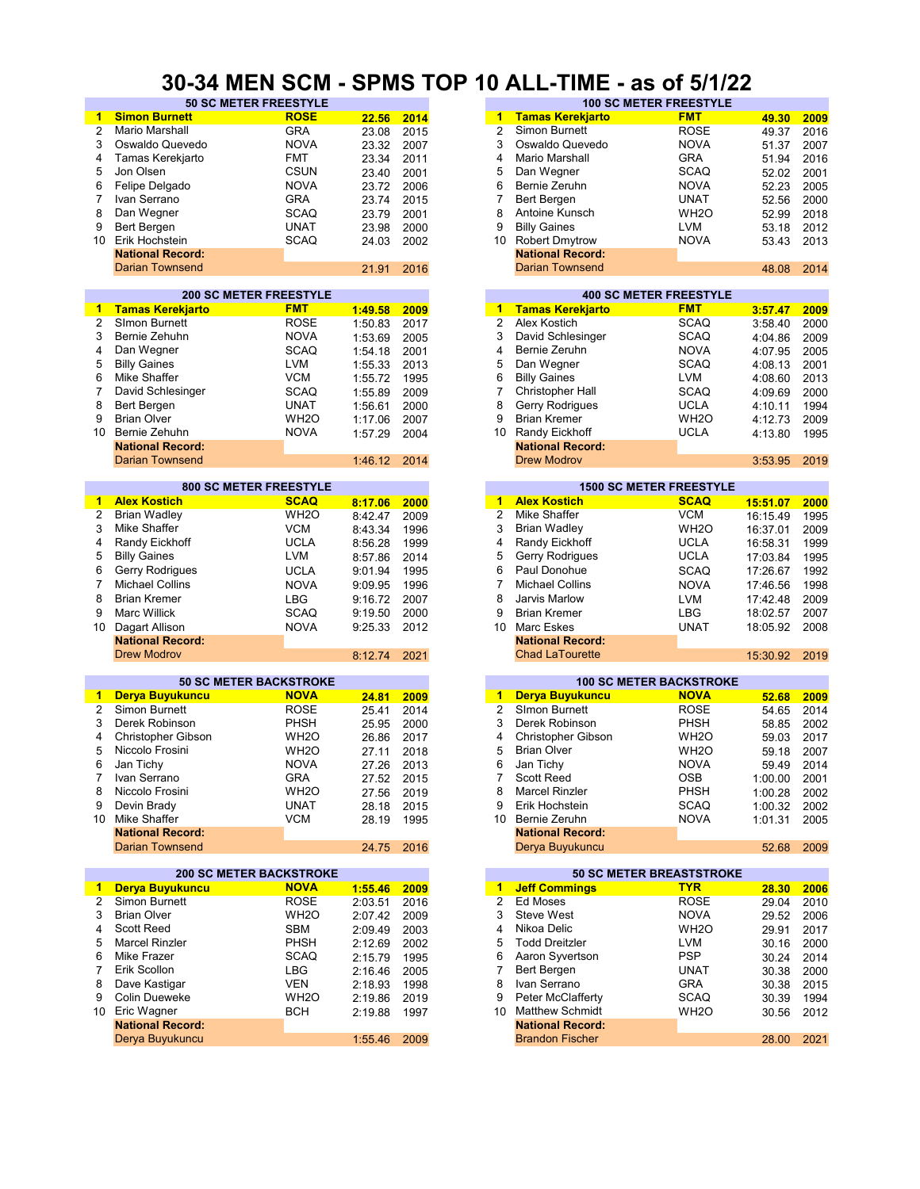#### **30-34 MEN SCM - SPMS TOP 10 ALL-TIME - as of 5/1/22**

| 1              | <b>Simon Burnett</b>           | <b>ROSE</b>       |            | 2014 | $\blacktriangleleft$    | <b>Tamas Kerekjarto</b> | <b>FMT</b>                     |          | 2009 |
|----------------|--------------------------------|-------------------|------------|------|-------------------------|-------------------------|--------------------------------|----------|------|
|                |                                |                   | 22.56      |      |                         |                         |                                | 49.30    |      |
| 2              | Mario Marshall                 | <b>GRA</b>        | 23.08      | 2015 | $\overline{c}$          | Simon Burnett           | <b>ROSE</b>                    | 49.37    | 2016 |
| 3              | Oswaldo Quevedo                | <b>NOVA</b>       | 23.32      | 2007 | 3                       | Oswaldo Quevedo         | <b>NOVA</b>                    | 51.37    | 2007 |
| 4              | Tamas Kerekjarto               | <b>FMT</b>        | 23.34      | 2011 | 4                       | Mario Marshall          | GRA                            | 51.94    | 2016 |
| 5              | Jon Olsen                      | <b>CSUN</b>       |            | 2001 | 5                       | Dan Wegner              | <b>SCAQ</b>                    |          | 2001 |
|                |                                |                   | 23.40      |      |                         |                         |                                | 52.02    |      |
| 6              | Felipe Delgado                 | <b>NOVA</b>       | 23.72      | 2006 | 6                       | Bernie Zeruhn           | <b>NOVA</b>                    | 52.23    | 2005 |
| 7              | Ivan Serrano                   | <b>GRA</b>        | 23.74      | 2015 | 7                       | Bert Bergen             | <b>UNAT</b>                    | 52.56    | 2000 |
| 8              | Dan Wegner                     | <b>SCAQ</b>       | 23.79      | 2001 | 8                       | Antoine Kunsch          | WH <sub>2</sub> O              | 52.99    | 2018 |
|                |                                |                   |            |      |                         |                         |                                |          |      |
| 9              | <b>Bert Bergen</b>             | <b>UNAT</b>       | 23.98      | 2000 | 9                       | <b>Billy Gaines</b>     | <b>LVM</b>                     | 53.18    | 2012 |
| 10             | Erik Hochstein                 | <b>SCAQ</b>       | 24.03      | 2002 | 10                      | <b>Robert Dmytrow</b>   | <b>NOVA</b>                    | 53.43    | 2013 |
|                | <b>National Record:</b>        |                   |            |      |                         | <b>National Record:</b> |                                |          |      |
|                | <b>Darian Townsend</b>         |                   | 21.91      | 2016 |                         | <b>Darian Townsend</b>  |                                | 48.08    | 2014 |
|                |                                |                   |            |      |                         |                         |                                |          |      |
|                |                                |                   |            |      |                         |                         |                                |          |      |
|                | <b>200 SC METER FREESTYLE</b>  |                   |            |      |                         |                         | <b>400 SC METER FREESTYLE</b>  |          |      |
| 1              | <b>Tamas Kerekjarto</b>        | <b>FMT</b>        | 1:49.58    | 2009 |                         | 1 Tamas Kerekjarto      | <b>FMT</b>                     | 3:57.47  | 2009 |
| $\overline{2}$ | SImon Burnett                  | <b>ROSE</b>       | 1:50.83    | 2017 | 2                       | Alex Kostich            | SCAQ                           | 3:58.40  | 2000 |
|                |                                |                   |            |      |                         |                         |                                |          |      |
| 3              | Bernie Zehuhn                  | <b>NOVA</b>       | 1:53.69    | 2005 | 3                       | David Schlesinger       | SCAQ                           | 4:04.86  | 2009 |
| 4              | Dan Wegner                     | <b>SCAQ</b>       | 1:54.18    | 2001 | 4                       | Bernie Zeruhn           | <b>NOVA</b>                    | 4:07.95  | 2005 |
| 5              | <b>Billy Gaines</b>            | <b>LVM</b>        | 1:55.33    | 2013 | 5                       | Dan Wegner              | SCAQ                           | 4:08.13  | 2001 |
| 6              | Mike Shaffer                   | <b>VCM</b>        |            | 1995 | 6                       | <b>Billy Gaines</b>     | LVM                            |          | 2013 |
|                |                                |                   | 1:55.72    |      |                         |                         |                                | 4:08.60  |      |
| 7              | David Schlesinger              | <b>SCAQ</b>       | 1:55.89    | 2009 | $\overline{7}$          | <b>Christopher Hall</b> | SCAQ                           | 4:09.69  | 2000 |
| 8              | Bert Bergen                    | <b>UNAT</b>       | 1:56.61    | 2000 | 8                       | <b>Gerry Rodrigues</b>  | <b>UCLA</b>                    | 4:10.11  | 1994 |
| 9              | <b>Brian Olver</b>             | WH <sub>20</sub>  | 1:17.06    | 2007 | 9                       | <b>Brian Kremer</b>     | WH <sub>2</sub> O              | 4:12.73  | 2009 |
| 10             | Bernie Zehuhn                  |                   |            |      | 10                      | Randy Eickhoff          |                                |          |      |
|                |                                | <b>NOVA</b>       | 1:57.29    | 2004 |                         |                         | UCLA                           | 4:13.80  | 1995 |
|                | <b>National Record:</b>        |                   |            |      |                         | <b>National Record:</b> |                                |          |      |
|                | <b>Darian Townsend</b>         |                   | 1:46.12    | 2014 |                         | <b>Drew Modrov</b>      |                                | 3:53.95  | 2019 |
|                |                                |                   |            |      |                         |                         |                                |          |      |
|                | <b>800 SC METER FREESTYLE</b>  |                   |            |      |                         |                         | <b>1500 SC METER FREESTYLE</b> |          |      |
|                |                                |                   |            |      |                         |                         |                                |          |      |
| 1              | <b>Alex Kostich</b>            | <b>SCAQ</b>       | 8:17.06    | 2000 | 1                       | <b>Alex Kostich</b>     | <b>SCAQ</b>                    | 15:51.07 | 2000 |
| 2              | <b>Brian Wadley</b>            | WH <sub>20</sub>  | 8:42.47    | 2009 | $\overline{2}$          | Mike Shaffer            | <b>VCM</b>                     | 16:15.49 | 1995 |
| 3              | Mike Shaffer                   | <b>VCM</b>        | 8:43.34    | 1996 | 3                       | <b>Brian Wadley</b>     | WH <sub>2</sub> O              | 16:37.01 | 2009 |
| 4              | Randy Eickhoff                 | <b>UCLA</b>       | 8:56.28    | 1999 | 4                       | Randy Eickhoff          | <b>UCLA</b>                    |          | 1999 |
|                |                                |                   |            |      |                         |                         |                                | 16:58.31 |      |
| 5              | <b>Billy Gaines</b>            | <b>LVM</b>        | 8:57.86    | 2014 | 5                       | Gerry Rodrigues         | <b>UCLA</b>                    | 17:03.84 | 1995 |
| 6              | Gerry Rodrigues                | <b>UCLA</b>       | 9:01.94    | 1995 | 6                       | Paul Donohue            | SCAQ                           | 17:26.67 | 1992 |
| 7              | <b>Michael Collins</b>         | <b>NOVA</b>       | 9:09.95    | 1996 | $\overline{7}$          | <b>Michael Collins</b>  | <b>NOVA</b>                    | 17:46.56 | 1998 |
|                |                                |                   |            |      |                         |                         |                                |          |      |
| 8              | <b>Brian Kremer</b>            | <b>LBG</b>        | 9:16.72    | 2007 | 8                       | Jarvis Marlow           | <b>LVM</b>                     | 17:42.48 | 2009 |
| 9              | <b>Marc Willick</b>            | <b>SCAQ</b>       | 9:19.50    | 2000 | 9                       | <b>Brian Kremer</b>     | <b>LBG</b>                     | 18:02.57 | 2007 |
| 10             | Dagart Allison                 | <b>NOVA</b>       | 9:25.33    | 2012 | 10                      | Marc Eskes              | <b>UNAT</b>                    | 18:05.92 | 2008 |
|                | <b>National Record:</b>        |                   |            |      |                         | <b>National Record:</b> |                                |          |      |
|                |                                |                   |            |      |                         |                         |                                |          |      |
|                | <b>Drew Modrov</b>             |                   | 8:12.74    | 2021 |                         | <b>Chad LaTourette</b>  |                                | 15:30.92 | 2019 |
|                |                                |                   |            |      |                         |                         |                                |          |      |
|                | <b>50 SC METER BACKSTROKE</b>  |                   |            |      |                         |                         | <b>100 SC METER BACKSTROKE</b> |          |      |
| 1.             | Derya Buyukuncu                | <b>NOVA</b>       | 24.81      | 2009 | $\mathbf{1}$            | Derya Buyukuncu         | <b>NOVA</b>                    | 52.68    | 2009 |
|                | Simon Burnett                  | <b>ROSE</b>       |            |      | $\overline{2}$          |                         |                                |          |      |
| 2              |                                |                   | 25.41      | 2014 |                         | SImon Burnett           | ROSE                           | 54.65    | 2014 |
| 3              | Derek Robinson                 | <b>PHSH</b>       | 25.95      | 2000 | 3                       | Derek Robinson          | <b>PHSH</b>                    | 58.85    | 2002 |
| 4              | <b>Christopher Gibson</b>      | WH <sub>2</sub> O | 26.86      | 2017 | 4                       | Christopher Gibson      | WH <sub>2</sub> O              | 59.03    | 2017 |
| 5              | Niccolo Frosini                | WH <sub>2</sub> O | 27.11      | 2018 | 5                       | <b>Brian Olver</b>      | WH <sub>2</sub> O              | 59.18    | 2007 |
| 6              |                                |                   |            |      | 6                       |                         |                                |          |      |
|                | Jan Tichy                      | <b>NOVA</b>       | 27.26      | 2013 |                         | Jan Tichy               | <b>NOVA</b>                    | 59.49    | 2014 |
| 7              | Ivan Serrano                   | <b>GRA</b>        | 27.52 2015 |      | 7                       | Scott Reed              | <b>OSB</b>                     | 1:00.00  | 2001 |
| 8              | Niccolo Frosini                | WH <sub>2</sub> O | 27.56      | 2019 | 8                       | Marcel Rinzler          | PHSH                           | 1:00.28  | 2002 |
| 9              | Devin Brady                    | <b>UNAT</b>       | 28.18      | 2015 | 9                       | Erik Hochstein          | <b>SCAQ</b>                    | 1:00.32  | 2002 |
|                | 10 Mike Shaffer                | <b>VCM</b>        |            |      | 10                      | Bernie Zeruhn           | <b>NOVA</b>                    |          |      |
|                |                                |                   | 28.19      | 1995 |                         |                         |                                | 1:01.31  | 2005 |
|                | <b>National Record:</b>        |                   |            |      |                         | <b>National Record:</b> |                                |          |      |
|                | <b>Darian Townsend</b>         |                   | 24.75      | 2016 |                         | Derya Buyukuncu         |                                | 52.68    | 2009 |
|                |                                |                   |            |      |                         |                         |                                |          |      |
|                | <b>200 SC METER BACKSTROKE</b> |                   |            |      |                         |                         | 50 SC METER BREASTSTROKE       |          |      |
| 1.             | Derya Buyukuncu                | <b>NOVA</b>       |            |      | $\mathbf{1}$            | <b>Jeff Commings</b>    | <b>TYR</b>                     |          |      |
|                |                                |                   | 1:55.46    | 2009 |                         |                         |                                | 28.30    | 2006 |
| 2              | Simon Burnett                  | <b>ROSE</b>       | 2:03.51    | 2016 | $\overline{\mathbf{c}}$ | Ed Moses                | <b>ROSE</b>                    | 29.04    | 2010 |
| 3              | <b>Brian Olver</b>             | WH <sub>20</sub>  | 2:07.42    | 2009 | 3                       | <b>Steve West</b>       | <b>NOVA</b>                    | 29.52    | 2006 |
| 4              | Scott Reed                     | <b>SBM</b>        | 2:09.49    | 2003 | 4                       | Nikoa Delic             | WH <sub>2</sub> O              | 29.91    | 2017 |
|                |                                | PHSH              |            |      | 5                       |                         |                                |          |      |
| 5              | Marcel Rinzler                 |                   | 2:12.69    | 2002 |                         | <b>Todd Dreitzler</b>   | <b>LVM</b>                     | 30.16    | 2000 |
| 6              | Mike Frazer                    | SCAQ              | 2:15.79    | 1995 | 6                       | Aaron Syvertson         | <b>PSP</b>                     | 30.24    | 2014 |
| 7              | Erik Scollon                   | LBG               | 2:16.46    | 2005 | $\overline{7}$          | Bert Bergen             | UNAT                           | 30.38    | 2000 |
| 8              | Dave Kastigar                  | <b>VEN</b>        | 2:18.93    | 1998 | 8                       | Ivan Serrano            | GRA                            | 30.38    | 2015 |
| 9              | <b>Colin Dueweke</b>           | WH <sub>2</sub> O |            |      | 9                       | Peter McClafferty       | SCAQ                           |          |      |
|                |                                |                   | 2:19.86    | 2019 |                         |                         |                                | 30.39    | 1994 |
|                | 10 Eric Wagner                 | <b>BCH</b>        | 2:19.88    | 1997 | 10                      | <b>Matthew Schmidt</b>  | WH <sub>2</sub> O              | 30.56    | 2012 |
|                |                                |                   |            |      |                         |                         |                                |          |      |
|                | <b>National Record:</b>        |                   |            |      |                         | <b>National Record:</b> |                                |          |      |
|                |                                |                   |            |      |                         |                         |                                |          |      |
|                | Derya Buyukuncu                |                   | 1:55.46    | 2009 |                         | <b>Brandon Fischer</b>  |                                | 28.00    | 2021 |

|      | .                            |       |      |    |                         |                               |       |      |
|------|------------------------------|-------|------|----|-------------------------|-------------------------------|-------|------|
|      | <b>50 SC METER FREESTYLE</b> |       |      |    |                         | <b>100 SC METER FREESTYLE</b> |       |      |
|      | <b>ROSE</b>                  | 22.56 | 2014 | 1  | <b>Tamas Kerekjarto</b> | <b>FMT</b>                    | 49.30 | 2009 |
|      | GRA                          | 23.08 | 2015 |    | Simon Burnett           | <b>ROSE</b>                   | 49.37 | 2016 |
| /edo | <b>NOVA</b>                  | 23.32 | 2007 | 3  | Oswaldo Quevedo         | <b>NOVA</b>                   | 51.37 | 2007 |
| arto | <b>FMT</b>                   | 23.34 | 2011 | 4  | Mario Marshall          | <b>GRA</b>                    | 51.94 | 2016 |
|      | <b>CSUN</b>                  | 23.40 | 2001 | 5  | Dan Wegner              | <b>SCAQ</b>                   | 52.02 | 2001 |
|      | <b>NOVA</b>                  | 23.72 | 2006 | 6  | Bernie Zeruhn           | <b>NOVA</b>                   | 52.23 | 2005 |
|      | <b>GRA</b>                   | 23.74 | 2015 |    | Bert Bergen             | <b>UNAT</b>                   | 52.56 | 2000 |
|      | <b>SCAQ</b>                  | 23.79 | 2001 | 8  | Antoine Kunsch          | WH <sub>2</sub> O             | 52.99 | 2018 |
|      | UNAT                         | 23.98 | 2000 | 9  | <b>Billy Gaines</b>     | <b>LVM</b>                    | 53.18 | 2012 |
|      | <b>SCAQ</b>                  | 24.03 | 2002 | 10 | <b>Robert Dmytrow</b>   | <b>NOVA</b>                   | 53.43 | 2013 |
| :bıc |                              |       |      |    | <b>National Record:</b> |                               |       |      |
| end  |                              | 21.91 | 2016 |    | <b>Darian Townsend</b>  |                               | 48.08 | 2014 |
|      |                              |       |      |    |                         |                               |       |      |

|         |      |    | <b>400 SC METER FREESTYLE</b> |                   |         |  |  |  |  |  |
|---------|------|----|-------------------------------|-------------------|---------|--|--|--|--|--|
| 1:49.58 | 2009 | 1. | <b>Tamas Kerekjarto</b>       | <b>FMT</b>        | 3:57.47 |  |  |  |  |  |
| 1:50.83 | 2017 | 2  | Alex Kostich                  | <b>SCAQ</b>       | 3:58.40 |  |  |  |  |  |
| 1:53.69 | 2005 | 3  | David Schlesinger             | <b>SCAQ</b>       | 4:04.86 |  |  |  |  |  |
| 1:54.18 | 2001 | 4  | Bernie Zeruhn                 | <b>NOVA</b>       | 4:07.95 |  |  |  |  |  |
| 1:55.33 | 2013 | 5  | Dan Wegner                    | <b>SCAQ</b>       | 4:08.13 |  |  |  |  |  |
| 1:55.72 | 1995 | 6  | <b>Billy Gaines</b>           | <b>LVM</b>        | 4:08.60 |  |  |  |  |  |
| 1:55.89 | 2009 |    | Christopher Hall              | <b>SCAQ</b>       | 4:09.69 |  |  |  |  |  |
| 1:56.61 | 2000 | 8  | <b>Gerry Rodrigues</b>        | <b>UCLA</b>       | 4:10.11 |  |  |  |  |  |
| 1:17.06 | 2007 | 9  | <b>Brian Kremer</b>           | WH <sub>2</sub> O | 4:12.73 |  |  |  |  |  |
| 1:57.29 | 2004 | 10 | Randy Eickhoff                | <b>UCLA</b>       | 4:13.80 |  |  |  |  |  |
|         |      |    | <b>National Record:</b>       |                   |         |  |  |  |  |  |
| 1:46.12 | 2014 |    | <b>Drew Modrov</b>            |                   | 3:53.95 |  |  |  |  |  |
|         |      |    |                               |                   |         |  |  |  |  |  |

|         |      |    |                         | <b>1500 SC METER FREESTYLE</b> |  |
|---------|------|----|-------------------------|--------------------------------|--|
| 8:17.06 | 2000 | 1  | <b>Alex Kostich</b>     | <b>SCAQ</b>                    |  |
| 8:42.47 | 2009 | 2  | Mike Shaffer            | <b>VCM</b>                     |  |
| 8:43.34 | 1996 | 3  | <b>Brian Wadley</b>     | WH <sub>2</sub> O              |  |
| 8:56.28 | 1999 | 4  | Randy Eickhoff          | <b>UCLA</b>                    |  |
| 8:57.86 | 2014 | 5  | Gerry Rodrigues         | <b>UCLA</b>                    |  |
| 9:01.94 | 1995 | 6  | Paul Donohue            | <b>SCAQ</b>                    |  |
| 9:09.95 | 1996 | 7  | <b>Michael Collins</b>  | <b>NOVA</b>                    |  |
| 9:16.72 | 2007 | 8  | Jarvis Marlow           | <b>LVM</b>                     |  |
| 9:19.50 | 2000 | 9  | <b>Brian Kremer</b>     | LBG                            |  |
| 9:25.33 | 2012 | 10 | Marc Eskes              | <b>UNAT</b>                    |  |
|         |      |    | <b>National Record:</b> |                                |  |
| 8:12.74 | 2021 |    | <b>Chad LaTourette</b>  |                                |  |
|         |      |    |                         |                                |  |

|       |      |    |                         | <b>100 SC METER BACKSTROKE</b> |         |
|-------|------|----|-------------------------|--------------------------------|---------|
| 24.81 | 2009 | 1  | Derya Buyukuncu         | <b>NOVA</b>                    | 52.68   |
| 25.41 | 2014 | 2  | Simon Burnett           | <b>ROSE</b>                    | 54.65   |
| 25.95 | 2000 | 3  | Derek Robinson          | <b>PHSH</b>                    | 58.85   |
| 26.86 | 2017 | 4  | Christopher Gibson      | WH <sub>2</sub> O              | 59.03   |
| 27.11 | 2018 | 5  | <b>Brian Olver</b>      | WH <sub>2</sub> O              | 59.18   |
| 27.26 | 2013 | 6  | Jan Tichy               | <b>NOVA</b>                    | 59.49   |
| 27.52 | 2015 |    | <b>Scott Reed</b>       | <b>OSB</b>                     | 1:00.00 |
| 27.56 | 2019 | 8  | <b>Marcel Rinzler</b>   | <b>PHSH</b>                    | 1:00.28 |
| 28.18 | 2015 | 9  | Erik Hochstein          | <b>SCAQ</b>                    | 1:00.32 |
| 28.19 | 1995 | 10 | Bernie Zeruhn           | <b>NOVA</b>                    | 1:01.31 |
|       |      |    | <b>National Record:</b> |                                |         |
| 24.75 | 2016 |    | Derya Buyukuncu         |                                | 52.68   |
|       |      |    |                         |                                |         |

|         |      |               |                         | <b>50 SC METER BREASTSTROKE</b> |       |
|---------|------|---------------|-------------------------|---------------------------------|-------|
| 1:55.46 | 2009 | 1.            | <b>Jeff Commings</b>    | <b>TYR</b>                      | 28.30 |
| 2:03.51 | 2016 | $\mathcal{P}$ | Ed Moses                | <b>ROSE</b>                     | 29.04 |
| 2:07.42 | 2009 | 3             | Steve West              | <b>NOVA</b>                     | 29.52 |
| 2:09.49 | 2003 | 4             | Nikoa Delic             | WH <sub>2</sub> O               | 29.91 |
| 2:12.69 | 2002 | 5             | <b>Todd Dreitzler</b>   | <b>LVM</b>                      | 30.16 |
| 2:15.79 | 1995 | 6             | Aaron Syvertson         | <b>PSP</b>                      | 30.24 |
| 2:16.46 | 2005 |               | Bert Bergen             | <b>UNAT</b>                     | 30.38 |
| 2:18.93 | 1998 | 8             | Ivan Serrano            | <b>GRA</b>                      | 30.38 |
| 2:19.86 | 2019 | 9             | Peter McClafferty       | <b>SCAQ</b>                     | 30.39 |
| 2:19.88 | 1997 | 10            | <b>Matthew Schmidt</b>  | WH <sub>2</sub> O               | 30.56 |
|         |      |               | <b>National Record:</b> |                                 |       |
| 1:55.46 | 2009 |               | <b>Brandon Fischer</b>  |                                 | 28.00 |
|         |      |               |                         |                                 |       |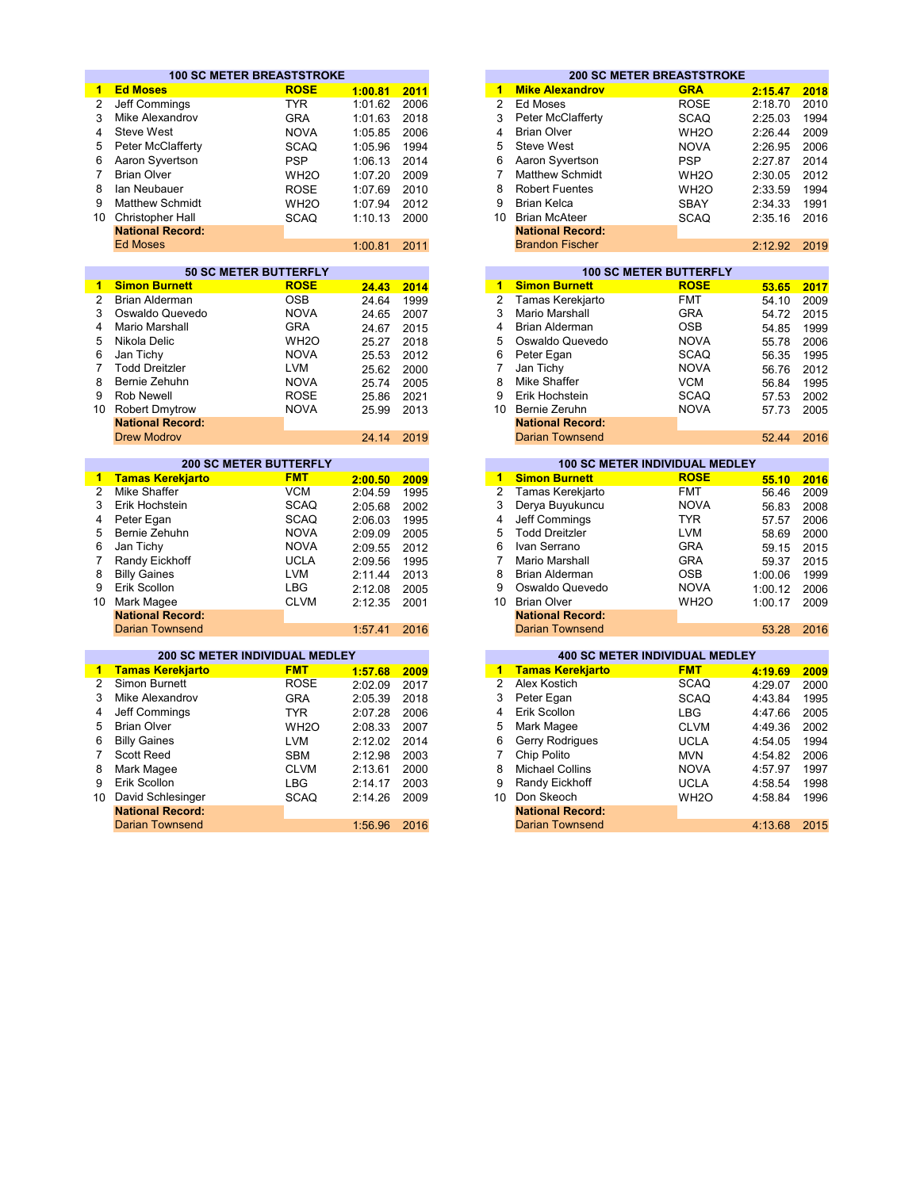|                |                                                                  | <b>100 SC METER BREASTSTROKE</b> |            |       |                         |                         | <b>200 SC METER BREASTSTROKE</b>                    |         |      |
|----------------|------------------------------------------------------------------|----------------------------------|------------|-------|-------------------------|-------------------------|-----------------------------------------------------|---------|------|
| 1              | <b>Ed Moses</b>                                                  | <b>ROSE</b>                      | 1:00.81    | 2011  | 1                       | <b>Mike Alexandrov</b>  | <b>GRA</b>                                          | 2:15.47 | 2018 |
| 2              | Jeff Commings                                                    | <b>TYR</b>                       | 1:01.62    | 2006  | $\overline{2}$          | Ed Moses                | <b>ROSE</b>                                         | 2:18.70 | 2010 |
| 3              | Mike Alexandrov                                                  | <b>GRA</b>                       | 1:01.63    | 2018  | 3                       | Peter McClafferty       | <b>SCAQ</b>                                         | 2:25.03 | 1994 |
| 4              | <b>Steve West</b>                                                | <b>NOVA</b>                      | 1:05.85    | 2006  | 4                       | <b>Brian Olver</b>      | WH <sub>2</sub> O                                   | 2:26.44 | 2009 |
| 5              | Peter McClafferty                                                | <b>SCAQ</b>                      | 1:05.96    | 1994  | 5                       | <b>Steve West</b>       | <b>NOVA</b>                                         | 2:26.95 | 2006 |
| 6              | Aaron Syvertson                                                  | <b>PSP</b>                       | 1:06.13    | 2014  | 6                       | Aaron Syvertson         | <b>PSP</b>                                          | 2:27.87 | 2014 |
| $\overline{7}$ | <b>Brian Olver</b>                                               | WH <sub>2</sub> O                | 1:07.20    | 2009  | 7                       | <b>Matthew Schmidt</b>  | WH <sub>2</sub> O                                   | 2:30.05 | 2012 |
| 8              | lan Neubauer                                                     | <b>ROSE</b>                      | 1:07.69    | 2010  | 8                       | <b>Robert Fuentes</b>   | WH <sub>2</sub> O                                   | 2:33.59 | 1994 |
| 9              | <b>Matthew Schmidt</b>                                           | WH <sub>2</sub> O                | 1:07.94    | 2012  | 9                       | <b>Brian Kelca</b>      | <b>SBAY</b>                                         | 2:34.33 | 1991 |
| 10             |                                                                  |                                  |            |       |                         | 10 Brian McAteer        |                                                     |         | 2016 |
|                | Christopher Hall                                                 | <b>SCAQ</b>                      | 1:10.13    | 2000  |                         | <b>National Record:</b> | <b>SCAQ</b>                                         | 2:35.16 |      |
|                | <b>National Record:</b><br><b>Ed Moses</b>                       |                                  |            |       |                         | <b>Brandon Fischer</b>  |                                                     |         |      |
|                |                                                                  |                                  | 1:00.81    | 2011  |                         |                         |                                                     | 2:12.92 | 2019 |
|                |                                                                  | <b>50 SC METER BUTTERFLY</b>     |            |       |                         |                         | <b>100 SC METER BUTTERFLY</b>                       |         |      |
| $\mathbf{1}$   | <b>Simon Burnett</b>                                             | <b>ROSE</b>                      | 24.43      | 2014  | $\overline{1}$          | <b>Simon Burnett</b>    | <b>ROSE</b>                                         | 53.65   | 2017 |
| $\overline{2}$ | <b>Brian Alderman</b>                                            | <b>OSB</b>                       | 24.64      | 1999  | $\overline{2}$          | Tamas Kerekjarto        | <b>FMT</b>                                          | 54.10   | 2009 |
| 3              | Oswaldo Quevedo                                                  | <b>NOVA</b>                      | 24.65      | 2007  | 3                       | Mario Marshall          | <b>GRA</b>                                          | 54.72   | 2015 |
| 4              | Mario Marshall                                                   | <b>GRA</b>                       | 24.67      | 2015  | 4                       | <b>Brian Alderman</b>   | <b>OSB</b>                                          | 54.85   | 1999 |
| 5              | Nikola Delic                                                     | WH <sub>2</sub> O                | 25.27      | 2018  | 5                       | Oswaldo Quevedo         | <b>NOVA</b>                                         | 55.78   | 2006 |
| 6              | Jan Tichy                                                        | <b>NOVA</b>                      | 25.53      | 2012  | 6                       | Peter Egan              | <b>SCAQ</b>                                         | 56.35   | 1995 |
| $\overline{7}$ | <b>Todd Dreitzler</b>                                            | <b>LVM</b>                       | 25.62      | 2000  | $\overline{7}$          | Jan Tichy               | <b>NOVA</b>                                         | 56.76   | 2012 |
| 8              | Bernie Zehuhn                                                    | <b>NOVA</b>                      | 25.74      | 2005  | 8                       | <b>Mike Shaffer</b>     | <b>VCM</b>                                          | 56.84   | 1995 |
| 9              | <b>Rob Newell</b>                                                | <b>ROSE</b>                      | 25.86      | 2021  | 9                       | Erik Hochstein          | <b>SCAQ</b>                                         | 57.53   | 2002 |
| 10             | <b>Robert Dmytrow</b>                                            | <b>NOVA</b>                      | 25.99      | 2013  |                         | 10 Bernie Zeruhn        | <b>NOVA</b>                                         | 57.73   | 2005 |
|                | <b>National Record:</b>                                          |                                  |            |       |                         | <b>National Record:</b> |                                                     |         |      |
|                | <b>Drew Modrov</b>                                               |                                  | 24.14      | 2019  |                         | <b>Darian Townsend</b>  |                                                     | 52.44   | 2016 |
|                |                                                                  |                                  |            |       |                         |                         |                                                     |         |      |
|                |                                                                  | <b>200 SC METER BUTTERFLY</b>    |            |       |                         |                         | <b>100 SC METER INDIVIDUAL MEDLEY</b>               |         |      |
| 1              | <b>Tamas Kerekjarto</b>                                          | <b>FMT</b>                       | 2:00.50    | 2009  | 1                       | <b>Simon Burnett</b>    | <b>ROSE</b>                                         | 55.10   | 2016 |
| $\overline{2}$ | Mike Shaffer                                                     | <b>VCM</b>                       | 2:04.59    | 1995  | $\overline{2}$          | Tamas Kerekjarto        | <b>FMT</b>                                          | 56.46   | 2009 |
| 3              | Erik Hochstein                                                   | <b>SCAQ</b>                      | 2:05.68    | 2002  | 3                       | Derya Buyukuncu         | <b>NOVA</b>                                         | 56.83   | 2008 |
| 4              | Peter Egan                                                       | <b>SCAQ</b>                      | 2:06.03    | 1995  | $\overline{\mathbf{4}}$ | Jeff Commings           | <b>TYR</b>                                          | 57.57   | 2006 |
| 5              | Bernie Zehuhn                                                    | <b>NOVA</b>                      | 2:09.09    | 2005  | 5                       | <b>Todd Dreitzler</b>   | <b>LVM</b>                                          | 58.69   | 2000 |
| 6              | Jan Tichy                                                        | <b>NOVA</b>                      | 2:09.55    | 2012  | 6                       | Ivan Serrano            | <b>GRA</b>                                          | 59.15   | 2015 |
| $\overline{7}$ | Randy Eickhoff                                                   | <b>UCLA</b>                      | 2:09.56    | 1995  | $\overline{7}$          | Mario Marshall          | <b>GRA</b>                                          | 59.37   | 2015 |
| 8              | <b>Billy Gaines</b>                                              | <b>LVM</b>                       | 2:11.44    | 2013  | 8                       | <b>Brian Alderman</b>   | <b>OSB</b>                                          | 1:00.06 | 1999 |
| 9              | Erik Scollon                                                     | <b>LBG</b>                       | 2:12.08    | 2005  | 9                       | Oswaldo Quevedo         | <b>NOVA</b>                                         | 1:00.12 | 2006 |
| 10             | Mark Magee                                                       | <b>CLVM</b>                      | 2:12.35    | 2001  |                         | 10 Brian Olver          | WH <sub>2</sub> O                                   | 1:00.17 | 2009 |
|                | <b>National Record:</b>                                          |                                  |            |       |                         | <b>National Record:</b> |                                                     |         |      |
|                | <b>Darian Townsend</b>                                           |                                  | 1:57.41    | 2016  |                         | <b>Darian Townsend</b>  |                                                     | 53.28   | 2016 |
|                |                                                                  |                                  |            |       |                         |                         |                                                     |         |      |
| $\mathbf{1}$   | <b>200 SC METER INDIVIDUAL MEDLEY</b><br><b>Tamas Kerekjarto</b> | <b>FMT</b>                       | 1:57.68    | 2009  | $\blacktriangleleft$    | <b>Tamas Kerekjarto</b> | <b>400 SC METER INDIVIDUAL MEDLEY</b><br><b>FMT</b> | 4:19.69 | 2009 |
| 2              | Simon Burnett                                                    | <b>ROSE</b>                      | 2:02.09    | 2017  | $\overline{2}$          | Alex Kostich            | <b>SCAQ</b>                                         | 4:29.07 | 2000 |
| 3              | Mike Alexandrov                                                  | <b>GRA</b>                       | 2:05.39    | 2018  | 3                       | Peter Egan              | <b>SCAQ</b>                                         | 4:43.84 | 1995 |
|                |                                                                  |                                  |            |       | $\overline{4}$          | Erik Scollon            |                                                     |         |      |
| 4              | Jeff Commings                                                    | <b>TYR</b>                       | 2:07.28    | 2006  |                         |                         | <b>LBG</b>                                          | 4:47.66 | 2005 |
| 5              | <b>Brian Olver</b>                                               | WH <sub>20</sub>                 | 2:08.33    | 2007  | 5                       | Mark Magee              | <b>CLVM</b>                                         | 4:49.36 | 2002 |
| 6              | <b>Billy Gaines</b>                                              | <b>LVM</b>                       | 2:12.02    | 2014  | 6                       | Gerry Rodrigues         | <b>UCLA</b>                                         | 4:54.05 | 1994 |
| 7              | Scott Reed                                                       | <b>SBM</b>                       | 2:12.98    | 2003  | 7                       | Chip Polito             | <b>MVN</b>                                          | 4:54.82 | 2006 |
| 8              | Mark Magee                                                       | <b>CLVM</b>                      | 2:13.61    | 2000  | 8                       | <b>Michael Collins</b>  | <b>NOVA</b>                                         | 4:57.97 | 1997 |
| 9              | Erik Scollon                                                     | <b>LBG</b>                       | 2:14.17    | 2003  | 9                       | Randy Eickhoff          | <b>UCLA</b>                                         | 4:58.54 | 1998 |
| 10             | David Schlesinger                                                | <b>SCAQ</b>                      | 2:14.26    | 2009  | 10                      | Don Skeoch              | WH <sub>2</sub> O                                   | 4:58.84 | 1996 |
|                | <b>National Record:</b>                                          |                                  |            |       |                         | <b>National Record:</b> |                                                     |         |      |
|                | Devian Territorial                                               |                                  | $1 - 0.00$ | 0.010 |                         | Doving Tournand         |                                                     | 10.00   |      |

|                         | <b>100 SC METER BREASTSTROKE</b> |         |      |
|-------------------------|----------------------------------|---------|------|
| <b>Ed Moses</b>         | <b>ROSE</b>                      | 1:00.81 | 2011 |
| Jeff Commings           | TYR                              | 1:01.62 | 2006 |
| Mike Alexandrov         | <b>GRA</b>                       | 1:01.63 | 2018 |
| 4 Steve West            | <b>NOVA</b>                      | 1:05.85 | 2006 |
| 5 Peter McClafferty     | <b>SCAQ</b>                      | 1:05.96 | 1994 |
| 6 Aaron Syvertson       | <b>PSP</b>                       | 1:06.13 | 2014 |
| Brian Olver             | WH <sub>2</sub> O                | 1:07.20 | 2009 |
| lan Neubauer            | <b>ROSE</b>                      | 1:07.69 | 2010 |
| Matthew Schmidt         | WH <sub>2</sub> O                | 1:07.94 | 2012 |
| 0 Christopher Hall      | <b>SCAQ</b>                      | 1:10.13 | 2000 |
| <b>National Record:</b> |                                  |         |      |
| <b>Ed Moses</b>         |                                  | 1:00.81 | 2011 |
|                         |                                  |         |      |

|       |      |    | <b>100 SC METER BUTTERFLY</b> |             |       |      |  |  |  |  |
|-------|------|----|-------------------------------|-------------|-------|------|--|--|--|--|
| 24.43 | 2014 | 1  | <b>Simon Burnett</b>          | <b>ROSE</b> | 53.65 | 2017 |  |  |  |  |
| 24.64 | 1999 | 2  | Tamas Kerekjarto              | <b>FMT</b>  | 54.10 | 2009 |  |  |  |  |
| 24.65 | 2007 | 3  | Mario Marshall                | <b>GRA</b>  | 54.72 | 2015 |  |  |  |  |
| 24.67 | 2015 | 4  | <b>Brian Alderman</b>         | <b>OSB</b>  | 54.85 | 1999 |  |  |  |  |
| 25.27 | 2018 | 5  | Oswaldo Quevedo               | <b>NOVA</b> | 55.78 | 2006 |  |  |  |  |
| 25.53 | 2012 | 6  | Peter Egan                    | <b>SCAQ</b> | 56.35 | 1995 |  |  |  |  |
| 25.62 | 2000 |    | Jan Tichy                     | <b>NOVA</b> | 56.76 | 2012 |  |  |  |  |
| 25.74 | 2005 | 8  | Mike Shaffer                  | <b>VCM</b>  | 56.84 | 1995 |  |  |  |  |
| 25.86 | 2021 | 9  | Erik Hochstein                | <b>SCAQ</b> | 57.53 | 2002 |  |  |  |  |
| 25.99 | 2013 | 10 | Bernie Zeruhn                 | <b>NOVA</b> | 57.73 | 2005 |  |  |  |  |
|       |      |    | <b>National Record:</b>       |             |       |      |  |  |  |  |
| 24.14 | 2019 |    | Darian Townsend               |             | 52.44 | 2016 |  |  |  |  |
|       |      |    |                               |             |       |      |  |  |  |  |

|                                     | <b>200 SC METER BUTTERFLY</b> |         |      |
|-------------------------------------|-------------------------------|---------|------|
| <mark>1    Tamas Kerekjarto </mark> | <b>FMT</b>                    | 2:00.50 | 2009 |
| Mike Shaffer<br>2                   | <b>VCM</b>                    | 2:04.59 | 1995 |
| 3 Erik Hochstein                    | <b>SCAQ</b>                   | 2:05.68 | 2002 |
| 4 Peter Egan                        | <b>SCAQ</b>                   | 2:06.03 | 1995 |
| 5 Bernie Zehuhn                     | <b>NOVA</b>                   | 2:09.09 | 2005 |
| 6 Jan Tichy                         | <b>NOVA</b>                   | 2:09.55 | 2012 |
| Randy Eickhoff                      | <b>UCLA</b>                   | 2:09.56 | 1995 |
| 8 Billy Gaines                      | LVM                           | 2:11.44 | 2013 |
| 9 Erik Scollon                      | LBG                           | 2:12.08 | 2005 |
| Mark Magee<br>10                    | <b>CLVM</b>                   | 2:12.35 | 2001 |
| <b>National Record:</b>             |                               |         |      |
| <b>Darian Townsend</b>              |                               | 1:57.41 | 2016 |

|    |                                 | <b>200 SC METER INDIVIDUAL MEDLEY</b> |         |      |
|----|---------------------------------|---------------------------------------|---------|------|
|    | <mark>1 Tamas Kerekjarto</mark> | <b>FMT</b>                            | 1:57.68 | 2009 |
| 2  | Simon Burnett                   | <b>ROSE</b>                           | 2:02.09 | 2017 |
| 3. | Mike Alexandrov                 | <b>GRA</b>                            | 2:05.39 | 2018 |
|    | 4 Jeff Commings                 | <b>TYR</b>                            | 2:07.28 | 2006 |
|    | 5 Brian Olver                   | WH <sub>2</sub> O                     | 2:08.33 | 2007 |
|    | 6 Billy Gaines                  | LVM                                   | 2:12.02 | 2014 |
|    | <b>Scott Reed</b>               | <b>SBM</b>                            | 2:12.98 | 2003 |
|    | 8 Mark Magee                    | <b>CLVM</b>                           | 2:13.61 | 2000 |
|    | 9 Erik Scollon                  | LBG                                   | 2:14.17 | 2003 |
|    | 0 David Schlesinger             | <b>SCAQ</b>                           | 2:14.26 | 2009 |
|    | <b>National Record:</b>         |                                       |         |      |
|    | <b>Darian Townsend</b>          |                                       | 1:56.96 | 2016 |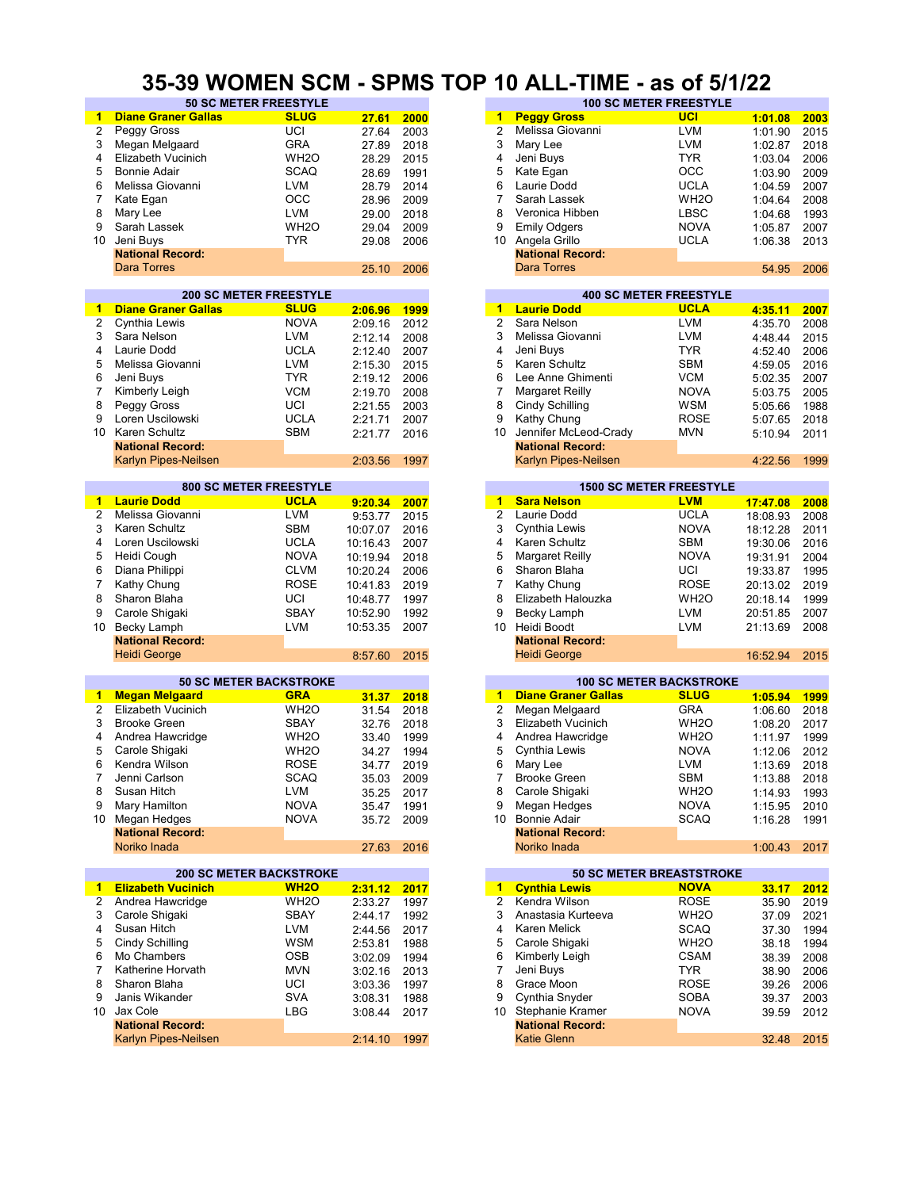#### **35-39 WOMEN SCM - SPMS TOP 10 ALL-TIME - as of 5/1/22**

| 1              | <b>Diane Graner Gallas</b> | <b>SLUG</b>                    | 27.61    | 2000 | 1                    | <b>Peggy Gross</b>         | <b>UCI</b>                      | 1:01.08  | 2003                                                         |
|----------------|----------------------------|--------------------------------|----------|------|----------------------|----------------------------|---------------------------------|----------|--------------------------------------------------------------|
| 2              | Peggy Gross                | UCI                            | 27.64    | 2003 | $\overline{2}$       | Melissa Giovanni           | <b>LVM</b>                      | 1:01.90  | 2015                                                         |
|                |                            |                                |          |      |                      |                            |                                 |          |                                                              |
| 3              | Megan Melgaard             | <b>GRA</b>                     | 27.89    | 2018 | 3                    | Mary Lee                   | <b>LVM</b>                      | 1:02.87  | 2018                                                         |
| 4              | Elizabeth Vucinich         | WH <sub>2</sub> O              | 28.29    | 2015 | 4                    | Jeni Buys                  | TYR                             | 1:03.04  | 2006                                                         |
| 5              | <b>Bonnie Adair</b>        | SCAQ                           | 28.69    | 1991 | 5                    | Kate Egan                  | OCC                             | 1:03.90  | 2009                                                         |
| 6              | Melissa Giovanni           | <b>LVM</b>                     | 28.79    | 2014 | 6                    | Laurie Dodd                | <b>UCLA</b>                     | 1:04.59  | 2007                                                         |
|                |                            |                                |          |      |                      |                            |                                 |          |                                                              |
| 7              | Kate Egan                  | $_{\rm OCC}$                   | 28.96    | 2009 | 7                    | Sarah Lassek               | WH <sub>2</sub> O               | 1:04.64  | 2008                                                         |
| 8              | Mary Lee                   | <b>LVM</b>                     | 29.00    | 2018 | 8                    | Veronica Hibben            | <b>LBSC</b>                     | 1:04.68  | 1993                                                         |
| 9              | Sarah Lassek               | WH <sub>20</sub>               | 29.04    | 2009 | 9                    | <b>Emily Odgers</b>        | <b>NOVA</b>                     | 1:05.87  | 2007                                                         |
|                |                            |                                |          |      |                      |                            |                                 |          |                                                              |
| 10             | Jeni Buys                  | <b>TYR</b>                     | 29.08    | 2006 |                      | 10 Angela Grillo           | UCLA                            | 1:06.38  | 2013                                                         |
|                | <b>National Record:</b>    |                                |          |      |                      | <b>National Record:</b>    |                                 |          |                                                              |
|                | <b>Dara Torres</b>         |                                | 25.10    | 2006 |                      | <b>Dara Torres</b>         |                                 | 54.95    | 2006                                                         |
|                |                            |                                |          |      |                      |                            |                                 |          |                                                              |
|                |                            | <b>200 SC METER FREESTYLE</b>  |          |      |                      |                            | <b>400 SC METER FREESTYLE</b>   |          |                                                              |
|                |                            |                                |          |      |                      |                            |                                 |          |                                                              |
| 1              | <b>Diane Graner Gallas</b> | <b>SLUG</b>                    | 2:06.96  | 1999 | 1                    | <b>Laurie Dodd</b>         | <b>UCLA</b>                     | 4:35.11  | 2007                                                         |
| 2              | Cynthia Lewis              | <b>NOVA</b>                    | 2:09.16  | 2012 | $\overline{2}$       | Sara Nelson                | <b>LVM</b>                      | 4:35.70  | 2008                                                         |
| 3              | Sara Nelson                | <b>LVM</b>                     | 2:12.14  | 2008 | 3                    | Melissa Giovanni           | <b>LVM</b>                      | 4:48.44  | 2015                                                         |
| 4              | Laurie Dodd                | <b>UCLA</b>                    | 2:12.40  | 2007 | 4                    | Jeni Buys                  | <b>TYR</b>                      |          | 2006                                                         |
|                |                            |                                |          |      |                      |                            |                                 | 4:52.40  |                                                              |
| 5              | Melissa Giovanni           | <b>LVM</b>                     | 2:15.30  | 2015 | 5                    | Karen Schultz              | SBM                             | 4:59.05  | 2016                                                         |
| 6              | Jeni Buys                  | <b>TYR</b>                     | 2:19.12  | 2006 | 6                    | Lee Anne Ghimenti          | <b>VCM</b>                      | 5:02.35  | 2007                                                         |
| 7              | Kimberly Leigh             | <b>VCM</b>                     | 2:19.70  | 2008 | $\overline{7}$       | <b>Margaret Reilly</b>     | <b>NOVA</b>                     | 5:03.75  | 2005                                                         |
| 8              |                            | UCI                            |          |      | 8                    |                            |                                 |          |                                                              |
|                | Peggy Gross                |                                | 2:21.55  | 2003 |                      | Cindy Schilling            | WSM                             | 5:05.66  | 1988                                                         |
| 9              | Loren Uscilowski           | <b>UCLA</b>                    | 2:21.71  | 2007 | 9                    | Kathy Chung                | ROSE                            | 5:07.65  | 2018                                                         |
| 10             | Karen Schultz              | <b>SBM</b>                     | 2:21.77  | 2016 | 10                   | Jennifer McLeod-Crady      | <b>MVN</b>                      | 5:10.94  | 2011                                                         |
|                | <b>National Record:</b>    |                                |          |      |                      | <b>National Record:</b>    |                                 |          |                                                              |
|                |                            |                                |          |      |                      |                            |                                 |          |                                                              |
|                | Karlyn Pipes-Neilsen       |                                | 2:03.56  | 1997 |                      | Karlyn Pipes-Neilsen       |                                 | 4:22.56  | 1999                                                         |
|                |                            |                                |          |      |                      |                            |                                 |          |                                                              |
|                |                            | <b>800 SC METER FREESTYLE</b>  |          |      |                      |                            | <b>1500 SC METER FREESTYLE</b>  |          |                                                              |
| 1              | <b>Laurie Dodd</b>         | <b>UCLA</b>                    | 9:20.34  | 2007 | 1                    | <b>Sara Nelson</b>         | <b>LVM</b>                      | 17:47.08 | 2008                                                         |
| $\overline{2}$ | Melissa Giovanni           | <b>LVM</b>                     | 9:53.77  | 2015 | $\overline{c}$       | Laurie Dodd                | <b>UCLA</b>                     | 18:08.93 | 2008                                                         |
|                |                            |                                |          |      |                      |                            |                                 |          |                                                              |
| 3              | Karen Schultz              | <b>SBM</b>                     | 10:07.07 | 2016 | 3                    | Cynthia Lewis              | <b>NOVA</b>                     | 18:12.28 | 2011                                                         |
| 4              | Loren Uscilowski           | <b>UCLA</b>                    | 10:16.43 | 2007 | 4                    | Karen Schultz              | <b>SBM</b>                      | 19:30.06 | 2016                                                         |
| 5              | Heidi Cough                | <b>NOVA</b>                    | 10:19.94 | 2018 | 5                    | Margaret Reilly            | NOVA                            | 19:31.91 | 2004                                                         |
| 6              | Diana Philippi             | <b>CLVM</b>                    | 10:20.24 | 2006 | 6                    | Sharon Blaha               | UCI                             | 19:33.87 | 1995                                                         |
|                |                            |                                |          |      |                      |                            |                                 |          |                                                              |
| 7              | Kathy Chung                | <b>ROSE</b>                    | 10:41.83 | 2019 | 7                    | Kathy Chung                | <b>ROSE</b>                     | 20:13.02 | 2019                                                         |
| 8              | Sharon Blaha               | UCI                            | 10:48.77 | 1997 | 8                    | Elizabeth Halouzka         | WH <sub>2</sub> O               | 20:18.14 | 1999                                                         |
| 9              | Carole Shigaki             | <b>SBAY</b>                    | 10:52.90 | 1992 | 9                    | Becky Lamph                | LVM                             | 20:51.85 | 2007                                                         |
|                |                            |                                |          |      |                      |                            |                                 |          |                                                              |
| 10             | Becky Lamph                | <b>LVM</b>                     | 10:53.35 | 2007 | 10                   | Heidi Boodt                | <b>LVM</b>                      | 21:13.69 | 2008                                                         |
|                | <b>National Record:</b>    |                                |          |      |                      | <b>National Record:</b>    |                                 |          |                                                              |
|                | <b>Heidi George</b>        |                                | 8:57.60  | 2015 |                      | <b>Heidi George</b>        |                                 | 16:52.94 | 2015                                                         |
|                |                            |                                |          |      |                      |                            |                                 |          |                                                              |
|                |                            | <b>50 SC METER BACKSTROKE</b>  |          |      |                      |                            | <b>100 SC METER BACKSTROKE</b>  |          |                                                              |
|                |                            | <b>GRA</b>                     |          |      |                      |                            | <b>SLUG</b>                     |          |                                                              |
| 1              | <b>Megan Melgaard</b>      |                                | 31.37    | 2018 | $\blacktriangleleft$ | <b>Diane Graner Gallas</b> |                                 | 1:05.94  | 1999                                                         |
| $\overline{c}$ | <b>Elizabeth Vucinich</b>  | WH <sub>20</sub>               | 31.54    | 2018 | $\overline{2}$       | Megan Melgaard             | <b>GRA</b>                      | 1:06.60  | 2018                                                         |
| 3              | <b>Brooke Green</b>        |                                |          |      | 3                    |                            |                                 |          |                                                              |
| 4              |                            | SBAY                           | 32.76    | 2018 |                      | Elizabeth Vucinich         | WH <sub>2</sub> O               | 1:08.20  |                                                              |
|                |                            |                                |          |      |                      |                            |                                 |          |                                                              |
| 5              | Andrea Hawcridge           | WH <sub>2</sub> O              | 33.40    | 1999 | 4                    | Andrea Hawcridge           | WH <sub>2</sub> O               | 1:11.97  |                                                              |
|                | Carole Shigaki             | WH <sub>2</sub> O              | 34.27    | 1994 | 5                    | Cynthia Lewis              | <b>NOVA</b>                     | 1:12.06  |                                                              |
| 6              | Kendra Wilson              | <b>ROSE</b>                    | 34.77    | 2019 | 6                    | Mary Lee                   | <b>LVM</b>                      | 1:13.69  |                                                              |
| 7              | Jenni Carlson              |                                |          |      | 7                    | <b>Brooke Green</b>        |                                 |          |                                                              |
|                |                            | <b>SCAQ</b>                    | 35.03    | 2009 |                      |                            | SBM                             | 1:13.88  |                                                              |
| 8              | Susan Hitch                | <b>LVM</b>                     | 35.25    | 2017 | 8                    | Carole Shigaki             | WH <sub>2</sub> O               | 1:14.93  |                                                              |
| 9              | Mary Hamilton              | <b>NOVA</b>                    | 35.47    | 1991 | 9                    | Megan Hedges               | <b>NOVA</b>                     | 1:15.95  |                                                              |
| 10             | Megan Hedges               | <b>NOVA</b>                    | 35.72    | 2009 | 10                   | <b>Bonnie Adair</b>        | SCAQ                            | 1:16.28  |                                                              |
|                | <b>National Record:</b>    |                                |          |      |                      | <b>National Record:</b>    |                                 |          | 2017<br>1999<br>2012<br>2018<br>2018<br>1993<br>2010<br>1991 |
|                |                            |                                |          |      |                      |                            |                                 |          |                                                              |
|                | Noriko Inada               |                                | 27.63    | 2016 |                      | Noriko Inada               |                                 | 1:00.43  | 2017                                                         |
|                |                            |                                |          |      |                      |                            |                                 |          |                                                              |
|                |                            | <b>200 SC METER BACKSTROKE</b> |          |      |                      |                            | <b>50 SC METER BREASTSTROKE</b> |          |                                                              |
| $\mathbf{1}$   | <b>Elizabeth Vucinich</b>  | <b>WH2O</b>                    | 2:31.12  | 2017 | $\mathbf{1}$         | <b>Cynthia Lewis</b>       | <b>NOVA</b>                     | 33.17    | 2012                                                         |
|                | Andrea Hawcridge           |                                |          |      | 2                    | Kendra Wilson              |                                 |          |                                                              |
| 2              |                            | WH <sub>2</sub> O              | 2:33.27  | 1997 |                      |                            | ROSE                            | 35.90    | 2019                                                         |
| 3              | Carole Shigaki             | SBAY                           | 2:44.17  | 1992 | 3                    | Anastasia Kurteeva         | WH <sub>2</sub> O               | 37.09    |                                                              |
| 4              | Susan Hitch                | LVM                            | 2:44.56  | 2017 | 4                    | Karen Melick               | <b>SCAQ</b>                     | 37.30    |                                                              |
| 5              | Cindy Schilling            | <b>WSM</b>                     | 2:53.81  | 1988 | 5                    | Carole Shigaki             | WH <sub>2</sub> O               | 38.18    |                                                              |
| 6              | Mo Chambers                |                                |          |      | 6                    |                            |                                 |          |                                                              |
|                |                            | OSB                            | 3:02.09  | 1994 |                      | Kimberly Leigh             | CSAM                            | 38.39    |                                                              |
| 7              | Katherine Horvath          | <b>MVN</b>                     | 3:02.16  | 2013 | 7                    | Jeni Buys                  | <b>TYR</b>                      | 38.90    |                                                              |
| 8              | Sharon Blaha               | UCI                            | 3:03.36  | 1997 | 8                    | Grace Moon                 | ROSE                            | 39.26    |                                                              |
| 9              | Janis Wikander             | <b>SVA</b>                     | 3:08.31  | 1988 | 9                    | Cynthia Snyder             | SOBA                            | 39.37    |                                                              |
| 10             | Jax Cole                   |                                |          |      |                      |                            |                                 |          |                                                              |
|                |                            | LBG                            | 3:08.44  | 2017 |                      | 10 Stephanie Kramer        | NOVA                            | 39.59    |                                                              |
|                | <b>National Record:</b>    |                                |          |      |                      | <b>National Record:</b>    |                                 |          | 2021<br>1994<br>1994<br>2008<br>2006<br>2006<br>2003<br>2012 |
|                | Karlyn Pipes-Neilsen       |                                | 2:14.10  | 1997 |                      | <b>Katie Glenn</b>         |                                 | 32.48    | 2015                                                         |

| <b>50 SC METER FREESTYLE</b> |                   |       |      | <b>100 SC METER FREESTYLE</b> |                         |                   |         |      |  |  |
|------------------------------|-------------------|-------|------|-------------------------------|-------------------------|-------------------|---------|------|--|--|
| <b>Gallas</b>                | <b>SLUG</b>       | 27.61 | 2000 | 1                             | <b>Peggy Gross</b>      | <b>UCI</b>        | 1:01.08 | 2003 |  |  |
|                              | UCI               | 27.64 | 2003 |                               | Melissa Giovanni        | <b>LVM</b>        | 1:01.90 | 2015 |  |  |
| ard                          | <b>GRA</b>        | 27.89 | 2018 | 3                             | Mary Lee                | <b>LVM</b>        | 1:02.87 | 2018 |  |  |
| nich                         | WH <sub>2</sub> O | 28.29 | 2015 | 4                             | Jeni Buys               | <b>TYR</b>        | 1:03.04 | 2006 |  |  |
|                              | <b>SCAQ</b>       | 28.69 | 1991 | 5                             | Kate Egan               | <b>OCC</b>        | 1:03.90 | 2009 |  |  |
| nni                          | <b>LVM</b>        | 28.79 | 2014 | 6                             | Laurie Dodd             | <b>UCLA</b>       | 1:04.59 | 2007 |  |  |
|                              | <b>OCC</b>        | 28.96 | 2009 |                               | Sarah Lassek            | WH <sub>2</sub> O | 1:04.64 | 2008 |  |  |
|                              | <b>LVM</b>        | 29.00 | 2018 | 8                             | Veronica Hibben         | <b>LBSC</b>       | 1:04.68 | 1993 |  |  |
|                              | WH <sub>2</sub> O | 29.04 | 2009 | 9                             | <b>Emily Odgers</b>     | <b>NOVA</b>       | 1:05.87 | 2007 |  |  |
|                              | <b>TYR</b>        | 29.08 | 2006 | 10                            | Angela Grillo           | <b>UCLA</b>       | 1:06.38 | 2013 |  |  |
| :bıc                         |                   |       |      |                               | <b>National Record:</b> |                   |         |      |  |  |
|                              |                   | 25.10 | 2006 |                               | Dara Torres             |                   | 54.95   | 2006 |  |  |
|                              |                   |       |      |                               |                         |                   |         |      |  |  |

|         |      |    |                             | <b>400 SC METER FREESTYLE</b> |         |      |
|---------|------|----|-----------------------------|-------------------------------|---------|------|
| 2:06.96 | 1999 | 1  | <b>Laurie Dodd</b>          | <b>UCLA</b>                   | 4:35.11 | 2007 |
| 2:09.16 | 2012 | 2  | Sara Nelson                 | <b>LVM</b>                    | 4:35.70 | 2008 |
| 2:12.14 | 2008 | 3  | Melissa Giovanni            | <b>LVM</b>                    | 4:48.44 | 2015 |
| 2:12.40 | 2007 | 4  | Jeni Buys                   | <b>TYR</b>                    | 4:52.40 | 2006 |
| 2:15.30 | 2015 | 5. | Karen Schultz               | <b>SBM</b>                    | 4:59.05 | 2016 |
| 2:19.12 | 2006 | 6  | Lee Anne Ghimenti           | <b>VCM</b>                    | 5:02.35 | 2007 |
| 2:19.70 | 2008 |    | Margaret Reilly             | <b>NOVA</b>                   | 5:03.75 | 2005 |
| 2:21.55 | 2003 | 8  | Cindy Schilling             | <b>WSM</b>                    | 5:05.66 | 1988 |
| 2:21.71 | 2007 | 9  | Kathy Chung                 | <b>ROSE</b>                   | 5:07.65 | 2018 |
| 2:21.77 | 2016 | 10 | Jennifer McLeod-Crady       | <b>MVN</b>                    | 5:10.94 | 2011 |
|         |      |    | <b>National Record:</b>     |                               |         |      |
| 2:03.56 | 1997 |    | <b>Karlyn Pipes-Neilsen</b> |                               | 4:22.56 | 1999 |

|         |      |    |                         | <b>1500 SC METER FREESTYLE</b> |  |
|---------|------|----|-------------------------|--------------------------------|--|
| 9:20.34 | 2007 |    | <b>Sara Nelson</b>      | <b>LVM</b>                     |  |
| 9:53.77 | 2015 | 2  | Laurie Dodd             | <b>UCLA</b>                    |  |
| 0:07.07 | 2016 | 3  | Cynthia Lewis           | <b>NOVA</b>                    |  |
| 0:16.43 | 2007 | 4  | Karen Schultz           | <b>SBM</b>                     |  |
| 0:19.94 | 2018 | 5  | <b>Margaret Reilly</b>  | <b>NOVA</b>                    |  |
| 0:20.24 | 2006 | 6  | Sharon Blaha            | UCI                            |  |
| 0:41.83 | 2019 | 7  | Kathy Chung             | <b>ROSE</b>                    |  |
| 0:48.77 | 1997 | 8  | Elizabeth Halouzka      | WH <sub>2</sub> O              |  |
| 0:52.90 | 1992 | 9  | Becky Lamph             | <b>LVM</b>                     |  |
| 0:53.35 | 2007 | 10 | Heidi Boodt             | <b>LVM</b>                     |  |
|         |      |    | <b>National Record:</b> |                                |  |
| 8:57.60 | 2015 |    | <b>Heidi George</b>     |                                |  |
|         |      |    |                         |                                |  |

|       |      |    |                            | <b>100 SC METER BACKSTROKE</b> |         |
|-------|------|----|----------------------------|--------------------------------|---------|
| 31.37 | 2018 | 1  | <b>Diane Graner Gallas</b> | <b>SLUG</b>                    | 1:05.94 |
| 31.54 | 2018 | 2  | Megan Melgaard             | <b>GRA</b>                     | 1:06.60 |
| 32.76 | 2018 | 3  | Elizabeth Vucinich         | WH <sub>2</sub> O              | 1:08.20 |
| 33.40 | 1999 | 4  | Andrea Hawcridge           | WH <sub>2</sub> O              | 1:11.97 |
| 34.27 | 1994 | 5  | Cynthia Lewis              | <b>NOVA</b>                    | 1:12.06 |
| 34.77 | 2019 | 6  | Mary Lee                   | <b>LVM</b>                     | 1:13.69 |
| 35.03 | 2009 |    | <b>Brooke Green</b>        | <b>SBM</b>                     | 1:13.88 |
| 35.25 | 2017 | 8  | Carole Shigaki             | WH <sub>2</sub> O              | 1:14.93 |
| 35.47 | 1991 | 9  | Megan Hedges               | <b>NOVA</b>                    | 1:15.95 |
| 35.72 | 2009 | 10 | Bonnie Adair               | <b>SCAQ</b>                    | 1:16.28 |
|       |      |    | <b>National Record:</b>    |                                |         |
| 27.63 | 2016 |    | Noriko Inada               |                                | 1:00.43 |
|       |      |    |                            |                                |         |

|         |      |               |                         | <b>50 SC METER BREASTSTROKE</b> |  |
|---------|------|---------------|-------------------------|---------------------------------|--|
| 2:31.12 | 2017 | 1             | <b>Cynthia Lewis</b>    | <b>NOVA</b>                     |  |
| 2:33.27 | 1997 | $\mathcal{P}$ | Kendra Wilson           | <b>ROSE</b>                     |  |
| 2:44.17 | 1992 | 3             | Anastasia Kurteeva      | WH <sub>2</sub> O               |  |
| 2:44.56 | 2017 | 4             | Karen Melick            | <b>SCAQ</b>                     |  |
| 2:53.81 | 1988 | 5             | Carole Shigaki          | WH <sub>2</sub> O               |  |
| 3:02.09 | 1994 | 6             | Kimberly Leigh          | <b>CSAM</b>                     |  |
| 3:02.16 | 2013 | 7             | Jeni Buys               | <b>TYR</b>                      |  |
| 3:03.36 | 1997 | 8             | Grace Moon              | <b>ROSE</b>                     |  |
| 3:08.31 | 1988 | 9             | Cynthia Snyder          | <b>SOBA</b>                     |  |
| 3:08.44 | 2017 | 10            | Stephanie Kramer        | <b>NOVA</b>                     |  |
|         |      |               | <b>National Record:</b> |                                 |  |
| 2:14.10 | 1997 |               | <b>Katie Glenn</b>      |                                 |  |
|         |      |               |                         |                                 |  |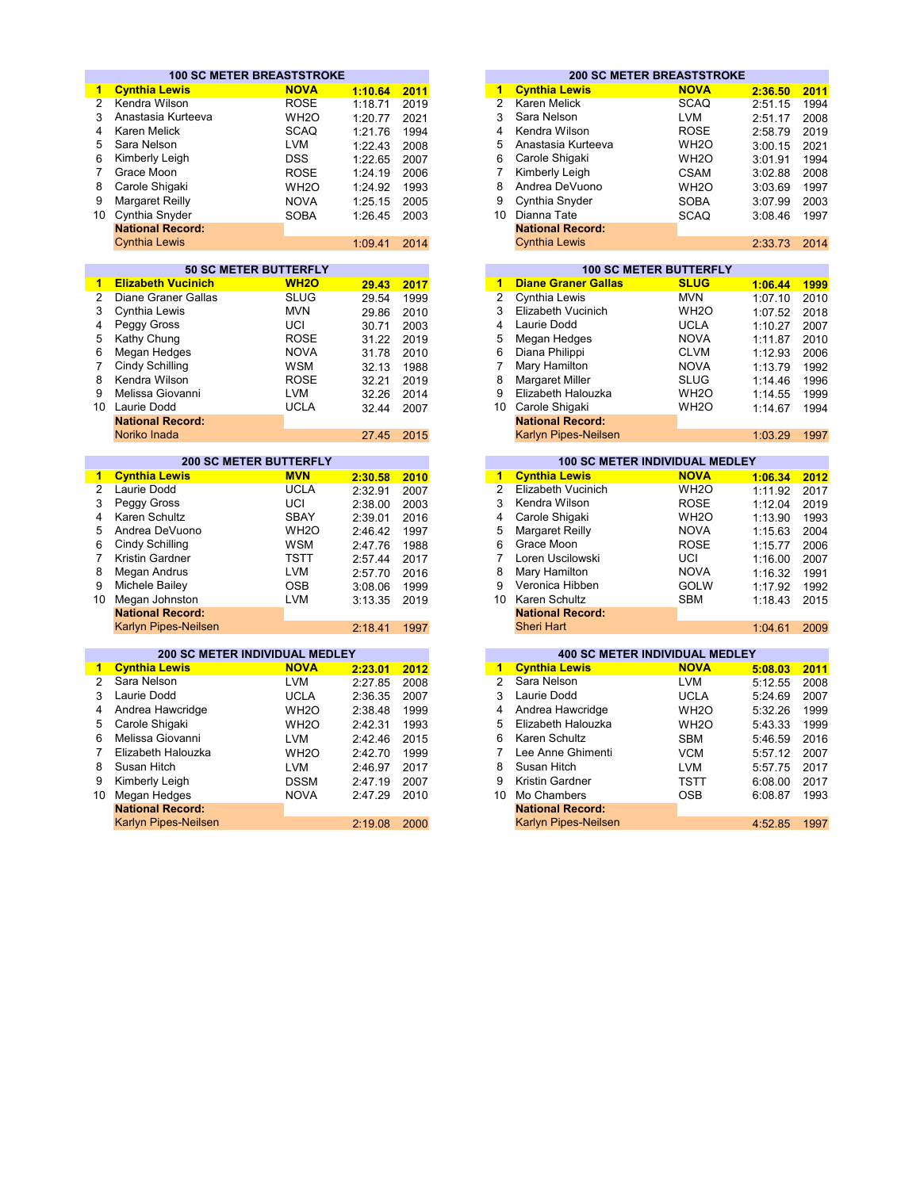|                | <b>100 SC METER BREASTSTROKE</b>      |                               |         |      |                      |                            | <b>200 SC METER BREASTSTROKE</b>      |         |             |
|----------------|---------------------------------------|-------------------------------|---------|------|----------------------|----------------------------|---------------------------------------|---------|-------------|
| $\mathbf{1}$   | <b>Cynthia Lewis</b>                  | <b>NOVA</b>                   | 1:10.64 | 2011 | 1                    | <b>Cynthia Lewis</b>       | <b>NOVA</b>                           | 2:36.50 | 2011        |
| $\overline{2}$ | Kendra Wilson                         | <b>ROSE</b>                   | 1:18.71 | 2019 | $\overline{2}$       | <b>Karen Melick</b>        | <b>SCAQ</b>                           | 2:51.15 | 1994        |
| 3              | Anastasia Kurteeva                    | WH <sub>2</sub> O             | 1:20.77 | 2021 | 3                    | Sara Nelson                | <b>LVM</b>                            | 2:51.17 | 2008        |
| 4              | <b>Karen Melick</b>                   | <b>SCAQ</b>                   | 1:21.76 | 1994 | 4                    | Kendra Wilson              | <b>ROSE</b>                           | 2:58.79 | 2019        |
| 5              | Sara Nelson                           | <b>LVM</b>                    | 1:22.43 | 2008 | 5                    | Anastasia Kurteeva         | WH <sub>2</sub> O                     | 3:00.15 | 2021        |
| 6              | Kimberly Leigh                        | <b>DSS</b>                    | 1:22.65 | 2007 | 6                    | Carole Shigaki             | WH <sub>2</sub> O                     | 3:01.91 | 1994        |
| $\overline{7}$ | Grace Moon                            | <b>ROSE</b>                   |         | 2006 | $\overline{7}$       | Kimberly Leigh             | <b>CSAM</b>                           |         | 2008        |
|                |                                       |                               | 1:24.19 |      | 8                    |                            |                                       | 3:02.88 |             |
| 8              | Carole Shigaki                        | WH <sub>2</sub> O             | 1:24.92 | 1993 |                      | Andrea DeVuono             | WH <sub>2</sub> O                     | 3:03.69 | 1997        |
| 9              | <b>Margaret Reilly</b>                | <b>NOVA</b>                   | 1:25.15 | 2005 | 9                    | Cynthia Snyder             | <b>SOBA</b>                           | 3:07.99 | 2003        |
| 10             | Cynthia Snyder                        | <b>SOBA</b>                   | 1:26.45 | 2003 |                      | 10 Dianna Tate             | <b>SCAQ</b>                           | 3:08.46 | 1997        |
|                | <b>National Record:</b>               |                               |         |      |                      | <b>National Record:</b>    |                                       |         |             |
|                | <b>Cynthia Lewis</b>                  |                               | 1:09.41 | 2014 |                      | <b>Cynthia Lewis</b>       |                                       | 2:33.73 | 2014        |
|                |                                       | <b>50 SC METER BUTTERFLY</b>  |         |      |                      |                            | <b>100 SC METER BUTTERFLY</b>         |         |             |
| 1              | <b>Elizabeth Vucinich</b>             | <b>WH2O</b>                   | 29.43   | 2017 | 1                    | <b>Diane Graner Gallas</b> | <b>SLUG</b>                           | 1:06.44 | 1999        |
| $\overline{2}$ | Diane Graner Gallas                   | <b>SLUG</b>                   | 29.54   | 1999 | $\overline{2}$       | Cynthia Lewis              | <b>MVN</b>                            | 1:07.10 | 2010        |
| 3              | Cynthia Lewis                         | <b>MVN</b>                    | 29.86   | 2010 | 3                    | <b>Elizabeth Vucinich</b>  | WH <sub>2</sub> O                     | 1:07.52 | 2018        |
| 4              | Peggy Gross                           | UCI                           | 30.71   | 2003 | 4                    | Laurie Dodd                | <b>UCLA</b>                           | 1:10.27 | 2007        |
| 5              | Kathy Chung                           | <b>ROSE</b>                   | 31.22   | 2019 | 5                    | Megan Hedges               | <b>NOVA</b>                           | 1:11.87 | 2010        |
| 6              | Megan Hedges                          | <b>NOVA</b>                   | 31.78   | 2010 | 6                    | Diana Philippi             | <b>CLVM</b>                           | 1:12.93 | 2006        |
| $\overline{7}$ | Cindy Schilling                       | <b>WSM</b>                    |         | 1988 | 7                    | Mary Hamilton              | <b>NOVA</b>                           |         | 1992        |
|                |                                       |                               | 32.13   |      | 8                    |                            |                                       | 1:13.79 |             |
| 8<br>9         | Kendra Wilson                         | <b>ROSE</b>                   | 32.21   | 2019 |                      | <b>Margaret Miller</b>     | SLUG                                  | 1:14.46 | 1996        |
|                | Melissa Giovanni                      | <b>LVM</b>                    | 32.26   | 2014 | 9                    | Elizabeth Halouzka         | WH <sub>2</sub> O                     | 1:14.55 | 1999        |
|                | 10 Laurie Dodd                        | <b>UCLA</b>                   | 32.44   | 2007 |                      | 10 Carole Shigaki          | WH <sub>2</sub> O                     | 1:14.67 | 1994        |
|                | <b>National Record:</b>               |                               |         |      |                      | <b>National Record:</b>    |                                       |         |             |
|                | Noriko Inada                          |                               | 27.45   | 2015 |                      | Karlyn Pipes-Neilsen       |                                       | 1:03.29 | 1997        |
|                |                                       | <b>200 SC METER BUTTERFLY</b> |         |      |                      |                            | <b>100 SC METER INDIVIDUAL MEDLEY</b> |         |             |
| 1.             | <b>Cynthia Lewis</b>                  | <b>MVN</b>                    | 2:30.58 | 2010 | $\blacktriangleleft$ | <b>Cynthia Lewis</b>       | <b>NOVA</b>                           | 1:06.34 | <b>2012</b> |
| $\overline{2}$ | Laurie Dodd                           | <b>UCLA</b>                   | 2:32.91 | 2007 | $\overline{2}$       | <b>Elizabeth Vucinich</b>  | WH <sub>2</sub> O                     | 1:11.92 | 2017        |
| 3              | Peggy Gross                           | UCI                           | 2:38.00 | 2003 | 3                    | Kendra Wilson              | <b>ROSE</b>                           | 1:12.04 | 2019        |
| 4              | Karen Schultz                         | <b>SBAY</b>                   | 2:39.01 | 2016 | 4                    | Carole Shigaki             | WH <sub>2</sub> O                     | 1:13.90 | 1993        |
| 5              | Andrea DeVuono                        | WH <sub>2</sub> O             | 2:46.42 | 1997 | 5                    | <b>Margaret Reilly</b>     | <b>NOVA</b>                           | 1:15.63 | 2004        |
| 6              | Cindy Schilling                       | <b>WSM</b>                    | 2:47.76 | 1988 | 6                    | Grace Moon                 | <b>ROSE</b>                           | 1:15.77 | 2006        |
| $\overline{7}$ | Kristin Gardner                       | <b>TSTT</b>                   | 2:57.44 | 2017 | 7                    | Loren Uscilowski           | UCI                                   | 1:16.00 | 2007        |
| 8              | Megan Andrus                          | <b>LVM</b>                    | 2:57.70 | 2016 | 8                    | Mary Hamilton              | <b>NOVA</b>                           | 1:16.32 | 1991        |
| 9              | Michele Bailey                        | <b>OSB</b>                    | 3:08.06 | 1999 | 9                    | Veronica Hibben            | <b>GOLW</b>                           | 1:17.92 | 1992        |
| 10             | Megan Johnston                        | <b>LVM</b>                    | 3:13.35 | 2019 |                      | 10 Karen Schultz           | <b>SBM</b>                            | 1:18.43 | 2015        |
|                | <b>National Record:</b>               |                               |         |      |                      | <b>National Record:</b>    |                                       |         |             |
|                | <b>Karlyn Pipes-Neilsen</b>           |                               | 2:18.41 | 1997 |                      | <b>Sheri Hart</b>          |                                       | 1:04.61 | 2009        |
|                | <b>200 SC METER INDIVIDUAL MEDLEY</b> |                               |         |      |                      |                            | <b>400 SC METER INDIVIDUAL MEDLEY</b> |         |             |
| 1.             | <b>Cynthia Lewis</b>                  | <b>NOVA</b>                   | 2:23.01 | 2012 | 1                    | <b>Cynthia Lewis</b>       | <b>NOVA</b>                           | 5:08.03 | 2011        |
| $\overline{2}$ | Sara Nelson                           | <b>LVM</b>                    | 2:27.85 | 2008 | $\overline{2}$       | Sara Nelson                | <b>LVM</b>                            | 5:12.55 | 2008        |
| 3              | Laurie Dodd                           | <b>UCLA</b>                   | 2:36.35 | 2007 | 3                    | Laurie Dodd                | <b>UCLA</b>                           | 5:24.69 | 2007        |
| 4              | Andrea Hawcridge                      | WH <sub>2</sub> O             | 2:38.48 | 1999 | 4                    | Andrea Hawcridge           | WH <sub>2</sub> O                     | 5:32.26 | 1999        |
| 5              |                                       |                               |         |      | 5                    |                            |                                       |         |             |
|                | Carole Shigaki                        | WH <sub>2</sub> O             | 2:42.31 | 1993 |                      | Elizabeth Halouzka         | WH <sub>2</sub> O                     | 5:43.33 | 1999        |
| 6              | Melissa Giovanni                      | <b>LVM</b>                    | 2:42.46 | 2015 | 6                    | Karen Schultz              | <b>SBM</b>                            | 5:46.59 | 2016        |
| $\overline{7}$ | Elizabeth Halouzka                    | WH <sub>2</sub> O             | 2:42.70 | 1999 | $\overline{7}$       | Lee Anne Ghimenti          | <b>VCM</b>                            | 5:57.12 | 2007        |
| 8              | Susan Hitch                           | <b>LVM</b>                    | 2:46.97 | 2017 | 8                    | Susan Hitch                | <b>LVM</b>                            | 5:57.75 | 2017        |
| 9              | Kimberly Leigh                        | <b>DSSM</b>                   | 2:47.19 | 2007 | 9                    | Kristin Gardner            | <b>TSTT</b>                           | 6:08.00 | 2017        |
| 10             | Megan Hedges                          | <b>NOVA</b>                   | 2:47.29 | 2010 | 10                   | Mo Chambers                | <b>OSB</b>                            | 6:08.87 | 1993        |
|                | <b>National Record:</b>               |                               |         |      |                      | <b>National Record:</b>    |                                       |         |             |
|                | Karlyn Pipes-Neilsen                  |                               | 2:19.08 | 2000 |                      | Karlyn Pipes-Neilsen       |                                       | 4:52.85 | 1997        |

|         |      |    |                         | <b>200 SC METER BREASTSTROKE</b> |         |
|---------|------|----|-------------------------|----------------------------------|---------|
| 1:10.64 | 2011 | 1  | <b>Cynthia Lewis</b>    | <b>NOVA</b>                      | 2:36.50 |
| 1:18.71 | 2019 | 2  | Karen Melick            | <b>SCAQ</b>                      | 2:51.15 |
| 1:20.77 | 2021 | 3  | Sara Nelson             | LVM                              | 2:51.17 |
| 1:21.76 | 1994 | 4  | Kendra Wilson           | <b>ROSE</b>                      | 2:58.79 |
| 1:22.43 | 2008 | 5  | Anastasia Kurteeva      | WH <sub>2</sub> O                | 3:00.15 |
| 1:22.65 | 2007 | 6  | Carole Shigaki          | WH <sub>2</sub> O                | 3:01.91 |
| 1:24.19 | 2006 |    | Kimberly Leigh          | <b>CSAM</b>                      | 3:02.88 |
| 1:24.92 | 1993 | 8  | Andrea DeVuono          | WH <sub>2</sub> O                | 3:03.69 |
| 1:25.15 | 2005 | 9  | Cynthia Snyder          | <b>SOBA</b>                      | 3:07.99 |
| 1:26.45 | 2003 | 10 | Dianna Tate             | <b>SCAQ</b>                      | 3:08.46 |
|         |      |    | <b>National Record:</b> |                                  |         |
| 1:09.41 | 2014 |    | <b>Cynthia Lewis</b>    |                                  | 2:33.73 |

|       |      |    |                             | <b>100 SC METER BUTTERFLY</b> |         |      |
|-------|------|----|-----------------------------|-------------------------------|---------|------|
| 29.43 | 2017 | 1  | <b>Diane Graner Gallas</b>  | <b>SLUG</b>                   | 1:06.44 | 1999 |
| 29.54 | 1999 | 2  | Cynthia Lewis               | <b>MVN</b>                    | 1:07.10 | 2010 |
| 29.86 | 2010 | 3  | Elizabeth Vucinich          | WH <sub>2</sub> O             | 1:07.52 | 2018 |
| 30.71 | 2003 | 4  | Laurie Dodd                 | <b>UCLA</b>                   | 1:10.27 | 2007 |
| 31.22 | 2019 | 5  | Megan Hedges                | <b>NOVA</b>                   | 1:11.87 | 2010 |
| 31.78 | 2010 | 6  | Diana Philippi              | <b>CLVM</b>                   | 1:12.93 | 2006 |
| 32.13 | 1988 | 7  | Mary Hamilton               | <b>NOVA</b>                   | 1:13.79 | 1992 |
| 32.21 | 2019 | 8  | <b>Margaret Miller</b>      | <b>SLUG</b>                   | 1:14.46 | 1996 |
| 32.26 | 2014 | 9  | Elizabeth Halouzka          | WH <sub>2</sub> O             | 1:14.55 | 1999 |
| 32.44 | 2007 | 10 | Carole Shigaki              | WH <sub>2</sub> O             | 1:14.67 | 1994 |
|       |      |    | <b>National Record:</b>     |                               |         |      |
| 27.45 | 2015 |    | <b>Karlyn Pipes-Neilsen</b> |                               | 1:03.29 | 1997 |

|                | <b>200 SC METER BUTTERFLY</b> |         |      |    | <b>100 SC METER INDIVIDUAL MEDLEY</b> |                   |         |      |  |  |
|----------------|-------------------------------|---------|------|----|---------------------------------------|-------------------|---------|------|--|--|
| is             | <b>MVN</b>                    | 2:30.58 | 2010 |    | <b>Cynthia Lewis</b>                  | <b>NOVA</b>       | 1:06.34 | 2012 |  |  |
|                | <b>UCLA</b>                   | 2:32.91 | 2007 | 2  | Elizabeth Vucinich                    | WH <sub>2</sub> O | 1:11.92 | 2017 |  |  |
|                | UCI                           | 2:38.00 | 2003 | 3  | Kendra Wilson                         | ROSE              | 1:12.04 | 2019 |  |  |
|                | <b>SBAY</b>                   | 2:39.01 | 2016 | 4  | Carole Shigaki                        | WH <sub>2</sub> O | 1:13.90 | 1993 |  |  |
| ono            | WH <sub>2</sub> O             | 2:46.42 | 1997 | 5  | <b>Margaret Reilly</b>                | <b>NOVA</b>       | 1:15.63 | 2004 |  |  |
| g              | <b>WSM</b>                    | 2:47.76 | 1988 | 6  | Grace Moon                            | <b>ROSE</b>       | 1:15.77 | 2006 |  |  |
| эr             | TSTT                          | 2:57.44 | 2017 |    | Loren Uscilowski                      | UCI               | 1:16.00 | 2007 |  |  |
| s              | LVM                           | 2:57.70 | 2016 | 8  | Mary Hamilton                         | <b>NOVA</b>       | 1:16.32 | 1991 |  |  |
| ٧              | <b>OSB</b>                    | 3:08.06 | 1999 | 9  | Veronica Hibben                       | GOLW              | 1:17.92 | 1992 |  |  |
| ton            | <b>LVM</b>                    | 3:13.35 | 2019 | 10 | Karen Schultz                         | <b>SBM</b>        | 1:18.43 | 2015 |  |  |
| ord:           |                               |         |      |    | <b>National Record:</b>               |                   |         |      |  |  |
| <b>Neilsen</b> |                               | 2:18.41 | 1997 |    | <b>Sheri Hart</b>                     |                   | 1:04.61 | 2009 |  |  |

|         |      |    |                         | <b>400 SC METER INDIVIDUAL MEDLEY</b> |         |
|---------|------|----|-------------------------|---------------------------------------|---------|
| 2:23.01 | 2012 | 1  | <b>Cynthia Lewis</b>    | <b>NOVA</b>                           | 5:08.03 |
| 2:27.85 | 2008 | 2  | Sara Nelson             | LVM                                   | 5:12.55 |
| 2:36.35 | 2007 | 3  | Laurie Dodd             | <b>UCLA</b>                           | 5:24.69 |
| 2:38.48 | 1999 | 4  | Andrea Hawcridge        | WH <sub>2</sub> O                     | 5:32.26 |
| 2:42.31 | 1993 | 5  | Elizabeth Halouzka      | WH <sub>2</sub> O                     | 5:43.33 |
| 2:42.46 | 2015 | 6  | Karen Schultz           | <b>SBM</b>                            | 5:46.59 |
| 2:42.70 | 1999 |    | Lee Anne Ghimenti       | <b>VCM</b>                            | 5:57.12 |
| 2:46.97 | 2017 | 8  | Susan Hitch             | LVM                                   | 5:57.75 |
| 2:47.19 | 2007 | 9  | Kristin Gardner         | <b>TSTT</b>                           | 6:08.00 |
| 2:47.29 | 2010 | 10 | Mo Chambers             | <b>OSB</b>                            | 6:08.87 |
|         |      |    | <b>National Record:</b> |                                       |         |
| 2:19.08 | 2000 |    | Karlyn Pipes-Neilsen    |                                       | 4:52.85 |
|         |      |    |                         |                                       |         |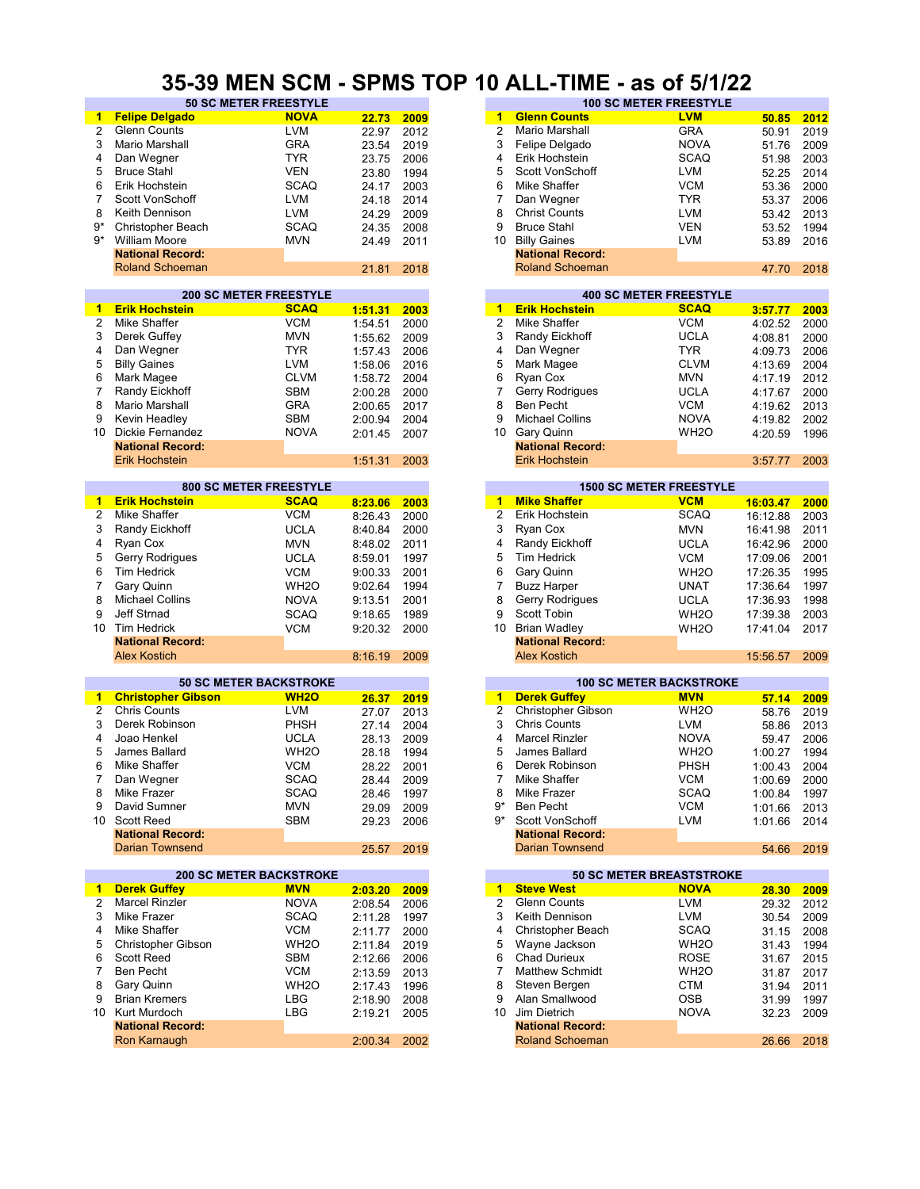#### **35-39 MEN SCM - SPMS TOP 10 ALL-TIME - as of 5/1/22**

| $\mathbf{1}$   | <b>Felipe Delgado</b>          | <b>NOVA</b>       |         |      | 1                       | <b>Glenn Counts</b>             | <b>LVM</b>        |          |      |
|----------------|--------------------------------|-------------------|---------|------|-------------------------|---------------------------------|-------------------|----------|------|
|                |                                |                   | 22.73   | 2009 |                         |                                 |                   | 50.85    | 2012 |
| $\overline{2}$ | Glenn Counts                   | <b>LVM</b>        | 22.97   | 2012 | 2                       | Mario Marshall                  | <b>GRA</b>        | 50.91    | 2019 |
| 3              | Mario Marshall                 | <b>GRA</b>        | 23.54   | 2019 | 3                       | Felipe Delgado                  | <b>NOVA</b>       | 51.76    | 2009 |
| 4              | Dan Wegner                     | <b>TYR</b>        | 23.75   | 2006 | 4                       | Erik Hochstein                  | <b>SCAQ</b>       | 51.98    | 2003 |
| 5              | <b>Bruce Stahl</b>             | <b>VEN</b>        | 23.80   | 1994 | 5                       | Scott VonSchoff                 | <b>LVM</b>        | 52.25    | 2014 |
|                |                                |                   |         |      |                         |                                 |                   |          |      |
| 6              | Erik Hochstein                 | <b>SCAQ</b>       | 24.17   | 2003 | 6                       | Mike Shaffer                    | <b>VCM</b>        | 53.36    | 2000 |
| 7              | Scott VonSchoff                | LVM               | 24.18   | 2014 | 7                       | Dan Wegner                      | TYR               | 53.37    | 2006 |
| 8              | Keith Dennison                 | LVM               | 24.29   | 2009 | 8                       | <b>Christ Counts</b>            | <b>LVM</b>        | 53.42    | 2013 |
| 9*             | Christopher Beach              | <b>SCAQ</b>       | 24.35   | 2008 | 9                       | <b>Bruce Stahl</b>              | <b>VEN</b>        | 53.52    | 1994 |
| 9*             | <b>William Moore</b>           |                   |         |      | 10                      | <b>Billy Gaines</b>             |                   |          |      |
|                |                                | <b>MVN</b>        | 24.49   | 2011 |                         |                                 | <b>LVM</b>        | 53.89    | 2016 |
|                | <b>National Record:</b>        |                   |         |      |                         | <b>National Record:</b>         |                   |          |      |
|                | <b>Roland Schoeman</b>         |                   | 21.81   | 2018 |                         | <b>Roland Schoeman</b>          |                   | 47.70    | 2018 |
|                |                                |                   |         |      |                         |                                 |                   |          |      |
|                | <b>200 SC METER FREESTYLE</b>  |                   |         |      |                         | <b>400 SC METER FREESTYLE</b>   |                   |          |      |
| 1              | <b>Erik Hochstein</b>          | <b>SCAQ</b>       | 1:51.31 | 2003 | 1                       | <b>Erik Hochstein</b>           | <b>SCAQ</b>       | 3:57.77  | 2003 |
| 2              | Mike Shaffer                   | <b>VCM</b>        |         |      | $\overline{\mathbf{c}}$ | Mike Shaffer                    | <b>VCM</b>        |          |      |
|                |                                |                   | 1:54.51 | 2000 |                         |                                 |                   | 4:02.52  | 2000 |
| 3              | Derek Guffey                   | <b>MVN</b>        | 1:55.62 | 2009 | 3                       | Randy Eickhoff                  | <b>UCLA</b>       | 4:08.81  | 2000 |
| 4              | Dan Wegner                     | <b>TYR</b>        | 1:57.43 | 2006 | 4                       | Dan Wegner                      | <b>TYR</b>        | 4:09.73  | 2006 |
| 5              | <b>Billy Gaines</b>            | LVM               | 1:58.06 | 2016 | 5                       | Mark Magee                      | <b>CLVM</b>       | 4:13.69  | 2004 |
| 6              | Mark Magee                     | <b>CLVM</b>       | 1:58.72 | 2004 | 6                       | Ryan Cox                        | <b>MVN</b>        | 4:17.19  | 2012 |
| $\overline{7}$ | Randy Eickhoff                 | <b>SBM</b>        |         |      | 7                       | Gerry Rodrigues                 | <b>UCLA</b>       |          |      |
|                |                                |                   | 2:00.28 | 2000 |                         |                                 |                   | 4:17.67  | 2000 |
| 8              | Mario Marshall                 | <b>GRA</b>        | 2:00.65 | 2017 | 8                       | <b>Ben Pecht</b>                | <b>VCM</b>        | 4:19.62  | 2013 |
| 9              | Kevin Headley                  | <b>SBM</b>        | 2:00.94 | 2004 | 9                       | <b>Michael Collins</b>          | <b>NOVA</b>       | 4:19.82  | 2002 |
| 10             | <b>Dickie Fernandez</b>        | <b>NOVA</b>       | 2:01.45 | 2007 | 10                      | Gary Quinn                      | WH <sub>2</sub> O | 4:20.59  | 1996 |
|                | <b>National Record:</b>        |                   |         |      |                         | <b>National Record:</b>         |                   |          |      |
|                | <b>Erik Hochstein</b>          |                   | 1:51.31 | 2003 |                         | Erik Hochstein                  |                   | 3:57.77  | 2003 |
|                |                                |                   |         |      |                         |                                 |                   |          |      |
|                |                                |                   |         |      |                         |                                 |                   |          |      |
|                | <b>800 SC METER FREESTYLE</b>  |                   |         |      |                         | <b>1500 SC METER FREESTYLE</b>  |                   |          |      |
| 1              | <b>Erik Hochstein</b>          | <b>SCAQ</b>       | 8:23.06 | 2003 | $\mathbf{1}$            | <b>Mike Shaffer</b>             | <b>VCM</b>        | 16:03.47 | 2000 |
| 2              | Mike Shaffer                   | <b>VCM</b>        | 8:26.43 | 2000 | $\overline{c}$          | Erik Hochstein                  | <b>SCAQ</b>       | 16:12.88 | 2003 |
| 3              | Randy Eickhoff                 | <b>UCLA</b>       | 8:40.84 | 2000 | 3                       | Ryan Cox                        | <b>MVN</b>        | 16:41.98 | 2011 |
| 4              | Ryan Cox                       | <b>MVN</b>        | 8:48.02 | 2011 | 4                       | Randy Eickhoff                  | <b>UCLA</b>       | 16:42.96 | 2000 |
|                |                                |                   |         |      |                         | Tim Hedrick                     |                   |          |      |
| 5              | Gerry Rodrigues                | <b>UCLA</b>       | 8:59.01 | 1997 | 5                       |                                 | <b>VCM</b>        | 17:09.06 | 2001 |
| 6              | <b>Tim Hedrick</b>             | <b>VCM</b>        | 9:00.33 | 2001 | 6                       | Gary Quinn                      | WH <sub>2</sub> O | 17:26.35 | 1995 |
| 7              | Gary Quinn                     | WH <sub>2</sub> O | 9:02.64 | 1994 | 7                       | <b>Buzz Harper</b>              | UNAT              | 17:36.64 | 1997 |
| 8              | <b>Michael Collins</b>         | <b>NOVA</b>       | 9:13.51 | 2001 | 8                       | Gerry Rodrigues                 | <b>UCLA</b>       | 17:36.93 | 1998 |
| 9              | Jeff Strnad                    | <b>SCAQ</b>       | 9:18.65 | 1989 | 9                       | Scott Tobin                     | WH <sub>2</sub> O | 17:39.38 | 2003 |
|                |                                |                   |         |      |                         |                                 |                   |          |      |
| 10             | <b>Tim Hedrick</b>             | <b>VCM</b>        | 9:20.32 | 2000 | 10                      | <b>Brian Wadley</b>             | WH <sub>2</sub> O | 17:41.04 | 2017 |
|                | <b>National Record:</b>        |                   |         |      |                         | <b>National Record:</b>         |                   |          |      |
|                | <b>Alex Kostich</b>            |                   | 8:16.19 | 2009 |                         | <b>Alex Kostich</b>             |                   | 15:56.57 | 2009 |
|                |                                |                   |         |      |                         |                                 |                   |          |      |
|                | <b>50 SC METER BACKSTROKE</b>  |                   |         |      |                         | <b>100 SC METER BACKSTROKE</b>  |                   |          |      |
| 1              | <b>Christopher Gibson</b>      | <b>WH2O</b>       | 26.37   | 2019 | 1                       | <b>Derek Guffey</b>             | <b>MVN</b>        | 57.14    | 2009 |
| 2              | <b>Chris Counts</b>            | LVM               | 27.07   | 2013 | 2                       | Christopher Gibson              | WH <sub>2</sub> O | 58.76    | 2019 |
|                |                                |                   |         |      | 3                       |                                 |                   |          |      |
| 3              | Derek Robinson                 | <b>PHSH</b>       | 27.14   | 2004 |                         | <b>Chris Counts</b>             | <b>LVM</b>        | 58.86    | 2013 |
| 4              | Joao Henkel                    | <b>UCLA</b>       | 28.13   | 2009 | 4                       | <b>Marcel Rinzler</b>           | <b>NOVA</b>       | 59.47    | 2006 |
| 5              | James Ballard                  | WH <sub>2</sub> O | 28.18   | 1994 | 5                       | James Ballard                   | WH <sub>2</sub> O | 1:00.27  | 1994 |
| 6              | Mike Shaffer                   | <b>VCM</b>        | 28.22   | 2001 | 6                       | Derek Robinson                  | PHSH              | 1:00.43  | 2004 |
| 7              | Dan Wegner                     | <b>SCAQ</b>       | 28.44   | 2009 | 7                       | Mike Shaffer                    | <b>VCM</b>        | 1:00.69  | 2000 |
| 8              | Mike Frazer                    | <b>SCAQ</b>       |         |      | 8                       | Mike Frazer                     | <b>SCAQ</b>       | 1:00.84  | 1997 |
|                |                                |                   | 28.46   | 1997 |                         |                                 |                   |          |      |
| 9              | David Sumner                   | <b>MVN</b>        | 29.09   | 2009 | 9*                      | Ben Pecht                       | <b>VCM</b>        | 1:01.66  | 2013 |
|                | 10 Scott Reed                  | <b>SBM</b>        | 29.23   | 2006 | $9*$                    | Scott VonSchoff                 | LVM               | 1:01.66  | 2014 |
|                | <b>National Record:</b>        |                   |         |      |                         | <b>National Record:</b>         |                   |          |      |
|                | <b>Darian Townsend</b>         |                   | 25.57   | 2019 |                         | <b>Darian Townsend</b>          |                   | 54.66    | 2019 |
|                |                                |                   |         |      |                         |                                 |                   |          |      |
|                | <b>200 SC METER BACKSTROKE</b> |                   |         |      |                         | <b>50 SC METER BREASTSTROKE</b> |                   |          |      |
| $\mathbf{1}$   | <b>Derek Guffey</b>            | <b>MVN</b>        | 2:03.20 | 2009 |                         | 1 Steve West                    | <b>NOVA</b>       | 28.30    | 2009 |
| 2              | <b>Marcel Rinzler</b>          | <b>NOVA</b>       | 2:08.54 | 2006 | 2                       | <b>Glenn Counts</b>             | LVM               | 29.32    | 2012 |
| 3              | Mike Frazer                    | <b>SCAQ</b>       |         |      | 3                       | Keith Dennison                  | LVM               |          |      |
|                |                                |                   | 2:11.28 | 1997 |                         |                                 |                   | 30.54    | 2009 |
| 4              | Mike Shaffer                   | <b>VCM</b>        | 2:11.77 | 2000 | 4                       | Christopher Beach               | <b>SCAQ</b>       | 31.15    | 2008 |
| 5              | Christopher Gibson             | WH <sub>2</sub> O | 2:11.84 | 2019 | 5                       | Wayne Jackson                   | WH <sub>2</sub> O | 31.43    | 1994 |
| 6              | Scott Reed                     | <b>SBM</b>        | 2:12.66 | 2006 | 6                       | <b>Chad Durieux</b>             | ROSE              | 31.67    | 2015 |
| 7              | Ben Pecht                      | <b>VCM</b>        | 2:13.59 | 2013 | 7                       | <b>Matthew Schmidt</b>          | WH <sub>2</sub> O | 31.87    | 2017 |
| 8              | Gary Quinn                     | WH <sub>2</sub> O | 2:17.43 | 1996 | 8                       | Steven Bergen                   | CTM               | 31.94    | 2011 |
|                |                                |                   |         |      |                         |                                 |                   |          |      |
| 9              | <b>Brian Kremers</b>           | LBG               | 2:18.90 | 2008 | 9                       | Alan Smallwood                  | OSB               | 31.99    | 1997 |
|                | 10 Kurt Murdoch                | LBG               | 2:19.21 | 2005 |                         | 10 Jim Dietrich                 | <b>NOVA</b>       | 32.23    | 2009 |
|                | <b>National Record:</b>        |                   |         |      |                         | <b>National Record:</b>         |                   |          |      |
|                | Ron Karnaugh                   |                   | 2:00.34 | 2002 |                         | <b>Roland Schoeman</b>          |                   | 26.66    | 2018 |
|                |                                |                   |         |      |                         |                                 |                   |          |      |

|      | UV IIIEII VVIII              | UI IIIU IUI |      |    | IV ALL-TIINL            | uv vi                         |       |      |
|------|------------------------------|-------------|------|----|-------------------------|-------------------------------|-------|------|
|      | <b>50 SC METER FREESTYLE</b> |             |      |    |                         | <b>100 SC METER FREESTYLE</b> |       |      |
| Ιo   | <b>NOVA</b>                  | 22.73       | 2009 |    | <b>Glenn Counts</b>     | <b>LVM</b>                    | 50.85 | 2012 |
|      | <b>LVM</b>                   | 22.97       | 2012 |    | Mario Marshall          | <b>GRA</b>                    | 50.91 | 2019 |
|      | <b>GRA</b>                   | 23.54       | 2019 | 3  | Felipe Delgado          | <b>NOVA</b>                   | 51.76 | 2009 |
|      | <b>TYR</b>                   | 23.75       | 2006 | 4  | Erik Hochstein          | <b>SCAQ</b>                   | 51.98 | 2003 |
|      | <b>VEN</b>                   | 23.80       | 1994 | 5  | Scott VonSchoff         | <b>LVM</b>                    | 52.25 | 2014 |
|      | <b>SCAQ</b>                  | 24.17       | 2003 | 6  | Mike Shaffer            | <b>VCM</b>                    | 53.36 | 2000 |
| off  | <b>LVM</b>                   | 24.18       | 2014 |    | Dan Wegner              | <b>TYR</b>                    | 53.37 | 2006 |
| n.   | <b>LVM</b>                   | 24.29       | 2009 | 8  | <b>Christ Counts</b>    | <b>LVM</b>                    | 53.42 | 2013 |
| each | <b>SCAQ</b>                  | 24.35       | 2008 | 9  | <b>Bruce Stahl</b>      | <b>VEN</b>                    | 53.52 | 1994 |
|      | <b>MVN</b>                   | 24.49       | 2011 | 10 | <b>Billy Gaines</b>     | <b>LVM</b>                    | 53.89 | 2016 |
| :bıc |                              |             |      |    | <b>National Record:</b> |                               |       |      |
| man  |                              | 21.81       | 2018 |    | <b>Roland Schoeman</b>  |                               | 47.70 | 2018 |
|      |                              |             |      |    |                         |                               |       |      |

|         |      |    |                         | <b>400 SC METER FREESTYLE</b> |         |      |
|---------|------|----|-------------------------|-------------------------------|---------|------|
| 1:51.31 | 2003 | 1  | <b>Erik Hochstein</b>   | <b>SCAQ</b>                   | 3:57.77 | 2003 |
| 1:54.51 | 2000 | 2  | Mike Shaffer            | <b>VCM</b>                    | 4:02.52 | 2000 |
| 1:55.62 | 2009 | 3  | Randy Eickhoff          | <b>UCLA</b>                   | 4:08.81 | 2000 |
| 1:57.43 | 2006 | 4  | Dan Wegner              | <b>TYR</b>                    | 4:09.73 | 2006 |
| 1:58.06 | 2016 | 5  | Mark Magee              | <b>CLVM</b>                   | 4:13.69 | 2004 |
| 1:58.72 | 2004 | 6  | Ryan Cox                | <b>MVN</b>                    | 4:17.19 | 2012 |
| 2:00.28 | 2000 | 7  | <b>Gerry Rodrigues</b>  | <b>UCLA</b>                   | 4:17.67 | 2000 |
| 2:00.65 | 2017 | 8  | Ben Pecht               | <b>VCM</b>                    | 4:19.62 | 2013 |
| 2:00.94 | 2004 | 9  | <b>Michael Collins</b>  | <b>NOVA</b>                   | 4:19.82 | 2002 |
| 2:01.45 | 2007 | 10 | Gary Quinn              | WH <sub>2</sub> O             | 4:20.59 | 1996 |
|         |      |    | <b>National Record:</b> |                               |         |      |
| 1:51.31 | 2003 |    | <b>Erik Hochstein</b>   |                               | 3:57.77 | 2003 |

|         |      |    |                         | <b>1500 SC METER FREESTYLE</b> |          |
|---------|------|----|-------------------------|--------------------------------|----------|
| 8:23.06 | 2003 | 1  | <b>Mike Shaffer</b>     | <b>VCM</b>                     | 16:03.47 |
| 8:26.43 | 2000 | 2  | Erik Hochstein          | SCAQ                           | 16:12.88 |
| 8:40.84 | 2000 | 3  | Ryan Cox                | <b>MVN</b>                     | 16:41.98 |
| 8:48.02 | 2011 | 4  | Randy Eickhoff          | <b>UCLA</b>                    | 16:42.96 |
| 8:59.01 | 1997 | 5  | <b>Tim Hedrick</b>      | <b>VCM</b>                     | 17:09.06 |
| 9:00.33 | 2001 | 6  | Gary Quinn              | WH <sub>2</sub> O              | 17:26.35 |
| 9:02.64 | 1994 |    | <b>Buzz Harper</b>      | <b>UNAT</b>                    | 17:36.64 |
| 9:13.51 | 2001 | 8  | <b>Gerry Rodrigues</b>  | <b>UCLA</b>                    | 17:36.93 |
| 9:18.65 | 1989 | 9  | Scott Tobin             | WH <sub>2</sub> O              | 17:39.38 |
| 9:20.32 | 2000 | 10 | <b>Brian Wadley</b>     | WH <sub>2</sub> O              | 17:41.04 |
|         |      |    | <b>National Record:</b> |                                |          |
| 8:16.19 | 2009 |    | <b>Alex Kostich</b>     |                                | 15:56.57 |
|         |      |    |                         |                                |          |

| 26.37 | 2019 |
|-------|------|
| 27.07 | 2013 |
| 27.14 | 2004 |
| 28.13 | 2009 |
| 28.18 | 1994 |
| 28.22 | 2001 |
| 28.44 | 2009 |
| 28.46 | 1997 |
| 29.09 | 2009 |
| 29.23 | 2006 |
|       |      |
| 25.57 | 2019 |

|         |      |               |                         | <b>50 SC METER BREASTSTROKE</b> |       |
|---------|------|---------------|-------------------------|---------------------------------|-------|
| 2:03.20 | 2009 | 1             | <b>Steve West</b>       | <b>NOVA</b>                     | 28.30 |
| 2:08.54 | 2006 | $\mathcal{P}$ | <b>Glenn Counts</b>     | <b>LVM</b>                      | 29.32 |
| 2:11.28 | 1997 | 3             | Keith Dennison          | <b>LVM</b>                      | 30.54 |
| 2:11.77 | 2000 | 4             | Christopher Beach       | <b>SCAQ</b>                     | 31.15 |
| 2:11.84 | 2019 | 5             | Wayne Jackson           | WH <sub>2</sub> O               | 31.43 |
| 2:12.66 | 2006 | 6             | <b>Chad Durieux</b>     | <b>ROSE</b>                     | 31.67 |
| 2:13.59 | 2013 |               | <b>Matthew Schmidt</b>  | WH <sub>2</sub> O               | 31.87 |
| 2:17.43 | 1996 | 8             | Steven Bergen           | <b>CTM</b>                      | 31.94 |
| 2:18.90 | 2008 | 9             | Alan Smallwood          | <b>OSB</b>                      | 31.99 |
| 2:19.21 | 2005 | 10            | Jim Dietrich            | <b>NOVA</b>                     | 32.23 |
|         |      |               | <b>National Record:</b> |                                 |       |
| 2:00.34 | 2002 |               | <b>Roland Schoeman</b>  |                                 | 26.66 |
|         |      |               |                         |                                 |       |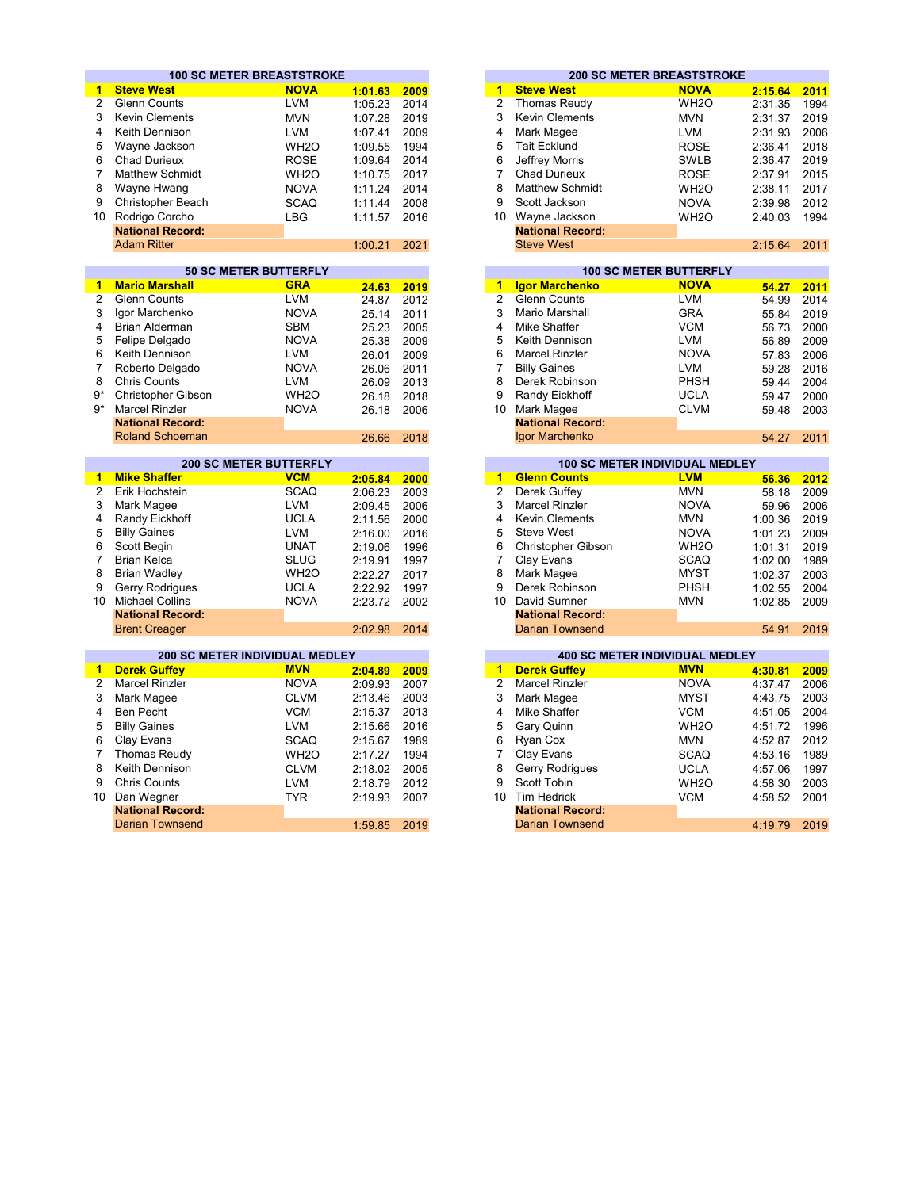|                |                                | <b>100 SC METER BREASTSTROKE</b> |                  |      |                         |                         | <b>200 SC METER BREASTSTROKE</b>      |                |              |
|----------------|--------------------------------|----------------------------------|------------------|------|-------------------------|-------------------------|---------------------------------------|----------------|--------------|
| 1              | <b>Steve West</b>              | <b>NOVA</b>                      | 1:01.63          | 2009 | 1                       | <b>Steve West</b>       | <b>NOVA</b>                           | 2:15.64        | 2011         |
| $\overline{2}$ | <b>Glenn Counts</b>            | <b>LVM</b>                       | 1:05.23          | 2014 | $\overline{2}$          | <b>Thomas Reudy</b>     | WH <sub>2</sub> O                     | 2:31.35        | 1994         |
| 3              | <b>Kevin Clements</b>          | <b>MVN</b>                       | 1:07.28          | 2019 | 3                       | <b>Kevin Clements</b>   | <b>MVN</b>                            | 2:31.37        | 2019         |
| 4              | Keith Dennison                 | <b>LVM</b>                       | 1:07.41          | 2009 | 4                       | Mark Magee              | <b>LVM</b>                            | 2:31.93        | 2006         |
| 5              | Wayne Jackson                  | WH <sub>2</sub> O                | 1:09.55          | 1994 | 5                       | <b>Tait Ecklund</b>     | <b>ROSE</b>                           | 2:36.41        | 2018         |
| 6              | <b>Chad Durieux</b>            | <b>ROSE</b>                      | 1:09.64          | 2014 | 6                       | Jeffrey Morris          | <b>SWLB</b>                           | 2:36.47        | 2019         |
| 7              | <b>Matthew Schmidt</b>         | WH <sub>2</sub> O                | 1:10.75          | 2017 | $\overline{7}$          | <b>Chad Durieux</b>     | <b>ROSE</b>                           | 2:37.91        | 2015         |
| 8              | Wayne Hwang                    | <b>NOVA</b>                      | 1:11.24          | 2014 | 8                       | <b>Matthew Schmidt</b>  | WH <sub>2</sub> O                     | 2:38.11        | 2017         |
| 9              | Christopher Beach              | <b>SCAQ</b>                      |                  | 2008 | 9                       | Scott Jackson           |                                       |                | 2012         |
|                |                                |                                  | 1:11.44          |      |                         |                         | <b>NOVA</b>                           | 2:39.98        |              |
| 10             | Rodrigo Corcho                 | <b>LBG</b>                       | 1:11.57          | 2016 | 10 <sup>1</sup>         | Wayne Jackson           | WH <sub>2</sub> O                     | 2:40.03        | 1994         |
|                | <b>National Record:</b>        |                                  |                  |      |                         | <b>National Record:</b> |                                       |                |              |
|                | <b>Adam Ritter</b>             |                                  | 1:00.21          | 2021 |                         | <b>Steve West</b>       |                                       | 2:15.64        | 2011         |
|                |                                | <b>50 SC METER BUTTERFLY</b>     |                  |      |                         |                         | <b>100 SC METER BUTTERFLY</b>         |                |              |
| $\mathbf{1}$   | <b>Mario Marshall</b>          | <b>GRA</b>                       | 24.63            | 2019 | 1                       | <b>Igor Marchenko</b>   | <b>NOVA</b>                           | 54.27          |              |
| $\overline{2}$ | Glenn Counts                   | <b>LVM</b>                       | 24.87            | 2012 | $\overline{2}$          | <b>Glenn Counts</b>     | <b>LVM</b>                            | 54.99          | 2011<br>2014 |
| 3              | Igor Marchenko                 | <b>NOVA</b>                      | 25.14            | 2011 | 3                       | <b>Mario Marshall</b>   | <b>GRA</b>                            | 55.84          | 2019         |
| 4              | Brian Alderman                 | <b>SBM</b>                       | 25.23            | 2005 | 4                       | <b>Mike Shaffer</b>     | <b>VCM</b>                            | 56.73          | 2000         |
| 5              | Felipe Delgado                 | <b>NOVA</b>                      |                  |      | 5                       | Keith Dennison          | <b>LVM</b>                            |                |              |
| 6              | Keith Dennison                 | <b>LVM</b>                       | 25.38            | 2009 | 6                       | <b>Marcel Rinzler</b>   | <b>NOVA</b>                           | 56.89          | 2009         |
|                |                                |                                  | 26.01            | 2009 | $\overline{7}$          |                         |                                       | 57.83          | 2006         |
| $\overline{7}$ | Roberto Delgado                | <b>NOVA</b>                      | 26.06            | 2011 |                         | <b>Billy Gaines</b>     | <b>LVM</b>                            | 59.28          | 2016         |
| 8              | <b>Chris Counts</b>            | <b>LVM</b>                       | 26.09            | 2013 | 8                       | Derek Robinson          | <b>PHSH</b>                           | 59.44          | 2004         |
| $9*$           | Christopher Gibson             | WH <sub>2</sub> O                | 26.18            | 2018 | 9                       | Randy Eickhoff          | <b>UCLA</b>                           | 59.47          | 2000         |
| $9*$           | <b>Marcel Rinzler</b>          | <b>NOVA</b>                      | 26.18            | 2006 | 10                      | Mark Magee              | <b>CLVM</b>                           | 59.48          | 2003         |
|                | <b>National Record:</b>        |                                  |                  |      |                         | <b>National Record:</b> |                                       |                |              |
|                | <b>Roland Schoeman</b>         |                                  | 26.66            | 2018 |                         | Igor Marchenko          |                                       | 54.27          | 2011         |
|                |                                | <b>200 SC METER BUTTERFLY</b>    |                  |      |                         |                         | <b>100 SC METER INDIVIDUAL MEDLEY</b> |                |              |
| $\mathbf{1}$   | <b>Mike Shaffer</b>            | <b>VCM</b>                       | 2:05.84          | 2000 | 1                       | <b>Glenn Counts</b>     | <b>LVM</b>                            | 56.36          | 2012         |
| $\overline{c}$ | Erik Hochstein                 | <b>SCAQ</b>                      | 2:06.23          | 2003 | $\overline{2}$          | Derek Guffev            | <b>MVN</b>                            | 58.18          | 2009         |
| 3              | Mark Magee                     | <b>LVM</b>                       | 2:09.45          | 2006 | 3                       | <b>Marcel Rinzler</b>   | <b>NOVA</b>                           | 59.96          | 2006         |
| 4              | Randy Eickhoff                 | <b>UCLA</b>                      | 2:11.56          | 2000 | $\overline{4}$          | <b>Kevin Clements</b>   | <b>MVN</b>                            | 1:00.36        | 2019         |
| 5              | <b>Billy Gaines</b>            | <b>LVM</b>                       | 2:16.00          | 2016 | 5                       | <b>Steve West</b>       | <b>NOVA</b>                           | 1:01.23        | 2009         |
| 6              | Scott Begin                    | <b>UNAT</b>                      | 2:19.06          | 1996 | 6                       | Christopher Gibson      | WH <sub>2</sub> O                     | 1:01.31        | 2019         |
| $\overline{7}$ | <b>Brian Kelca</b>             | <b>SLUG</b>                      | 2:19.91          | 1997 | $\overline{7}$          | Clay Evans              | <b>SCAQ</b>                           | 1:02.00        | 1989         |
| 8              | <b>Brian Wadley</b>            | WH <sub>2</sub> O                | 2:22.27          | 2017 | 8                       | Mark Magee              | <b>MYST</b>                           | 1:02.37        | 2003         |
| 9              | Gerry Rodrigues                | <b>UCLA</b>                      | 2:22.92          | 1997 | 9                       | Derek Robinson          | <b>PHSH</b>                           | 1:02.55        | 2004         |
| 10             | <b>Michael Collins</b>         | <b>NOVA</b>                      | 2:23.72          | 2002 | 10                      | David Sumner            | <b>MVN</b>                            | 1:02.85        | 2009         |
|                | <b>National Record:</b>        |                                  |                  |      |                         | <b>National Record:</b> |                                       |                |              |
|                | <b>Brent Creager</b>           |                                  | 2:02.98          | 2014 |                         | <b>Darian Townsend</b>  |                                       | 54.91          | 2019         |
|                |                                |                                  |                  |      |                         |                         |                                       |                |              |
|                | 200 SC METER INDIVIDUAL MEDLEY |                                  |                  |      |                         |                         | <b>400 SC METER INDIVIDUAL MEDLEY</b> |                |              |
| $\mathbf{1}$   | <b>Derek Guffey</b>            | <b>MVN</b>                       | 2:04.89          | 2009 | $\mathbf{1}$            | <b>Derek Guffey</b>     | <b>MVN</b>                            | 4:30.81        | 2009         |
| $\overline{2}$ | <b>Marcel Rinzler</b>          | <b>NOVA</b>                      | 2:09.93          | 2007 | $\overline{2}$          | <b>Marcel Rinzler</b>   | <b>NOVA</b>                           | 4:37.47        | 2006         |
| 3              | Mark Magee                     | <b>CLVM</b>                      | 2:13.46          | 2003 | 3                       | Mark Magee              | <b>MYST</b>                           | 4:43.75        | 2003         |
| 4              | <b>Ben Pecht</b>               | <b>VCM</b>                       | 2:15.37          | 2013 | $\overline{\mathbf{4}}$ | Mike Shaffer            | <b>VCM</b>                            | 4:51.05        | 2004         |
| 5              | <b>Billy Gaines</b>            | <b>LVM</b>                       | 2:15.66          | 2016 | 5                       | Gary Quinn              | WH <sub>2</sub> O                     | 4:51.72        | 1996         |
| 6              | Clay Evans                     | <b>SCAQ</b>                      | 2:15.67          | 1989 | 6                       | Ryan Cox                | <b>MVN</b>                            | 4:52.87        | 2012         |
| 7              | Thomas Reudy                   | WH <sub>2</sub> O                | 2:17.27          | 1994 | $\overline{7}$          | Clay Evans              | <b>SCAQ</b>                           | 4:53.16        | 1989         |
| 8              | Keith Dennison                 | <b>CLVM</b>                      | 2:18.02          | 2005 | 8                       | Gerry Rodrigues         | <b>UCLA</b>                           | 4:57.06        | 1997         |
| 9              | <b>Chris Counts</b>            | <b>LVM</b>                       | 2:18.79          | 2012 | 9                       | Scott Tobin             | WH <sub>2</sub> O                     | 4:58.30        | 2003         |
| 10             | Dan Wegner                     | <b>TYR</b>                       | 2:19.93          | 2007 | 10                      | <b>Tim Hedrick</b>      | <b>VCM</b>                            | 4:58.52        | 2001         |
|                | <b>National Record:</b>        |                                  |                  |      |                         | <b>National Record:</b> |                                       |                |              |
|                | Darian Townsond                |                                  | $4.50.05$ $2040$ |      |                         | Darian Townsond         |                                       | 4.40, 70, 0040 |              |

|         |      |    |                         | <b>200 SC METER BREASTSTROKE</b> |         |      |
|---------|------|----|-------------------------|----------------------------------|---------|------|
| 1:01.63 | 2009 | 1  | <b>Steve West</b>       | <b>NOVA</b>                      | 2:15.64 | 2011 |
| 1:05.23 | 2014 | 2  | Thomas Reudy            | WH <sub>2</sub> O                | 2:31.35 | 1994 |
| 1:07.28 | 2019 | 3  | <b>Kevin Clements</b>   | <b>MVN</b>                       | 2:31.37 | 2019 |
| 1:07.41 | 2009 | 4  | Mark Magee              | <b>LVM</b>                       | 2:31.93 | 2006 |
| 1:09.55 | 1994 | 5  | <b>Tait Ecklund</b>     | <b>ROSE</b>                      | 2:36.41 | 2018 |
| 1:09.64 | 2014 | 6  | Jeffrey Morris          | <b>SWLB</b>                      | 2:36.47 | 2019 |
| 1:10.75 | 2017 |    | Chad Durieux            | <b>ROSE</b>                      | 2:37.91 | 2015 |
| 1:11.24 | 2014 | 8  | <b>Matthew Schmidt</b>  | WH <sub>2</sub> O                | 2:38.11 | 2017 |
| 1:11.44 | 2008 | 9  | Scott Jackson           | <b>NOVA</b>                      | 2:39.98 | 2012 |
| 1:11.57 | 2016 | 10 | Wayne Jackson           | WH <sub>2</sub> O                | 2:40.03 | 1994 |
|         |      |    | <b>National Record:</b> |                                  |         |      |
| 1:00.21 | 2021 |    | <b>Steve West</b>       |                                  | 2:15.64 | 2011 |
|         |      |    |                         |                                  |         |      |

|       |      |    |                         | <b>100 SC METER BUTTERFLY</b> |       |      |
|-------|------|----|-------------------------|-------------------------------|-------|------|
| 24.63 | 2019 | 1  | <b>Igor Marchenko</b>   | <b>NOVA</b>                   | 54.27 | 2011 |
| 24.87 | 2012 | 2  | <b>Glenn Counts</b>     | <b>LVM</b>                    | 54.99 | 2014 |
| 25.14 | 2011 | 3  | Mario Marshall          | <b>GRA</b>                    | 55.84 | 2019 |
| 25.23 | 2005 | 4  | Mike Shaffer            | <b>VCM</b>                    | 56.73 | 2000 |
| 25.38 | 2009 | 5  | Keith Dennison          | <b>LVM</b>                    | 56.89 | 2009 |
| 26.01 | 2009 | 6  | Marcel Rinzler          | <b>NOVA</b>                   | 57.83 | 2006 |
| 26.06 | 2011 |    | <b>Billy Gaines</b>     | <b>LVM</b>                    | 59.28 | 2016 |
| 26.09 | 2013 | 8  | Derek Robinson          | <b>PHSH</b>                   | 59.44 | 2004 |
| 26.18 | 2018 | 9  | Randy Eickhoff          | <b>UCLA</b>                   | 59.47 | 2000 |
| 26.18 | 2006 | 10 | Mark Magee              | <b>CLVM</b>                   | 59.48 | 2003 |
|       |      |    | <b>National Record:</b> |                               |       |      |
| 26.66 | 2018 |    | Igor Marchenko          |                               | 54.27 | 2011 |

| <b>200 SC METER BUTTERFLY</b> |                   |         |      |    | <b>100 SC METER INDIVIDUAL MEDLEY</b> |                   |         |      |
|-------------------------------|-------------------|---------|------|----|---------------------------------------|-------------------|---------|------|
|                               |                   |         |      |    |                                       |                   |         |      |
|                               | <b>VCM</b>        | 2:05.84 | 2000 | 1  | <b>Glenn Counts</b>                   | <b>LVM</b>        | 56.36   | 2012 |
|                               | <b>SCAQ</b>       | 2:06.23 | 2003 |    | Derek Guffey                          | <b>MVN</b>        | 58.18   | 2009 |
|                               | <b>LVM</b>        | 2:09.45 | 2006 | 3  | <b>Marcel Rinzler</b>                 | <b>NOVA</b>       | 59.96   | 2006 |
| лff                           | <b>UCLA</b>       | 2:11.56 | 2000 | 4  | <b>Kevin Clements</b>                 | <b>MVN</b>        | 1:00.36 | 2019 |
|                               | <b>LVM</b>        | 2:16.00 | 2016 | 5  | <b>Steve West</b>                     | <b>NOVA</b>       | 1:01.23 | 2009 |
|                               | <b>UNAT</b>       | 2:19.06 | 1996 | 6  | Christopher Gibson                    | WH <sub>2</sub> O | 1:01.31 | 2019 |
|                               | <b>SLUG</b>       | 2:19.91 | 1997 |    | Clay Evans                            | SCAQ              | 1:02.00 | 1989 |
|                               | WH <sub>2</sub> O | 2:22.27 | 2017 | 8  | Mark Magee                            | <b>MYST</b>       | 1:02.37 | 2003 |
| ıes                           | <b>UCLA</b>       | 2:22.92 | 1997 | 9  | Derek Robinson                        | <b>PHSH</b>       | 1:02.55 | 2004 |
| ١S                            | <b>NOVA</b>       | 2:23.72 | 2002 | 10 | David Sumner                          | <b>MVN</b>        | 1:02.85 | 2009 |
| ord:                          |                   |         |      |    | <b>National Record:</b>               |                   |         |      |
| r.                            |                   | 2:02.98 | 2014 |    | Darian Townsend                       |                   | 54.91   | 2019 |

|                         | <b>200 SC METER INDIVIDUAL MEDLEY</b> |         |      |
|-------------------------|---------------------------------------|---------|------|
| <b>Derek Guffey</b>     | <b>MVN</b>                            | 2:04.89 | 2009 |
| Marcel Rinzler          | <b>NOVA</b>                           | 2:09.93 | 2007 |
| Mark Magee              | <b>CLVM</b>                           | 2:13.46 | 2003 |
| Ben Pecht               | <b>VCM</b>                            | 2:15.37 | 2013 |
| <b>Billy Gaines</b>     | <b>LVM</b>                            | 2:15.66 | 2016 |
| Clay Evans              | <b>SCAQ</b>                           | 2:15.67 | 1989 |
| Thomas Reudy            | WH <sub>2</sub> O                     | 2:17.27 | 1994 |
| Keith Dennison          | <b>CLVM</b>                           | 2:18.02 | 2005 |
| Chris Counts            | <b>LVM</b>                            | 2:18.79 | 2012 |
| Dan Wegner              | <b>TYR</b>                            | 2:19.93 | 2007 |
| <b>National Record:</b> |                                       |         |      |
| Darian Townsend         |                                       | 1:59.85 | 2019 |
|                         |                                       |         |      |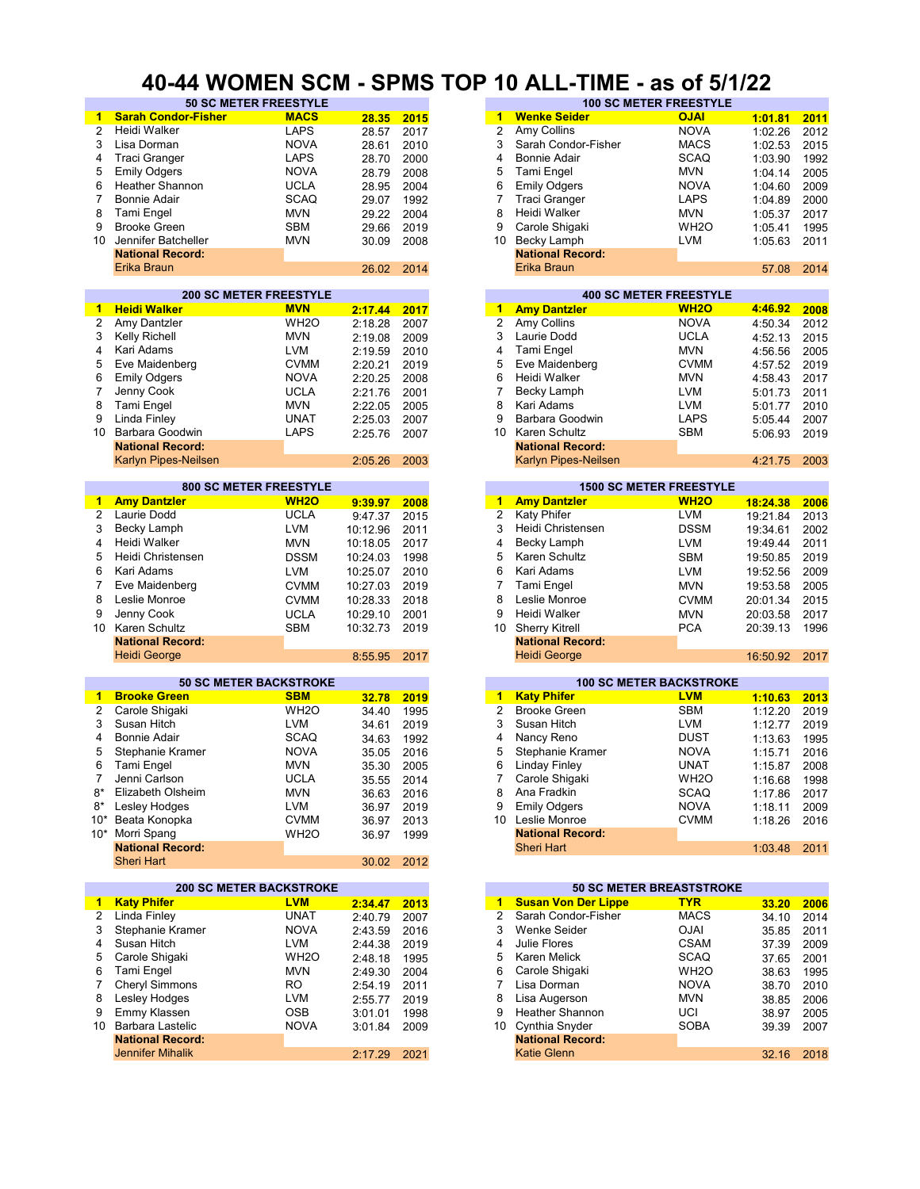#### **40-44 WOMEN SCM - SPMS TOP 10 ALL-TIME - as of 5/1/22**

| 1              | <b>Sarah Condor-Fisher</b>     | <b>MACS</b>       | 28.35      | 2015 | $\blacktriangleleft$    | <b>Wenke Seider</b>        | <b>OJAI</b>                     | 1:01.81  | 2011 |
|----------------|--------------------------------|-------------------|------------|------|-------------------------|----------------------------|---------------------------------|----------|------|
| $\overline{2}$ | Heidi Walker                   | <b>LAPS</b>       | 28.57      | 2017 | 2                       | Amy Collins                | <b>NOVA</b>                     | 1:02.26  | 2012 |
| 3              | Lisa Dorman                    | <b>NOVA</b>       | 28.61      | 2010 | 3                       | Sarah Condor-Fisher        | <b>MACS</b>                     | 1:02.53  | 2015 |
| 4              | <b>Traci Granger</b>           | <b>LAPS</b>       | 28.70      | 2000 | 4                       | <b>Bonnie Adair</b>        | <b>SCAQ</b>                     | 1:03.90  | 1992 |
|                |                                |                   |            |      |                         |                            |                                 |          |      |
| 5              | <b>Emily Odgers</b>            | <b>NOVA</b>       | 28.79      | 2008 | 5                       | Tami Engel                 | <b>MVN</b>                      | 1:04.14  | 2005 |
| 6              | <b>Heather Shannon</b>         | <b>UCLA</b>       | 28.95      | 2004 | 6                       | <b>Emily Odgers</b>        | <b>NOVA</b>                     | 1:04.60  | 2009 |
| 7              | Bonnie Adair                   | <b>SCAQ</b>       | 29.07      | 1992 | 7                       | <b>Traci Granger</b>       | <b>LAPS</b>                     | 1:04.89  | 2000 |
| 8              | Tami Engel                     | <b>MVN</b>        | 29.22      | 2004 | 8                       | Heidi Walker               | <b>MVN</b>                      | 1:05.37  | 2017 |
| 9              | <b>Brooke Green</b>            | <b>SBM</b>        | 29.66      | 2019 | 9                       | Carole Shigaki             | WH <sub>2</sub> O               | 1:05.41  | 1995 |
| 10             | Jennifer Batcheller            | <b>MVN</b>        | 30.09      | 2008 | 10                      | Becky Lamph                | <b>LVM</b>                      | 1:05.63  | 2011 |
|                | <b>National Record:</b>        |                   |            |      |                         | <b>National Record:</b>    |                                 |          |      |
|                | Erika Braun                    |                   | 26.02      | 2014 |                         | Erika Braun                |                                 | 57.08    | 2014 |
|                |                                |                   |            |      |                         |                            |                                 |          |      |
|                | <b>200 SC METER FREESTYLE</b>  |                   |            |      |                         |                            | <b>400 SC METER FREESTYLE</b>   |          |      |
| 1              | <b>Heidi Walker</b>            | <b>MVN</b>        | 2:17.44    | 2017 | $\mathbf{1}$            | <b>Amy Dantzler</b>        | <b>WH2O</b>                     | 4:46.92  | 2008 |
| 2              | Amy Dantzler                   | WH <sub>2</sub> O | 2:18.28    | 2007 | $\overline{c}$          | Amy Collins                | <b>NOVA</b>                     | 4:50.34  | 2012 |
| 3              | Kelly Richell                  | <b>MVN</b>        | 2:19.08    | 2009 | 3                       | Laurie Dodd                | <b>UCLA</b>                     | 4:52.13  | 2015 |
| 4              | Kari Adams                     | <b>LVM</b>        | 2:19.59    | 2010 | 4                       | Tami Engel                 | <b>MVN</b>                      | 4:56.56  | 2005 |
| 5              |                                | <b>CVMM</b>       |            |      | 5                       |                            | <b>CVMM</b>                     |          |      |
|                | Eve Maidenberg                 |                   | 2:20.21    | 2019 |                         | Eve Maidenberg             |                                 | 4:57.52  | 2019 |
| 6              | <b>Emily Odgers</b>            | <b>NOVA</b>       | 2:20.25    | 2008 | 6                       | Heidi Walker               | <b>MVN</b>                      | 4:58.43  | 2017 |
| 7              | Jenny Cook                     | <b>UCLA</b>       | 2:21.76    | 2001 | 7                       | Becky Lamph                | <b>LVM</b>                      | 5:01.73  | 2011 |
| 8              | Tami Engel                     | <b>MVN</b>        | 2:22.05    | 2005 | 8                       | Kari Adams                 | <b>LVM</b>                      | 5:01.77  | 2010 |
| 9              | Linda Finley                   | <b>UNAT</b>       | 2:25.03    | 2007 | 9                       | Barbara Goodwin            | <b>LAPS</b>                     | 5:05.44  | 2007 |
| 10             | Barbara Goodwin                | <b>LAPS</b>       | 2:25.76    | 2007 | 10                      | Karen Schultz              | <b>SBM</b>                      | 5:06.93  | 2019 |
|                | <b>National Record:</b>        |                   |            |      |                         | <b>National Record:</b>    |                                 |          |      |
|                | Karlyn Pipes-Neilsen           |                   | 2:05.26    | 2003 |                         | Karlyn Pipes-Neilsen       |                                 | 4:21.75  | 2003 |
|                |                                |                   |            |      |                         |                            |                                 |          |      |
|                | <b>800 SC METER FREESTYLE</b>  |                   |            |      |                         |                            | <b>1500 SC METER FREESTYLE</b>  |          |      |
| 1.             | <b>Amy Dantzler</b>            | <b>WH20</b>       | 9:39.97    | 2008 | $\mathbf{1}$            | <b>Amy Dantzler</b>        | <b>WH2O</b>                     | 18:24.38 | 2006 |
| 2              | Laurie Dodd                    | <b>UCLA</b>       | 9:47.37    | 2015 | $\overline{\mathbf{c}}$ | Katy Phifer                | <b>LVM</b>                      | 19:21.84 | 2013 |
| 3              | Becky Lamph                    | <b>LVM</b>        | 10:12.96   | 2011 | 3                       | Heidi Christensen          | <b>DSSM</b>                     | 19:34.61 | 2002 |
| 4              | Heidi Walker                   | <b>MVN</b>        | 10:18.05   | 2017 | 4                       | Becky Lamph                | <b>LVM</b>                      | 19:49.44 | 2011 |
|                |                                |                   |            |      | 5                       |                            |                                 |          |      |
| 5              | Heidi Christensen              | <b>DSSM</b>       | 10:24.03   | 1998 |                         | Karen Schultz              | <b>SBM</b>                      | 19:50.85 | 2019 |
| 6              | Kari Adams                     | <b>LVM</b>        | 10:25.07   | 2010 | 6                       | Kari Adams                 | <b>LVM</b>                      | 19:52.56 | 2009 |
| 7              | Eve Maidenberg                 | <b>CVMM</b>       | 10:27.03   | 2019 | $\overline{7}$          | Tami Engel                 | <b>MVN</b>                      | 19:53.58 | 2005 |
| 8              | Leslie Monroe                  | <b>CVMM</b>       | 10:28.33   | 2018 | 8                       | Leslie Monroe              | <b>CVMM</b>                     | 20:01.34 | 2015 |
| 9              | Jenny Cook                     | <b>UCLA</b>       | 10:29.10   | 2001 | 9                       | Heidi Walker               | <b>MVN</b>                      | 20:03.58 | 2017 |
| 10             | Karen Schultz                  | <b>SBM</b>        | 10:32.73   | 2019 | 10                      | <b>Sherry Kitrell</b>      | <b>PCA</b>                      | 20:39.13 | 1996 |
|                | <b>National Record:</b>        |                   |            |      |                         | <b>National Record:</b>    |                                 |          |      |
|                | <b>Heidi George</b>            |                   | 8:55.95    | 2017 |                         | <b>Heidi George</b>        |                                 | 16:50.92 | 2017 |
|                |                                |                   |            |      |                         |                            |                                 |          |      |
|                | <b>50 SC METER BACKSTROKE</b>  |                   |            |      |                         |                            | <b>100 SC METER BACKSTROKE</b>  |          |      |
| 1              | <b>Brooke Green</b>            | <b>SBM</b>        | 32.78      | 2019 | $\mathbf{1}$            | <b>Katy Phifer</b>         | <b>LVM</b>                      | 1:10.63  | 2013 |
| 2              | Carole Shigaki                 | WH <sub>2</sub> O | 34.40      | 1995 | 2                       | <b>Brooke Green</b>        | <b>SBM</b>                      | 1:12.20  | 2019 |
| 3              | Susan Hitch                    | <b>LVM</b>        | 34.61      | 2019 | 3                       | Susan Hitch                | LVM                             | 1:12.77  | 2019 |
| 4              | <b>Bonnie Adair</b>            | <b>SCAQ</b>       | 34.63      | 1992 | 4                       | Nancy Reno                 | <b>DUST</b>                     | 1:13.63  | 1995 |
| 5              | Stephanie Kramer               | <b>NOVA</b>       | 35.05      | 2016 | 5                       | Stephanie Kramer           | <b>NOVA</b>                     | 1:15.71  | 2016 |
| 6              | Tami Engel                     | <b>MVN</b>        | 35.30      | 2005 | 6                       | <b>Linday Finley</b>       | <b>UNAT</b>                     | 1:15.87  | 2008 |
| 7              | Jenni Carlson                  | <b>UCLA</b>       | 35.55 2014 |      |                         | Carole Shigaki             | WH <sub>2</sub> O               |          | 1998 |
|                | Elizabeth Olsheim              | <b>MVN</b>        |            |      |                         | Ana Fradkin                | <b>SCAQ</b>                     | 1:16.68  |      |
| 8*             |                                |                   | 36.63      | 2016 | 8                       |                            | <b>NOVA</b>                     | 1:17.86  | 2017 |
| 8*             |                                |                   |            |      | 9                       | <b>Emily Odgers</b>        |                                 |          | 2009 |
| 10*            | Lesley Hodges                  | <b>LVM</b>        | 36.97      | 2019 |                         |                            |                                 | 1:18.11  |      |
|                | Beata Konopka                  | <b>CVMM</b>       | 36.97      | 2013 |                         | 10 Leslie Monroe           | <b>CVMM</b>                     | 1:18.26  | 2016 |
|                | 10* Morri Spang                | WH <sub>2</sub> O | 36.97      | 1999 |                         | <b>National Record:</b>    |                                 |          |      |
|                | <b>National Record:</b>        |                   |            |      |                         | <b>Sheri Hart</b>          |                                 | 1:03.48  | 2011 |
|                | <b>Sheri Hart</b>              |                   | 30.02      | 2012 |                         |                            |                                 |          |      |
|                |                                |                   |            |      |                         |                            |                                 |          |      |
|                | <b>200 SC METER BACKSTROKE</b> |                   |            |      |                         |                            | <b>50 SC METER BREASTSTROKE</b> |          |      |
| 1              | <b>Katy Phifer</b>             | <b>LVM</b>        | 2:34.47    | 2013 | $\blacktriangleleft$    | <b>Susan Von Der Lippe</b> | <u>TYR</u>                      | 33.20    | 2006 |
| 2              | <b>Linda Finley</b>            | <b>UNAT</b>       | 2:40.79    | 2007 | $\overline{2}$          | Sarah Condor-Fisher        | <b>MACS</b>                     | 34.10    | 2014 |
| 3              | Stephanie Kramer               | <b>NOVA</b>       | 2:43.59    | 2016 | 3                       | Wenke Seider               | <b>IALO</b>                     | 35.85    | 2011 |
| 4              | Susan Hitch                    | <b>LVM</b>        | 2:44.38    | 2019 | 4                       | Julie Flores               | CSAM                            | 37.39    | 2009 |
| 5              | Carole Shigaki                 |                   |            |      | 5                       | Karen Melick               |                                 |          |      |
|                |                                | WH <sub>2</sub> O | 2:48.18    | 1995 |                         |                            | SCAQ                            | 37.65    | 2001 |
| 6              | Tami Engel                     | <b>MVN</b>        | 2:49.30    | 2004 | 6                       | Carole Shigaki             | WH <sub>2</sub> O               | 38.63    | 1995 |
| 7              | Cheryl Simmons                 | RO                | 2:54.19    | 2011 | 7                       | Lisa Dorman                | <b>NOVA</b>                     | 38.70    | 2010 |
| 8              | Lesley Hodges                  | LVM               | 2:55.77    | 2019 | 8                       | Lisa Augerson              | <b>MVN</b>                      | 38.85    | 2006 |
| 9              | Emmy Klassen                   | OSB               | 3:01.01    | 1998 | 9                       | Heather Shannon            | UCI                             | 38.97    | 2005 |
|                | 10 Barbara Lastelic            | <b>NOVA</b>       | 3:01.84    | 2009 |                         | 10 Cynthia Snyder          | SOBA                            | 39.39    | 2007 |
|                | <b>National Record:</b>        |                   |            |      |                         | <b>National Record:</b>    |                                 |          |      |
|                | <b>Jennifer Mihalik</b>        |                   | 2:17.29    | 2021 |                         | <b>Katie Glenn</b>         |                                 | 32.16    | 2018 |

|          | <b>50 SC METER FREESTYLE</b> |       |      |    | <b>100 SC METER FREESTYLE</b> |                   |         |      |  |  |
|----------|------------------------------|-------|------|----|-------------------------------|-------------------|---------|------|--|--|
| r-Fisher | <b>MACS</b>                  | 28.35 | 2015 | 1  | <b>Wenke Seider</b>           | <b>OJAI</b>       | 1:01.81 | 2011 |  |  |
|          | <b>LAPS</b>                  | 28.57 | 2017 | 2  | Amy Collins                   | <b>NOVA</b>       | 1:02.26 | 2012 |  |  |
|          | <b>NOVA</b>                  | 28.61 | 2010 | 3  | Sarah Condor-Fisher           | <b>MACS</b>       | 1:02.53 | 2015 |  |  |
|          | <b>LAPS</b>                  | 28.70 | 2000 | 4  | Bonnie Adair                  | <b>SCAQ</b>       | 1:03.90 | 1992 |  |  |
|          | <b>NOVA</b>                  | 28.79 | 2008 | 5. | Tami Engel                    | <b>MVN</b>        | 1:04.14 | 2005 |  |  |
| non      | <b>UCLA</b>                  | 28.95 | 2004 | 6  | <b>Emily Odgers</b>           | <b>NOVA</b>       | 1:04.60 | 2009 |  |  |
|          | <b>SCAQ</b>                  | 29.07 | 1992 |    | <b>Traci Granger</b>          | <b>LAPS</b>       | 1:04.89 | 2000 |  |  |
|          | <b>MVN</b>                   | 29.22 | 2004 | 8  | Heidi Walker                  | <b>MVN</b>        | 1:05.37 | 2017 |  |  |
|          | <b>SBM</b>                   | 29.66 | 2019 | 9  | Carole Shigaki                | WH <sub>2</sub> O | 1:05.41 | 1995 |  |  |
| ieller   | <b>MVN</b>                   | 30.09 | 2008 | 10 | Becky Lamph                   | LVM               | 1:05.63 | 2011 |  |  |
| :bıc     |                              |       |      |    | <b>National Record:</b>       |                   |         |      |  |  |
|          |                              | 26.02 | 2014 |    | Erika Braun                   |                   | 57.08   | 2014 |  |  |
|          |                              |       |      |    |                               |                   |         |      |  |  |

|         |      |    |                             | <b>400 SC METER FREESTYLE</b> |         |      |
|---------|------|----|-----------------------------|-------------------------------|---------|------|
| 2:17.44 | 2017 | 1. | <b>Amy Dantzler</b>         | <b>WH20</b>                   | 4:46.92 | 2008 |
| 2:18.28 | 2007 | 2  | Amy Collins                 | <b>NOVA</b>                   | 4:50.34 | 2012 |
| 2:19.08 | 2009 | 3  | Laurie Dodd                 | <b>UCLA</b>                   | 4:52.13 | 2015 |
| 2:19.59 | 2010 | 4  | Tami Engel                  | <b>MVN</b>                    | 4:56.56 | 2005 |
| 2:20.21 | 2019 | 5  | Eve Maidenberg              | <b>CVMM</b>                   | 4:57.52 | 2019 |
| 2:20.25 | 2008 | 6  | Heidi Walker                | <b>MVN</b>                    | 4:58.43 | 2017 |
| 2:21.76 | 2001 |    | Becky Lamph                 | <b>LVM</b>                    | 5:01.73 | 2011 |
| 2:22.05 | 2005 | 8  | Kari Adams                  | <b>LVM</b>                    | 5:01.77 | 2010 |
| 2:25.03 | 2007 | 9  | Barbara Goodwin             | <b>LAPS</b>                   | 5:05.44 | 2007 |
| 2:25.76 | 2007 | 10 | Karen Schultz               | <b>SBM</b>                    | 5:06.93 | 2019 |
|         |      |    | <b>National Record:</b>     |                               |         |      |
| 2:05.26 | 2003 |    | <b>Karlyn Pipes-Neilsen</b> |                               | 4:21.75 | 2003 |

|         |      |    |                         | <b>1500 SC METER FREESTYLE</b> |  |
|---------|------|----|-------------------------|--------------------------------|--|
| 9:39.97 | 2008 | 1  | <b>Amy Dantzler</b>     | <b>WH20</b>                    |  |
| 9:47.37 | 2015 | 2  | <b>Katy Phifer</b>      | <b>LVM</b>                     |  |
| 0:12.96 | 2011 | 3  | Heidi Christensen       | <b>DSSM</b>                    |  |
| 0:18.05 | 2017 | 4  | Becky Lamph             | <b>LVM</b>                     |  |
| 0:24.03 | 1998 | 5. | Karen Schultz           | <b>SBM</b>                     |  |
| 0:25.07 | 2010 | 6  | Kari Adams              | <b>LVM</b>                     |  |
| 0:27.03 | 2019 |    | Tami Engel              | <b>MVN</b>                     |  |
| 0:28.33 | 2018 | 8  | Leslie Monroe           | <b>CVMM</b>                    |  |
| 0:29.10 | 2001 | 9  | Heidi Walker            | <b>MVN</b>                     |  |
| 0:32.73 | 2019 |    | 10 Sherry Kitrell       | <b>PCA</b>                     |  |
|         |      |    | <b>National Record:</b> |                                |  |
| 8:55.95 | 2017 |    | <b>Heidi George</b>     |                                |  |
|         |      |    |                         |                                |  |

|    | <b>100 SC METER BACKSTROKE</b> |                   |         |      |  |  |  |  |  |  |  |  |  |
|----|--------------------------------|-------------------|---------|------|--|--|--|--|--|--|--|--|--|
| 1  | <b>Katy Phifer</b>             | <b>LVM</b>        | 1:10.63 | 2013 |  |  |  |  |  |  |  |  |  |
| 2  | <b>Brooke Green</b>            | <b>SBM</b>        | 1:12.20 | 2019 |  |  |  |  |  |  |  |  |  |
| 3  | Susan Hitch                    | LVM               | 1:12.77 | 2019 |  |  |  |  |  |  |  |  |  |
| 4  | Nancy Reno                     | <b>DUST</b>       | 1:13.63 | 1995 |  |  |  |  |  |  |  |  |  |
| 5  | Stephanie Kramer               | <b>NOVA</b>       | 1:15.71 | 2016 |  |  |  |  |  |  |  |  |  |
| 6  | <b>Linday Finley</b>           | <b>UNAT</b>       | 1:15.87 | 2008 |  |  |  |  |  |  |  |  |  |
| 7  | Carole Shigaki                 | WH <sub>2</sub> O | 1:16.68 | 1998 |  |  |  |  |  |  |  |  |  |
| 8  | Ana Fradkin                    | <b>SCAQ</b>       | 1:17.86 | 2017 |  |  |  |  |  |  |  |  |  |
| 9  | <b>Emily Odgers</b>            | <b>NOVA</b>       | 1:18.11 | 2009 |  |  |  |  |  |  |  |  |  |
| 10 | Leslie Monroe                  | <b>CVMM</b>       | 1:18.26 | 2016 |  |  |  |  |  |  |  |  |  |
|    | <b>National Record:</b>        |                   |         |      |  |  |  |  |  |  |  |  |  |
|    | Sheri Hart                     |                   | 1:03.48 | 2011 |  |  |  |  |  |  |  |  |  |

|         |      |   |                            | <b>50 SC METER BREASTSTROKE</b> |       |      |
|---------|------|---|----------------------------|---------------------------------|-------|------|
| 2:34.47 | 2013 | 1 | <b>Susan Von Der Lippe</b> | <b>TYR</b>                      | 33.20 | 2006 |
| 2:40.79 | 2007 | 2 | Sarah Condor-Fisher        | <b>MACS</b>                     | 34.10 | 2014 |
| 2:43.59 | 2016 | 3 | Wenke Seider               | <b>OJAI</b>                     | 35.85 | 2011 |
| 2:44.38 | 2019 | 4 | Julie Flores               | <b>CSAM</b>                     | 37.39 | 2009 |
| 2:48.18 | 1995 | 5 | Karen Melick               | <b>SCAQ</b>                     | 37.65 | 2001 |
| 2:49.30 | 2004 | 6 | Carole Shigaki             | WH <sub>2</sub> O               | 38.63 | 1995 |
| 2:54.19 | 2011 |   | Lisa Dorman                | <b>NOVA</b>                     | 38.70 | 2010 |
| 2:55.77 | 2019 | 8 | Lisa Augerson              | <b>MVN</b>                      | 38.85 | 2006 |
| 3:01.01 | 1998 | 9 | <b>Heather Shannon</b>     | UCI                             | 38.97 | 2005 |
| 3:01.84 | 2009 |   | 10 Cynthia Snyder          | <b>SOBA</b>                     | 39.39 | 2007 |
|         |      |   | <b>National Record:</b>    |                                 |       |      |
| 2:17.29 | 2021 |   | <b>Katie Glenn</b>         |                                 | 32.16 | 2018 |
|         |      |   |                            |                                 |       |      |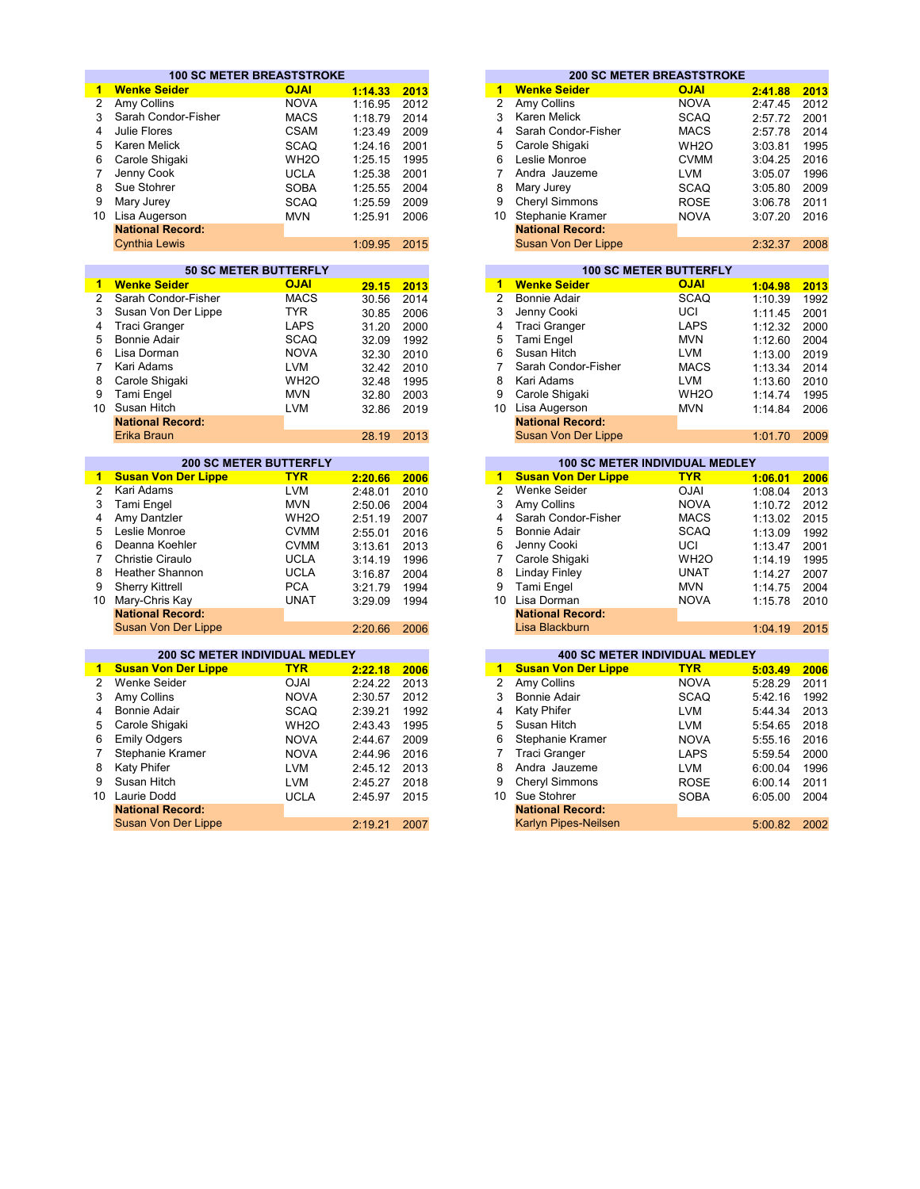|                 | <b>100 SC METER BREASTSTROKE</b>      |                                             |         |      |                                       | <b>200 SC METER BREASTSTROKE</b>      |                                              |         |
|-----------------|---------------------------------------|---------------------------------------------|---------|------|---------------------------------------|---------------------------------------|----------------------------------------------|---------|
| $\mathbf{1}$    | <b>Wenke Seider</b>                   | <b>OJAI</b>                                 | 1:14.33 | 2013 | 1                                     | <b>Wenke Seider</b>                   | <b>OJAI</b>                                  | 2:41.88 |
| $\overline{c}$  | Amy Collins                           | <b>NOVA</b>                                 | 1:16.95 | 2012 | $\overline{2}$<br>Amy Collins         |                                       | <b>NOVA</b>                                  | 2:47.45 |
| 3               | Sarah Condor-Fisher                   | <b>MACS</b>                                 | 1:18.79 | 2014 | 3<br>Karen Melick                     |                                       | <b>SCAQ</b>                                  | 2:57.72 |
| 4               | Julie Flores                          | <b>CSAM</b>                                 | 1:23.49 | 2009 | 4                                     | Sarah Condor-Fisher                   | <b>MACS</b>                                  | 2:57.78 |
| 5               | Karen Melick                          | <b>SCAQ</b>                                 | 1:24.16 | 2001 | 5                                     | Carole Shigaki                        | WH <sub>2</sub> O                            | 3:03.81 |
| 6               | Carole Shigaki                        | WH <sub>2</sub> O                           | 1:25.15 | 1995 | 6<br>Leslie Monroe                    |                                       | <b>CVMM</b>                                  | 3:04.25 |
| 7               |                                       |                                             |         |      | $\overline{7}$                        | Andra Jauzeme                         |                                              |         |
|                 | Jenny Cook                            | <b>UCLA</b>                                 | 1:25.38 | 2001 |                                       |                                       | <b>LVM</b>                                   | 3:05.07 |
| 8               | Sue Stohrer                           | <b>SOBA</b>                                 | 1:25.55 | 2004 | 8<br>Mary Jurey                       |                                       | <b>SCAQ</b>                                  | 3:05.80 |
| 9               | Mary Jurey                            | <b>SCAQ</b>                                 | 1:25.59 | 2009 | 9                                     | Cheryl Simmons                        | <b>ROSE</b>                                  | 3:06.78 |
| 10 <sup>1</sup> | Lisa Augerson                         | <b>MVN</b>                                  | 1:25.91 | 2006 | 10 Stephanie Kramer                   |                                       | <b>NOVA</b>                                  | 3:07.20 |
|                 | <b>National Record:</b>               |                                             |         |      |                                       | <b>National Record:</b>               |                                              |         |
|                 | <b>Cynthia Lewis</b>                  |                                             | 1:09.95 | 2015 |                                       | Susan Von Der Lippe                   |                                              | 2:32.37 |
|                 |                                       |                                             |         |      |                                       |                                       |                                              |         |
| $\blacksquare$  | <b>Wenke Seider</b>                   | <b>50 SC METER BUTTERFLY</b><br><b>OJAI</b> |         | 2013 | 1                                     | <b>Wenke Seider</b>                   | <b>100 SC METER BUTTERFLY</b><br><b>OJAI</b> | 1:04.98 |
| $\overline{2}$  | Sarah Condor-Fisher                   | <b>MACS</b>                                 | 29.15   |      | $\overline{2}$<br><b>Bonnie Adair</b> |                                       | <b>SCAQ</b>                                  |         |
|                 |                                       | <b>TYR</b>                                  | 30.56   | 2014 | 3                                     |                                       |                                              | 1:10.39 |
| 3               | Susan Von Der Lippe                   |                                             | 30.85   | 2006 | Jenny Cooki                           |                                       | UCI                                          | 1:11.45 |
| 4               | <b>Traci Granger</b>                  | <b>LAPS</b>                                 | 31.20   | 2000 | 4<br><b>Traci Granger</b>             |                                       | <b>LAPS</b>                                  | 1:12.32 |
| 5               | <b>Bonnie Adair</b>                   | <b>SCAQ</b>                                 | 32.09   | 1992 | 5<br>Tami Engel                       |                                       | <b>MVN</b>                                   | 1:12.60 |
| 6               | Lisa Dorman                           | <b>NOVA</b>                                 | 32.30   | 2010 | 6<br>Susan Hitch                      |                                       | <b>LVM</b>                                   | 1:13.00 |
| $\overline{7}$  | Kari Adams                            | <b>LVM</b>                                  | 32.42   | 2010 | $\overline{7}$                        | Sarah Condor-Fisher                   | <b>MACS</b>                                  | 1:13.34 |
| 8               | Carole Shigaki                        | WH <sub>2</sub> O                           | 32.48   | 1995 | 8<br>Kari Adams                       |                                       | <b>LVM</b>                                   | 1:13.60 |
| 9               | Tami Engel                            | <b>MVN</b>                                  | 32.80   | 2003 | 9                                     | Carole Shigaki                        | WH <sub>2</sub> O                            | 1:14.74 |
| 10              | Susan Hitch                           | <b>LVM</b>                                  | 32.86   | 2019 | 10 Lisa Augerson                      |                                       | <b>MVN</b>                                   | 1:14.84 |
|                 | <b>National Record:</b>               |                                             |         |      |                                       | <b>National Record:</b>               |                                              |         |
|                 | Erika Braun                           |                                             | 28.19   | 2013 |                                       | Susan Von Der Lippe                   |                                              | 1:01.70 |
|                 |                                       | <b>200 SC METER BUTTERFLY</b>               |         |      |                                       | 100 SC METER INDIVIDUAL MEDLEY        |                                              |         |
| $\mathbf{1}$    | <b>Susan Von Der Lippe</b>            | <b>TYR</b>                                  | 2:20.66 | 2006 | $\overline{1}$                        | <b>Susan Von Der Lippe</b>            | <b>TYR</b>                                   | 1:06.01 |
| $\overline{2}$  | Kari Adams                            | <b>LVM</b>                                  | 2:48.01 | 2010 | $\overline{2}$<br><b>Wenke Seider</b> |                                       | <b>OJAI</b>                                  | 1:08.04 |
| 3               | Tami Engel                            | <b>MVN</b>                                  | 2:50.06 | 2004 | 3<br>Amy Collins                      |                                       | <b>NOVA</b>                                  | 1:10.72 |
| 4               | Amy Dantzler                          | WH <sub>2</sub> O                           | 2:51.19 | 2007 | $\overline{\mathbf{4}}$               | Sarah Condor-Fisher                   | <b>MACS</b>                                  | 1:13.02 |
| 5               | Leslie Monroe                         | <b>CVMM</b>                                 | 2:55.01 | 2016 | 5<br><b>Bonnie Adair</b>              |                                       | <b>SCAQ</b>                                  | 1:13.09 |
| 6               | Deanna Koehler                        | <b>CVMM</b>                                 | 3:13.61 | 2013 | 6<br>Jenny Cooki                      |                                       | UCI                                          | 1:13.47 |
| $\overline{7}$  | <b>Christie Ciraulo</b>               | <b>UCLA</b>                                 | 3:14.19 | 1996 | 7                                     | Carole Shigaki                        | WH <sub>2</sub> O                            | 1:14.19 |
| 8               | <b>Heather Shannon</b>                | <b>UCLA</b>                                 | 3:16.87 | 2004 | 8<br><b>Linday Finley</b>             |                                       | <b>UNAT</b>                                  | 1:14.27 |
| 9               | <b>Sherry Kittrell</b>                | <b>PCA</b>                                  | 3:21.79 | 1994 | 9<br>Tami Engel                       |                                       | <b>MVN</b>                                   | 1:14.75 |
| 10              | Mary-Chris Kay                        | <b>UNAT</b>                                 | 3:29.09 | 1994 | 10 Lisa Dorman                        |                                       | <b>NOVA</b>                                  | 1:15.78 |
|                 | <b>National Record:</b>               |                                             |         |      |                                       | <b>National Record:</b>               |                                              |         |
|                 | Susan Von Der Lippe                   |                                             | 2:20.66 | 2006 |                                       | Lisa Blackburn                        |                                              | 1:04.19 |
|                 |                                       |                                             |         |      |                                       |                                       |                                              |         |
|                 | <b>200 SC METER INDIVIDUAL MEDLEY</b> |                                             |         |      |                                       | <b>400 SC METER INDIVIDUAL MEDLEY</b> |                                              |         |
| 1.              | <b>Susan Von Der Lippe</b>            | <b>TYR</b>                                  | 2:22.18 | 2006 | $\blacktriangleleft$                  | <b>Susan Von Der Lippe</b>            | <b>TYR</b>                                   | 5:03.49 |
| $\overline{2}$  | <b>Wenke Seider</b>                   | <b>OJAI</b>                                 | 2:24.22 | 2013 | $\overline{2}$<br>Amy Collins         |                                       | <b>NOVA</b>                                  | 5:28.29 |
| 3               | Amy Collins                           | <b>NOVA</b>                                 | 2:30.57 | 2012 | 3<br>Bonnie Adair                     |                                       | <b>SCAQ</b>                                  | 5:42.16 |
| 4               | <b>Bonnie Adair</b>                   | <b>SCAQ</b>                                 | 2:39.21 | 1992 | 4<br><b>Katy Phifer</b>               |                                       | <b>LVM</b>                                   | 5:44.34 |
| 5               | Carole Shigaki                        | WH <sub>2</sub> O                           | 2:43.43 | 1995 | 5<br>Susan Hitch                      |                                       | <b>LVM</b>                                   | 5:54.65 |
| 6               | <b>Emily Odgers</b>                   | <b>NOVA</b>                                 | 2:44.67 | 2009 | 6                                     | Stephanie Kramer                      | <b>NOVA</b>                                  | 5:55.16 |
| 7               | Stephanie Kramer                      | <b>NOVA</b>                                 | 2:44.96 | 2016 | $\overline{7}$<br>Traci Granger       |                                       | <b>LAPS</b>                                  | 5:59.54 |
| 8               | Katy Phifer                           | <b>LVM</b>                                  | 2:45.12 | 2013 | 8                                     | Andra Jauzeme                         | <b>LVM</b>                                   | 6:00.04 |
| 9               | Susan Hitch                           | <b>LVM</b>                                  | 2:45.27 | 2018 | 9                                     | Cheryl Simmons                        | <b>ROSE</b>                                  | 6:00.14 |
| 10              | Laurie Dodd                           | <b>UCLA</b>                                 | 2:45.97 | 2015 | 10 <sup>1</sup><br>Sue Stohrer        |                                       | <b>SOBA</b>                                  | 6:05.00 |
|                 | <b>National Record:</b>               |                                             |         |      |                                       | <b>National Record:</b>               |                                              |         |
|                 | <b>Susan Von Der Lippe</b>            |                                             | 2:19.21 | 2007 |                                       | Karlyn Pipes-Neilsen                  |                                              | 5:00.82 |
|                 |                                       |                                             |         |      |                                       |                                       |                                              |         |

| <b>200 SC METER BREASTSTROKE</b><br><b>OJAI</b><br><b>NOVA</b><br><b>SCAQ</b><br><b>MACS</b> | 2:41.88<br>2:47.45<br>2:57.72<br>2:57.78 |
|----------------------------------------------------------------------------------------------|------------------------------------------|
|                                                                                              |                                          |
|                                                                                              |                                          |
|                                                                                              |                                          |
|                                                                                              |                                          |
|                                                                                              |                                          |
| WH <sub>2</sub> O                                                                            | 3:03.81                                  |
| <b>CVMM</b>                                                                                  | 3:04.25                                  |
| <b>LVM</b>                                                                                   | 3:05.07                                  |
| <b>SCAQ</b>                                                                                  | 3:05.80                                  |
| <b>ROSE</b>                                                                                  | 3:06.78                                  |
| <b>NOVA</b>                                                                                  | 3:07.20                                  |
|                                                                                              |                                          |
|                                                                                              | 2:32.37                                  |
|                                                                                              |                                          |

|       |      |    |                         | <b>100 SC METER BUTTERFLY</b> |         |      |
|-------|------|----|-------------------------|-------------------------------|---------|------|
| 29.15 | 2013 | 1  | <b>Wenke Seider</b>     | <b>OJAI</b>                   | 1:04.98 | 2013 |
| 30.56 | 2014 | 2  | Bonnie Adair            | <b>SCAQ</b>                   | 1:10.39 | 1992 |
| 30.85 | 2006 | 3  | Jenny Cooki             | UCI                           | 1:11.45 | 2001 |
| 31.20 | 2000 | 4  | <b>Traci Granger</b>    | <b>LAPS</b>                   | 1:12.32 | 2000 |
| 32.09 | 1992 | 5  | Tami Engel              | <b>MVN</b>                    | 1:12.60 | 2004 |
| 32.30 | 2010 | 6  | Susan Hitch             | <b>LVM</b>                    | 1:13.00 | 2019 |
| 32.42 | 2010 |    | Sarah Condor-Fisher     | <b>MACS</b>                   | 1:13.34 | 2014 |
| 32.48 | 1995 | 8  | Kari Adams              | <b>LVM</b>                    | 1:13.60 | 2010 |
| 32.80 | 2003 | 9  | Carole Shigaki          | WH <sub>2</sub> O             | 1:14.74 | 1995 |
| 32.86 | 2019 | 10 | Lisa Augerson           | <b>MVN</b>                    | 1:14.84 | 2006 |
|       |      |    | <b>National Record:</b> |                               |         |      |
| 28.19 | 2013 |    | Susan Von Der Lippe     |                               | 1:01.70 | 2009 |

|          | <b>200 SC METER BUTTERFLY</b> |         |      | <b>100 SC METER INDIVIDUAL MEDLEY</b> |                            |                   |         |      |  |  |
|----------|-------------------------------|---------|------|---------------------------------------|----------------------------|-------------------|---------|------|--|--|
| er Lippe | <b>TYR</b>                    | 2:20.66 | 2006 |                                       | <b>Susan Von Der Lippe</b> | <b>TYR</b>        | 1:06.01 | 2006 |  |  |
|          | <b>LVM</b>                    | 2:48.01 | 2010 | 2                                     | Wenke Seider               | <b>OJAI</b>       | 1:08.04 | 2013 |  |  |
|          | <b>MVN</b>                    | 2:50.06 | 2004 | 3                                     | Amy Collins                | <b>NOVA</b>       | 1:10.72 | 2012 |  |  |
|          | WH <sub>2</sub> O             | 2:51.19 | 2007 | 4                                     | Sarah Condor-Fisher        | <b>MACS</b>       | 1:13.02 | 2015 |  |  |
|          | <b>CVMM</b>                   | 2:55.01 | 2016 | 5                                     | Bonnie Adair               | <b>SCAQ</b>       | 1:13.09 | 1992 |  |  |
| ıler     | <b>CVMM</b>                   | 3:13.61 | 2013 | 6                                     | Jenny Cooki                | UCI               | 1:13.47 | 2001 |  |  |
| lo       | <b>UCLA</b>                   | 3:14.19 | 1996 |                                       | Carole Shigaki             | WH <sub>2</sub> O | 1:14.19 | 1995 |  |  |
| ınon     | <b>UCLA</b>                   | 3:16.87 | 2004 | 8                                     | Linday Finley              | <b>UNAT</b>       | 1:14.27 | 2007 |  |  |
|          | <b>PCA</b>                    | 3:21.79 | 1994 | 9                                     | Tami Engel                 | <b>MVN</b>        | 1:14.75 | 2004 |  |  |
| ЭV       | <b>UNAT</b>                   | 3:29.09 | 1994 | 10                                    | Lisa Dorman                | <b>NOVA</b>       | 1:15.78 | 2010 |  |  |
| ord:     |                               |         |      |                                       | <b>National Record:</b>    |                   |         |      |  |  |
| er Lippe |                               | 2:20.66 | 2006 |                                       | Lisa Blackburn             |                   | 1:04.19 | 2015 |  |  |

|         |      |                | <b>400 SC METER INDIVIDUAL MEDLEY</b> |             |         |  |
|---------|------|----------------|---------------------------------------|-------------|---------|--|
| 2:22.18 | 2006 | 1              | <b>Susan Von Der Lippe</b>            | <b>TYR</b>  | 5:03.49 |  |
| 2:24.22 | 2013 | 2              | Amy Collins                           | <b>NOVA</b> | 5:28.29 |  |
| 2:30.57 | 2012 | 3              | Bonnie Adair                          | <b>SCAQ</b> | 5:42.16 |  |
| 2:39.21 | 1992 | 4              | <b>Katy Phifer</b>                    | <b>LVM</b>  | 5:44.34 |  |
| 2:43.43 | 1995 | 5              | Susan Hitch                           | <b>LVM</b>  | 5:54.65 |  |
| 2:44.67 | 2009 | 6              | Stephanie Kramer                      | <b>NOVA</b> | 5:55.16 |  |
| 2:44.96 | 2016 | $\overline{7}$ | Traci Granger                         | LAPS        | 5:59.54 |  |
| 2:45.12 | 2013 | 8              | Andra Jauzeme                         | <b>LVM</b>  | 6:00.04 |  |
| 2:45.27 | 2018 | 9              | <b>Cheryl Simmons</b>                 | <b>ROSE</b> | 6:00.14 |  |
| 2:45.97 | 2015 | 10             | Sue Stohrer                           | <b>SOBA</b> | 6:05.00 |  |
|         |      |                | <b>National Record:</b>               |             |         |  |
| 2:19.21 | 2007 |                | <b>Karlyn Pipes-Neilsen</b>           |             | 5:00.82 |  |
|         |      |                |                                       |             |         |  |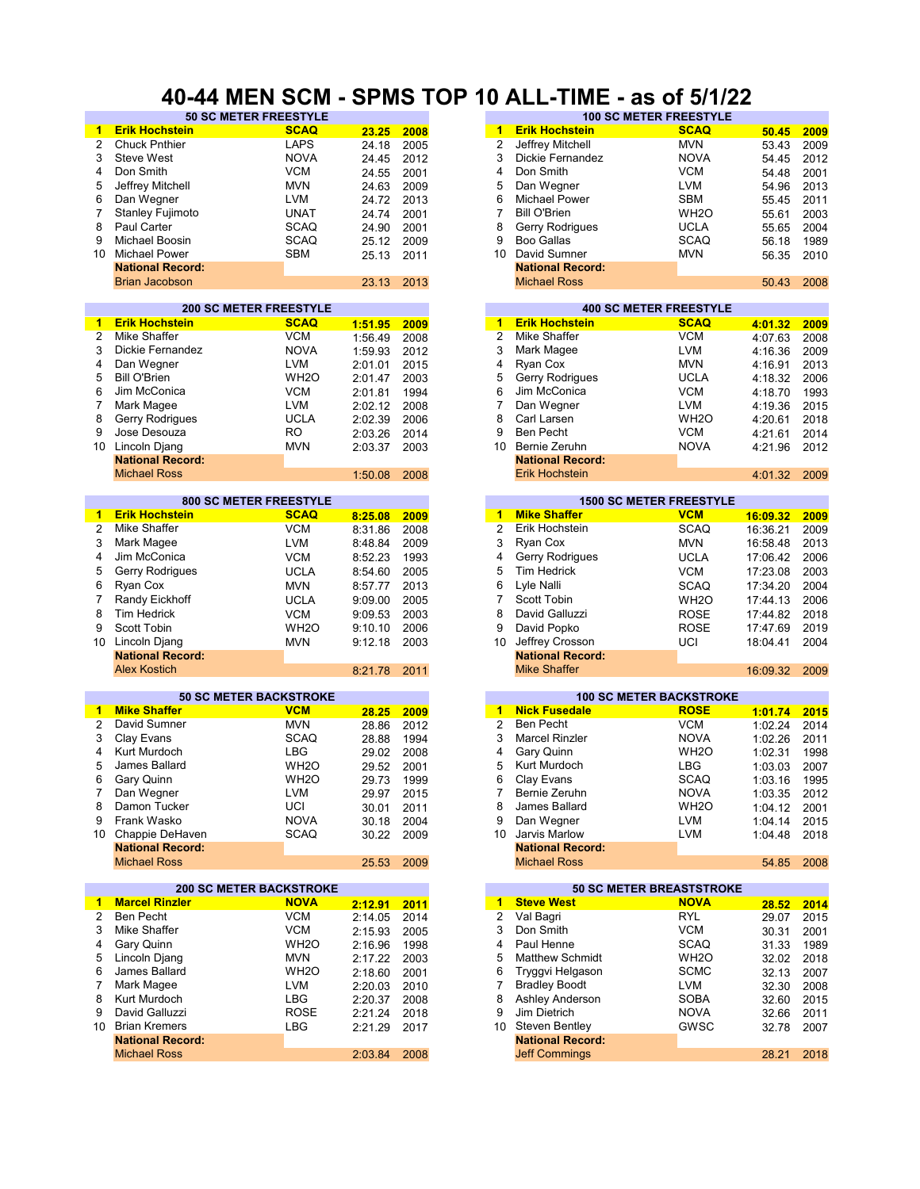## **40-44 MEN SCM - SPMS TOP 10 ALL-TIME - as of 5/1/22**

|                | <b>50 SC METER FREESTYLE</b>   |                   |         |      |                      |                         | <b>100 SC METER FREESTYLE</b>   |          |      |
|----------------|--------------------------------|-------------------|---------|------|----------------------|-------------------------|---------------------------------|----------|------|
| 1              | <b>Erik Hochstein</b>          | <b>SCAQ</b>       | 23.25   | 2008 | 1                    | <b>Erik Hochstein</b>   | <b>SCAQ</b>                     | 50.45    | 2009 |
| 2              | <b>Chuck Pnthier</b>           | <b>LAPS</b>       | 24.18   | 2005 | $\overline{2}$       | Jeffrey Mitchell        | <b>MVN</b>                      | 53.43    | 2009 |
| 3              | <b>Steve West</b>              | <b>NOVA</b>       | 24.45   | 2012 | 3                    | Dickie Fernandez        | <b>NOVA</b>                     | 54.45    | 2012 |
| 4              | Don Smith                      | <b>VCM</b>        | 24.55   | 2001 | 4                    | Don Smith               | <b>VCM</b>                      | 54.48    | 2001 |
| 5              | Jeffrey Mitchell               | <b>MVN</b>        | 24.63   | 2009 | 5                    | Dan Wegner              | <b>LVM</b>                      | 54.96    | 2013 |
| 6              | Dan Wegner                     | <b>LVM</b>        | 24.72   | 2013 | 6                    | <b>Michael Power</b>    | <b>SBM</b>                      | 55.45    | 2011 |
| $\overline{7}$ |                                |                   |         |      | 7                    | <b>Bill O'Brien</b>     |                                 |          |      |
|                | <b>Stanley Fujimoto</b>        | UNAT              | 24.74   | 2001 |                      |                         | WH <sub>2</sub> O               | 55.61    | 2003 |
| 8              | Paul Carter                    | <b>SCAQ</b>       | 24.90   | 2001 | 8                    | Gerry Rodrigues         | <b>UCLA</b>                     | 55.65    | 2004 |
| 9              | Michael Boosin                 | <b>SCAQ</b>       | 25.12   | 2009 | 9                    | <b>Boo Gallas</b>       | SCAQ                            | 56.18    | 1989 |
| 10             | <b>Michael Power</b>           | SBM               | 25.13   | 2011 | 10                   | David Sumner            | <b>MVN</b>                      | 56.35    | 2010 |
|                | <b>National Record:</b>        |                   |         |      |                      | <b>National Record:</b> |                                 |          |      |
|                | <b>Brian Jacobson</b>          |                   | 23.13   | 2013 |                      | <b>Michael Ross</b>     |                                 | 50.43    | 2008 |
|                |                                |                   |         |      |                      |                         |                                 |          |      |
|                | <b>200 SC METER FREESTYLE</b>  |                   |         |      |                      |                         | <b>400 SC METER FREESTYLE</b>   |          |      |
| 1              | <b>Erik Hochstein</b>          | <b>SCAQ</b>       | 1:51.95 | 2009 | $\mathbf{1}$         | <b>Erik Hochstein</b>   | <b>SCAQ</b>                     | 4:01.32  | 2009 |
| $\overline{2}$ | Mike Shaffer                   | <b>VCM</b>        | 1:56.49 | 2008 | $\overline{2}$       | Mike Shaffer            | <b>VCM</b>                      | 4:07.63  | 2008 |
| 3              | Dickie Fernandez               | <b>NOVA</b>       | 1:59.93 | 2012 | 3                    | Mark Magee              | <b>LVM</b>                      | 4:16.36  | 2009 |
| 4              | Dan Wegner                     | <b>LVM</b>        | 2:01.01 | 2015 | 4                    | Ryan Cox                | <b>MVN</b>                      | 4:16.91  | 2013 |
| 5              | <b>Bill O'Brien</b>            | WH <sub>2</sub> O | 2:01.47 | 2003 | 5                    | Gerry Rodrigues         | <b>UCLA</b>                     | 4:18.32  | 2006 |
| 6              | Jim McConica                   | <b>VCM</b>        | 2:01.81 | 1994 | 6                    | Jim McConica            | <b>VCM</b>                      | 4:18.70  | 1993 |
| 7              | Mark Magee                     | <b>LVM</b>        | 2:02.12 | 2008 | 7                    | Dan Wegner              | <b>LVM</b>                      |          | 2015 |
| 8              | Gerry Rodrigues                | <b>UCLA</b>       |         |      | 8                    | Carl Larsen             | WH <sub>2</sub> O               | 4:19.36  |      |
|                |                                |                   | 2:02.39 | 2006 |                      |                         |                                 | 4:20.61  | 2018 |
| 9              | Jose Desouza                   | <b>RO</b>         | 2:03.26 | 2014 | 9                    | <b>Ben Pecht</b>        | <b>VCM</b>                      | 4:21.61  | 2014 |
| 10             | Lincoln Djang                  | <b>MVN</b>        | 2:03.37 | 2003 | 10                   | Bernie Zeruhn           | <b>NOVA</b>                     | 4:21.96  | 2012 |
|                | <b>National Record:</b>        |                   |         |      |                      | <b>National Record:</b> |                                 |          |      |
|                | <b>Michael Ross</b>            |                   | 1:50.08 | 2008 |                      | <b>Erik Hochstein</b>   |                                 | 4:01.32  | 2009 |
|                |                                |                   |         |      |                      |                         |                                 |          |      |
|                | <b>800 SC METER FREESTYLE</b>  |                   |         |      |                      |                         | <b>1500 SC METER FREESTYLE</b>  |          |      |
| 1              | <b>Erik Hochstein</b>          | <b>SCAQ</b>       | 8:25.08 | 2009 | $\blacktriangleleft$ | <b>Mike Shaffer</b>     | <b>VCM</b>                      | 16:09.32 | 2009 |
| $\overline{2}$ | Mike Shaffer                   | <b>VCM</b>        | 8:31.86 | 2008 | $\overline{2}$       | Erik Hochstein          | <b>SCAQ</b>                     | 16:36.21 | 2009 |
| 3              | Mark Magee                     | <b>LVM</b>        | 8:48.84 | 2009 | 3                    | Ryan Cox                | <b>MVN</b>                      | 16:58.48 | 2013 |
| 4              | Jim McConica                   | <b>VCM</b>        | 8:52.23 | 1993 | 4                    | Gerry Rodrigues         | <b>UCLA</b>                     | 17:06.42 | 2006 |
| 5              | Gerry Rodrigues                | <b>UCLA</b>       | 8:54.60 | 2005 | 5                    | Tim Hedrick             | <b>VCM</b>                      | 17:23.08 | 2003 |
| 6              | Ryan Cox                       | <b>MVN</b>        | 8:57.77 | 2013 | 6                    | Lyle Nalli              | <b>SCAQ</b>                     | 17:34.20 | 2004 |
| 7              | Randy Eickhoff                 | <b>UCLA</b>       | 9:09.00 | 2005 | 7                    | Scott Tobin             | WH <sub>2</sub> O               | 17:44.13 | 2006 |
| 8              | <b>Tim Hedrick</b>             | <b>VCM</b>        | 9:09.53 | 2003 | 8                    | David Galluzzi          | <b>ROSE</b>                     | 17:44.82 | 2018 |
| 9              | Scott Tobin                    | WH <sub>20</sub>  | 9:10.10 | 2006 | 9                    | David Popko             | ROSE                            | 17:47.69 | 2019 |
| 10             | Lincoln Djang                  | <b>MVN</b>        | 9:12.18 | 2003 | 10                   | Jeffrey Crosson         | UCI                             | 18:04.41 | 2004 |
|                | <b>National Record:</b>        |                   |         |      |                      | <b>National Record:</b> |                                 |          |      |
|                | <b>Alex Kostich</b>            |                   | 8:21.78 | 2011 |                      | <b>Mike Shaffer</b>     |                                 | 16:09.32 | 2009 |
|                |                                |                   |         |      |                      |                         |                                 |          |      |
|                | <b>50 SC METER BACKSTROKE</b>  |                   |         |      |                      |                         | <b>100 SC METER BACKSTROKE</b>  |          |      |
| 1              | <b>Mike Shaffer</b>            | <b>VCM</b>        | 28.25   | 2009 | $\mathbf{1}$         | <b>Nick Fusedale</b>    | <b>ROSE</b>                     | 1:01.74  | 2015 |
| $\overline{2}$ | David Sumner                   | <b>MVN</b>        |         | 2012 | 2                    | <b>Ben Pecht</b>        | <b>VCM</b>                      |          | 2014 |
|                |                                |                   | 28.86   |      | 3                    |                         |                                 | 1:02.24  |      |
| 3              | Clay Evans                     | <b>SCAQ</b>       | 28.88   | 1994 |                      | <b>Marcel Rinzler</b>   | <b>NOVA</b>                     | 1:02.26  | 2011 |
| 4              | Kurt Murdoch                   | <b>LBG</b>        | 29.02   | 2008 | 4                    | Gary Quinn              | WH <sub>2</sub> O               | 1:02.31  | 1998 |
| 5              | James Ballard                  | WH <sub>20</sub>  | 29.52   | 2001 | 5                    | Kurt Murdoch            | LBG                             | 1:03.03  | 2007 |
| 6              | Gary Quinn                     | WH <sub>2</sub> O | 29.73   | 1999 | 6                    | Clay Evans              | <b>SCAQ</b>                     | 1:03.16  | 1995 |
| 7              | Dan Wegner                     | <b>LVM</b>        | 29.97   | 2015 | 7                    | Bernie Zeruhn           | <b>NOVA</b>                     | 1:03.35  | 2012 |
| 8              | Damon Tucker                   | UCI               | 30.01   | 2011 | 8                    | James Ballard           | WH <sub>2</sub> O               | 1:04.12  | 2001 |
| 9              | Frank Wasko                    | <b>NOVA</b>       | 30.18   | 2004 | 9                    | Dan Wegner              | <b>LVM</b>                      | 1:04.14  | 2015 |
| 10             | Chappie DeHaven                | <b>SCAQ</b>       | 30.22   | 2009 | 10                   | Jarvis Marlow           | <b>LVM</b>                      | 1:04.48  | 2018 |
|                | <b>National Record:</b>        |                   |         |      |                      | <b>National Record:</b> |                                 |          |      |
|                | <b>Michael Ross</b>            |                   | 25.53   | 2009 |                      | <b>Michael Ross</b>     |                                 | 54.85    | 2008 |
|                |                                |                   |         |      |                      |                         |                                 |          |      |
|                | <b>200 SC METER BACKSTROKE</b> |                   |         |      |                      |                         | <b>50 SC METER BREASTSTROKE</b> |          |      |
| 1              | <b>Marcel Rinzler</b>          | <b>NOVA</b>       | 2:12.91 | 2011 | $\mathbf{1}$         | <b>Steve West</b>       | <b>NOVA</b>                     | 28.52    | 2014 |
| 2              | <b>Ben Pecht</b>               | <b>VCM</b>        | 2:14.05 | 2014 | $\overline{2}$       | Val Bagri               | <b>RYL</b>                      | 29.07    | 2015 |
| 3              | Mike Shaffer                   | <b>VCM</b>        | 2:15.93 | 2005 | 3                    | Don Smith               | <b>VCM</b>                      | 30.31    | 2001 |
| 4              | Gary Quinn                     | WH <sub>2</sub> O | 2:16.96 | 1998 | 4                    | Paul Henne              | SCAQ                            | 31.33    | 1989 |
| 5              | Lincoln Djang                  | <b>MVN</b>        | 2:17.22 | 2003 | 5                    | <b>Matthew Schmidt</b>  | WH <sub>2</sub> O               | 32.02    | 2018 |
| 6              | James Ballard                  | WH <sub>2</sub> O | 2:18.60 | 2001 | 6                    | Tryggvi Helgason        | <b>SCMC</b>                     | 32.13    | 2007 |
| 7              | Mark Magee                     | <b>LVM</b>        | 2:20.03 | 2010 | 7                    | <b>Bradley Boodt</b>    | LVM                             | 32.30    | 2008 |
| 8              | Kurt Murdoch                   | <b>LBG</b>        | 2:20.37 | 2008 | 8                    | Ashley Anderson         | SOBA                            | 32.60    | 2015 |
| 9              | David Galluzzi                 | <b>ROSE</b>       |         | 2018 | 9                    | Jim Dietrich            | <b>NOVA</b>                     | 32.66    |      |
| 10             | <b>Brian Kremers</b>           | <b>LBG</b>        | 2:21.24 |      |                      | 10 Steven Bentley       | GWSC                            |          | 2011 |
|                |                                |                   | 2:21.29 | 2017 |                      | <b>National Record:</b> |                                 | 32.78    | 2007 |
|                | <b>National Record:</b>        |                   |         |      |                      |                         |                                 |          |      |
|                | <b>Michael Ross</b>            |                   | 2:03.84 | 2008 |                      | <b>Jeff Commings</b>    |                                 | 28.21    | 2018 |

|       |      |    |                         | 100 SC METER FREESTYLE |       |      |
|-------|------|----|-------------------------|------------------------|-------|------|
| 23.25 | 2008 | 1  | <b>Erik Hochstein</b>   | <b>SCAQ</b>            | 50.45 | 2009 |
| 24.18 | 2005 | 2  | Jeffrey Mitchell        | <b>MVN</b>             | 53.43 | 2009 |
| 24.45 | 2012 | 3  | Dickie Fernandez        | <b>NOVA</b>            | 54.45 | 2012 |
| 24.55 | 2001 | 4  | Don Smith               | <b>VCM</b>             | 54.48 | 2001 |
| 24.63 | 2009 | 5  | Dan Wegner              | <b>LVM</b>             | 54.96 | 2013 |
| 24.72 | 2013 | 6  | <b>Michael Power</b>    | <b>SBM</b>             | 55.45 | 2011 |
| 24.74 | 2001 |    | <b>Bill O'Brien</b>     | WH <sub>2</sub> O      | 55.61 | 2003 |
| 24.90 | 2001 | 8  | <b>Gerry Rodrigues</b>  | <b>UCLA</b>            | 55.65 | 2004 |
| 25.12 | 2009 | 9  | Boo Gallas              | <b>SCAQ</b>            | 56.18 | 1989 |
| 25.13 | 2011 | 10 | David Sumner            | <b>MVN</b>             | 56.35 | 2010 |
|       |      |    | <b>National Record:</b> |                        |       |      |
| 23.13 | 2013 |    | <b>Michael Ross</b>     |                        | 50.43 | 2008 |
|       |      |    |                         |                        |       |      |

|         |      |    |                         | <b>400 SC METER FREESTYLE</b> |         |
|---------|------|----|-------------------------|-------------------------------|---------|
| 1:51.95 | 2009 | 1  | <b>Erik Hochstein</b>   | <b>SCAQ</b>                   | 4:01.32 |
| 1:56.49 | 2008 | 2  | Mike Shaffer            | <b>VCM</b>                    | 4:07.63 |
| 1:59.93 | 2012 | 3  | Mark Magee              | <b>LVM</b>                    | 4:16.36 |
| 2:01.01 | 2015 | 4  | Ryan Cox                | <b>MVN</b>                    | 4:16.91 |
| 2:01.47 | 2003 | 5  | <b>Gerry Rodrigues</b>  | <b>UCLA</b>                   | 4:18.32 |
| 2:01.81 | 1994 | 6  | Jim McConica            | <b>VCM</b>                    | 4:18.70 |
| 2:02.12 | 2008 |    | Dan Wegner              | <b>LVM</b>                    | 4:19.36 |
| 2:02.39 | 2006 | 8  | Carl Larsen             | WH <sub>2</sub> O             | 4:20.61 |
| 2:03.26 | 2014 | 9  | <b>Ben Pecht</b>        | <b>VCM</b>                    | 4:21.61 |
| 2:03.37 | 2003 | 10 | Bernie Zeruhn           | <b>NOVA</b>                   | 4:21.96 |
|         |      |    | <b>National Record:</b> |                               |         |
| 1:50.08 | 2008 |    | <b>Erik Hochstein</b>   |                               | 4:01.32 |

| 8:25.08 | 2009 |
|---------|------|
| 8:31.86 | 2008 |
| 8:48.84 | 2009 |
| 8:52.23 | 1993 |
| 8:54.60 | 2005 |
| 8:57.77 | 2013 |
| 9:09.00 | 2005 |
| 9:09.53 | 2003 |
| 9:10.10 | 2006 |
| 9:12.18 | 2003 |
|         |      |
| 8:21.78 | 2011 |
|         |      |
|         |      |
| 28.25   | 2009 |
| 28.86   | 2012 |
| 28.88   | 1994 |
| 29.02   | 2008 |
| 29.52   | 2001 |
| 29.73   | 1999 |
| 29.97   | 2015 |
| 30.01   | 2011 |
| 30.18   | 2004 |
| 30.22   | 2009 |
|         |      |

|         |      |   |                         | <b>50 SC METER BREASTSTROKE</b> |       |
|---------|------|---|-------------------------|---------------------------------|-------|
| 2:12.91 | 2011 | 1 | <b>Steve West</b>       | <b>NOVA</b>                     | 28.52 |
| 2:14.05 | 2014 | 2 | Val Bagri               | <b>RYL</b>                      | 29.07 |
| 2:15.93 | 2005 | 3 | Don Smith               | <b>VCM</b>                      | 30.31 |
| 2:16.96 | 1998 | 4 | Paul Henne              | <b>SCAQ</b>                     | 31.33 |
| 2:17.22 | 2003 | 5 | <b>Matthew Schmidt</b>  | WH <sub>2</sub> O               | 32.02 |
| 2:18.60 | 2001 | 6 | Tryggvi Helgason        | <b>SCMC</b>                     | 32.13 |
| 2:20.03 | 2010 |   | <b>Bradley Boodt</b>    | <b>LVM</b>                      | 32.30 |
| 2:20.37 | 2008 | 8 | Ashley Anderson         | <b>SOBA</b>                     | 32.60 |
| 2:21.24 | 2018 | 9 | Jim Dietrich            | <b>NOVA</b>                     | 32.66 |
| 2:21.29 | 2017 |   | 10 Steven Bentley       | <b>GWSC</b>                     | 32.78 |
|         |      |   | <b>National Record:</b> |                                 |       |
| 2:03.84 | 2008 |   | <b>Jeff Commings</b>    |                                 | 28.21 |
|         |      |   |                         |                                 |       |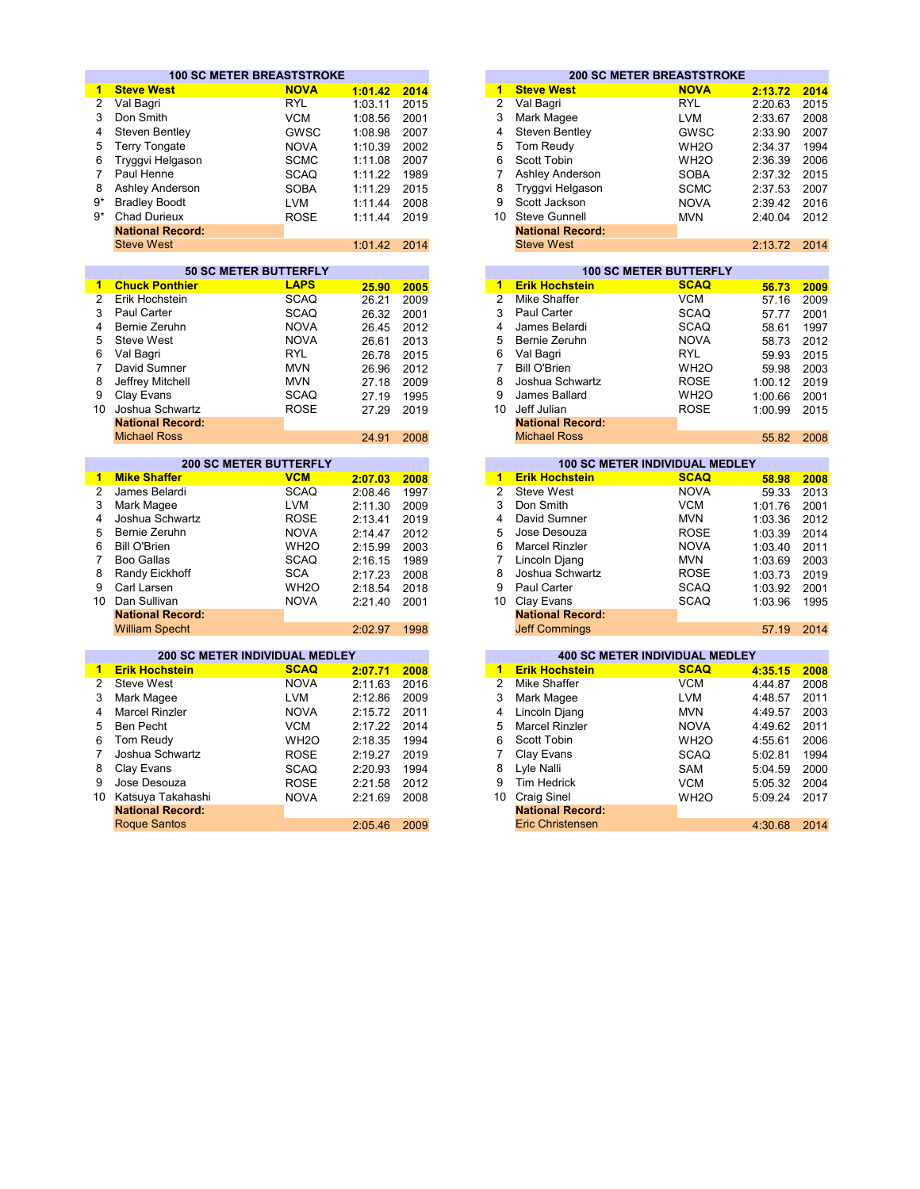|                 | <b>100 SC METER BREASTSTROKE</b> |                               |                  |       |                      |                                       | <b>200 SC METER BREASTSTROKE</b>      |               |      |
|-----------------|----------------------------------|-------------------------------|------------------|-------|----------------------|---------------------------------------|---------------------------------------|---------------|------|
| 1               | <b>Steve West</b>                | <b>NOVA</b>                   | 1:01.42          | 2014  | 1                    | <b>Steve West</b>                     | <b>NOVA</b>                           | 2:13.72       | 2014 |
| $\overline{2}$  | Val Bagri                        | <b>RYL</b>                    | 1:03.11          | 2015  | $\overline{2}$       | Val Bagri                             | <b>RYL</b>                            | 2:20.63       | 2015 |
| 3               | Don Smith                        | <b>VCM</b>                    | 1:08.56          | 2001  | 3                    | Mark Magee                            | <b>LVM</b>                            | 2:33.67       | 2008 |
| 4               | Steven Bentley                   | <b>GWSC</b>                   | 1:08.98          | 2007  | 4                    | Steven Bentley                        | <b>GWSC</b>                           | 2:33.90       | 2007 |
| 5               | <b>Terry Tongate</b>             | <b>NOVA</b>                   | 1:10.39          | 2002  | 5                    | Tom Reudy                             | WH <sub>2</sub> O                     | 2:34.37       | 1994 |
| 6               | Tryggvi Helgason                 | <b>SCMC</b>                   | 1:11.08          | 2007  | 6                    | Scott Tobin                           | WH <sub>2</sub> O                     | 2:36.39       | 2006 |
| 7               | Paul Henne                       | <b>SCAQ</b>                   | 1:11.22          | 1989  | 7                    | Ashley Anderson                       | <b>SOBA</b>                           | 2:37.32       | 2015 |
| 8               | Ashley Anderson                  | <b>SOBA</b>                   | 1:11.29          | 2015  | 8                    | Tryggvi Helgason                      | <b>SCMC</b>                           | 2:37.53       | 2007 |
| $9*$            | <b>Bradley Boodt</b>             |                               |                  | 2008  | 9                    | Scott Jackson                         |                                       |               | 2016 |
| $9*$            |                                  | <b>LVM</b>                    | 1:11.44          |       |                      | Steve Gunnell                         | <b>NOVA</b>                           | 2:39.42       |      |
|                 | <b>Chad Durieux</b>              | <b>ROSE</b>                   | 1:11.44          | 2019  | 10 <sup>1</sup>      |                                       | <b>MVN</b>                            | 2:40.04       | 2012 |
|                 | <b>National Record:</b>          |                               |                  |       |                      | <b>National Record:</b>               |                                       |               |      |
|                 | <b>Steve West</b>                |                               | 1:01.42          | 2014  |                      | <b>Steve West</b>                     |                                       | 2:13.72       | 2014 |
|                 |                                  | <b>50 SC METER BUTTERFLY</b>  |                  |       |                      |                                       | <b>100 SC METER BUTTERFLY</b>         |               |      |
| $\mathbf{1}$    | <b>Chuck Ponthier</b>            | <b>LAPS</b>                   | 25.90            | 2005  | $\mathbf{1}$         | <b>Erik Hochstein</b>                 | <b>SCAQ</b>                           | 56.73         | 2009 |
| $\overline{2}$  | Erik Hochstein                   | <b>SCAQ</b>                   | 26.21            | 2009  | $\overline{2}$       | Mike Shaffer                          | <b>VCM</b>                            | 57.16         | 2009 |
| 3               | <b>Paul Carter</b>               | <b>SCAQ</b>                   | 26.32            | 2001  | 3                    | <b>Paul Carter</b>                    | <b>SCAQ</b>                           | 57.77         | 2001 |
| 4               | Bernie Zeruhn                    | <b>NOVA</b>                   | 26.45            | 2012  | 4                    | James Belardi                         | <b>SCAQ</b>                           | 58.61         | 1997 |
| 5               | <b>Steve West</b>                | <b>NOVA</b>                   |                  |       | 5                    | Bernie Zeruhn                         | <b>NOVA</b>                           |               |      |
| 6               | Val Bagri                        | <b>RYL</b>                    | 26.61            | 2013  | 6                    | Val Bagri                             | <b>RYL</b>                            | 58.73         | 2012 |
|                 |                                  |                               | 26.78            | 2015  | $\overline{7}$       |                                       |                                       | 59.93         | 2015 |
| $\overline{7}$  | David Sumner                     | <b>MVN</b>                    | 26.96            | 2012  |                      | <b>Bill O'Brien</b>                   | WH <sub>2</sub> O                     | 59.98         | 2003 |
| 8               | Jeffrey Mitchell                 | <b>MVN</b>                    | 27.18            | 2009  | 8                    | Joshua Schwartz                       | <b>ROSE</b>                           | 1:00.12       | 2019 |
| 9               | Clay Evans                       | <b>SCAQ</b>                   | 27.19            | 1995  | 9                    | James Ballard                         | WH <sub>2</sub> O                     | 1:00.66       | 2001 |
| 10 <sup>1</sup> | Joshua Schwartz                  | <b>ROSE</b>                   | 27.29            | 2019  | 10 <sup>1</sup>      | Jeff Julian                           | <b>ROSE</b>                           | 1:00.99       | 2015 |
|                 | <b>National Record:</b>          |                               |                  |       |                      | <b>National Record:</b>               |                                       |               |      |
|                 | <b>Michael Ross</b>              |                               | 24.91            | 2008  |                      | <b>Michael Ross</b>                   |                                       | 55.82         | 2008 |
|                 |                                  | <b>200 SC METER BUTTERFLY</b> |                  |       |                      |                                       | 100 SC METER INDIVIDUAL MEDLEY        |               |      |
| 1               | <b>Mike Shaffer</b>              | <b>VCM</b>                    | 2:07.03          | 2008  | $\mathbf{1}$         | <b>Erik Hochstein</b>                 | <b>SCAQ</b>                           | 58.98         | 2008 |
| $\overline{2}$  | James Belardi                    | <b>SCAQ</b>                   | 2:08.46          | 1997  | $\overline{2}$       | <b>Steve West</b>                     | <b>NOVA</b>                           | 59.33         | 2013 |
| 3               | Mark Magee                       | <b>LVM</b>                    | 2:11.30          | 2009  | 3                    | Don Smith                             | <b>VCM</b>                            | 1:01.76       | 2001 |
| 4               | Joshua Schwartz                  | <b>ROSE</b>                   | 2:13.41          | 2019  | 4                    | David Sumner                          | <b>MVN</b>                            | 1:03.36       | 2012 |
| 5               | Bernie Zeruhn                    | <b>NOVA</b>                   | 2:14.47          | 2012  | 5                    | Jose Desouza                          | <b>ROSE</b>                           | 1:03.39       | 2014 |
| 6               | <b>Bill O'Brien</b>              | WH <sub>20</sub>              | 2:15.99          | 2003  | 6                    | <b>Marcel Rinzler</b>                 | <b>NOVA</b>                           | 1:03.40       | 2011 |
| $\overline{7}$  | <b>Boo Gallas</b>                | <b>SCAQ</b>                   | 2:16.15          | 1989  | $\overline{7}$       | Lincoln Djang                         | <b>MVN</b>                            | 1:03.69       | 2003 |
| 8               | Randy Eickhoff                   | <b>SCA</b>                    | 2:17.23          | 2008  | 8                    | Joshua Schwartz                       | <b>ROSE</b>                           | 1:03.73       | 2019 |
| 9               | Carl Larsen                      | WH <sub>2</sub> O             |                  |       | 9                    | Paul Carter                           | <b>SCAQ</b>                           |               |      |
| 10 <sup>1</sup> | Dan Sullivan                     | <b>NOVA</b>                   | 2:18.54          | 2018  | 10                   |                                       |                                       | 1:03.92       | 2001 |
|                 | <b>National Record:</b>          |                               | 2:21.40          | 2001  |                      | Clay Evans<br><b>National Record:</b> | <b>SCAQ</b>                           | 1:03.96       | 1995 |
|                 |                                  |                               |                  |       |                      |                                       |                                       |               |      |
|                 | <b>William Specht</b>            |                               | 2:02.97          | 1998  |                      | <b>Jeff Commings</b>                  |                                       | 57.19         | 2014 |
|                 | 200 SC METER INDIVIDUAL MEDLEY   |                               |                  |       |                      |                                       | <b>400 SC METER INDIVIDUAL MEDLEY</b> |               |      |
| $\mathbf{1}$    | <b>Erik Hochstein</b>            | <b>SCAQ</b>                   | 2:07.71          | 2008  | $\blacktriangleleft$ | <b>Erik Hochstein</b>                 | <b>SCAQ</b>                           | 4:35.15       | 2008 |
| $\overline{2}$  | <b>Steve West</b>                | <b>NOVA</b>                   | 2:11.63          | 2016  | $\overline{2}$       | <b>Mike Shaffer</b>                   | <b>VCM</b>                            | 4:44.87       | 2008 |
| 3               | Mark Magee                       | <b>LVM</b>                    | 2:12.86          | 2009  | 3                    | Mark Magee                            | <b>LVM</b>                            | 4:48.57       | 2011 |
| 4               | Marcel Rinzler                   | <b>NOVA</b>                   | 2:15.72          | 2011  | 4                    | Lincoln Djang                         | <b>MVN</b>                            | 4:49.57       | 2003 |
| 5               | <b>Ben Pecht</b>                 | <b>VCM</b>                    | 2:17.22          | 2014  | 5                    | <b>Marcel Rinzler</b>                 | <b>NOVA</b>                           | 4:49.62       | 2011 |
| 6               | Tom Reudy                        | WH <sub>2</sub> O             |                  | 1994  | 6                    | Scott Tobin                           |                                       |               | 2006 |
| $\overline{7}$  |                                  |                               | 2:18.35          |       | 7                    |                                       | WH <sub>2</sub> O                     | 4:55.61       |      |
|                 | Joshua Schwartz                  | <b>ROSE</b>                   | 2:19.27          | 2019  |                      | Clay Evans                            | <b>SCAQ</b>                           | 5:02.81       | 1994 |
| 8               | Clay Evans                       | <b>SCAQ</b>                   | 2:20.93          | 1994  | 8                    | Lyle Nalli                            | SAM                                   | 5:04.59       | 2000 |
| 9               | Jose Desouza                     | <b>ROSE</b>                   | 2:21.58          | 2012  | 9                    | <b>Tim Hedrick</b>                    | <b>VCM</b>                            | 5:05.32       | 2004 |
| 10              | Katsuya Takahashi                | <b>NOVA</b>                   | 2:21.69          | 2008  | 10                   | <b>Craig Sinel</b>                    | WH <sub>2</sub> O                     | 5:09.24       | 2017 |
|                 | <b>National Record:</b>          |                               |                  |       |                      | <b>National Record:</b>               |                                       |               |      |
|                 | <b>Doguo</b> Canton              |                               | $0.05 \text{ A}$ | 0.000 |                      | Erio Christopeon                      |                                       | 1.20000000014 |      |

|         |      |    |                         | <b>200 SC METER BREASTSTROKE</b> |         |  |
|---------|------|----|-------------------------|----------------------------------|---------|--|
| 1:01.42 | 2014 | 1  | <b>Steve West</b>       | <b>NOVA</b>                      | 2:13.72 |  |
| 1:03.11 | 2015 | 2  | Val Bagri               | <b>RYL</b>                       | 2:20.63 |  |
| 1:08.56 | 2001 | 3  | Mark Magee              | <b>LVM</b>                       | 2:33.67 |  |
| 1:08.98 | 2007 | 4  | Steven Bentley          | GWSC                             | 2:33.90 |  |
| 1:10.39 | 2002 | 5  | Tom Reudy               | WH <sub>2</sub> O                | 2:34.37 |  |
| 1:11.08 | 2007 | 6  | Scott Tobin             | WH <sub>2</sub> O                | 2:36.39 |  |
| 1:11.22 | 1989 |    | Ashley Anderson         | <b>SOBA</b>                      | 2:37.32 |  |
| 1:11.29 | 2015 | 8  | Tryggvi Helgason        | <b>SCMC</b>                      | 2:37.53 |  |
| 1:11.44 | 2008 | 9  | Scott Jackson           | <b>NOVA</b>                      | 2:39.42 |  |
| 1:11.44 | 2019 | 10 | Steve Gunnell           | <b>MVN</b>                       | 2:40.04 |  |
|         |      |    | <b>National Record:</b> |                                  |         |  |
|         | 2014 |    | <b>Steve West</b>       |                                  | 2:13.72 |  |
| 1:01.42 |      |    |                         |                                  |         |  |

|       |      |    |                         | <b>100 SC METER BUTTERFLY</b> |         |
|-------|------|----|-------------------------|-------------------------------|---------|
| 25.90 | 2005 | 1  | <b>Erik Hochstein</b>   | <b>SCAQ</b>                   | 56.73   |
| 26.21 | 2009 | 2  | Mike Shaffer            | <b>VCM</b>                    | 57.16   |
| 26.32 | 2001 | 3  | Paul Carter             | <b>SCAQ</b>                   | 57.77   |
| 26.45 | 2012 | 4  | James Belardi           | <b>SCAQ</b>                   | 58.61   |
| 26.61 | 2013 | 5  | Bernie Zeruhn           | <b>NOVA</b>                   | 58.73   |
| 26.78 | 2015 | 6  | Val Bagri               | <b>RYL</b>                    | 59.93   |
| 26.96 | 2012 |    | <b>Bill O'Brien</b>     | WH <sub>2</sub> O             | 59.98   |
| 27.18 | 2009 | 8  | Joshua Schwartz         | <b>ROSE</b>                   | 1:00.12 |
| 27.19 | 1995 | 9  | James Ballard           | WH <sub>2</sub> O             | 1:00.66 |
| 27.29 | 2019 | 10 | Jeff Julian             | <b>ROSE</b>                   | 1:00.99 |
|       |      |    | <b>National Record:</b> |                               |         |
| 24.91 | 2008 |    | <b>Michael Ross</b>     |                               | 55.82   |

| <b>VCM</b>        | 2:07.03                       | 2008 |    | <b>Erik Hochstein</b>   | <b>SCAQ</b> | 58.98   | 2008                                  |
|-------------------|-------------------------------|------|----|-------------------------|-------------|---------|---------------------------------------|
| <b>SCAQ</b>       | 2:08.46                       | 1997 | 2  | Steve West              | <b>NOVA</b> | 59.33   | 2013                                  |
| <b>LVM</b>        | 2:11.30                       | 2009 | 3  | Don Smith               | <b>VCM</b>  | 1:01.76 | 2001                                  |
| <b>ROSE</b>       | 2:13.41                       | 2019 | 4  | David Sumner            | <b>MVN</b>  | 1:03.36 | 2012                                  |
| <b>NOVA</b>       | 2:14.47                       | 2012 | 5  | Jose Desouza            | <b>ROSE</b> | 1:03.39 | 2014                                  |
| WH <sub>2</sub> O | 2:15.99                       | 2003 | 6  | <b>Marcel Rinzler</b>   | <b>NOVA</b> | 1:03.40 | 2011                                  |
| <b>SCAQ</b>       | 2:16.15                       | 1989 |    | Lincoln Djang           | <b>MVN</b>  | 1:03.69 | 2003                                  |
| <b>SCA</b>        | 2:17.23                       | 2008 | 8  | Joshua Schwartz         | <b>ROSE</b> | 1:03.73 | 2019                                  |
| WH <sub>2</sub> O | 2:18.54                       | 2018 | 9  | Paul Carter             | <b>SCAQ</b> | 1:03.92 | 2001                                  |
| <b>NOVA</b>       | 2:21.40                       | 2001 | 10 | Clay Evans              | <b>SCAQ</b> | 1:03.96 | 1995                                  |
|                   |                               |      |    | <b>National Record:</b> |             |         |                                       |
|                   | 2:02.97                       | 1998 |    | <b>Jeff Commings</b>    |             | 57.19   | 2014                                  |
|                   | <b>200 SC METER BUTTERFLY</b> |      |    |                         |             |         | <b>100 SC METER INDIVIDUAL MEDLEY</b> |

|                         | <b>200 SC METER INDIVIDUAL MEDLEY</b> |         |      |
|-------------------------|---------------------------------------|---------|------|
| <b>Erik Hochstein</b>   | <b>SCAQ</b>                           | 2:07.71 | 2008 |
| Steve West              | <b>NOVA</b>                           | 2:11.63 | 2016 |
| Mark Magee              | <b>LVM</b>                            | 2:12.86 | 2009 |
| Marcel Rinzler          | <b>NOVA</b>                           | 2:15.72 | 2011 |
| Ben Pecht               | <b>VCM</b>                            | 2:17.22 | 2014 |
| Tom Reudy               | WH <sub>2</sub> O                     | 2:18.35 | 1994 |
| Joshua Schwartz         | <b>ROSE</b>                           | 2:19.27 | 2019 |
| Clay Evans              | <b>SCAQ</b>                           | 2:20.93 | 1994 |
| Jose Desouza            | <b>ROSE</b>                           | 2:21.58 | 2012 |
| Katsuya Takahashi       | <b>NOVA</b>                           | 2:21.69 | 2008 |
| <b>National Record:</b> |                                       |         |      |
| <b>Roque Santos</b>     |                                       | 2:05.46 | 2009 |
|                         |                                       |         |      |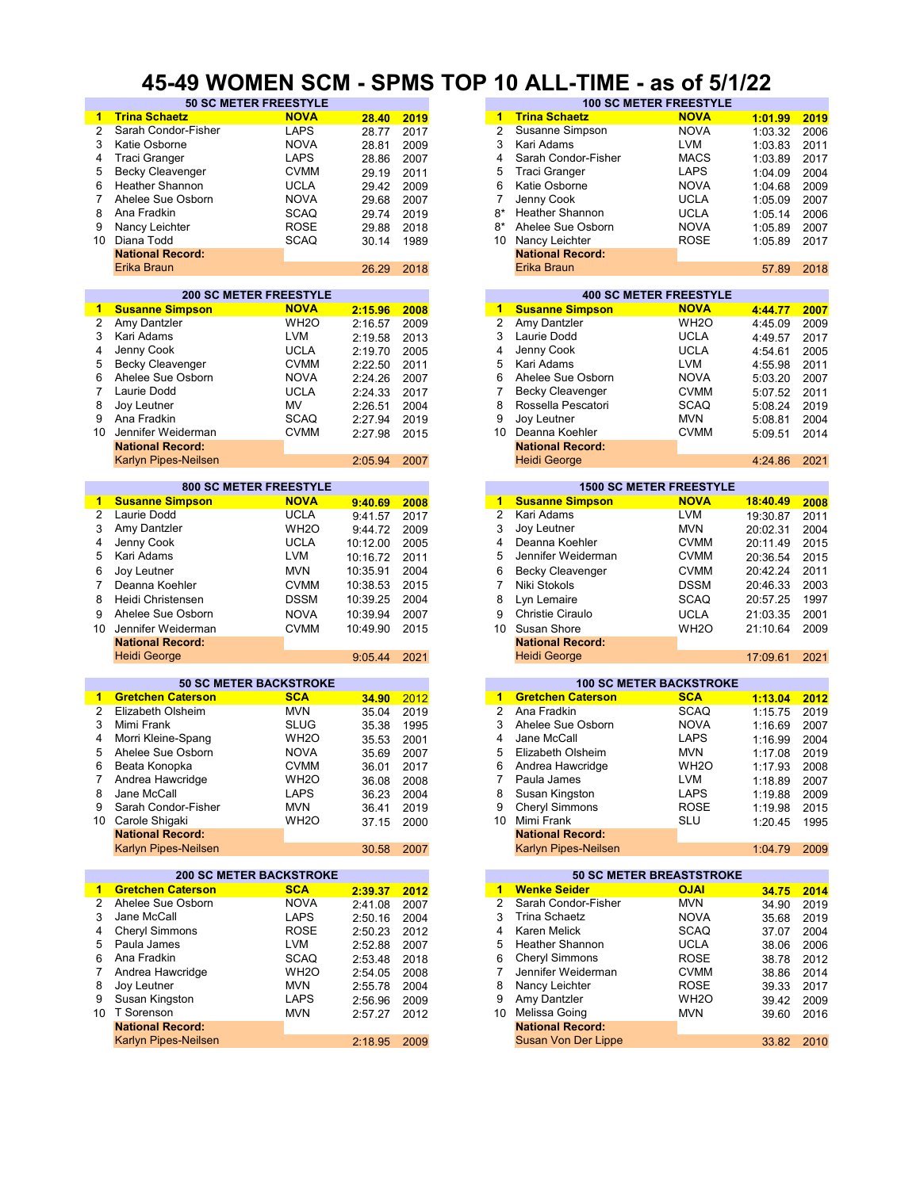#### **45-49 WOMEN SCM - SPMS TOP 10 ALL-TIME - as of 5/1/22**

| $\blacktriangleleft$    | <b>Trina Schaetz</b>     | <b>NOVA</b>                    | 28.40      | 2019 | $\blacktriangleleft$ | <b>Trina Schaetz</b>            | <b>NOVA</b>       | 1:01.99  | 2019 |
|-------------------------|--------------------------|--------------------------------|------------|------|----------------------|---------------------------------|-------------------|----------|------|
| $\overline{2}$          | Sarah Condor-Fisher      | <b>LAPS</b>                    | 28.77      | 2017 | $\overline{2}$       | Susanne Simpson                 | <b>NOVA</b>       | 1:03.32  | 2006 |
|                         |                          |                                |            |      |                      |                                 |                   |          |      |
| 3                       | Katie Osborne            | <b>NOVA</b>                    | 28.81      | 2009 | 3                    | Kari Adams                      | LVM               | 1:03.83  | 2011 |
| 4                       | <b>Traci Granger</b>     | LAPS                           | 28.86      | 2007 | 4                    | Sarah Condor-Fisher             | <b>MACS</b>       | 1:03.89  | 2017 |
| 5                       | <b>Becky Cleavenger</b>  | <b>CVMM</b>                    | 29.19      | 2011 | 5                    | <b>Traci Granger</b>            | <b>LAPS</b>       | 1:04.09  | 2004 |
|                         | <b>Heather Shannon</b>   | <b>UCLA</b>                    |            |      | 6                    |                                 | <b>NOVA</b>       |          |      |
| 6                       |                          |                                | 29.42      | 2009 |                      | Katie Osborne                   |                   | 1:04.68  | 2009 |
| $\overline{7}$          | Ahelee Sue Osborn        | <b>NOVA</b>                    | 29.68      | 2007 | 7                    | Jenny Cook                      | <b>UCLA</b>       | 1:05.09  | 2007 |
| 8                       | Ana Fradkin              | <b>SCAQ</b>                    | 29.74      | 2019 | $8*$                 | <b>Heather Shannon</b>          | <b>UCLA</b>       | 1:05.14  | 2006 |
| 9                       | Nancy Leichter           | <b>ROSE</b>                    | 29.88      | 2018 | $8*$                 | Ahelee Sue Osborn               | <b>NOVA</b>       | 1:05.89  | 2007 |
|                         |                          |                                |            |      |                      |                                 |                   |          |      |
| 10                      | Diana Todd               | <b>SCAQ</b>                    | 30.14      | 1989 | 10                   | Nancy Leichter                  | <b>ROSE</b>       | 1:05.89  | 2017 |
|                         | <b>National Record:</b>  |                                |            |      |                      | <b>National Record:</b>         |                   |          |      |
|                         | Erika Braun              |                                | 26.29      | 2018 |                      | Erika Braun                     |                   | 57.89    | 2018 |
|                         |                          |                                |            |      |                      |                                 |                   |          |      |
|                         |                          | <b>200 SC METER FREESTYLE</b>  |            |      |                      | <b>400 SC METER FREESTYLE</b>   |                   |          |      |
|                         |                          |                                |            |      |                      |                                 |                   |          |      |
| 1.                      | <b>Susanne Simpson</b>   | <b>NOVA</b>                    | 2:15.96    | 2008 |                      | 1 Susanne Simpson               | <b>NOVA</b>       | 4:44.77  | 2007 |
| 2                       | Amy Dantzler             | WH <sub>2</sub> O              | 2:16.57    | 2009 | 2                    | Amy Dantzler                    | WH <sub>2</sub> O | 4:45.09  | 2009 |
| 3                       | Kari Adams               | <b>LVM</b>                     | 2:19.58    | 2013 | 3                    | Laurie Dodd                     | <b>UCLA</b>       | 4:49.57  | 2017 |
| 4                       | Jenny Cook               | <b>UCLA</b>                    | 2:19.70    | 2005 | 4                    | Jenny Cook                      | <b>UCLA</b>       | 4:54.61  | 2005 |
|                         |                          |                                |            |      |                      |                                 |                   |          |      |
| 5                       | <b>Becky Cleavenger</b>  | <b>CVMM</b>                    | 2:22.50    | 2011 | 5                    | Kari Adams                      | LVM               | 4:55.98  | 2011 |
| 6                       | Ahelee Sue Osborn        | <b>NOVA</b>                    | 2:24.26    | 2007 | 6                    | Ahelee Sue Osborn               | <b>NOVA</b>       | 5:03.20  | 2007 |
| 7                       | Laurie Dodd              | <b>UCLA</b>                    | 2:24.33    | 2017 | $\overline{7}$       | <b>Becky Cleavenger</b>         | <b>CVMM</b>       | 5:07.52  | 2011 |
| 8                       | Joy Leutner              | MV                             | 2:26.51    | 2004 | 8                    | Rossella Pescatori              | SCAQ              | 5:08.24  | 2019 |
|                         |                          |                                |            |      |                      |                                 |                   |          |      |
| 9                       | Ana Fradkin              | SCAQ                           | 2:27.94    | 2019 | 9                    | Joy Leutner                     | MVN               | 5:08.81  | 2004 |
| 10                      | Jennifer Weiderman       | <b>CVMM</b>                    | 2:27.98    | 2015 | 10                   | Deanna Koehler                  | <b>CVMM</b>       | 5:09.51  | 2014 |
|                         | <b>National Record:</b>  |                                |            |      |                      | <b>National Record:</b>         |                   |          |      |
|                         | Karlyn Pipes-Neilsen     |                                | 2:05.94    | 2007 |                      | <b>Heidi George</b>             |                   | 4:24.86  | 2021 |
|                         |                          |                                |            |      |                      |                                 |                   |          |      |
|                         |                          |                                |            |      |                      |                                 |                   |          |      |
|                         |                          | 800 SC METER FREESTYLE         |            |      |                      | <b>1500 SC METER FREESTYLE</b>  |                   |          |      |
| 1                       | <b>Susanne Simpson</b>   | <b>NOVA</b>                    | 9:40.69    | 2008 | 1                    | <b>Susanne Simpson</b>          | <b>NOVA</b>       | 18:40.49 | 2008 |
| $\overline{\mathbf{c}}$ | Laurie Dodd              | <b>UCLA</b>                    | 9:41.57    | 2017 | $\overline{2}$       | Kari Adams                      | <b>LVM</b>        | 19:30.87 | 2011 |
| 3                       | Amy Dantzler             | WH <sub>20</sub>               | 9:44.72    | 2009 | 3                    | Joy Leutner                     | <b>MVN</b>        | 20:02.31 | 2004 |
| 4                       | Jenny Cook               | <b>UCLA</b>                    |            |      | 4                    | Deanna Koehler                  | <b>CVMM</b>       |          |      |
|                         |                          |                                | 10:12.00   | 2005 |                      |                                 |                   | 20:11.49 | 2015 |
| 5                       | Kari Adams               | <b>LVM</b>                     | 10:16.72   | 2011 | 5                    | Jennifer Weiderman              | <b>CVMM</b>       | 20:36.54 | 2015 |
| 6                       | Joy Leutner              | <b>MVN</b>                     | 10:35.91   | 2004 | 6                    | <b>Becky Cleavenger</b>         | <b>CVMM</b>       | 20:42.24 | 2011 |
| $\overline{7}$          | Deanna Koehler           | <b>CVMM</b>                    | 10:38.53   | 2015 | $\overline{7}$       | Niki Stokols                    | <b>DSSM</b>       | 20:46.33 | 2003 |
|                         |                          |                                |            |      |                      |                                 |                   |          |      |
| 8                       | Heidi Christensen        | <b>DSSM</b>                    | 10:39.25   | 2004 | 8                    | Lyn Lemaire                     | <b>SCAQ</b>       | 20:57.25 | 1997 |
| 9                       | Ahelee Sue Osborn        | <b>NOVA</b>                    | 10:39.94   | 2007 | 9                    | Christie Ciraulo                | <b>UCLA</b>       | 21:03.35 | 2001 |
| 10                      | Jennifer Weiderman       | <b>CVMM</b>                    | 10:49.90   | 2015 | 10                   | Susan Shore                     | WH <sub>2</sub> O | 21:10.64 | 2009 |
|                         |                          |                                |            |      |                      |                                 |                   |          |      |
|                         | <b>National Record:</b>  |                                |            |      |                      | <b>National Record:</b>         |                   |          |      |
|                         | <b>Heidi George</b>      |                                | 9:05.44    | 2021 |                      | <b>Heidi George</b>             |                   | 17:09.61 | 2021 |
|                         |                          |                                |            |      |                      |                                 |                   |          |      |
|                         |                          | <b>50 SC METER BACKSTROKE</b>  |            |      |                      | <b>100 SC METER BACKSTROKE</b>  |                   |          |      |
| 1                       | <b>Gretchen Caterson</b> | <b>SCA</b>                     |            | 2012 |                      | 1 Gretchen Caterson             | <b>SCA</b>        | 1:13.04  | 2012 |
| 2                       |                          |                                |            |      |                      |                                 |                   |          | 2019 |
|                         |                          |                                | 34.90      |      |                      |                                 |                   |          |      |
|                         | Elizabeth Olsheim        | <b>MVN</b>                     | 35.04      | 2019 | $\overline{2}$       | Ana Fradkin                     | <b>SCAQ</b>       | 1:15.75  |      |
| 3                       | Mimi Frank               | <b>SLUG</b>                    | 35.38      | 1995 | 3                    | Ahelee Sue Osborn               | <b>NOVA</b>       | 1:16.69  | 2007 |
| 4                       | Morri Kleine-Spang       | WH <sub>2</sub> O              | 35.53      | 2001 | 4                    | Jane McCall                     | <b>LAPS</b>       | 1:16.99  | 2004 |
|                         |                          |                                |            |      |                      |                                 |                   |          |      |
| 5                       | Ahelee Sue Osborn        | <b>NOVA</b>                    | 35.69      | 2007 | 5                    | Elizabeth Olsheim               | <b>MVN</b>        | 1:17.08  | 2019 |
| 6                       | Beata Konopka            | <b>CVMM</b>                    | 36.01      | 2017 | 6                    | Andrea Hawcridge                | WH <sub>2</sub> O | 1:17.93  | 2008 |
| 7                       | Andrea Hawcridge         | WH <sub>2</sub> O              | 36.08 2008 |      | 7                    | Paula James                     | <b>LVM</b>        | 1:18.89  | 2007 |
| 8                       | Jane McCall              | <b>LAPS</b>                    | 36.23      | 2004 | 8                    |                                 | LAPS              | 1:19.88  | 2009 |
|                         |                          |                                |            |      |                      | Susan Kingston                  |                   |          |      |
| 9                       | Sarah Condor-Fisher      | <b>MVN</b>                     | 36.41      | 2019 | 9                    | Cheryl Simmons                  | <b>ROSE</b>       | 1:19.98  | 2015 |
|                         | 10 Carole Shigaki        | WH <sub>2</sub> O              | 37.15      | 2000 | 10 Mimi Frank        |                                 | SLU               | 1:20.45  | 1995 |
|                         | <b>National Record:</b>  |                                |            |      |                      | <b>National Record:</b>         |                   |          |      |
|                         | Karlyn Pipes-Neilsen     |                                | 30.58      | 2007 |                      | <b>Karlyn Pipes-Neilsen</b>     |                   | 1:04.79  | 2009 |
|                         |                          |                                |            |      |                      |                                 |                   |          |      |
|                         |                          | <b>200 SC METER BACKSTROKE</b> |            |      |                      | <b>50 SC METER BREASTSTROKE</b> |                   |          |      |
| 1.                      | <b>Gretchen Caterson</b> | <b>SCA</b>                     |            |      | $\blacksquare$       | <b>Wenke Seider</b>             | <b>OJAI</b>       |          |      |
|                         |                          |                                | 2:39.37    | 2012 |                      |                                 |                   | 34.75    | 2014 |
| 2                       | Ahelee Sue Osborn        | <b>NOVA</b>                    | 2:41.08    | 2007 | 2                    | Sarah Condor-Fisher             | <b>MVN</b>        | 34.90    | 2019 |
| 3                       | Jane McCall              | LAPS                           | 2:50.16    | 2004 | 3                    | Trina Schaetz                   | <b>NOVA</b>       | 35.68    | 2019 |
| 4                       | Cheryl Simmons           | <b>ROSE</b>                    | 2:50.23    | 2012 | 4                    | Karen Melick                    | SCAQ              | 37.07    | 2004 |
| 5                       | Paula James              |                                |            |      | 5                    | <b>Heather Shannon</b>          |                   |          |      |
|                         |                          | LVM                            | 2:52.88    | 2007 |                      |                                 | <b>UCLA</b>       | 38.06    | 2006 |
| 6                       | Ana Fradkin              | <b>SCAQ</b>                    | 2:53.48    | 2018 | 6                    | <b>Cheryl Simmons</b>           | ROSE              | 38.78    | 2012 |
| 7                       | Andrea Hawcridge         | WH <sub>2</sub> O              | 2:54.05    | 2008 | 7                    | Jennifer Weiderman              | <b>CVMM</b>       | 38.86    | 2014 |
| 8                       | Joy Leutner              | <b>MVN</b>                     | 2:55.78    | 2004 | 8                    | Nancy Leichter                  | <b>ROSE</b>       | 39.33    | 2017 |
| 9                       | Susan Kingston           | <b>LAPS</b>                    |            |      | 9                    | Amy Dantzler                    | WH <sub>2</sub> O |          |      |
|                         |                          |                                | 2:56.96    | 2009 |                      |                                 |                   | 39.42    | 2009 |
|                         | 10 T Sorenson            | <b>MVN</b>                     | 2:57.27    | 2012 |                      | 10 Melissa Going                | <b>MVN</b>        | 39.60    | 2016 |
|                         | <b>National Record:</b>  |                                |            |      |                      | <b>National Record:</b>         |                   |          |      |
|                         | Karlyn Pipes-Neilsen     |                                | 2:18.95    | 2009 |                      | Susan Von Der Lippe             |                   | 33.82    | 2010 |

| <b>50 SC METER FREESTYLE</b> |             |       |      |    |                         | <b>100 SC METER FREESTYLE</b> |         |      |
|------------------------------|-------------|-------|------|----|-------------------------|-------------------------------|---------|------|
|                              | <b>NOVA</b> | 28.40 | 2019 | 1  | <b>Trina Schaetz</b>    | <b>NOVA</b>                   | 1:01.99 | 2019 |
| -Fisher                      | <b>LAPS</b> | 28.77 | 2017 |    | Susanne Simpson         | <b>NOVA</b>                   | 1:03.32 | 2006 |
|                              | <b>NOVA</b> | 28.81 | 2009 | 3  | Kari Adams              | <b>LVM</b>                    | 1:03.83 | 2011 |
|                              | LAPS        | 28.86 | 2007 | 4  | Sarah Condor-Fisher     | <b>MACS</b>                   | 1:03.89 | 2017 |
| nger                         | <b>CVMM</b> | 29.19 | 2011 | 5  | Traci Granger           | <b>LAPS</b>                   | 1:04.09 | 2004 |
| non                          | <b>UCLA</b> | 29.42 | 2009 | 6  | Katie Osborne           | <b>NOVA</b>                   | 1:04.68 | 2009 |
| sborn                        | <b>NOVA</b> | 29.68 | 2007 |    | Jenny Cook              | <b>UCLA</b>                   | 1:05.09 | 2007 |
|                              | <b>SCAQ</b> | 29.74 | 2019 | 8* | Heather Shannon         | <b>UCLA</b>                   | 1:05.14 | 2006 |
| r                            | <b>ROSE</b> | 29.88 | 2018 | 8* | Ahelee Sue Osborn       | <b>NOVA</b>                   | 1:05.89 | 2007 |
|                              | <b>SCAQ</b> | 30.14 | 1989 | 10 | Nancy Leichter          | <b>ROSE</b>                   | 1:05.89 | 2017 |
| :bic                         |             |       |      |    | <b>National Record:</b> |                               |         |      |
|                              |             | 26.29 | 2018 |    | Erika Braun             |                               | 57.89   | 2018 |
|                              |             |       |      |    |                         |                               |         |      |

|         |      |    |                         | <b>400 SC METER FREESTYLE</b> |  |
|---------|------|----|-------------------------|-------------------------------|--|
| 2:15.96 | 2008 | 1  | <b>Susanne Simpson</b>  | <b>NOVA</b>                   |  |
| 2:16.57 | 2009 | 2  | Amy Dantzler            | WH <sub>2</sub> O             |  |
| 2:19.58 | 2013 | 3  | Laurie Dodd             | <b>UCLA</b>                   |  |
| 2:19.70 | 2005 | 4  | Jenny Cook              | <b>UCLA</b>                   |  |
| 2:22.50 | 2011 | 5. | Kari Adams              | <b>LVM</b>                    |  |
| 2:24.26 | 2007 | 6  | Ahelee Sue Osborn       | <b>NOVA</b>                   |  |
| 2:24.33 | 2017 |    | <b>Becky Cleavenger</b> | <b>CVMM</b>                   |  |
| 2:26.51 | 2004 | 8  | Rossella Pescatori      | <b>SCAQ</b>                   |  |
| 2:27.94 | 2019 | 9  | Joy Leutner             | <b>MVN</b>                    |  |
| 2:27.98 | 2015 | 10 | Deanna Koehler          | <b>CVMM</b>                   |  |
|         |      |    | <b>National Record:</b> |                               |  |
| 2:05.94 | 2007 |    | <b>Heidi George</b>     |                               |  |
|         |      |    |                         |                               |  |

|         |      |    |                         | <b>1500 SC METER FREESTYLE</b> |          |
|---------|------|----|-------------------------|--------------------------------|----------|
| 9:40.69 | 2008 | 1  | <b>Susanne Simpson</b>  | <b>NOVA</b>                    | 18:40.49 |
| 9:41.57 | 2017 | 2  | Kari Adams              | <b>LVM</b>                     | 19:30.87 |
| 9:44.72 | 2009 | 3  | Joy Leutner             | <b>MVN</b>                     | 20:02.31 |
| 0:12.00 | 2005 | 4  | Deanna Koehler          | <b>CVMM</b>                    | 20:11.49 |
| 0:16.72 | 2011 | 5  | Jennifer Weiderman      | <b>CVMM</b>                    | 20:36.54 |
| 0:35.91 | 2004 | 6  | <b>Becky Cleavenger</b> | <b>CVMM</b>                    | 20:42.24 |
| 0:38.53 | 2015 | 7  | Niki Stokols            | <b>DSSM</b>                    | 20:46.33 |
| 0:39.25 | 2004 | 8  | Lyn Lemaire             | <b>SCAQ</b>                    | 20:57.25 |
| 0:39.94 | 2007 | 9  | Christie Ciraulo        | <b>UCLA</b>                    | 21:03.35 |
| 0:49.90 | 2015 | 10 | Susan Shore             | WH <sub>2</sub> O              | 21:10.64 |
|         |      |    | <b>National Record:</b> |                                |          |
| 9:05.44 | 2021 |    | <b>Heidi George</b>     |                                | 17:09.61 |
|         |      |    |                         |                                |          |

|       |      |    | <b>100 SC METER BACKSTROKE</b> |                   |         |  |  |  |  |  |
|-------|------|----|--------------------------------|-------------------|---------|--|--|--|--|--|
| 34.90 | 2012 | 1  | <b>Gretchen Caterson</b>       | <b>SCA</b>        | 1:13.04 |  |  |  |  |  |
| 35.04 | 2019 | 2  | Ana Fradkin                    | <b>SCAQ</b>       | 1:15.75 |  |  |  |  |  |
| 35.38 | 1995 | 3  | Ahelee Sue Osborn              | <b>NOVA</b>       | 1:16.69 |  |  |  |  |  |
| 35.53 | 2001 | 4  | Jane McCall                    | <b>LAPS</b>       | 1:16.99 |  |  |  |  |  |
| 35.69 | 2007 | 5  | Elizabeth Olsheim              | <b>MVN</b>        | 1:17.08 |  |  |  |  |  |
| 36.01 | 2017 | 6  | Andrea Hawcridge               | WH <sub>2</sub> O | 1:17.93 |  |  |  |  |  |
| 36.08 | 2008 |    | Paula James                    | <b>LVM</b>        | 1:18.89 |  |  |  |  |  |
| 36.23 | 2004 | 8  | Susan Kingston                 | <b>LAPS</b>       | 1:19.88 |  |  |  |  |  |
| 36.41 | 2019 | 9  | <b>Cheryl Simmons</b>          | <b>ROSE</b>       | 1:19.98 |  |  |  |  |  |
| 37.15 | 2000 | 10 | Mimi Frank                     | <b>SLU</b>        | 1:20.45 |  |  |  |  |  |
|       |      |    | <b>National Record:</b>        |                   |         |  |  |  |  |  |
| 30.58 | 2007 |    | <b>Karlyn Pipes-Neilsen</b>    |                   | 1:04.79 |  |  |  |  |  |
|       |      |    |                                |                   |         |  |  |  |  |  |

|         |      |               |                         | <b>50 SC METER BREASTSTROKE</b> |  |
|---------|------|---------------|-------------------------|---------------------------------|--|
| 2:39.37 | 2012 | 1.            | <b>Wenke Seider</b>     | <b>OJAI</b>                     |  |
| 2:41.08 | 2007 | $\mathcal{P}$ | Sarah Condor-Fisher     | <b>MVN</b>                      |  |
| 2:50.16 | 2004 | 3             | Trina Schaetz           | <b>NOVA</b>                     |  |
| 2:50.23 | 2012 | 4             | Karen Melick            | <b>SCAQ</b>                     |  |
| 2:52.88 | 2007 | 5             | <b>Heather Shannon</b>  | <b>UCLA</b>                     |  |
| 2:53.48 | 2018 | 6             | <b>Cheryl Simmons</b>   | <b>ROSE</b>                     |  |
| 2:54.05 | 2008 |               | Jennifer Weiderman      | <b>CVMM</b>                     |  |
| 2:55.78 | 2004 | 8             | Nancy Leichter          | <b>ROSE</b>                     |  |
| 2:56.96 | 2009 | 9             | Amy Dantzler            | WH <sub>2</sub> O               |  |
| 2:57.27 | 2012 | 10            | Melissa Going           | <b>MVN</b>                      |  |
|         |      |               | <b>National Record:</b> |                                 |  |
| 2:18.95 | 2009 |               | Susan Von Der Lippe     |                                 |  |
|         |      |               |                         |                                 |  |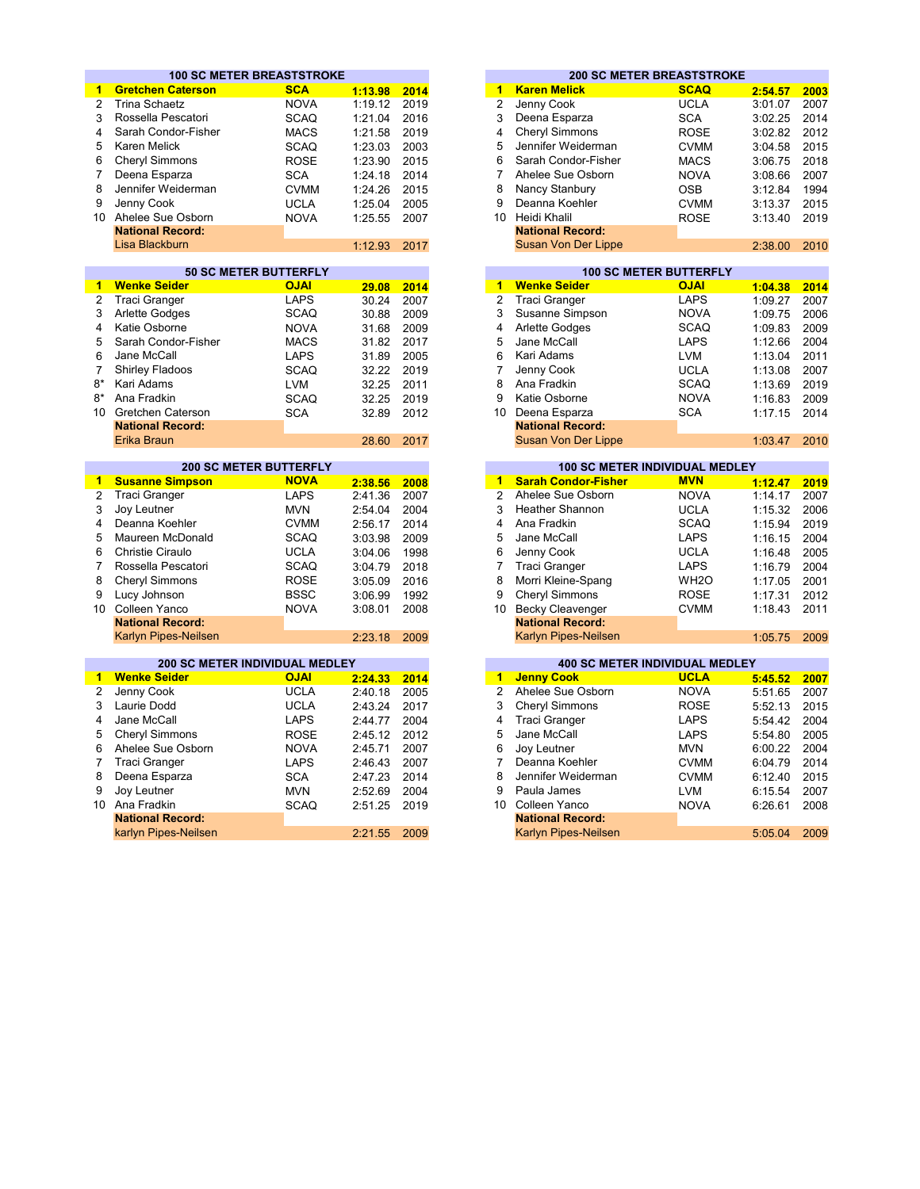|                                                            |                                                 | <b>100 SC METER BREASTSTROKE</b> |         |      |                         |                                                        | <b>200 SC METER BREASTSTROKE</b> |         |                                      |
|------------------------------------------------------------|-------------------------------------------------|----------------------------------|---------|------|-------------------------|--------------------------------------------------------|----------------------------------|---------|--------------------------------------|
| 1                                                          | <b>Gretchen Caterson</b>                        | <b>SCA</b>                       | 1:13.98 | 2014 | 1                       | <b>Karen Melick</b>                                    | <b>SCAQ</b>                      | 2:54.57 | 2003                                 |
| $\overline{2}$                                             | <b>Trina Schaetz</b>                            | <b>NOVA</b>                      | 1:19.12 | 2019 | $\overline{2}$          | Jenny Cook                                             | <b>UCLA</b>                      | 3:01.07 | 2007                                 |
| 3                                                          | Rossella Pescatori                              | <b>SCAQ</b>                      | 1:21.04 | 2016 | 3                       | Deena Esparza                                          | <b>SCA</b>                       | 3:02.25 | 2014                                 |
| 4                                                          | Sarah Condor-Fisher                             | <b>MACS</b>                      | 1:21.58 | 2019 | $\overline{4}$          | <b>Cheryl Simmons</b>                                  | <b>ROSE</b>                      | 3:02.82 | 2012                                 |
| 5                                                          | <b>Karen Melick</b>                             | <b>SCAQ</b>                      | 1:23.03 | 2003 | 5                       | Jennifer Weiderman                                     | <b>CVMM</b>                      | 3:04.58 | 2015                                 |
| 6                                                          | Cheryl Simmons                                  | <b>ROSE</b>                      | 1:23.90 | 2015 | 6                       | Sarah Condor-Fisher                                    | <b>MACS</b>                      | 3:06.75 | 2018                                 |
| 7                                                          | Deena Esparza                                   | <b>SCA</b>                       | 1:24.18 | 2014 | $\overline{7}$          | Ahelee Sue Osborn                                      | <b>NOVA</b>                      | 3:08.66 | 2007                                 |
| 8                                                          | Jennifer Weiderman                              | <b>CVMM</b>                      | 1:24.26 | 2015 | 8                       | Nancy Stanbury                                         | <b>OSB</b>                       | 3:12.84 | 1994                                 |
| 9                                                          | Jenny Cook                                      | <b>UCLA</b>                      | 1:25.04 | 2005 | 9                       | Deanna Koehler                                         | <b>CVMM</b>                      | 3:13.37 | 2015                                 |
| 10                                                         | Ahelee Sue Osborn                               | <b>NOVA</b>                      | 1:25.55 | 2007 |                         | 10 Heidi Khalil                                        | <b>ROSE</b>                      | 3:13.40 | 2019                                 |
|                                                            | <b>National Record:</b>                         |                                  |         |      |                         | <b>National Record:</b>                                |                                  |         |                                      |
|                                                            | Lisa Blackburn                                  |                                  | 1:12.93 | 2017 |                         | Susan Von Der Lippe                                    |                                  | 2:38.00 | 2010                                 |
|                                                            |                                                 |                                  |         |      |                         |                                                        |                                  |         |                                      |
|                                                            |                                                 | <b>50 SC METER BUTTERFLY</b>     |         |      |                         |                                                        | <b>100 SC METER BUTTERFLY</b>    |         |                                      |
| $\mathbf{1}$                                               | <b>Wenke Seider</b>                             | <b>OJAI</b>                      | 29.08   | 2014 | $\blacktriangleleft$    | <b>Wenke Seider</b>                                    | <b>OJAI</b>                      | 1:04.38 | 2014                                 |
| $\overline{2}$                                             | <b>Traci Granger</b>                            | <b>LAPS</b>                      | 30.24   | 2007 | $\overline{2}$          | <b>Traci Granger</b>                                   | <b>LAPS</b>                      | 1:09.27 | 2007                                 |
| 3                                                          | Arlette Godges                                  | <b>SCAQ</b>                      | 30.88   | 2009 | 3                       | Susanne Simpson                                        | <b>NOVA</b>                      | 1:09.75 | 2006                                 |
| 4                                                          | Katie Osborne                                   | <b>NOVA</b>                      | 31.68   | 2009 | 4                       | Arlette Godges                                         | <b>SCAQ</b>                      | 1:09.83 | 2009                                 |
| 5                                                          | Sarah Condor-Fisher                             | <b>MACS</b>                      | 31.82   | 2017 | 5                       | Jane McCall                                            | <b>LAPS</b>                      | 1:12.66 | 2004                                 |
| 6                                                          | Jane McCall                                     | <b>LAPS</b>                      | 31.89   | 2005 | 6                       | Kari Adams                                             | <b>LVM</b>                       | 1:13.04 | 2011                                 |
| $\overline{7}$                                             | Shirley Fladoos                                 | <b>SCAQ</b>                      | 32.22   | 2019 | $\overline{7}$          | Jenny Cook                                             | <b>UCLA</b>                      | 1:13.08 | 2007                                 |
| $8*$                                                       | Kari Adams                                      | <b>LVM</b>                       | 32.25   | 2011 | 8                       | Ana Fradkin                                            | <b>SCAQ</b>                      | 1:13.69 | 2019                                 |
| 8*                                                         | Ana Fradkin                                     | <b>SCAQ</b>                      | 32.25   | 2019 | 9                       | Katie Osborne                                          | <b>NOVA</b>                      | 1:16.83 | 2009                                 |
|                                                            | 10 Gretchen Caterson                            | <b>SCA</b>                       | 32.89   | 2012 |                         | 10 Deena Esparza                                       | <b>SCA</b>                       | 1:17.15 | 2014                                 |
|                                                            | <b>National Record:</b>                         |                                  |         |      |                         | <b>National Record:</b>                                |                                  |         |                                      |
|                                                            | Erika Braun                                     |                                  | 28.60   | 2017 |                         | <b>Susan Von Der Lippe</b>                             |                                  | 1:03.47 | 2010                                 |
|                                                            |                                                 | <b>200 SC METER BUTTERFLY</b>    |         |      |                         | <b>100 SC METER INDIVIDUAL MEDLEY</b>                  |                                  |         |                                      |
| $\mathbf{1}$                                               | <b>Susanne Simpson</b>                          | <b>NOVA</b>                      | 2:38.56 | 2008 | $\overline{1}$          | <b>Sarah Condor-Fisher</b>                             | <b>MVN</b>                       | 1:12.47 | 2019                                 |
| 2                                                          | <b>Traci Granger</b>                            | <b>LAPS</b>                      | 2:41.36 | 2007 | $\overline{2}$          | Ahelee Sue Osborn                                      | <b>NOVA</b>                      | 1:14.17 | 2007                                 |
| 3                                                          | Joy Leutner                                     | <b>MVN</b>                       | 2:54.04 | 2004 | 3                       | <b>Heather Shannon</b>                                 | <b>UCLA</b>                      | 1:15.32 | 2006                                 |
| 4                                                          | Deanna Koehler                                  | <b>CVMM</b>                      | 2:56.17 | 2014 | $\overline{\mathbf{4}}$ | Ana Fradkin                                            | <b>SCAQ</b>                      | 1:15.94 | 2019                                 |
| 5                                                          | Maureen McDonald                                | <b>SCAQ</b>                      | 3:03.98 | 2009 | 5                       | Jane McCall                                            | <b>LAPS</b>                      | 1:16.15 | 2004                                 |
| 6                                                          | <b>Christie Ciraulo</b>                         | <b>UCLA</b>                      | 3:04.06 | 1998 | 6                       | Jenny Cook                                             | <b>UCLA</b>                      | 1:16.48 | 2005                                 |
| $\overline{7}$                                             | Rossella Pescatori                              | <b>SCAQ</b>                      | 3:04.79 | 2018 | $\overline{7}$          | <b>Traci Granger</b>                                   | <b>LAPS</b>                      | 1:16.79 | 2004                                 |
| 8                                                          | Cheryl Simmons                                  | <b>ROSE</b>                      | 3:05.09 | 2016 | 8                       | Morri Kleine-Spang                                     | WH <sub>2</sub> O                | 1:17.05 | 2001                                 |
| 9                                                          | Lucy Johnson                                    | <b>BSSC</b>                      | 3:06.99 | 1992 | 9                       | <b>Cheryl Simmons</b>                                  | <b>ROSE</b>                      | 1:17.31 | 2012                                 |
|                                                            | 10 Colleen Yanco                                | <b>NOVA</b>                      | 3:08.01 | 2008 | 10                      | <b>Becky Cleavenger</b>                                | <b>CVMM</b>                      | 1:18.43 | 2011                                 |
|                                                            |                                                 |                                  |         |      |                         | <b>National Record:</b>                                |                                  |         |                                      |
|                                                            |                                                 |                                  |         |      |                         |                                                        |                                  |         |                                      |
|                                                            | <b>National Record:</b><br>Karlyn Pipes-Neilsen |                                  | 2:23.18 | 2009 |                         | Karlyn Pipes-Neilsen                                   |                                  | 1:05.75 |                                      |
|                                                            |                                                 |                                  |         |      |                         |                                                        |                                  |         | 2009                                 |
|                                                            | 200 SC METER INDIVIDUAL MEDLEY                  |                                  |         |      |                         | <b>400 SC METER INDIVIDUAL MEDLEY</b>                  |                                  |         |                                      |
|                                                            | <b>Wenke Seider</b>                             | <b>OJAI</b>                      | 2:24.33 | 2014 | $\blacktriangleleft$    | <b>Jenny Cook</b>                                      | <b>UCLA</b>                      | 5:45.52 |                                      |
|                                                            | Jenny Cook                                      | <b>UCLA</b>                      | 2:40.18 | 2005 | $\overline{2}$          | Ahelee Sue Osborn                                      | <b>NOVA</b>                      | 5:51.65 | 2007<br>2007                         |
|                                                            | Laurie Dodd                                     | <b>UCLA</b>                      | 2:43.24 | 2017 | 3                       | <b>Cheryl Simmons</b>                                  | <b>ROSE</b>                      | 5:52.13 | 2015                                 |
|                                                            | Jane McCall                                     | <b>LAPS</b>                      | 2:44.77 | 2004 | 4                       | <b>Traci Granger</b>                                   | <b>LAPS</b>                      | 5:54.42 | 2004                                 |
|                                                            | Cheryl Simmons                                  | <b>ROSE</b>                      | 2:45.12 | 2012 | 5                       | Jane McCall                                            | <b>LAPS</b>                      | 5:54.80 | 2005                                 |
|                                                            | Ahelee Sue Osborn                               | <b>NOVA</b>                      | 2:45.71 | 2007 | 6                       | Joy Leutner                                            | <b>MVN</b>                       | 6:00.22 |                                      |
|                                                            | <b>Traci Granger</b>                            | <b>LAPS</b>                      | 2:46.43 | 2007 | $\overline{7}$          | Deanna Koehler                                         | <b>CVMM</b>                      | 6:04.79 |                                      |
|                                                            | Deena Esparza                                   | <b>SCA</b>                       | 2:47.23 | 2014 | 8                       | Jennifer Weiderman                                     | <b>CVMM</b>                      | 6:12.40 |                                      |
|                                                            | Joy Leutner                                     | <b>MVN</b>                       | 2:52.69 | 2004 | 9                       | Paula James                                            | <b>LVM</b>                       | 6:15.54 |                                      |
| 3<br>4<br>5<br>6                                           | 10 Ana Fradkin                                  | <b>SCAQ</b>                      | 2:51.25 | 2019 |                         | 10 Colleen Yanco                                       | <b>NOVA</b>                      | 6:26.61 | 2004<br>2014<br>2015<br>2007<br>2008 |
| $\mathbf{1}$<br>$\overline{2}$<br>$\overline{7}$<br>8<br>9 | <b>National Record:</b><br>karlyn Pipes-Neilsen |                                  | 2:21.55 | 2009 |                         | <b>National Record:</b><br><b>Karlyn Pipes-Neilsen</b> |                                  | 5:05.04 | 2009                                 |

|         |      |    |                         | <b>200 SC METER BREASTSTROKE</b> |         |      |
|---------|------|----|-------------------------|----------------------------------|---------|------|
| 1:13.98 | 2014 | 1  | <b>Karen Melick</b>     | <b>SCAQ</b>                      | 2:54.57 |      |
| 1:19.12 | 2019 | 2  | Jenny Cook              | <b>UCLA</b>                      | 3:01.07 |      |
| 1:21.04 | 2016 | 3  | Deena Esparza           | <b>SCA</b>                       | 3:02.25 | 2014 |
| 1:21.58 | 2019 | 4  | <b>Cheryl Simmons</b>   | <b>ROSE</b>                      | 3:02.82 | 2012 |
| 1:23.03 | 2003 | 5  | Jennifer Weiderman      | <b>CVMM</b>                      | 3:04.58 | 2015 |
| 1:23.90 | 2015 | 6  | Sarah Condor-Fisher     | <b>MACS</b>                      | 3:06.75 | 2018 |
| 1:24.18 | 2014 |    | Ahelee Sue Osborn       | <b>NOVA</b>                      | 3:08.66 | 2007 |
| 1:24.26 | 2015 | 8  | Nancy Stanbury          | <b>OSB</b>                       | 3:12.84 | 1994 |
| 1:25.04 | 2005 | 9  | Deanna Koehler          | <b>CVMM</b>                      | 3:13.37 | 2015 |
| 1:25.55 | 2007 | 10 | Heidi Khalil            | <b>ROSE</b>                      | 3:13.40 | 2019 |
|         |      |    | <b>National Record:</b> |                                  |         |      |
| 1:12.93 | 2017 |    | Susan Von Der Lippe     |                                  | 2:38.00 | 2010 |
|         |      |    |                         |                                  |         |      |
|         |      |    |                         |                                  |         |      |

|       |      |    | <b>100 SC METER BUTTERFLY</b> |             |         |      |
|-------|------|----|-------------------------------|-------------|---------|------|
| 29.08 | 2014 | 1  | <b>Wenke Seider</b>           | <b>OJAI</b> | 1:04.38 | 2014 |
| 30.24 | 2007 | 2  | Traci Granger                 | <b>LAPS</b> | 1:09.27 | 2007 |
| 30.88 | 2009 | 3  | Susanne Simpson               | <b>NOVA</b> | 1:09.75 | 2006 |
| 31.68 | 2009 | 4  | <b>Arlette Godges</b>         | <b>SCAQ</b> | 1:09.83 | 2009 |
| 31.82 | 2017 | 5  | Jane McCall                   | <b>LAPS</b> | 1:12.66 | 2004 |
| 31.89 | 2005 | 6  | Kari Adams                    | <b>LVM</b>  | 1:13.04 | 2011 |
| 32.22 | 2019 | 7  | Jenny Cook                    | <b>UCLA</b> | 1:13.08 | 2007 |
| 32.25 | 2011 | 8  | Ana Fradkin                   | <b>SCAQ</b> | 1:13.69 | 2019 |
| 32.25 | 2019 | 9  | Katie Osborne                 | <b>NOVA</b> | 1:16.83 | 2009 |
| 32.89 | 2012 | 10 | Deena Esparza                 | <b>SCA</b>  | 1:17.15 | 2014 |
|       |      |    | <b>National Record:</b>       |             |         |      |
| 28.60 | 2017 |    | Susan Von Der Lippe           |             | 1:03.47 | 2010 |

|                | <b>200 SC METER BUTTERFLY</b> |         |      |    |                            | <b>100 SC METER INDIVIDUAL MEDLEY</b> |         |      |
|----------------|-------------------------------|---------|------|----|----------------------------|---------------------------------------|---------|------|
| าpson          | <b>NOVA</b>                   | 2:38.56 | 2008 |    | <b>Sarah Condor-Fisher</b> | <b>MVN</b>                            | 1:12.47 | 2019 |
|                | <b>LAPS</b>                   | 2:41.36 | 2007 |    | Ahelee Sue Osborn          | <b>NOVA</b>                           | 1:14.17 | 2007 |
|                | <b>MVN</b>                    | 2:54.04 | 2004 | 3  | Heather Shannon            | <b>UCLA</b>                           | 1:15.32 | 2006 |
| ıler           | <b>CVMM</b>                   | 2:56.17 | 2014 | 4  | Ana Fradkin                | <b>SCAQ</b>                           | 1:15.94 | 2019 |
| )onald         | <b>SCAQ</b>                   | 3:03.98 | 2009 | 5  | Jane McCall                | <b>LAPS</b>                           | 1:16.15 | 2004 |
| lo             | <b>UCLA</b>                   | 3:04.06 | 1998 | 6  | Jenny Cook                 | <b>UCLA</b>                           | 1:16.48 | 2005 |
| catori         | <b>SCAQ</b>                   | 3:04.79 | 2018 |    | Traci Granger              | <b>LAPS</b>                           | 1:16.79 | 2004 |
| ons            | <b>ROSE</b>                   | 3:05.09 | 2016 | 8  | Morri Kleine-Spang         | WH <sub>2</sub> O                     | 1:17.05 | 2001 |
|                | <b>BSSC</b>                   | 3:06.99 | 1992 | 9  | <b>Cheryl Simmons</b>      | <b>ROSE</b>                           | 1:17.31 | 2012 |
| o              | <b>NOVA</b>                   | 3:08.01 | 2008 | 10 | <b>Becky Cleavenger</b>    | <b>CVMM</b>                           | 1:18.43 | 2011 |
| ord:           |                               |         |      |    | <b>National Record:</b>    |                                       |         |      |
| <b>Neilsen</b> |                               | 2:23.18 | 2009 |    | Karlyn Pipes-Neilsen       |                                       | 1:05.75 | 2009 |
|                |                               |         |      |    |                            |                                       |         |      |

| <b>Jenny Cook</b>       | <b>UCLA</b> | 5:45.52 | 2007                                  |
|-------------------------|-------------|---------|---------------------------------------|
| Ahelee Sue Osborn       | <b>NOVA</b> | 5:51.65 | 2007                                  |
| <b>Cheryl Simmons</b>   | <b>ROSE</b> | 5:52.13 | 2015                                  |
| <b>Traci Granger</b>    | LAPS        | 5:54.42 | 2004                                  |
| Jane McCall             | LAPS        | 5:54.80 | 2005                                  |
| Joy Leutner             | <b>MVN</b>  | 6:00.22 | 2004                                  |
| Deanna Koehler          | <b>CVMM</b> | 6:04.79 | 2014                                  |
| Jennifer Weiderman      | <b>CVMM</b> | 6:12.40 | 2015                                  |
| Paula James             | <b>LVM</b>  | 6:15.54 | 2007                                  |
| Colleen Yanco           | <b>NOVA</b> | 6:26.61 | 2008                                  |
| <b>National Record:</b> |             |         |                                       |
| Karlyn Pipes-Neilsen    |             | 5:05.04 | 2009                                  |
|                         |             |         | <b>400 SC METER INDIVIDUAL MEDLEY</b> |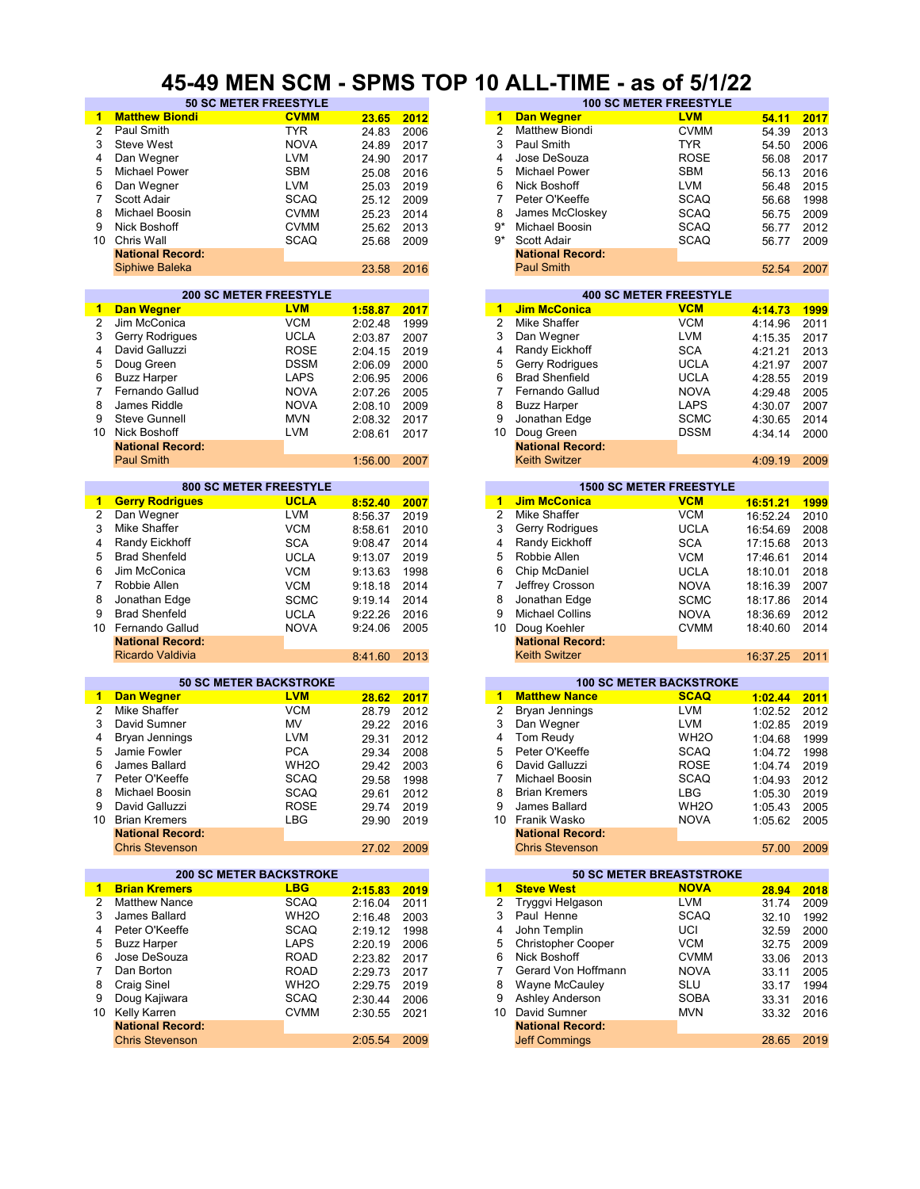#### **45-49 MEN SCM - SPMS TOP 10 ALL-TIME - as of 5/1/22**

| 1              | <b>Matthew Biondi</b>          | <b>CVMM</b>       | 23.65   | 2012 | 1              | <b>Dan Wegner</b>               | <b>LVM</b>        | 54.11    | 2017 |
|----------------|--------------------------------|-------------------|---------|------|----------------|---------------------------------|-------------------|----------|------|
| $\overline{2}$ | Paul Smith                     | <b>TYR</b>        | 24.83   | 2006 | $\overline{c}$ | <b>Matthew Biondi</b>           | <b>CVMM</b>       | 54.39    | 2013 |
| 3              | <b>Steve West</b>              | <b>NOVA</b>       | 24.89   | 2017 | 3              | Paul Smith                      | <b>TYR</b>        | 54.50    | 2006 |
| 4              |                                | <b>LVM</b>        |         |      | 4              | Jose DeSouza                    | <b>ROSE</b>       |          |      |
|                | Dan Wegner                     |                   | 24.90   | 2017 |                |                                 |                   | 56.08    | 2017 |
| 5              | Michael Power                  | <b>SBM</b>        | 25.08   | 2016 | 5              | <b>Michael Power</b>            | <b>SBM</b>        | 56.13    | 2016 |
| 6              | Dan Wegner                     | LVM               | 25.03   | 2019 | 6              | Nick Boshoff                    | LVM               | 56.48    | 2015 |
| $\overline{7}$ | Scott Adair                    | <b>SCAQ</b>       | 25.12   | 2009 | 7              | Peter O'Keeffe                  | <b>SCAQ</b>       | 56.68    | 1998 |
| 8              | Michael Boosin                 | <b>CVMM</b>       | 25.23   | 2014 | 8              | James McCloskey                 | <b>SCAQ</b>       | 56.75    | 2009 |
| 9              | Nick Boshoff                   | <b>CVMM</b>       | 25.62   | 2013 | 9*             | Michael Boosin                  | <b>SCAQ</b>       | 56.77    | 2012 |
| 10             | Chris Wall                     | <b>SCAQ</b>       | 25.68   | 2009 | g*             | Scott Adair                     | <b>SCAQ</b>       | 56.77    | 2009 |
|                | <b>National Record:</b>        |                   |         |      |                | <b>National Record:</b>         |                   |          |      |
|                | <b>Siphiwe Baleka</b>          |                   | 23.58   | 2016 |                | <b>Paul Smith</b>               |                   | 52.54    | 2007 |
|                |                                |                   |         |      |                |                                 |                   |          |      |
|                | <b>200 SC METER FREESTYLE</b>  |                   |         |      |                | <b>400 SC METER FREESTYLE</b>   |                   |          |      |
| 1.             | <b>Dan Wegner</b>              | <b>LVM</b>        | 1:58.87 | 2017 | 1              | <b>Jim McConica</b>             | <b>VCM</b>        | 4:14.73  | 1999 |
| $\overline{2}$ | Jim McConica                   | <b>VCM</b>        |         | 1999 | $\overline{2}$ | Mike Shaffer                    | <b>VCM</b>        | 4:14.96  | 2011 |
|                |                                |                   | 2:02.48 |      |                |                                 |                   |          |      |
| 3              | Gerry Rodrigues                | <b>UCLA</b>       | 2:03.87 | 2007 | 3              | Dan Wegner                      | LVM               | 4:15.35  | 2017 |
| 4              | David Galluzzi                 | <b>ROSE</b>       | 2:04.15 | 2019 | 4              | Randy Eickhoff                  | <b>SCA</b>        | 4:21.21  | 2013 |
| 5              | Doug Green                     | <b>DSSM</b>       | 2:06.09 | 2000 | 5              | Gerry Rodrigues                 | <b>UCLA</b>       | 4:21.97  | 2007 |
| 6              | <b>Buzz Harper</b>             | <b>LAPS</b>       | 2:06.95 | 2006 | 6              | <b>Brad Shenfield</b>           | <b>UCLA</b>       | 4:28.55  | 2019 |
| $\overline{7}$ | Fernando Gallud                | <b>NOVA</b>       | 2:07.26 | 2005 | 7              | Fernando Gallud                 | <b>NOVA</b>       | 4:29.48  | 2005 |
| 8              | James Riddle                   | <b>NOVA</b>       | 2:08.10 | 2009 | 8              | <b>Buzz Harper</b>              | <b>LAPS</b>       | 4:30.07  | 2007 |
| 9              | <b>Steve Gunnell</b>           | <b>MVN</b>        | 2:08.32 | 2017 | 9              | Jonathan Edge                   | <b>SCMC</b>       | 4:30.65  | 2014 |
| 10             | Nick Boshoff                   | <b>LVM</b>        | 2:08.61 | 2017 | 10             | Doug Green                      | <b>DSSM</b>       | 4:34.14  | 2000 |
|                | <b>National Record:</b>        |                   |         |      |                | <b>National Record:</b>         |                   |          |      |
|                |                                |                   |         |      |                |                                 |                   |          |      |
|                | <b>Paul Smith</b>              |                   | 1:56.00 | 2007 |                | <b>Keith Switzer</b>            |                   | 4:09.19  | 2009 |
|                | <b>800 SC METER FREESTYLE</b>  |                   |         |      |                |                                 |                   |          |      |
|                |                                |                   |         |      |                | <b>1500 SC METER FREESTYLE</b>  |                   |          |      |
| 1              | <b>Gerry Rodrigues</b>         | <b>UCLA</b>       | 8:52.40 | 2007 | 1              | <b>Jim McConica</b>             | <b>VCM</b>        | 16:51.21 | 1999 |
| 2              | Dan Wegner                     | <b>LVM</b>        | 8:56.37 | 2019 | $\overline{2}$ | Mike Shaffer                    | <b>VCM</b>        | 16:52.24 | 2010 |
| 3              | Mike Shaffer                   | <b>VCM</b>        | 8:58.61 | 2010 | 3              | Gerry Rodrigues                 | <b>UCLA</b>       | 16:54.69 | 2008 |
| 4              | Randy Eickhoff                 | <b>SCA</b>        | 9:08.47 | 2014 | 4              | Randy Eickhoff                  | <b>SCA</b>        | 17:15.68 | 2013 |
| 5              | <b>Brad Shenfeld</b>           | <b>UCLA</b>       | 9:13.07 | 2019 | 5              | Robbie Allen                    | <b>VCM</b>        | 17:46.61 | 2014 |
| 6              | Jim McConica                   | <b>VCM</b>        | 9:13.63 | 1998 | 6              | Chip McDaniel                   | <b>UCLA</b>       | 18:10.01 | 2018 |
| 7              | Robbie Allen                   | <b>VCM</b>        | 9:18.18 | 2014 | 7              | Jeffrey Crosson                 | <b>NOVA</b>       | 18:16.39 | 2007 |
| 8              |                                | <b>SCMC</b>       |         | 2014 | 8              | Jonathan Edge                   | <b>SCMC</b>       |          | 2014 |
|                | Jonathan Edge                  |                   | 9:19.14 |      |                |                                 |                   | 18:17.86 |      |
| 9              | <b>Brad Shenfeld</b>           | <b>UCLA</b>       | 9:22.26 | 2016 | 9              | <b>Michael Collins</b>          | <b>NOVA</b>       | 18:36.69 | 2012 |
| 10             | Fernando Gallud                | <b>NOVA</b>       | 9:24.06 | 2005 | 10             | Doug Koehler                    | <b>CVMM</b>       | 18:40.60 | 2014 |
|                | <b>National Record:</b>        |                   |         |      |                | <b>National Record:</b>         |                   |          |      |
|                | Ricardo Valdivia               |                   | 8:41.60 | 2013 |                | <b>Keith Switzer</b>            |                   | 16:37.25 | 2011 |
|                |                                |                   |         |      |                |                                 |                   |          |      |
|                | <b>50 SC METER BACKSTROKE</b>  |                   |         |      |                | <b>100 SC METER BACKSTROKE</b>  |                   |          |      |
| $\mathbf{1}$   | <b>Dan Wegner</b>              | <b>LVM</b>        | 28.62   | 2017 | 1              | <b>Matthew Nance</b>            | <b>SCAQ</b>       | 1:02.44  | 2011 |
| 2              | Mike Shaffer                   | <b>VCM</b>        | 28.79   | 2012 | 2              | Bryan Jennings                  | LVM               | 1:02.52  | 2012 |
| 3              | David Sumner                   | MV                | 29.22   | 2016 | 3              | Dan Wegner                      | LVM               | 1:02.85  | 2019 |
| 4              | <b>Bryan Jennings</b>          | <b>LVM</b>        | 29.31   | 2012 | 4              | Tom Reudy                       | WH <sub>2</sub> O | 1:04.68  | 1999 |
| 5              | Jamie Fowler                   | <b>PCA</b>        | 29.34   | 2008 | 5              | Peter O'Keeffe                  | <b>SCAQ</b>       | 1:04.72  | 1998 |
| 6              | James Ballard                  | WH <sub>2</sub> O | 29.42   | 2003 | 6              | David Galluzzi                  | <b>ROSE</b>       | 1:04.74  | 2019 |
|                |                                | <b>SCAQ</b>       |         |      |                |                                 | <b>SCAQ</b>       |          | 2012 |
|                | Peter O'Keeffe                 |                   | 29.58   | 1998 | 7              | Michael Boosin                  |                   | 1:04.93  |      |
| 8              | Michael Boosin                 | <b>SCAQ</b>       | 29.61   | 2012 | 8              | <b>Brian Kremers</b>            | LBG               | 1:05.30  | 2019 |
| 9              | David Galluzzi                 | <b>ROSE</b>       | 29.74   | 2019 | 9              | James Ballard                   | WH <sub>2</sub> O | 1:05.43  | 2005 |
|                | 10 Brian Kremers               | LBG               | 29.90   | 2019 |                | 10 Franik Wasko                 | <b>NOVA</b>       | 1:05.62  | 2005 |
|                | <b>National Record:</b>        |                   |         |      |                | <b>National Record:</b>         |                   |          |      |
|                | <b>Chris Stevenson</b>         |                   | 27.02   | 2009 |                | <b>Chris Stevenson</b>          |                   | 57.00    | 2009 |
|                |                                |                   |         |      |                |                                 |                   |          |      |
|                | <b>200 SC METER BACKSTROKE</b> |                   |         |      |                | <b>50 SC METER BREASTSTROKE</b> |                   |          |      |
| 1              | <b>Brian Kremers</b>           | <b>LBG</b>        | 2:15.83 | 2019 | $\blacksquare$ | <b>Steve West</b>               | <b>NOVA</b>       | 28.94    | 2018 |
| 2              | <b>Matthew Nance</b>           | <b>SCAQ</b>       | 2:16.04 | 2011 | 2              | Tryggvi Helgason                | <b>LVM</b>        | 31.74    | 2009 |
| 3              | James Ballard                  | WH <sub>2</sub> O | 2:16.48 | 2003 | 3              | Paul Henne                      | <b>SCAQ</b>       | 32.10    | 1992 |
| 4              | Peter O'Keeffe                 | <b>SCAQ</b>       | 2:19.12 | 1998 | 4              | John Templin                    | UCI               | 32.59    | 2000 |
| 5              | <b>Buzz Harper</b>             | LAPS              | 2:20.19 | 2006 | 5              | <b>Christopher Cooper</b>       | VCM               | 32.75    | 2009 |
| 6              | Jose DeSouza                   | <b>ROAD</b>       | 2:23.82 | 2017 | 6              | Nick Boshoff                    | <b>CVMM</b>       | 33.06    | 2013 |
| 7              | Dan Borton                     |                   |         |      | 7              | Gerard Von Hoffmann             | <b>NOVA</b>       |          |      |
|                |                                | <b>ROAD</b>       | 2:29.73 | 2017 |                |                                 |                   | 33.11    | 2005 |
| 8              | <b>Craig Sinel</b>             | WH <sub>2</sub> O | 2:29.75 | 2019 | 8              | Wayne McCauley                  | SLU               | 33.17    | 1994 |
| 9              | Doug Kajiwara                  | <b>SCAQ</b>       | 2:30.44 | 2006 | 9              | Ashley Anderson                 | <b>SOBA</b>       | 33.31    | 2016 |
| 10             | Kelly Karren                   | <b>CVMM</b>       | 2:30.55 | 2021 | 10             | David Sumner                    | <b>MVN</b>        | 33.32    | 2016 |
|                | <b>National Record:</b>        |                   |         |      |                | <b>National Record:</b>         |                   |          |      |
|                | <b>Chris Stevenson</b>         |                   | 2:05.54 | 2009 |                | <b>Jeff Commings</b>            |                   | 28.65    | 2019 |
|                |                                |                   |         |      |                |                                 |                   |          |      |

|      | דט ו טוויו וט - וזוטע וואו ט <del>ד</del> |       |      |      | 19 ALL-TIME - 43 VI 97 1744 |                               |       |      |
|------|-------------------------------------------|-------|------|------|-----------------------------|-------------------------------|-------|------|
|      | <b>50 SC METER FREESTYLE</b>              |       |      |      |                             | <b>100 SC METER FREESTYLE</b> |       |      |
| ıdi  | <b>CVMM</b>                               | 23.65 | 2012 | 1    | <b>Dan Wegner</b>           | <b>LVM</b>                    | 54.11 | 2017 |
|      | TYR.                                      | 24.83 | 2006 |      | <b>Matthew Biondi</b>       | <b>CVMM</b>                   | 54.39 | 2013 |
|      | <b>NOVA</b>                               | 24.89 | 2017 | 3    | Paul Smith                  | TYR.                          | 54.50 | 2006 |
|      | <b>LVM</b>                                | 24.90 | 2017 | 4    | Jose DeSouza                | <b>ROSE</b>                   | 56.08 | 2017 |
|      | <b>SBM</b>                                | 25.08 | 2016 | 5.   | <b>Michael Power</b>        | <b>SBM</b>                    | 56.13 | 2016 |
|      | <b>LVM</b>                                | 25.03 | 2019 | 6    | Nick Boshoff                | <b>LVM</b>                    | 56.48 | 2015 |
|      | <b>SCAQ</b>                               | 25.12 | 2009 |      | Peter O'Keeffe              | <b>SCAQ</b>                   | 56.68 | 1998 |
| n    | <b>CVMM</b>                               | 25.23 | 2014 | 8    | James McCloskey             | <b>SCAQ</b>                   | 56.75 | 2009 |
|      | <b>CVMM</b>                               | 25.62 | 2013 | 9*   | Michael Boosin              | <b>SCAQ</b>                   | 56.77 | 2012 |
|      | <b>SCAQ</b>                               | 25.68 | 2009 | $9*$ | Scott Adair                 | <b>SCAQ</b>                   | 56.77 | 2009 |
| :bıc |                                           |       |      |      | <b>National Record:</b>     |                               |       |      |
| a    |                                           | 23.58 | 2016 |      | <b>Paul Smith</b>           |                               | 52.54 | 2007 |
|      |                                           |       |      |      |                             |                               |       |      |

| <b>400 SC METER FREESTYLE</b><br><b>Jim McConica</b><br><b>VCM</b><br>1<br>2017<br><b>VCM</b><br>Mike Shaffer<br>2<br>1999<br><b>LVM</b><br>Dan Wegner<br>3<br>2007<br>Randy Eickhoff<br><b>SCA</b><br>2019<br>4<br><b>Gerry Rodrigues</b><br><b>UCLA</b><br>5<br>2000<br><b>Brad Shenfield</b><br><b>UCLA</b><br>6<br>2006<br>Fernando Gallud<br><b>NOVA</b><br>2005<br><b>LAPS</b><br><b>Buzz Harper</b><br>8<br>2009<br><b>SCMC</b><br>Jonathan Edge<br>9<br>2017<br>Doug Green<br><b>DSSM</b><br>10<br>2017<br><b>National Record:</b><br><b>Keith Switzer</b><br>2007 |         |  |  |         |
|----------------------------------------------------------------------------------------------------------------------------------------------------------------------------------------------------------------------------------------------------------------------------------------------------------------------------------------------------------------------------------------------------------------------------------------------------------------------------------------------------------------------------------------------------------------------------|---------|--|--|---------|
|                                                                                                                                                                                                                                                                                                                                                                                                                                                                                                                                                                            |         |  |  |         |
|                                                                                                                                                                                                                                                                                                                                                                                                                                                                                                                                                                            | 1:58.87 |  |  | 4:14.73 |
| 2:03.87<br>2:04.15                                                                                                                                                                                                                                                                                                                                                                                                                                                                                                                                                         | 2:02.48 |  |  | 4:14.96 |
|                                                                                                                                                                                                                                                                                                                                                                                                                                                                                                                                                                            |         |  |  | 4:15.35 |
|                                                                                                                                                                                                                                                                                                                                                                                                                                                                                                                                                                            |         |  |  | 4:21.21 |
| 2:06.95<br>2:07.26                                                                                                                                                                                                                                                                                                                                                                                                                                                                                                                                                         | 2:06.09 |  |  | 4:21.97 |
|                                                                                                                                                                                                                                                                                                                                                                                                                                                                                                                                                                            |         |  |  | 4:28.55 |
|                                                                                                                                                                                                                                                                                                                                                                                                                                                                                                                                                                            |         |  |  | 4:29.48 |
|                                                                                                                                                                                                                                                                                                                                                                                                                                                                                                                                                                            | 2:08.10 |  |  | 4:30.07 |
| 4:34.14                                                                                                                                                                                                                                                                                                                                                                                                                                                                                                                                                                    | 2:08.32 |  |  | 4:30.65 |
|                                                                                                                                                                                                                                                                                                                                                                                                                                                                                                                                                                            | 2:08.61 |  |  |         |
| 4:09.19                                                                                                                                                                                                                                                                                                                                                                                                                                                                                                                                                                    |         |  |  |         |
|                                                                                                                                                                                                                                                                                                                                                                                                                                                                                                                                                                            | 1:56.00 |  |  |         |

|         |      |    | <b>1500 SC METER FREESTYLE</b> |             |          |      |  |  |  |  |
|---------|------|----|--------------------------------|-------------|----------|------|--|--|--|--|
| 8:52.40 | 2007 | 1  | <b>Jim McConica</b>            | <b>VCM</b>  | 16:51.21 | 1999 |  |  |  |  |
| 8:56.37 | 2019 | 2  | Mike Shaffer                   | <b>VCM</b>  | 16:52.24 | 2010 |  |  |  |  |
| 8:58.61 | 2010 | 3  | Gerry Rodrigues                | <b>UCLA</b> | 16:54.69 | 2008 |  |  |  |  |
| 9:08.47 | 2014 | 4  | Randy Eickhoff                 | <b>SCA</b>  | 17:15.68 | 2013 |  |  |  |  |
| 9:13.07 | 2019 | 5  | Robbie Allen                   | <b>VCM</b>  | 17:46.61 | 2014 |  |  |  |  |
| 9:13.63 | 1998 | 6  | Chip McDaniel                  | <b>UCLA</b> | 18:10.01 | 2018 |  |  |  |  |
| 9:18.18 | 2014 | 7  | Jeffrey Crosson                | <b>NOVA</b> | 18:16.39 | 2007 |  |  |  |  |
| 9:19.14 | 2014 | 8  | Jonathan Edge                  | <b>SCMC</b> | 18:17.86 | 2014 |  |  |  |  |
| 9:22.26 | 2016 | 9  | <b>Michael Collins</b>         | <b>NOVA</b> | 18:36.69 | 2012 |  |  |  |  |
| 9:24.06 | 2005 | 10 | Doug Koehler                   | <b>CVMM</b> | 18:40.60 | 2014 |  |  |  |  |
|         |      |    | <b>National Record:</b>        |             |          |      |  |  |  |  |
| 8:41.60 | 2013 |    | <b>Keith Switzer</b>           |             | 16:37.25 | 2011 |  |  |  |  |
|         |      |    |                                |             |          |      |  |  |  |  |

|       |      |    |                         | <b>100 SC METER BACKSTROKE</b> |         |
|-------|------|----|-------------------------|--------------------------------|---------|
| 28.62 | 2017 | 1  | <b>Matthew Nance</b>    | <b>SCAQ</b>                    | 1:02.44 |
| 28.79 | 2012 | 2  | Bryan Jennings          | <b>LVM</b>                     | 1:02.52 |
| 29.22 | 2016 | 3  | Dan Wegner              | <b>LVM</b>                     | 1:02.85 |
| 29.31 | 2012 | 4  | Tom Reudy               | WH <sub>2</sub> O              | 1:04.68 |
| 29.34 | 2008 | 5  | Peter O'Keeffe          | <b>SCAQ</b>                    | 1:04.72 |
| 29.42 | 2003 | 6  | David Galluzzi          | <b>ROSE</b>                    | 1:04.74 |
| 29.58 | 1998 | 7  | Michael Boosin          | <b>SCAQ</b>                    | 1:04.93 |
| 29.61 | 2012 | 8  | <b>Brian Kremers</b>    | LBG                            | 1:05.30 |
| 29.74 | 2019 | 9  | James Ballard           | WH <sub>2</sub> O              | 1:05.43 |
| 29.90 | 2019 | 10 | Franik Wasko            | <b>NOVA</b>                    | 1:05.62 |
|       |      |    | <b>National Record:</b> |                                |         |
| 27.02 | 2009 |    | <b>Chris Stevenson</b>  |                                | 57.00   |
|       |      |    |                         |                                |         |

|         |      |    |                           | <b>50 SC METER BREASTSTROKE</b> |       |
|---------|------|----|---------------------------|---------------------------------|-------|
| 2:15.83 | 2019 | 1  | <b>Steve West</b>         | <b>NOVA</b>                     | 28.94 |
| 2:16.04 | 2011 | 2  | Tryggvi Helgason          | <b>LVM</b>                      | 31.74 |
| 2:16.48 | 2003 | 3  | Paul Henne                | <b>SCAQ</b>                     | 32.10 |
| 2:19.12 | 1998 | 4  | John Templin              | UCI                             | 32.59 |
| 2:20.19 | 2006 | 5  | <b>Christopher Cooper</b> | <b>VCM</b>                      | 32.75 |
| 2:23.82 | 2017 | 6  | Nick Boshoff              | <b>CVMM</b>                     | 33.06 |
| 2:29.73 | 2017 |    | Gerard Von Hoffmann       | <b>NOVA</b>                     | 33.11 |
| 2:29.75 | 2019 | 8  | Wayne McCauley            | <b>SLU</b>                      | 33.17 |
| 2:30.44 | 2006 | 9  | <b>Ashley Anderson</b>    | <b>SOBA</b>                     | 33.31 |
| 2:30.55 | 2021 | 10 | David Sumner              | <b>MVN</b>                      | 33.32 |
|         |      |    | <b>National Record:</b>   |                                 |       |
| 2:05.54 | 2009 |    | <b>Jeff Commings</b>      |                                 | 28.65 |
|         |      |    |                           |                                 |       |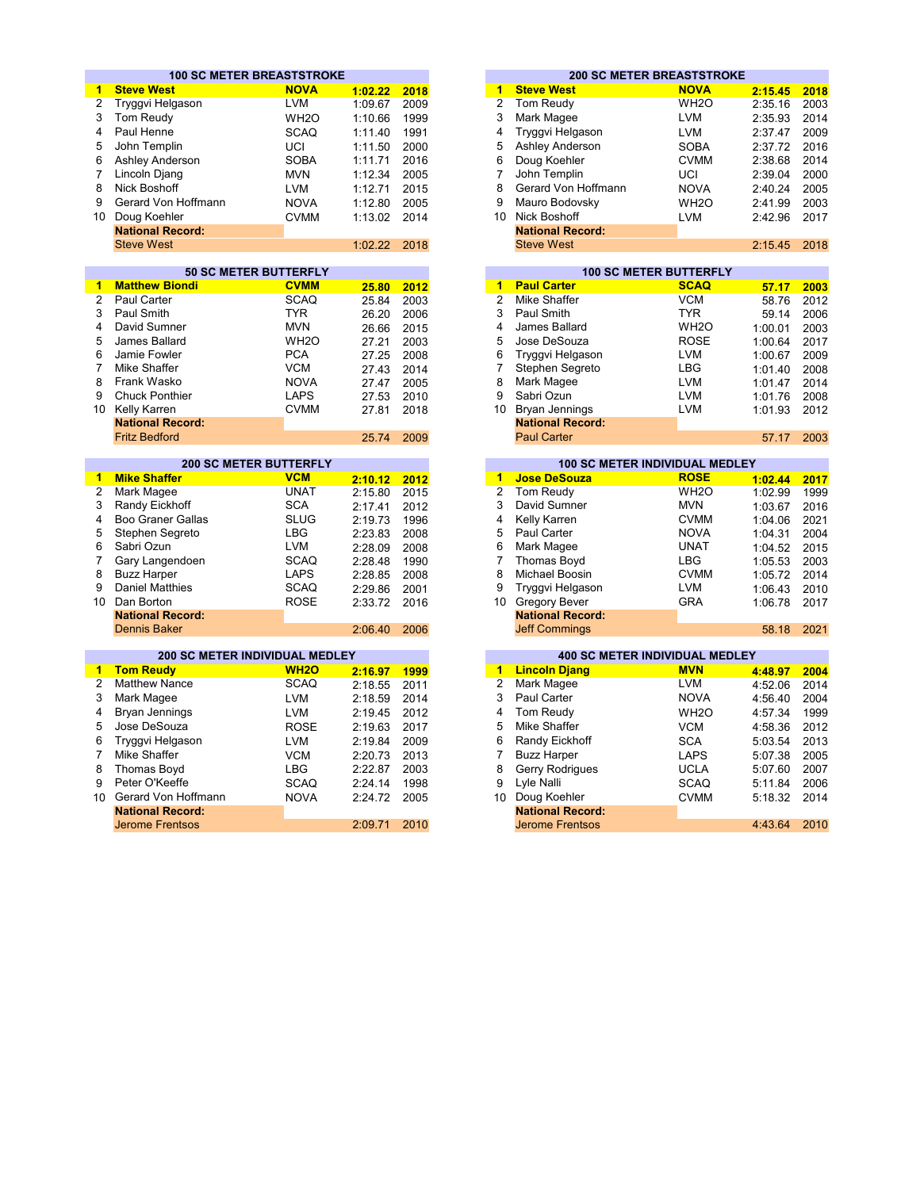|                 | <b>100 SC METER BREASTSTROKE</b>      |                               |         |      |                      |                         | <b>200 SC METER BREASTSTROKE</b>      |         |      |
|-----------------|---------------------------------------|-------------------------------|---------|------|----------------------|-------------------------|---------------------------------------|---------|------|
| 1               | <b>Steve West</b>                     | <b>NOVA</b>                   | 1:02.22 | 2018 | 1                    | <b>Steve West</b>       | <b>NOVA</b>                           | 2:15.45 | 2018 |
| $\overline{2}$  | Tryggvi Helgason                      | <b>LVM</b>                    | 1:09.67 | 2009 | $\overline{2}$       | Tom Reudy               | WH <sub>2</sub> O                     | 2:35.16 | 2003 |
| 3               | Tom Reudy                             | WH <sub>20</sub>              | 1:10.66 | 1999 | 3                    | Mark Magee              | <b>LVM</b>                            | 2:35.93 | 2014 |
| 4               | Paul Henne                            | <b>SCAQ</b>                   | 1:11.40 | 1991 | 4                    | Tryggvi Helgason        | <b>LVM</b>                            | 2:37.47 | 2009 |
| 5               | John Templin                          | UCI                           | 1:11.50 | 2000 | 5                    | Ashley Anderson         | <b>SOBA</b>                           | 2:37.72 | 2016 |
| 6               | Ashley Anderson                       | <b>SOBA</b>                   | 1:11.71 | 2016 | 6                    | Doug Koehler            | <b>CVMM</b>                           | 2:38.68 | 2014 |
| $\overline{7}$  |                                       |                               |         |      | $\overline{7}$       |                         |                                       |         |      |
|                 | Lincoln Djang                         | <b>MVN</b>                    | 1:12.34 | 2005 |                      | John Templin            | UCI                                   | 2:39.04 | 2000 |
| 8               | Nick Boshoff                          | <b>LVM</b>                    | 1:12.71 | 2015 | 8                    | Gerard Von Hoffmann     | <b>NOVA</b>                           | 2:40.24 | 2005 |
| 9               | Gerard Von Hoffmann                   | <b>NOVA</b>                   | 1:12.80 | 2005 | 9                    | Mauro Bodovsky          | WH <sub>2</sub> O                     | 2:41.99 | 2003 |
| 10 <sup>1</sup> | Doug Koehler                          | <b>CVMM</b>                   | 1:13.02 | 2014 |                      | 10 Nick Boshoff         | <b>LVM</b>                            | 2:42.96 | 2017 |
|                 | <b>National Record:</b>               |                               |         |      |                      | <b>National Record:</b> |                                       |         |      |
|                 | <b>Steve West</b>                     |                               | 1:02.22 | 2018 |                      | <b>Steve West</b>       |                                       | 2:15.45 | 2018 |
|                 |                                       |                               |         |      |                      |                         |                                       |         |      |
|                 |                                       | <b>50 SC METER BUTTERFLY</b>  |         |      |                      |                         | <b>100 SC METER BUTTERFLY</b>         |         |      |
| 1               | <b>Matthew Biondi</b>                 | <b>CVMM</b>                   | 25.80   | 2012 | $\overline{1}$       | <b>Paul Carter</b>      | <b>SCAQ</b>                           | 57.17   | 2003 |
| $\overline{2}$  | <b>Paul Carter</b>                    | <b>SCAQ</b>                   | 25.84   | 2003 | $\overline{2}$       | <b>Mike Shaffer</b>     | <b>VCM</b>                            | 58.76   | 2012 |
| 3               | Paul Smith                            | <b>TYR</b>                    | 26.20   | 2006 | 3                    | Paul Smith              | <b>TYR</b>                            | 59.14   | 2006 |
| 4               | David Sumner                          | <b>MVN</b>                    | 26.66   | 2015 | 4                    | James Ballard           | WH <sub>2</sub> O                     | 1:00.01 | 2003 |
| 5               | James Ballard                         | WH <sub>20</sub>              | 27.21   | 2003 | 5                    | Jose DeSouza            | <b>ROSE</b>                           | 1:00.64 | 2017 |
| 6               | Jamie Fowler                          | <b>PCA</b>                    | 27.25   | 2008 | 6                    | Tryggvi Helgason        | <b>LVM</b>                            | 1:00.67 | 2009 |
| 7               | Mike Shaffer                          | <b>VCM</b>                    | 27.43   | 2014 | 7                    | Stephen Segreto         | <b>LBG</b>                            | 1:01.40 | 2008 |
| 8               | Frank Wasko                           | <b>NOVA</b>                   | 27.47   | 2005 | 8                    | Mark Magee              | <b>LVM</b>                            | 1:01.47 | 2014 |
| 9               | <b>Chuck Ponthier</b>                 | <b>LAPS</b>                   | 27.53   | 2010 | 9                    | Sabri Ozun              | <b>LVM</b>                            | 1:01.76 | 2008 |
| 10 <sup>1</sup> | Kelly Karren                          | <b>CVMM</b>                   | 27.81   | 2018 |                      | 10 Bryan Jennings       | <b>LVM</b>                            | 1:01.93 | 2012 |
|                 | <b>National Record:</b>               |                               |         |      |                      | <b>National Record:</b> |                                       |         |      |
|                 | <b>Fritz Bedford</b>                  |                               | 25.74   | 2009 |                      | <b>Paul Carter</b>      |                                       | 57.17   | 2003 |
|                 |                                       |                               |         |      |                      |                         |                                       |         |      |
|                 |                                       | <b>200 SC METER BUTTERFLY</b> |         |      |                      |                         | <b>100 SC METER INDIVIDUAL MEDLEY</b> |         |      |
| 1               | <b>Mike Shaffer</b>                   | <b>VCM</b>                    | 2:10.12 | 2012 | $\overline{1}$       | <b>Jose DeSouza</b>     | <b>ROSE</b>                           | 1:02.44 | 2017 |
| 2               | Mark Magee                            | <b>UNAT</b>                   | 2:15.80 | 2015 | $\overline{2}$       | Tom Reudy               | WH <sub>2</sub> O                     | 1:02.99 | 1999 |
| 3               | Randy Eickhoff                        | <b>SCA</b>                    | 2:17.41 | 2012 | 3                    | David Sumner            | <b>MVN</b>                            | 1:03.67 | 2016 |
| 4               | <b>Boo Graner Gallas</b>              | <b>SLUG</b>                   | 2:19.73 | 1996 | 4                    | Kelly Karren            | <b>CVMM</b>                           | 1:04.06 | 2021 |
| 5               | Stephen Segreto                       | <b>LBG</b>                    | 2:23.83 | 2008 | 5                    | Paul Carter             | <b>NOVA</b>                           | 1:04.31 | 2004 |
| 6               | Sabri Ozun                            | <b>LVM</b>                    | 2:28.09 | 2008 | 6                    | Mark Magee              | <b>UNAT</b>                           | 1:04.52 | 2015 |
| 7               | Gary Langendoen                       | <b>SCAQ</b>                   | 2:28.48 | 1990 | 7                    | <b>Thomas Boyd</b>      | <b>LBG</b>                            | 1:05.53 | 2003 |
| 8               | <b>Buzz Harper</b>                    | <b>LAPS</b>                   | 2:28.85 | 2008 | 8                    | <b>Michael Boosin</b>   | <b>CVMM</b>                           | 1:05.72 | 2014 |
| 9               | <b>Daniel Matthies</b>                | <b>SCAQ</b>                   | 2:29.86 | 2001 | 9                    | Tryggvi Helgason        | <b>LVM</b>                            | 1:06.43 | 2010 |
|                 | 10 Dan Borton                         | <b>ROSE</b>                   | 2:33.72 | 2016 |                      | 10 Gregory Bever        | <b>GRA</b>                            | 1:06.78 | 2017 |
|                 | <b>National Record:</b>               |                               |         |      |                      | <b>National Record:</b> |                                       |         |      |
|                 | <b>Dennis Baker</b>                   |                               | 2:06.40 | 2006 |                      | <b>Jeff Commings</b>    |                                       | 58.18   | 2021 |
|                 |                                       |                               |         |      |                      |                         |                                       |         |      |
|                 | <b>200 SC METER INDIVIDUAL MEDLEY</b> |                               |         |      |                      |                         | <b>400 SC METER INDIVIDUAL MEDLEY</b> |         |      |
| 1.              | <b>Tom Reudy</b>                      | <b>WH2O</b>                   | 2:16.97 | 1999 | $\blacktriangleleft$ | <b>Lincoln Djang</b>    | <b>MVN</b>                            | 4:48.97 | 2004 |
| 2               | <b>Matthew Nance</b>                  | <b>SCAQ</b>                   | 2:18.55 | 2011 | $\overline{2}$       | Mark Magee              | <b>LVM</b>                            | 4:52.06 | 2014 |
| 3               | Mark Magee                            | <b>LVM</b>                    | 2:18.59 | 2014 | 3                    | Paul Carter             | <b>NOVA</b>                           | 4:56.40 | 2004 |
| 4               | <b>Bryan Jennings</b>                 | <b>LVM</b>                    | 2:19.45 | 2012 | 4                    | Tom Reudy               | WH <sub>2</sub> O                     | 4:57.34 | 1999 |
| 5               | Jose DeSouza                          | <b>ROSE</b>                   | 2:19.63 | 2017 | 5                    | Mike Shaffer            | <b>VCM</b>                            | 4:58.36 | 2012 |
| 6               | Tryggvi Helgason                      | <b>LVM</b>                    | 2:19.84 | 2009 | 6                    | Randy Eickhoff          | <b>SCA</b>                            | 5:03.54 | 2013 |
| 7               | Mike Shaffer                          | <b>VCM</b>                    | 2:20.73 | 2013 | 7                    | <b>Buzz Harper</b>      | <b>LAPS</b>                           | 5:07.38 | 2005 |
|                 |                                       |                               |         |      |                      |                         |                                       |         |      |
| 8               | <b>Thomas Boyd</b>                    | <b>LBG</b>                    | 2:22.87 | 2003 | 8                    | Gerry Rodrigues         | <b>UCLA</b>                           | 5:07.60 | 2007 |
| 9               | Peter O'Keeffe                        | <b>SCAQ</b>                   | 2:24.14 | 1998 | 9                    | Lyle Nalli              | <b>SCAQ</b>                           | 5:11.84 | 2006 |
| 10              | Gerard Von Hoffmann                   | <b>NOVA</b>                   | 2:24.72 | 2005 | 10                   | Doug Koehler            | <b>CVMM</b>                           | 5:18.32 | 2014 |
|                 | <b>National Record:</b>               |                               |         |      |                      | <b>National Record:</b> |                                       |         |      |
|                 | <b>Jerome Frentsos</b>                |                               | 2:09.71 | 2010 |                      | <b>Jerome Frentsos</b>  |                                       | 4:43.64 | 2010 |

|   |                         | <b>100 SC METER BREASTSTROKE</b> |         |      |
|---|-------------------------|----------------------------------|---------|------|
|   | <b>Steve West</b>       | <b>NOVA</b>                      | 1:02.22 | 2018 |
|   | 2 Tryggvi Helgason      | <b>LVM</b>                       | 1:09.67 | 2009 |
|   | 3 Tom Reudy             | WH <sub>2</sub> O                | 1:10.66 | 1999 |
|   | 4 Paul Henne            | <b>SCAQ</b>                      | 1:11.40 | 1991 |
|   | 5 John Templin          | UCI                              | 1:11.50 | 2000 |
|   | 6 Ashley Anderson       | <b>SOBA</b>                      | 1:11.71 | 2016 |
| 7 | Lincoln Djang           | <b>MVN</b>                       | 1:12.34 | 2005 |
|   | 8 Nick Boshoff          | <b>LVM</b>                       | 1:12.71 | 2015 |
|   | 9 Gerard Von Hoffmann   | <b>NOVA</b>                      | 1:12.80 | 2005 |
|   | I0 Doug Koehler         | <b>CVMM</b>                      | 1:13.02 | 2014 |
|   | <b>National Record:</b> |                                  |         |      |
|   | <b>Steve West</b>       |                                  | 1:02.22 | 2018 |
|   |                         |                                  |         |      |

|       |      |    |                         | <b>100 SC METER BUTTERFLY</b> |         |  |
|-------|------|----|-------------------------|-------------------------------|---------|--|
| 25.80 | 2012 | 1  | <b>Paul Carter</b>      | <b>SCAQ</b>                   | 57.17   |  |
| 25.84 | 2003 | 2  | Mike Shaffer            | <b>VCM</b>                    | 58.76   |  |
| 26.20 | 2006 | 3  | Paul Smith              | TYR.                          | 59.14   |  |
| 26.66 | 2015 | 4  | James Ballard           | WH <sub>2</sub> O             | 1:00.01 |  |
| 27.21 | 2003 | 5  | Jose DeSouza            | <b>ROSE</b>                   | 1:00.64 |  |
| 27.25 | 2008 | 6  | Tryggvi Helgason        | <b>LVM</b>                    | 1:00.67 |  |
| 27.43 | 2014 | 7  | Stephen Segreto         | LBG                           | 1:01.40 |  |
| 27.47 | 2005 | 8  | Mark Magee              | <b>LVM</b>                    | 1:01.47 |  |
| 27.53 | 2010 | 9  | Sabri Ozun              | <b>LVM</b>                    | 1:01.76 |  |
| 27.81 | 2018 | 10 | Bryan Jennings          | <b>LVM</b>                    | 1:01.93 |  |
|       |      |    | <b>National Record:</b> |                               |         |  |
| 25.74 | 2009 |    | <b>Paul Carter</b>      |                               | 57.17   |  |

| <b>200 SC METER BUTTERFLY</b> |             |         |      |    | <b>100 SC METER INDIVIDUAL MEDLEY</b> |                   |              |      |  |  |
|-------------------------------|-------------|---------|------|----|---------------------------------------|-------------------|--------------|------|--|--|
|                               |             |         |      |    |                                       |                   |              |      |  |  |
|                               | <b>VCM</b>  | 2:10.12 | 2012 |    | <b>Jose DeSouza</b>                   | <b>ROSE</b>       | 1:02.44      | 2017 |  |  |
|                               | <b>UNAT</b> | 2:15.80 | 2015 | 2  | Tom Reudy                             | WH <sub>2</sub> O | 1:02.99      | 1999 |  |  |
| ۱ff                           | <b>SCA</b>  | 2:17.41 | 2012 | 3  | David Sumner                          | <b>MVN</b>        | 1:03.67      | 2016 |  |  |
| <b>Gallas</b>                 | <b>SLUG</b> | 2:19.73 | 1996 | 4  | Kelly Karren                          | <b>CVMM</b>       | 1:04.06      | 2021 |  |  |
| eto                           | <b>LBG</b>  | 2:23.83 | 2008 | 5  | Paul Carter                           | <b>NOVA</b>       | 1:04.31      | 2004 |  |  |
|                               | <b>LVM</b>  | 2:28.09 | 2008 | 6  | Mark Magee                            | <b>UNAT</b>       | 1:04.52      | 2015 |  |  |
| doen                          | SCAQ        | 2:28.48 | 1990 |    | <b>Thomas Boyd</b>                    | LBG               | 1:05.53      | 2003 |  |  |
|                               | <b>LAPS</b> | 2:28.85 | 2008 | 8  | Michael Boosin                        | <b>CVMM</b>       | 1:05.72 2014 |      |  |  |
| es                            | SCAQ        | 2:29.86 | 2001 | 9  | Tryggvi Helgason                      | <b>LVM</b>        | 1:06.43      | 2010 |  |  |
|                               | <b>ROSE</b> | 2:33.72 | 2016 | 10 | Gregory Bever                         | <b>GRA</b>        | 1:06.78      | 2017 |  |  |
| ord:                          |             |         |      |    | <b>National Record:</b>               |                   |              |      |  |  |
|                               |             | 2:06.40 | 2006 |    | <b>Jeff Commings</b>                  |                   | 58.18        | 2021 |  |  |

|         |      |    | <b>400 SC METER INDIVIDUAL MEDLEY</b> |                   |
|---------|------|----|---------------------------------------|-------------------|
| 2:16.97 | 1999 | 1  | <b>Lincoln Djang</b>                  | <b>MVN</b>        |
| 2:18.55 | 2011 | 2  | Mark Magee                            | <b>LVM</b>        |
| 2:18.59 | 2014 | 3  | Paul Carter                           | <b>NOVA</b>       |
| 2:19.45 | 2012 | 4  | Tom Reudy                             | WH <sub>2</sub> O |
| 2:19.63 | 2017 | 5  | Mike Shaffer                          | <b>VCM</b>        |
| 2:19.84 | 2009 | 6  | Randy Eickhoff                        | <b>SCA</b>        |
| 2:20.73 | 2013 |    | <b>Buzz Harper</b>                    | <b>LAPS</b>       |
| 2:22.87 | 2003 | 8  | <b>Gerry Rodrigues</b>                | <b>UCLA</b>       |
| 2:24.14 | 1998 | 9  | Lyle Nalli                            | <b>SCAQ</b>       |
| 2:24.72 | 2005 | 10 | Doug Koehler                          | <b>CVMM</b>       |
|         |      |    | <b>National Record:</b>               |                   |
| 2:09.71 | 2010 |    | <b>Jerome Frentsos</b>                |                   |
|         |      |    |                                       |                   |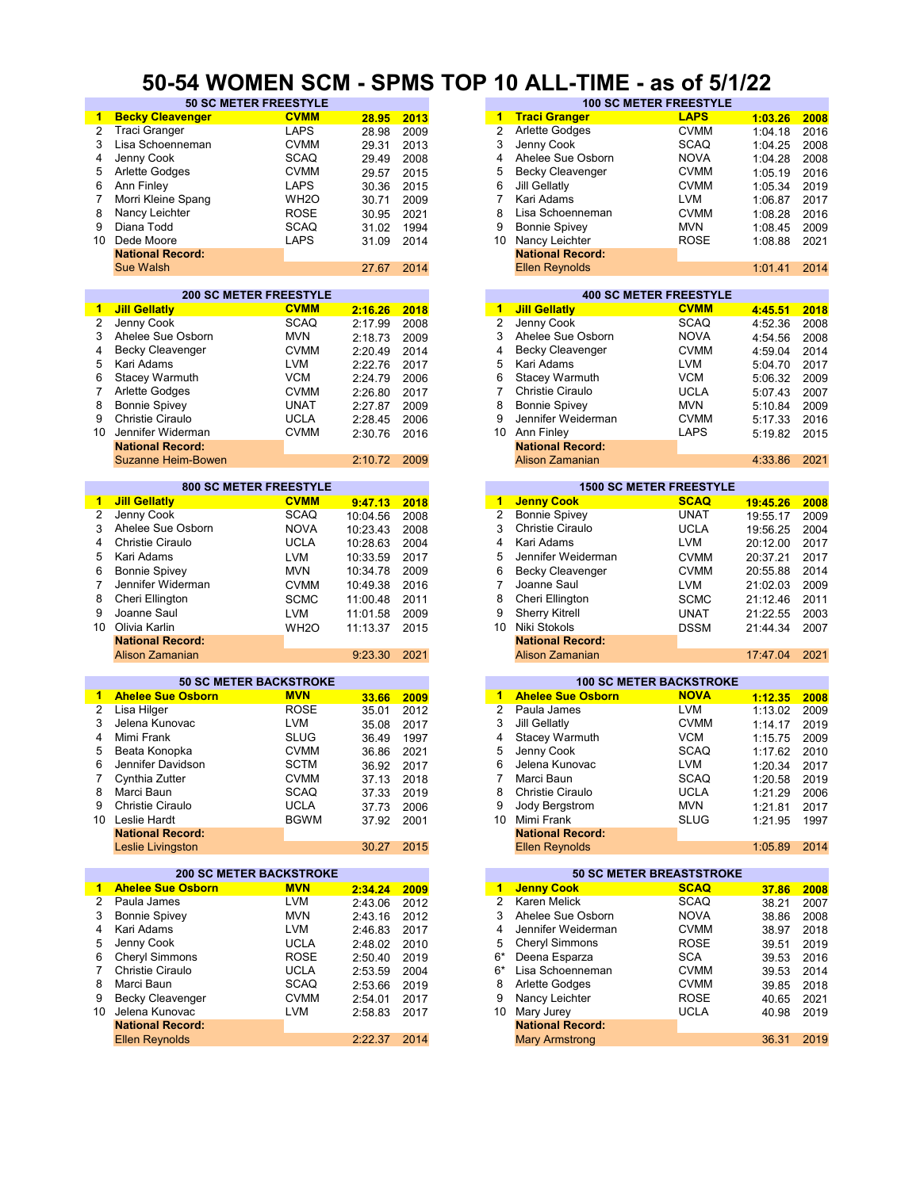#### **50-54 WOMEN SCM - SPMS TOP 10 ALL-TIME - as of 5/1/22**

| $\blacktriangleleft$    | <b>Becky Cleavenger</b>            | <b>CVMM</b>                                  | 28.95    | 2013 | 1                    | <b>Traci Granger</b>     | <b>LAPS</b>                                   | 1:03.26  | 2008 |
|-------------------------|------------------------------------|----------------------------------------------|----------|------|----------------------|--------------------------|-----------------------------------------------|----------|------|
| $\overline{2}$          | <b>Traci Granger</b>               | LAPS                                         | 28.98    | 2009 | 2                    | Arlette Godges           | <b>CVMM</b>                                   | 1:04.18  | 2016 |
| 3                       | Lisa Schoenneman                   | <b>CVMM</b>                                  | 29.31    | 2013 | 3                    | Jenny Cook               | <b>SCAQ</b>                                   | 1:04.25  | 2008 |
| 4                       | Jenny Cook                         | <b>SCAQ</b>                                  | 29.49    | 2008 | 4                    | Ahelee Sue Osborn        | <b>NOVA</b>                                   | 1:04.28  | 2008 |
| 5                       | <b>Arlette Godges</b>              | <b>CVMM</b>                                  | 29.57    | 2015 | 5                    | <b>Becky Cleavenger</b>  | <b>CVMM</b>                                   | 1:05.19  | 2016 |
| 6                       |                                    | <b>LAPS</b>                                  |          |      | 6                    |                          | <b>CVMM</b>                                   |          |      |
|                         | Ann Finley                         |                                              | 30.36    | 2015 |                      | Jill Gellatly            |                                               | 1:05.34  | 2019 |
| 7                       | Morri Kleine Spang                 | WH <sub>2</sub> O                            | 30.71    | 2009 | $\overline{7}$       | Kari Adams               | <b>LVM</b>                                    | 1:06.87  | 2017 |
| 8                       | Nancy Leichter                     | <b>ROSE</b>                                  | 30.95    | 2021 | 8                    | Lisa Schoenneman         | CVMM                                          | 1:08.28  | 2016 |
| 9                       | Diana Todd                         | <b>SCAQ</b>                                  | 31.02    | 1994 | 9                    | <b>Bonnie Spivey</b>     | <b>MVN</b>                                    | 1:08.45  | 2009 |
| 10                      | Dede Moore                         | LAPS                                         | 31.09    | 2014 | 10                   | Nancy Leichter           | <b>ROSE</b>                                   | 1:08.88  | 2021 |
|                         | <b>National Record:</b>            |                                              |          |      |                      | <b>National Record:</b>  |                                               |          |      |
|                         | <b>Sue Walsh</b>                   |                                              | 27.67    | 2014 |                      | <b>Ellen Reynolds</b>    |                                               | 1:01.41  | 2014 |
|                         |                                    |                                              |          |      |                      |                          |                                               |          |      |
|                         |                                    | <b>200 SC METER FREESTYLE</b>                |          |      |                      |                          | <b>400 SC METER FREESTYLE</b>                 |          |      |
| $\blacktriangleleft$    | <b>Jill Gellatly</b>               | <b>CVMM</b>                                  | 2:16.26  | 2018 | $\blacktriangleleft$ | <b>Jill Gellatly</b>     | <b>CVMM</b>                                   | 4:45.51  | 2018 |
| $\overline{\mathbf{c}}$ | Jenny Cook                         | <b>SCAQ</b>                                  | 2:17.99  | 2008 | $\overline{2}$       | Jenny Cook               | <b>SCAQ</b>                                   | 4:52.36  | 2008 |
| 3                       | Ahelee Sue Osborn                  | <b>MVN</b>                                   | 2:18.73  | 2009 | 3                    | Ahelee Sue Osborn        | <b>NOVA</b>                                   | 4:54.56  | 2008 |
| 4                       | <b>Becky Cleavenger</b>            | <b>CVMM</b>                                  | 2:20.49  | 2014 | 4                    | <b>Becky Cleavenger</b>  | <b>CVMM</b>                                   | 4:59.04  | 2014 |
| 5                       | Kari Adams                         | <b>LVM</b>                                   | 2:22.76  | 2017 | 5                    | Kari Adams               | LVM                                           | 5:04.70  | 2017 |
| 6                       | Stacey Warmuth                     | <b>VCM</b>                                   | 2:24.79  | 2006 | 6                    | <b>Stacey Warmuth</b>    | VCM                                           | 5:06.32  | 2009 |
| $\overline{7}$          | Arlette Godges                     | <b>CVMM</b>                                  |          | 2017 | 7                    | Christie Ciraulo         | <b>UCLA</b>                                   |          | 2007 |
| 8                       |                                    | <b>UNAT</b>                                  | 2:26.80  |      | 8                    | <b>Bonnie Spivey</b>     | MVN                                           | 5:07.43  |      |
|                         | <b>Bonnie Spivey</b>               |                                              | 2:27.87  | 2009 |                      |                          |                                               | 5:10.84  | 2009 |
| 9                       | Christie Ciraulo                   | <b>UCLA</b>                                  | 2:28.45  | 2006 | 9                    | Jennifer Weiderman       | <b>CVMM</b>                                   | 5:17.33  | 2016 |
| 10                      | Jennifer Widerman                  | <b>CVMM</b>                                  | 2:30.76  | 2016 | 10                   | Ann Finley               | LAPS                                          | 5:19.82  | 2015 |
|                         | <b>National Record:</b>            |                                              |          |      |                      | <b>National Record:</b>  |                                               |          |      |
|                         | Suzanne Heim-Bowen                 |                                              | 2:10.72  | 2009 |                      | Alison Zamanian          |                                               | 4:33.86  | 2021 |
|                         |                                    |                                              |          |      |                      |                          |                                               |          |      |
|                         |                                    | <b>800 SC METER FREESTYLE</b><br><b>CVMM</b> |          |      | 1                    | <b>Jenny Cook</b>        | <b>1500 SC METER FREESTYLE</b><br><b>SCAQ</b> |          |      |
| -1                      | <b>Jill Gellatly</b>               |                                              | 9:47.13  | 2018 |                      |                          |                                               | 19:45.26 | 2008 |
| $\overline{\mathbf{c}}$ | Jenny Cook                         | SCAQ                                         | 10:04.56 | 2008 | $\overline{2}$       | <b>Bonnie Spivey</b>     | <b>UNAT</b>                                   | 19:55.17 | 2009 |
| 3                       | Ahelee Sue Osborn                  | <b>NOVA</b>                                  | 10:23.43 | 2008 | 3                    | <b>Christie Ciraulo</b>  | <b>UCLA</b>                                   | 19:56.25 | 2004 |
| 4                       | <b>Christie Ciraulo</b>            | <b>UCLA</b>                                  | 10:28.63 | 2004 | 4                    | Kari Adams               | LVM                                           | 20:12.00 | 2017 |
| 5                       | Kari Adams                         | <b>LVM</b>                                   | 10:33.59 | 2017 | 5                    | Jennifer Weiderman       | <b>CVMM</b>                                   | 20:37.21 | 2017 |
| 6                       | <b>Bonnie Spivey</b>               | <b>MVN</b>                                   | 10:34.78 | 2009 | 6                    | <b>Becky Cleavenger</b>  | <b>CVMM</b>                                   | 20:55.88 | 2014 |
| $\overline{7}$          | Jennifer Widerman                  | <b>CVMM</b>                                  | 10:49.38 | 2016 | $\overline{7}$       | Joanne Saul              | LVM                                           | 21:02.03 | 2009 |
| 8                       | Cheri Ellington                    | <b>SCMC</b>                                  | 11:00.48 | 2011 | 8                    | Cheri Ellington          | <b>SCMC</b>                                   | 21:12.46 | 2011 |
| 9                       | Joanne Saul                        | <b>LVM</b>                                   | 11:01.58 | 2009 | 9                    | <b>Sherry Kitrell</b>    | <b>UNAT</b>                                   | 21:22.55 | 2003 |
| 10                      | Olivia Karlin                      |                                              |          |      | 10                   | Niki Stokols             |                                               |          |      |
|                         |                                    | WH <sub>2</sub> O                            | 11:13.37 | 2015 |                      |                          | <b>DSSM</b>                                   | 21:44.34 | 2007 |
|                         | <b>National Record:</b>            |                                              |          |      |                      | <b>National Record:</b>  |                                               |          |      |
|                         | Alison Zamanian                    |                                              | 9:23.30  | 2021 |                      | Alison Zamanian          |                                               | 17:47.04 | 2021 |
|                         |                                    | <b>50 SC METER BACKSTROKE</b>                |          |      |                      |                          | <b>100 SC METER BACKSTROKE</b>                |          |      |
| 1.                      | <b>Ahelee Sue Osborn</b>           | <b>MVN</b>                                   | 33.66    | 2009 | 1                    | <b>Ahelee Sue Osborn</b> | <b>NOVA</b>                                   | 1:12.35  | 2008 |
| 2                       | Lisa Hilger                        | <b>ROSE</b>                                  | 35.01    | 2012 | $\overline{2}$       | Paula James              | <b>LVM</b>                                    | 1:13.02  | 2009 |
| 3                       | Jelena Kunovac                     | LVM                                          |          | 2017 | 3                    | Jill Gellatly            | <b>CVMM</b>                                   |          | 2019 |
| 4                       | Mimi Frank                         | <b>SLUG</b>                                  | 35.08    |      | 4                    |                          | <b>VCM</b>                                    | 1:14.17  |      |
|                         |                                    |                                              | 36.49    | 1997 |                      | <b>Stacey Warmuth</b>    | SCAQ                                          | 1:15.75  | 2009 |
| 5                       | Beata Konopka<br>Jennifer Davidson | <b>CVMM</b>                                  | 36.86    | 2021 | 5<br>6               | Jenny Cook               |                                               | 1:17.62  | 2010 |
| 6                       |                                    |                                              |          |      |                      |                          |                                               |          | 2017 |
| 7                       |                                    | <b>SCTM</b>                                  | 36.92    | 2017 |                      | Jelena Kunovac           | LVM                                           | 1:20.34  |      |
|                         | Cynthia Zutter                     | <b>CVMM</b>                                  | 37.13    | 2018 | 7                    | Marci Baun               | SCAQ                                          | 1:20.58  | 2019 |
| 8                       | Marci Baun                         | <b>SCAQ</b>                                  | 37.33    | 2019 | 8                    | Christie Ciraulo         | <b>UCLA</b>                                   | 1:21.29  | 2006 |
| 9                       | Christie Ciraulo                   | <b>UCLA</b>                                  | 37.73    | 2006 | 9                    | Jody Bergstrom           | <b>MVN</b>                                    | 1:21.81  | 2017 |
|                         | 10 Leslie Hardt                    | <b>BGWM</b>                                  | 37.92    | 2001 | 10                   | Mimi Frank               | SLUG                                          | 1:21.95  | 1997 |
|                         | <b>National Record:</b>            |                                              |          |      |                      | <b>National Record:</b>  |                                               |          |      |
|                         | Leslie Livingston                  |                                              | 30.27    | 2015 |                      | <b>Ellen Reynolds</b>    |                                               | 1:05.89  | 2014 |
|                         |                                    |                                              |          |      |                      |                          |                                               |          |      |
|                         |                                    | <b>200 SC METER BACKSTROKE</b>               |          |      |                      |                          | <b>50 SC METER BREASTSTROKE</b>               |          |      |
| 1                       | <b>Ahelee Sue Osborn</b>           | <b>MVN</b>                                   | 2:34.24  | 2009 |                      | 1 Jenny Cook             | <b>SCAQ</b>                                   | 37.86    | 2008 |
| $\overline{2}$          | Paula James                        | <b>LVM</b>                                   | 2:43.06  | 2012 | $\overline{c}$       | Karen Melick             | <b>SCAQ</b>                                   | 38.21    | 2007 |
| 3                       | <b>Bonnie Spivey</b>               | <b>MVN</b>                                   | 2:43.16  | 2012 | 3                    | Ahelee Sue Osborn        | <b>NOVA</b>                                   | 38.86    | 2008 |
| 4                       | Kari Adams                         | LVM                                          | 2:46.83  | 2017 | 4                    | Jennifer Weiderman       | <b>CVMM</b>                                   | 38.97    | 2018 |
| 5                       | Jenny Cook                         | <b>UCLA</b>                                  | 2:48.02  | 2010 | 5                    | <b>Cheryl Simmons</b>    | <b>ROSE</b>                                   | 39.51    | 2019 |
| 6                       | <b>Cheryl Simmons</b>              | <b>ROSE</b>                                  | 2:50.40  | 2019 | $6*$                 | Deena Esparza            | <b>SCA</b>                                    | 39.53    | 2016 |
| 7                       | Christie Ciraulo                   | <b>UCLA</b>                                  |          | 2004 | 6*                   | Lisa Schoenneman         | CVMM                                          |          | 2014 |
| 8                       | Marci Baun                         |                                              | 2:53.59  |      |                      |                          |                                               | 39.53    |      |
|                         |                                    | <b>SCAQ</b>                                  | 2:53.66  | 2019 | 8                    | Arlette Godges           | <b>CVMM</b>                                   | 39.85    | 2018 |
| 9                       | <b>Becky Cleavenger</b>            | <b>CVMM</b>                                  | 2:54.01  | 2017 | 9                    | Nancy Leichter           | <b>ROSE</b>                                   | 40.65    | 2021 |
| 10                      | Jelena Kunovac                     | <b>LVM</b>                                   | 2:58.83  | 2017 | 10                   | Mary Jurey               | <b>UCLA</b>                                   | 40.98    | 2019 |
|                         | <b>National Record:</b>            |                                              |          |      |                      | <b>National Record:</b>  |                                               |          |      |
|                         | <b>Ellen Reynolds</b>              |                                              | 2:22.37  | 2014 |                      | <b>Mary Armstrong</b>    |                                               | 36.31    | 2019 |

| <b>50 SC METER FREESTYLE</b> |                   |       |      |    | <b>100 SC METER FREESTYLE</b> |             |         |      |
|------------------------------|-------------------|-------|------|----|-------------------------------|-------------|---------|------|
| nger                         | <b>CVMM</b>       | 28.95 | 2013 | 1  | <b>Traci Granger</b>          | <b>LAPS</b> | 1:03.26 | 2008 |
|                              | LAPS              | 28.98 | 2009 |    | <b>Arlette Godges</b>         | <b>CVMM</b> | 1:04.18 | 2016 |
| eman                         | <b>CVMM</b>       | 29.31 | 2013 | 3  | Jenny Cook                    | <b>SCAQ</b> | 1:04.25 | 2008 |
|                              | <b>SCAQ</b>       | 29.49 | 2008 | 4  | Ahelee Sue Osborn             | <b>NOVA</b> | 1:04.28 | 2008 |
|                              | <b>CVMM</b>       | 29.57 | 2015 | 5  | Becky Cleavenger              | <b>CVMM</b> | 1:05.19 | 2016 |
|                              | LAPS              | 30.36 | 2015 | 6  | <b>Jill Gellatly</b>          | <b>CVMM</b> | 1:05.34 | 2019 |
| pang                         | WH <sub>2</sub> O | 30.71 | 2009 |    | Kari Adams                    | <b>LVM</b>  | 1:06.87 | 2017 |
| r.                           | <b>ROSE</b>       | 30.95 | 2021 | 8  | Lisa Schoenneman              | <b>CVMM</b> | 1:08.28 | 2016 |
|                              | <b>SCAQ</b>       | 31.02 | 1994 | 9  | <b>Bonnie Spivey</b>          | <b>MVN</b>  | 1:08.45 | 2009 |
|                              | <b>LAPS</b>       | 31.09 | 2014 | 10 | Nancy Leichter                | <b>ROSE</b> | 1:08.88 | 2021 |
| :bic                         |                   |       |      |    | <b>National Record:</b>       |             |         |      |
|                              |                   | 27.67 | 2014 |    | <b>Ellen Reynolds</b>         |             | 1:01.41 | 2014 |
|                              |                   |       |      |    |                               |             |         |      |

|         |      |    |                         | <b>400 SC METER FREESTYLE</b> |         |      |
|---------|------|----|-------------------------|-------------------------------|---------|------|
| 2:16.26 | 2018 | 1  | <b>Jill Gellatly</b>    | <b>CVMM</b>                   | 4:45.51 | 2018 |
| 2:17.99 | 2008 | 2  | Jenny Cook              | <b>SCAQ</b>                   | 4:52.36 | 2008 |
| 2:18.73 | 2009 | 3  | Ahelee Sue Osborn       | <b>NOVA</b>                   | 4:54.56 | 2008 |
| 2:20.49 | 2014 | 4  | <b>Becky Cleavenger</b> | <b>CVMM</b>                   | 4:59.04 | 2014 |
| 2:22.76 | 2017 | 5. | Kari Adams              | <b>LVM</b>                    | 5:04.70 | 2017 |
| 2:24.79 | 2006 | 6  | Stacey Warmuth          | <b>VCM</b>                    | 5:06.32 | 2009 |
| 2:26.80 | 2017 |    | Christie Ciraulo        | <b>UCLA</b>                   | 5:07.43 | 2007 |
| 2:27.87 | 2009 | 8  | <b>Bonnie Spivey</b>    | <b>MVN</b>                    | 5:10.84 | 2009 |
| 2:28.45 | 2006 | 9  | Jennifer Weiderman      | <b>CVMM</b>                   | 5:17.33 | 2016 |
| 2:30.76 | 2016 | 10 | Ann Finley              | <b>LAPS</b>                   | 5:19.82 | 2015 |
|         |      |    | <b>National Record:</b> |                               |         |      |
| 2:10.72 | 2009 |    | Alison Zamanian         |                               | 4:33.86 | 2021 |

| 9:47.13 | 2018 |
|---------|------|
| 0:04.56 | 2008 |
| 0:23.43 | 2008 |
| 0:28.63 | 2004 |
| 0:33.59 | 2017 |
| 0:34.78 | 2009 |
| 0:49.38 | 2016 |
| 1:00.48 | 2011 |
| 1:01.58 | 2009 |
| 1:13.37 | 2015 |
|         |      |
| 9:23.30 | 2021 |
|         |      |

|       |      |    |                          | <b>100 SC METER BACKSTROKE</b> |         |
|-------|------|----|--------------------------|--------------------------------|---------|
| 33.66 | 2009 | 1  | <b>Ahelee Sue Osborn</b> | <b>NOVA</b>                    | 1:12.35 |
| 35.01 | 2012 | 2  | Paula James              | <b>LVM</b>                     | 1:13.02 |
| 35.08 | 2017 | 3  | Jill Gellatly            | <b>CVMM</b>                    | 1:14.17 |
| 36.49 | 1997 | 4  | <b>Stacey Warmuth</b>    | <b>VCM</b>                     | 1:15.75 |
| 36.86 | 2021 | 5  | Jenny Cook               | <b>SCAQ</b>                    | 1:17.62 |
| 36.92 | 2017 | 6  | Jelena Kunovac           | <b>LVM</b>                     | 1:20.34 |
| 37.13 | 2018 |    | Marci Baun               | <b>SCAQ</b>                    | 1:20.58 |
| 37.33 | 2019 | 8  | Christie Ciraulo         | <b>UCLA</b>                    | 1:21.29 |
| 37.73 | 2006 | 9  | Jody Bergstrom           | <b>MVN</b>                     | 1:21.81 |
| 37.92 | 2001 | 10 | Mimi Frank               | <b>SLUG</b>                    | 1:21.95 |
|       |      |    | <b>National Record:</b>  |                                |         |
| 30.27 | 2015 |    | Ellen Reynolds           |                                | 1:05.89 |
|       |      |    |                          |                                |         |

|         |      |    |                         | <b>50 SC METER BREASTSTROKE</b> |  |
|---------|------|----|-------------------------|---------------------------------|--|
| 2:34.24 | 2009 | 1  | <b>Jenny Cook</b>       | <b>SCAQ</b>                     |  |
| 2:43.06 | 2012 | 2  | Karen Melick            | <b>SCAQ</b>                     |  |
| 2:43.16 | 2012 | 3  | Ahelee Sue Osborn       | <b>NOVA</b>                     |  |
| 2:46.83 | 2017 | 4  | Jennifer Weiderman      | <b>CVMM</b>                     |  |
| 2:48.02 | 2010 | 5. | <b>Cheryl Simmons</b>   | <b>ROSE</b>                     |  |
| 2:50.40 | 2019 | 6* | Deena Esparza           | <b>SCA</b>                      |  |
| 2:53.59 | 2004 | 6* | Lisa Schoenneman        | <b>CVMM</b>                     |  |
| 2:53.66 | 2019 | 8  | <b>Arlette Godges</b>   | <b>CVMM</b>                     |  |
| 2:54.01 | 2017 | 9  | Nancy Leichter          | <b>ROSE</b>                     |  |
| 2:58.83 | 2017 | 10 | Mary Jurey              | <b>UCLA</b>                     |  |
|         |      |    | <b>National Record:</b> |                                 |  |
| 2:22.37 | 2014 |    | <b>Mary Armstrong</b>   |                                 |  |
|         |      |    |                         |                                 |  |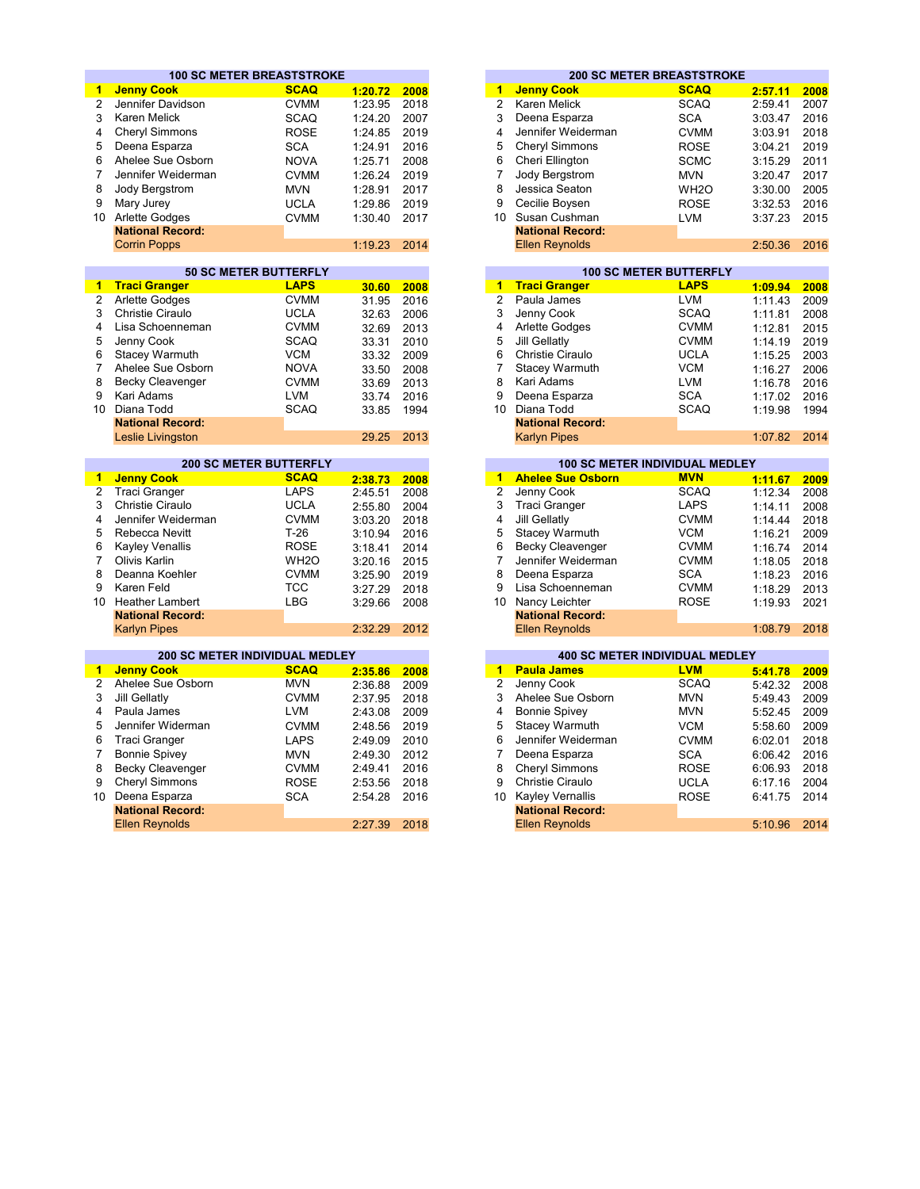|                 | <b>100 SC METER BREASTSTROKE</b>                 |                               |         |      |                         |                                                  | <b>200 SC METER BREASTSTROKE</b> |                    |              |
|-----------------|--------------------------------------------------|-------------------------------|---------|------|-------------------------|--------------------------------------------------|----------------------------------|--------------------|--------------|
| 1               | <b>Jenny Cook</b>                                | <b>SCAQ</b>                   | 1:20.72 | 2008 | 1                       | <b>Jenny Cook</b>                                | <b>SCAQ</b>                      | 2:57.11            | 2008         |
| 2               | Jennifer Davidson                                | <b>CVMM</b>                   | 1:23.95 | 2018 | $\overline{2}$          | Karen Melick                                     | <b>SCAQ</b>                      | 2:59.41            | 2007         |
| 3               | <b>Karen Melick</b>                              | <b>SCAQ</b>                   | 1:24.20 | 2007 | 3                       | Deena Esparza                                    | <b>SCA</b>                       | 3:03.47            | 2016         |
| 4               | <b>Cheryl Simmons</b>                            | <b>ROSE</b>                   | 1:24.85 | 2019 | 4                       | Jennifer Weiderman                               | <b>CVMM</b>                      | 3:03.91            | 2018         |
| 5               | Deena Esparza                                    | <b>SCA</b>                    | 1:24.91 | 2016 | 5                       | <b>Cheryl Simmons</b>                            | <b>ROSE</b>                      | 3:04.21            | 2019         |
| 6               |                                                  |                               |         |      | 6                       |                                                  |                                  |                    | 2011         |
|                 | Ahelee Sue Osborn                                | <b>NOVA</b>                   | 1:25.71 | 2008 |                         | Cheri Ellington                                  | <b>SCMC</b>                      | 3:15.29            |              |
| $\overline{7}$  | Jennifer Weiderman                               | <b>CVMM</b>                   | 1:26.24 | 2019 | $\overline{7}$          | Jody Bergstrom                                   | <b>MVN</b>                       | 3:20.47            | 2017         |
| 8               | Jody Bergstrom                                   | <b>MVN</b>                    | 1:28.91 | 2017 | 8                       | Jessica Seaton                                   | WH <sub>2</sub> O                | 3:30.00            | 2005         |
| 9               | Mary Jurey                                       | <b>UCLA</b>                   | 1:29.86 | 2019 | 9                       | Cecilie Boysen                                   | <b>ROSE</b>                      | 3:32.53            | 2016         |
| 10 <sup>°</sup> | Arlette Godges                                   | <b>CVMM</b>                   | 1:30.40 | 2017 |                         | 10 Susan Cushman                                 | <b>LVM</b>                       | 3:37.23            | 2015         |
|                 | <b>National Record:</b>                          |                               |         |      |                         | <b>National Record:</b>                          |                                  |                    |              |
|                 | <b>Corrin Popps</b>                              |                               | 1:19.23 | 2014 |                         | <b>Ellen Reynolds</b>                            |                                  | 2:50.36            | 2016         |
|                 |                                                  |                               |         |      |                         |                                                  |                                  |                    |              |
|                 |                                                  | <b>50 SC METER BUTTERFLY</b>  |         |      |                         |                                                  | <b>100 SC METER BUTTERFLY</b>    |                    |              |
| 1               | <b>Traci Granger</b>                             | <b>LAPS</b>                   | 30.60   | 2008 | 1                       | <b>Traci Granger</b>                             | <b>LAPS</b>                      | 1:09.94            | 2008         |
| 2               | Arlette Godges                                   | <b>CVMM</b>                   | 31.95   | 2016 | 2                       | Paula James                                      | <b>LVM</b>                       | 1:11.43            | 2009         |
| 3               | Christie Ciraulo                                 | <b>UCLA</b>                   | 32.63   | 2006 | 3                       | Jenny Cook                                       | <b>SCAQ</b>                      | 1:11.81            | 2008         |
| 4               | Lisa Schoenneman                                 | <b>CVMM</b>                   | 32.69   | 2013 | 4                       | Arlette Godges                                   | <b>CVMM</b>                      | 1:12.81            | 2015         |
| 5               | Jenny Cook                                       | <b>SCAQ</b>                   | 33.31   | 2010 | 5                       | <b>Jill Gellatly</b>                             | <b>CVMM</b>                      | 1:14.19            | 2019         |
| 6               | <b>Stacey Warmuth</b>                            | <b>VCM</b>                    | 33.32   | 2009 | 6                       | Christie Ciraulo                                 | <b>UCLA</b>                      | 1:15.25            | 2003<br>2006 |
| $\overline{7}$  | Ahelee Sue Osborn                                | <b>NOVA</b>                   | 33.50   | 2008 | 7                       | Stacey Warmuth                                   | <b>VCM</b>                       | 1:16.27            |              |
| 8               | Becky Cleavenger                                 | <b>CVMM</b>                   | 33.69   | 2013 | 8                       | Kari Adams                                       | <b>LVM</b>                       | 1:16.78            |              |
| 9               | Kari Adams                                       | <b>LVM</b>                    | 33.74   | 2016 | 9                       | Deena Esparza                                    | <b>SCA</b>                       | 1:17.02            |              |
| 10 <sup>1</sup> | Diana Todd                                       | <b>SCAQ</b>                   | 33.85   | 1994 |                         | 10 Diana Todd                                    | <b>SCAQ</b>                      | 1:19.98            |              |
|                 | <b>National Record:</b>                          |                               |         |      |                         | <b>National Record:</b>                          |                                  |                    |              |
|                 | Leslie Livingston                                |                               | 29.25   | 2013 |                         | <b>Karlyn Pipes</b>                              |                                  | 1:07.82            |              |
|                 |                                                  | <b>200 SC METER BUTTERFLY</b> |         |      |                         | <b>100 SC METER INDIVIDUAL MEDLEY</b>            |                                  |                    |              |
| $\mathbf{1}$    | <b>Jenny Cook</b>                                | <b>SCAQ</b>                   | 2:38.73 | 2008 | 1                       | <b>Ahelee Sue Osborn</b>                         | <b>MVN</b>                       | 1:11.67            | 2009         |
| $\overline{2}$  | <b>Traci Granger</b>                             | <b>LAPS</b>                   | 2:45.51 | 2008 | $\overline{2}$          | Jenny Cook                                       | <b>SCAQ</b>                      | 1:12.34            | 2008         |
| 3               | <b>Christie Ciraulo</b>                          | <b>UCLA</b>                   | 2:55.80 | 2004 | 3                       | <b>Traci Granger</b>                             | <b>LAPS</b>                      | 1:14.11            | 2008         |
| 4               | Jennifer Weiderman                               | <b>CVMM</b>                   | 3:03.20 | 2018 | $\overline{\mathbf{4}}$ | <b>Jill Gellatly</b>                             | <b>CVMM</b>                      | 1:14.44            | 2018         |
| 5               | Rebecca Nevitt                                   | $T-26$                        | 3:10.94 | 2016 | 5                       | Stacey Warmuth                                   | <b>VCM</b>                       | 1:16.21            |              |
| 6               | <b>Kayley Venallis</b>                           | <b>ROSE</b>                   | 3:18.41 | 2014 | 6                       | <b>Becky Cleavenger</b>                          | <b>CVMM</b>                      | 1:16.74            |              |
| $\overline{7}$  | Olivis Karlin                                    | WH <sub>2</sub> O             |         | 2015 | $\overline{7}$          | Jennifer Weiderman                               | <b>CVMM</b>                      |                    | 2014         |
| 8               | Deanna Koehler                                   | <b>CVMM</b>                   | 3:20.16 |      | 8                       | Deena Esparza                                    | <b>SCA</b>                       | 1:18.05            | 2018<br>2016 |
| 9               | Karen Feld                                       | <b>TCC</b>                    | 3:25.90 | 2019 | 9                       | Lisa Schoenneman                                 | <b>CVMM</b>                      | 1:18.23            |              |
|                 |                                                  |                               | 3:27.29 | 2018 |                         |                                                  |                                  | 1:18.29            | 2013<br>2021 |
| 10              | <b>Heather Lambert</b>                           | <b>LBG</b>                    | 3:29.66 | 2008 | 10                      | Nancy Leichter                                   | <b>ROSE</b>                      | 1:19.93            |              |
|                 | <b>National Record:</b>                          |                               |         |      |                         | <b>National Record:</b>                          |                                  |                    |              |
|                 | <b>Karlyn Pipes</b>                              |                               | 2:32.29 | 2012 |                         | <b>Ellen Reynolds</b>                            |                                  | 1:08.79            |              |
|                 | <b>200 SC METER INDIVIDUAL MEDLEY</b>            |                               |         |      |                         | <b>400 SC METER INDIVIDUAL MEDLEY</b>            |                                  |                    |              |
| 1               | <b>Jenny Cook</b>                                | <b>SCAQ</b>                   | 2:35.86 | 2008 | $\overline{1}$          | <b>Paula James</b>                               | <b>LVM</b>                       | 5:41.78            |              |
| $\overline{2}$  | Ahelee Sue Osborn                                | <b>MVN</b>                    | 2:36.88 | 2009 | 2                       | Jenny Cook                                       | <b>SCAQ</b>                      | 5:42.32            |              |
| 3               | Jill Gellatly                                    | <b>CVMM</b>                   | 2:37.95 | 2018 | 3                       | Ahelee Sue Osborn                                | <b>MVN</b>                       | 5:49.43            |              |
| 4               | Paula James                                      | <b>LVM</b>                    | 2:43.08 | 2009 | 4                       | <b>Bonnie Spivey</b>                             | <b>MVN</b>                       | 5:52.45            |              |
| 5               | Jennifer Widerman                                | <b>CVMM</b>                   | 2:48.56 | 2019 | 5                       | <b>Stacey Warmuth</b>                            | <b>VCM</b>                       | 5:58.60            |              |
| 6               | <b>Traci Granger</b>                             | <b>LAPS</b>                   | 2:49.09 | 2010 | 6                       | Jennifer Weiderman                               | <b>CVMM</b>                      | 6:02.01            |              |
| $\overline{7}$  | <b>Bonnie Spivey</b>                             | <b>MVN</b>                    | 2:49.30 | 2012 | $\overline{7}$          | Deena Esparza                                    | <b>SCA</b>                       | 6:06.42            |              |
|                 | Becky Cleavenger                                 | <b>CVMM</b>                   | 2:49.41 | 2016 | 8                       | <b>Cheryl Simmons</b>                            | <b>ROSE</b>                      |                    |              |
|                 |                                                  |                               |         |      |                         | Christie Ciraulo                                 | <b>UCLA</b>                      | 6:06.93<br>6:17.16 |              |
| 8               |                                                  |                               |         |      | 9                       |                                                  |                                  |                    |              |
| 9               | Cheryl Simmons                                   | <b>ROSE</b>                   | 2:53.56 | 2018 |                         |                                                  |                                  |                    |              |
|                 | Deena Esparza                                    | <b>SCA</b>                    | 2:54.28 | 2016 | 10 <sup>1</sup>         | <b>Kayley Vernallis</b>                          | <b>ROSE</b>                      | 6:41.75            |              |
| 10 <sup>1</sup> | <b>National Record:</b><br><b>Ellen Reynolds</b> |                               | 2:27.39 | 2018 |                         | <b>National Record:</b><br><b>Ellen Reynolds</b> |                                  | 5:10.96            |              |

|         |      |                |                         | <b>200 SC METER BREASTSTROKE</b> |         |      |
|---------|------|----------------|-------------------------|----------------------------------|---------|------|
| 1:20.72 | 2008 | 1              | <b>Jenny Cook</b>       | <b>SCAQ</b>                      | 2:57.11 | 2008 |
| 1:23.95 | 2018 | $\overline{2}$ | Karen Melick            | <b>SCAQ</b>                      | 2:59.41 | 2007 |
| 1:24.20 | 2007 | 3              | Deena Esparza           | <b>SCA</b>                       | 3:03.47 | 2016 |
| 1:24.85 | 2019 | 4              | Jennifer Weiderman      | <b>CVMM</b>                      | 3:03.91 | 2018 |
| 1:24.91 | 2016 | 5              | Cheryl Simmons          | <b>ROSE</b>                      | 3:04.21 | 2019 |
| 1:25.71 | 2008 | 6              | Cheri Ellington         | <b>SCMC</b>                      | 3:15.29 | 2011 |
| 1:26.24 | 2019 |                | Jody Bergstrom          | <b>MVN</b>                       | 3:20.47 | 2017 |
| 1:28.91 | 2017 | 8              | Jessica Seaton          | WH <sub>2</sub> O                | 3:30.00 | 2005 |
| 1:29.86 | 2019 | 9              | Cecilie Boysen          | <b>ROSE</b>                      | 3:32.53 | 2016 |
| 1:30.40 | 2017 | 10             | Susan Cushman           | LVM                              | 3:37.23 | 2015 |
|         |      |                | <b>National Record:</b> |                                  |         |      |
| 1:19.23 | 2014 |                | <b>Ellen Reynolds</b>   |                                  | 2:50.36 | 2016 |
|         |      |                |                         |                                  |         |      |

|       |      |    |                         | <b>100 SC METER BUTTERFLY</b> |         |      |
|-------|------|----|-------------------------|-------------------------------|---------|------|
| 30.60 | 2008 | 1. | <b>Traci Granger</b>    | <b>LAPS</b>                   | 1:09.94 | 2008 |
| 31.95 | 2016 | 2  | Paula James             | LVM                           | 1:11.43 | 2009 |
| 32.63 | 2006 | 3  | Jenny Cook              | <b>SCAQ</b>                   | 1:11.81 | 2008 |
| 32.69 | 2013 | 4  | Arlette Godges          | <b>CVMM</b>                   | 1:12.81 | 2015 |
| 33.31 | 2010 | 5  | Jill Gellatly           | <b>CVMM</b>                   | 1:14.19 | 2019 |
| 33.32 | 2009 | 6  | Christie Ciraulo        | <b>UCLA</b>                   | 1:15.25 | 2003 |
| 33.50 | 2008 | 7  | <b>Stacey Warmuth</b>   | <b>VCM</b>                    | 1:16.27 | 2006 |
| 33.69 | 2013 | 8  | Kari Adams              | <b>LVM</b>                    | 1:16.78 | 2016 |
| 33.74 | 2016 | 9  | Deena Esparza           | <b>SCA</b>                    | 1:17.02 | 2016 |
| 33.85 | 1994 | 10 | Diana Todd              | <b>SCAQ</b>                   | 1:19.98 | 1994 |
|       |      |    | <b>National Record:</b> |                               |         |      |
| 29.25 | 2013 |    | <b>Karlyn Pipes</b>     |                               | 1:07.82 | 2014 |

| <b>200 SC METER BUTTERFLY</b> |                   |         |      |    | <b>100 SC METER INDIVIDUAL MEDLEY</b> |             |         |      |
|-------------------------------|-------------------|---------|------|----|---------------------------------------|-------------|---------|------|
|                               | <b>SCAQ</b>       | 2:38.73 | 2008 |    | <b>Ahelee Sue Osborn</b>              | <b>MVN</b>  | 1:11.67 | 2009 |
|                               | <b>LAPS</b>       | 2:45.51 | 2008 | 2  | Jenny Cook                            | <b>SCAQ</b> | 1:12.34 | 2008 |
| lo                            | <b>UCLA</b>       | 2:55.80 | 2004 | 3  | Traci Granger                         | <b>LAPS</b> | 1:14.11 | 2008 |
| lerman                        | <b>CVMM</b>       | 3:03.20 | 2018 | 4  | Jill Gellatly                         | <b>CVMM</b> | 1:14.44 | 2018 |
| itt                           | $T-26$            | 3:10.94 | 2016 | 5  | Stacey Warmuth                        | <b>VCM</b>  | 1:16.21 | 2009 |
| is                            | <b>ROSE</b>       | 3:18.41 | 2014 | 6  | Becky Cleavenger                      | <b>CVMM</b> | 1:16.74 | 2014 |
|                               | WH <sub>2</sub> O | 3:20.16 | 2015 |    | Jennifer Weiderman                    | <b>CVMM</b> | 1:18.05 | 2018 |
| ıler                          | <b>CVMM</b>       | 3:25.90 | 2019 | 8  | Deena Esparza                         | <b>SCA</b>  | 1:18.23 | 2016 |
|                               | <b>TCC</b>        | 3:27.29 | 2018 | 9  | Lisa Schoenneman                      | <b>CVMM</b> | 1:18.29 | 2013 |
| pert                          | LBG               | 3:29.66 | 2008 | 10 | Nancy Leichter                        | <b>ROSE</b> | 1:19.93 | 2021 |
| ord:                          |                   |         |      |    | <b>National Record:</b>               |             |         |      |
|                               |                   | 2:32.29 | 2012 |    | <b>Ellen Reynolds</b>                 |             | 1:08.79 | 2018 |

|         |      |    |                         | <b>400 SC METER INDIVIDUAL MEDLEY</b> |         |
|---------|------|----|-------------------------|---------------------------------------|---------|
| 2:35.86 | 2008 | 1  | <b>Paula James</b>      | <b>LVM</b>                            | 5:41.78 |
| 2:36.88 | 2009 | 2  | Jenny Cook              | <b>SCAQ</b>                           | 5:42.32 |
| 2:37.95 | 2018 | 3  | Ahelee Sue Osborn       | <b>MVN</b>                            | 5:49.43 |
| 2:43.08 | 2009 | 4  | <b>Bonnie Spivey</b>    | MVN                                   | 5:52.45 |
| 2:48.56 | 2019 | 5  | Stacey Warmuth          | <b>VCM</b>                            | 5:58.60 |
| 2:49.09 | 2010 | 6  | Jennifer Weiderman      | <b>CVMM</b>                           | 6:02.01 |
| 2:49.30 | 2012 | 7  | Deena Esparza           | <b>SCA</b>                            | 6:06.42 |
| 2:49.41 | 2016 | 8  | <b>Cheryl Simmons</b>   | <b>ROSE</b>                           | 6:06.93 |
| 2:53.56 | 2018 | 9  | Christie Ciraulo        | <b>UCLA</b>                           | 6:17.16 |
| 2:54.28 | 2016 | 10 | <b>Kayley Vernallis</b> | <b>ROSE</b>                           | 6:41.75 |
|         |      |    | <b>National Record:</b> |                                       |         |
| 2:27.39 | 2018 |    | <b>Ellen Reynolds</b>   |                                       | 5:10.96 |
|         |      |    |                         |                                       |         |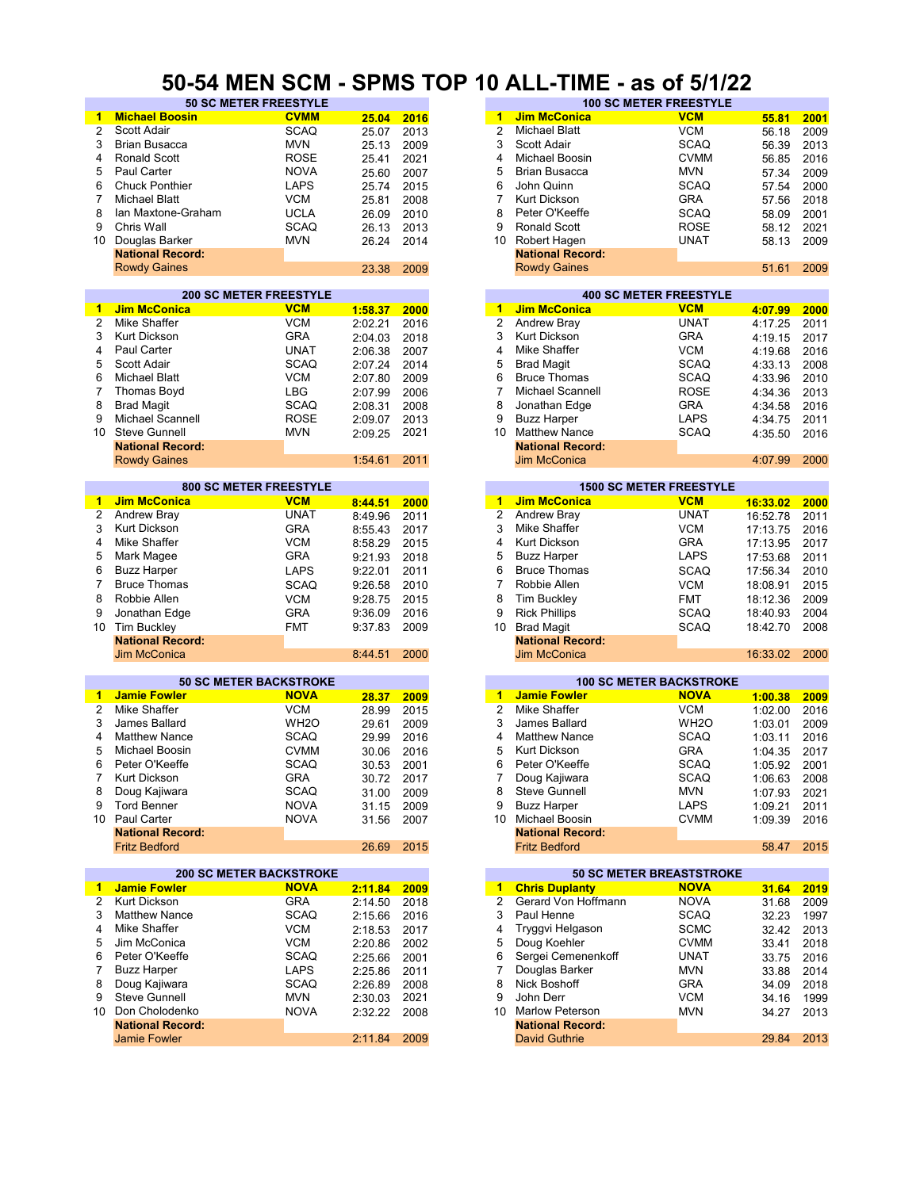#### **50-54 MEN SCM - SPMS TOP 10 ALL-TIME - as of 5/1/22**

| -1                      | <b>Michael Boosin</b>          | <b>CVMM</b>       | 25.04      | 2016 | -1             | <b>Jim McConica</b>     | <b>VCM</b>                      | 55.81    | 2001 |
|-------------------------|--------------------------------|-------------------|------------|------|----------------|-------------------------|---------------------------------|----------|------|
| $\overline{2}$          | Scott Adair                    | <b>SCAQ</b>       | 25.07      | 2013 | $\overline{2}$ | <b>Michael Blatt</b>    | <b>VCM</b>                      | 56.18    | 2009 |
|                         |                                |                   |            |      |                |                         |                                 |          |      |
| 3                       | <b>Brian Busacca</b>           | <b>MVN</b>        | 25.13      | 2009 | 3              | Scott Adair             | <b>SCAQ</b>                     | 56.39    | 2013 |
| 4                       | <b>Ronald Scott</b>            | <b>ROSE</b>       | 25.41      | 2021 | 4              | Michael Boosin          | <b>CVMM</b>                     | 56.85    | 2016 |
| 5                       | Paul Carter                    | <b>NOVA</b>       | 25.60      | 2007 | 5              | <b>Brian Busacca</b>    | <b>MVN</b>                      | 57.34    | 2009 |
| 6                       | <b>Chuck Ponthier</b>          | <b>LAPS</b>       | 25.74      | 2015 | 6              | John Quinn              | <b>SCAQ</b>                     | 57.54    | 2000 |
| $\overline{7}$          | <b>Michael Blatt</b>           | <b>VCM</b>        | 25.81      | 2008 | 7              | <b>Kurt Dickson</b>     | <b>GRA</b>                      | 57.56    | 2018 |
|                         |                                |                   |            |      |                |                         |                                 |          |      |
| 8                       | Ian Maxtone-Graham             | <b>UCLA</b>       | 26.09      | 2010 | 8              | Peter O'Keeffe          | <b>SCAQ</b>                     | 58.09    | 2001 |
| 9                       | Chris Wall                     | <b>SCAQ</b>       | 26.13      | 2013 | 9              | Ronald Scott            | <b>ROSE</b>                     | 58.12    | 2021 |
| 10                      | Douglas Barker                 | <b>MVN</b>        | 26.24      | 2014 | 10             | Robert Hagen            | <b>UNAT</b>                     | 58.13    | 2009 |
|                         | <b>National Record:</b>        |                   |            |      |                | <b>National Record:</b> |                                 |          |      |
|                         | <b>Rowdy Gaines</b>            |                   | 23.38      | 2009 |                | <b>Rowdy Gaines</b>     |                                 | 51.61    | 2009 |
|                         |                                |                   |            |      |                |                         |                                 |          |      |
|                         | <b>200 SC METER FREESTYLE</b>  |                   |            |      |                |                         | <b>400 SC METER FREESTYLE</b>   |          |      |
| $\blacktriangleleft$    | <b>Jim McConica</b>            | <b>VCM</b>        | 1:58.37    | 2000 | 1              | <b>Jim McConica</b>     | <b>VCM</b>                      |          | 2000 |
|                         |                                |                   |            |      |                |                         |                                 | 4:07.99  |      |
| 2                       | Mike Shaffer                   | <b>VCM</b>        | 2:02.21    | 2016 | $\overline{2}$ | Andrew Bray             | <b>UNAT</b>                     | 4:17.25  | 2011 |
| 3                       | <b>Kurt Dickson</b>            | <b>GRA</b>        | 2:04.03    | 2018 | 3              | <b>Kurt Dickson</b>     | <b>GRA</b>                      | 4:19.15  | 2017 |
| 4                       | <b>Paul Carter</b>             | <b>UNAT</b>       | 2:06.38    | 2007 | 4              | Mike Shaffer            | <b>VCM</b>                      | 4:19.68  | 2016 |
| 5                       | Scott Adair                    | <b>SCAQ</b>       | 2:07.24    | 2014 | 5              | <b>Brad Magit</b>       | <b>SCAQ</b>                     | 4:33.13  | 2008 |
| 6                       | <b>Michael Blatt</b>           | <b>VCM</b>        | 2:07.80    | 2009 | 6              | <b>Bruce Thomas</b>     | <b>SCAQ</b>                     | 4:33.96  | 2010 |
| $\overline{7}$          | <b>Thomas Boyd</b>             | <b>LBG</b>        |            |      | 7              | Michael Scannell        | <b>ROSE</b>                     |          |      |
|                         |                                |                   | 2:07.99    | 2006 |                |                         |                                 | 4:34.36  | 2013 |
| 8                       | <b>Brad Magit</b>              | <b>SCAQ</b>       | 2:08.31    | 2008 | 8              | Jonathan Edge           | <b>GRA</b>                      | 4:34.58  | 2016 |
| 9                       | <b>Michael Scannell</b>        | <b>ROSE</b>       | 2:09.07    | 2013 | 9              | <b>Buzz Harper</b>      | <b>LAPS</b>                     | 4:34.75  | 2011 |
| 10                      | <b>Steve Gunnell</b>           | <b>MVN</b>        | 2:09.25    | 2021 | 10             | <b>Matthew Nance</b>    | <b>SCAQ</b>                     | 4:35.50  | 2016 |
|                         | <b>National Record:</b>        |                   |            |      |                | <b>National Record:</b> |                                 |          |      |
|                         | <b>Rowdy Gaines</b>            |                   | 1:54.61    | 2011 |                | <b>Jim McConica</b>     |                                 | 4:07.99  | 2000 |
|                         |                                |                   |            |      |                |                         |                                 |          |      |
|                         | <b>800 SC METER FREESTYLE</b>  |                   |            |      |                |                         | <b>1500 SC METER FREESTYLE</b>  |          |      |
| 1                       | <b>Jim McConica</b>            | <b>VCM</b>        | 8:44.51    | 2000 | 1              | <b>Jim McConica</b>     | <b>VCM</b>                      | 16:33.02 | 2000 |
| $\overline{\mathbf{c}}$ | Andrew Bray                    | <b>UNAT</b>       |            |      | $\overline{2}$ | Andrew Bray             | <b>UNAT</b>                     |          |      |
|                         |                                |                   | 8:49.96    | 2011 |                |                         |                                 | 16:52.78 | 2011 |
| 3                       | <b>Kurt Dickson</b>            | <b>GRA</b>        | 8:55.43    | 2017 | 3              | Mike Shaffer            | <b>VCM</b>                      | 17:13.75 | 2016 |
| 4                       | Mike Shaffer                   | <b>VCM</b>        | 8:58.29    | 2015 | 4              | Kurt Dickson            | <b>GRA</b>                      | 17:13.95 | 2017 |
| 5                       | Mark Magee                     | <b>GRA</b>        | 9:21.93    | 2018 | 5              | <b>Buzz Harper</b>      | <b>LAPS</b>                     | 17:53.68 | 2011 |
| 6                       | <b>Buzz Harper</b>             | <b>LAPS</b>       | 9:22.01    | 2011 | 6              | <b>Bruce Thomas</b>     | <b>SCAQ</b>                     | 17:56.34 | 2010 |
| 7                       | <b>Bruce Thomas</b>            | <b>SCAQ</b>       | 9:26.58    | 2010 | $\overline{7}$ | Robbie Allen            | <b>VCM</b>                      | 18:08.91 | 2015 |
|                         |                                |                   |            |      |                |                         |                                 |          |      |
| 8                       | Robbie Allen                   | <b>VCM</b>        | 9:28.75    | 2015 | 8              | <b>Tim Buckley</b>      | <b>FMT</b>                      | 18:12.36 | 2009 |
| 9                       | Jonathan Edge                  | <b>GRA</b>        | 9:36.09    | 2016 | 9              | <b>Rick Phillips</b>    | <b>SCAQ</b>                     | 18:40.93 | 2004 |
| 10                      | Tim Buckley                    | <b>FMT</b>        | 9:37.83    | 2009 | 10             | <b>Brad Magit</b>       | <b>SCAQ</b>                     | 18:42.70 | 2008 |
|                         | <b>National Record:</b>        |                   |            |      |                | <b>National Record:</b> |                                 |          |      |
|                         | <b>Jim McConica</b>            |                   | 8:44.51    | 2000 |                | <b>Jim McConica</b>     |                                 | 16:33.02 | 2000 |
|                         |                                |                   |            |      |                |                         |                                 |          |      |
|                         | <b>50 SC METER BACKSTROKE</b>  |                   |            |      |                |                         | <b>100 SC METER BACKSTROKE</b>  |          |      |
| -1                      | <b>Jamie Fowler</b>            | <b>NOVA</b>       | 28.37      | 2009 | 1              | <b>Jamie Fowler</b>     | <b>NOVA</b>                     | 1:00.38  | 2009 |
| 2                       | Mike Shaffer                   | <b>VCM</b>        | 28.99      | 2015 | $\overline{c}$ | Mike Shaffer            | <b>VCM</b>                      | 1:02.00  | 2016 |
|                         |                                |                   |            |      | 3              |                         |                                 |          |      |
| 3                       | James Ballard                  | WH <sub>2</sub> O | 29.61      | 2009 |                | James Ballard           | WH <sub>2</sub> O               | 1:03.01  | 2009 |
| 4                       | <b>Matthew Nance</b>           | <b>SCAQ</b>       | 29.99      | 2016 | 4              | <b>Matthew Nance</b>    | <b>SCAQ</b>                     | 1:03.11  | 2016 |
| 5                       | Michael Boosin                 | <b>CVMM</b>       | 30.06      | 2016 | 5              | <b>Kurt Dickson</b>     | <b>GRA</b>                      | 1:04.35  | 2017 |
| 6                       | Peter O'Keeffe                 | <b>SCAQ</b>       | 30.53      | 2001 | 6              | Peter O'Keeffe          | SCAQ                            | 1:05.92  | 2001 |
| 7                       | Kurt Dickson                   | <b>GRA</b>        | 30.72 2017 |      | 7              | Doug Kajiwara           | <b>SCAQ</b>                     | 1:06.63  | 2008 |
| 8                       | Doug Kajiwara                  | <b>SCAQ</b>       | 31.00      | 2009 | 8              | Steve Gunnell           | <b>MVN</b>                      | 1:07.93  | 2021 |
| 9                       | <b>Tord Benner</b>             | <b>NOVA</b>       |            |      | 9              | <b>Buzz Harper</b>      | LAPS                            |          |      |
|                         |                                |                   | 31.15      | 2009 |                |                         |                                 | 1:09.21  | 2011 |
|                         | 10 Paul Carter                 | <b>NOVA</b>       | 31.56      | 2007 |                | 10 Michael Boosin       | <b>CVMM</b>                     | 1:09.39  | 2016 |
|                         | <b>National Record:</b>        |                   |            |      |                | <b>National Record:</b> |                                 |          |      |
|                         | <b>Fritz Bedford</b>           |                   | 26.69      | 2015 |                | <b>Fritz Bedford</b>    |                                 | 58.47    | 2015 |
|                         |                                |                   |            |      |                |                         |                                 |          |      |
|                         | <b>200 SC METER BACKSTROKE</b> |                   |            |      |                |                         | <b>50 SC METER BREASTSTROKE</b> |          |      |
| 1                       | <b>Jamie Fowler</b>            | <b>NOVA</b>       | 2:11.84    | 2009 | $\blacksquare$ | <b>Chris Duplanty</b>   | <b>NOVA</b>                     | 31.64    | 2019 |
| 2                       | Kurt Dickson                   | <b>GRA</b>        | 2:14.50    | 2018 | 2              | Gerard Von Hoffmann     | <b>NOVA</b>                     | 31.68    | 2009 |
| 3                       | <b>Matthew Nance</b>           | SCAQ              | 2:15.66    | 2016 | 3              | Paul Henne              | <b>SCAQ</b>                     | 32.23    | 1997 |
|                         |                                | <b>VCM</b>        | 2:18.53    | 2017 | 4              | Tryggvi Helgason        | <b>SCMC</b>                     | 32.42    | 2013 |
|                         |                                |                   |            | 2002 |                |                         |                                 |          |      |
| 4                       | Mike Shaffer                   |                   |            |      | 5              | Doug Koehler            | <b>CVMM</b>                     | 33.41    | 2018 |
| 5                       | Jim McConica                   | <b>VCM</b>        | 2:20.86    |      |                |                         |                                 |          |      |
| 6                       | Peter O'Keeffe                 | <b>SCAQ</b>       | 2:25.66    | 2001 | 6              | Sergei Cemenenkoff      | <b>UNAT</b>                     | 33.75    | 2016 |
| $\overline{7}$          | <b>Buzz Harper</b>             | LAPS              | 2:25.86    | 2011 | 7              | Douglas Barker          | <b>MVN</b>                      | 33.88    | 2014 |
| 8                       | Doug Kajiwara                  | <b>SCAQ</b>       | 2:26.89    | 2008 | 8              | Nick Boshoff            | GRA                             | 34.09    | 2018 |
|                         |                                |                   |            |      |                |                         |                                 |          |      |
| 9                       | Steve Gunnell                  | <b>MVN</b>        | 2:30.03    | 2021 | 9              | John Derr               | VCM                             | 34.16    | 1999 |
| 10                      | Don Cholodenko                 | <b>NOVA</b>       | 2:32.22    | 2008 | 10             | <b>Marlow Peterson</b>  | <b>MVN</b>                      | 34.27    | 2013 |
|                         | <b>National Record:</b>        |                   |            |      |                | <b>National Record:</b> |                                 |          |      |
|                         | <b>Jamie Fowler</b>            |                   | 2:11.84    | 2009 |                | <b>David Guthrie</b>    |                                 | 29.84    | 2013 |

| VT IIILIV                    | ---         | . .   |      | ₩. |    |                         | uv<br>$\sim$                  |       |      |
|------------------------------|-------------|-------|------|----|----|-------------------------|-------------------------------|-------|------|
| <b>50 SC METER FREESTYLE</b> |             |       |      |    |    |                         | <b>100 SC METER FREESTYLE</b> |       |      |
| $\mathsf{in}$                | <b>CVMM</b> | 25.04 | 2016 |    | 1  | <b>Jim McConica</b>     | <b>VCM</b>                    | 55.81 | 2001 |
|                              | SCAQ        | 25.07 | 2013 |    |    | <b>Michael Blatt</b>    | <b>VCM</b>                    | 56.18 | 2009 |
|                              | <b>MVN</b>  | 25.13 | 2009 |    | 3  | Scott Adair             | <b>SCAQ</b>                   | 56.39 | 2013 |
|                              | <b>ROSE</b> | 25.41 | 2021 |    | 4  | Michael Boosin          | <b>CVMM</b>                   | 56.85 | 2016 |
|                              | <b>NOVA</b> | 25.60 | 2007 |    | 5. | <b>Brian Busacca</b>    | <b>MVN</b>                    | 57.34 | 2009 |
|                              | <b>LAPS</b> | 25.74 | 2015 |    | 6  | John Quinn              | <b>SCAQ</b>                   | 57.54 | 2000 |
|                              | <b>VCM</b>  | 25.81 | 2008 |    |    | Kurt Dickson            | <b>GRA</b>                    | 57.56 | 2018 |
| <b>Graham</b>                | <b>UCLA</b> | 26.09 | 2010 |    | 8  | Peter O'Keeffe          | <b>SCAQ</b>                   | 58.09 | 2001 |
|                              | <b>SCAQ</b> | 26.13 | 2013 |    | 9  | Ronald Scott            | <b>ROSE</b>                   | 58.12 | 2021 |
|                              | <b>MVN</b>  | 26.24 | 2014 |    | 10 | Robert Hagen            | <b>UNAT</b>                   | 58.13 | 2009 |
| :bıc                         |             |       |      |    |    | <b>National Record:</b> |                               |       |      |
|                              |             | 23.38 | 2009 |    |    | <b>Rowdy Gaines</b>     |                               | 51.61 | 2009 |
|                              |             |       |      |    |    |                         |                               |       |      |

|         |      |    | <b>400 SC METER FREESTYLE</b> |             |         |      |
|---------|------|----|-------------------------------|-------------|---------|------|
| 1:58.37 | 2000 | 1  | <b>Jim McConica</b>           | <b>VCM</b>  | 4:07.99 | 2000 |
| 2:02.21 | 2016 | 2  | Andrew Bray                   | <b>UNAT</b> | 4:17.25 | 2011 |
| 2:04.03 | 2018 | 3  | Kurt Dickson                  | <b>GRA</b>  | 4:19.15 | 2017 |
| 2:06.38 | 2007 | 4  | Mike Shaffer                  | <b>VCM</b>  | 4:19.68 | 2016 |
| 2:07.24 | 2014 | 5  | <b>Brad Magit</b>             | <b>SCAQ</b> | 4:33.13 | 2008 |
| 2:07.80 | 2009 | 6  | <b>Bruce Thomas</b>           | <b>SCAQ</b> | 4:33.96 | 2010 |
| 2:07.99 | 2006 | 7  | Michael Scannell              | <b>ROSE</b> | 4:34.36 | 2013 |
| 2:08.31 | 2008 | 8  | Jonathan Edge                 | <b>GRA</b>  | 4:34.58 | 2016 |
| 2:09.07 | 2013 | 9  | <b>Buzz Harper</b>            | <b>LAPS</b> | 4:34.75 | 2011 |
| 2:09.25 | 2021 | 10 | <b>Matthew Nance</b>          | <b>SCAQ</b> | 4:35.50 | 2016 |
|         |      |    | <b>National Record:</b>       |             |         |      |
| 1:54.61 | 2011 |    | Jim McConica                  |             | 4:07.99 | 2000 |
|         |      |    |                               |             |         |      |

|         |      |    |                         | <b>1500 SC METER FREESTYLE</b> |          |      |
|---------|------|----|-------------------------|--------------------------------|----------|------|
| 8:44.51 | 2000 |    | <b>Jim McConica</b>     | <b>VCM</b>                     | 16:33.02 | 2000 |
| 8:49.96 | 2011 | 2  | Andrew Bray             | <b>UNAT</b>                    | 16:52.78 | 2011 |
| 8:55.43 | 2017 | 3  | Mike Shaffer            | <b>VCM</b>                     | 17:13.75 | 2016 |
| 8:58.29 | 2015 | 4  | Kurt Dickson            | <b>GRA</b>                     | 17:13.95 | 2017 |
| 9:21.93 | 2018 | 5  | <b>Buzz Harper</b>      | <b>LAPS</b>                    | 17:53.68 | 2011 |
| 9:22.01 | 2011 | 6  | <b>Bruce Thomas</b>     | <b>SCAQ</b>                    | 17:56.34 | 2010 |
| 9:26.58 | 2010 |    | Robbie Allen            | <b>VCM</b>                     | 18:08.91 | 2015 |
| 9:28.75 | 2015 | 8  | Tim Buckley             | <b>FMT</b>                     | 18:12.36 | 2009 |
| 9:36.09 | 2016 | 9  | <b>Rick Phillips</b>    | <b>SCAQ</b>                    | 18:40.93 | 2004 |
| 9:37.83 | 2009 | 10 | <b>Brad Magit</b>       | <b>SCAQ</b>                    | 18:42.70 | 2008 |
|         |      |    | <b>National Record:</b> |                                |          |      |
| 8:44.51 | 2000 |    | <b>Jim McConica</b>     |                                | 16:33.02 | 2000 |
|         |      |    |                         |                                |          |      |

|       |      |    |                         | <b>100 SC METER BACKSTROKE</b> |         |      |
|-------|------|----|-------------------------|--------------------------------|---------|------|
| 28.37 | 2009 | 1  | <b>Jamie Fowler</b>     | <b>NOVA</b>                    | 1:00.38 | 2009 |
| 28.99 | 2015 | 2  | Mike Shaffer            | <b>VCM</b>                     | 1:02.00 | 2016 |
| 29.61 | 2009 | 3  | James Ballard           | WH <sub>2</sub> O              | 1:03.01 | 2009 |
| 29.99 | 2016 | 4  | <b>Matthew Nance</b>    | <b>SCAQ</b>                    | 1:03.11 | 2016 |
| 30.06 | 2016 | 5  | Kurt Dickson            | <b>GRA</b>                     | 1:04.35 | 2017 |
| 30.53 | 2001 | 6  | Peter O'Keeffe          | <b>SCAQ</b>                    | 1:05.92 | 2001 |
| 30.72 | 2017 | 7  | Doug Kajiwara           | <b>SCAQ</b>                    | 1:06.63 | 2008 |
| 31.00 | 2009 | 8  | Steve Gunnell           | <b>MVN</b>                     | 1:07.93 | 2021 |
| 31.15 | 2009 | 9  | <b>Buzz Harper</b>      | <b>LAPS</b>                    | 1:09.21 | 2011 |
| 31.56 | 2007 | 10 | Michael Boosin          | <b>CVMM</b>                    | 1:09.39 | 2016 |
|       |      |    | <b>National Record:</b> |                                |         |      |
| 26.69 | 2015 |    | <b>Fritz Bedford</b>    |                                | 58.47   | 2015 |

|         |      |               |                         | <b>50 SC METER BREASTSTROKE</b> |       |
|---------|------|---------------|-------------------------|---------------------------------|-------|
| 2:11.84 | 2009 | 1             | <b>Chris Duplanty</b>   | <b>NOVA</b>                     | 31.64 |
| 2:14.50 | 2018 | $\mathcal{P}$ | Gerard Von Hoffmann     | <b>NOVA</b>                     | 31.68 |
| 2:15.66 | 2016 | 3             | Paul Henne              | <b>SCAQ</b>                     | 32.23 |
| 2:18.53 | 2017 | 4             | Tryggvi Helgason        | <b>SCMC</b>                     | 32.42 |
| 2:20.86 | 2002 | 5             | Doug Koehler            | <b>CVMM</b>                     | 33.41 |
| 2:25.66 | 2001 | 6             | Sergei Cemenenkoff      | <b>UNAT</b>                     | 33.75 |
| 2:25.86 | 2011 |               | Douglas Barker          | <b>MVN</b>                      | 33.88 |
| 2:26.89 | 2008 | 8             | Nick Boshoff            | <b>GRA</b>                      | 34.09 |
| 2:30.03 | 2021 | 9             | John Derr               | <b>VCM</b>                      | 34.16 |
| 2:32.22 | 2008 | 10            | <b>Marlow Peterson</b>  | <b>MVN</b>                      | 34.27 |
|         |      |               | <b>National Record:</b> |                                 |       |
| 2:11.84 | 2009 |               | <b>David Guthrie</b>    |                                 | 29.84 |
|         |      |               |                         |                                 |       |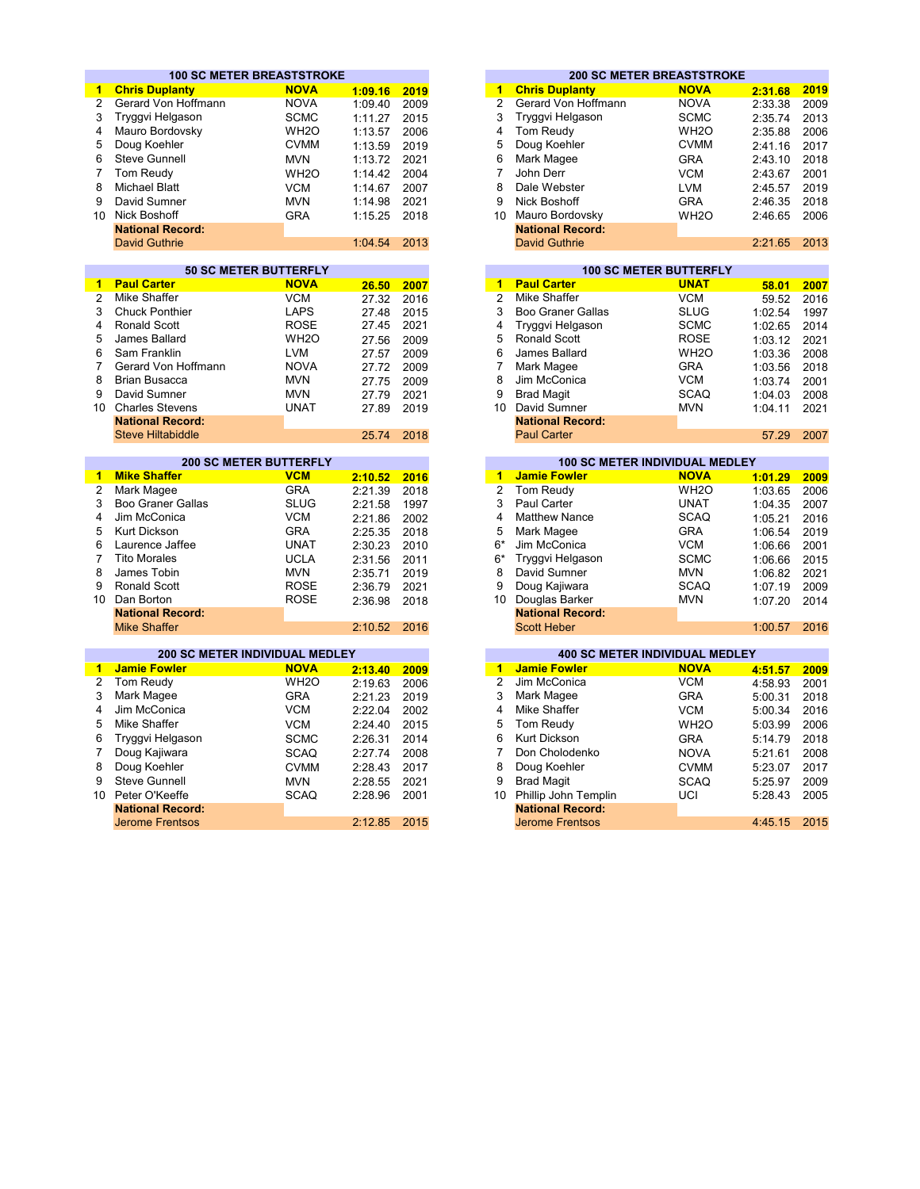|                 | <b>100 SC METER BREASTSTROKE</b>      |                               |         |      |                      |                          | <b>200 SC METER BREASTSTROKE</b>                     |         |      |
|-----------------|---------------------------------------|-------------------------------|---------|------|----------------------|--------------------------|------------------------------------------------------|---------|------|
| 1.              | <b>Chris Duplanty</b>                 | <b>NOVA</b>                   | 1:09.16 | 2019 | 1                    | <b>Chris Duplanty</b>    | <b>NOVA</b>                                          | 2:31.68 | 2019 |
| $\overline{2}$  | Gerard Von Hoffmann                   | <b>NOVA</b>                   | 1:09.40 | 2009 | $\overline{2}$       | Gerard Von Hoffmann      | <b>NOVA</b>                                          | 2:33.38 | 2009 |
| 3               | Tryggvi Helgason                      | <b>SCMC</b>                   | 1:11.27 | 2015 | 3                    | Tryggvi Helgason         | <b>SCMC</b>                                          | 2:35.74 | 2013 |
| 4               | Mauro Bordovsky                       | WH <sub>2</sub> O             | 1:13.57 | 2006 | 4                    | Tom Reudy                | WH <sub>2</sub> O                                    | 2:35.88 | 2006 |
| 5               | Doug Koehler                          | <b>CVMM</b>                   | 1:13.59 | 2019 | 5                    | Doug Koehler             | <b>CVMM</b>                                          | 2:41.16 | 2017 |
| 6               | Steve Gunnell                         | <b>MVN</b>                    | 1:13.72 | 2021 | 6                    | Mark Magee               | <b>GRA</b>                                           | 2:43.10 | 2018 |
| 7               | Tom Reudy                             | WH <sub>20</sub>              | 1:14.42 | 2004 | $\overline{7}$       | John Derr                | <b>VCM</b>                                           | 2:43.67 | 2001 |
| 8               | <b>Michael Blatt</b>                  | <b>VCM</b>                    | 1:14.67 | 2007 | 8                    | Dale Webster             | <b>LVM</b>                                           |         | 2019 |
| 9               | David Sumner                          |                               |         |      | 9                    | Nick Boshoff             |                                                      | 2:45.57 |      |
| 10 <sup>1</sup> |                                       | <b>MVN</b>                    | 1:14.98 | 2021 |                      |                          | <b>GRA</b>                                           | 2:46.35 | 2018 |
|                 | <b>Nick Boshoff</b>                   | <b>GRA</b>                    | 1:15.25 | 2018 |                      | 10 Mauro Bordovsky       | WH <sub>2</sub> O                                    | 2:46.65 | 2006 |
|                 | <b>National Record:</b>               |                               |         |      |                      | <b>National Record:</b>  |                                                      |         |      |
|                 | <b>David Guthrie</b>                  |                               | 1:04.54 | 2013 |                      | <b>David Guthrie</b>     |                                                      | 2:21.65 | 2013 |
|                 |                                       | <b>50 SC METER BUTTERFLY</b>  |         |      |                      |                          | <b>100 SC METER BUTTERFLY</b>                        |         |      |
| 1.              | <b>Paul Carter</b>                    | <b>NOVA</b>                   | 26.50   | 2007 | 1                    | <b>Paul Carter</b>       | <b>UNAT</b>                                          | 58.01   | 2007 |
| $\overline{2}$  | Mike Shaffer                          | <b>VCM</b>                    | 27.32   | 2016 | $\overline{2}$       | <b>Mike Shaffer</b>      | <b>VCM</b>                                           | 59.52   | 2016 |
| 3               | <b>Chuck Ponthier</b>                 | <b>LAPS</b>                   | 27.48   | 2015 | 3                    | <b>Boo Graner Gallas</b> | <b>SLUG</b>                                          | 1:02.54 | 1997 |
| 4               | <b>Ronald Scott</b>                   | <b>ROSE</b>                   | 27.45   | 2021 | 4                    | Tryggvi Helgason         | <b>SCMC</b>                                          | 1:02.65 | 2014 |
| 5               | James Ballard                         | WH <sub>2</sub> O             | 27.56   | 2009 | 5                    | <b>Ronald Scott</b>      | <b>ROSE</b>                                          | 1:03.12 | 2021 |
| 6               | Sam Franklin                          | <b>LVM</b>                    | 27.57   | 2009 | 6                    | James Ballard            | WH <sub>2</sub> O                                    | 1:03.36 | 2008 |
| $\overline{7}$  | Gerard Von Hoffmann                   | <b>NOVA</b>                   | 27.72   | 2009 | $\overline{7}$       | Mark Magee               | <b>GRA</b>                                           | 1:03.56 | 2018 |
| 8               | <b>Brian Busacca</b>                  | <b>MVN</b>                    | 27.75   | 2009 | 8                    | Jim McConica             | <b>VCM</b>                                           | 1:03.74 | 2001 |
| 9               | David Sumner                          | <b>MVN</b>                    | 27.79   | 2021 | 9                    | <b>Brad Magit</b>        | <b>SCAQ</b>                                          | 1:04.03 | 2008 |
| 10 <sup>1</sup> | <b>Charles Stevens</b>                | <b>UNAT</b>                   | 27.89   | 2019 |                      | 10 David Sumner          | <b>MVN</b>                                           | 1:04.11 | 2021 |
|                 | <b>National Record:</b>               |                               |         |      |                      | <b>National Record:</b>  |                                                      |         |      |
|                 | <b>Steve Hiltabiddle</b>              |                               | 25.74   | 2018 |                      | <b>Paul Carter</b>       |                                                      | 57.29   | 2007 |
|                 |                                       |                               |         |      |                      |                          |                                                      |         |      |
|                 |                                       | <b>200 SC METER BUTTERFLY</b> |         |      |                      |                          | <b>100 SC METER INDIVIDUAL MEDLEY</b>                |         |      |
| 1.              | <b>Mike Shaffer</b>                   | <b>VCM</b>                    | 2:10.52 | 2016 | $\blacktriangleleft$ | <b>Jamie Fowler</b>      | <b>NOVA</b>                                          | 1:01.29 | 2009 |
| $\overline{2}$  | Mark Magee                            | <b>GRA</b>                    | 2:21.39 | 2018 | $\overline{2}$       | Tom Reudy                | WH <sub>2</sub> O                                    | 1:03.65 | 2006 |
| 3               | <b>Boo Graner Gallas</b>              | <b>SLUG</b>                   | 2:21.58 | 1997 | 3                    | Paul Carter              | <b>UNAT</b>                                          | 1:04.35 | 2007 |
| 4               | Jim McConica                          | <b>VCM</b>                    | 2:21.86 | 2002 | 4                    | <b>Matthew Nance</b>     | <b>SCAQ</b>                                          | 1:05.21 | 2016 |
| 5               | <b>Kurt Dickson</b>                   | <b>GRA</b>                    | 2:25.35 | 2018 | 5                    | Mark Magee               | <b>GRA</b>                                           | 1:06.54 | 2019 |
| 6               | Laurence Jaffee                       | <b>UNAT</b>                   | 2:30.23 | 2010 | 6*                   | Jim McConica             | <b>VCM</b>                                           | 1:06.66 | 2001 |
| 7               | <b>Tito Morales</b>                   | <b>UCLA</b>                   | 2:31.56 | 2011 | $6*$                 | Tryggvi Helgason         | <b>SCMC</b>                                          | 1:06.66 | 2015 |
| 8               | James Tobin                           | <b>MVN</b>                    | 2:35.71 | 2019 | 8                    | David Sumner             | <b>MVN</b>                                           | 1:06.82 | 2021 |
| 9               | <b>Ronald Scott</b>                   | <b>ROSE</b>                   | 2:36.79 | 2021 | 9                    | Doug Kajiwara            | <b>SCAQ</b>                                          | 1:07.19 | 2009 |
| 10              | Dan Borton                            | <b>ROSE</b>                   | 2:36.98 | 2018 | 10                   | Douglas Barker           | <b>MVN</b>                                           | 1:07.20 | 2014 |
|                 | <b>National Record:</b>               |                               |         |      |                      | <b>National Record:</b>  |                                                      |         |      |
|                 | <b>Mike Shaffer</b>                   |                               | 2:10.52 | 2016 |                      | <b>Scott Heber</b>       |                                                      | 1:00.57 | 2016 |
|                 |                                       |                               |         |      |                      |                          |                                                      |         |      |
|                 | <b>200 SC METER INDIVIDUAL MEDLEY</b> | <b>NOVA</b>                   |         |      | 1                    | <b>Jamie Fowler</b>      | <b>400 SC METER INDIVIDUAL MEDLEY</b><br><b>NOVA</b> |         |      |
| $\mathbf{1}$    | <b>Jamie Fowler</b>                   |                               | 2:13.40 | 2009 |                      |                          |                                                      | 4:51.57 | 2009 |
| $\overline{2}$  | Tom Reudy                             | WH <sub>2</sub> O             | 2:19.63 | 2006 | $\overline{2}$       | Jim McConica             | <b>VCM</b>                                           | 4:58.93 | 2001 |
| 3               | Mark Magee                            | <b>GRA</b>                    | 2:21.23 | 2019 | 3                    | Mark Magee               | <b>GRA</b>                                           | 5:00.31 | 2018 |
| 4               | Jim McConica                          | <b>VCM</b>                    | 2:22.04 | 2002 | 4                    | Mike Shaffer             | <b>VCM</b>                                           | 5:00.34 | 2016 |
| 5               | Mike Shaffer                          | <b>VCM</b>                    | 2:24.40 | 2015 | 5                    | Tom Reudy                | WH <sub>2</sub> O                                    | 5:03.99 | 2006 |
| 6               | Tryggvi Helgason                      | <b>SCMC</b>                   | 2:26.31 | 2014 | 6                    | Kurt Dickson             | <b>GRA</b>                                           | 5:14.79 | 2018 |
| 7               | Doug Kajiwara                         | <b>SCAQ</b>                   | 2:27.74 | 2008 | $\overline{7}$       | Don Cholodenko           | <b>NOVA</b>                                          | 5:21.61 | 2008 |
| 8               | Doug Koehler                          | <b>CVMM</b>                   | 2:28.43 | 2017 | 8                    | Doug Koehler             | <b>CVMM</b>                                          | 5:23.07 | 2017 |
| 9               | <b>Steve Gunnell</b>                  | <b>MVN</b>                    | 2:28.55 | 2021 | 9                    | <b>Brad Magit</b>        | <b>SCAQ</b>                                          | 5:25.97 | 2009 |
| 10              | Peter O'Keeffe                        | <b>SCAQ</b>                   | 2:28.96 | 2001 | 10                   | Phillip John Templin     | UCI                                                  | 5:28.43 | 2005 |
|                 | <b>National Record:</b>               |                               |         |      |                      | <b>National Record:</b>  |                                                      |         |      |
|                 | <b>Jerome Frentsos</b>                |                               | 2:12.85 | 2015 |                      | Jerome Frentsos          |                                                      | 4:45.15 | 2015 |

|         |      |    |                         | <b>200 SC METER BREASTSTROKE</b> |         |
|---------|------|----|-------------------------|----------------------------------|---------|
| 1:09.16 | 2019 | 1. | <b>Chris Duplanty</b>   | <b>NOVA</b>                      | 2:31.68 |
| 1:09.40 | 2009 | 2  | Gerard Von Hoffmann     | <b>NOVA</b>                      | 2:33.38 |
| 1:11.27 | 2015 | 3  | Tryggvi Helgason        | <b>SCMC</b>                      | 2:35.74 |
| 1:13.57 | 2006 | 4  | Tom Reudy               | WH <sub>2</sub> O                | 2:35.88 |
| 1:13.59 | 2019 | 5  | Doug Koehler            | <b>CVMM</b>                      | 2:41.16 |
| 1:13.72 | 2021 | 6  | Mark Magee              | <b>GRA</b>                       | 2:43.10 |
| 1:14.42 | 2004 |    | John Derr               | <b>VCM</b>                       | 2:43.67 |
| 1:14.67 | 2007 | 8  | Dale Webster            | <b>LVM</b>                       | 2:45.57 |
| 1:14.98 | 2021 | 9  | Nick Boshoff            | <b>GRA</b>                       | 2:46.35 |
| 1:15.25 | 2018 | 10 | Mauro Bordovsky         | WH <sub>2</sub> O                | 2:46.65 |
|         |      |    | <b>National Record:</b> |                                  |         |
| 1:04.54 | 2013 |    | <b>David Guthrie</b>    |                                  | 2:21.65 |
|         |      |    |                         |                                  |         |

|       |      |    |                          | <b>100 SC METER BUTTERFLY</b> |         |  |
|-------|------|----|--------------------------|-------------------------------|---------|--|
| 26.50 | 2007 | 1  | <b>Paul Carter</b>       | <b>UNAT</b>                   | 58.01   |  |
| 27.32 | 2016 | 2  | Mike Shaffer             | <b>VCM</b>                    | 59.52   |  |
| 27.48 | 2015 | 3  | <b>Boo Graner Gallas</b> | <b>SLUG</b>                   | 1:02.54 |  |
| 27.45 | 2021 | 4  | Tryggvi Helgason         | <b>SCMC</b>                   | 1:02.65 |  |
| 27.56 | 2009 | 5  | Ronald Scott             | <b>ROSE</b>                   | 1:03.12 |  |
| 27.57 | 2009 | 6  | James Ballard            | WH <sub>2</sub> O             | 1:03.36 |  |
| 27.72 | 2009 |    | Mark Magee               | <b>GRA</b>                    | 1:03.56 |  |
| 27.75 | 2009 | 8  | Jim McConica             | <b>VCM</b>                    | 1:03.74 |  |
| 27.79 | 2021 | 9  | <b>Brad Magit</b>        | <b>SCAQ</b>                   | 1:04.03 |  |
| 27.89 | 2019 | 10 | David Sumner             | <b>MVN</b>                    | 1:04.11 |  |
|       |      |    | <b>National Record:</b>  |                               |         |  |
| 25.74 | 2018 |    | <b>Paul Carter</b>       |                               | 57.29   |  |

| <b>200 SC METER BUTTERFLY</b> |             |         |      |      |                         | <b>100 SC METER INDIVIDUAL MEDLEY</b> |         |      |
|-------------------------------|-------------|---------|------|------|-------------------------|---------------------------------------|---------|------|
|                               |             |         |      |      |                         |                                       |         |      |
|                               | <b>VCM</b>  | 2:10.52 | 2016 |      | <b>Jamie Fowler</b>     | <b>NOVA</b>                           | 1:01.29 | 2009 |
|                               | <b>GRA</b>  | 2:21.39 | 2018 | 2    | Tom Reudy               | WH <sub>2</sub> O                     | 1:03.65 | 2006 |
| allas:                        | <b>SLUG</b> | 2:21.58 | 1997 | 3    | Paul Carter             | <b>UNAT</b>                           | 1:04.35 | 2007 |
|                               | <b>VCM</b>  | 2:21.86 | 2002 | 4    | <b>Matthew Nance</b>    | <b>SCAQ</b>                           | 1:05.21 | 2016 |
|                               | <b>GRA</b>  | 2:25.35 | 2018 | 5    | Mark Magee              | <b>GRA</b>                            | 1:06.54 | 2019 |
| fee                           | <b>UNAT</b> | 2:30.23 | 2010 | $6*$ | Jim McConica            | <b>VCM</b>                            | 1:06.66 | 2001 |
|                               | <b>UCLA</b> | 2:31.56 | 2011 | $6*$ | Tryggvi Helgason        | <b>SCMC</b>                           | 1:06.66 | 2015 |
|                               | <b>MVN</b>  | 2:35.71 | 2019 | 8    | David Sumner            | <b>MVN</b>                            | 1:06.82 | 2021 |
|                               | <b>ROSE</b> | 2:36.79 | 2021 | 9    | Doug Kajiwara           | <b>SCAQ</b>                           | 1:07.19 | 2009 |
|                               | <b>ROSE</b> | 2:36.98 | 2018 | 10   | Douglas Barker          | <b>MVN</b>                            | 1:07.20 | 2014 |
| ord:                          |             |         |      |      | <b>National Record:</b> |                                       |         |      |
|                               |             | 2:10.52 | 2016 |      | <b>Scott Heber</b>      |                                       | 1:00.57 | 2016 |

|         |      |    |                         | <b>400 SC METER INDIVIDUAL MEDLEY</b> |         |
|---------|------|----|-------------------------|---------------------------------------|---------|
| 2:13.40 | 2009 | 1  | <b>Jamie Fowler</b>     | <b>NOVA</b>                           | 4:51.57 |
| 2:19.63 | 2006 | 2  | Jim McConica            | <b>VCM</b>                            | 4:58.93 |
| 2:21.23 | 2019 | 3  | Mark Magee              | <b>GRA</b>                            | 5:00.31 |
| 2:22.04 | 2002 | 4  | Mike Shaffer            | <b>VCM</b>                            | 5:00.34 |
| 2:24.40 | 2015 | 5  | Tom Reudy               | WH <sub>2</sub> O                     | 5:03.99 |
| 2:26.31 | 2014 | 6  | Kurt Dickson            | <b>GRA</b>                            | 5:14.79 |
| 2:27.74 | 2008 |    | Don Cholodenko          | <b>NOVA</b>                           | 5:21.61 |
| 2:28.43 | 2017 | 8  | Doug Koehler            | <b>CVMM</b>                           | 5:23.07 |
| 2:28.55 | 2021 | 9  | <b>Brad Magit</b>       | <b>SCAQ</b>                           | 5:25.97 |
| 2:28.96 | 2001 | 10 | Phillip John Templin    | UCI                                   | 5:28.43 |
|         |      |    | <b>National Record:</b> |                                       |         |
| 2:12.85 | 2015 |    | <b>Jerome Frentsos</b>  |                                       | 4:45.15 |
|         |      |    |                         |                                       |         |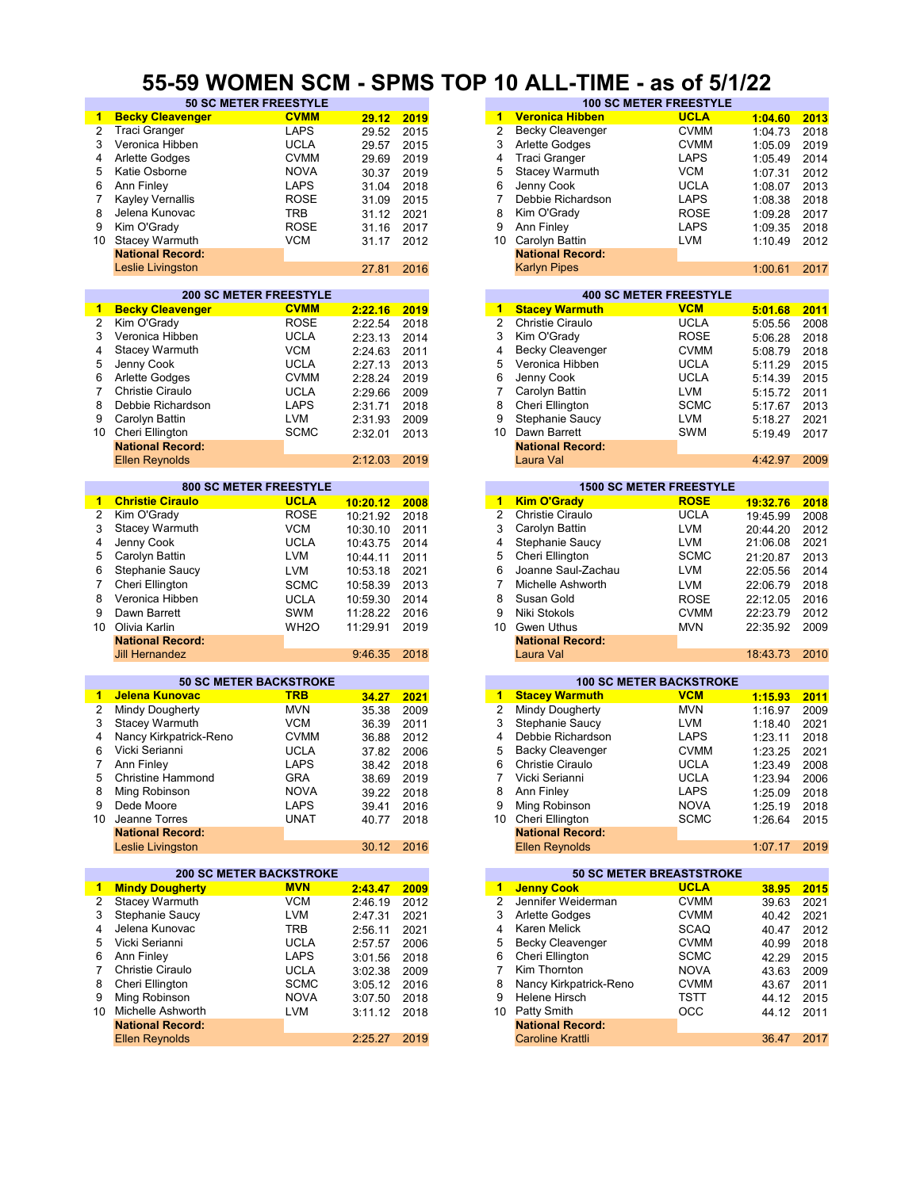#### **55-59 WOMEN SCM - SPMS TOP 10 ALL-TIME - as of 5/1/22**

| 1                    | <b>Becky Cleavenger</b>        | <b>CVMM</b>       | 29.12    | 2019 | $\blacktriangleleft$ | <b>Veronica Hibben</b>          | <b>UCLA</b>  | 1:04.60  | 2013 |
|----------------------|--------------------------------|-------------------|----------|------|----------------------|---------------------------------|--------------|----------|------|
| $\overline{2}$       | <b>Traci Granger</b>           | <b>LAPS</b>       | 29.52    | 2015 | 2                    | <b>Becky Cleavenger</b>         | <b>CVMM</b>  | 1:04.73  | 2018 |
| 3                    | Veronica Hibben                | <b>UCLA</b>       | 29.57    | 2015 | 3                    | Arlette Godges                  | <b>CVMM</b>  | 1:05.09  | 2019 |
|                      |                                |                   |          |      |                      |                                 |              |          |      |
| 4                    | Arlette Godges                 | <b>CVMM</b>       | 29.69    | 2019 | 4                    | <b>Traci Granger</b>            | <b>LAPS</b>  | 1:05.49  | 2014 |
| 5                    | Katie Osborne                  | <b>NOVA</b>       | 30.37    | 2019 | 5                    | <b>Stacey Warmuth</b>           | <b>VCM</b>   | 1:07.31  | 2012 |
| 6                    | Ann Finley                     | <b>LAPS</b>       | 31.04    | 2018 | 6                    | Jenny Cook                      | <b>UCLA</b>  | 1:08.07  | 2013 |
| 7                    | <b>Kayley Vernallis</b>        | ROSE              | 31.09    | 2015 | 7                    | Debbie Richardson               | <b>LAPS</b>  | 1:08.38  | 2018 |
| 8                    | Jelena Kunovac                 | <b>TRB</b>        | 31.12    | 2021 | 8                    | Kim O'Grady                     | <b>ROSE</b>  | 1:09.28  | 2017 |
|                      |                                |                   |          |      |                      |                                 |              |          |      |
| 9                    | Kim O'Grady                    | <b>ROSE</b>       | 31.16    | 2017 | 9                    | Ann Finley                      | LAPS         | 1:09.35  | 2018 |
| 10                   | <b>Stacey Warmuth</b>          | <b>VCM</b>        | 31.17    | 2012 | 10                   | Carolyn Battin                  | <b>LVM</b>   | 1:10.49  | 2012 |
|                      | <b>National Record:</b>        |                   |          |      |                      | <b>National Record:</b>         |              |          |      |
|                      | Leslie Livingston              |                   | 27.81    | 2016 |                      | <b>Karlyn Pipes</b>             |              | 1:00.61  | 2017 |
|                      |                                |                   |          |      |                      |                                 |              |          |      |
|                      | <b>200 SC METER FREESTYLE</b>  |                   |          |      |                      | <b>400 SC METER FREESTYLE</b>   |              |          |      |
| 1                    | <b>Becky Cleavenger</b>        | <b>CVMM</b>       | 2:22.16  | 2019 | $\mathbf{1}$         | <b>Stacey Warmuth</b>           | <b>VCM</b>   | 5:01.68  | 2011 |
| 2                    | Kim O'Gradv                    | <b>ROSE</b>       | 2:22.54  | 2018 | $\overline{2}$       | <b>Christie Ciraulo</b>         | <b>UCLA</b>  | 5:05.56  | 2008 |
|                      |                                |                   |          |      |                      |                                 |              |          |      |
| 3                    | Veronica Hibben                | <b>UCLA</b>       | 2:23.13  | 2014 | 3                    | Kim O'Grady                     | <b>ROSE</b>  | 5:06.28  | 2018 |
| 4                    | Stacey Warmuth                 | <b>VCM</b>        | 2:24.63  | 2011 | 4                    | Becky Cleavenger                | <b>CVMM</b>  | 5:08.79  | 2018 |
| 5                    | Jenny Cook                     | <b>UCLA</b>       | 2:27.13  | 2013 | 5                    | Veronica Hibben                 | <b>UCLA</b>  | 5:11.29  | 2015 |
| 6                    | Arlette Godges                 | <b>CVMM</b>       | 2:28.24  | 2019 | 6                    | Jenny Cook                      | UCLA         | 5:14.39  | 2015 |
| 7                    | <b>Christie Ciraulo</b>        | <b>UCLA</b>       |          |      | 7                    | Carolyn Battin                  | <b>LVM</b>   |          | 2011 |
|                      |                                |                   | 2:29.66  | 2009 |                      |                                 |              | 5:15.72  |      |
| 8                    | Debbie Richardson              | <b>LAPS</b>       | 2:31.71  | 2018 | 8                    | Cheri Ellington                 | <b>SCMC</b>  | 5:17.67  | 2013 |
| 9                    | Carolyn Battin                 | LVM               | 2:31.93  | 2009 | 9                    | Stephanie Saucy                 | LVM          | 5:18.27  | 2021 |
|                      | 10 Cheri Ellington             | <b>SCMC</b>       | 2:32.01  | 2013 | 10                   | Dawn Barrett                    | <b>SWM</b>   | 5:19.49  | 2017 |
|                      | <b>National Record:</b>        |                   |          |      |                      | <b>National Record:</b>         |              |          |      |
|                      | <b>Ellen Reynolds</b>          |                   | 2:12.03  | 2019 |                      | Laura Val                       |              | 4:42.97  | 2009 |
|                      |                                |                   |          |      |                      |                                 |              |          |      |
|                      | <b>800 SC METER FREESTYLE</b>  |                   |          |      |                      | <b>1500 SC METER FREESTYLE</b>  |              |          |      |
| 1                    | <b>Christie Ciraulo</b>        | <b>UCLA</b>       |          |      | 1                    | <b>Kim O'Grady</b>              | <b>ROSE</b>  |          |      |
|                      |                                |                   | 10:20.12 | 2008 |                      |                                 |              | 19:32.76 | 2018 |
| 2                    | Kim O'Grady                    | <b>ROSE</b>       | 10:21.92 | 2018 | $\overline{2}$       | Christie Ciraulo                | <b>UCLA</b>  | 19:45.99 | 2008 |
| 3                    | Stacey Warmuth                 | <b>VCM</b>        | 10:30.10 | 2011 | 3                    | Carolyn Battin                  | <b>LVM</b>   | 20:44.20 | 2012 |
| 4                    | Jenny Cook                     | <b>UCLA</b>       | 10:43.75 | 2014 | 4                    | Stephanie Saucy                 | <b>LVM</b>   | 21:06.08 | 2021 |
| 5                    | Carolyn Battin                 | <b>LVM</b>        | 10:44.11 | 2011 | 5                    | Cheri Ellington                 | <b>SCMC</b>  | 21:20.87 | 2013 |
| 6                    | Stephanie Saucy                | LVM               | 10:53.18 | 2021 | 6                    | Joanne Saul-Zachau              | LVM          | 22:05.56 | 2014 |
|                      |                                |                   |          |      |                      |                                 |              |          |      |
| 7                    | Cheri Ellington                | <b>SCMC</b>       | 10:58.39 | 2013 | 7                    | Michelle Ashworth               | <b>LVM</b>   | 22:06.79 | 2018 |
| 8                    | Veronica Hibben                | <b>UCLA</b>       | 10:59.30 | 2014 | 8                    | Susan Gold                      | <b>ROSE</b>  | 22:12.05 | 2016 |
| 9                    | Dawn Barrett                   | <b>SWM</b>        | 11:28.22 | 2016 | 9                    | Niki Stokols                    | <b>CVMM</b>  | 22:23.79 | 2012 |
| 10                   | Olivia Karlin                  | WH <sub>2</sub> O | 11:29.91 | 2019 | 10                   | Gwen Uthus                      | <b>MVN</b>   | 22:35.92 | 2009 |
|                      | <b>National Record:</b>        |                   |          |      |                      | <b>National Record:</b>         |              |          |      |
|                      | <b>Jill Hernandez</b>          |                   | 9:46.35  | 2018 |                      | Laura Val                       |              | 18:43.73 | 2010 |
|                      |                                |                   |          |      |                      |                                 |              |          |      |
|                      | <b>50 SC METER BACKSTROKE</b>  |                   |          |      |                      | <b>100 SC METER BACKSTROKE</b>  |              |          |      |
| $\blacktriangleleft$ | Jelena Kunovac                 | <b>TRB</b>        |          |      | 1                    | <b>Stacey Warmuth</b>           | <b>VCM</b>   |          |      |
|                      |                                |                   | 34.27    | 2021 |                      |                                 |              | 1:15.93  | 2011 |
| $\overline{2}$       | Mindy Dougherty                | <b>MVN</b>        | 35.38    | 2009 | $\overline{2}$       | Mindy Dougherty                 | <b>MVN</b>   | 1:16.97  | 2009 |
| 3                    | Stacey Warmuth                 | <b>VCM</b>        | 36.39    | 2011 | 3                    | Stephanie Saucy                 | LVM          | 1:18.40  | 2021 |
| 4                    | Nancy Kirkpatrick-Reno         | <b>CVMM</b>       | 36.88    | 2012 | 4                    | Debbie Richardson               | <b>LAPS</b>  | 1:23.11  | 2018 |
| 6                    | Vicki Serianni                 | <b>UCLA</b>       | 37.82    | 2006 | 5                    | Backy Cleavenger                | <b>CVMM</b>  | 1:23.25  | 2021 |
| 7                    | Ann Finley                     | <b>LAPS</b>       | 38.42    | 2018 | 6                    | <b>Christie Ciraulo</b>         | <b>UCLA</b>  | 1:23.49  | 2008 |
| 5                    |                                | GRA               |          | 2019 | 7                    | Vicki Serianni                  | <b>UCLA</b>  |          |      |
|                      | <b>Christine Hammond</b>       |                   | 38.69    |      |                      |                                 |              | 1:23.94  | 2006 |
| 8                    | Ming Robinson                  | <b>NOVA</b>       | 39.22    | 2018 | 8                    | Ann Finley                      | LAPS         | 1:25.09  | 2018 |
| 9                    | Dede Moore                     | LAPS              | 39.41    | 2016 | 9                    | Ming Robinson                   | <b>NOVA</b>  | 1:25.19  | 2018 |
| 10                   | Jeanne Torres                  | UNAT              | 40.77    | 2018 | 10                   | Cheri Ellington                 | <b>SCMC</b>  | 1:26.64  | 2015 |
|                      | <b>National Record:</b>        |                   |          |      |                      | <b>National Record:</b>         |              |          |      |
|                      | Leslie Livingston              |                   | 30.12    | 2016 |                      | <b>Ellen Reynolds</b>           |              | 1:07.17  | 2019 |
|                      |                                |                   |          |      |                      |                                 |              |          |      |
|                      | <b>200 SC METER BACKSTROKE</b> |                   |          |      |                      | <b>50 SC METER BREASTSTROKE</b> |              |          |      |
| 1                    | <b>Mindy Dougherty</b>         | <b>MVN</b>        | 2:43.47  | 2009 | $\blacktriangleleft$ | <b>Jenny Cook</b>               | <b>UCLA</b>  | 38.95    | 2015 |
| 2                    | <b>Stacey Warmuth</b>          | <b>VCM</b>        |          | 2012 | 2                    | Jennifer Weiderman              | <b>CVMM</b>  |          | 2021 |
|                      |                                |                   | 2:46.19  |      |                      |                                 |              | 39.63    |      |
| 3                    | Stephanie Saucy                | <b>LVM</b>        | 2:47.31  | 2021 | 3                    | Arlette Godges                  | <b>CVMM</b>  | 40.42    | 2021 |
| 4                    | Jelena Kunovac                 | <b>TRB</b>        | 2:56.11  | 2021 | 4                    | Karen Melick                    | SCAQ         | 40.47    | 2012 |
| 5                    | Vicki Serianni                 | <b>UCLA</b>       | 2:57.57  | 2006 | 5                    | Becky Cleavenger                | <b>CVMM</b>  | 40.99    | 2018 |
| 6                    | Ann Finley                     | <b>LAPS</b>       | 3:01.56  | 2018 | 6                    | Cheri Ellington                 | <b>SCMC</b>  | 42.29    | 2015 |
| 7                    | Christie Ciraulo               | <b>UCLA</b>       | 3:02.38  | 2009 | $\overline{7}$       | Kim Thornton                    | <b>NOVA</b>  | 43.63    | 2009 |
| 8                    |                                | <b>SCMC</b>       |          |      |                      |                                 |              |          |      |
|                      | Cheri Ellington                |                   | 3:05.12  | 2016 | 8                    | Nancy Kirkpatrick-Reno          | <b>CVMM</b>  | 43.67    | 2011 |
| 9                    | Ming Robinson                  | <b>NOVA</b>       | 3:07.50  | 2018 | 9                    | Helene Hirsch                   | TSTT         | 44.12    | 2015 |
| 10                   | Michelle Ashworth              | LVM               | 3:11.12  | 2018 | 10                   | <b>Patty Smith</b>              | $_{\rm OCC}$ | 44.12    | 2011 |
|                      | <b>National Record:</b>        |                   |          |      |                      | <b>National Record:</b>         |              |          |      |
|                      | <b>Ellen Reynolds</b>          |                   | 2:25.27  | 2019 |                      | <b>Caroline Krattli</b>         |              | 36.47    | 2017 |
|                      |                                |                   |          |      |                      |                                 |              |          |      |

|                              | ---         |       |      |    |                               |             |         |      |  |
|------------------------------|-------------|-------|------|----|-------------------------------|-------------|---------|------|--|
| <b>50 SC METER FREESTYLE</b> |             |       |      |    | <b>100 SC METER FREESTYLE</b> |             |         |      |  |
| nger                         | <b>CVMM</b> | 29.12 | 2019 |    | <b>Veronica Hibben</b>        | <b>UCLA</b> | 1:04.60 | 2013 |  |
|                              | <b>LAPS</b> | 29.52 | 2015 |    | Becky Cleavenger              | <b>CVMM</b> | 1:04.73 | 2018 |  |
| en                           | <b>UCLA</b> | 29.57 | 2015 | 3  | <b>Arlette Godges</b>         | <b>CVMM</b> | 1:05.09 | 2019 |  |
|                              | <b>CVMM</b> | 29.69 | 2019 | 4  | Traci Granger                 | <b>LAPS</b> | 1:05.49 | 2014 |  |
|                              | <b>NOVA</b> | 30.37 | 2019 | 5  | Stacey Warmuth                | <b>VCM</b>  | 1:07.31 | 2012 |  |
|                              | <b>LAPS</b> | 31.04 | 2018 | 6  | Jenny Cook                    | <b>UCLA</b> | 1:08.07 | 2013 |  |
| lis                          | <b>ROSE</b> | 31.09 | 2015 |    | Debbie Richardson             | <b>LAPS</b> | 1:08.38 | 2018 |  |
| aс                           | TRB         | 31.12 | 2021 | 8  | Kim O'Grady                   | <b>ROSE</b> | 1:09.28 | 2017 |  |
|                              | <b>ROSE</b> | 31.16 | 2017 | 9  | Ann Finley                    | LAPS        | 1:09.35 | 2018 |  |
| uth                          | <b>VCM</b>  | 31.17 | 2012 | 10 | Carolyn Battin                | LVM         | 1:10.49 | 2012 |  |
| :bıc                         |             |       |      |    | <b>National Record:</b>       |             |         |      |  |
| <b>on</b>                    |             | 27.81 | 2016 |    | <b>Karlyn Pipes</b>           |             | 1:00.61 | 2017 |  |
|                              |             |       |      |    |                               |             |         |      |  |

|         |      |    | <b>400 SC METER FREESTYLE</b> |             |         |  |  |  |  |
|---------|------|----|-------------------------------|-------------|---------|--|--|--|--|
| 2:22.16 | 2019 |    | <b>Stacey Warmuth</b>         | <b>VCM</b>  | 5:01.68 |  |  |  |  |
| 2:22.54 | 2018 | 2  | Christie Ciraulo              | <b>UCLA</b> | 5:05.56 |  |  |  |  |
| 2:23.13 | 2014 | 3  | Kim O'Grady                   | <b>ROSE</b> | 5:06.28 |  |  |  |  |
| 2:24.63 | 2011 | 4  | <b>Becky Cleavenger</b>       | <b>CVMM</b> | 5:08.79 |  |  |  |  |
| 2:27.13 | 2013 | 5. | Veronica Hibben               | <b>UCLA</b> | 5:11.29 |  |  |  |  |
| 2:28.24 | 2019 | 6  | Jenny Cook                    | <b>UCLA</b> | 5:14.39 |  |  |  |  |
| 2:29.66 | 2009 |    | Carolyn Battin                | <b>LVM</b>  | 5:15.72 |  |  |  |  |
| 2:31.71 | 2018 | 8  | Cheri Ellington               | <b>SCMC</b> | 5:17.67 |  |  |  |  |
| 2:31.93 | 2009 | 9  | Stephanie Saucy               | <b>LVM</b>  | 5:18.27 |  |  |  |  |
| 2:32.01 | 2013 | 10 | Dawn Barrett                  | SWM         | 5:19.49 |  |  |  |  |
|         |      |    | <b>National Record:</b>       |             |         |  |  |  |  |
| 2:12.03 | 2019 |    | Laura Val                     |             | 4:42.97 |  |  |  |  |
|         |      |    |                               |             |         |  |  |  |  |

|         |      |    | <b>1500 SC METER FREESTYLE</b> |             |
|---------|------|----|--------------------------------|-------------|
| 0:20.12 | 2008 | 1  | <b>Kim O'Grady</b>             | <b>ROSE</b> |
| 0:21.92 | 2018 | 2  | Christie Ciraulo               | <b>UCLA</b> |
| 0:30.10 | 2011 | 3  | Carolyn Battin                 | <b>LVM</b>  |
| 0:43.75 | 2014 | 4  | Stephanie Saucy                | <b>LVM</b>  |
| 0:44.11 | 2011 | 5. | Cheri Ellington                | <b>SCMC</b> |
| 0:53.18 | 2021 | 6  | Joanne Saul-Zachau             | <b>LVM</b>  |
| 0:58.39 | 2013 | 7  | Michelle Ashworth              | <b>LVM</b>  |
| 0:59.30 | 2014 | 8  | Susan Gold                     | <b>ROSE</b> |
| 1:28.22 | 2016 | 9  | Niki Stokols                   | <b>CVMM</b> |
| 1:29.91 | 2019 | 10 | Gwen Uthus                     | <b>MVN</b>  |
|         |      |    | <b>National Record:</b>        |             |
| 9:46.35 | 2018 |    | Laura Val                      |             |
|         |      |    |                                |             |

|       |      |    |                         | <b>100 SC METER BACKSTROKE</b> |         |  |
|-------|------|----|-------------------------|--------------------------------|---------|--|
| 34.27 | 2021 | 1  | <b>Stacey Warmuth</b>   | <b>VCM</b>                     | 1:15.93 |  |
| 35.38 | 2009 | 2  | Mindy Dougherty         | <b>MVN</b>                     | 1:16.97 |  |
| 36.39 | 2011 | 3  | Stephanie Saucy         | <b>LVM</b>                     | 1:18.40 |  |
| 36.88 | 2012 | 4  | Debbie Richardson       | <b>LAPS</b>                    | 1:23.11 |  |
| 37.82 | 2006 | 5  | <b>Backy Cleavenger</b> | <b>CVMM</b>                    | 1:23.25 |  |
| 38.42 | 2018 | 6  | Christie Ciraulo        | <b>UCLA</b>                    | 1:23.49 |  |
| 38.69 | 2019 |    | Vicki Serianni          | <b>UCLA</b>                    | 1:23.94 |  |
| 39.22 | 2018 | 8  | Ann Finley              | <b>LAPS</b>                    | 1:25.09 |  |
| 39.41 | 2016 | 9  | Ming Robinson           | <b>NOVA</b>                    | 1:25.19 |  |
| 40.77 | 2018 | 10 | Cheri Ellington         | <b>SCMC</b>                    | 1:26.64 |  |
|       |      |    | <b>National Record:</b> |                                |         |  |
| 30.12 | 2016 |    | <b>Ellen Reynolds</b>   |                                | 1:07.17 |  |
|       |      |    |                         |                                |         |  |

|         |      |    | <b>50 SC METER BREASTSTROKE</b> |             |  |
|---------|------|----|---------------------------------|-------------|--|
| 2:43.47 | 2009 | 1. | <b>Jenny Cook</b>               | <b>UCLA</b> |  |
| 2:46.19 | 2012 | 2  | Jennifer Weiderman              | <b>CVMM</b> |  |
| 2:47.31 | 2021 | 3  | <b>Arlette Godges</b>           | <b>CVMM</b> |  |
| 2:56.11 | 2021 | 4  | Karen Melick                    | <b>SCAQ</b> |  |
| 2:57.57 | 2006 | 5  | Becky Cleavenger                | <b>CVMM</b> |  |
| 3:01.56 | 2018 | 6  | Cheri Ellington                 | <b>SCMC</b> |  |
| 3:02.38 | 2009 |    | Kim Thornton                    | <b>NOVA</b> |  |
| 3:05.12 | 2016 | 8  | Nancy Kirkpatrick-Reno          | <b>CVMM</b> |  |
| 3:07.50 | 2018 | 9  | Helene Hirsch                   | <b>TSTT</b> |  |
| 3:11.12 | 2018 | 10 | Patty Smith                     | <b>OCC</b>  |  |
|         |      |    | <b>National Record:</b>         |             |  |
| 2:25.27 | 2019 |    | <b>Caroline Krattli</b>         |             |  |
|         |      |    |                                 |             |  |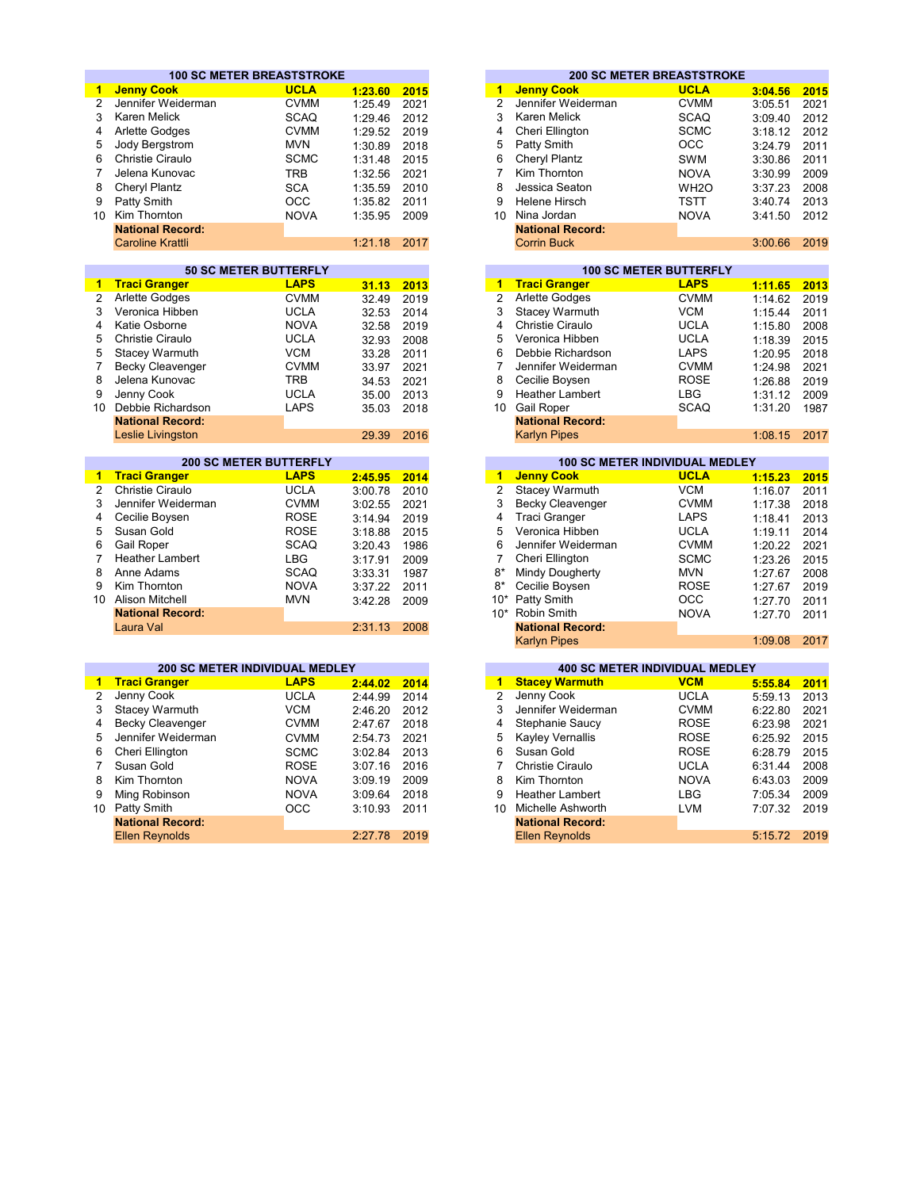|                | <b>100 SC METER BREASTSTROKE</b>       |                            |                    |              |                | <b>200 SC METER BREASTSTROKE</b>             |                            |                    |              |
|----------------|----------------------------------------|----------------------------|--------------------|--------------|----------------|----------------------------------------------|----------------------------|--------------------|--------------|
| $\mathbf{1}$   | <b>Jenny Cook</b>                      | <b>UCLA</b>                | 1:23.60            | 2015         | 1              | <b>Jenny Cook</b>                            | <b>UCLA</b>                | 3:04.56            | 2015         |
| $\overline{2}$ | Jennifer Weiderman                     | <b>CVMM</b>                | 1:25.49            | 2021         | $\overline{2}$ | Jennifer Weiderman                           | <b>CVMM</b>                | 3:05.51            | 2021         |
| 3              | <b>Karen Melick</b>                    | <b>SCAQ</b>                | 1:29.46            | 2012         | 3              | <b>Karen Melick</b>                          | <b>SCAQ</b>                | 3:09.40            | 2012         |
| 4              | <b>Arlette Godges</b>                  | <b>CVMM</b>                | 1:29.52            | 2019         | 4              | Cheri Ellington                              | <b>SCMC</b>                | 3:18.12            | 2012         |
| 5              | Jody Bergstrom                         | <b>MVN</b>                 | 1:30.89            | 2018         | 5              | Patty Smith                                  | OCC                        | 3:24.79            | 2011         |
| 6              | Christie Ciraulo                       | <b>SCMC</b>                | 1:31.48            | 2015         | 6              | Cheryl Plantz                                | <b>SWM</b>                 | 3:30.86            | 2011         |
| $\overline{7}$ | Jelena Kunovac                         | <b>TRB</b>                 | 1:32.56            | 2021         | 7              | Kim Thornton                                 | <b>NOVA</b>                | 3:30.99            | 2009         |
| 8              | Cheryl Plantz                          | <b>SCA</b>                 | 1:35.59            | 2010         | 8              | Jessica Seaton                               | WH <sub>2</sub> O          | 3:37.23            | 2008         |
| 9              | Patty Smith                            | OCC                        | 1:35.82            | 2011         | 9              | <b>Helene Hirsch</b>                         | <b>TSTT</b>                | 3:40.74            | 2013         |
|                | 10 Kim Thornton                        | <b>NOVA</b>                | 1:35.95            | 2009         |                | 10 Nina Jordan                               | <b>NOVA</b>                | 3:41.50            | 2012         |
|                | <b>National Record:</b>                |                            |                    |              |                | <b>National Record:</b>                      |                            |                    |              |
|                | <b>Caroline Krattli</b>                |                            | 1:21.18            | 2017         |                | <b>Corrin Buck</b>                           |                            | 3:00.66            | 2019         |
|                |                                        |                            |                    |              |                |                                              |                            |                    |              |
|                | <b>50 SC METER BUTTERFLY</b>           |                            |                    |              |                | <b>100 SC METER BUTTERFLY</b>                |                            |                    |              |
| $\mathbf{1}$   | <b>Traci Granger</b>                   | <b>LAPS</b>                | 31.13              | 2013         | $\overline{1}$ | <b>Traci Granger</b>                         | <b>LAPS</b>                | 1:11.65            | 2013         |
| $\overline{2}$ | Arlette Godges                         | <b>CVMM</b>                | 32.49              | 2019         | $\overline{2}$ | <b>Arlette Godges</b>                        | <b>CVMM</b>                | 1:14.62            | 2019         |
| 3              | Veronica Hibben                        | <b>UCLA</b>                | 32.53              | 2014         | 3              | <b>Stacey Warmuth</b>                        | <b>VCM</b>                 | 1:15.44            | 2011         |
| 4              | Katie Osborne                          | <b>NOVA</b>                | 32.58              | 2019         | 4              | Christie Ciraulo                             | <b>UCLA</b>                | 1:15.80            | 2008         |
| 5              | <b>Christie Ciraulo</b>                | <b>UCLA</b>                | 32.93              | 2008         | 5              | Veronica Hibben                              | <b>UCLA</b>                | 1:18.39            | 2015         |
| 5              | Stacey Warmuth                         | <b>VCM</b>                 | 33.28              | 2011         | 6              | Debbie Richardson                            | <b>LAPS</b>                | 1:20.95            | 2018         |
| $\overline{7}$ | <b>Becky Cleavenger</b>                | <b>CVMM</b>                | 33.97              | 2021         | 7              | Jennifer Weiderman                           | <b>CVMM</b>                | 1:24.98            | 2021         |
| 8              | Jelena Kunovac                         | <b>TRB</b>                 | 34.53              | 2021         | 8              | Cecilie Boysen                               | <b>ROSE</b>                | 1:26.88            | 2019         |
| 9              | Jenny Cook                             | <b>UCLA</b>                | 35.00              | 2013         | 9              | <b>Heather Lambert</b>                       | LBG                        | 1:31.12            | 2009         |
|                | 10 Debbie Richardson                   | <b>LAPS</b>                | 35.03              | 2018         |                | 10 Gail Roper                                | <b>SCAQ</b>                | 1:31.20            | 1987         |
|                | <b>National Record:</b>                |                            |                    |              |                | <b>National Record:</b>                      |                            |                    |              |
|                | Leslie Livingston                      |                            | 29.39              | 2016         |                | <b>Karlyn Pipes</b>                          |                            | 1:08.15            | 2017         |
|                | <b>200 SC METER BUTTERFLY</b>          |                            |                    |              |                | <b>100 SC METER INDIVIDUAL MEDLEY</b>        |                            |                    |              |
| $\mathbf{1}$   | <b>Traci Granger</b>                   | <b>LAPS</b>                | 2:45.95            | 2014         | $\mathbf{1}$   | <b>Jenny Cook</b>                            | <b>UCLA</b>                | 1:15.23            | 2015         |
| $\overline{2}$ | Christie Ciraulo                       | <b>UCLA</b>                | 3:00.78            | 2010         | $\overline{2}$ | Stacey Warmuth                               | <b>VCM</b>                 | 1:16.07            | 2011         |
|                | Jennifer Weiderman                     | <b>CVMM</b>                | 3:02.55            | 2021         | 3              | Becky Cleavenger                             | <b>CVMM</b>                | 1:17.38            | 2018         |
|                |                                        |                            |                    |              |                |                                              |                            |                    |              |
| 3<br>4         |                                        |                            |                    |              | 4              |                                              |                            |                    |              |
|                | Cecilie Boysen                         | <b>ROSE</b>                | 3:14.94            | 2019         |                | Traci Granger                                | <b>LAPS</b>                | 1:18.41            | 2013         |
| 5<br>6         | Susan Gold<br><b>Gail Roper</b>        | <b>ROSE</b><br><b>SCAQ</b> | 3:18.88            | 2015         | 5<br>6         | Veronica Hibben<br>Jennifer Weiderman        | <b>UCLA</b><br><b>CVMM</b> | 1:19.11            | 2014<br>2021 |
| $\overline{7}$ | <b>Heather Lambert</b>                 | <b>LBG</b>                 | 3:20.43            | 1986         | $\overline{7}$ | Cheri Ellington                              | <b>SCMC</b>                | 1:20.22            |              |
| 8              | Anne Adams                             | <b>SCAQ</b>                | 3:17.91            | 2009<br>1987 | $8*$           | Mindy Dougherty                              | <b>MVN</b>                 | 1:23.26            | 2015<br>2008 |
| 9              | Kim Thornton                           | <b>NOVA</b>                | 3:33.31<br>3:37.22 | 2011         | 8*             | Cecilie Boysen                               | <b>ROSE</b>                | 1:27.67<br>1:27.67 | 2019         |
| 10             | Alison Mitchell                        | <b>MVN</b>                 |                    | 2009         | $10*$          | Patty Smith                                  | OCC                        | 1:27.70            | 2011         |
|                | <b>National Record:</b>                |                            | 3:42.28            |              | $10*$          | <b>Robin Smith</b>                           | <b>NOVA</b>                | 1:27.70            | 2011         |
|                | Laura Val                              |                            | 2:31.13            | 2008         |                | <b>National Record:</b>                      |                            |                    |              |
|                |                                        |                            |                    |              |                | <b>Karlyn Pipes</b>                          |                            | 1:09.08            | 2017         |
|                |                                        |                            |                    |              |                |                                              |                            |                    |              |
|                | <b>200 SC METER INDIVIDUAL MEDLEY</b>  |                            |                    |              |                | <b>400 SC METER INDIVIDUAL MEDLEY</b>        |                            |                    |              |
| 1              | <b>Traci Granger</b>                   | <b>LAPS</b>                | 2:44.02            | 2014         | 1              | <b>Stacey Warmuth</b>                        | <b>VCM</b>                 | 5:55.84            | 2011         |
| $\overline{2}$ | Jenny Cook                             | <b>UCLA</b>                | 2:44.99            | 2014         | $\overline{2}$ | Jenny Cook                                   | <b>UCLA</b>                | 5:59.13            | 2013         |
| 3              | <b>Stacey Warmuth</b>                  | <b>VCM</b>                 | 2:46.20            | 2012         | 3              | Jennifer Weiderman                           | <b>CVMM</b>                | 6:22.80            | 2021         |
| 4              | Becky Cleavenger                       | <b>CVMM</b>                | 2:47.67            | 2018         | 4              | Stephanie Saucy                              | <b>ROSE</b>                | 6:23.98            | 2021         |
| 5              | Jennifer Weiderman                     | <b>CVMM</b>                | 2:54.73            | 2021         | 5              | Kayley Vernallis                             | <b>ROSE</b>                | 6:25.92            | 2015         |
| 6              | Cheri Ellington                        | <b>SCMC</b>                | 3:02.84            | 2013         | 6              | Susan Gold                                   | <b>ROSE</b>                | 6:28.79            | 2015         |
| $\overline{7}$ | Susan Gold                             | <b>ROSE</b>                | 3:07.16            | 2016         | 7              | Christie Ciraulo                             | <b>UCLA</b>                | 6:31.44            | 2008         |
| 8              | Kim Thornton                           | <b>NOVA</b>                | 3:09.19            | 2009         | 8              | Kim Thornton                                 | <b>NOVA</b>                | 6:43.03            | 2009         |
| 9              | Ming Robinson                          | <b>NOVA</b>                | 3:09.64            | 2018         | 9              | <b>Heather Lambert</b>                       | <b>LBG</b>                 | 7:05.34            | 2009         |
| 10             | Patty Smith<br><b>National Record:</b> | <b>OCC</b>                 | 3:10.93            | 2011         | 10             | Michelle Ashworth<br><b>National Record:</b> | <b>LVM</b>                 | 7:07.32            | 2019         |

|         |      |    |                         | <b>200 SC METER BREASTSTROKE</b> |  |
|---------|------|----|-------------------------|----------------------------------|--|
| 1:23.60 | 2015 | 1  | <b>Jenny Cook</b>       | <b>UCLA</b>                      |  |
| 1:25.49 | 2021 | 2  | Jennifer Weiderman      | <b>CVMM</b>                      |  |
| 1:29.46 | 2012 | 3  | Karen Melick            | <b>SCAQ</b>                      |  |
| 1:29.52 | 2019 | 4  | Cheri Ellington         | <b>SCMC</b>                      |  |
| 1:30.89 | 2018 | 5  | Patty Smith             | <b>OCC</b>                       |  |
| 1:31.48 | 2015 | 6  | Cheryl Plantz           | SWM                              |  |
| 1:32.56 | 2021 |    | Kim Thornton            | <b>NOVA</b>                      |  |
| 1:35.59 | 2010 | 8  | Jessica Seaton          | WH <sub>2</sub> O                |  |
| 1:35.82 | 2011 | 9  | Helene Hirsch           | <b>TSTT</b>                      |  |
| 1:35.95 | 2009 | 10 | Nina Jordan             | <b>NOVA</b>                      |  |
|         |      |    | <b>National Record:</b> |                                  |  |
| 1:21.18 | 2017 |    | <b>Corrin Buck</b>      |                                  |  |
|         |      |    |                         |                                  |  |

|       |      |                |                         | <b>100 SC METER BUTTERFLY</b> |         |
|-------|------|----------------|-------------------------|-------------------------------|---------|
| 31.13 | 2013 | 1              | <b>Traci Granger</b>    | <b>LAPS</b>                   | 1:11.65 |
| 32.49 | 2019 | $\overline{2}$ | Arlette Godges          | <b>CVMM</b>                   | 1:14.62 |
| 32.53 | 2014 | 3              | Stacey Warmuth          | <b>VCM</b>                    | 1:15.44 |
| 32.58 | 2019 | 4              | Christie Ciraulo        | <b>UCLA</b>                   | 1:15.80 |
| 32.93 | 2008 | 5              | Veronica Hibben         | <b>UCLA</b>                   | 1:18.39 |
| 33.28 | 2011 | 6              | Debbie Richardson       | <b>LAPS</b>                   | 1:20.95 |
| 33.97 | 2021 |                | Jennifer Weiderman      | <b>CVMM</b>                   | 1:24.98 |
| 34.53 | 2021 | 8              | Cecilie Boysen          | <b>ROSE</b>                   | 1:26.88 |
| 35.00 | 2013 | 9              | <b>Heather Lambert</b>  | LBG                           | 1:31.12 |
| 35.03 | 2018 | 10             | <b>Gail Roper</b>       | <b>SCAQ</b>                   | 1:31.20 |
|       |      |                | <b>National Record:</b> |                               |         |
| 29.39 | 2016 |                | <b>Karlyn Pipes</b>     |                               | 1:08.15 |

|   |                         | <b>200 SC METER BUTTERFLY</b> |         |      |
|---|-------------------------|-------------------------------|---------|------|
|   | 1 Traci Granger         | <b>LAPS</b>                   | 2:45.95 | 2014 |
| 2 | Christie Ciraulo        | <b>UCLA</b>                   | 3:00.78 | 2010 |
| 3 | Jennifer Weiderman      | <b>CVMM</b>                   | 3:02.55 | 2021 |
|   | 4 Cecilie Boysen        | <b>ROSE</b>                   | 3:14.94 | 2019 |
|   | 5 Susan Gold            | <b>ROSE</b>                   | 3:18.88 | 2015 |
|   | 6 Gail Roper            | <b>SCAQ</b>                   | 3:20.43 | 1986 |
|   | <b>Heather Lambert</b>  | LBG.                          | 3:17.91 | 2009 |
|   | 8 Anne Adams            | <b>SCAQ</b>                   | 3:33.31 | 1987 |
| 9 | Kim Thornton            | <b>NOVA</b>                   | 3:37.22 | 2011 |
| 0 | Alison Mitchell         | <b>MVN</b>                    | 3:42.28 | 2009 |
|   | <b>National Record:</b> |                               |         |      |
|   | Laura Val               |                               | 2:31.13 | 2008 |
|   |                         |                               |         |      |

| <b>200 SC METER INDIVIDUAL MEDLEY</b> |             |         |      |
|---------------------------------------|-------------|---------|------|
| <u>Traci Granger</u>                  | <b>LAPS</b> | 2:44.02 | 2014 |
| Jenny Cook                            | <b>UCLA</b> | 2:44.99 | 2014 |
| Stacey Warmuth                        | <b>VCM</b>  | 2:46.20 | 2012 |
| Becky Cleavenger                      | <b>CVMM</b> | 2:47.67 | 2018 |
| Jennifer Weiderman                    | <b>CVMM</b> | 2:54.73 | 2021 |
| Cheri Ellington                       | <b>SCMC</b> | 3:02.84 | 2013 |
| Susan Gold                            | <b>ROSE</b> | 3:07.16 | 2016 |
| Kim Thornton                          | <b>NOVA</b> | 3:09.19 | 2009 |
| Ming Robinson                         | <b>NOVA</b> | 3:09.64 | 2018 |
| Patty Smith                           | <b>OCC</b>  | 3:10.93 | 2011 |
| <b>National Record:</b>               |             |         |      |
| <b>Ellen Reynolds</b>                 |             | 2:27.78 | 2019 |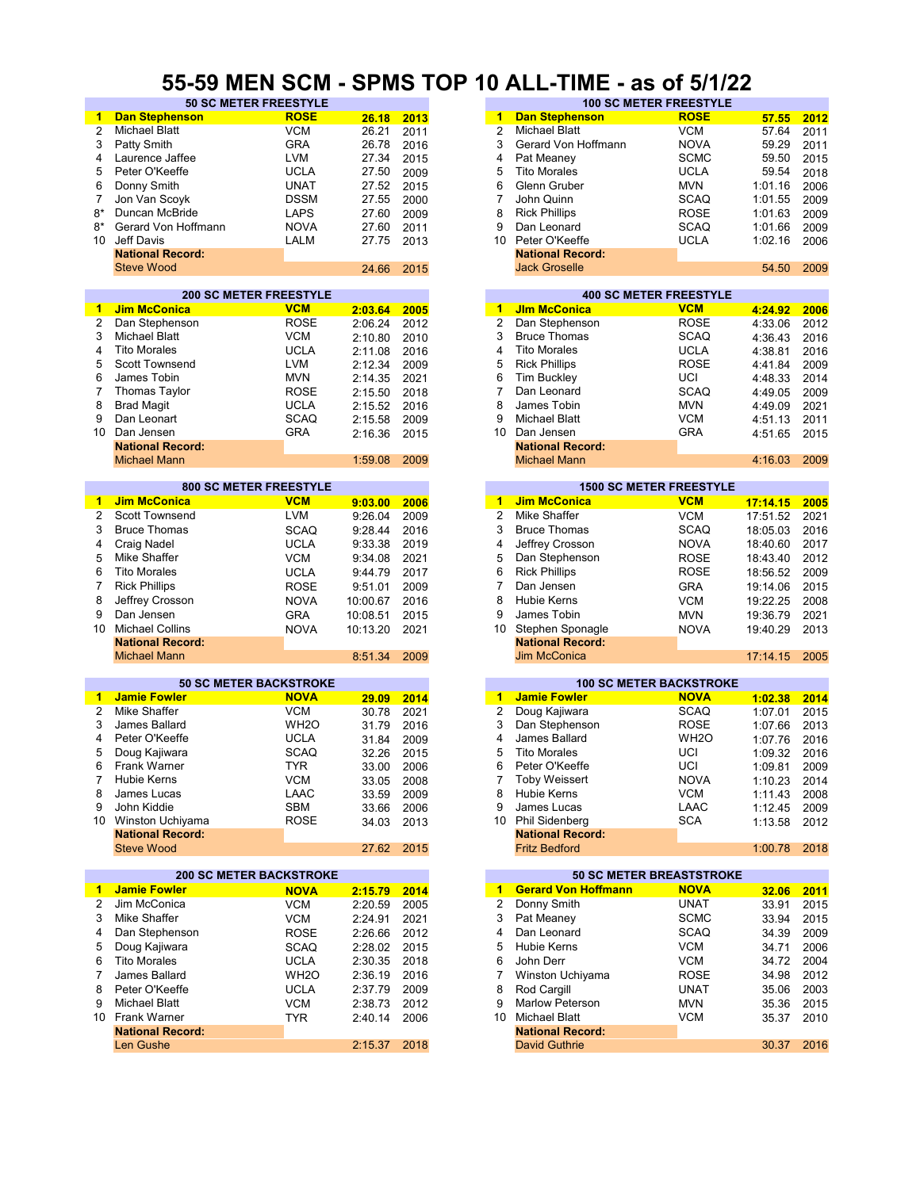#### **55-59 MEN SCM - SPMS TOP 10 ALL-TIME - as of 5/1/22**

| 1              | <b>Dan Stephenson</b>          | <b>ROSE</b>       | 26.18      | 2013 | <b>ROSE</b><br><b>Dan Stephenson</b><br>1                 | 57.55    | 2012 |
|----------------|--------------------------------|-------------------|------------|------|-----------------------------------------------------------|----------|------|
| 2              | <b>Michael Blatt</b>           | <b>VCM</b>        | 26.21      | 2011 | $\overline{2}$<br><b>VCM</b><br><b>Michael Blatt</b>      | 57.64    | 2011 |
| 3              | Patty Smith                    | <b>GRA</b>        | 26.78      | 2016 | 3<br>Gerard Von Hoffmann<br><b>NOVA</b>                   | 59.29    | 2011 |
|                |                                |                   |            |      |                                                           |          |      |
| 4              | Laurence Jaffee                | LVM               | 27.34      | 2015 | 4<br><b>SCMC</b><br>Pat Meaney                            | 59.50    | 2015 |
| 5              | Peter O'Keeffe                 | <b>UCLA</b>       | 27.50      | 2009 | <b>Tito Morales</b><br>5<br><b>UCLA</b>                   | 59.54    | 2018 |
| 6              | Donny Smith                    | <b>UNAT</b>       | 27.52      | 2015 | <b>MVN</b><br>6<br>Glenn Gruber                           | 1:01.16  | 2006 |
|                | Jon Van Scovk                  |                   |            |      | 7                                                         |          |      |
| 7              |                                | <b>DSSM</b>       | 27.55      | 2000 | John Quinn<br><b>SCAQ</b>                                 | 1:01.55  | 2009 |
| $8*$           | Duncan McBride                 | LAPS              | 27.60      | 2009 | <b>ROSE</b><br>8<br><b>Rick Phillips</b>                  | 1:01.63  | 2009 |
| $8*$           | Gerard Von Hoffmann            | <b>NOVA</b>       | 27.60      | 2011 | 9<br><b>SCAQ</b><br>Dan Leonard                           | 1:01.66  | 2009 |
| 10             | Jeff Davis                     | <b>LALM</b>       | 27.75      | 2013 | Peter O'Keeffe<br><b>UCLA</b><br>10                       | 1:02.16  | 2006 |
|                |                                |                   |            |      |                                                           |          |      |
|                | <b>National Record:</b>        |                   |            |      | <b>National Record:</b>                                   |          |      |
|                | <b>Steve Wood</b>              |                   | 24.66      | 2015 | <b>Jack Groselle</b>                                      | 54.50    | 2009 |
|                |                                |                   |            |      |                                                           |          |      |
|                | <b>200 SC METER FREESTYLE</b>  |                   |            |      | <b>400 SC METER FREESTYLE</b>                             |          |      |
|                |                                |                   |            |      |                                                           |          |      |
| $\mathbf{1}$   | <b>Jim McConica</b>            | <b>VCM</b>        | 2:03.64    | 2005 | <b>JIm McConica</b><br><b>VCM</b><br>$\mathbf{1}$         | 4:24.92  | 2006 |
| 2              | Dan Stephenson                 | <b>ROSE</b>       | 2:06.24    | 2012 | $\overline{2}$<br><b>ROSE</b><br>Dan Stephenson           | 4:33.06  | 2012 |
| 3              | <b>Michael Blatt</b>           | <b>VCM</b>        | 2:10.80    | 2010 | 3<br><b>Bruce Thomas</b><br><b>SCAQ</b>                   | 4:36.43  | 2016 |
| 4              | <b>Tito Morales</b>            | <b>UCLA</b>       |            |      | <b>Tito Morales</b><br><b>UCLA</b><br>4                   |          |      |
|                |                                |                   | 2:11.08    | 2016 |                                                           | 4:38.81  | 2016 |
| 5              | Scott Townsend                 | <b>LVM</b>        | 2:12.34    | 2009 | <b>Rick Phillips</b><br><b>ROSE</b><br>5                  | 4:41.84  | 2009 |
| 6              | James Tobin                    | <b>MVN</b>        | 2:14.35    | 2021 | UCI<br>6<br><b>Tim Buckley</b>                            | 4:48.33  | 2014 |
| $\overline{7}$ | <b>Thomas Taylor</b>           | <b>ROSE</b>       | 2:15.50    | 2018 | $\overline{7}$<br>Dan Leonard<br><b>SCAQ</b>              | 4:49.05  | 2009 |
|                |                                |                   |            |      |                                                           |          |      |
| 8              | <b>Brad Magit</b>              | <b>UCLA</b>       | 2:15.52    | 2016 | 8<br>James Tobin<br><b>MVN</b>                            | 4:49.09  | 2021 |
| 9              | Dan Leonart                    | <b>SCAQ</b>       | 2:15.58    | 2009 | <b>VCM</b><br>9<br>Michael Blatt                          | 4:51.13  | 2011 |
| 10             | Dan Jensen                     | <b>GRA</b>        | 2:16.36    | 2015 | <b>GRA</b><br>10<br>Dan Jensen                            | 4:51.65  | 2015 |
|                | <b>National Record:</b>        |                   |            |      | <b>National Record:</b>                                   |          |      |
|                |                                |                   |            |      |                                                           |          |      |
|                | <b>Michael Mann</b>            |                   | 1:59.08    | 2009 | <b>Michael Mann</b>                                       | 4:16.03  | 2009 |
|                |                                |                   |            |      |                                                           |          |      |
|                | <b>800 SC METER FREESTYLE</b>  |                   |            |      | <b>1500 SC METER FREESTYLE</b>                            |          |      |
| 1              | <b>Jim McConica</b>            | <b>VCM</b>        | 9:03.00    | 2006 | <b>Jim McConica</b><br>$\blacktriangleleft$<br><b>VCM</b> | 17:14.15 | 2005 |
|                |                                |                   |            |      |                                                           |          |      |
| $\overline{2}$ | Scott Townsend                 | <b>LVM</b>        | 9:26.04    | 2009 | $\overline{2}$<br><b>Mike Shaffer</b><br><b>VCM</b>       | 17:51.52 | 2021 |
| 3              | <b>Bruce Thomas</b>            | <b>SCAQ</b>       | 9:28.44    | 2016 | 3<br><b>SCAQ</b><br><b>Bruce Thomas</b>                   | 18:05.03 | 2016 |
| 4              | <b>Craig Nadel</b>             | <b>UCLA</b>       | 9:33.38    | 2019 | <b>NOVA</b><br>4<br>Jeffrey Crosson                       | 18:40.60 | 2017 |
| 5              | Mike Shaffer                   |                   |            |      | <b>ROSE</b><br>5                                          |          |      |
|                |                                | <b>VCM</b>        | 9:34.08    | 2021 | Dan Stephenson                                            | 18:43.40 | 2012 |
| 6              | <b>Tito Morales</b>            | <b>UCLA</b>       | 9:44.79    | 2017 | <b>ROSE</b><br>6<br><b>Rick Phillips</b>                  | 18:56.52 | 2009 |
| 7              | <b>Rick Phillips</b>           | <b>ROSE</b>       | 9:51.01    | 2009 | 7<br>Dan Jensen<br><b>GRA</b>                             | 19:14.06 | 2015 |
| 8              | Jeffrey Crosson                | <b>NOVA</b>       |            | 2016 | <b>VCM</b><br>8<br><b>Hubie Kerns</b>                     | 19:22.25 | 2008 |
|                |                                |                   | 10:00.67   |      |                                                           |          |      |
| 9              | Dan Jensen                     | <b>GRA</b>        | 10:08.51   | 2015 | 9<br>James Tobin<br><b>MVN</b>                            | 19:36.79 | 2021 |
| 10             | <b>Michael Collins</b>         | <b>NOVA</b>       | 10:13.20   | 2021 | 10<br>Stephen Sponagle<br><b>NOVA</b>                     | 19:40.29 | 2013 |
|                | <b>National Record:</b>        |                   |            |      | <b>National Record:</b>                                   |          |      |
|                |                                |                   |            |      |                                                           |          | 2005 |
|                | <b>Michael Mann</b>            |                   | 8:51.34    | 2009 | <b>Jim McConica</b>                                       | 17:14.15 |      |
|                |                                |                   |            |      |                                                           |          |      |
|                | <b>50 SC METER BACKSTROKE</b>  |                   |            |      | <b>100 SC METER BACKSTROKE</b>                            |          |      |
| 1              | <b>Jamie Fowler</b>            | <b>NOVA</b>       | 29.09      | 2014 | <b>Jamie Fowler</b><br><b>NOVA</b><br>$\mathbf{1}$        | 1:02.38  | 2014 |
| 2              | Mike Shaffer                   | <b>VCM</b>        | 30.78      | 2021 | $\overline{2}$<br>Doug Kajiwara<br><b>SCAQ</b>            | 1:07.01  | 2015 |
|                |                                |                   |            |      |                                                           |          |      |
| 3              | James Ballard                  | WH <sub>2</sub> O | 31.79      | 2016 | 3<br>Dan Stephenson<br><b>ROSE</b>                        | 1:07.66  | 2013 |
| 4              | Peter O'Keeffe                 | <b>UCLA</b>       | 31.84      | 2009 | James Ballard<br>WH <sub>2</sub> O<br>4                   | 1:07.76  | 2016 |
| 5              | Doug Kajiwara                  | <b>SCAQ</b>       | 32.26      | 2015 | 5<br><b>Tito Morales</b><br>UCI                           | 1:09.32  | 2016 |
| 6              | <b>Frank Warner</b>            | <b>TYR</b>        | 33.00      | 2006 | Peter O'Keeffe<br>UCI<br>6                                |          | 2009 |
|                |                                |                   |            |      |                                                           | 1:09.81  |      |
| $7^{\circ}$    | Hubie Kerns                    | <b>VCM</b>        | 33.05      | 2008 | <b>Toby Weissert</b><br><b>NOVA</b><br>7                  | 1:10.23  | 2014 |
| 8              | James Lucas                    | LAAC              | 33.59      | 2009 | Hubie Kerns<br><b>VCM</b><br>8                            | 1:11.43  | 2008 |
| 9              | John Kiddie                    | SBM               | 33.66      | 2006 | LAAC<br>9<br>James Lucas                                  | 1:12.45  | 2009 |
|                | 10 Winston Uchiyama            | <b>ROSE</b>       |            |      | 10 Phil Sidenberg<br><b>SCA</b>                           |          |      |
|                |                                |                   | 34.03      | 2013 |                                                           | 1:13.58  | 2012 |
|                | <b>National Record:</b>        |                   |            |      | <b>National Record:</b>                                   |          |      |
|                | <b>Steve Wood</b>              |                   | 27.62 2015 |      | <b>Fritz Bedford</b>                                      | 1:00.78  | 2018 |
|                |                                |                   |            |      |                                                           |          |      |
|                |                                |                   |            |      | <b>50 SC METER BREASTSTROKE</b>                           |          |      |
|                |                                |                   |            |      |                                                           |          |      |
| $\mathbf{1}$   | <b>200 SC METER BACKSTROKE</b> |                   |            |      |                                                           |          |      |
|                | <b>Jamie Fowler</b>            | <b>NOVA</b>       | 2:15.79    | 2014 | 1 Gerard Von Hoffmann<br><b>NOVA</b>                      | 32.06    | 2011 |
| 2              | Jim McConica                   | <b>VCM</b>        | 2:20.59    | 2005 | Donny Smith<br><b>UNAT</b><br>2                           | 33.91    | 2015 |
|                |                                |                   |            |      |                                                           |          |      |
| 3              | Mike Shaffer                   | <b>VCM</b>        | 2:24.91    | 2021 | Pat Meaney<br>3<br><b>SCMC</b>                            | 33.94    | 2015 |
| 4              | Dan Stephenson                 | <b>ROSE</b>       | 2:26.66    | 2012 | Dan Leonard<br>4<br><b>SCAQ</b>                           | 34.39    | 2009 |
| 5              | Doug Kajiwara                  | <b>SCAQ</b>       | 2:28.02    | 2015 | Hubie Kerns<br>VCM<br>5                                   | 34.71    | 2006 |
| 6              |                                |                   |            |      | 6                                                         |          |      |
|                | <b>Tito Morales</b>            | <b>UCLA</b>       | 2:30.35    | 2018 | <b>VCM</b><br>John Derr                                   | 34.72    | 2004 |
| 7              | James Ballard                  | WH <sub>2</sub> O | 2:36.19    | 2016 | Winston Uchiyama<br><b>ROSE</b><br>7                      | 34.98    | 2012 |
| 8              | Peter O'Keeffe                 | <b>UCLA</b>       | 2:37.79    | 2009 | Rod Cargill<br><b>UNAT</b><br>8                           | 35.06    | 2003 |
| 9              | <b>Michael Blatt</b>           | <b>VCM</b>        | 2:38.73    | 2012 | <b>Marlow Peterson</b><br><b>MVN</b><br>9                 | 35.36    | 2015 |
|                |                                |                   |            |      |                                                           |          |      |
|                | 10 Frank Warner                | <b>TYR</b>        | 2:40.14    | 2006 | <b>Michael Blatt</b><br>VCM<br>10                         | 35.37    | 2010 |
|                | <b>National Record:</b>        |                   |            |      | <b>National Record:</b>                                   |          |      |
|                | Len Gushe                      |                   | 2:15.37    | 2018 | David Guthrie                                             | 30.37    | 2016 |

| VV IIILIT | ---                          | . .<br>---- |      | ₩. |    |                         | --<br>. .                     |         |      |
|-----------|------------------------------|-------------|------|----|----|-------------------------|-------------------------------|---------|------|
|           | <b>50 SC METER FREESTYLE</b> |             |      |    |    |                         | <b>100 SC METER FREESTYLE</b> |         |      |
| son       | <b>ROSE</b>                  | 26.18       | 2013 |    | 1  | <b>Dan Stephenson</b>   | <b>ROSE</b>                   | 57.55   | 2012 |
|           | <b>VCM</b>                   | 26.21       | 2011 |    | 2  | <b>Michael Blatt</b>    | <b>VCM</b>                    | 57.64   | 2011 |
|           | <b>GRA</b>                   | 26.78       | 2016 |    | 3  | Gerard Von Hoffmann     | <b>NOVA</b>                   | 59.29   | 2011 |
| эe        | <b>LVM</b>                   | 27.34       | 2015 |    | 4  | Pat Meaney              | <b>SCMC</b>                   | 59.50   | 2015 |
|           | <b>UCLA</b>                  | 27.50       | 2009 |    | 5  | <b>Tito Morales</b>     | <b>UCLA</b>                   | 59.54   | 2018 |
|           | UNAT                         | 27.52       | 2015 |    | 6  | Glenn Gruber            | <b>MVN</b>                    | 1:01.16 | 2006 |
|           | <b>DSSM</b>                  | 27.55       | 2000 |    |    | John Quinn              | <b>SCAQ</b>                   | 1:01.55 | 2009 |
| de        | <b>LAPS</b>                  | 27.60       | 2009 |    | 8  | <b>Rick Phillips</b>    | <b>ROSE</b>                   | 1:01.63 | 2009 |
| offmann   | <b>NOVA</b>                  | 27.60       | 2011 |    | 9  | Dan Leonard             | <b>SCAQ</b>                   | 1:01.66 | 2009 |
|           | LALM                         | 27.75       | 2013 |    | 10 | Peter O'Keeffe          | <b>UCLA</b>                   | 1:02.16 | 2006 |
| :brc      |                              |             |      |    |    | <b>National Record:</b> |                               |         |      |
|           |                              | 24.66       | 2015 |    |    | <b>Jack Groselle</b>    |                               | 54.50   | 2009 |
|           |                              |             |      |    |    |                         |                               |         |      |

|         |      |    |                         | <b>400 SC METER FREESTYLE</b> |         |      |
|---------|------|----|-------------------------|-------------------------------|---------|------|
| 2:03.64 | 2005 | 1  | <b>JIm McConica</b>     | <b>VCM</b>                    | 4:24.92 | 2006 |
| 2:06.24 | 2012 | 2  | Dan Stephenson          | <b>ROSE</b>                   | 4:33.06 | 2012 |
| 2:10.80 | 2010 | 3  | <b>Bruce Thomas</b>     | <b>SCAQ</b>                   | 4:36.43 | 2016 |
| 2:11.08 | 2016 | 4  | <b>Tito Morales</b>     | <b>UCLA</b>                   | 4:38.81 | 2016 |
| 2:12.34 | 2009 | 5  | <b>Rick Phillips</b>    | <b>ROSE</b>                   | 4:41.84 | 2009 |
| 2:14.35 | 2021 | 6  | <b>Tim Buckley</b>      | UCI                           | 4:48.33 | 2014 |
| 2:15.50 | 2018 |    | Dan Leonard             | <b>SCAQ</b>                   | 4:49.05 | 2009 |
| 2:15.52 | 2016 | 8  | James Tobin             | <b>MVN</b>                    | 4:49.09 | 2021 |
| 2:15.58 | 2009 | 9  | <b>Michael Blatt</b>    | <b>VCM</b>                    | 4:51.13 | 2011 |
| 2:16.36 | 2015 | 10 | Dan Jensen              | <b>GRA</b>                    | 4:51.65 | 2015 |
|         |      |    | <b>National Record:</b> |                               |         |      |
| 1:59.08 | 2009 |    | <b>Michael Mann</b>     |                               | 4:16.03 | 2009 |
|         |      |    |                         |                               |         |      |

|         |      |    |                         | <b>1500 SC METER FREESTYLE</b> |  |
|---------|------|----|-------------------------|--------------------------------|--|
| 9:03.00 | 2006 |    | <b>Jim McConica</b>     | <b>VCM</b>                     |  |
| 9:26.04 | 2009 | 2  | Mike Shaffer            | <b>VCM</b>                     |  |
| 9:28.44 | 2016 | 3  | <b>Bruce Thomas</b>     | SCAQ                           |  |
| 9:33.38 | 2019 | 4  | Jeffrey Crosson         | <b>NOVA</b>                    |  |
| 9:34.08 | 2021 | 5. | Dan Stephenson          | <b>ROSE</b>                    |  |
| 9:44.79 | 2017 | 6  | <b>Rick Phillips</b>    | <b>ROSE</b>                    |  |
| 9:51.01 | 2009 |    | Dan Jensen              | <b>GRA</b>                     |  |
| 0:00.67 | 2016 | 8  | <b>Hubie Kerns</b>      | <b>VCM</b>                     |  |
| 0:08.51 | 2015 | 9  | James Tobin             | <b>MVN</b>                     |  |
| 0:13.20 | 2021 | 10 | Stephen Sponagle        | <b>NOVA</b>                    |  |
|         |      |    | <b>National Record:</b> |                                |  |
| 8:51.34 | 2009 |    | <b>Jim McConica</b>     |                                |  |
|         |      |    |                         |                                |  |

| 29.09 | 2014 |
|-------|------|
| 30.78 | 2021 |
| 31.79 | 2016 |
| 31.84 | 2009 |
| 32.26 | 2015 |
| 33.00 | 2006 |
| 33.05 | 2008 |
| 33.59 | 2009 |
| 33.66 | 2006 |
| 34.03 | 2013 |
|       |      |
| 27.62 | 2015 |

|         |      |    |                            | <b>50 SC METER BREASTSTROKE</b> |  |
|---------|------|----|----------------------------|---------------------------------|--|
| 2:15.79 | 2014 | 1. | <b>Gerard Von Hoffmann</b> | <b>NOVA</b>                     |  |
| 2:20.59 | 2005 | 2  | Donny Smith                | <b>UNAT</b>                     |  |
| 2:24.91 | 2021 | 3  | Pat Meaney                 | <b>SCMC</b>                     |  |
| 2:26.66 | 2012 | 4  | Dan Leonard                | <b>SCAQ</b>                     |  |
| 2:28.02 | 2015 | 5  | <b>Hubie Kerns</b>         | <b>VCM</b>                      |  |
| 2:30.35 | 2018 | 6  | John Derr                  | <b>VCM</b>                      |  |
| 2:36.19 | 2016 | 7  | Winston Uchiyama           | <b>ROSE</b>                     |  |
| 2:37.79 | 2009 | 8  | Rod Cargill                | <b>UNAT</b>                     |  |
| 2:38.73 | 2012 | 9  | Marlow Peterson            | <b>MVN</b>                      |  |
| 2:40.14 | 2006 | 10 | <b>Michael Blatt</b>       | <b>VCM</b>                      |  |
|         |      |    | <b>National Record:</b>    |                                 |  |
| 2:15.37 | 2018 |    | <b>David Guthrie</b>       |                                 |  |
|         |      |    |                            |                                 |  |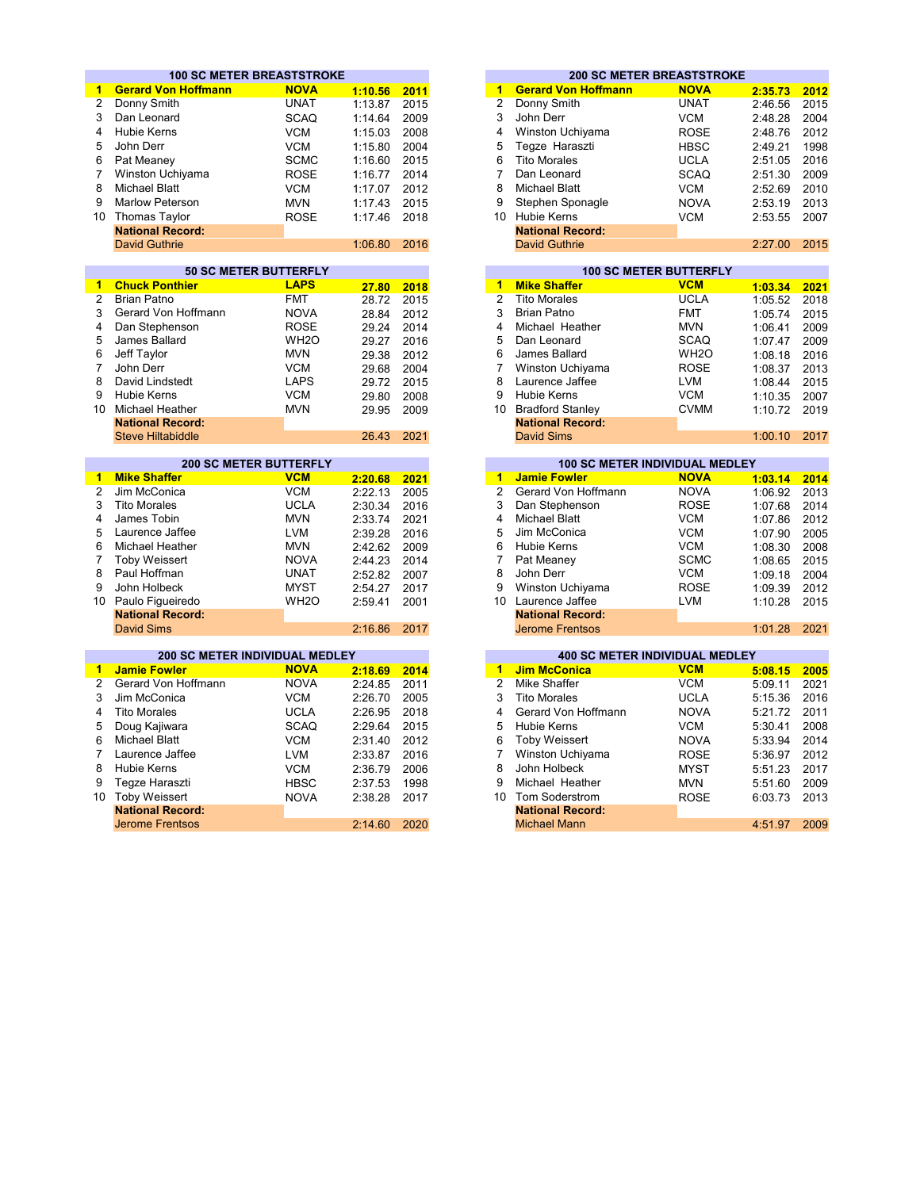|                         | <b>100 SC METER BREASTSTROKE</b>                      |                               |                    |              |                         | <b>200 SC METER BREASTSTROKE</b>                             |                   |         |                                                                              |
|-------------------------|-------------------------------------------------------|-------------------------------|--------------------|--------------|-------------------------|--------------------------------------------------------------|-------------------|---------|------------------------------------------------------------------------------|
| $\mathbf{1}$            | <b>Gerard Von Hoffmann</b>                            | <b>NOVA</b>                   | 1:10.56            | 2011         | 1                       | <b>Gerard Von Hoffmann</b>                                   | <b>NOVA</b>       | 2:35.73 | 2012                                                                         |
| $\overline{2}$          | Donny Smith                                           | <b>UNAT</b>                   | 1:13.87            | 2015         | $\overline{2}$          | Donny Smith                                                  | <b>UNAT</b>       | 2:46.56 | 2015                                                                         |
| 3                       | Dan Leonard                                           | <b>SCAQ</b>                   | 1:14.64            | 2009         | 3                       | John Derr                                                    | <b>VCM</b>        | 2:48.28 | 2004                                                                         |
| 4                       | <b>Hubie Kerns</b>                                    | <b>VCM</b>                    | 1:15.03            | 2008         | 4                       | Winston Uchiyama                                             | <b>ROSE</b>       | 2:48.76 | 2012                                                                         |
| 5                       | John Derr                                             | <b>VCM</b>                    | 1:15.80            | 2004         | 5                       | Tegze Haraszti                                               | <b>HBSC</b>       | 2:49.21 | 1998                                                                         |
| 6                       | Pat Meaney                                            | <b>SCMC</b>                   | 1:16.60            | 2015         | 6                       | <b>Tito Morales</b>                                          | <b>UCLA</b>       | 2:51.05 | 2016                                                                         |
| 7                       |                                                       |                               |                    | 2014         | $\overline{7}$          |                                                              |                   |         |                                                                              |
|                         | Winston Uchiyama                                      | <b>ROSE</b>                   | 1:16.77            |              | 8                       | Dan Leonard                                                  | <b>SCAQ</b>       | 2:51.30 | 2009                                                                         |
| 8                       | <b>Michael Blatt</b>                                  | <b>VCM</b>                    | 1:17.07            | 2012         |                         | <b>Michael Blatt</b>                                         | <b>VCM</b>        | 2:52.69 | 2010                                                                         |
| 9                       | <b>Marlow Peterson</b>                                | <b>MVN</b>                    | 1:17.43            | 2015         | 9                       | Stephen Sponagle                                             | <b>NOVA</b>       | 2:53.19 | 2013                                                                         |
| 10 <sup>1</sup>         | <b>Thomas Taylor</b>                                  | <b>ROSE</b>                   | 1:17.46            | 2018         |                         | 10 Hubie Kerns                                               | <b>VCM</b>        | 2:53.55 | 2007                                                                         |
|                         | <b>National Record:</b>                               |                               |                    |              |                         | <b>National Record:</b>                                      |                   |         |                                                                              |
|                         | <b>David Guthrie</b>                                  |                               | 1:06.80            | 2016         |                         | <b>David Guthrie</b>                                         |                   | 2:27.00 | 2015                                                                         |
|                         |                                                       |                               |                    |              |                         |                                                              |                   |         |                                                                              |
|                         |                                                       | <b>50 SC METER BUTTERFLY</b>  |                    |              |                         | <b>100 SC METER BUTTERFLY</b>                                |                   |         |                                                                              |
| $\blacksquare$          | <b>Chuck Ponthier</b>                                 | <b>LAPS</b>                   | 27.80              | 2018         | 1                       | <b>Mike Shaffer</b>                                          | <b>VCM</b>        | 1:03.34 | 2021                                                                         |
| $\overline{2}$          | <b>Brian Patno</b>                                    | <b>FMT</b>                    | 28.72              | 2015         | $\overline{2}$          | <b>Tito Morales</b>                                          | <b>UCLA</b>       | 1:05.52 | 2018                                                                         |
| 3                       | Gerard Von Hoffmann                                   | <b>NOVA</b>                   | 28.84              | 2012         | 3                       | <b>Brian Patno</b>                                           | <b>FMT</b>        | 1:05.74 | 2015                                                                         |
| $\overline{\mathbf{4}}$ | Dan Stephenson                                        | <b>ROSE</b>                   | 29.24              | 2014         | 4                       | Michael Heather                                              | <b>MVN</b>        | 1:06.41 | 2009                                                                         |
| 5                       | James Ballard                                         | WH <sub>2</sub> O             | 29.27              | 2016         | 5                       | Dan Leonard                                                  | <b>SCAQ</b>       | 1:07.47 | 2009                                                                         |
| 6                       | Jeff Taylor                                           | <b>MVN</b>                    | 29.38              | 2012         | 6                       | James Ballard                                                | WH <sub>2</sub> O | 1:08.18 | 2016                                                                         |
| 7                       | John Derr                                             | <b>VCM</b>                    | 29.68              | 2004         | $\overline{7}$          | Winston Uchiyama                                             | <b>ROSE</b>       | 1:08.37 | 2013                                                                         |
| 8                       | David Lindstedt                                       | <b>LAPS</b>                   | 29.72              | 2015         | 8                       | Laurence Jaffee                                              | <b>LVM</b>        | 1:08.44 | 2015                                                                         |
| 9                       | <b>Hubie Kerns</b>                                    | <b>VCM</b>                    | 29.80              | 2008         | 9                       | <b>Hubie Kerns</b>                                           | <b>VCM</b>        | 1:10.35 | 2007                                                                         |
| 10 <sup>1</sup>         | <b>Michael Heather</b>                                | <b>MVN</b>                    | 29.95              | 2009         |                         | 10 Bradford Stanley                                          | <b>CVMM</b>       | 1:10.72 | 2019                                                                         |
|                         | <b>National Record:</b>                               |                               |                    |              |                         | <b>National Record:</b>                                      |                   |         |                                                                              |
|                         | <b>Steve Hiltabiddle</b>                              |                               | 26.43              | 2021         |                         | <b>David Sims</b>                                            |                   | 1:00.10 | 2017                                                                         |
|                         |                                                       | <b>200 SC METER BUTTERFLY</b> |                    |              |                         | <b>100 SC METER INDIVIDUAL MEDLEY</b>                        |                   |         |                                                                              |
| $\mathbf{1}$            | <b>Mike Shaffer</b>                                   | <b>VCM</b>                    | 2:20.68            | 2021         | $\blacktriangleleft$    | <b>Jamie Fowler</b>                                          | <b>NOVA</b>       | 1:03.14 | 2014                                                                         |
| $\overline{2}$          | Jim McConica                                          | <b>VCM</b>                    |                    |              | $\overline{2}$          | Gerard Von Hoffmann                                          | <b>NOVA</b>       |         |                                                                              |
| 3                       | <b>Tito Morales</b>                                   | <b>UCLA</b>                   | 2:22.13<br>2:30.34 | 2005<br>2016 | 3                       | Dan Stephenson                                               | <b>ROSE</b>       | 1:06.92 | 2013<br>2014                                                                 |
| 4                       | James Tobin                                           | <b>MVN</b>                    |                    |              | 4                       | <b>Michael Blatt</b>                                         | <b>VCM</b>        | 1:07.68 |                                                                              |
| 5                       | Laurence Jaffee                                       | <b>LVM</b>                    | 2:33.74            | 2021         | 5                       | Jim McConica                                                 | <b>VCM</b>        | 1:07.86 | 2012                                                                         |
|                         |                                                       |                               | 2:39.28            | 2016         |                         |                                                              |                   | 1:07.90 | 2005                                                                         |
| 6                       | Michael Heather                                       | <b>MVN</b>                    | 2:42.62            | 2009         | 6                       | Hubie Kerns                                                  | <b>VCM</b>        | 1:08.30 | 2008                                                                         |
| 7                       | <b>Toby Weissert</b>                                  | <b>NOVA</b>                   | 2:44.23            | 2014         | $\overline{7}$          | Pat Meaney                                                   | <b>SCMC</b>       | 1:08.65 | 2015                                                                         |
| 8                       | Paul Hoffman                                          | <b>UNAT</b>                   | 2:52.82            | 2007         | 8                       | John Derr                                                    | <b>VCM</b>        | 1:09.18 | 2004                                                                         |
| 9                       | John Holbeck                                          | <b>MYST</b>                   | 2:54.27            | 2017         | 9                       | Winston Uchiyama                                             | <b>ROSE</b>       | 1:09.39 | 2012                                                                         |
| 10 <sup>1</sup>         | Paulo Figueiredo                                      | WH <sub>2</sub> O             | 2:59.41            | 2001         | 10                      | Laurence Jaffee                                              | <b>LVM</b>        | 1:10.28 | 2015                                                                         |
|                         | <b>National Record:</b>                               |                               |                    |              |                         | <b>National Record:</b>                                      |                   |         | 2021                                                                         |
|                         | <b>David Sims</b>                                     |                               | 2:16.86            | 2017         |                         | <b>Jerome Frentsos</b>                                       |                   | 1:01.28 |                                                                              |
|                         |                                                       |                               |                    |              |                         |                                                              |                   |         |                                                                              |
|                         |                                                       |                               |                    |              |                         |                                                              |                   |         |                                                                              |
| $\mathbf{1}$            | 200 SC METER INDIVIDUAL MEDLEY<br><b>Jamie Fowler</b> | <b>NOVA</b>                   |                    |              | $\overline{\mathbf{1}}$ | <b>400 SC METER INDIVIDUAL MEDLEY</b><br><b>Jim McConica</b> | <b>VCM</b>        |         |                                                                              |
| $\overline{2}$          | Gerard Von Hoffmann                                   | <b>NOVA</b>                   | 2:18.69            | 2014         | $\overline{2}$          | <b>Mike Shaffer</b>                                          | <b>VCM</b>        | 5:08.15 |                                                                              |
|                         |                                                       |                               | 2:24.85            | 2011         |                         |                                                              |                   | 5:09.11 |                                                                              |
| 3                       | Jim McConica                                          | <b>VCM</b>                    | 2:26.70            | 2005         | 3                       | <b>Tito Morales</b>                                          | <b>UCLA</b>       | 5:15.36 |                                                                              |
| 4                       | <b>Tito Morales</b>                                   | <b>UCLA</b>                   | 2:26.95            | 2018         | 4                       | Gerard Von Hoffmann                                          | <b>NOVA</b>       | 5:21.72 |                                                                              |
| 5                       | Doug Kajiwara                                         | <b>SCAQ</b>                   | 2:29.64            | 2015         | 5                       | <b>Hubie Kerns</b>                                           | <b>VCM</b>        | 5:30.41 |                                                                              |
| 6                       | <b>Michael Blatt</b>                                  | <b>VCM</b>                    | 2:31.40            | 2012         | 6                       | <b>Toby Weissert</b>                                         | <b>NOVA</b>       | 5:33.94 |                                                                              |
| $\overline{7}$          | Laurence Jaffee                                       | <b>LVM</b>                    | 2:33.87            | 2016         | $\overline{7}$          | Winston Uchiyama                                             | <b>ROSE</b>       | 5:36.97 |                                                                              |
| 8                       | Hubie Kerns                                           | <b>VCM</b>                    | 2:36.79            | 2006         | 8                       | John Holbeck                                                 | <b>MYST</b>       | 5:51.23 |                                                                              |
| 9                       | Tegze Haraszti                                        | <b>HBSC</b>                   | 2:37.53            | 1998         | 9                       | Michael Heather                                              | <b>MVN</b>        | 5:51.60 |                                                                              |
| 10 <sup>°</sup>         | <b>Toby Weissert</b>                                  | <b>NOVA</b>                   | 2:38.28            | 2017         |                         | 10 Tom Soderstrom                                            | <b>ROSE</b>       | 6:03.73 | 2005<br>2021<br>2016<br>2011<br>2008<br>2014<br>2012<br>2017<br>2009<br>2013 |
|                         | <b>National Record:</b><br><b>Jerome Frentsos</b>     |                               | 2:14.60            | 2020         |                         | <b>National Record:</b><br><b>Michael Mann</b>               |                   | 4:51.97 | 2009                                                                         |

|         |      |    | <b>200 SC METER BREASTSTROKE</b> |             |         |      |
|---------|------|----|----------------------------------|-------------|---------|------|
| 1:10.56 | 2011 | 1  | <b>Gerard Von Hoffmann</b>       | <b>NOVA</b> | 2:35.73 | 2012 |
| 1:13.87 | 2015 | 2  | Donny Smith                      | <b>UNAT</b> | 2:46.56 | 2015 |
| 1:14.64 | 2009 | 3  | John Derr                        | <b>VCM</b>  | 2:48.28 | 2004 |
| 1:15.03 | 2008 | 4  | Winston Uchiyama                 | <b>ROSE</b> | 2:48.76 | 2012 |
| 1:15.80 | 2004 | 5  | Tegze Haraszti                   | <b>HBSC</b> | 2:49.21 | 1998 |
| 1:16.60 | 2015 | 6  | <b>Tito Morales</b>              | <b>UCLA</b> | 2:51.05 | 2016 |
| 1:16.77 | 2014 |    | Dan Leonard                      | <b>SCAQ</b> | 2:51.30 | 2009 |
| 1:17.07 | 2012 | 8  | Michael Blatt                    | <b>VCM</b>  | 2:52.69 | 2010 |
| 1:17.43 | 2015 | 9  | Stephen Sponagle                 | <b>NOVA</b> | 2:53.19 | 2013 |
| 1:17.46 | 2018 | 10 | <b>Hubie Kerns</b>               | <b>VCM</b>  | 2:53.55 | 2007 |
|         |      |    | <b>National Record:</b>          |             |         |      |
| 1:06.80 | 2016 |    | <b>David Guthrie</b>             |             | 2:27.00 | 2015 |
|         |      |    |                                  |             |         |      |

|       |      |    | <b>100 SC METER BUTTERFLY</b> |                   |         |      |  |  |  |  |
|-------|------|----|-------------------------------|-------------------|---------|------|--|--|--|--|
| 27.80 | 2018 | 1  | <b>Mike Shaffer</b>           | <b>VCM</b>        | 1:03.34 | 2021 |  |  |  |  |
| 28.72 | 2015 | 2  | <b>Tito Morales</b>           | <b>UCLA</b>       | 1:05.52 | 2018 |  |  |  |  |
| 28.84 | 2012 | 3  | <b>Brian Patno</b>            | FMT               | 1:05.74 | 2015 |  |  |  |  |
| 29.24 | 2014 | 4  | Michael Heather               | <b>MVN</b>        | 1:06.41 | 2009 |  |  |  |  |
| 29.27 | 2016 | 5  | Dan Leonard                   | <b>SCAQ</b>       | 1:07.47 | 2009 |  |  |  |  |
| 29.38 | 2012 | 6  | James Ballard                 | WH <sub>2</sub> O | 1:08.18 | 2016 |  |  |  |  |
| 29.68 | 2004 |    | Winston Uchiyama              | <b>ROSE</b>       | 1:08.37 | 2013 |  |  |  |  |
| 29.72 | 2015 | 8  | Laurence Jaffee               | <b>LVM</b>        | 1:08.44 | 2015 |  |  |  |  |
| 29.80 | 2008 | 9  | <b>Hubie Kerns</b>            | <b>VCM</b>        | 1:10.35 | 2007 |  |  |  |  |
| 29.95 | 2009 | 10 | <b>Bradford Stanley</b>       | <b>CVMM</b>       | 1:10.72 | 2019 |  |  |  |  |
|       |      |    | <b>National Record:</b>       |                   |         |      |  |  |  |  |
| 26.43 | 2021 |    | <b>David Sims</b>             |                   | 1:00.10 | 2017 |  |  |  |  |

|      | <b>200 SC METER BUTTERFLY</b> |         |      |    | <b>100 SC METER INDIVIDUAL MEDLEY</b> |                         |             |         |      |  |  |
|------|-------------------------------|---------|------|----|---------------------------------------|-------------------------|-------------|---------|------|--|--|
|      | <b>VCM</b>                    | 2:20.68 | 2021 |    |                                       | <b>Jamie Fowler</b>     | <b>NOVA</b> | 1:03.14 | 2014 |  |  |
|      | <b>VCM</b>                    | 2:22.13 | 2005 |    |                                       | Gerard Von Hoffmann     | <b>NOVA</b> | 1:06.92 | 2013 |  |  |
|      | <b>UCLA</b>                   | 2:30.34 | 2016 | 3  |                                       | Dan Stephenson          | <b>ROSE</b> | 1:07.68 | 2014 |  |  |
|      | <b>MVN</b>                    | 2:33.74 | 2021 | 4  |                                       | <b>Michael Blatt</b>    | <b>VCM</b>  | 1:07.86 | 2012 |  |  |
| fee  | <b>LVM</b>                    | 2:39.28 | 2016 | 5  |                                       | Jim McConica            | <b>VCM</b>  | 1:07.90 | 2005 |  |  |
| her  | <b>MVN</b>                    | 2:42.62 | 2009 | 6  |                                       | Hubie Kerns             | <b>VCM</b>  | 1:08.30 | 2008 |  |  |
|      | <b>NOVA</b>                   | 2:44.23 | 2014 |    |                                       | Pat Meaney              | <b>SCMC</b> | 1:08.65 | 2015 |  |  |
|      | <b>UNAT</b>                   | 2:52.82 | 2007 | 8  |                                       | John Derr               | <b>VCM</b>  | 1:09.18 | 2004 |  |  |
|      | <b>MYST</b>                   | 2:54.27 | 2017 | 9  |                                       | Winston Uchiyama        | <b>ROSE</b> | 1:09.39 | 2012 |  |  |
| edo  | WH <sub>2</sub> O             | 2:59.41 | 2001 | 10 |                                       | Laurence Jaffee         | <b>LVM</b>  | 1:10.28 | 2015 |  |  |
| ord: |                               |         |      |    |                                       | <b>National Record:</b> |             |         |      |  |  |
|      |                               | 2:16.86 | 2017 |    |                                       | <b>Jerome Frentsos</b>  |             | 1:01.28 | 2021 |  |  |

|    | <b>400 SC METER INDIVIDUAL MEDLEY</b> |             |         |      |  |  |  |  |  |  |  |  |  |
|----|---------------------------------------|-------------|---------|------|--|--|--|--|--|--|--|--|--|
| 1  | <b>Jim McConica</b>                   | <b>VCM</b>  | 5:08.15 | 2005 |  |  |  |  |  |  |  |  |  |
| 2  | Mike Shaffer                          | <b>VCM</b>  | 5:09.11 | 2021 |  |  |  |  |  |  |  |  |  |
| 3  | <b>Tito Morales</b>                   | <b>UCLA</b> | 5:15.36 | 2016 |  |  |  |  |  |  |  |  |  |
| 4  | Gerard Von Hoffmann                   | <b>NOVA</b> | 5:21.72 | 2011 |  |  |  |  |  |  |  |  |  |
| 5  | Hubie Kerns                           | <b>VCM</b>  | 5:30.41 | 2008 |  |  |  |  |  |  |  |  |  |
| 6  | <b>Toby Weissert</b>                  | <b>NOVA</b> | 5:33.94 | 2014 |  |  |  |  |  |  |  |  |  |
| 7  | Winston Uchiyama                      | <b>ROSE</b> | 5:36.97 | 2012 |  |  |  |  |  |  |  |  |  |
| 8  | John Holbeck                          | <b>MYST</b> | 5:51.23 | 2017 |  |  |  |  |  |  |  |  |  |
| 9  | Michael Heather                       | <b>MVN</b>  | 5:51.60 | 2009 |  |  |  |  |  |  |  |  |  |
| 10 | Tom Soderstrom                        | <b>ROSE</b> | 6:03.73 | 2013 |  |  |  |  |  |  |  |  |  |
|    | <b>National Record:</b>               |             |         |      |  |  |  |  |  |  |  |  |  |
|    | <b>Michael Mann</b>                   |             | 4:51.97 | 2009 |  |  |  |  |  |  |  |  |  |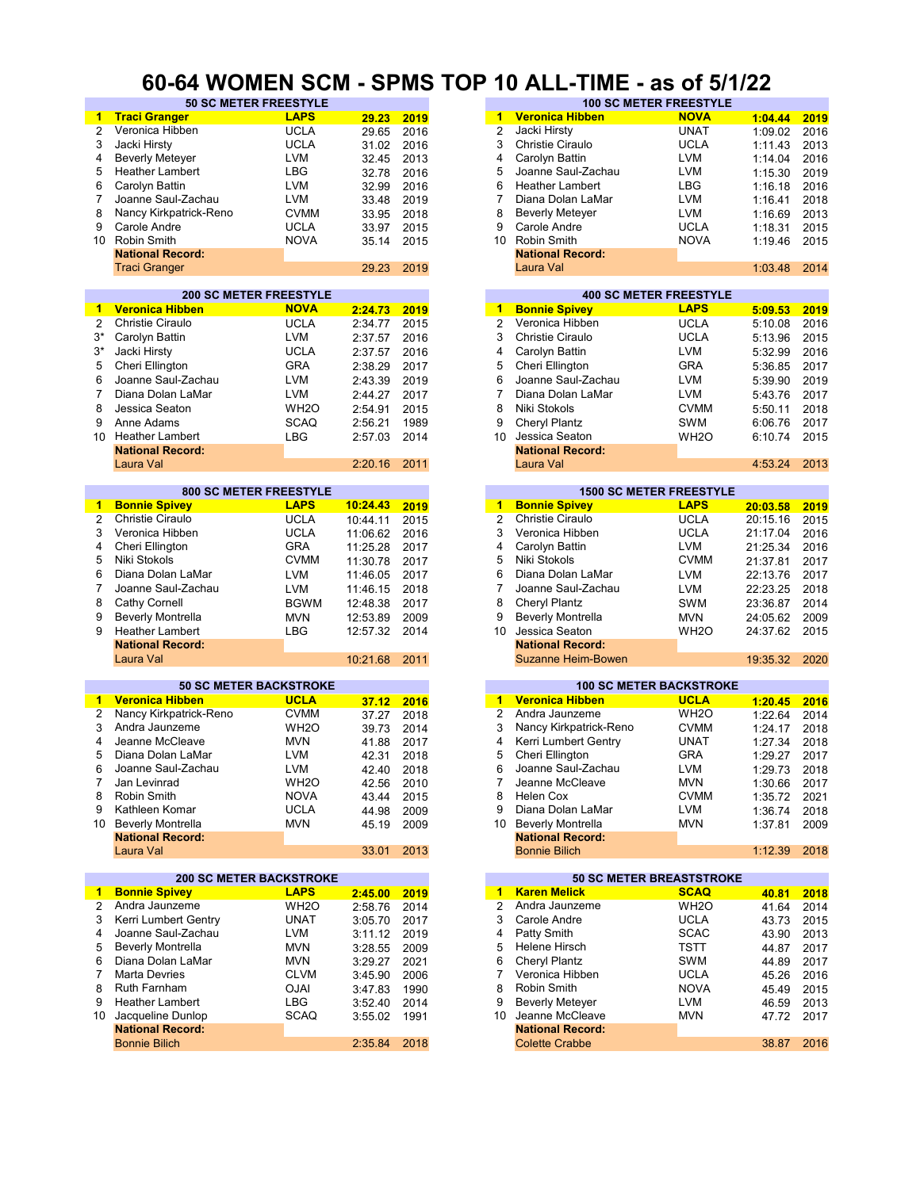#### **60-64 WOMEN SCM - SPMS TOP 10 ALL-TIME - as of 5/1/22**

| $\blacktriangleleft$ | <b>Traci Granger</b>     | <b>LAPS</b>                    |          |      | 1                    | <b>Veronica Hibben</b>          | <b>NOVA</b>       |          |      |
|----------------------|--------------------------|--------------------------------|----------|------|----------------------|---------------------------------|-------------------|----------|------|
|                      |                          |                                | 29.23    | 2019 |                      |                                 |                   | 1:04.44  | 2019 |
| 2                    | Veronica Hibben          | <b>UCLA</b>                    | 29.65    | 2016 | $\overline{2}$       | Jacki Hirsty                    | <b>UNAT</b>       | 1:09.02  | 2016 |
| 3                    | Jacki Hirsty             | <b>UCLA</b>                    | 31.02    | 2016 | 3                    | <b>Christie Ciraulo</b>         | <b>UCLA</b>       | 1:11.43  | 2013 |
| 4                    | <b>Beverly Meteyer</b>   | <b>LVM</b>                     | 32.45    | 2013 | 4                    | Carolyn Battin                  | <b>LVM</b>        | 1:14.04  | 2016 |
| 5                    | Heather Lambert          |                                |          |      | 5                    |                                 |                   |          |      |
|                      |                          | LBG                            | 32.78    | 2016 |                      | Joanne Saul-Zachau              | LVM               | 1:15.30  | 2019 |
| 6                    | Carolyn Battin           | <b>LVM</b>                     | 32.99    | 2016 | 6                    | <b>Heather Lambert</b>          | LBG               | 1:16.18  | 2016 |
| $\overline{7}$       | Joanne Saul-Zachau       | <b>LVM</b>                     | 33.48    | 2019 | 7                    | Diana Dolan LaMar               | <b>LVM</b>        | 1:16.41  | 2018 |
| 8                    | Nancy Kirkpatrick-Reno   | <b>CVMM</b>                    | 33.95    | 2018 | 8                    | <b>Beverly Metever</b>          | LVM               | 1:16.69  | 2013 |
| 9                    | Carole Andre             | <b>UCLA</b>                    | 33.97    | 2015 | 9                    | Carole Andre                    | <b>UCLA</b>       |          | 2015 |
|                      |                          |                                |          |      |                      |                                 |                   | 1:18.31  |      |
|                      | 10 Robin Smith           | <b>NOVA</b>                    | 35.14    | 2015 | 10                   | Robin Smith                     | <b>NOVA</b>       | 1:19.46  | 2015 |
|                      | <b>National Record:</b>  |                                |          |      |                      | <b>National Record:</b>         |                   |          |      |
|                      | <b>Traci Granger</b>     |                                | 29.23    | 2019 |                      | Laura Val                       |                   | 1:03.48  | 2014 |
|                      |                          |                                |          |      |                      |                                 |                   |          |      |
|                      |                          | <b>200 SC METER FREESTYLE</b>  |          |      |                      | <b>400 SC METER FREESTYLE</b>   |                   |          |      |
|                      | <b>Veronica Hibben</b>   |                                |          |      |                      |                                 | <b>LAPS</b>       |          |      |
| 1                    |                          | <b>NOVA</b>                    | 2:24.73  | 2019 | $1 -$                | <b>Bonnie Spivey</b>            |                   | 5:09.53  | 2019 |
| $\overline{2}$       | <b>Christie Ciraulo</b>  | <b>UCLA</b>                    | 2:34.77  | 2015 | $\overline{2}$       | Veronica Hibben                 | <b>UCLA</b>       | 5:10.08  | 2016 |
| 3*                   | Carolyn Battin           | <b>LVM</b>                     | 2:37.57  | 2016 | 3                    | <b>Christie Ciraulo</b>         | <b>UCLA</b>       | 5:13.96  | 2015 |
| $3^*$                | Jacki Hirsty             | <b>UCLA</b>                    | 2:37.57  | 2016 | 4                    | Carolyn Battin                  | <b>LVM</b>        | 5:32.99  | 2016 |
|                      |                          |                                |          |      |                      |                                 |                   |          |      |
| 5                    | Cheri Ellington          | <b>GRA</b>                     | 2:38.29  | 2017 | 5                    | Cheri Ellington                 | GRA               | 5:36.85  | 2017 |
| 6                    | Joanne Saul-Zachau       | LVM                            | 2:43.39  | 2019 | 6                    | Joanne Saul-Zachau              | LVM               | 5:39.90  | 2019 |
| 7                    | Diana Dolan LaMar        | <b>LVM</b>                     | 2:44.27  | 2017 | 7                    | Diana Dolan LaMar               | LVM               | 5:43.76  | 2017 |
| 8                    | Jessica Seaton           | WH <sub>2</sub> O              | 2:54.91  | 2015 | 8                    | Niki Stokols                    | <b>CVMM</b>       | 5:50.11  | 2018 |
|                      |                          |                                |          |      |                      |                                 |                   |          |      |
| 9                    | Anne Adams               | <b>SCAQ</b>                    | 2:56.21  | 1989 | 9                    | Cheryl Plantz                   | SWM               | 6:06.76  | 2017 |
|                      | 10 Heather Lambert       | LBG                            | 2:57.03  | 2014 | 10                   | Jessica Seaton                  | WH <sub>2</sub> O | 6:10.74  | 2015 |
|                      | <b>National Record:</b>  |                                |          |      |                      | <b>National Record:</b>         |                   |          |      |
|                      | Laura Val                |                                | 2:20.16  | 2011 |                      | Laura Val                       |                   | 4:53.24  | 2013 |
|                      |                          |                                |          |      |                      |                                 |                   |          |      |
|                      |                          | <b>800 SC METER FREESTYLE</b>  |          |      |                      | <b>1500 SC METER FREESTYLE</b>  |                   |          |      |
|                      |                          | <b>LAPS</b>                    | 10:24.43 |      | $\blacksquare$       |                                 | <b>LAPS</b>       |          |      |
| $\blacktriangleleft$ | <b>Bonnie Spivey</b>     |                                |          | 2019 |                      | <b>Bonnie Spivey</b>            |                   | 20:03.58 | 2019 |
| $\overline{2}$       | <b>Christie Ciraulo</b>  | <b>UCLA</b>                    | 10:44.11 | 2015 | $\overline{2}$       | <b>Christie Ciraulo</b>         | <b>UCLA</b>       | 20:15.16 | 2015 |
| 3                    | Veronica Hibben          | <b>UCLA</b>                    | 11:06.62 | 2016 | 3                    | Veronica Hibben                 | <b>UCLA</b>       | 21:17.04 | 2016 |
| 4                    | Cheri Ellington          | <b>GRA</b>                     | 11:25.28 | 2017 | 4                    | Carolyn Battin                  | LVM               | 21:25.34 | 2016 |
| 5                    | Niki Stokols             | <b>CVMM</b>                    | 11:30.78 | 2017 | 5                    | Niki Stokols                    | <b>CVMM</b>       | 21:37.81 | 2017 |
| 6                    | Diana Dolan LaMar        |                                |          |      | 6                    |                                 |                   |          |      |
|                      |                          | <b>LVM</b>                     | 11:46.05 | 2017 |                      | Diana Dolan LaMar               | <b>LVM</b>        | 22:13.76 | 2017 |
| 7                    | Joanne Saul-Zachau       | <b>LVM</b>                     | 11:46.15 | 2018 | $\overline{7}$       | Joanne Saul-Zachau              | LVM               | 22:23.25 | 2018 |
| 8                    | Cathy Cornell            | <b>BGWM</b>                    | 12:48.38 | 2017 | 8                    | Cheryl Plantz                   | <b>SWM</b>        | 23:36.87 | 2014 |
| 9                    | <b>Beverly Montrella</b> | <b>MVN</b>                     | 12:53.89 | 2009 | 9                    | <b>Beverly Montrella</b>        | <b>MVN</b>        | 24:05.62 | 2009 |
| 9                    | <b>Heather Lambert</b>   | <b>LBG</b>                     | 12:57.32 | 2014 | 10                   | Jessica Seaton                  | WH <sub>2</sub> O | 24:37.62 | 2015 |
|                      |                          |                                |          |      |                      |                                 |                   |          |      |
|                      | <b>National Record:</b>  |                                |          |      |                      | <b>National Record:</b>         |                   |          |      |
|                      | Laura Val                |                                | 10:21.68 | 2011 |                      | Suzanne Heim-Bowen              |                   | 19:35.32 | 2020 |
|                      |                          |                                |          |      |                      |                                 |                   |          |      |
|                      |                          | <b>50 SC METER BACKSTROKE</b>  |          |      |                      | <b>100 SC METER BACKSTROKE</b>  |                   |          |      |
| $\mathbf{1}$         | <b>Veronica Hibben</b>   | <b>UCLA</b>                    | 37.12    | 2016 |                      | 1 Veronica Hibben               | <b>UCLA</b>       | 1:20.45  | 2016 |
| 2                    | Nancy Kirkpatrick-Reno   | <b>CVMM</b>                    | 37.27    | 2018 | $\overline{2}$       | Andra Jaunzeme                  | WH <sub>2</sub> O | 1:22.64  | 2014 |
| 3                    | Andra Jaunzeme           | WH <sub>20</sub>               | 39.73    | 2014 | 3                    | Nancy Kirkpatrick-Reno          | <b>CVMM</b>       | 1:24.17  | 2018 |
|                      |                          |                                |          |      |                      |                                 |                   |          |      |
| 4                    | Jeanne McCleave          | <b>MVN</b>                     | 41.88    | 2017 | 4                    | Kerri Lumbert Gentry            | <b>UNAT</b>       | 1:27.34  | 2018 |
| 5                    | Diana Dolan LaMar        | <b>LVM</b>                     | 42.31    | 2018 | 5                    | Cheri Ellington                 | <b>GRA</b>        | 1:29.27  | 2017 |
| 6                    | Joanne Saul-Zachau       | <b>LVM</b>                     | 42.40    | 2018 | 6                    | Joanne Saul-Zachau              | LVM               | 1:29.73  | 2018 |
| 7                    | Jan Levinrad             | WH <sub>2</sub> O              | 42.56    | 2010 |                      | Jeanne McCleave                 | <b>MVN</b>        | 1:30.66  | 2017 |
| 8                    | Robin Smith              | <b>NOVA</b>                    | 43.44    | 2015 | 8                    | Helen Cox                       | <b>CVMM</b>       | 1:35.72  | 2021 |
|                      |                          |                                |          |      |                      |                                 |                   |          |      |
| 9                    | Kathleen Komar           | <b>UCLA</b>                    | 44.98    | 2009 | 9                    | Diana Dolan LaMar               | <b>LVM</b>        | 1:36.74  | 2018 |
|                      | 10 Beverly Montrella     | <b>MVN</b>                     | 45.19    | 2009 |                      | 10 Beverly Montrella            | <b>MVN</b>        | 1:37.81  | 2009 |
|                      | <b>National Record:</b>  |                                |          |      |                      | <b>National Record:</b>         |                   |          |      |
|                      | Laura Val                |                                | 33.01    | 2013 |                      | <b>Bonnie Bilich</b>            |                   | 1:12.39  | 2018 |
|                      |                          |                                |          |      |                      |                                 |                   |          |      |
|                      |                          | <b>200 SC METER BACKSTROKE</b> |          |      |                      | <b>50 SC METER BREASTSTROKE</b> |                   |          |      |
| 1                    | <b>Bonnie Spivey</b>     | <b>LAPS</b>                    | 2:45.00  | 2019 | $\blacktriangleleft$ | <b>Karen Melick</b>             | <b>SCAQ</b>       | 40.81    | 2018 |
| 2                    | Andra Jaunzeme           | WH <sub>2</sub> O              | 2:58.76  | 2014 | $\overline{2}$       | Andra Jaunzeme                  | WH <sub>2</sub> O | 41.64    | 2014 |
|                      |                          |                                |          |      |                      |                                 |                   |          |      |
| 3                    | Kerri Lumbert Gentry     | <b>UNAT</b>                    | 3:05.70  | 2017 | 3                    | Carole Andre                    | <b>UCLA</b>       | 43.73    | 2015 |
| 4                    | Joanne Saul-Zachau       | LVM                            | 3:11.12  | 2019 | 4                    | Patty Smith                     | SCAC              | 43.90    | 2013 |
| 5                    | <b>Beverly Montrella</b> | <b>MVN</b>                     | 3:28.55  | 2009 | 5                    | Helene Hirsch                   | TSTT              | 44.87    | 2017 |
|                      |                          |                                | 3:29.27  | 2021 | 6                    | Cheryl Plantz                   | SWM               | 44.89    | 2017 |
| 6                    | Diana Dolan LaMar        |                                |          |      | 7                    | Veronica Hibben                 | <b>UCLA</b>       | 45.26    | 2016 |
|                      |                          | <b>MVN</b>                     |          |      |                      |                                 |                   |          |      |
| 7                    | Marta Devries            | <b>CLVM</b>                    | 3:45.90  | 2006 |                      |                                 |                   |          |      |
| 8                    | Ruth Farnham             | <b>OJAI</b>                    | 3:47.83  | 1990 | 8                    | Robin Smith                     | <b>NOVA</b>       | 45.49    | 2015 |
| 9                    | <b>Heather Lambert</b>   | LBG                            | 3:52.40  | 2014 | 9                    | <b>Beverly Meteyer</b>          | LVM               | 46.59    | 2013 |
| 10                   | Jacqueline Dunlop        | <b>SCAQ</b>                    | 3:55.02  | 1991 | 10                   | Jeanne McCleave                 | <b>MVN</b>        | 47.72    | 2017 |
|                      | <b>National Record:</b>  |                                |          |      |                      | <b>National Record:</b>         |                   |          |      |
|                      |                          |                                |          |      |                      |                                 |                   |          |      |
|                      | <b>Bonnie Bilich</b>     |                                | 2:35.84  | 2018 |                      | <b>Colette Crabbe</b>           |                   | 38.87    | 2016 |

| <b>50 SC METER FREESTYLE</b> |             |       |      |    | <b>100 SC METER FREESTYLE</b> |             |         |      |
|------------------------------|-------------|-------|------|----|-------------------------------|-------------|---------|------|
|                              | <b>LAPS</b> | 29.23 | 2019 |    | <b>Veronica Hibben</b>        | <b>NOVA</b> | 1:04.44 | 2019 |
| en                           | <b>UCLA</b> | 29.65 | 2016 | 2  | Jacki Hirsty                  | <b>UNAT</b> | 1:09.02 | 2016 |
|                              | <b>UCLA</b> | 31.02 | 2016 | 3  | Christie Ciraulo              | <b>UCLA</b> | 1:11.43 | 2013 |
| er                           | <b>LVM</b>  | 32.45 | 2013 | 4  | Carolyn Battin                | <b>LVM</b>  | 1:14.04 | 2016 |
| ert                          | LBG         | 32.78 | 2016 | 5  | Joanne Saul-Zachau            | <b>LVM</b>  | 1:15.30 | 2019 |
|                              | <b>LVM</b>  | 32.99 | 2016 | 6  | <b>Heather Lambert</b>        | LBG         | 1:16.18 | 2016 |
| Zachau                       | <b>LVM</b>  | 33.48 | 2019 |    | Diana Dolan LaMar             | <b>LVM</b>  | 1:16.41 | 2018 |
| rick-Reno                    | <b>CVMM</b> | 33.95 | 2018 | 8  | <b>Beverly Meteyer</b>        | <b>LVM</b>  | 1:16.69 | 2013 |
|                              | <b>UCLA</b> | 33.97 | 2015 | 9  | Carole Andre                  | <b>UCLA</b> | 1:18.31 | 2015 |
|                              | <b>NOVA</b> | 35.14 | 2015 | 10 | Robin Smith                   | <b>NOVA</b> | 1:19.46 | 2015 |
| :bıc                         |             |       |      |    | <b>National Record:</b>       |             |         |      |
|                              |             | 29.23 | 2019 |    | Laura Val                     |             | 1:03.48 | 2014 |
|                              |             |       |      |    |                               |             |         |      |

|         |      |               |                         | <b>400 SC METER FREESTYLE</b> |         |
|---------|------|---------------|-------------------------|-------------------------------|---------|
| 2:24.73 | 2019 | 1             | <b>Bonnie Spivey</b>    | <b>LAPS</b>                   | 5:09.53 |
| 2:34.77 | 2015 | $\mathcal{P}$ | Veronica Hibben         | <b>UCLA</b>                   | 5:10.08 |
| 2:37.57 | 2016 | 3             | Christie Ciraulo        | <b>UCLA</b>                   | 5:13.96 |
| 2:37.57 | 2016 | 4             | Carolyn Battin          | <b>LVM</b>                    | 5:32.99 |
| 2:38.29 | 2017 | 5.            | Cheri Ellington         | <b>GRA</b>                    | 5:36.85 |
| 2:43.39 | 2019 | 6             | Joanne Saul-Zachau      | <b>LVM</b>                    | 5:39.90 |
| 2:44.27 | 2017 |               | Diana Dolan LaMar       | <b>LVM</b>                    | 5:43.76 |
| 2:54.91 | 2015 | 8             | Niki Stokols            | <b>CVMM</b>                   | 5:50.11 |
| 2:56.21 | 1989 | 9             | Cheryl Plantz           | SWM                           | 6:06.76 |
| 2:57.03 | 2014 | 10            | Jessica Seaton          | WH <sub>2</sub> O             | 6:10.74 |
|         |      |               | <b>National Record:</b> |                               |         |
| 2:20.16 | 2011 |               | Laura Val               |                               | 4:53.24 |
|         |      |               |                         |                               |         |

|          |      |    |                          | <b>1500 SC METER FREESTYLE</b> |          |      |
|----------|------|----|--------------------------|--------------------------------|----------|------|
| 10:24.43 | 2019 | 1  | <b>Bonnie Spivey</b>     | <b>LAPS</b>                    | 20:03.58 | 2019 |
| 10:44.11 | 2015 | 2  | Christie Ciraulo         | <b>UCLA</b>                    | 20:15.16 | 2015 |
| 11:06.62 | 2016 | 3  | Veronica Hibben          | <b>UCLA</b>                    | 21:17.04 | 2016 |
| 11:25.28 | 2017 | 4  | Carolyn Battin           | <b>LVM</b>                     | 21:25.34 | 2016 |
| 11:30.78 | 2017 | 5  | Niki Stokols             | <b>CVMM</b>                    | 21:37.81 | 2017 |
| 11:46.05 | 2017 | 6  | Diana Dolan LaMar        | <b>LVM</b>                     | 22:13.76 | 2017 |
| 11:46.15 | 2018 |    | Joanne Saul-Zachau       | <b>LVM</b>                     | 22:23.25 | 2018 |
| 12:48.38 | 2017 | 8  | Cheryl Plantz            | <b>SWM</b>                     | 23:36.87 | 2014 |
| 12:53.89 | 2009 | 9  | <b>Beverly Montrella</b> | <b>MVN</b>                     | 24:05.62 | 2009 |
| 12:57.32 | 2014 | 10 | Jessica Seaton           | WH <sub>2</sub> O              | 24:37.62 | 2015 |
|          |      |    | <b>National Record:</b>  |                                |          |      |
| 10:21.68 | 2011 |    | Suzanne Heim-Bowen       |                                | 19:35.32 | 2020 |
|          |      |    |                          |                                |          |      |

|       |      |    | <b>100 SC METER BACKSTROKE</b> |                   |         |  |  |  |  |
|-------|------|----|--------------------------------|-------------------|---------|--|--|--|--|
| 37.12 | 2016 | 1  | Veronica Hibben                | <b>UCLA</b>       | 1:20.45 |  |  |  |  |
| 37.27 | 2018 | 2  | Andra Jaunzeme                 | WH <sub>2</sub> O | 1:22.64 |  |  |  |  |
| 39.73 | 2014 | 3  | Nancy Kirkpatrick-Reno         | <b>CVMM</b>       | 1:24.17 |  |  |  |  |
| 41.88 | 2017 | 4  | Kerri Lumbert Gentry           | <b>UNAT</b>       | 1:27.34 |  |  |  |  |
| 42.31 | 2018 | 5  | Cheri Ellington                | <b>GRA</b>        | 1:29.27 |  |  |  |  |
| 42.40 | 2018 | 6  | Joanne Saul-Zachau             | <b>LVM</b>        | 1:29.73 |  |  |  |  |
| 42.56 | 2010 |    | Jeanne McCleave                | <b>MVN</b>        | 1:30.66 |  |  |  |  |
| 43.44 | 2015 | 8  | Helen Cox                      | <b>CVMM</b>       | 1:35.72 |  |  |  |  |
| 44.98 | 2009 | 9  | Diana Dolan LaMar              | <b>LVM</b>        | 1:36.74 |  |  |  |  |
| 45.19 | 2009 | 10 | <b>Beverly Montrella</b>       | <b>MVN</b>        | 1:37.81 |  |  |  |  |
|       |      |    | <b>National Record:</b>        |                   |         |  |  |  |  |
| 33.01 | 2013 |    | <b>Bonnie Bilich</b>           |                   | 1:12.39 |  |  |  |  |

|         |      |               |                         | <b>50 SC METER BREASTSTROKE</b> |       |
|---------|------|---------------|-------------------------|---------------------------------|-------|
| 2:45.00 | 2019 | 1             | <b>Karen Melick</b>     | <b>SCAQ</b>                     | 40.81 |
| 2:58.76 | 2014 | $\mathcal{P}$ | Andra Jaunzeme          | WH <sub>2</sub> O               | 41.64 |
| 3:05.70 | 2017 | 3             | Carole Andre            | <b>UCLA</b>                     | 43.73 |
| 3:11.12 | 2019 | 4             | Patty Smith             | <b>SCAC</b>                     | 43.90 |
| 3:28.55 | 2009 | 5             | Helene Hirsch           | <b>TSTT</b>                     | 44.87 |
| 3:29.27 | 2021 | 6             | Cheryl Plantz           | SWM                             | 44.89 |
| 3:45.90 | 2006 |               | Veronica Hibben         | <b>UCLA</b>                     | 45.26 |
| 3:47.83 | 1990 | 8             | Robin Smith             | <b>NOVA</b>                     | 45.49 |
| 3:52.40 | 2014 | 9             | <b>Beverly Meteyer</b>  | <b>LVM</b>                      | 46.59 |
| 3:55.02 | 1991 | 10            | Jeanne McCleave         | <b>MVN</b>                      | 47.72 |
|         |      |               | <b>National Record:</b> |                                 |       |
| 2:35.84 | 2018 |               | <b>Colette Crabbe</b>   |                                 | 38.87 |
|         |      |               |                         |                                 |       |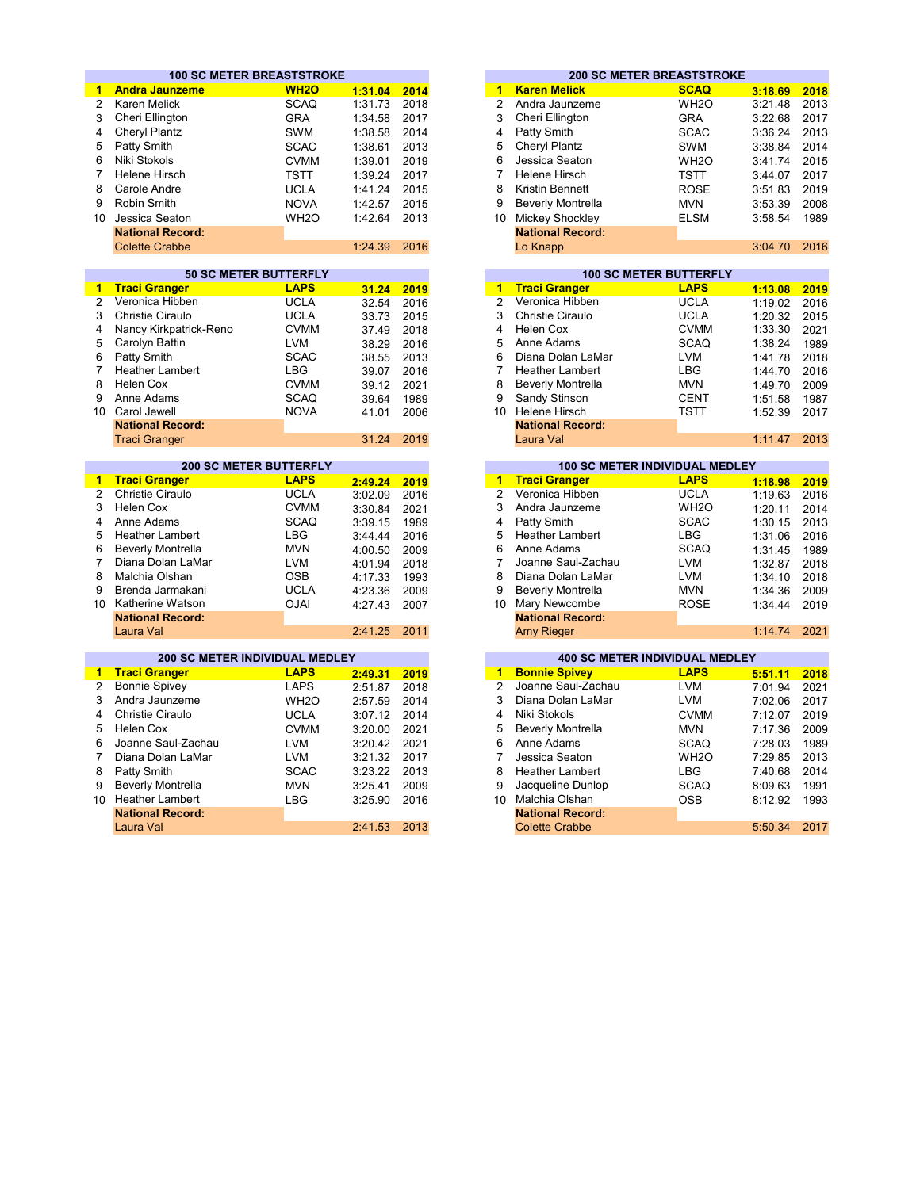|                                | <b>100 SC METER BREASTSTROKE</b>        |                                             |         |      |                                         | <b>200 SC METER BREASTSTROKE</b>      |
|--------------------------------|-----------------------------------------|---------------------------------------------|---------|------|-----------------------------------------|---------------------------------------|
| $\mathbf{1}$                   | <b>Andra Jaunzeme</b>                   | <b>WH2O</b>                                 | 1:31.04 | 2014 | <b>Karen Melick</b>                     | <b>SCAQ</b><br>3:18.69                |
| $\overline{2}$                 | <b>Karen Melick</b>                     | <b>SCAQ</b>                                 | 1:31.73 | 2018 | Andra Jaunzeme                          | WH <sub>2</sub> O<br>3:21.48          |
| 3                              | Cheri Ellington                         | <b>GRA</b>                                  | 1:34.58 | 2017 | Cheri Ellington                         | <b>GRA</b><br>3:22.68                 |
| 4                              | Cheryl Plantz                           | <b>SWM</b>                                  | 1:38.58 | 2014 | Patty Smith                             | <b>SCAC</b><br>3:36.24                |
| 5                              | Patty Smith                             | <b>SCAC</b>                                 | 1:38.61 | 2013 | Cheryl Plantz                           | SWM<br>3:38.84                        |
|                                |                                         |                                             |         |      |                                         |                                       |
| 6                              | Niki Stokols                            | <b>CVMM</b>                                 | 1:39.01 | 2019 | Jessica Seaton                          | WH <sub>2</sub> O<br>3:41.74          |
| 7                              | <b>Helene Hirsch</b>                    | <b>TSTT</b>                                 | 1:39.24 | 2017 | <b>Helene Hirsch</b>                    | <b>TSTT</b><br>3:44.07                |
| 8                              | Carole Andre                            | <b>UCLA</b>                                 | 1:41.24 | 2015 | Kristin Bennett                         | <b>ROSE</b><br>3:51.83                |
| 9                              | Robin Smith                             | <b>NOVA</b>                                 | 1:42.57 | 2015 | <b>Beverly Montrella</b>                | <b>MVN</b><br>3:53.39                 |
| 10                             | Jessica Seaton                          | WH <sub>2</sub> O                           | 1:42.64 | 2013 | 10 Mickey Shockley                      | <b>ELSM</b><br>3:58.54                |
|                                | <b>National Record:</b>                 |                                             |         |      | <b>National Record:</b>                 |                                       |
|                                | <b>Colette Crabbe</b>                   |                                             | 1:24.39 | 2016 | Lo Knapp                                | 3:04.70                               |
|                                |                                         |                                             |         |      |                                         |                                       |
|                                |                                         | <b>50 SC METER BUTTERFLY</b><br><b>LAPS</b> |         |      |                                         | <b>100 SC METER BUTTERFLY</b>         |
| $\mathbf{1}$<br>$\overline{2}$ | <b>Traci Granger</b><br>Veronica Hibben |                                             | 31.24   | 2019 | <b>Traci Granger</b><br>Veronica Hibben | <b>LAPS</b><br>1:13.08                |
|                                |                                         | <b>UCLA</b>                                 | 32.54   | 2016 |                                         | <b>UCLA</b><br>1:19.02                |
| 3                              | Christie Ciraulo                        | <b>UCLA</b>                                 | 33.73   | 2015 | Christie Ciraulo                        | <b>UCLA</b><br>1:20.32                |
| 4                              | Nancy Kirkpatrick-Reno                  | <b>CVMM</b>                                 | 37.49   | 2018 | Helen Cox                               | <b>CVMM</b><br>1:33.30                |
| 5                              | Carolyn Battin                          | <b>LVM</b>                                  | 38.29   | 2016 | Anne Adams                              | <b>SCAQ</b><br>1:38.24                |
| 6                              | Patty Smith                             | <b>SCAC</b>                                 | 38.55   | 2013 | Diana Dolan LaMar                       | <b>LVM</b><br>1:41.78                 |
| $\overline{7}$                 | <b>Heather Lambert</b>                  | <b>LBG</b>                                  | 39.07   | 2016 | <b>Heather Lambert</b>                  | <b>LBG</b><br>1:44.70                 |
| 8                              | <b>Helen Cox</b>                        | <b>CVMM</b>                                 | 39.12   | 2021 | <b>Beverly Montrella</b>                | <b>MVN</b><br>1:49.70                 |
| 9                              | Anne Adams                              | <b>SCAQ</b>                                 | 39.64   | 1989 | Sandy Stinson                           | <b>CENT</b><br>1:51.58                |
| 10                             | Carol Jewell                            | <b>NOVA</b>                                 | 41.01   | 2006 | 10 Helene Hirsch                        | TSTT<br>1:52.39                       |
|                                | <b>National Record:</b>                 |                                             |         |      | <b>National Record:</b>                 |                                       |
|                                | <b>Traci Granger</b>                    |                                             | 31.24   | 2019 | Laura Val                               | 1:11.47                               |
|                                |                                         | <b>200 SC METER BUTTERFLY</b>               |         |      |                                         | <b>100 SC METER INDIVIDUAL MEDLEY</b> |
| 1                              | <b>Traci Granger</b>                    | <b>LAPS</b>                                 | 2:49.24 | 2019 | <b>Traci Granger</b>                    | <b>LAPS</b><br>1:18.98                |
| $\overline{2}$                 | Christie Ciraulo                        | <b>UCLA</b>                                 | 3:02.09 | 2016 | Veronica Hibben                         | <b>UCLA</b><br>1:19.63                |
| 3                              | Helen Cox                               | <b>CVMM</b>                                 | 3:30.84 | 2021 | Andra Jaunzeme                          | WH <sub>2</sub> O<br>1:20.11          |
| 4                              | Anne Adams                              | <b>SCAQ</b>                                 | 3:39.15 | 1989 | Patty Smith                             | <b>SCAC</b><br>1:30.15                |
| 5                              | <b>Heather Lambert</b>                  | <b>LBG</b>                                  | 3:44.44 | 2016 | <b>Heather Lambert</b>                  | <b>LBG</b><br>1:31.06                 |
| 6                              | <b>Beverly Montrella</b>                | <b>MVN</b>                                  | 4:00.50 | 2009 | Anne Adams                              | <b>SCAQ</b><br>1:31.45                |
| $\overline{7}$                 | Diana Dolan LaMar                       | <b>LVM</b>                                  | 4:01.94 | 2018 | Joanne Saul-Zachau                      | <b>LVM</b><br>1:32.87                 |
| 8                              | Malchia Olshan                          | <b>OSB</b>                                  | 4:17.33 | 1993 | Diana Dolan LaMar                       | <b>LVM</b><br>1:34.10                 |
| 9                              | Brenda Jarmakani                        | <b>UCLA</b>                                 | 4:23.36 | 2009 | <b>Beverly Montrella</b>                | <b>MVN</b><br>1:34.36                 |
| 10                             | Katherine Watson                        | <b>OJAI</b>                                 |         | 2007 | 10 Mary Newcombe                        | <b>ROSE</b>                           |
|                                | <b>National Record:</b>                 |                                             | 4:27.43 |      | <b>National Record:</b>                 | 1:34.44                               |
|                                | Laura Val                               |                                             | 2:41.25 | 2011 | <b>Amy Rieger</b>                       | 1:14.74                               |
|                                |                                         |                                             |         |      |                                         |                                       |
|                                | <b>200 SC METER INDIVIDUAL MEDLEY</b>   |                                             |         |      |                                         | <b>400 SC METER INDIVIDUAL MEDLEY</b> |
| $\mathbf{1}$                   | <b>Traci Granger</b>                    | <b>LAPS</b>                                 | 2:49.31 | 2019 | <b>Bonnie Spivey</b>                    | <b>LAPS</b><br>5:51.11                |
| $\overline{2}$                 | <b>Bonnie Spivey</b>                    | <b>LAPS</b>                                 | 2:51.87 | 2018 | Joanne Saul-Zachau                      | <b>LVM</b><br>7:01.94                 |
| 3                              | Andra Jaunzeme                          | WH <sub>2</sub> O                           | 2:57.59 | 2014 | Diana Dolan LaMar                       | <b>LVM</b><br>7:02.06                 |
| 4                              | <b>Christie Ciraulo</b>                 | <b>UCLA</b>                                 | 3:07.12 | 2014 | Niki Stokols                            | <b>CVMM</b><br>7:12.07                |
| 5                              | Helen Cox                               | <b>CVMM</b>                                 | 3:20.00 | 2021 | <b>Beverly Montrella</b>                | <b>MVN</b><br>7:17.36                 |
| 6                              | Joanne Saul-Zachau                      | <b>LVM</b>                                  | 3:20.42 | 2021 | Anne Adams                              | <b>SCAQ</b><br>7:28.03                |
| 7                              | Diana Dolan LaMar                       | <b>LVM</b>                                  | 3:21.32 | 2017 | Jessica Seaton                          | WH <sub>2</sub> O<br>7:29.85          |
| 8                              | Patty Smith                             | <b>SCAC</b>                                 | 3:23.22 | 2013 | <b>Heather Lambert</b>                  | <b>LBG</b><br>7:40.68                 |
| 9                              | <b>Beverly Montrella</b>                | <b>MVN</b>                                  | 3:25.41 | 2009 | Jacqueline Dunlop                       | <b>SCAQ</b><br>8:09.63                |
| 10                             | <b>Heather Lambert</b>                  | <b>LBG</b>                                  | 3:25.90 | 2016 | 10 <sup>1</sup><br>Malchia Olshan       | <b>OSB</b><br>8:12.92                 |
|                                | <b>National Record:</b>                 |                                             |         |      | <b>National Record:</b>                 |                                       |
|                                | Laura Val                               |                                             | 2:41.53 | 2013 | <b>Colette Crabbe</b>                   | 5:50.34                               |
|                                |                                         |                                             |         |      |                                         |                                       |

|         |      |    |                          | <b>200 SC METER BREASTSTROKE</b> |         |      |
|---------|------|----|--------------------------|----------------------------------|---------|------|
| 1:31.04 | 2014 | 1  | <b>Karen Melick</b>      | <b>SCAQ</b>                      | 3:18.69 | 2018 |
| 1:31.73 | 2018 | 2  | Andra Jaunzeme           | WH <sub>2</sub> O                | 3:21.48 | 2013 |
| 1:34.58 | 2017 | 3  | Cheri Ellington          | <b>GRA</b>                       | 3:22.68 | 2017 |
| 1:38.58 | 2014 | 4  | Patty Smith              | <b>SCAC</b>                      | 3:36.24 | 2013 |
| 1:38.61 | 2013 | 5  | <b>Cheryl Plantz</b>     | <b>SWM</b>                       | 3:38.84 | 2014 |
| 1:39.01 | 2019 | 6  | Jessica Seaton           | WH <sub>2</sub> O                | 3:41.74 | 2015 |
| 1:39.24 | 2017 |    | Helene Hirsch            | TSTT                             | 3:44.07 | 2017 |
| 1:41.24 | 2015 | 8  | Kristin Bennett          | <b>ROSE</b>                      | 3:51.83 | 2019 |
| 1:42.57 | 2015 | 9  | <b>Beverly Montrella</b> | <b>MVN</b>                       | 3:53.39 | 2008 |
| 1:42.64 | 2013 | 10 | Mickey Shockley          | <b>ELSM</b>                      | 3:58.54 | 1989 |
|         |      |    | <b>National Record:</b>  |                                  |         |      |
| 1:24.39 | 2016 |    | Lo Knapp                 |                                  | 3:04.70 | 2016 |
|         |      |    |                          |                                  |         |      |
|         |      |    |                          | $100.00$ METER BUTTERELY         |         |      |

| 31.24 | 2019 | 1. | <b>Traci Granger</b>     | <b>LAPS</b> |  | 1:13.08 | 2019 |  |
|-------|------|----|--------------------------|-------------|--|---------|------|--|
| 32.54 | 2016 | 2  | Veronica Hibben          | <b>UCLA</b> |  | 1:19.02 | 2016 |  |
| 33.73 | 2015 | 3  | Christie Ciraulo         | <b>UCLA</b> |  | 1:20.32 | 2015 |  |
| 37.49 | 2018 | 4  | Helen Cox                | <b>CVMM</b> |  | 1:33.30 | 2021 |  |
| 38.29 | 2016 | 5  | Anne Adams               | <b>SCAQ</b> |  | 1:38.24 | 1989 |  |
| 38.55 | 2013 | 6  | Diana Dolan LaMar        | <b>LVM</b>  |  | 1:41.78 | 2018 |  |
| 39.07 | 2016 |    | <b>Heather Lambert</b>   | LBG         |  | 1:44.70 | 2016 |  |
| 39.12 | 2021 | 8  | <b>Beverly Montrella</b> | <b>MVN</b>  |  | 1:49.70 | 2009 |  |
| 39.64 | 1989 | 9  | Sandy Stinson            | <b>CENT</b> |  | 1:51.58 | 1987 |  |
| 41.01 | 2006 | 10 | Helene Hirsch            | <b>TSTT</b> |  | 1:52.39 | 2017 |  |
|       |      |    | <b>National Record:</b>  |             |  |         |      |  |
| 31.24 | 2019 |    | Laura Val                |             |  | 1:11.47 | 2013 |  |
|       |      |    |                          |             |  |         |      |  |

|       | <b>200 SC METER BUTTERFLY</b> |         |      | <b>100 SC METER INDIVIDUAL MEDLEY</b> |                          |                   |         |      |  |
|-------|-------------------------------|---------|------|---------------------------------------|--------------------------|-------------------|---------|------|--|
| r     | <b>LAPS</b>                   | 2:49.24 | 2019 | 1                                     | <b>Traci Granger</b>     | <b>LAPS</b>       | 1:18.98 | 2019 |  |
| lo    | <b>UCLA</b>                   | 3:02.09 | 2016 | 2                                     | Veronica Hibben          | <b>UCLA</b>       | 1:19.63 | 2016 |  |
|       | <b>CVMM</b>                   | 3:30.84 | 2021 | 3                                     | Andra Jaunzeme           | WH <sub>2</sub> O | 1:20.11 | 2014 |  |
|       | <b>SCAQ</b>                   | 3:39.15 | 1989 | 4                                     | Patty Smith              | <b>SCAC</b>       | 1:30.15 | 2013 |  |
| oert  | LBG                           | 3:44.44 | 2016 | 5                                     | <b>Heather Lambert</b>   | <b>LBG</b>        | 1:31.06 | 2016 |  |
| rella | <b>MVN</b>                    | 4:00.50 | 2009 | 6                                     | Anne Adams               | <b>SCAQ</b>       | 1:31.45 | 1989 |  |
| _aMar | <b>LVM</b>                    | 4:01.94 | 2018 |                                       | Joanne Saul-Zachau       | <b>LVM</b>        | 1:32.87 | 2018 |  |
| эn    | <b>OSB</b>                    | 4:17.33 | 1993 | 8                                     | Diana Dolan LaMar        | <b>LVM</b>        | 1:34.10 | 2018 |  |
| akani | <b>UCLA</b>                   | 4:23.36 | 2009 | 9                                     | <b>Beverly Montrella</b> | <b>MVN</b>        | 1:34.36 | 2009 |  |
| ıtson | <b>OJAI</b>                   | 4:27.43 | 2007 | 10                                    | Mary Newcombe            | <b>ROSE</b>       | 1:34.44 | 2019 |  |
| ord:  |                               |         |      |                                       | <b>National Record:</b>  |                   |         |      |  |
|       |                               | 2:41.25 | 2011 |                                       | <b>Amy Rieger</b>        |                   | 1:14.74 | 2021 |  |

|         |      |    | <b>400 SC METER INDIVIDUAL MEDLEY</b> |                   |         |      |
|---------|------|----|---------------------------------------|-------------------|---------|------|
| 2:49.31 | 2019 | 1  | <b>Bonnie Spivey</b>                  | <b>LAPS</b>       | 5:51.11 | 2018 |
| 2:51.87 | 2018 | 2  | Joanne Saul-Zachau                    | <b>LVM</b>        | 7:01.94 | 2021 |
| 2:57.59 | 2014 | 3  | Diana Dolan LaMar                     | <b>LVM</b>        | 7:02.06 | 2017 |
| 3:07.12 | 2014 | 4  | Niki Stokols                          | <b>CVMM</b>       | 7:12.07 | 2019 |
| 3:20.00 | 2021 | 5  | <b>Beverly Montrella</b>              | <b>MVN</b>        | 7:17.36 | 2009 |
| 3:20.42 | 2021 | 6  | Anne Adams                            | <b>SCAQ</b>       | 7:28.03 | 1989 |
| 3:21.32 | 2017 |    | Jessica Seaton                        | WH <sub>2</sub> O | 7:29.85 | 2013 |
| 3:23.22 | 2013 | 8  | <b>Heather Lambert</b>                | <b>LBG</b>        | 7:40.68 | 2014 |
| 3:25.41 | 2009 | 9  | Jacqueline Dunlop                     | <b>SCAQ</b>       | 8:09.63 | 1991 |
| 3:25.90 | 2016 | 10 | Malchia Olshan                        | <b>OSB</b>        | 8:12.92 | 1993 |
|         |      |    | <b>National Record:</b>               |                   |         |      |
| 2:41.53 | 2013 |    | <b>Colette Crabbe</b>                 |                   | 5:50.34 | 2017 |
|         |      |    |                                       |                   |         |      |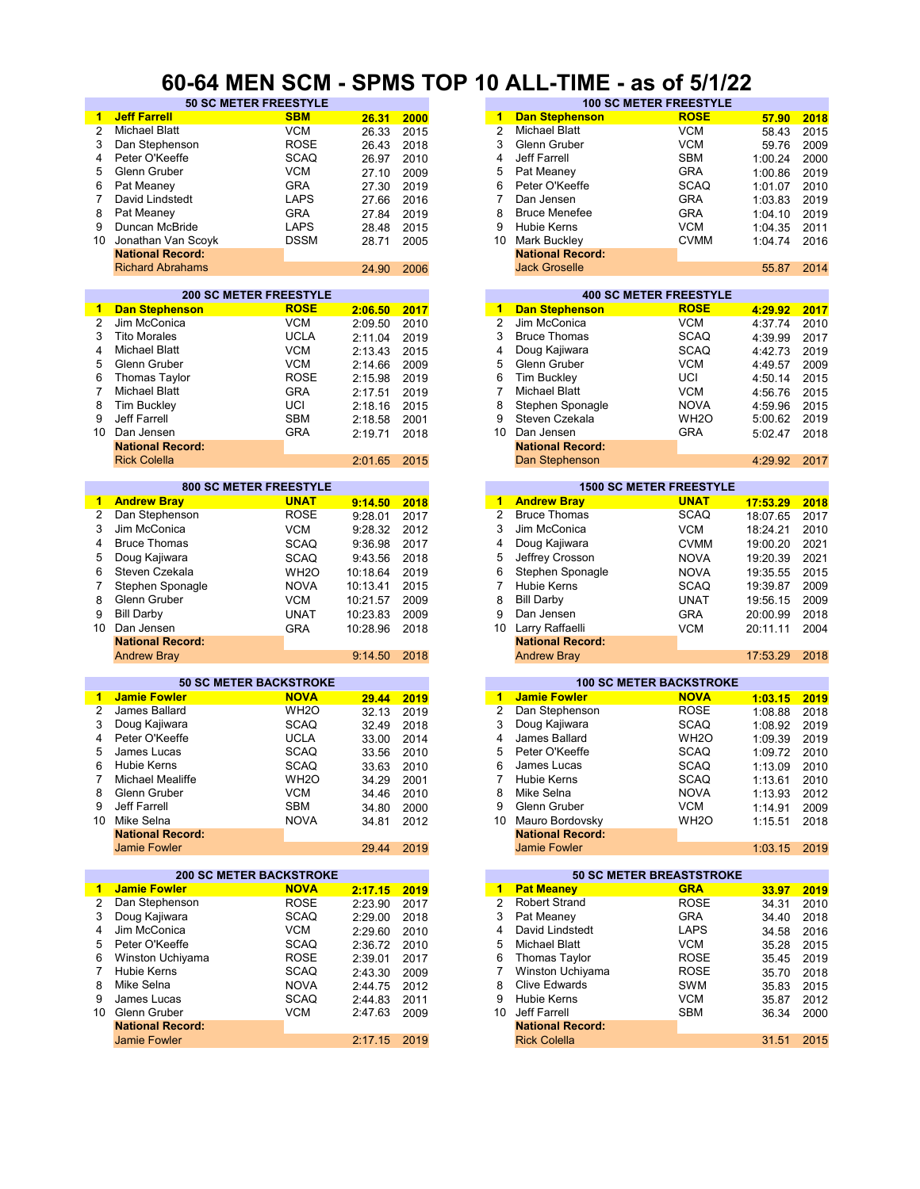#### **60-64 MEN SCM - SPMS TOP 10 ALL-TIME - as of 5/1/22**

| 1                       | <b>Jeff Farrell</b>     | <b>SBM</b>                     | 26.31      | 2000 | 1              | <b>Dan Stephenson</b>   | <b>ROSE</b>                     | 57.90    | 2018 |
|-------------------------|-------------------------|--------------------------------|------------|------|----------------|-------------------------|---------------------------------|----------|------|
| 2                       | <b>Michael Blatt</b>    | <b>VCM</b>                     | 26.33      | 2015 | $\overline{2}$ | <b>Michael Blatt</b>    | <b>VCM</b>                      | 58.43    | 2015 |
|                         |                         |                                |            |      | 3              |                         |                                 |          |      |
| 3                       | Dan Stephenson          | <b>ROSE</b>                    | 26.43      | 2018 |                | Glenn Gruber            | <b>VCM</b>                      | 59.76    | 2009 |
| 4                       | Peter O'Keeffe          | <b>SCAQ</b>                    | 26.97      | 2010 | 4              | Jeff Farrell            | <b>SBM</b>                      | 1:00.24  | 2000 |
| 5                       | Glenn Gruber            | <b>VCM</b>                     | 27.10      | 2009 | 5              | Pat Meaney              | <b>GRA</b>                      | 1:00.86  | 2019 |
| 6                       | Pat Meaney              | <b>GRA</b>                     | 27.30      | 2019 | 6              | Peter O'Keeffe          | <b>SCAQ</b>                     | 1:01.07  | 2010 |
| 7                       | David Lindstedt         | <b>LAPS</b>                    |            |      | 7              | Dan Jensen              | <b>GRA</b>                      |          |      |
|                         |                         |                                | 27.66      | 2016 |                |                         |                                 | 1:03.83  | 2019 |
| 8                       | Pat Meaney              | <b>GRA</b>                     | 27.84      | 2019 | 8              | <b>Bruce Menefee</b>    | <b>GRA</b>                      | 1:04.10  | 2019 |
| 9                       | Duncan McBride          | <b>LAPS</b>                    | 28.48      | 2015 | 9              | <b>Hubie Kerns</b>      | <b>VCM</b>                      | 1:04.35  | 2011 |
| 10                      | Jonathan Van Scoyk      | <b>DSSM</b>                    | 28.71      | 2005 | 10             | Mark Buckley            | <b>CVMM</b>                     | 1:04.74  | 2016 |
|                         |                         |                                |            |      |                |                         |                                 |          |      |
|                         | <b>National Record:</b> |                                |            |      |                | <b>National Record:</b> |                                 |          |      |
|                         | <b>Richard Abrahams</b> |                                | 24.90      | 2006 |                | <b>Jack Groselle</b>    |                                 | 55.87    | 2014 |
|                         |                         |                                |            |      |                |                         |                                 |          |      |
|                         |                         | <b>200 SC METER FREESTYLE</b>  |            |      |                |                         | <b>400 SC METER FREESTYLE</b>   |          |      |
| 1                       | <b>Dan Stephenson</b>   | <b>ROSE</b>                    | 2:06.50    | 2017 | $\overline{1}$ | <b>Dan Stephenson</b>   | <b>ROSE</b>                     | 4:29.92  | 2017 |
|                         |                         |                                |            |      |                | Jim McConica            |                                 |          |      |
| $\overline{\mathbf{c}}$ | Jim McConica            | <b>VCM</b>                     | 2:09.50    | 2010 | $\overline{2}$ |                         | <b>VCM</b>                      | 4:37.74  | 2010 |
| 3                       | <b>Tito Morales</b>     | <b>UCLA</b>                    | 2:11.04    | 2019 | 3              | <b>Bruce Thomas</b>     | <b>SCAQ</b>                     | 4:39.99  | 2017 |
| 4                       | Michael Blatt           | <b>VCM</b>                     | 2:13.43    | 2015 | 4              | Doug Kajiwara           | <b>SCAQ</b>                     | 4:42.73  | 2019 |
| 5                       | Glenn Gruber            | <b>VCM</b>                     | 2:14.66    | 2009 | 5              | Glenn Gruber            | <b>VCM</b>                      | 4:49.57  | 2009 |
|                         |                         |                                |            |      |                |                         |                                 |          |      |
| 6                       | <b>Thomas Taylor</b>    | <b>ROSE</b>                    | 2:15.98    | 2019 | 6              | <b>Tim Buckley</b>      | UCI                             | 4:50.14  | 2015 |
| $\overline{7}$          | <b>Michael Blatt</b>    | <b>GRA</b>                     | 2:17.51    | 2019 | $\overline{7}$ | <b>Michael Blatt</b>    | <b>VCM</b>                      | 4:56.76  | 2015 |
| 8                       | <b>Tim Buckley</b>      | UCI                            | 2:18.16    | 2015 | 8              | Stephen Sponagle        | <b>NOVA</b>                     | 4:59.96  | 2015 |
| 9                       | Jeff Farrell            | <b>SBM</b>                     | 2:18.58    | 2001 | 9              | Steven Czekala          | WH <sub>2</sub> O               | 5:00.62  | 2019 |
|                         |                         |                                |            |      |                |                         |                                 |          |      |
| 10                      | Dan Jensen              | <b>GRA</b>                     | 2:19.71    | 2018 | 10             | Dan Jensen              | <b>GRA</b>                      | 5:02.47  | 2018 |
|                         | <b>National Record:</b> |                                |            |      |                | <b>National Record:</b> |                                 |          |      |
|                         | <b>Rick Colella</b>     |                                | 2:01.65    | 2015 |                | Dan Stephenson          |                                 | 4:29.92  | 2017 |
|                         |                         |                                |            |      |                |                         |                                 |          |      |
|                         |                         | <b>800 SC METER FREESTYLE</b>  |            |      |                |                         | <b>1500 SC METER FREESTYLE</b>  |          |      |
| 1                       | <b>Andrew Bray</b>      | <b>UNAT</b>                    | 9:14.50    | 2018 |                | 1 Andrew Bray           | <b>UNAT</b>                     | 17:53.29 | 2018 |
|                         |                         |                                |            |      | $\overline{2}$ |                         | <b>SCAQ</b>                     |          |      |
| 2                       | Dan Stephenson          | <b>ROSE</b>                    | 9:28.01    | 2017 |                | <b>Bruce Thomas</b>     |                                 | 18:07.65 | 2017 |
| 3                       | Jim McConica            | <b>VCM</b>                     | 9:28.32    | 2012 | 3              | Jim McConica            | <b>VCM</b>                      | 18:24.21 | 2010 |
| 4                       | <b>Bruce Thomas</b>     | <b>SCAQ</b>                    | 9:36.98    | 2017 | 4              | Doug Kajiwara           | <b>CVMM</b>                     | 19:00.20 | 2021 |
| 5                       | Doug Kajiwara           | SCAQ                           | 9:43.56    | 2018 | 5              | Jeffrey Crosson         | <b>NOVA</b>                     | 19:20.39 | 2021 |
|                         |                         |                                |            |      |                |                         |                                 |          |      |
| 6                       | Steven Czekala          | WH <sub>2</sub> O              | 10:18.64   | 2019 | 6              | Stephen Sponagle        | <b>NOVA</b>                     | 19:35.55 | 2015 |
| 7                       | Stephen Sponagle        | <b>NOVA</b>                    | 10:13.41   | 2015 | 7              | Hubie Kerns             | <b>SCAQ</b>                     | 19:39.87 | 2009 |
| 8                       | Glenn Gruber            | <b>VCM</b>                     | 10:21.57   | 2009 | 8              | <b>Bill Darby</b>       | <b>UNAT</b>                     | 19:56.15 | 2009 |
|                         |                         |                                |            |      |                |                         |                                 |          |      |
| 9                       | <b>Bill Darby</b>       | <b>UNAT</b>                    | 10:23.83   | 2009 | 9              | Dan Jensen              | <b>GRA</b>                      | 20:00.99 | 2018 |
| 10                      | Dan Jensen              | <b>GRA</b>                     | 10:28.96   | 2018 | 10             | Larry Raffaelli         | <b>VCM</b>                      | 20:11.11 | 2004 |
|                         | <b>National Record:</b> |                                |            |      |                | <b>National Record:</b> |                                 |          |      |
|                         | <b>Andrew Bray</b>      |                                | 9:14.50    | 2018 |                | <b>Andrew Bray</b>      |                                 | 17:53.29 | 2018 |
|                         |                         |                                |            |      |                |                         |                                 |          |      |
|                         |                         | <b>50 SC METER BACKSTROKE</b>  |            |      |                |                         | <b>100 SC METER BACKSTROKE</b>  |          |      |
|                         |                         | <b>NOVA</b>                    |            |      |                |                         |                                 |          |      |
| 1                       | <b>Jamie Fowler</b>     |                                | 29.44      | 2019 | $\mathbf{1}$   | <b>Jamie Fowler</b>     | <b>NOVA</b>                     | 1:03.15  | 2019 |
| 2                       | James Ballard           | WH <sub>2</sub> O              | 32.13      | 2019 | $\overline{2}$ | Dan Stephenson          | <b>ROSE</b>                     | 1:08.88  | 2018 |
| 3                       | Doug Kajiwara           | <b>SCAQ</b>                    | 32.49      | 2018 | 3              | Doug Kajiwara           | <b>SCAQ</b>                     | 1:08.92  | 2019 |
| 4                       | Peter O'Keeffe          | <b>UCLA</b>                    | 33.00      | 2014 | 4              | James Ballard           | WH <sub>2</sub> O               | 1:09.39  | 2019 |
| 5                       |                         |                                |            |      |                | Peter O'Keeffe          | <b>SCAQ</b>                     |          |      |
|                         | James Lucas             | <b>SCAQ</b>                    | 33.56      | 2010 | 5              |                         |                                 | 1:09.72  | 2010 |
| 6                       | Hubie Kerns             | <b>SCAQ</b>                    | 33.63      | 2010 | 6              | James Lucas             | SCAQ                            | 1:13.09  | 2010 |
| 7                       | Michael Mealiffe        | WH <sub>2</sub> O              | 34.29 2001 |      | 7              | Hubie Kerns             | SCAQ                            | 1:13.61  | 2010 |
| 8                       | Glenn Gruber            | <b>VCM</b>                     | 34.46      | 2010 | 8              | Mike Selna              | <b>NOVA</b>                     | 1:13.93  | 2012 |
| 9                       | Jeff Farrell            | <b>SBM</b>                     |            |      | 9              | Glenn Gruber            | <b>VCM</b>                      |          |      |
|                         |                         |                                | 34.80      | 2000 |                |                         |                                 | 1:14.91  | 2009 |
|                         | 10 Mike Selna           | <b>NOVA</b>                    | 34.81      | 2012 |                | 10 Mauro Bordovsky      | WH <sub>2</sub> O               | 1:15.51  | 2018 |
|                         | <b>National Record:</b> |                                |            |      |                | <b>National Record:</b> |                                 |          |      |
|                         | <b>Jamie Fowler</b>     |                                | 29.44      | 2019 |                | Jamie Fowler            |                                 | 1:03.15  | 2019 |
|                         |                         |                                |            |      |                |                         |                                 |          |      |
|                         |                         | <b>200 SC METER BACKSTROKE</b> |            |      |                |                         | <b>50 SC METER BREASTSTROKE</b> |          |      |
| 1                       | <b>Jamie Fowler</b>     | <b>NOVA</b>                    | 2:17.15    | 2019 |                | 1 Pat Meaney            | <b>GRA</b>                      | 33.97    | 2019 |
| 2                       | Dan Stephenson          | <b>ROSE</b>                    | 2:23.90    |      | 2              | <b>Robert Strand</b>    | <b>ROSE</b>                     | 34.31    | 2010 |
|                         |                         |                                |            | 2017 |                |                         |                                 |          |      |
| 3                       | Doug Kajiwara           | <b>SCAQ</b>                    | 2:29.00    | 2018 | 3              | Pat Meaney              | GRA                             | 34.40    | 2018 |
| 4                       | Jim McConica            | <b>VCM</b>                     | 2:29.60    | 2010 | 4              | David Lindstedt         | <b>LAPS</b>                     | 34.58    | 2016 |
| 5                       | Peter O'Keeffe          | <b>SCAQ</b>                    | 2:36.72    | 2010 | 5              | <b>Michael Blatt</b>    | <b>VCM</b>                      | 35.28    | 2015 |
| 6                       | Winston Uchiyama        | <b>ROSE</b>                    | 2:39.01    | 2017 | 6              | Thomas Taylor           | <b>ROSE</b>                     | 35.45    | 2019 |
|                         |                         |                                |            |      |                |                         |                                 |          |      |
| 7                       | Hubie Kerns             | <b>SCAQ</b>                    | 2:43.30    | 2009 | 7              | Winston Uchiyama        | <b>ROSE</b>                     | 35.70    | 2018 |
| 8                       |                         | <b>NOVA</b>                    | 2:44.75    | 2012 | 8              | <b>Clive Edwards</b>    | SWM                             | 35.83    | 2015 |
|                         | Mike Selna              |                                |            |      | 9              | Hubie Kerns             |                                 |          | 2012 |
| 9                       | James Lucas             | <b>SCAQ</b>                    | 2:44.83    | 2011 |                |                         | <b>VCM</b>                      | 35.87    |      |
|                         |                         |                                |            |      |                |                         |                                 |          |      |
|                         | 10 Glenn Gruber         | <b>VCM</b>                     | 2:47.63    | 2009 | 10             | Jeff Farrell            | SBM                             | 36.34    | 2000 |
|                         | <b>National Record:</b> |                                |            |      |                | <b>National Record:</b> |                                 |          |      |
|                         | <b>Jamie Fowler</b>     |                                | 2:17.15    | 2019 |                | <b>Rick Colella</b>     |                                 | 31.51    | 2015 |

|                              | $-111111122111$ | <b>. .</b><br>---- |      | ~ |    | ---                     | uv<br>. .                     |         |      |
|------------------------------|-----------------|--------------------|------|---|----|-------------------------|-------------------------------|---------|------|
| <b>50 SC METER FREESTYLE</b> |                 |                    |      |   |    |                         | <b>100 SC METER FREESTYLE</b> |         |      |
|                              | <b>SBM</b>      | 26.31              | 2000 |   | 1  | <b>Dan Stephenson</b>   | <b>ROSE</b>                   | 57.90   | 2018 |
|                              | <b>VCM</b>      | 26.33              | 2015 |   |    | <b>Michael Blatt</b>    | <b>VCM</b>                    | 58.43   | 2015 |
| ٥n                           | <b>ROSE</b>     | 26.43              | 2018 |   | 3  | Glenn Gruber            | <b>VCM</b>                    | 59.76   | 2009 |
|                              | <b>SCAQ</b>     | 26.97              | 2010 |   | 4  | Jeff Farrell            | <b>SBM</b>                    | 1:00.24 | 2000 |
|                              | <b>VCM</b>      | 27.10              | 2009 |   | 5. | Pat Meaney              | <b>GRA</b>                    | 1:00.86 | 2019 |
|                              | <b>GRA</b>      | 27.30              | 2019 |   | 6  | Peter O'Keeffe          | <b>SCAQ</b>                   | 1:01.07 | 2010 |
| ٦t                           | <b>LAPS</b>     | 27.66              | 2016 |   |    | Dan Jensen              | <b>GRA</b>                    | 1:03.83 | 2019 |
|                              | <b>GRA</b>      | 27.84              | 2019 |   | 8  | <b>Bruce Menefee</b>    | <b>GRA</b>                    | 1:04.10 | 2019 |
| de                           | <b>LAPS</b>     | 28.48              | 2015 |   | 9  | Hubie Kerns             | <b>VCM</b>                    | 1:04.35 | 2011 |
| Scoyk                        | <b>DSSM</b>     | 28.71              | 2005 |   | 10 | Mark Buckley            | <b>CVMM</b>                   | 1:04.74 | 2016 |
| :bıc                         |                 |                    |      |   |    | <b>National Record:</b> |                               |         |      |
| lams                         |                 | 24.90              | 2006 |   |    | <b>Jack Groselle</b>    |                               | 55.87   | 2014 |
|                              |                 |                    |      |   |    |                         |                               |         |      |

|         |      |    |                         | <b>400 SC METER FREESTYLE</b> |         |      |
|---------|------|----|-------------------------|-------------------------------|---------|------|
| 2:06.50 | 2017 | 1  | <b>Dan Stephenson</b>   | <b>ROSE</b>                   | 4:29.92 | 2017 |
| 2:09.50 | 2010 | 2  | Jim McConica            | <b>VCM</b>                    | 4:37.74 | 2010 |
| 2:11.04 | 2019 | 3  | <b>Bruce Thomas</b>     | <b>SCAQ</b>                   | 4:39.99 | 2017 |
| 2:13.43 | 2015 | 4  | Doug Kajiwara           | <b>SCAQ</b>                   | 4:42.73 | 2019 |
| 2:14.66 | 2009 | 5. | Glenn Gruber            | <b>VCM</b>                    | 4:49.57 | 2009 |
| 2:15.98 | 2019 | 6  | Tim Buckley             | UCI                           | 4:50.14 | 2015 |
| 2:17.51 | 2019 | 7  | <b>Michael Blatt</b>    | <b>VCM</b>                    | 4:56.76 | 2015 |
| 2:18.16 | 2015 | 8  | Stephen Sponagle        | <b>NOVA</b>                   | 4:59.96 | 2015 |
| 2:18.58 | 2001 | 9  | Steven Czekala          | WH <sub>2</sub> O             | 5:00.62 | 2019 |
| 2:19.71 | 2018 | 10 | Dan Jensen              | <b>GRA</b>                    | 5:02.47 | 2018 |
|         |      |    | <b>National Record:</b> |                               |         |      |
| 2:01.65 | 2015 |    | Dan Stephenson          |                               | 4:29.92 | 2017 |
|         |      |    |                         |                               |         |      |

|         |      |    |                         | <b>1500 SC METER FREESTYLE</b> |  |
|---------|------|----|-------------------------|--------------------------------|--|
| 9:14.50 | 2018 | 1. | <b>Andrew Bray</b>      | <b>UNAT</b>                    |  |
| 9:28.01 | 2017 | 2  | <b>Bruce Thomas</b>     | <b>SCAQ</b>                    |  |
| 9:28.32 | 2012 | 3  | Jim McConica            | <b>VCM</b>                     |  |
| 9:36.98 | 2017 | 4  | Doug Kajiwara           | <b>CVMM</b>                    |  |
| 9:43.56 | 2018 | 5  | Jeffrey Crosson         | <b>NOVA</b>                    |  |
| 0:18.64 | 2019 | 6  | Stephen Sponagle        | <b>NOVA</b>                    |  |
| 0:13.41 | 2015 |    | <b>Hubie Kerns</b>      | <b>SCAQ</b>                    |  |
| 0:21.57 | 2009 | 8  | <b>Bill Darby</b>       | <b>UNAT</b>                    |  |
| 0:23.83 | 2009 | 9  | Dan Jensen              | <b>GRA</b>                     |  |
| 0:28.96 | 2018 | 10 | Larry Raffaelli         | <b>VCM</b>                     |  |
|         |      |    | <b>National Record:</b> |                                |  |
| 9:14.50 | 2018 |    | <b>Andrew Bray</b>      |                                |  |
|         |      |    |                         |                                |  |

| 29.44 | 2019 |
|-------|------|
| 32.13 | 2019 |
| 32.49 | 2018 |
| 33.00 | 2014 |
| 33.56 | 2010 |
| 33.63 | 2010 |
| 34.29 | 2001 |
| 34.46 | 2010 |
| 34.80 | 2000 |
| 34.81 | 2012 |
|       |      |
| 29.44 | 2019 |
|       |      |

|         |      |    |                         | <b>50 SC METER BREASTSTROKE</b> |       |
|---------|------|----|-------------------------|---------------------------------|-------|
| 2:17.15 | 2019 | 1  | <b>Pat Meaney</b>       | <b>GRA</b>                      | 33.97 |
| 2:23.90 | 2017 | 2  | <b>Robert Strand</b>    | <b>ROSE</b>                     | 34.31 |
| 2:29.00 | 2018 | 3  | Pat Meaney              | <b>GRA</b>                      | 34.40 |
| 2:29.60 | 2010 | 4  | David Lindstedt         | <b>LAPS</b>                     | 34.58 |
| 2:36.72 | 2010 | 5  | <b>Michael Blatt</b>    | <b>VCM</b>                      | 35.28 |
| 2:39.01 | 2017 | 6  | <b>Thomas Taylor</b>    | <b>ROSE</b>                     | 35.45 |
| 2:43.30 | 2009 | 7  | Winston Uchiyama        | <b>ROSE</b>                     | 35.70 |
| 2:44.75 | 2012 | 8  | <b>Clive Edwards</b>    | SWM                             | 35.83 |
| 2:44.83 | 2011 | 9  | <b>Hubie Kerns</b>      | <b>VCM</b>                      | 35.87 |
| 2:47.63 | 2009 | 10 | Jeff Farrell            | <b>SBM</b>                      | 36.34 |
|         |      |    | <b>National Record:</b> |                                 |       |
| 2:17.15 | 2019 |    | <b>Rick Colella</b>     |                                 | 31.51 |
|         |      |    |                         |                                 |       |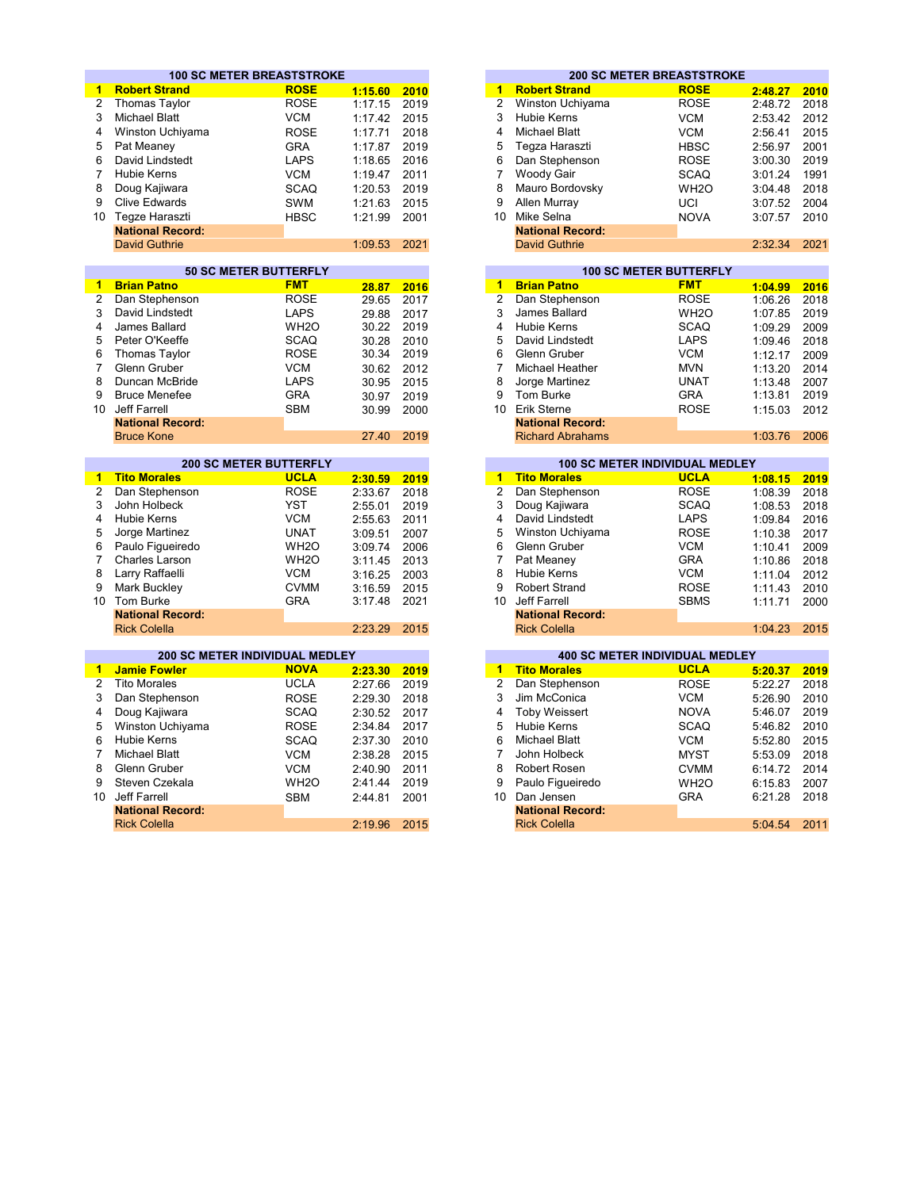|                 | <b>100 SC METER BREASTSTROKE</b> |                   |         |      |                         | <b>200 SC METER BREASTSTROKE</b>      |                               |         |      |
|-----------------|----------------------------------|-------------------|---------|------|-------------------------|---------------------------------------|-------------------------------|---------|------|
| $\mathbf{1}$    | <b>Robert Strand</b>             | <b>ROSE</b>       | 1:15.60 | 2010 | 1                       | <b>Robert Strand</b>                  | <b>ROSE</b>                   | 2:48.27 | 2010 |
| $\overline{2}$  | <b>Thomas Taylor</b>             | <b>ROSE</b>       | 1:17.15 | 2019 | $\overline{2}$          | Winston Uchiyama                      | <b>ROSE</b>                   | 2:48.72 | 2018 |
| 3               | <b>Michael Blatt</b>             | <b>VCM</b>        | 1:17.42 | 2015 | 3                       | <b>Hubie Kerns</b>                    | <b>VCM</b>                    | 2:53.42 | 2012 |
| 4               | Winston Uchiyama                 | <b>ROSE</b>       | 1:17.71 | 2018 | $\overline{\mathbf{4}}$ | <b>Michael Blatt</b>                  | <b>VCM</b>                    | 2:56.41 | 2015 |
| 5               | Pat Meaney                       | <b>GRA</b>        | 1:17.87 | 2019 | 5                       | Tegza Haraszti                        | <b>HBSC</b>                   | 2:56.97 | 2001 |
| 6               | David Lindstedt                  | <b>LAPS</b>       | 1:18.65 | 2016 | 6                       | Dan Stephenson                        | <b>ROSE</b>                   | 3:00.30 | 2019 |
| 7               | <b>Hubie Kerns</b>               | <b>VCM</b>        | 1:19.47 | 2011 | $\overline{7}$          | Woody Gair                            | <b>SCAQ</b>                   | 3:01.24 | 1991 |
| 8               | Doug Kajiwara                    | <b>SCAQ</b>       | 1:20.53 | 2019 | 8                       | Mauro Bordovsky                       | WH <sub>2</sub> O             | 3:04.48 | 2018 |
| 9               | <b>Clive Edwards</b>             | <b>SWM</b>        | 1:21.63 | 2015 | 9                       | Allen Murray                          | UCI                           |         | 2004 |
| 10 <sup>1</sup> | Tegze Haraszti                   |                   |         |      |                         | 10 Mike Selna                         |                               | 3:07.52 |      |
|                 | <b>National Record:</b>          | <b>HBSC</b>       | 1:21.99 | 2001 |                         | <b>National Record:</b>               | <b>NOVA</b>                   | 3:07.57 | 2010 |
|                 | <b>David Guthrie</b>             |                   | 1:09.53 | 2021 |                         | <b>David Guthrie</b>                  |                               | 2:32.34 | 2021 |
|                 |                                  |                   |         |      |                         |                                       |                               |         |      |
|                 | <b>50 SC METER BUTTERFLY</b>     |                   |         |      |                         |                                       | <b>100 SC METER BUTTERFLY</b> |         |      |
| $\mathbf{1}$    | <b>Brian Patno</b>               | <b>FMT</b>        | 28.87   | 2016 | $\overline{1}$          | <b>Brian Patno</b>                    | <b>FMT</b>                    | 1:04.99 | 2016 |
| $\overline{2}$  | Dan Stephenson                   | <b>ROSE</b>       | 29.65   | 2017 | $\overline{2}$          | Dan Stephenson                        | <b>ROSE</b>                   | 1:06.26 | 2018 |
| 3               | David Lindstedt                  | <b>LAPS</b>       | 29.88   | 2017 | 3                       | James Ballard                         | WH <sub>2</sub> O             | 1:07.85 | 2019 |
| 4               | James Ballard                    | WH <sub>2</sub> O | 30.22   | 2019 | $\overline{\mathbf{4}}$ | <b>Hubie Kerns</b>                    | <b>SCAQ</b>                   | 1:09.29 | 2009 |
| 5               | Peter O'Keeffe                   | <b>SCAQ</b>       | 30.28   | 2010 | 5                       | David Lindstedt                       | <b>LAPS</b>                   | 1:09.46 | 2018 |
| 6               | <b>Thomas Taylor</b>             | <b>ROSE</b>       | 30.34   | 2019 | 6                       | Glenn Gruber                          | <b>VCM</b>                    | 1:12.17 | 2009 |
| $\overline{7}$  | Glenn Gruber                     | <b>VCM</b>        | 30.62   | 2012 | 7                       | Michael Heather                       | <b>MVN</b>                    | 1:13.20 | 2014 |
| 8               | Duncan McBride                   | <b>LAPS</b>       | 30.95   | 2015 | 8                       | Jorge Martinez                        | <b>UNAT</b>                   | 1:13.48 | 2007 |
| 9               | <b>Bruce Menefee</b>             | <b>GRA</b>        | 30.97   | 2019 | 9                       | Tom Burke                             | <b>GRA</b>                    | 1:13.81 | 2019 |
| 10              | Jeff Farrell                     | <b>SBM</b>        |         | 2000 |                         | 10 Erik Sterne                        | <b>ROSE</b>                   |         | 2012 |
|                 | <b>National Record:</b>          |                   | 30.99   |      |                         | <b>National Record:</b>               |                               | 1:15.03 |      |
|                 | <b>Bruce Kone</b>                |                   | 27.40   | 2019 |                         | <b>Richard Abrahams</b>               |                               | 1:03.76 | 2006 |
|                 |                                  |                   |         |      |                         |                                       |                               |         |      |
|                 | <b>200 SC METER BUTTERFLY</b>    |                   |         |      |                         | 100 SC METER INDIVIDUAL MEDLEY        |                               |         |      |
| 1               | <b>Tito Morales</b>              | <b>UCLA</b>       | 2:30.59 | 2019 | 1                       | <b>Tito Morales</b>                   | <b>UCLA</b>                   | 1:08.15 | 2019 |
| $\overline{2}$  | Dan Stephenson                   | <b>ROSE</b>       | 2:33.67 | 2018 | $\overline{2}$          | Dan Stephenson                        | <b>ROSE</b>                   | 1:08.39 | 2018 |
| 3               | John Holbeck                     | <b>YST</b>        | 2:55.01 | 2019 | 3                       | Doug Kajiwara                         | <b>SCAQ</b>                   | 1:08.53 | 2018 |
| 4               | Hubie Kerns                      | <b>VCM</b>        | 2:55.63 | 2011 | 4                       | David Lindstedt                       | <b>LAPS</b>                   | 1:09.84 | 2016 |
| 5               | Jorge Martinez                   | <b>UNAT</b>       | 3:09.51 | 2007 | 5                       | Winston Uchiyama                      | <b>ROSE</b>                   | 1:10.38 | 2017 |
| 6               | Paulo Figueiredo                 | WH <sub>2</sub> O | 3:09.74 | 2006 | 6                       | Glenn Gruber                          | <b>VCM</b>                    | 1:10.41 | 2009 |
| $\overline{7}$  | Charles Larson                   | WH <sub>2</sub> O | 3:11.45 | 2013 | $\overline{7}$          | Pat Meaney                            | <b>GRA</b>                    | 1:10.86 | 2018 |
| 8               | Larry Raffaelli                  | <b>VCM</b>        | 3:16.25 | 2003 | 8                       | <b>Hubie Kerns</b>                    | <b>VCM</b>                    | 1:11.04 | 2012 |
| 9               | Mark Buckley                     | <b>CVMM</b>       | 3:16.59 | 2015 | $\mathbf{Q}$            | <b>Robert Strand</b>                  | <b>ROSE</b>                   | 1:11.43 | 2010 |
| 10              | Tom Burke                        | <b>GRA</b>        | 3:17.48 | 2021 | 10                      | Jeff Farrell                          | <b>SBMS</b>                   | 1:11.71 | 2000 |
|                 | <b>National Record:</b>          |                   |         |      |                         | <b>National Record:</b>               |                               |         |      |
|                 | <b>Rick Colella</b>              |                   | 2:23.29 | 2015 |                         | <b>Rick Colella</b>                   |                               | 1:04.23 | 2015 |
|                 |                                  |                   |         |      |                         |                                       |                               |         |      |
|                 | 200 SC METER INDIVIDUAL MEDLEY   |                   |         |      |                         | <b>400 SC METER INDIVIDUAL MEDLEY</b> |                               |         |      |
| 1.              | <b>Jamie Fowler</b>              | <b>NOVA</b>       | 2:23.30 | 2019 | $\blacktriangleleft$    | <b>Tito Morales</b>                   | <b>UCLA</b>                   | 5:20.37 | 2019 |
| $\overline{2}$  | <b>Tito Morales</b>              | <b>UCLA</b>       | 2:27.66 | 2019 | $\overline{2}$          | Dan Stephenson                        | <b>ROSE</b>                   | 5:22.27 | 2018 |
| 3               | Dan Stephenson                   | <b>ROSE</b>       | 2:29.30 | 2018 | 3                       | Jim McConica                          | <b>VCM</b>                    | 5:26.90 | 2010 |
| 4               | Doug Kajiwara                    | <b>SCAQ</b>       | 2:30.52 | 2017 | 4                       | <b>Toby Weissert</b>                  | <b>NOVA</b>                   | 5:46.07 | 2019 |
| 5               | Winston Uchiyama                 | <b>ROSE</b>       | 2:34.84 | 2017 | 5                       | <b>Hubie Kerns</b>                    | <b>SCAQ</b>                   | 5:46.82 | 2010 |
| 6               | <b>Hubie Kerns</b>               | <b>SCAQ</b>       | 2:37.30 | 2010 | 6                       | <b>Michael Blatt</b>                  | <b>VCM</b>                    | 5:52.80 | 2015 |
| 7               | <b>Michael Blatt</b>             | <b>VCM</b>        | 2:38.28 | 2015 | $\overline{7}$          | John Holbeck                          | <b>MYST</b>                   | 5:53.09 | 2018 |
| 8               | Glenn Gruber                     | <b>VCM</b>        | 2:40.90 | 2011 | 8                       | Robert Rosen                          | <b>CVMM</b>                   | 6:14.72 | 2014 |
| 9               | Steven Czekala                   | WH <sub>20</sub>  | 2:41.44 | 2019 | 9                       | Paulo Figueiredo                      | WH <sub>2</sub> O             | 6:15.83 | 2007 |
| 10              | <b>Jeff Farrell</b>              | <b>SBM</b>        | 2:44.81 | 2001 | 10 <sup>°</sup>         | Dan Jensen                            | <b>GRA</b>                    | 6:21.28 | 2018 |
|                 | <b>National Record:</b>          |                   |         |      |                         | <b>National Record:</b>               |                               |         |      |
|                 | <b>Rick Colella</b>              |                   | 2:19.96 | 2015 |                         | <b>Rick Colella</b>                   |                               | 5:04.54 | 2011 |
|                 |                                  |                   |         |      |                         |                                       |                               |         |      |

|         |      |    |                         | <b>200 SC METER BREASTSTROKE</b> |         |  |
|---------|------|----|-------------------------|----------------------------------|---------|--|
| 1:15.60 | 2010 | 1  | <b>Robert Strand</b>    | <b>ROSE</b>                      | 2:48.27 |  |
| 1:17.15 | 2019 | 2  | Winston Uchiyama        | <b>ROSE</b>                      | 2:48.72 |  |
| 1:17.42 | 2015 | 3  | <b>Hubie Kerns</b>      | <b>VCM</b>                       | 2:53.42 |  |
| 1:17.71 | 2018 | 4  | <b>Michael Blatt</b>    | <b>VCM</b>                       | 2:56.41 |  |
| 1:17.87 | 2019 | 5  | Tegza Haraszti          | <b>HBSC</b>                      | 2:56.97 |  |
| 1:18.65 | 2016 | 6  | Dan Stephenson          | <b>ROSE</b>                      | 3:00.30 |  |
| 1:19.47 | 2011 |    | Woody Gair              | <b>SCAQ</b>                      | 3:01.24 |  |
| 1:20.53 | 2019 | 8  | Mauro Bordovsky         | WH <sub>2</sub> O                | 3:04.48 |  |
| 1:21.63 | 2015 | 9  | Allen Murray            | UCI                              | 3:07.52 |  |
| 1:21.99 | 2001 | 10 | Mike Selna              | <b>NOVA</b>                      | 3:07.57 |  |
|         |      |    | <b>National Record:</b> |                                  |         |  |
| 1:09.53 | 2021 |    | <b>David Guthrie</b>    |                                  | 2:32.34 |  |
|         |      |    |                         |                                  |         |  |

|       |      |    |                         | <b>100 SC METER BUTTERFLY</b> |         |      |
|-------|------|----|-------------------------|-------------------------------|---------|------|
| 28.87 | 2016 | 1  | <b>Brian Patno</b>      | <b>FMT</b>                    | 1:04.99 | 2016 |
| 29.65 | 2017 | 2  | Dan Stephenson          | <b>ROSE</b>                   | 1:06.26 | 2018 |
| 29.88 | 2017 | 3  | James Ballard           | WH <sub>2</sub> O             | 1:07.85 | 2019 |
| 30.22 | 2019 | 4  | <b>Hubie Kerns</b>      | <b>SCAQ</b>                   | 1:09.29 | 2009 |
| 30.28 | 2010 | 5  | David Lindstedt         | <b>LAPS</b>                   | 1:09.46 | 2018 |
| 30.34 | 2019 | 6  | Glenn Gruber            | <b>VCM</b>                    | 1:12.17 | 2009 |
| 30.62 | 2012 |    | Michael Heather         | <b>MVN</b>                    | 1:13.20 | 2014 |
| 30.95 | 2015 | 8  | Jorge Martinez          | <b>UNAT</b>                   | 1:13.48 | 2007 |
| 30.97 | 2019 | 9  | <b>Tom Burke</b>        | <b>GRA</b>                    | 1:13.81 | 2019 |
| 30.99 | 2000 | 10 | Erik Sterne             | <b>ROSE</b>                   | 1:15.03 | 2012 |
|       |      |    | <b>National Record:</b> |                               |         |      |
| 27.40 | 2019 |    | <b>Richard Abrahams</b> |                               | 1:03.76 | 2006 |

|      | <b>200 SC METER BUTTERFLY</b> |         |      | <b>100 SC METER INDIVIDUAL MEDLEY</b> |                         |             |         |      |  |  |
|------|-------------------------------|---------|------|---------------------------------------|-------------------------|-------------|---------|------|--|--|
|      | <b>UCLA</b>                   | 2:30.59 | 2019 | 1                                     | <b>Tito Morales</b>     | <b>UCLA</b> | 1:08.15 | 2019 |  |  |
| son  | <b>ROSE</b>                   | 2:33.67 | 2018 |                                       | Dan Stephenson          | <b>ROSE</b> | 1:08.39 | 2018 |  |  |
|      | YST                           | 2:55.01 | 2019 | 3                                     | Doug Kajiwara           | <b>SCAQ</b> | 1:08.53 | 2018 |  |  |
|      | <b>VCM</b>                    | 2:55.63 | 2011 | 4                                     | David Lindstedt         | <b>LAPS</b> | 1:09.84 | 2016 |  |  |
| .Z   | <b>UNAT</b>                   | 3:09.51 | 2007 | 5                                     | Winston Uchiyama        | <b>ROSE</b> | 1:10.38 | 2017 |  |  |
| edo  | WH <sub>2</sub> O             | 3:09.74 | 2006 | 6                                     | Glenn Gruber            | <b>VCM</b>  | 1:10.41 | 2009 |  |  |
| )n   | WH <sub>2</sub> O             | 3:11.45 | 2013 |                                       | Pat Meaney              | <b>GRA</b>  | 1:10.86 | 2018 |  |  |
|      | <b>VCM</b>                    | 3:16.25 | 2003 | 8                                     | <b>Hubie Kerns</b>      | <b>VCM</b>  | 1:11.04 | 2012 |  |  |
|      | <b>CVMM</b>                   | 3:16.59 | 2015 | 9                                     | <b>Robert Strand</b>    | <b>ROSE</b> | 1:11.43 | 2010 |  |  |
|      | <b>GRA</b>                    | 3:17.48 | 2021 | 10                                    | Jeff Farrell            | <b>SBMS</b> | 1:11.71 | 2000 |  |  |
| ord: |                               |         |      |                                       | <b>National Record:</b> |             |         |      |  |  |
|      |                               | 2:23.29 | 2015 |                                       | <b>Rick Colella</b>     |             | 1:04.23 | 2015 |  |  |

| 2:23.30 | 2019 |
|---------|------|
| 2:27.66 | 2019 |
| 2:29.30 | 2018 |
| 2:30.52 | 2017 |
| 2:34.84 | 2017 |
| 2:37.30 | 2010 |
| 2:38.28 | 2015 |
| 2:40.90 | 2011 |
| 2:41.44 | 2019 |
| 2:44.81 | 2001 |
|         |      |
| 2:19.96 | 2015 |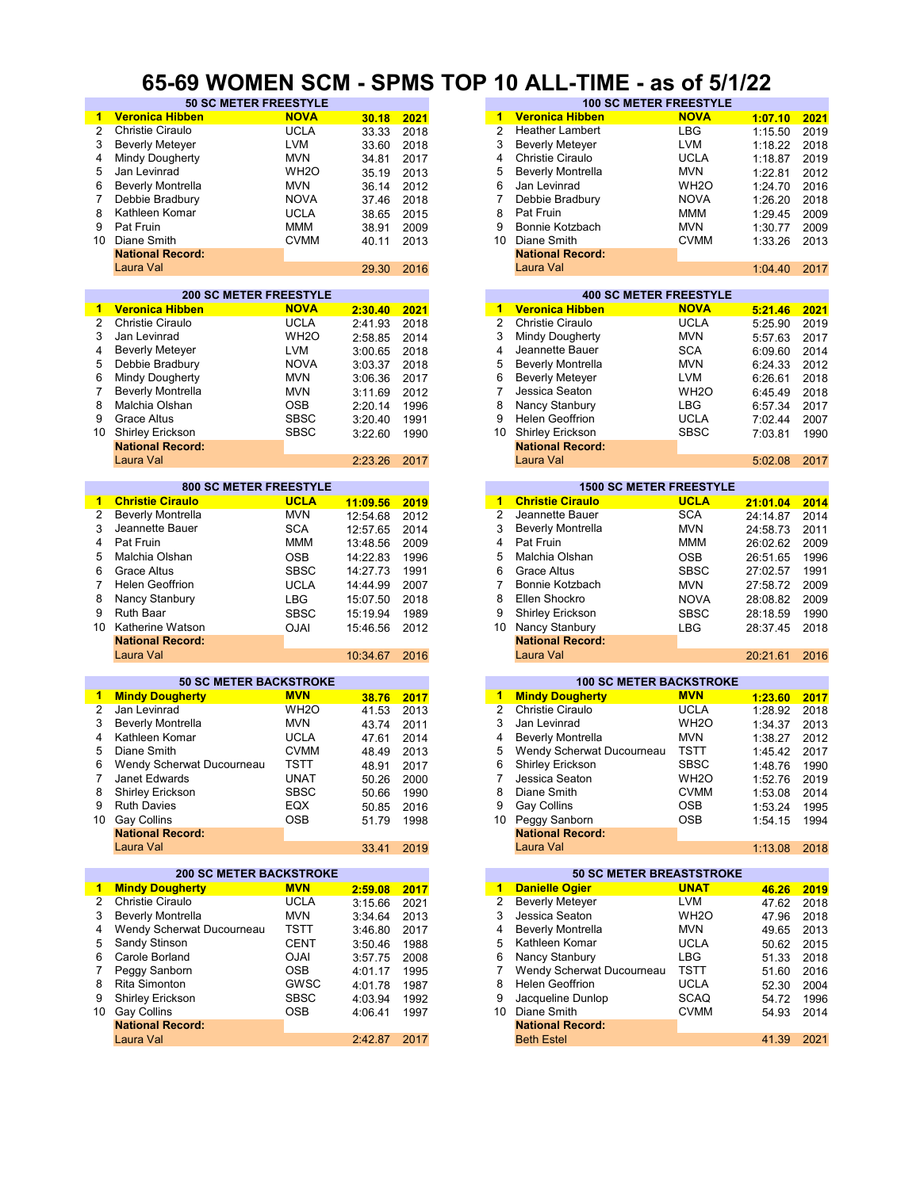#### **65-69 WOMEN SCM - SPMS TOP 10 ALL-TIME - as of 5/1/22**

| 1              | <b>Veronica Hibben</b>         | <b>NOVA</b>       | 30.18      | 2021 | 1              | <b>Veronica Hibben</b>          | <b>NOVA</b>       | 1:07.10  | 2021 |
|----------------|--------------------------------|-------------------|------------|------|----------------|---------------------------------|-------------------|----------|------|
| 2              | Christie Ciraulo               | <b>UCLA</b>       | 33.33      | 2018 | $\overline{2}$ | <b>Heather Lambert</b>          | <b>LBG</b>        | 1:15.50  | 2019 |
| 3              | <b>Beverly Meteyer</b>         | <b>LVM</b>        | 33.60      | 2018 | 3              | <b>Beverly Meteyer</b>          | <b>LVM</b>        | 1:18.22  | 2018 |
| 4              | Mindy Dougherty                | <b>MVN</b>        |            |      | 4              | <b>Christie Ciraulo</b>         | <b>UCLA</b>       |          |      |
|                |                                |                   | 34.81      | 2017 |                |                                 |                   | 1:18.87  | 2019 |
| 5              | Jan Levinrad                   | WH <sub>2</sub> O | 35.19      | 2013 | 5              | <b>Beverly Montrella</b>        | MVN               | 1:22.81  | 2012 |
| 6              | <b>Beverly Montrella</b>       | <b>MVN</b>        | 36.14      | 2012 | 6              | Jan Levinrad                    | WH <sub>2</sub> O | 1:24.70  | 2016 |
| $\overline{7}$ | Debbie Bradbury                | <b>NOVA</b>       | 37.46      | 2018 | 7              | Debbie Bradbury                 | <b>NOVA</b>       | 1:26.20  | 2018 |
|                |                                |                   |            |      |                |                                 |                   |          |      |
| 8              | Kathleen Komar                 | <b>UCLA</b>       | 38.65      | 2015 | 8              | Pat Fruin                       | <b>MMM</b>        | 1:29.45  | 2009 |
| 9              | Pat Fruin                      | <b>MMM</b>        | 38.91      | 2009 | 9              | Bonnie Kotzbach                 | <b>MVN</b>        | 1:30.77  | 2009 |
|                | 10 Diane Smith                 | <b>CVMM</b>       | 40.11      | 2013 | 10             | Diane Smith                     | <b>CVMM</b>       | 1:33.26  | 2013 |
|                | <b>National Record:</b>        |                   |            |      |                | <b>National Record:</b>         |                   |          |      |
|                |                                |                   |            |      |                |                                 |                   |          |      |
|                | Laura Val                      |                   | 29.30      | 2016 |                | Laura Val                       |                   | 1:04.40  | 2017 |
|                |                                |                   |            |      |                |                                 |                   |          |      |
|                | <b>200 SC METER FREESTYLE</b>  |                   |            |      |                | <b>400 SC METER FREESTYLE</b>   |                   |          |      |
| 1              | <b>Veronica Hibben</b>         | <b>NOVA</b>       | 2:30.40    | 2021 |                | 1 Veronica Hibben               | <b>NOVA</b>       | 5:21.46  | 2021 |
|                |                                |                   |            |      |                |                                 |                   |          |      |
| 2              | <b>Christie Ciraulo</b>        | <b>UCLA</b>       | 2:41.93    | 2018 | $\overline{2}$ | Christie Ciraulo                | <b>UCLA</b>       | 5:25.90  | 2019 |
| 3              | Jan Levinrad                   | WH <sub>20</sub>  | 2:58.85    | 2014 | 3              | Mindy Dougherty                 | MVN               | 5:57.63  | 2017 |
| 4              | <b>Beverly Meteyer</b>         | <b>LVM</b>        | 3:00.65    | 2018 | 4              | Jeannette Bauer                 | <b>SCA</b>        | 6:09.60  | 2014 |
|                |                                |                   |            |      |                |                                 |                   |          |      |
| 5              | Debbie Bradbury                | <b>NOVA</b>       | 3:03.37    | 2018 | 5              | <b>Beverly Montrella</b>        | <b>MVN</b>        | 6:24.33  | 2012 |
| 6              | Mindy Dougherty                | <b>MVN</b>        | 3:06.36    | 2017 | 6              | <b>Beverly Meteyer</b>          | LVM               | 6:26.61  | 2018 |
| $\overline{7}$ | <b>Beverly Montrella</b>       | <b>MVN</b>        | 3:11.69    | 2012 | 7              | Jessica Seaton                  | WH <sub>2</sub> O | 6:45.49  | 2018 |
| 8              | Malchia Olshan                 | <b>OSB</b>        |            | 1996 | 8              | Nancy Stanbury                  | LBG               | 6:57.34  | 2017 |
|                |                                |                   | 2:20.14    |      |                |                                 |                   |          |      |
| 9              | <b>Grace Altus</b>             | <b>SBSC</b>       | 3:20.40    | 1991 | 9              | Helen Geoffrion                 | <b>UCLA</b>       | 7:02.44  | 2007 |
| 10             | Shirley Erickson               | <b>SBSC</b>       | 3:22.60    | 1990 | 10             | Shirley Erickson                | <b>SBSC</b>       | 7:03.81  | 1990 |
|                | <b>National Record:</b>        |                   |            |      |                | <b>National Record:</b>         |                   |          |      |
|                | Laura Val                      |                   |            |      |                | Laura Val                       |                   |          |      |
|                |                                |                   | 2:23.26    | 2017 |                |                                 |                   | 5:02.08  | 2017 |
|                |                                |                   |            |      |                |                                 |                   |          |      |
|                | <b>800 SC METER FREESTYLE</b>  |                   |            |      |                | <b>1500 SC METER FREESTYLE</b>  |                   |          |      |
| 1              | <b>Christie Ciraulo</b>        | <b>UCLA</b>       | 11:09.56   | 2019 | 1.             | <b>Christie Ciraulo</b>         | <b>UCLA</b>       | 21:01.04 | 2014 |
| 2              | <b>Beverly Montrella</b>       | <b>MVN</b>        | 12:54.68   | 2012 | 2              | Jeannette Bauer                 | <b>SCA</b>        | 24:14.87 | 2014 |
| 3              |                                |                   |            |      | 3              |                                 |                   |          |      |
|                | Jeannette Bauer                | <b>SCA</b>        | 12:57.65   | 2014 |                | <b>Beverly Montrella</b>        | MVN               | 24:58.73 | 2011 |
| 4              | Pat Fruin                      | <b>MMM</b>        | 13:48.56   | 2009 | 4              | Pat Fruin                       | MMM               | 26:02.62 | 2009 |
| 5              | Malchia Olshan                 | <b>OSB</b>        | 14:22.83   | 1996 | 5              | Malchia Olshan                  | <b>OSB</b>        | 26:51.65 | 1996 |
| 6              | <b>Grace Altus</b>             | <b>SBSC</b>       | 14:27.73   | 1991 | 6              | <b>Grace Altus</b>              | <b>SBSC</b>       | 27:02.57 | 1991 |
|                |                                |                   |            |      |                |                                 |                   |          |      |
| $\overline{7}$ | <b>Helen Geoffrion</b>         | <b>UCLA</b>       | 14:44.99   | 2007 | 7              | Bonnie Kotzbach                 | <b>MVN</b>        | 27:58.72 | 2009 |
| 8              | Nancy Stanbury                 | <b>LBG</b>        | 15:07.50   | 2018 | 8              | Ellen Shockro                   | <b>NOVA</b>       | 28:08.82 | 2009 |
| 9              | Ruth Baar                      | <b>SBSC</b>       | 15:19.94   | 1989 | 9              | Shirley Erickson                | <b>SBSC</b>       | 28:18.59 | 1990 |
|                |                                |                   |            |      |                |                                 |                   |          |      |
| 10             | Katherine Watson               | <b>OJAI</b>       | 15:46.56   | 2012 | 10             | Nancy Stanbury                  | <b>LBG</b>        | 28:37.45 | 2018 |
|                | <b>National Record:</b>        |                   |            |      |                | <b>National Record:</b>         |                   |          |      |
|                | Laura Val                      |                   | 10:34.67   | 2016 |                | Laura Val                       |                   | 20:21.61 | 2016 |
|                |                                |                   |            |      |                |                                 |                   |          |      |
|                | <b>50 SC METER BACKSTROKE</b>  |                   |            |      |                | <b>100 SC METER BACKSTROKE</b>  |                   |          |      |
|                |                                |                   |            |      |                |                                 |                   |          |      |
| 1              | <b>Mindy Dougherty</b>         | <b>MVN</b>        | 38.76      | 2017 |                | 1 Mindy Dougherty               | <b>MVN</b>        | 1:23.60  | 2017 |
| 2              | Jan Levinrad                   | WH <sub>20</sub>  | 41.53      | 2013 | $\overline{2}$ | Christie Ciraulo                | <b>UCLA</b>       | 1:28.92  | 2018 |
| 3              | <b>Beverly Montrella</b>       | <b>MVN</b>        | 43.74      | 2011 | 3              | Jan Levinrad                    | WH <sub>2</sub> O | 1:34.37  | 2013 |
| 4              | Kathleen Komar                 | <b>UCLA</b>       | 47.61      | 2014 | 4              | <b>Beverly Montrella</b>        | <b>MVN</b>        | 1:38.27  | 2012 |
|                |                                |                   |            |      |                |                                 |                   |          |      |
| 5              | Diane Smith                    | <b>CVMM</b>       | 48.49      | 2013 | 5              | Wendy Scherwat Ducourneau       | <b>TSTT</b>       | 1:45.42  | 2017 |
| 6              | Wendy Scherwat Ducourneau      | <b>TSTT</b>       | 48.91      | 2017 | 6              | Shirley Erickson                | <b>SBSC</b>       | 1:48.76  | 1990 |
| 7              | Janet Edwards                  | <b>UNAT</b>       | 50.26 2000 |      | 7              | Jessica Seaton                  | WH <sub>2</sub> O | 1:52.76  | 2019 |
| 8              | Shirley Erickson               | <b>SBSC</b>       | 50.66      | 1990 | 8              | Diane Smith                     | <b>CVMM</b>       | 1:53.08  | 2014 |
|                |                                |                   |            |      |                |                                 |                   |          |      |
| 9              | <b>Ruth Davies</b>             | EQX               | 50.85      | 2016 | 9              | Gay Collins                     | <b>OSB</b>        | 1:53.24  | 1995 |
|                | 10 Gay Collins                 | OSB               | 51.79      | 1998 |                | 10 Peggy Sanborn                | OSB               | 1:54.15  | 1994 |
|                | <b>National Record:</b>        |                   |            |      |                | <b>National Record:</b>         |                   |          |      |
|                | Laura Val                      |                   | 33.41      | 2019 |                | Laura Val                       |                   | 1:13.08  | 2018 |
|                |                                |                   |            |      |                |                                 |                   |          |      |
|                |                                |                   |            |      |                |                                 |                   |          |      |
|                | <b>200 SC METER BACKSTROKE</b> |                   |            |      |                | <b>50 SC METER BREASTSTROKE</b> |                   |          |      |
| 1              | <b>Mindy Dougherty</b>         | <b>MVN</b>        | 2:59.08    | 2017 | $\blacksquare$ | <b>Danielle Ogier</b>           | <b>UNAT</b>       | 46.26    | 2019 |
| 2              | Christie Ciraulo               | <b>UCLA</b>       | 3:15.66    | 2021 | 2              | <b>Beverly Meteyer</b>          | LVM               | 47.62    | 2018 |
| 3              | <b>Beverly Montrella</b>       | <b>MVN</b>        | 3:34.64    | 2013 | 3              | Jessica Seaton                  | WH <sub>2</sub> O | 47.96    | 2018 |
|                |                                |                   |            |      |                |                                 |                   |          |      |
| 4              | Wendy Scherwat Ducourneau      | TSTT              | 3:46.80    | 2017 | 4              | <b>Beverly Montrella</b>        | <b>MVN</b>        | 49.65    | 2013 |
| 5              | Sandy Stinson                  | <b>CENT</b>       | 3:50.46    | 1988 | 5              | Kathleen Komar                  | <b>UCLA</b>       | 50.62    | 2015 |
| 6              | Carole Borland                 | <b>OJAI</b>       | 3:57.75    | 2008 | 6              | Nancy Stanbury                  | LBG               | 51.33    | 2018 |
| 7              | Peggy Sanborn                  | <b>OSB</b>        | 4:01.17    | 1995 | 7              | Wendy Scherwat Ducourneau       | TSTT              | 51.60    | 2016 |
|                |                                |                   |            |      |                |                                 |                   |          |      |
| 8              | Rita Simonton                  | GWSC              | 4:01.78    | 1987 | 8              | <b>Helen Geoffrion</b>          | <b>UCLA</b>       | 52.30    | 2004 |
| 9              | <b>Shirley Erickson</b>        | <b>SBSC</b>       | 4:03.94    | 1992 | 9              | Jacqueline Dunlop               | <b>SCAQ</b>       | 54.72    | 1996 |
|                | 10 Gay Collins                 | OSB               | 4:06.41    | 1997 |                | 10 Diane Smith                  | <b>CVMM</b>       | 54.93    | 2014 |
|                | <b>National Record:</b>        |                   |            |      |                | <b>National Record:</b>         |                   |          |      |
|                |                                |                   |            |      |                |                                 |                   |          |      |
|                | Laura Val                      |                   | 2:42.87    | 2017 |                | <b>Beth Estel</b>               |                   | 41.39    | 2021 |
|                |                                |                   |            |      |                |                                 |                   |          |      |

|       | - - - -                      |       |      |    |                          |                               |         |      |
|-------|------------------------------|-------|------|----|--------------------------|-------------------------------|---------|------|
|       | <b>50 SC METER FREESTYLE</b> |       |      |    |                          | <b>100 SC METER FREESTYLE</b> |         |      |
| benl  | <b>NOVA</b>                  | 30.18 | 2021 |    | <b>Veronica Hibben</b>   | <b>NOVA</b>                   | 1:07.10 | 2021 |
| о     | <b>UCLA</b>                  | 33.33 | 2018 | 2  | <b>Heather Lambert</b>   | LBG                           | 1:15.50 | 2019 |
| er    | <b>LVM</b>                   | 33.60 | 2018 | 3  | <b>Beverly Metever</b>   | <b>LVM</b>                    | 1:18.22 | 2018 |
| erty: | <b>MVN</b>                   | 34.81 | 2017 | 4  | Christie Ciraulo         | <b>UCLA</b>                   | 1:18.87 | 2019 |
|       | WH <sub>2</sub> O            | 35.19 | 2013 | 5  | <b>Beverly Montrella</b> | <b>MVN</b>                    | 1:22.81 | 2012 |
| ella  | <b>MVN</b>                   | 36.14 | 2012 | 6  | Jan Levinrad             | WH <sub>2</sub> O             | 1:24.70 | 2016 |
| ury   | <b>NOVA</b>                  | 37.46 | 2018 |    | Debbie Bradbury          | <b>NOVA</b>                   | 1:26.20 | 2018 |
| ar    | <b>UCLA</b>                  | 38.65 | 2015 | 8  | Pat Fruin                | MMM                           | 1:29.45 | 2009 |
|       | <b>MMM</b>                   | 38.91 | 2009 | 9  | Bonnie Kotzbach          | <b>MVN</b>                    | 1:30.77 | 2009 |
|       | <b>CVMM</b>                  | 40.11 | 2013 | 10 | Diane Smith              | <b>CVMM</b>                   | 1:33.26 | 2013 |
| :bıc  |                              |       |      |    | <b>National Record:</b>  |                               |         |      |
|       |                              | 29.30 | 2016 |    | Laura Val                |                               | 1:04.40 | 2017 |
|       |                              |       |      |    |                          |                               |         |      |

|         |      |    |                          | <b>400 SC METER FREESTYLE</b> |         |      |
|---------|------|----|--------------------------|-------------------------------|---------|------|
| 2:30.40 | 2021 | 1  | <b>Veronica Hibben</b>   | <b>NOVA</b>                   | 5:21.46 | 2021 |
| 2:41.93 | 2018 | 2  | Christie Ciraulo         | <b>UCLA</b>                   | 5:25.90 | 2019 |
| 2:58.85 | 2014 | 3  | Mindy Dougherty          | <b>MVN</b>                    | 5:57.63 | 2017 |
| 3:00.65 | 2018 | 4  | Jeannette Bauer          | <b>SCA</b>                    | 6:09.60 | 2014 |
| 3:03.37 | 2018 | 5  | <b>Beverly Montrella</b> | <b>MVN</b>                    | 6:24.33 | 2012 |
| 3:06.36 | 2017 | 6  | <b>Beverly Meteyer</b>   | <b>LVM</b>                    | 6:26.61 | 2018 |
| 3:11.69 | 2012 | 7  | Jessica Seaton           | WH <sub>2</sub> O             | 6:45.49 | 2018 |
| 2:20.14 | 1996 | 8  | Nancy Stanbury           | LBG                           | 6:57.34 | 2017 |
| 3:20.40 | 1991 | 9  | <b>Helen Geoffrion</b>   | <b>UCLA</b>                   | 7:02.44 | 2007 |
| 3:22.60 | 1990 | 10 | Shirley Erickson         | <b>SBSC</b>                   | 7:03.81 | 1990 |
|         |      |    | <b>National Record:</b>  |                               |         |      |
| 2:23.26 | 2017 |    | Laura Val                |                               | 5:02.08 | 2017 |

| 11:09.56 | 2019 |
|----------|------|
| 12:54.68 | 2012 |
| 12:57.65 | 2014 |
| 13:48.56 | 2009 |
| 14:22.83 | 1996 |
| 14:27.73 | 1991 |
| 14:44.99 | 2007 |
| 15:07.50 | 2018 |
| 15:19.94 | 1989 |
| 15:46.56 | 2012 |
|          |      |
| 10:34.67 | 2016 |
|          |      |

| 38.76 | 2017 |
|-------|------|
| 41.53 | 2013 |
| 43.74 | 2011 |
| 47.61 | 2014 |
| 48.49 | 2013 |
| 48.91 | 2017 |
| 50.26 | 2000 |
| 50.66 | 1990 |
| 50.85 | 2016 |
| 51.79 | 1998 |
|       |      |
| 33.41 | 2019 |
|       |      |

| 2017 | <b>Danielle Ogier</b>    | <b>UNAT</b>                                | 46.26                                                        | 2019 |
|------|--------------------------|--------------------------------------------|--------------------------------------------------------------|------|
| 2021 | <b>Beverly Meteyer</b>   | <b>LVM</b>                                 | 47.62                                                        | 2018 |
| 2013 | Jessica Seaton           | WH <sub>2</sub> O                          | 47.96                                                        | 2018 |
| 2017 | <b>Beverly Montrella</b> | <b>MVN</b>                                 | 49.65                                                        | 2013 |
| 1988 | Kathleen Komar           | <b>UCLA</b>                                | 50.62                                                        | 2015 |
| 2008 | Nancy Stanbury           | <b>LBG</b>                                 | 51.33                                                        | 2018 |
| 1995 |                          | <b>TSTT</b>                                | 51.60                                                        | 2016 |
| 1987 | <b>Helen Geoffrion</b>   | <b>UCLA</b>                                | 52.30                                                        | 2004 |
| 1992 | Jacqueline Dunlop        | <b>SCAQ</b>                                | 54.72                                                        | 1996 |
| 1997 | Diane Smith              | <b>CVMM</b>                                | 54.93                                                        | 2014 |
|      | <b>National Record:</b>  |                                            |                                                              |      |
| 2017 | <b>Beth Estel</b>        |                                            | 41.39                                                        | 2021 |
|      |                          | 1<br>2<br>3<br>4<br>5<br>6<br>8<br>9<br>10 | <b>50 SC METER BREASTSTROKE</b><br>Wendy Scherwat Ducourneau |      |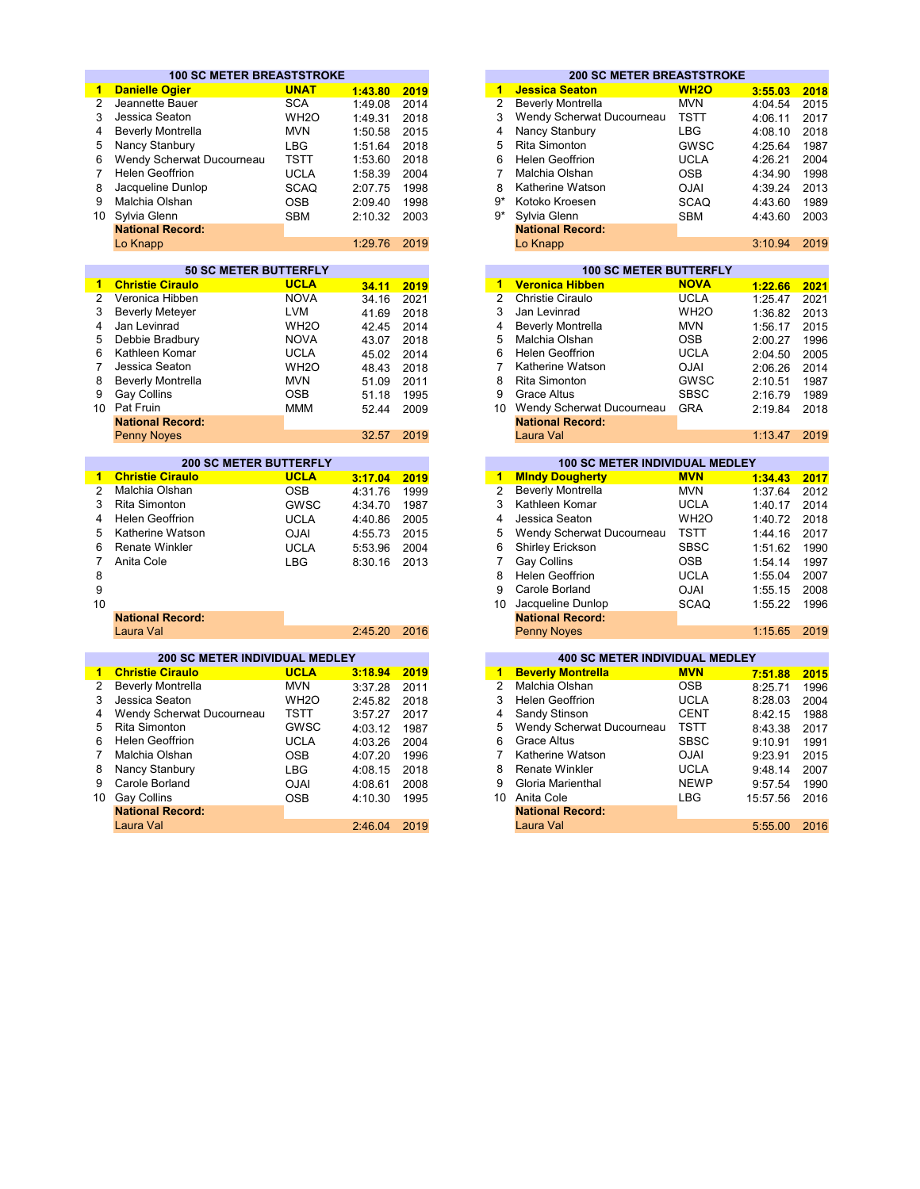|                 | <b>100 SC METER BREASTSTROKE</b>      |                   |         |      |                      | <b>200 SC METER BREASTSTROKE</b>      |                   |          |      |
|-----------------|---------------------------------------|-------------------|---------|------|----------------------|---------------------------------------|-------------------|----------|------|
| $\mathbf{1}$    | <b>Danielle Ogier</b>                 | <b>UNAT</b>       | 1:43.80 | 2019 | 1                    | <b>Jessica Seaton</b>                 | <b>WH2O</b>       | 3:55.03  | 2018 |
| $\overline{2}$  | Jeannette Bauer                       | <b>SCA</b>        | 1:49.08 | 2014 | $\overline{2}$       | <b>Beverly Montrella</b>              | <b>MVN</b>        | 4:04.54  |      |
| 3               | Jessica Seaton                        | WH <sub>2</sub> O | 1:49.31 | 2018 | 3                    | Wendy Scherwat Ducourneau             | <b>TSTT</b>       | 4:06.11  |      |
| 4               | <b>Beverly Montrella</b>              | <b>MVN</b>        | 1:50.58 | 2015 | 4                    | Nancy Stanbury                        | <b>LBG</b>        | 4:08.10  |      |
| 5               | Nancy Stanbury                        | <b>LBG</b>        | 1:51.64 | 2018 | 5                    | <b>Rita Simonton</b>                  | GWSC              | 4:25.64  |      |
| 6               | Wendy Scherwat Ducourneau             | <b>TSTT</b>       | 1:53.60 | 2018 | 6                    | <b>Helen Geoffrion</b>                | <b>UCLA</b>       | 4:26.21  |      |
| $\overline{7}$  | <b>Helen Geoffrion</b>                |                   |         |      | $\overline{7}$       | Malchia Olshan                        |                   |          |      |
|                 |                                       | <b>UCLA</b>       | 1:58.39 | 2004 |                      |                                       | <b>OSB</b>        | 4:34.90  |      |
| 8               | Jacqueline Dunlop                     | <b>SCAQ</b>       | 2:07.75 | 1998 | 8                    | Katherine Watson                      | <b>OJAI</b>       | 4:39.24  |      |
| 9               | Malchia Olshan                        | <b>OSB</b>        | 2:09.40 | 1998 | g*                   | Kotoko Kroesen                        | <b>SCAQ</b>       | 4:43.60  |      |
| 10              | Sylvia Glenn                          | <b>SBM</b>        | 2:10.32 | 2003 | $9*$                 | Sylvia Glenn                          | <b>SBM</b>        | 4:43.60  |      |
|                 | <b>National Record:</b>               |                   |         |      |                      | <b>National Record:</b>               |                   |          |      |
|                 | Lo Knapp                              |                   | 1:29.76 | 2019 |                      | Lo Knapp                              |                   | 3:10.94  |      |
|                 |                                       |                   |         |      |                      |                                       |                   |          |      |
|                 | <b>50 SC METER BUTTERFLY</b>          |                   |         |      |                      | <b>100 SC METER BUTTERFLY</b>         |                   |          |      |
| 1               | <b>Christie Ciraulo</b>               | <b>UCLA</b>       | 34.11   | 2019 | $\overline{1}$       | <b>Veronica Hibben</b>                | <b>NOVA</b>       | 1:22.66  |      |
| 2               | Veronica Hibben                       | <b>NOVA</b>       | 34.16   | 2021 | $\overline{2}$       | Christie Ciraulo                      | <b>UCLA</b>       | 1:25.47  |      |
| 3               | <b>Beverly Meteyer</b>                | <b>LVM</b>        | 41.69   | 2018 | 3                    | Jan Levinrad                          | WH <sub>2</sub> O | 1:36.82  |      |
| 4               | Jan Levinrad                          | WH <sub>2</sub> O | 42.45   | 2014 | 4                    | <b>Beverly Montrella</b>              | <b>MVN</b>        | 1:56.17  |      |
| 5               | Debbie Bradbury                       | <b>NOVA</b>       | 43.07   | 2018 | 5                    | Malchia Olshan                        | <b>OSB</b>        | 2:00.27  |      |
| 6               | Kathleen Komar                        | <b>UCLA</b>       | 45.02   | 2014 | 6                    | <b>Helen Geoffrion</b>                | <b>UCLA</b>       | 2:04.50  |      |
| 7               | Jessica Seaton                        | WH <sub>20</sub>  | 48.43   | 2018 | $\overline{7}$       | Katherine Watson                      | <b>OJAI</b>       | 2:06.26  |      |
| 8               | <b>Beverly Montrella</b>              | <b>MVN</b>        | 51.09   | 2011 | 8                    | <b>Rita Simonton</b>                  | GWSC              | 2:10.51  |      |
| 9               | <b>Gay Collins</b>                    | <b>OSB</b>        | 51.18   | 1995 | 9                    | <b>Grace Altus</b>                    | <b>SBSC</b>       | 2:16.79  |      |
| 10 <sup>1</sup> | Pat Fruin                             | <b>MMM</b>        | 52.44   | 2009 |                      | 10 Wendy Scherwat Ducourneau          | <b>GRA</b>        | 2:19.84  |      |
|                 | <b>National Record:</b>               |                   |         |      |                      | <b>National Record:</b>               |                   |          |      |
|                 | <b>Penny Noyes</b>                    |                   | 32.57   | 2019 |                      | Laura Val                             |                   | 1:13.47  |      |
|                 |                                       |                   |         |      |                      |                                       |                   |          |      |
|                 | <b>200 SC METER BUTTERFLY</b>         |                   |         |      |                      | <b>100 SC METER INDIVIDUAL MEDLEY</b> |                   |          |      |
| 1               | <b>Christie Ciraulo</b>               | <b>UCLA</b>       | 3:17.04 | 2019 | $\blacktriangleleft$ | <b>Mindy Dougherty</b>                | <b>MVN</b>        | 1:34.43  |      |
| $\overline{2}$  | Malchia Olshan                        | <b>OSB</b>        | 4:31.76 | 1999 | $\overline{2}$       | <b>Beverly Montrella</b>              | <b>MVN</b>        | 1:37.64  |      |
| 3               | Rita Simonton                         | GWSC              | 4:34.70 | 1987 | 3                    | Kathleen Komar                        | <b>UCLA</b>       | 1:40.17  |      |
| 4               | <b>Helen Geoffrion</b>                | <b>UCLA</b>       | 4:40.86 | 2005 | 4                    | Jessica Seaton                        | WH <sub>2</sub> O | 1:40.72  |      |
| 5               | Katherine Watson                      | <b>OJAI</b>       | 4:55.73 | 2015 | 5                    | Wendy Scherwat Ducourneau             | <b>TSTT</b>       | 1:44.16  |      |
| 6               | <b>Renate Winkler</b>                 | <b>UCLA</b>       | 5:53.96 | 2004 | 6                    | Shirley Erickson                      | <b>SBSC</b>       | 1:51.62  |      |
| 7               | Anita Cole                            | <b>LBG</b>        | 8:30.16 | 2013 | $\overline{7}$       | Gay Collins                           | <b>OSB</b>        | 1:54.14  |      |
| 8               |                                       |                   |         |      | 8                    | <b>Helen Geoffrion</b>                | <b>UCLA</b>       | 1:55.04  |      |
| 9               |                                       |                   |         |      | 9                    | Carole Borland                        | <b>OJAI</b>       |          |      |
|                 |                                       |                   |         |      |                      |                                       |                   | 1:55.15  |      |
| 10              |                                       |                   |         |      |                      | 10 Jacqueline Dunlop                  | <b>SCAQ</b>       | 1:55.22  |      |
|                 | <b>National Record:</b>               |                   |         |      |                      | <b>National Record:</b>               |                   |          |      |
|                 | Laura Val                             |                   | 2:45.20 | 2016 |                      | <b>Penny Noyes</b>                    |                   | 1:15.65  |      |
|                 | <b>200 SC METER INDIVIDUAL MEDLEY</b> |                   |         |      |                      | <b>400 SC METER INDIVIDUAL MEDLEY</b> |                   |          |      |
| $\mathbf{1}$    | <b>Christie Ciraulo</b>               | <b>UCLA</b>       | 3:18.94 | 2019 | $\mathbf{1}$         | <b>Beverly Montrella</b>              | <b>MVN</b>        | 7:51.88  |      |
| $\overline{2}$  | <b>Beverly Montrella</b>              | <b>MVN</b>        | 3:37.28 | 2011 | $\overline{2}$       | Malchia Olshan                        | <b>OSB</b>        | 8:25.71  |      |
| 3               | Jessica Seaton                        | WH <sub>2</sub> O | 2:45.82 | 2018 | 3                    | <b>Helen Geoffrion</b>                | <b>UCLA</b>       | 8:28.03  |      |
| 4               |                                       | <b>TSTT</b>       |         |      | 4                    |                                       | <b>CENT</b>       |          |      |
|                 | Wendy Scherwat Ducourneau             |                   | 3:57.27 | 2017 |                      | Sandy Stinson                         |                   | 8:42.15  |      |
| 5               | <b>Rita Simonton</b>                  | GWSC              | 4:03.12 | 1987 | 5                    | Wendy Scherwat Ducourneau             | <b>TSTT</b>       | 8:43.38  |      |
| 6               | <b>Helen Geoffrion</b>                | <b>UCLA</b>       | 4:03.26 | 2004 | 6                    | <b>Grace Altus</b>                    | <b>SBSC</b>       | 9:10.91  |      |
| $\overline{7}$  | Malchia Olshan                        | <b>OSB</b>        | 4:07.20 | 1996 | $\overline{7}$       | Katherine Watson                      | <b>OJAI</b>       | 9:23.91  |      |
| 8               | Nancy Stanbury                        | <b>LBG</b>        | 4:08.15 | 2018 | 8                    | <b>Renate Winkler</b>                 | <b>UCLA</b>       | 9:48.14  |      |
| 9               | Carole Borland                        | <b>OJAI</b>       | 4:08.61 | 2008 | 9                    | Gloria Marienthal                     | <b>NEWP</b>       | 9:57.54  |      |
| 10 <sup>1</sup> | <b>Gay Collins</b>                    | <b>OSB</b>        | 4:10.30 | 1995 |                      | 10 Anita Cole                         | <b>LBG</b>        | 15:57.56 |      |
|                 | <b>National Record:</b>               |                   |         |      |                      | <b>National Record:</b>               |                   |          |      |
|                 |                                       |                   |         |      |                      |                                       |                   |          |      |

|         |      |    | <b>200 SC METER BREASTSTROKE</b> |             |         |      |
|---------|------|----|----------------------------------|-------------|---------|------|
| 1:43.80 | 2019 | 1  | <b>Jessica Seaton</b>            | <b>WH2O</b> | 3:55.03 | 2018 |
| 1:49.08 | 2014 | 2  | <b>Beverly Montrella</b>         | <b>MVN</b>  | 4:04.54 | 2015 |
| 1:49.31 | 2018 | 3  | Wendy Scherwat Ducourneau        | <b>TSTT</b> | 4:06.11 | 2017 |
| 1:50.58 | 2015 | 4  | Nancy Stanbury                   | <b>LBG</b>  | 4:08.10 | 2018 |
| 1:51.64 | 2018 | 5  | <b>Rita Simonton</b>             | GWSC        | 4:25.64 | 1987 |
| 1:53.60 | 2018 | 6  | <b>Helen Geoffrion</b>           | <b>UCLA</b> | 4:26.21 | 2004 |
| 1:58.39 | 2004 |    | Malchia Olshan                   | <b>OSB</b>  | 4:34.90 | 1998 |
| 2:07.75 | 1998 | 8  | Katherine Watson                 | <b>OJAI</b> | 4:39.24 | 2013 |
| 2:09.40 | 1998 | 9* | Kotoko Kroesen                   | <b>SCAQ</b> | 4:43.60 | 1989 |
| 2:10.32 | 2003 | 9* | Sylvia Glenn                     | <b>SBM</b>  | 4:43.60 | 2003 |
|         |      |    | <b>National Record:</b>          |             |         |      |
| 1:29.76 | 2019 |    | Lo Knapp                         |             | 3:10.94 | 2019 |
|         |      |    |                                  |             |         |      |

|       |      |    | <b>100 SC METER BUTTERFLY</b> |                   |         |      |
|-------|------|----|-------------------------------|-------------------|---------|------|
| 34.11 | 2019 | 1  | <b>Veronica Hibben</b>        | <b>NOVA</b>       | 1:22.66 | 2021 |
| 34.16 | 2021 | 2  | Christie Ciraulo              | <b>UCLA</b>       | 1:25.47 | 2021 |
| 41.69 | 2018 | 3  | Jan Levinrad                  | WH <sub>2</sub> O | 1:36.82 | 2013 |
| 42.45 | 2014 | 4  | <b>Beverly Montrella</b>      | <b>MVN</b>        | 1:56.17 | 2015 |
| 43.07 | 2018 | 5  | Malchia Olshan                | OSB               | 2:00.27 | 1996 |
| 45.02 | 2014 | 6  | Helen Geoffrion               | <b>UCLA</b>       | 2:04.50 | 2005 |
| 48.43 | 2018 |    | Katherine Watson              | <b>OJAI</b>       | 2:06.26 | 2014 |
| 51.09 | 2011 | 8  | <b>Rita Simonton</b>          | <b>GWSC</b>       | 2:10.51 | 1987 |
| 51.18 | 1995 | 9  | Grace Altus                   | <b>SBSC</b>       | 2:16.79 | 1989 |
| 52.44 | 2009 | 10 | Wendy Scherwat Ducourneau     | <b>GRA</b>        | 2:19.84 | 2018 |
|       |      |    | <b>National Record:</b>       |                   |         |      |
| 32.57 | 2019 |    | Laura Val                     |                   | 1:13.47 | 2019 |

| <b>200 SC METER BUTTERFLY</b> |             |         |      |    | <b>100 SC METER INDIVIDUAL MEDLEY</b> |                   |         |      |
|-------------------------------|-------------|---------|------|----|---------------------------------------|-------------------|---------|------|
| ulo                           | <b>UCLA</b> | 3:17.04 | 2019 | 1  | <b>Mindy Dougherty</b>                | <b>MVN</b>        | 1:34.43 | 2017 |
| аn                            | <b>OSB</b>  | 4:31.76 | 1999 |    | <b>Beverly Montrella</b>              | <b>MVN</b>        | 1:37.64 | 2012 |
|                               | <b>GWSC</b> | 4:34.70 | 1987 | 3  | Kathleen Komar                        | <b>UCLA</b>       | 1:40.17 | 2014 |
| on                            | <b>UCLA</b> | 4:40.86 | 2005 | 4  | Jessica Seaton                        | WH <sub>2</sub> O | 1:40.72 | 2018 |
| ıtson                         | <b>OJAI</b> | 4:55.73 | 2015 | 5  | Wendy Scherwat Ducourneau             | <b>TSTT</b>       | 1:44.16 | 2017 |
| er                            | <b>UCLA</b> | 5:53.96 | 2004 | 6  | Shirley Erickson                      | <b>SBSC</b>       | 1:51.62 | 1990 |
|                               | LBG         | 8:30.16 | 2013 |    | Gay Collins                           | <b>OSB</b>        | 1:54.14 | 1997 |
|                               |             |         |      | 8  | <b>Helen Geoffrion</b>                | <b>UCLA</b>       | 1:55.04 | 2007 |
|                               |             |         |      | 9  | Carole Borland                        | <b>OJAI</b>       | 1:55.15 | 2008 |
|                               |             |         |      | 10 | Jacqueline Dunlop                     | <b>SCAQ</b>       | 1:55.22 | 1996 |
| ord:                          |             |         |      |    | <b>National Record:</b>               |                   |         |      |
|                               |             | 2:45.20 | 2016 |    | <b>Penny Noves</b>                    |                   | 1:15.65 | 2019 |

|                          |                                          | <b>400 SC METER INDIVIDUAL MEDLEY</b> |
|--------------------------|------------------------------------------|---------------------------------------|
| <b>Beverly Montrella</b> | <b>MVN</b>                               | 7:51.88                               |
| Malchia Olshan           | <b>OSB</b>                               | 8:25.71                               |
| <b>Helen Geoffrion</b>   | <b>UCLA</b>                              | 8:28.03                               |
| Sandy Stinson            | <b>CENT</b>                              | 8:42.15                               |
|                          | <b>TSTT</b><br>Wendy Scherwat Ducourneau | 8:43.38                               |
| Grace Altus              | <b>SBSC</b>                              | 9:10.91                               |
| Katherine Watson         | <b>OJAI</b>                              | 9:23.91                               |
| <b>Renate Winkler</b>    | <b>UCLA</b>                              | 9:48.14                               |
| Gloria Marienthal        | <b>NEWP</b>                              | 9:57.54                               |
| Anita Cole               | LBG                                      | 15:57.56                              |
| <b>National Record:</b>  |                                          |                                       |
| Laura Val                |                                          | 5:55.00                               |
|                          |                                          |                                       |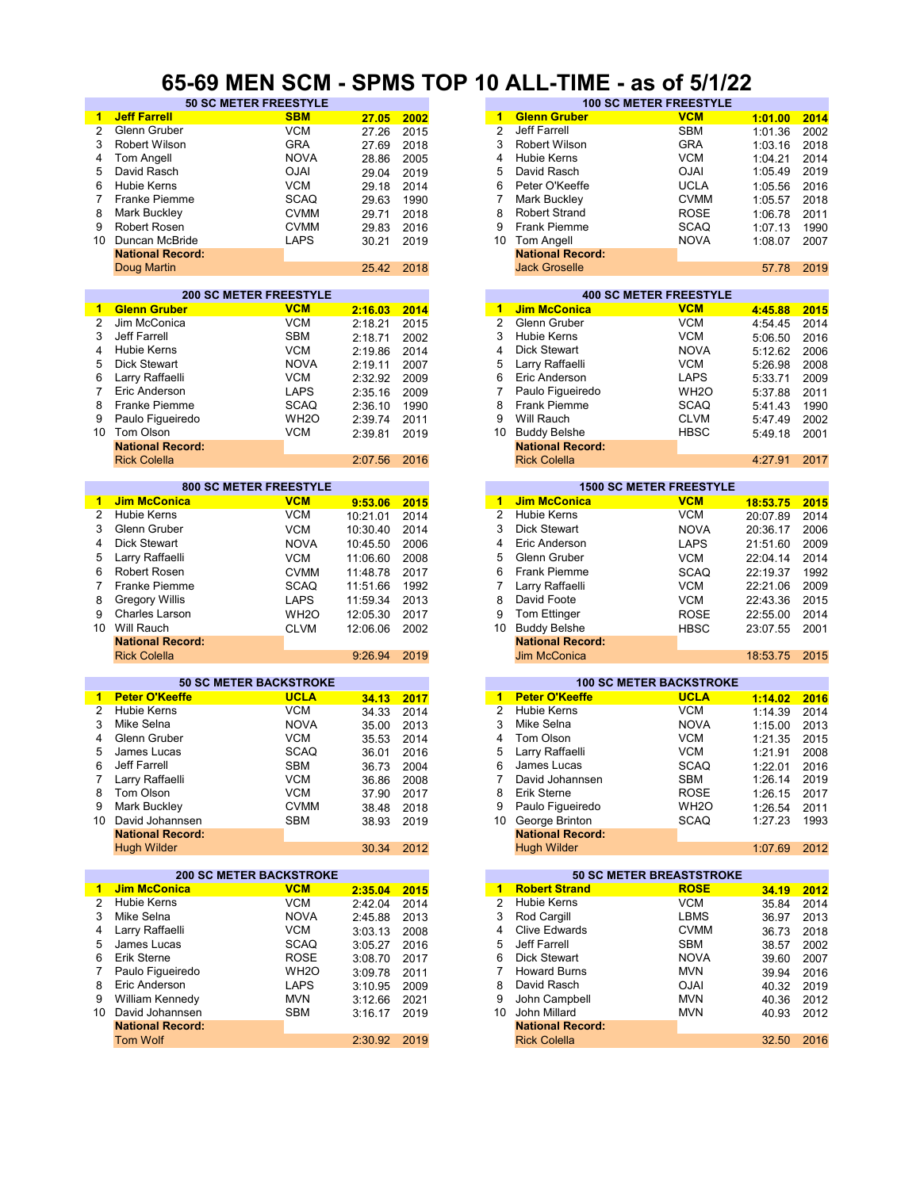#### **65-69 MEN SCM - SPMS TOP 10 ALL-TIME - as of 5/1/22**

| $\mathbf{1}$   | <b>Jeff Farrell</b>            | <b>SBM</b>        | 27.05    | 2002 | $\overline{1}$ | <b>Glenn Gruber</b>             | <b>VCM</b>        | 1:01.00  | 2014 |
|----------------|--------------------------------|-------------------|----------|------|----------------|---------------------------------|-------------------|----------|------|
| $\overline{2}$ | Glenn Gruber                   | <b>VCM</b>        | 27.26    | 2015 | $\overline{2}$ | Jeff Farrell                    | <b>SBM</b>        | 1:01.36  | 2002 |
| 3              | Robert Wilson                  | <b>GRA</b>        | 27.69    | 2018 | 3              | Robert Wilson                   | <b>GRA</b>        | 1:03.16  | 2018 |
| 4              | Tom Angell                     | <b>NOVA</b>       | 28.86    | 2005 | 4              | <b>Hubie Kerns</b>              | <b>VCM</b>        | 1:04.21  | 2014 |
|                | David Rasch                    | <b>OJAI</b>       |          |      | 5              | David Rasch                     | <b>OJAI</b>       |          | 2019 |
| 5              |                                |                   | 29.04    | 2019 |                |                                 |                   | 1:05.49  |      |
| 6              | <b>Hubie Kerns</b>             | <b>VCM</b>        | 29.18    | 2014 | 6              | Peter O'Keeffe                  | <b>UCLA</b>       | 1:05.56  | 2016 |
| $\overline{7}$ | <b>Franke Piemme</b>           | <b>SCAQ</b>       | 29.63    | 1990 | 7              | Mark Buckley                    | <b>CVMM</b>       | 1:05.57  | 2018 |
| 8              | Mark Buckley                   | <b>CVMM</b>       | 29.71    | 2018 | 8              | <b>Robert Strand</b>            | <b>ROSE</b>       | 1:06.78  | 2011 |
| 9              | <b>Robert Rosen</b>            | <b>CVMM</b>       | 29.83    | 2016 | 9              | Frank Piemme                    | <b>SCAQ</b>       | 1:07.13  | 1990 |
| 10             | Duncan McBride                 | <b>LAPS</b>       | 30.21    | 2019 | 10             | Tom Angell                      | <b>NOVA</b>       | 1:08.07  | 2007 |
|                | <b>National Record:</b>        |                   |          |      |                | <b>National Record:</b>         |                   |          |      |
|                | Doug Martin                    |                   | 25.42    | 2018 |                | <b>Jack Groselle</b>            |                   | 57.78    | 2019 |
|                |                                |                   |          |      |                |                                 |                   |          |      |
|                | <b>200 SC METER FREESTYLE</b>  |                   |          |      |                | <b>400 SC METER FREESTYLE</b>   |                   |          |      |
| $\mathbf{1}$   | <b>Glenn Gruber</b>            | <b>VCM</b>        | 2:16.03  | 2014 | 1              | <b>Jim McConica</b>             | <b>VCM</b>        | 4:45.88  | 2015 |
| 2              | Jim McConica                   | <b>VCM</b>        | 2:18.21  | 2015 | $\overline{2}$ | Glenn Gruber                    | <b>VCM</b>        | 4:54.45  | 2014 |
| 3              | Jeff Farrell                   | <b>SBM</b>        | 2:18.71  | 2002 | 3              | <b>Hubie Kerns</b>              | <b>VCM</b>        | 5:06.50  | 2016 |
| 4              | <b>Hubie Kerns</b>             |                   |          |      | 4              | Dick Stewart                    | <b>NOVA</b>       |          |      |
|                |                                | <b>VCM</b>        | 2:19.86  | 2014 |                |                                 |                   | 5:12.62  | 2006 |
| 5              | <b>Dick Stewart</b>            | <b>NOVA</b>       | 2:19.11  | 2007 | 5              | Larry Raffaelli                 | <b>VCM</b>        | 5:26.98  | 2008 |
| 6              | Larry Raffaelli                | <b>VCM</b>        | 2:32.92  | 2009 | 6              | Eric Anderson                   | <b>LAPS</b>       | 5:33.71  | 2009 |
| 7              | Eric Anderson                  | <b>LAPS</b>       | 2:35.16  | 2009 | 7              | Paulo Figueiredo                | WH <sub>2</sub> O | 5:37.88  | 2011 |
| 8              | <b>Franke Piemme</b>           | <b>SCAQ</b>       | 2:36.10  | 1990 | 8              | Frank Piemme                    | <b>SCAQ</b>       | 5:41.43  | 1990 |
| 9              | Paulo Figueiredo               | WH <sub>2</sub> O | 2:39.74  | 2011 | 9              | Will Rauch                      | <b>CLVM</b>       | 5:47.49  | 2002 |
| 10             | Tom Olson                      | <b>VCM</b>        | 2:39.81  | 2019 | 10             | <b>Buddy Belshe</b>             | <b>HBSC</b>       | 5:49.18  | 2001 |
|                | <b>National Record:</b>        |                   |          |      |                | <b>National Record:</b>         |                   |          |      |
|                | <b>Rick Colella</b>            |                   | 2:07.56  | 2016 |                | <b>Rick Colella</b>             |                   | 4:27.91  | 2017 |
|                |                                |                   |          |      |                |                                 |                   |          |      |
|                | <b>800 SC METER FREESTYLE</b>  |                   |          |      |                | <b>1500 SC METER FREESTYLE</b>  |                   |          |      |
| 1              | <b>Jim McConica</b>            | <b>VCM</b>        | 9:53.06  | 2015 | $\mathbf{1}$   | <b>Jim McConica</b>             | <b>VCM</b>        | 18:53.75 | 2015 |
| 2              | Hubie Kerns                    | <b>VCM</b>        | 10:21.01 | 2014 | $\overline{2}$ | <b>Hubie Kerns</b>              | <b>VCM</b>        | 20:07.89 | 2014 |
| 3              | Glenn Gruber                   | <b>VCM</b>        |          |      | 3              | <b>Dick Stewart</b>             |                   |          |      |
|                |                                |                   | 10:30.40 | 2014 |                |                                 | <b>NOVA</b>       | 20:36.17 | 2006 |
| 4              | <b>Dick Stewart</b>            | <b>NOVA</b>       | 10:45.50 | 2006 | $\overline{4}$ | Eric Anderson                   | <b>LAPS</b>       | 21:51.60 | 2009 |
| 5              | Larry Raffaelli                | <b>VCM</b>        | 11:06.60 | 2008 | 5              | Glenn Gruber                    | <b>VCM</b>        | 22:04.14 | 2014 |
| 6              | Robert Rosen                   | <b>CVMM</b>       | 11:48.78 | 2017 | 6              | Frank Piemme                    | <b>SCAQ</b>       | 22:19.37 | 1992 |
| 7              | <b>Franke Piemme</b>           | <b>SCAQ</b>       | 11:51.66 | 1992 | 7              | Larry Raffaelli                 | <b>VCM</b>        | 22:21.06 | 2009 |
| 8              | <b>Gregory Willis</b>          | <b>LAPS</b>       | 11:59.34 | 2013 | 8              | David Foote                     | <b>VCM</b>        | 22:43.36 | 2015 |
| 9              | <b>Charles Larson</b>          | WH <sub>2</sub> O | 12:05.30 | 2017 | 9              | Tom Ettinger                    | <b>ROSE</b>       | 22:55.00 | 2014 |
| 10             | Will Rauch                     | <b>CLVM</b>       |          | 2002 | 10             | <b>Buddy Belshe</b>             | <b>HBSC</b>       |          | 2001 |
|                |                                |                   | 12:06.06 |      |                |                                 |                   | 23:07.55 |      |
|                | <b>National Record:</b>        |                   |          |      |                | <b>National Record:</b>         |                   |          |      |
|                | <b>Rick Colella</b>            |                   | 9:26.94  | 2019 |                | <b>Jim McConica</b>             |                   | 18:53.75 | 2015 |
|                | <b>50 SC METER BACKSTROKE</b>  |                   |          |      |                | <b>100 SC METER BACKSTROKE</b>  |                   |          |      |
| $\blacksquare$ | <b>Peter O'Keeffe</b>          | <b>UCLA</b>       |          |      |                | 1 Peter O'Keeffe                | <b>UCLA</b>       |          |      |
|                | <b>Hubie Kerns</b>             | <b>VCM</b>        | 34.13    | 2017 | $\overline{2}$ | <b>Hubie Kerns</b>              |                   | 1:14.02  | 2016 |
| 2              |                                |                   | 34.33    | 2014 |                |                                 | <b>VCM</b>        | 1:14.39  | 2014 |
| 3              | Mike Selna                     | <b>NOVA</b>       | 35.00    | 2013 | 3              | Mike Selna                      | <b>NOVA</b>       | 1:15.00  | 2013 |
| 4              | Glenn Gruber                   | <b>VCM</b>        | 35.53    | 2014 | 4              | Tom Olson                       | <b>VCM</b>        | 1:21.35  | 2015 |
| 5              | James Lucas                    | <b>SCAQ</b>       | 36.01    | 2016 | 5              | Larry Raffaelli                 | <b>VCM</b>        | 1:21.91  | 2008 |
| 6              | Jeff Farrell                   | <b>SBM</b>        | 36.73    | 2004 | 6              | James Lucas                     | <b>SCAQ</b>       | 1:22.01  | 2016 |
|                | Larry Raffaelli                | <b>VCM</b>        | 36.86    | 2008 | 7              | David Johannsen                 | <b>SBM</b>        | 1:26.14  | 2019 |
| 8              | Tom Olson                      | <b>VCM</b>        | 37.90    | 2017 | 8              | Erik Sterne                     | <b>ROSE</b>       | 1:26.15  | 2017 |
| 9              | Mark Buckley                   | <b>CVMM</b>       | 38.48    | 2018 | 9              | Paulo Figueiredo                | WH <sub>2</sub> O | 1:26.54  | 2011 |
|                | 10 David Johannsen             | <b>SBM</b>        | 38.93    | 2019 | 10             | George Brinton                  | <b>SCAQ</b>       | 1:27.23  | 1993 |
|                | <b>National Record:</b>        |                   |          |      |                | <b>National Record:</b>         |                   |          |      |
|                | <b>Hugh Wilder</b>             |                   | 30.34    | 2012 |                | <b>Hugh Wilder</b>              |                   | 1:07.69  | 2012 |
|                |                                |                   |          |      |                |                                 |                   |          |      |
|                | <b>200 SC METER BACKSTROKE</b> |                   |          |      |                | <b>50 SC METER BREASTSTROKE</b> |                   |          |      |
| 1              | <b>Jim McConica</b>            | <b>VCM</b>        | 2:35.04  | 2015 | $\mathbf{1}$   | <b>Robert Strand</b>            | <b>ROSE</b>       | 34.19    | 2012 |
| 2              | <b>Hubie Kerns</b>             | <b>VCM</b>        | 2:42.04  | 2014 | $\overline{2}$ | <b>Hubie Kerns</b>              | <b>VCM</b>        | 35.84    | 2014 |
| 3              | Mike Selna                     | <b>NOVA</b>       | 2:45.88  | 2013 | 3              | Rod Cargill                     | LBMS              | 36.97    | 2013 |
|                |                                | <b>VCM</b>        |          |      | 4              | <b>Clive Edwards</b>            |                   |          |      |
| 4              | Larry Raffaelli                |                   | 3:03.13  | 2008 |                |                                 | <b>CVMM</b>       | 36.73    | 2018 |
| 5              | James Lucas                    | <b>SCAQ</b>       | 3:05.27  | 2016 | 5              | Jeff Farrell                    | <b>SBM</b>        | 38.57    | 2002 |
| 6              | Erik Sterne                    | <b>ROSE</b>       | 3:08.70  | 2017 | 6              | <b>Dick Stewart</b>             | <b>NOVA</b>       | 39.60    | 2007 |
| 7              | Paulo Figueiredo               | WH <sub>2</sub> O | 3:09.78  | 2011 | 7              | <b>Howard Burns</b>             | <b>MVN</b>        | 39.94    | 2016 |
| 8              | Eric Anderson                  | LAPS              | 3:10.95  | 2009 | 8              | David Rasch                     | <b>OJAI</b>       | 40.32    | 2019 |
| 9              | William Kennedy                | <b>MVN</b>        | 3:12.66  | 2021 | 9              | John Campbell                   | <b>MVN</b>        | 40.36    | 2012 |
|                | 10 David Johannsen             | SBM               | 3:16.17  | 2019 | 10             | John Millard                    | <b>MVN</b>        | 40.93    | 2012 |
|                | <b>National Record:</b>        |                   |          |      |                | <b>National Record:</b>         |                   |          |      |
|                | <b>Tom Wolf</b>                |                   | 2:30.92  | 2019 |                | <b>Rick Colella</b>             |                   | 32.50    | 2016 |
|                |                                |                   |          |      |                |                                 |                   |          |      |
|                |                                |                   |          |      |                |                                 |                   |          |      |

|      | <u>UU INEIT UUIN </u>        | UI IVIV I VI |      |                               | IV ALL-TIINE            | $-$ uJ VI VI IIEE |         |      |  |  |
|------|------------------------------|--------------|------|-------------------------------|-------------------------|-------------------|---------|------|--|--|
|      | <b>50 SC METER FREESTYLE</b> |              |      | <b>100 SC METER FREESTYLE</b> |                         |                   |         |      |  |  |
|      | <b>SBM</b>                   | 27.05        | 2002 | 1                             | <b>Glenn Gruber</b>     | <b>VCM</b>        | 1:01.00 | 2014 |  |  |
|      | <b>VCM</b>                   | 27.26        | 2015 |                               | Jeff Farrell            | <b>SBM</b>        | 1:01.36 | 2002 |  |  |
|      | <b>GRA</b>                   | 27.69        | 2018 | 3                             | Robert Wilson           | <b>GRA</b>        | 1:03.16 | 2018 |  |  |
|      | <b>NOVA</b>                  | 28.86        | 2005 | 4                             | Hubie Kerns             | <b>VCM</b>        | 1:04.21 | 2014 |  |  |
|      | <b>OJAI</b>                  | 29.04        | 2019 | 5.                            | David Rasch             | <b>OJAI</b>       | 1:05.49 | 2019 |  |  |
|      | <b>VCM</b>                   | 29.18        | 2014 | 6                             | Peter O'Keeffe          | <b>UCLA</b>       | 1:05.56 | 2016 |  |  |
| ۱e   | <b>SCAQ</b>                  | 29.63        | 1990 |                               | Mark Buckley            | <b>CVMM</b>       | 1:05.57 | 2018 |  |  |
|      | <b>CVMM</b>                  | 29.71        | 2018 | 8                             | Robert Strand           | <b>ROSE</b>       | 1:06.78 | 2011 |  |  |
|      | <b>CVMM</b>                  | 29.83        | 2016 | 9                             | <b>Frank Piemme</b>     | <b>SCAQ</b>       | 1:07.13 | 1990 |  |  |
| de   | <b>LAPS</b>                  | 30.21        | 2019 | 10                            | Tom Angell              | <b>NOVA</b>       | 1:08.07 | 2007 |  |  |
| :bıc |                              |              |      |                               | <b>National Record:</b> |                   |         |      |  |  |
|      |                              | 25.42        | 2018 |                               | <b>Jack Groselle</b>    |                   | 57.78   | 2019 |  |  |
|      |                              |              |      |                               |                         |                   |         |      |  |  |

|         |      |    |                         | <b>400 SC METER FREESTYLE</b> |         |
|---------|------|----|-------------------------|-------------------------------|---------|
| 2:16.03 | 2014 | 1  | <b>Jim McConica</b>     | <b>VCM</b>                    | 4:45.88 |
| 2:18.21 | 2015 | 2  | Glenn Gruber            | <b>VCM</b>                    | 4:54.45 |
| 2:18.71 | 2002 | 3  | <b>Hubie Kerns</b>      | <b>VCM</b>                    | 5:06.50 |
| 2:19.86 | 2014 | 4  | <b>Dick Stewart</b>     | <b>NOVA</b>                   | 5:12.62 |
| 2:19.11 | 2007 | 5. | Larry Raffaelli         | <b>VCM</b>                    | 5:26.98 |
| 2:32.92 | 2009 | 6  | Eric Anderson           | <b>LAPS</b>                   | 5:33.71 |
| 2:35.16 | 2009 |    | Paulo Figueiredo        | WH <sub>2</sub> O             | 5:37.88 |
| 2:36.10 | 1990 | 8  | <b>Frank Piemme</b>     | <b>SCAQ</b>                   | 5:41.43 |
| 2:39.74 | 2011 | 9  | Will Rauch              | <b>CLVM</b>                   | 5:47.49 |
| 2:39.81 | 2019 | 10 | <b>Buddy Belshe</b>     | <b>HBSC</b>                   | 5:49.18 |
|         |      |    | <b>National Record:</b> |                               |         |
| 2:07.56 | 2016 |    | <b>Rick Colella</b>     |                               | 4:27.91 |
|         |      |    |                         |                               |         |

| 9:53.06 | 2015 |
|---------|------|
| 0:21.01 | 2014 |
| 0:30.40 | 2014 |
| 0:45.50 | 2006 |
| 1:06.60 | 2008 |
| 1:48.78 | 2017 |
| 1:51.66 | 1992 |
| 1:59.34 | 2013 |
| 2:05.30 | 2017 |
| 2:06.06 | 2002 |
|         |      |
| 9:26.94 | 2019 |
|         |      |

| 34.13 | 2017 |
|-------|------|
| 34.33 | 2014 |
| 35.00 | 2013 |
| 35.53 | 2014 |
| 36.01 | 2016 |
| 36.73 | 2004 |
| 36.86 | 2008 |
| 37.90 | 2017 |
| 38.48 | 2018 |
| 38.93 | 2019 |
|       |      |
| 30.34 | 2012 |

|         |      |    |                         | <b>50 SC METER BREASTSTROKE</b> |       |
|---------|------|----|-------------------------|---------------------------------|-------|
| 2:35.04 | 2015 | 1  | <b>Robert Strand</b>    | <b>ROSE</b>                     | 34.19 |
| 2:42.04 | 2014 | 2  | Hubie Kerns             | <b>VCM</b>                      | 35.84 |
| 2:45.88 | 2013 | 3  | Rod Cargill             | <b>LBMS</b>                     | 36.97 |
| 3:03.13 | 2008 | 4  | <b>Clive Edwards</b>    | <b>CVMM</b>                     | 36.73 |
| 3:05.27 | 2016 | 5  | Jeff Farrell            | <b>SBM</b>                      | 38.57 |
| 3:08.70 | 2017 | 6  | <b>Dick Stewart</b>     | <b>NOVA</b>                     | 39.60 |
| 3:09.78 | 2011 |    | <b>Howard Burns</b>     | <b>MVN</b>                      | 39.94 |
| 3:10.95 | 2009 | 8  | David Rasch             | <b>OJAI</b>                     | 40.32 |
| 3:12.66 | 2021 | 9  | John Campbell           | <b>MVN</b>                      | 40.36 |
| 3:16.17 | 2019 | 10 | John Millard            | <b>MVN</b>                      | 40.93 |
|         |      |    | <b>National Record:</b> |                                 |       |
| 2:30.92 | 2019 |    | <b>Rick Colella</b>     |                                 | 32.50 |
|         |      |    |                         |                                 |       |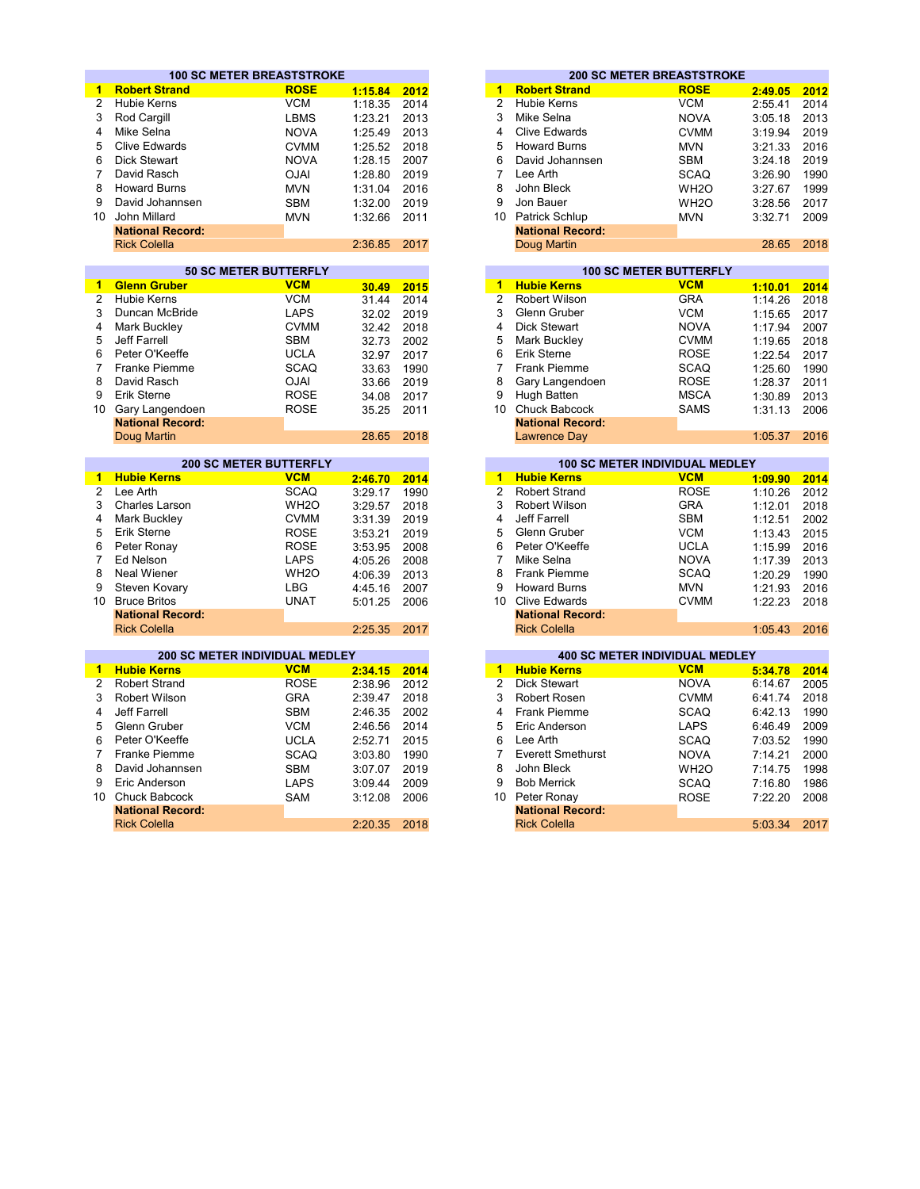|                 | <b>100 SC METER BREASTSTROKE</b> |                               |                |              |                         |                                        | <b>200 SC METER BREASTSTROKE</b>      |         |                                      |
|-----------------|----------------------------------|-------------------------------|----------------|--------------|-------------------------|----------------------------------------|---------------------------------------|---------|--------------------------------------|
| 1               | <b>Robert Strand</b>             | <b>ROSE</b>                   | 1:15.84        | 2012         | 1                       | <b>Robert Strand</b>                   | <b>ROSE</b>                           | 2:49.05 | 2012                                 |
| $\overline{2}$  | <b>Hubie Kerns</b>               | <b>VCM</b>                    | 1:18.35        | 2014         | $\overline{2}$          | Hubie Kerns                            | <b>VCM</b>                            | 2:55.41 | 2014                                 |
| 3               | Rod Cargill                      | <b>LBMS</b>                   | 1:23.21        | 2013         | 3                       | Mike Selna                             | <b>NOVA</b>                           | 3:05.18 | 2013                                 |
| 4               | Mike Selna                       | <b>NOVA</b>                   | 1:25.49        | 2013         | 4                       | <b>Clive Edwards</b>                   | <b>CVMM</b>                           | 3:19.94 | 2019                                 |
| 5               | <b>Clive Edwards</b>             | <b>CVMM</b>                   | 1:25.52        | 2018         | 5                       | <b>Howard Burns</b>                    | <b>MVN</b>                            | 3:21.33 | 2016                                 |
| 6               | <b>Dick Stewart</b>              | <b>NOVA</b>                   | 1:28.15        | 2007         | 6                       | David Johannsen                        | <b>SBM</b>                            | 3:24.18 | 2019                                 |
| 7               | David Rasch                      | <b>OJAI</b>                   | 1:28.80        | 2019         | $\overline{7}$          | Lee Arth                               | <b>SCAQ</b>                           | 3:26.90 | 1990                                 |
|                 |                                  |                               |                |              | 8                       |                                        |                                       |         |                                      |
| 8               | <b>Howard Burns</b>              | <b>MVN</b>                    | 1:31.04        | 2016         |                         | John Bleck                             | WH <sub>2</sub> O                     | 3:27.67 | 1999                                 |
| 9               | David Johannsen                  | <b>SBM</b>                    | 1:32.00        | 2019         | 9                       | Jon Bauer                              | WH <sub>2</sub> O                     | 3:28.56 | 2017                                 |
| 10 <sup>1</sup> | John Millard                     | <b>MVN</b>                    | 1:32.66        | 2011         |                         | 10 Patrick Schlup                      | <b>MVN</b>                            | 3:32.71 | 2009                                 |
|                 | <b>National Record:</b>          |                               |                |              |                         | <b>National Record:</b>                |                                       |         |                                      |
|                 | <b>Rick Colella</b>              |                               | 2:36.85        | 2017         |                         | Doug Martin                            |                                       | 28.65   | 2018                                 |
|                 |                                  | <b>50 SC METER BUTTERFLY</b>  |                |              |                         |                                        | <b>100 SC METER BUTTERFLY</b>         |         |                                      |
| 1               | <b>Glenn Gruber</b>              | <b>VCM</b>                    | 30.49          | 2015         | $\overline{1}$          | <b>Hubie Kerns</b>                     | <b>VCM</b>                            | 1:10.01 | 2014                                 |
| $\overline{2}$  | <b>Hubie Kerns</b>               | <b>VCM</b>                    | 31.44          | 2014         | $\overline{2}$          | <b>Robert Wilson</b>                   | <b>GRA</b>                            | 1:14.26 | 2018                                 |
| 3               | Duncan McBride                   | <b>LAPS</b>                   | 32.02          | 2019         | 3                       | Glenn Gruber                           | <b>VCM</b>                            | 1:15.65 | 2017                                 |
| 4               | Mark Buckley                     | <b>CVMM</b>                   | 32.42          | 2018         | 4                       | Dick Stewart                           | <b>NOVA</b>                           | 1:17.94 | 2007                                 |
| 5               | <b>Jeff Farrell</b>              | <b>SBM</b>                    |                |              | 5                       | Mark Buckley                           | <b>CVMM</b>                           |         | 2018                                 |
| 6               | Peter O'Keeffe                   | <b>UCLA</b>                   | 32.73<br>32.97 | 2002<br>2017 | 6                       | Erik Sterne                            | <b>ROSE</b>                           | 1:19.65 | 2017                                 |
| $\overline{7}$  | <b>Franke Piemme</b>             | <b>SCAQ</b>                   |                |              | 7                       | <b>Frank Piemme</b>                    | <b>SCAQ</b>                           | 1:22.54 |                                      |
|                 |                                  |                               | 33.63          | 1990         |                         |                                        |                                       | 1:25.60 | 1990                                 |
| 8               | David Rasch                      | <b>OJAI</b>                   | 33.66          | 2019         | 8                       | Gary Langendoen                        | <b>ROSE</b>                           | 1:28.37 | 2011                                 |
| 9               | Erik Sterne                      | <b>ROSE</b>                   | 34.08          | 2017         | 9                       | Hugh Batten                            | <b>MSCA</b>                           | 1:30.89 | 2013                                 |
| 10              | Gary Langendoen                  | <b>ROSE</b>                   | 35.25          | 2011         |                         | 10 Chuck Babcock                       | <b>SAMS</b>                           | 1:31.13 | 2006                                 |
|                 | <b>National Record:</b>          |                               |                |              |                         | <b>National Record:</b>                |                                       |         |                                      |
|                 | Doug Martin                      |                               | 28.65          | 2018         |                         | <b>Lawrence Day</b>                    |                                       | 1:05.37 | 2016                                 |
|                 |                                  | <b>200 SC METER BUTTERFLY</b> |                |              |                         |                                        | <b>100 SC METER INDIVIDUAL MEDLEY</b> |         |                                      |
| 1.              | <b>Hubie Kerns</b>               | <b>VCM</b>                    | 2:46.70        | 2014         | $\overline{\mathbf{1}}$ | <b>Hubie Kerns</b>                     | <b>VCM</b>                            | 1:09.90 | 2014                                 |
| $\overline{2}$  | Lee Arth                         | <b>SCAQ</b>                   | 3:29.17        | 1990         | $\overline{2}$          | <b>Robert Strand</b>                   | <b>ROSE</b>                           | 1:10.26 | 2012                                 |
| 3               | <b>Charles Larson</b>            | WH <sub>2</sub> O             | 3:29.57        | 2018         | 3                       | <b>Robert Wilson</b>                   | <b>GRA</b>                            | 1:12.01 | 2018                                 |
| 4               | Mark Buckley                     | <b>CVMM</b>                   | 3:31.39        | 2019         | $\overline{\mathbf{4}}$ | Jeff Farrell                           | <b>SBM</b>                            | 1:12.51 | 2002                                 |
| 5               | Erik Sterne                      | <b>ROSE</b>                   | 3:53.21        | 2019         | 5                       | Glenn Gruber                           | <b>VCM</b>                            | 1:13.43 | 2015                                 |
| 6               | Peter Ronay                      | <b>ROSE</b>                   | 3:53.95        | 2008         | 6                       | Peter O'Keeffe                         | <b>UCLA</b>                           | 1:15.99 | 2016                                 |
| 7               | Ed Nelson                        | <b>LAPS</b>                   | 4:05.26        | 2008         | $\overline{7}$          | Mike Selna                             | <b>NOVA</b>                           | 1:17.39 | 2013                                 |
| 8               | <b>Neal Wiener</b>               | WH <sub>2</sub> O             | 4:06.39        | 2013         | 8                       | <b>Frank Piemme</b>                    | <b>SCAQ</b>                           | 1:20.29 | 1990                                 |
| 9               | Steven Kovary                    | <b>LBG</b>                    | 4:45.16        | 2007         | 9                       | <b>Howard Burns</b>                    | <b>MVN</b>                            | 1:21.93 | 2016                                 |
| 10 <sup>1</sup> | <b>Bruce Britos</b>              | <b>UNAT</b>                   | 5:01.25        | 2006         |                         | 10 Clive Edwards                       | <b>CVMM</b>                           | 1:22.23 | 2018                                 |
|                 | <b>National Record:</b>          |                               |                |              |                         | <b>National Record:</b>                |                                       |         |                                      |
|                 | <b>Rick Colella</b>              |                               | 2:25.35        | 2017         |                         | <b>Rick Colella</b>                    |                                       | 1:05.43 | 2016                                 |
|                 |                                  |                               |                |              |                         |                                        |                                       |         |                                      |
|                 |                                  |                               |                |              |                         |                                        | <b>400 SC METER INDIVIDUAL MEDLEY</b> |         |                                      |
|                 | 200 SC METER INDIVIDUAL MEDLEY   |                               |                |              | $\blacktriangleleft$    |                                        |                                       |         |                                      |
| $\mathbf{1}$    | <b>Hubie Kerns</b>               | <b>VCM</b>                    | 2:34.15        | 2014         |                         | <b>Hubie Kerns</b>                     | <b>VCM</b>                            | 5:34.78 |                                      |
| $\overline{2}$  | <b>Robert Strand</b>             | <b>ROSE</b>                   | 2:38.96        | 2012         | $\overline{2}$          | Dick Stewart                           | <b>NOVA</b>                           | 6:14.67 |                                      |
| 3               | Robert Wilson                    | <b>GRA</b>                    | 2:39.47        | 2018         | 3                       | Robert Rosen                           | <b>CVMM</b>                           | 6:41.74 | 2014<br>2005<br>2018                 |
| 4               | <b>Jeff Farrell</b>              | <b>SBM</b>                    | 2:46.35        | 2002         | 4                       | <b>Frank Piemme</b>                    | <b>SCAQ</b>                           | 6:42.13 | 1990                                 |
| 5               | <b>Glenn Gruber</b>              | <b>VCM</b>                    | 2:46.56        | 2014         | 5                       | Eric Anderson                          | <b>LAPS</b>                           | 6:46.49 | 2009                                 |
| 6               | Peter O'Keeffe                   | <b>UCLA</b>                   | 2:52.71        | 2015         | 6                       | Lee Arth                               | <b>SCAQ</b>                           | 7:03.52 |                                      |
| 7               | <b>Franke Piemme</b>             | <b>SCAQ</b>                   | 3:03.80        | 1990         | 7                       | <b>Everett Smethurst</b>               | <b>NOVA</b>                           | 7:14.21 |                                      |
| 8               | David Johannsen                  | <b>SBM</b>                    | 3:07.07        | 2019         | 8                       | John Bleck                             | WH <sub>2</sub> O                     | 7:14.75 |                                      |
| 9               | Eric Anderson                    | <b>LAPS</b>                   |                | 2009         | 9                       | <b>Bob Merrick</b>                     |                                       |         |                                      |
| 10              | <b>Chuck Babcock</b>             | <b>SAM</b>                    | 3:09.44        | 2006         | 10                      |                                        | <b>SCAQ</b>                           | 7:16.80 | 1990<br>2000<br>1998<br>1986<br>2008 |
|                 | <b>National Record:</b>          |                               | 3:12.08        |              |                         | Peter Ronay<br><b>National Record:</b> | <b>ROSE</b>                           | 7:22.20 |                                      |

|         |      |    |                         | <b>200 SC METER BREASTSTROKE</b> |         |  |
|---------|------|----|-------------------------|----------------------------------|---------|--|
| 1:15.84 | 2012 | 1  | <b>Robert Strand</b>    | <b>ROSE</b>                      | 2:49.05 |  |
| 1:18.35 | 2014 | 2  | <b>Hubie Kerns</b>      | <b>VCM</b>                       | 2:55.41 |  |
| 1:23.21 | 2013 | 3  | Mike Selna              | <b>NOVA</b>                      | 3:05.18 |  |
| 1:25.49 | 2013 | 4  | <b>Clive Edwards</b>    | <b>CVMM</b>                      | 3:19.94 |  |
| 1:25.52 | 2018 | 5  | <b>Howard Burns</b>     | <b>MVN</b>                       | 3:21.33 |  |
| 1:28.15 | 2007 | 6  | David Johannsen         | <b>SBM</b>                       | 3:24.18 |  |
| 1:28.80 | 2019 |    | Lee Arth                | <b>SCAQ</b>                      | 3:26.90 |  |
| 1:31.04 | 2016 | 8  | John Bleck              | WH <sub>2</sub> O                | 3:27.67 |  |
| 1:32.00 | 2019 | 9  | Jon Bauer               | WH <sub>2</sub> O                | 3:28.56 |  |
| 1:32.66 | 2011 | 10 | Patrick Schlup          | <b>MVN</b>                       | 3:32.71 |  |
|         |      |    | <b>National Record:</b> |                                  |         |  |
| 2:36.85 | 2017 |    | Doug Martin             |                                  | 28.65   |  |
|         |      |    |                         |                                  |         |  |
|         |      |    |                         |                                  |         |  |

| 2015 | 1  | <b>Hubie Kerns</b>      | <b>VCM</b>  | 1:10.01                | 2014 |
|------|----|-------------------------|-------------|------------------------|------|
| 2014 | 2  | Robert Wilson           | <b>GRA</b>  | 1:14.26                | 2018 |
| 2019 | 3  | Glenn Gruber            | <b>VCM</b>  | 1:15.65                | 2017 |
| 2018 | 4  | Dick Stewart            | <b>NOVA</b> | 1:17.94                | 2007 |
| 2002 | 5  | Mark Buckley            | <b>CVMM</b> | 1:19.65                | 2018 |
| 2017 | 6  | Erik Sterne             | <b>ROSE</b> | 1:22.54                | 2017 |
| 1990 |    | <b>Frank Piemme</b>     | <b>SCAQ</b> | 1:25.60                | 1990 |
| 2019 | 8  | Gary Langendoen         | <b>ROSE</b> | 1:28.37                | 2011 |
| 2017 | 9  | Hugh Batten             | <b>MSCA</b> | 1:30.89                | 2013 |
| 2011 | 10 | <b>Chuck Babcock</b>    | <b>SAMS</b> | 1:31.13                | 2006 |
|      |    | <b>National Record:</b> |             |                        |      |
| 2018 |    | Lawrence Day            |             | 1:05.37                | 2016 |
|      |    |                         |             | TOO SC METER BUTTERFLI |      |

|      | <b>200 SC METER BUTTERFLY</b> |         |      |  |    | <b>100 SC METER INDIVIDUAL MEDLEY</b> |             |         |      |  |  |
|------|-------------------------------|---------|------|--|----|---------------------------------------|-------------|---------|------|--|--|
|      | <b>VCM</b>                    | 2:46.70 | 2014 |  |    | <b>Hubie Kerns</b>                    | <b>VCM</b>  | 1:09.90 | 2014 |  |  |
|      | <b>SCAQ</b>                   | 3:29.17 | 1990 |  | 2  | <b>Robert Strand</b>                  | <b>ROSE</b> | 1:10.26 | 2012 |  |  |
| ρn   | WH <sub>2</sub> O             | 3:29.57 | 2018 |  |    | Robert Wilson                         | <b>GRA</b>  | 1:12.01 | 2018 |  |  |
|      | <b>CVMM</b>                   | 3:31.39 | 2019 |  | 4  | Jeff Farrell                          | <b>SBM</b>  | 1:12.51 | 2002 |  |  |
|      | <b>ROSE</b>                   | 3:53.21 | 2019 |  | 5  | Glenn Gruber                          | <b>VCM</b>  | 1:13.43 | 2015 |  |  |
|      | <b>ROSE</b>                   | 3:53.95 | 2008 |  | 6  | Peter O'Keeffe                        | <b>UCLA</b> | 1:15.99 | 2016 |  |  |
|      | <b>LAPS</b>                   | 4:05.26 | 2008 |  |    | Mike Selna                            | <b>NOVA</b> | 1:17.39 | 2013 |  |  |
|      | WH <sub>2</sub> O             | 4:06.39 | 2013 |  | 8  | <b>Frank Piemme</b>                   | <b>SCAQ</b> | 1:20.29 | 1990 |  |  |
|      | <b>LBG</b>                    | 4:45.16 | 2007 |  | 9  | <b>Howard Burns</b>                   | <b>MVN</b>  | 1:21.93 | 2016 |  |  |
|      | <b>UNAT</b>                   | 5:01.25 | 2006 |  | 10 | Clive Edwards                         | <b>CVMM</b> | 1:22.23 | 2018 |  |  |
| ord: |                               |         |      |  |    | <b>National Record:</b>               |             |         |      |  |  |
|      |                               | 2:25.35 | 2017 |  |    | <b>Rick Colella</b>                   |             | 1:05.43 | 2016 |  |  |

|         |      |    |                          | <b>400 SC METER INDIVIDUAL MEDLEY</b> |         |  |
|---------|------|----|--------------------------|---------------------------------------|---------|--|
| 2:34.15 | 2014 | 1  | <b>Hubie Kerns</b>       | <b>VCM</b>                            | 5:34.78 |  |
| 2:38.96 | 2012 | 2  | Dick Stewart             | <b>NOVA</b>                           | 6:14.67 |  |
| 2:39.47 | 2018 | 3  | Robert Rosen             | <b>CVMM</b>                           | 6:41.74 |  |
| 2:46.35 | 2002 | 4  | <b>Frank Piemme</b>      | <b>SCAQ</b>                           | 6:42.13 |  |
| 2:46.56 | 2014 | 5. | Eric Anderson            | <b>LAPS</b>                           | 6:46.49 |  |
| 2:52.71 | 2015 | 6  | Lee Arth                 | <b>SCAQ</b>                           | 7:03.52 |  |
| 3:03.80 | 1990 |    | <b>Everett Smethurst</b> | <b>NOVA</b>                           | 7:14.21 |  |
| 3:07.07 | 2019 | 8  | John Bleck               | WH <sub>2</sub> O                     | 7:14.75 |  |
| 3:09.44 | 2009 | 9  | <b>Bob Merrick</b>       | <b>SCAQ</b>                           | 7:16.80 |  |
| 3:12.08 | 2006 | 10 | Peter Ronay              | <b>ROSE</b>                           | 7:22.20 |  |
|         |      |    | <b>National Record:</b>  |                                       |         |  |
| 2:20.35 | 2018 |    | <b>Rick Colella</b>      |                                       | 5:03.34 |  |
|         |      |    |                          |                                       |         |  |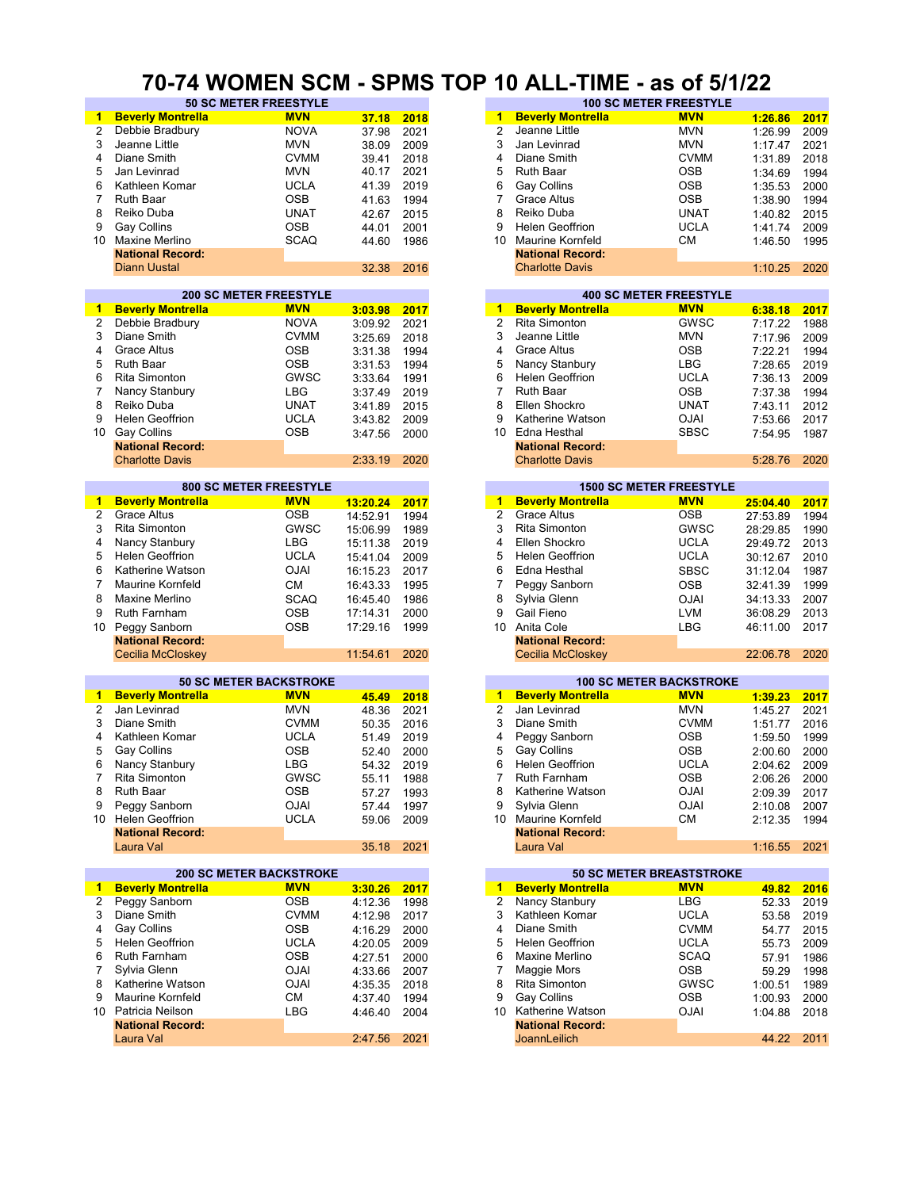#### **70-74 WOMEN SCM - SPMS TOP 10 ALL-TIME - as of 5/1/22**

| 1              | <b>Beverly Montrella</b>       | <b>MVN</b>  | 37.18    | 2018 | 1              | <b>Beverly Montrella</b>       | <b>MVN</b>  | 1:26.86  | 2017 |
|----------------|--------------------------------|-------------|----------|------|----------------|--------------------------------|-------------|----------|------|
| 2              | Debbie Bradbury                | <b>NOVA</b> | 37.98    | 2021 | $\overline{2}$ | Jeanne Little                  | MVN         | 1:26.99  | 2009 |
| 3              | Jeanne Little                  | <b>MVN</b>  | 38.09    | 2009 | 3              | Jan Levinrad                   | MVN         | 1:17.47  | 2021 |
| 4              | Diane Smith                    | <b>CVMM</b> |          |      | 4              | Diane Smith                    | <b>CVMM</b> |          |      |
|                |                                |             | 39.41    | 2018 |                |                                |             | 1:31.89  | 2018 |
| 5              | Jan Levinrad                   | <b>MVN</b>  | 40.17    | 2021 | 5              | <b>Ruth Baar</b>               | <b>OSB</b>  | 1:34.69  | 1994 |
| 6              | Kathleen Komar                 | <b>UCLA</b> | 41.39    | 2019 | 6              | Gay Collins                    | OSB         | 1:35.53  | 2000 |
| 7              | <b>Ruth Baar</b>               | OSB         | 41.63    | 1994 | 7              | <b>Grace Altus</b>             | <b>OSB</b>  | 1:38.90  | 1994 |
| 8              | Reiko Duba                     | <b>UNAT</b> | 42.67    | 2015 | 8              | Reiko Duba                     | <b>UNAT</b> | 1:40.82  | 2015 |
| 9              | <b>Gay Collins</b>             | OSB         | 44.01    | 2001 | 9              | <b>Helen Geoffrion</b>         | <b>UCLA</b> | 1:41.74  | 2009 |
|                | 10 Maxine Merlino              | <b>SCAQ</b> | 44.60    | 1986 | 10             | <b>Maurine Kornfeld</b>        | CМ          |          | 1995 |
|                |                                |             |          |      |                |                                |             | 1:46.50  |      |
|                | <b>National Record:</b>        |             |          |      |                | <b>National Record:</b>        |             |          |      |
|                | Diann Uustal                   |             | 32.38    | 2016 |                | <b>Charlotte Davis</b>         |             | 1:10.25  | 2020 |
|                |                                |             |          |      |                |                                |             |          |      |
|                | <b>200 SC METER FREESTYLE</b>  |             |          |      |                | <b>400 SC METER FREESTYLE</b>  |             |          |      |
| $\mathbf 1$    | <b>Beverly Montrella</b>       | <b>MVN</b>  | 3:03.98  | 2017 | $\mathbf{1}$   | <b>Beverly Montrella</b>       | <b>MVN</b>  | 6:38.18  | 2017 |
| 2              | Debbie Bradbury                | <b>NOVA</b> | 3:09.92  | 2021 | $\overline{2}$ | Rita Simonton                  | <b>GWSC</b> | 7:17.22  | 1988 |
| 3              | Diane Smith                    | <b>CVMM</b> | 3:25.69  | 2018 | 3              | Jeanne Little                  | <b>MVN</b>  | 7:17.96  | 2009 |
| 4              | <b>Grace Altus</b>             | <b>OSB</b>  | 3:31.38  | 1994 | 4              | <b>Grace Altus</b>             | <b>OSB</b>  | 7:22.21  | 1994 |
| 5              | <b>Ruth Baar</b>               | <b>OSB</b>  |          |      |                |                                | <b>LBG</b>  |          |      |
|                |                                |             | 3:31.53  | 1994 | 5              | Nancy Stanbury                 |             | 7:28.65  | 2019 |
| 6              | Rita Simonton                  | GWSC        | 3:33.64  | 1991 | 6              | <b>Helen Geoffrion</b>         | <b>UCLA</b> | 7:36.13  | 2009 |
| $\overline{7}$ | Nancy Stanbury                 | LBG         | 3:37.49  | 2019 | $\overline{7}$ | <b>Ruth Baar</b>               | <b>OSB</b>  | 7:37.38  | 1994 |
| 8              | Reiko Duba                     | <b>UNAT</b> | 3:41.89  | 2015 | 8              | Ellen Shockro                  | UNAT        | 7:43.11  | 2012 |
| 9              | <b>Helen Geoffrion</b>         | <b>UCLA</b> | 3:43.82  | 2009 | 9              | Katherine Watson               | <b>OJAI</b> | 7:53.66  | 2017 |
| 10             | Gay Collins                    | OSB         | 3:47.56  | 2000 | 10             | Edna Hesthal                   | <b>SBSC</b> | 7:54.95  | 1987 |
|                | <b>National Record:</b>        |             |          |      |                | <b>National Record:</b>        |             |          |      |
|                |                                |             |          |      |                |                                |             |          |      |
|                | <b>Charlotte Davis</b>         |             | 2:33.19  | 2020 |                | <b>Charlotte Davis</b>         |             | 5:28.76  | 2020 |
|                |                                |             |          |      |                |                                |             |          |      |
|                | 800 SC METER FREESTYLE         |             |          |      |                | <b>1500 SC METER FREESTYLE</b> |             |          |      |
| 1              | <b>Beverly Montrella</b>       | <b>MVN</b>  | 13:20.24 | 2017 | $\overline{1}$ | <b>Beverly Montrella</b>       | <b>MVN</b>  | 25:04.40 | 2017 |
| 2              | <b>Grace Altus</b>             | <b>OSB</b>  | 14:52.91 | 1994 | $\overline{2}$ | <b>Grace Altus</b>             | <b>OSB</b>  | 27:53.89 | 1994 |
| 3              | Rita Simonton                  | <b>GWSC</b> | 15:06.99 | 1989 | 3              | <b>Rita Simonton</b>           | <b>GWSC</b> | 28:29.85 | 1990 |
| 4              | Nancy Stanbury                 | LBG         | 15:11.38 | 2019 | 4              | Ellen Shockro                  | <b>UCLA</b> | 29:49.72 | 2013 |
| 5              | <b>Helen Geoffrion</b>         | UCLA        | 15:41.04 | 2009 | 5              | <b>Helen Geoffrion</b>         | <b>UCLA</b> | 30:12.67 | 2010 |
| 6              | Katherine Watson               | <b>OJAI</b> | 16:15.23 | 2017 | 6              | Edna Hesthal                   | <b>SBSC</b> | 31:12.04 | 1987 |
|                |                                |             |          |      |                |                                |             |          |      |
| $\overline{7}$ | Maurine Kornfeld               | СM          | 16:43.33 | 1995 | 7              | Peggy Sanborn                  | <b>OSB</b>  | 32:41.39 | 1999 |
| 8              | Maxine Merlino                 | <b>SCAQ</b> | 16:45.40 | 1986 | 8              | Sylvia Glenn                   | <b>OJAI</b> | 34:13.33 | 2007 |
| 9              | Ruth Farnham                   | <b>OSB</b>  | 17:14.31 | 2000 | 9              | Gail Fieno                     | <b>LVM</b>  | 36:08.29 | 2013 |
| 10             | Peggy Sanborn                  | OSB         | 17:29.16 | 1999 |                | 10 Anita Cole                  | <b>LBG</b>  | 46:11.00 | 2017 |
|                | <b>National Record:</b>        |             |          |      |                | <b>National Record:</b>        |             |          |      |
|                | Cecilia McCloskey              |             | 11:54.61 | 2020 |                | Cecilia McCloskey              |             | 22:06.78 | 2020 |
|                |                                |             |          |      |                |                                |             |          |      |
|                | <b>50 SC METER BACKSTROKE</b>  |             |          |      |                | <b>100 SC METER BACKSTROKE</b> |             |          |      |
| -1             | <b>Beverly Montrella</b>       | <b>MVN</b>  | 45.49    |      | $\mathbf{1}$   | <b>Beverly Montrella</b>       | <b>MVN</b>  |          |      |
|                |                                |             |          | 2018 |                |                                |             | 1:39.23  | 2017 |
| $\overline{2}$ | Jan Levinrad                   | <b>MVN</b>  | 48.36    | 2021 | $\overline{2}$ | Jan Levinrad                   | <b>MVN</b>  | 1:45.27  | 2021 |
| 3              | Diane Smith                    | <b>CVMM</b> | 50.35    | 2016 | 3              | Diane Smith                    | <b>CVMM</b> | 1:51.77  | 2016 |
| 4              | Kathleen Komar                 | <b>UCLA</b> | 51.49    | 2019 | 4              | Peggy Sanborn                  | <b>OSB</b>  | 1:59.50  | 1999 |
| 5              | Gay Collins                    | OSB         | 52.40    | 2000 | 5              | Gay Collins                    | <b>OSB</b>  | 2:00.60  | 2000 |
| 6              | Nancy Stanbury                 | <b>LBG</b>  | 54.32    | 2019 | 6              | <b>Helen Geoffrion</b>         | <b>UCLA</b> | 2:04.62  | 2009 |
| 7              | <b>Rita Simonton</b>           | GWSC        | 55.11    | 1988 | 7              | <b>Ruth Farnham</b>            | <b>OSB</b>  | 2:06.26  | 2000 |
| 8              | Ruth Baar                      | OSB         |          | 1993 | 8              | Katherine Watson               | <b>OJAI</b> |          | 2017 |
|                |                                |             | 57.27    |      |                |                                |             | 2:09.39  |      |
| 9              | Peggy Sanborn                  | <b>OJAI</b> | 57.44    | 1997 | 9              | Sylvia Glenn                   | <b>OJAI</b> | 2:10.08  | 2007 |
|                | 10 Helen Geoffrion             | <b>UCLA</b> | 59.06    | 2009 | 10             | <b>Maurine Kornfeld</b>        | СM          | 2:12.35  | 1994 |
|                | <b>National Record:</b>        |             |          |      |                | <b>National Record:</b>        |             |          |      |
|                | Laura Val                      |             | 35.18    | 2021 |                | Laura Val                      |             | 1:16.55  | 2021 |
|                |                                |             |          |      |                |                                |             |          |      |
|                | <b>200 SC METER BACKSTROKE</b> |             |          |      |                | 50 SC METER BREASTSTROKE       |             |          |      |
| $\mathbf{1}$   | <b>Beverly Montrella</b>       | <b>MVN</b>  | 3:30.26  | 2017 | $1 -$          | <b>Beverly Montrella</b>       | <b>MVN</b>  | 49.82    | 2016 |
| 2              | Peggy Sanborn                  | OSB         | 4:12.36  | 1998 | 2              | Nancy Stanbury                 | <b>LBG</b>  | 52.33    | 2019 |
| 3              | Diane Smith                    | <b>CVMM</b> | 4:12.98  | 2017 | 3              | Kathleen Komar                 | <b>UCLA</b> | 53.58    | 2019 |
| 4              | Gay Collins                    | <b>OSB</b>  | 4:16.29  | 2000 | 4              | Diane Smith                    | <b>CVMM</b> | 54.77    | 2015 |
| 5              | <b>Helen Geoffrion</b>         | UCLA        | 4:20.05  | 2009 | 5              | <b>Helen Geoffrion</b>         | <b>UCLA</b> | 55.73    | 2009 |
|                |                                |             |          |      |                | Maxine Merlino                 |             |          |      |
| 6              | Ruth Farnham                   | <b>OSB</b>  | 4:27.51  | 2000 | 6              |                                | <b>SCAQ</b> | 57.91    | 1986 |
| 7              | Sylvia Glenn                   | <b>OJAI</b> | 4:33.66  | 2007 | 7              | Maggie Mors                    | <b>OSB</b>  | 59.29    | 1998 |
| 8              | Katherine Watson               | <b>OJAI</b> | 4:35.35  | 2018 | 8              | Rita Simonton                  | <b>GWSC</b> | 1:00.51  | 1989 |
| 9              | Maurine Kornfeld               | <b>CM</b>   | 4:37.40  | 1994 | 9              | Gay Collins                    | <b>OSB</b>  | 1:00.93  | 2000 |
|                | 10 Patricia Neilson            | LBG         | 4:46.40  | 2004 | 10             | Katherine Watson               | <b>OJAI</b> | 1:04.88  | 2018 |
|                | <b>National Record:</b>        |             |          |      |                | <b>National Record:</b>        |             |          |      |
|                | Laura Val                      |             | 2:47.56  | 2021 |                | JoannLeilich                   |             | 44.22    | 2011 |
|                |                                |             |          |      |                |                                |             |          |      |
|                |                                |             |          |      |                |                                |             |          |      |

| T IIVILII UVIII              |             |       | - UI IVIV I VI |                               | 17 ALL-11111             | - UJ VI VI IIEE |         |      |  |  |  |
|------------------------------|-------------|-------|----------------|-------------------------------|--------------------------|-----------------|---------|------|--|--|--|
| <b>50 SC METER FREESTYLE</b> |             |       |                | <b>100 SC METER FREESTYLE</b> |                          |                 |         |      |  |  |  |
| rella                        | <b>MVN</b>  | 37.18 | 2018           |                               | <b>Beverly Montrella</b> | <b>MVN</b>      | 1:26.86 | 2017 |  |  |  |
| ury                          | <b>NOVA</b> | 37.98 | 2021           |                               | Jeanne Little            | <b>MVN</b>      | 1:26.99 | 2009 |  |  |  |
|                              | <b>MVN</b>  | 38.09 | 2009           | 3                             | Jan Levinrad             | <b>MVN</b>      | 1:17.47 | 2021 |  |  |  |
|                              | <b>CVMM</b> | 39.41 | 2018           | 4                             | Diane Smith              | <b>CVMM</b>     | 1:31.89 | 2018 |  |  |  |
|                              | <b>MVN</b>  | 40.17 | 2021           | 5                             | Ruth Baar                | <b>OSB</b>      | 1:34.69 | 1994 |  |  |  |
| ar                           | <b>UCLA</b> | 41.39 | 2019           | 6                             | <b>Gay Collins</b>       | <b>OSB</b>      | 1:35.53 | 2000 |  |  |  |
|                              | <b>OSB</b>  | 41.63 | 1994           |                               | Grace Altus              | <b>OSB</b>      | 1:38.90 | 1994 |  |  |  |
|                              | <b>UNAT</b> | 42.67 | 2015           | 8                             | Reiko Duba               | <b>UNAT</b>     | 1:40.82 | 2015 |  |  |  |
|                              | <b>OSB</b>  | 44.01 | 2001           | 9                             | <b>Helen Geoffrion</b>   | <b>UCLA</b>     | 1:41.74 | 2009 |  |  |  |
| o                            | <b>SCAQ</b> | 44.60 | 1986           | 10                            | <b>Maurine Kornfeld</b>  | CM              | 1:46.50 | 1995 |  |  |  |
| :bıc                         |             |       |                |                               | <b>National Record:</b>  |                 |         |      |  |  |  |
|                              |             | 32.38 | 2016           |                               | <b>Charlotte Davis</b>   |                 | 1:10.25 | 2020 |  |  |  |
|                              |             |       |                |                               |                          |                 |         |      |  |  |  |

|         |      |     | <b>400 SC METER FREESTYLE</b> |             |         |      |
|---------|------|-----|-------------------------------|-------------|---------|------|
| 3:03.98 | 2017 | 1   | <b>Beverly Montrella</b>      | <b>MVN</b>  | 6:38.18 | 2017 |
| 3:09.92 | 2021 | 2   | Rita Simonton                 | <b>GWSC</b> | 7:17.22 | 1988 |
| 3:25.69 | 2018 | 3   | Jeanne Little                 | <b>MVN</b>  | 7:17.96 | 2009 |
| 3:31.38 | 1994 | 4   | Grace Altus                   | <b>OSB</b>  | 7:22.21 | 1994 |
| 3:31.53 | 1994 | 5   | Nancy Stanbury                | LBG         | 7:28.65 | 2019 |
| 3:33.64 | 1991 | 6   | <b>Helen Geoffrion</b>        | <b>UCLA</b> | 7:36.13 | 2009 |
| 3:37.49 | 2019 |     | <b>Ruth Baar</b>              | <b>OSB</b>  | 7:37.38 | 1994 |
| 3:41.89 | 2015 | 8   | Ellen Shockro                 | <b>UNAT</b> | 7:43.11 | 2012 |
| 3:43.82 | 2009 | 9   | Katherine Watson              | <b>OJAI</b> | 7:53.66 | 2017 |
| 3:47.56 | 2000 | 10. | Edna Hesthal                  | <b>SBSC</b> | 7:54.95 | 1987 |
|         |      |     | <b>National Record:</b>       |             |         |      |
| 2:33.19 | 2020 |     | <b>Charlotte Davis</b>        |             | 5:28.76 | 2020 |
|         |      |     |                               |             |         |      |

| 13:20.24 | 2017 |
|----------|------|
| 14:52.91 | 1994 |
| 15:06.99 | 1989 |
| 15:11.38 | 2019 |
| 15:41.04 | 2009 |
| 16:15.23 | 2017 |
| 16:43.33 | 1995 |
| 16:45.40 | 1986 |
| 17:14.31 | 2000 |
| 17:29.16 | 1999 |
|          |      |
| 11:54.61 | 2020 |
|          |      |

| 45.49 | 2018 |
|-------|------|
| 48.36 | 2021 |
| 50.35 | 2016 |
| 51.49 | 2019 |
| 52.40 | 2000 |
| 54.32 | 2019 |
| 55.11 | 1988 |
| 57.27 | 1993 |
| 57.44 | 1997 |
| 59.06 | 2009 |
|       |      |
| 35.18 | 2021 |

| <b>50 SC METER BREASTSTROKE</b><br><b>Beverly Montrella</b><br><b>MVN</b><br>1.<br>2017<br>Nancy Stanbury<br>LBG<br>2<br>1998<br>Kathleen Komar<br><b>UCLA</b><br>3<br>2017<br><b>CVMM</b><br>Diane Smith<br>2000<br>4<br><b>UCLA</b><br><b>Helen Geoffrion</b><br>5<br>2009<br>Maxine Merlino<br><b>SCAQ</b><br>6<br>2000<br>Maggie Mors<br><b>OSB</b><br>2007<br>Rita Simonton<br><b>GWSC</b><br>8<br>2018<br><b>OSB</b><br>Gay Collins<br>9<br>1994<br>Katherine Watson<br><b>OJAI</b><br>2004<br>10<br><b>National Record:</b> |         |  |  |  |
|------------------------------------------------------------------------------------------------------------------------------------------------------------------------------------------------------------------------------------------------------------------------------------------------------------------------------------------------------------------------------------------------------------------------------------------------------------------------------------------------------------------------------------|---------|--|--|--|
|                                                                                                                                                                                                                                                                                                                                                                                                                                                                                                                                    |         |  |  |  |
|                                                                                                                                                                                                                                                                                                                                                                                                                                                                                                                                    | 3:30.26 |  |  |  |
|                                                                                                                                                                                                                                                                                                                                                                                                                                                                                                                                    | 4:12.36 |  |  |  |
|                                                                                                                                                                                                                                                                                                                                                                                                                                                                                                                                    | 4:12.98 |  |  |  |
|                                                                                                                                                                                                                                                                                                                                                                                                                                                                                                                                    | 4:16.29 |  |  |  |
|                                                                                                                                                                                                                                                                                                                                                                                                                                                                                                                                    | 4:20.05 |  |  |  |
|                                                                                                                                                                                                                                                                                                                                                                                                                                                                                                                                    | 4:27.51 |  |  |  |
|                                                                                                                                                                                                                                                                                                                                                                                                                                                                                                                                    | 4:33.66 |  |  |  |
|                                                                                                                                                                                                                                                                                                                                                                                                                                                                                                                                    | 4:35.35 |  |  |  |
|                                                                                                                                                                                                                                                                                                                                                                                                                                                                                                                                    | 4:37.40 |  |  |  |
|                                                                                                                                                                                                                                                                                                                                                                                                                                                                                                                                    | 4:46.40 |  |  |  |
|                                                                                                                                                                                                                                                                                                                                                                                                                                                                                                                                    |         |  |  |  |
| <b>JoannLeilich</b><br>2021                                                                                                                                                                                                                                                                                                                                                                                                                                                                                                        | 2:47.56 |  |  |  |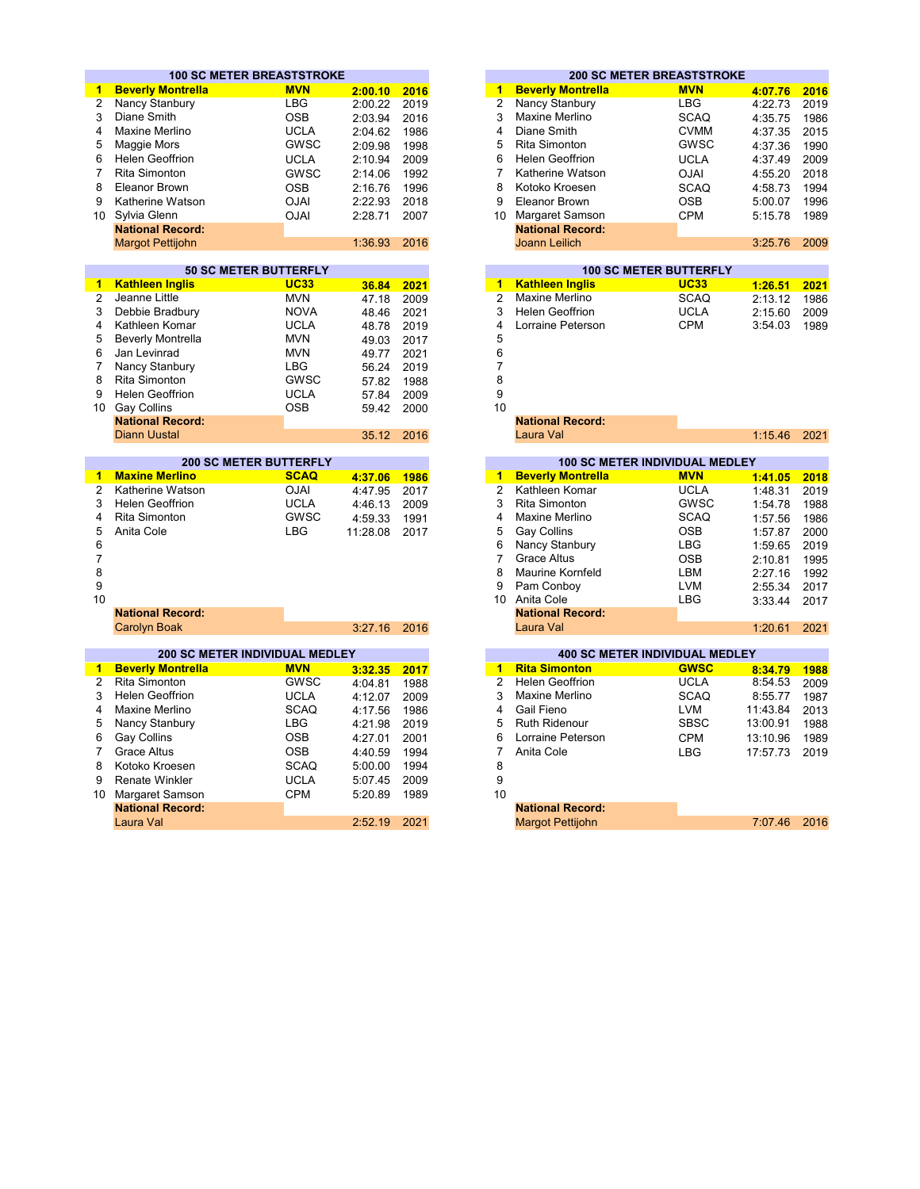|                 | <b>100 SC METER BREASTSTROKE</b>           |             |          |      |                |                                | <b>200 SC METER BREASTSTROKE</b>                                                                                                    |          |      |
|-----------------|--------------------------------------------|-------------|----------|------|----------------|--------------------------------|-------------------------------------------------------------------------------------------------------------------------------------|----------|------|
| 1.              | <b>Beverly Montrella</b>                   | <b>MVN</b>  | 2:00.10  | 2016 | 1              | <b>Beverly Montrella</b>       | <b>MVN</b>                                                                                                                          | 4:07.76  | 2016 |
| $\overline{2}$  | Nancy Stanbury                             | <b>LBG</b>  | 2:00.22  | 2019 | $\overline{2}$ | Nancy Stanbury                 | <b>LBG</b>                                                                                                                          | 4:22.73  | 2019 |
| 3               | Diane Smith                                | <b>OSB</b>  | 2:03.94  | 2016 | 3              | Maxine Merlino                 | <b>SCAQ</b>                                                                                                                         | 4:35.75  | 1986 |
| 4               | Maxine Merlino                             | <b>UCLA</b> | 2:04.62  | 1986 | $\overline{4}$ | Diane Smith                    | <b>CVMM</b>                                                                                                                         | 4:37.35  | 2015 |
| 5               | Maggie Mors                                | <b>GWSC</b> | 2:09.98  | 1998 | 5              | Rita Simonton                  | <b>GWSC</b>                                                                                                                         | 4:37.36  | 1990 |
| 6               | <b>Helen Geoffrion</b>                     | <b>UCLA</b> | 2:10.94  | 2009 | 6              | <b>Helen Geoffrion</b>         | <b>UCLA</b>                                                                                                                         | 4:37.49  | 2009 |
| $\overline{7}$  | <b>Rita Simonton</b>                       | <b>GWSC</b> | 2:14.06  | 1992 | $\overline{7}$ | Katherine Watson               | <b>OJAI</b>                                                                                                                         | 4:55.20  | 2018 |
| 8               | <b>Eleanor Brown</b>                       | <b>OSB</b>  | 2:16.76  | 1996 | 8              | Kotoko Kroesen                 | <b>SCAQ</b>                                                                                                                         | 4:58.73  | 1994 |
| 9               | Katherine Watson                           | <b>OJAI</b> | 2:22.93  | 2018 | 9              | <b>Eleanor Brown</b>           | <b>OSB</b>                                                                                                                          | 5:00.07  | 1996 |
| 10 <sup>1</sup> | Sylvia Glenn                               | <b>OJAI</b> | 2:28.71  | 2007 |                | 10 Margaret Samson             | <b>CPM</b>                                                                                                                          |          | 1989 |
|                 | <b>National Record:</b>                    |             |          |      |                | <b>National Record:</b>        |                                                                                                                                     | 5:15.78  |      |
|                 | <b>Margot Pettijohn</b>                    |             | 1:36.93  | 2016 |                | <b>Joann Leilich</b>           |                                                                                                                                     | 3:25.76  | 2009 |
|                 |                                            |             |          |      |                |                                |                                                                                                                                     |          |      |
|                 | <b>50 SC METER BUTTERFLY</b>               |             |          |      |                |                                | <b>100 SC METER BUTTERFLY</b>                                                                                                       |          |      |
| 1.              | <b>Kathleen Inglis</b>                     | <b>UC33</b> | 36.84    | 2021 | $\mathbf{1}$   | <b>Kathleen Inglis</b>         | <b>UC33</b>                                                                                                                         | 1:26.51  | 2021 |
| $\overline{c}$  | Jeanne Little                              | <b>MVN</b>  | 47.18    | 2009 | $\overline{2}$ | Maxine Merlino                 | <b>SCAQ</b>                                                                                                                         | 2:13.12  | 1986 |
| 3               | Debbie Bradbury                            | <b>NOVA</b> | 48.46    | 2021 | 3              | <b>Helen Geoffrion</b>         | <b>UCLA</b>                                                                                                                         | 2:15.60  | 2009 |
| 4               | Kathleen Komar                             | <b>UCLA</b> | 48.78    | 2019 | 4              | Lorraine Peterson              | <b>CPM</b>                                                                                                                          | 3:54.03  | 1989 |
| 5               | <b>Beverly Montrella</b>                   | <b>MVN</b>  | 49.03    | 2017 | 5              |                                |                                                                                                                                     |          |      |
| 6               | Jan Levinrad                               | <b>MVN</b>  | 49.77    | 2021 | 6              |                                |                                                                                                                                     |          |      |
| $\overline{7}$  | Nancy Stanbury                             | <b>LBG</b>  | 56.24    | 2019 | $\overline{7}$ |                                |                                                                                                                                     |          |      |
| 8               | <b>Rita Simonton</b>                       | <b>GWSC</b> | 57.82    | 1988 | 8              |                                |                                                                                                                                     |          |      |
| 9               | <b>Helen Geoffrion</b>                     | <b>UCLA</b> | 57.84    | 2009 | 9              |                                |                                                                                                                                     |          |      |
| 10              | <b>Gay Collins</b>                         | <b>OSB</b>  | 59.42    | 2000 | 10             |                                |                                                                                                                                     |          |      |
|                 | <b>National Record:</b>                    |             |          |      |                | <b>National Record:</b>        |                                                                                                                                     |          |      |
|                 | <b>Diann Uustal</b>                        |             | 35.12    | 2016 |                | Laura Val                      |                                                                                                                                     | 1:15.46  | 2021 |
|                 |                                            |             |          |      |                |                                |                                                                                                                                     |          |      |
|                 | <b>200 SC METER BUTTERFLY</b>              |             |          |      |                | 100 SC METER INDIVIDUAL MEDLEY |                                                                                                                                     |          |      |
| 1               | <b>Maxine Merlino</b>                      | <b>SCAQ</b> | 4:37.06  | 1986 | $\mathbf{1}$   | <b>Beverly Montrella</b>       | <b>MVN</b><br><b>Contract Contract Contract Contract Contract Contract Contract Contract Contract Contract Contract Contract Co</b> | 1:41.05  | 2018 |
| $\overline{2}$  | Katherine Watson                           | <b>OJAI</b> | 4:47.95  | 2017 | $\overline{2}$ | Kathleen Komar                 | <b>UCLA</b>                                                                                                                         | 1:48.31  | 2019 |
| 3               | <b>Helen Geoffrion</b>                     | <b>UCLA</b> | 4:46.13  | 2009 | 3              | <b>Rita Simonton</b>           | <b>GWSC</b>                                                                                                                         | 1:54.78  | 1988 |
| 4               | <b>Rita Simonton</b>                       | GWSC        | 4:59.33  | 1991 | 4              | Maxine Merlino                 | <b>SCAQ</b>                                                                                                                         | 1:57.56  | 1986 |
| 5               | Anita Cole                                 | <b>LBG</b>  | 11:28.08 | 2017 | 5              | <b>Gay Collins</b>             | <b>OSB</b>                                                                                                                          | 1:57.87  | 2000 |
| 6               |                                            |             |          |      | 6              | Nancy Stanbury                 | <b>LBG</b>                                                                                                                          | 1:59.65  | 2019 |
| $\overline{7}$  |                                            |             |          |      | $\overline{7}$ | <b>Grace Altus</b>             | <b>OSB</b>                                                                                                                          | 2:10.81  | 1995 |
| 8               |                                            |             |          |      | 8              | Maurine Kornfeld               | LBM                                                                                                                                 | 2:27.16  | 1992 |
| 9               |                                            |             |          |      | 9              | Pam Conboy                     | <b>LVM</b>                                                                                                                          | 2:55.34  | 2017 |
| 10              |                                            |             |          |      |                | 10 Anita Cole                  | LBG                                                                                                                                 | 3:33.44  | 2017 |
|                 | <b>National Record:</b>                    |             |          |      |                | <b>National Record:</b>        |                                                                                                                                     |          |      |
|                 | <b>Carolyn Boak</b>                        |             | 3:27.16  | 2016 |                | Laura Val                      |                                                                                                                                     | 1:20.61  | 2021 |
|                 | <b>200 SC METER INDIVIDUAL MEDLEY</b>      |             |          |      |                | 400 SC METER INDIVIDUAL MEDLEY |                                                                                                                                     |          |      |
| $\mathbf{1}$    | <b>Beverly Montrella</b>                   | <b>MVN</b>  | 3:32.35  | 2017 | 1              | <b>Rita Simonton</b>           | <b>GWSC</b>                                                                                                                         | 8:34.79  | 1988 |
| $\overline{2}$  | <b>Rita Simonton</b>                       | <b>GWSC</b> | 4:04.81  | 1988 | $\overline{2}$ | <b>Helen Geoffrion</b>         | <b>UCLA</b>                                                                                                                         | 8:54.53  | 2009 |
| 3               | <b>Helen Geoffrion</b>                     | <b>UCLA</b> | 4:12.07  | 2009 | 3              | Maxine Merlino                 | <b>SCAQ</b>                                                                                                                         | 8:55.77  | 1987 |
| 4               | Maxine Merlino                             | <b>SCAQ</b> | 4:17.56  | 1986 | 4              | Gail Fieno                     | <b>LVM</b>                                                                                                                          | 11:43.84 | 2013 |
| 5               | Nancy Stanbury                             | <b>LBG</b>  | 4:21.98  | 2019 | 5              | <b>Ruth Ridenour</b>           | <b>SBSC</b>                                                                                                                         | 13:00.91 | 1988 |
| 6               | Gay Collins                                | <b>OSB</b>  | 4:27.01  | 2001 | 6              | Lorraine Peterson              | <b>CPM</b>                                                                                                                          | 13:10.96 | 1989 |
| $\overline{7}$  | <b>Grace Altus</b>                         | <b>OSB</b>  | 4:40.59  | 1994 | $\overline{7}$ | Anita Cole                     | <b>LBG</b>                                                                                                                          | 17:57.73 | 2019 |
|                 |                                            |             |          |      |                |                                |                                                                                                                                     |          |      |
| 8               | Kotoko Kroesen                             | <b>SCAQ</b> | 5:00.00  | 1994 | 8              |                                |                                                                                                                                     |          |      |
| 9               | <b>Renate Winkler</b>                      | <b>UCLA</b> | 5:07.45  | 2009 | 9              |                                |                                                                                                                                     |          |      |
|                 |                                            |             |          |      |                |                                |                                                                                                                                     |          |      |
| 10              | Margaret Samson<br><b>National Record:</b> | <b>CPM</b>  | 5:20.89  | 1989 | 10             | <b>National Record:</b>        |                                                                                                                                     |          |      |

| 2016 | 1  | <b>Beverly Montrella</b> | <b>MVN</b>  | 4:07.76                          |
|------|----|--------------------------|-------------|----------------------------------|
| 2019 | 2  | Nancy Stanbury           | LBG         | 4:22.73                          |
| 2016 | 3  | Maxine Merlino           | <b>SCAQ</b> | 4:35.75                          |
| 1986 | 4  | Diane Smith              | <b>CVMM</b> | 4:37.35                          |
| 1998 | 5  | Rita Simonton            | <b>GWSC</b> | 4:37.36                          |
| 2009 | 6  | <b>Helen Geoffrion</b>   | <b>UCLA</b> | 4:37.49                          |
| 1992 |    | Katherine Watson         | <b>OJAI</b> | 4:55.20                          |
| 1996 | 8  | Kotoko Kroesen           | <b>SCAQ</b> | 4:58.73                          |
| 2018 | 9  | Eleanor Brown            | <b>OSB</b>  | 5:00.07                          |
| 2007 | 10 | Margaret Samson          | <b>CPM</b>  | 5:15.78                          |
|      |    | <b>National Record:</b>  |             |                                  |
| 2016 |    | Joann Leilich            |             | 3:25.76                          |
|      |    |                          |             | <b>200 SC METER BREASTSTROKE</b> |

|                                                                | <b>50 SC METER BUTTERFLY</b> |             |                      |      |  |  |  |
|----------------------------------------------------------------|------------------------------|-------------|----------------------|------|--|--|--|
| <mark>1 Kathleen Inglis</mark>                                 |                              | <b>UC33</b> | 36.84                | 2021 |  |  |  |
| 2 Jeanne Little                                                |                              | <b>MVN</b>  | 47.18                | 2009 |  |  |  |
| 3 Debbie Bradbury                                              |                              | <b>NOVA</b> | 48.46                | 2021 |  |  |  |
| 4 Kathleen Komar                                               |                              | <b>UCLA</b> | 48.78                | 2019 |  |  |  |
| 5 Beverly Montrella                                            |                              | <b>MVN</b>  | 49.03                | 2017 |  |  |  |
| 6 Jan Levinrad                                                 |                              | <b>MVN</b>  | 49.77                | 2021 |  |  |  |
| 7 Nancy Stanbury                                               |                              | LBG.        | 56.24                | 2019 |  |  |  |
| 8 Rita Simonton                                                |                              | <b>GWSC</b> | 57.82                | 1988 |  |  |  |
| 9 Helen Geoffrion                                              |                              | <b>UCLA</b> | 57.84                | 2009 |  |  |  |
| $\Omega$ $\Omega$ $\Omega$ $\Omega$ $\Omega$ $\Omega$ $\Omega$ |                              | <b>OCD</b>  | $F^{\wedge}$ 40 0000 |      |  |  |  |

|       | 35.12 2016 |    | Laura Val                |                                       | 1:15.46 | 2021 |
|-------|------------|----|--------------------------|---------------------------------------|---------|------|
|       |            |    |                          |                                       |         |      |
|       |            |    |                          | <b>100 SC METER INDIVIDUAL MEDLEY</b> |         |      |
| 37.06 | 1986       | 47 | <b>Beverly Montrella</b> | <b>MVN</b>                            | 1:41.05 | 2018 |
| 47.95 | 2017       |    | 2 Kathleen Komar         | <b>UCLA</b>                           | 1:48.31 |      |
| 46.13 | 2009       |    | 3 Rita Simonton          | <b>GWSC</b>                           | 1:54.78 |      |
| 59.33 | 1991       | 4  | Maxine Merlino           | <b>SCAQ</b>                           | 1:57.56 |      |
| 28.08 | 2017       | 5. | Gay Collins              | <b>OSB</b>                            | 1:57.87 |      |
|       |            | 6  | Nancy Stanbury           | LBG                                   | 1:59.65 |      |
|       |            |    | <b>Grace Altus</b>       | <b>OSB</b>                            | 2:10.81 |      |

|    |                          | <b>200 SC METER INDIVIDUAL MEDLEY</b> |         |      |
|----|--------------------------|---------------------------------------|---------|------|
|    | <b>Beverly Montrella</b> | <b>MVN</b>                            | 3:32.35 | 2017 |
| 2  | Rita Simonton            | <b>GWSC</b>                           | 4:04.81 | 1988 |
| 3. | <b>Helen Geoffrion</b>   | <b>UCLA</b>                           | 4:12.07 | 2009 |
| 4  | Maxine Merlino           | <b>SCAQ</b>                           | 4:17.56 | 1986 |
|    | 5 Nancy Stanbury         | LBG                                   | 4:21.98 | 2019 |
|    | 6 Gay Collins            | <b>OSB</b>                            | 4:27.01 | 2001 |
|    | Grace Altus              | <b>OSB</b>                            | 4:40.59 | 1994 |
|    | 8 Kotoko Kroesen         | <b>SCAO</b>                           | 5:00.00 | 1994 |
|    | 9 Renate Winkler         | <b>UCLA</b>                           | 5:07.45 | 2009 |
| 0  | Margaret Samson          | <b>CPM</b>                            | 5:20.89 | 1989 |
|    | <b>National Record:</b>  |                                       |         |      |
|    | Laura Val                |                                       | 2:52.19 | 2021 |
|    |                          |                                       |         |      |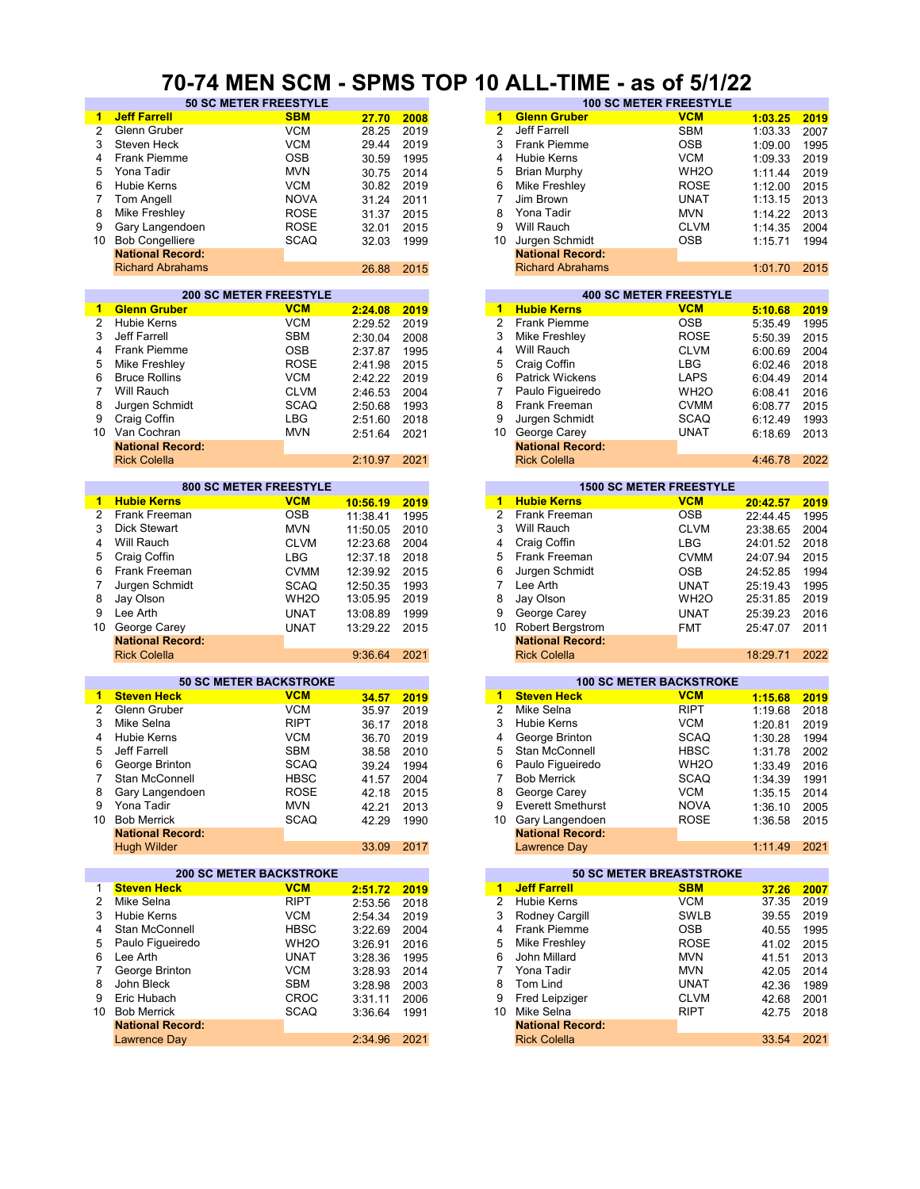#### **70-74 MEN SCM - SPMS TOP 10 ALL-TIME - as of 5/1/22**

| $\mathbf{1}$   | <b>Jeff Farrell</b>            | <b>SBM</b>        | 27.70      | 2008 | $\overline{1}$  | <b>Glenn Gruber</b>             | <b>VCM</b>        | 1:03.25  | 2019 |
|----------------|--------------------------------|-------------------|------------|------|-----------------|---------------------------------|-------------------|----------|------|
| $\overline{2}$ | Glenn Gruber                   | <b>VCM</b>        | 28.25      | 2019 | $\overline{2}$  | Jeff Farrell                    | <b>SBM</b>        | 1:03.33  | 2007 |
| 3              | Steven Heck                    | <b>VCM</b>        | 29.44      | 2019 | 3               | Frank Piemme                    | <b>OSB</b>        | 1:09.00  | 1995 |
| 4              | Frank Piemme                   | <b>OSB</b>        | 30.59      | 1995 | 4               | <b>Hubie Kerns</b>              | <b>VCM</b>        | 1:09.33  | 2019 |
| 5              | Yona Tadir                     | <b>MVN</b>        | 30.75      | 2014 | 5               | <b>Brian Murphy</b>             | WH <sub>2</sub> O | 1:11.44  | 2019 |
| 6              | Hubie Kerns                    | <b>VCM</b>        | 30.82      | 2019 | 6               | Mike Freshley                   | <b>ROSE</b>       |          | 2015 |
| 7              | Tom Angell                     | <b>NOVA</b>       |            |      | 7               | Jim Brown                       | UNAT              | 1:12.00  |      |
|                |                                |                   | 31.24      | 2011 |                 | Yona Tadir                      |                   | 1:13.15  | 2013 |
| 8              | Mike Freshley                  | <b>ROSE</b>       | 31.37      | 2015 | 8               |                                 | <b>MVN</b>        | 1:14.22  | 2013 |
| 9              | Gary Langendoen                | <b>ROSE</b>       | 32.01      | 2015 | 9               | Will Rauch                      | <b>CLVM</b>       | 1:14.35  | 2004 |
| 10             | <b>Bob Congelliere</b>         | <b>SCAQ</b>       | 32.03      | 1999 | 10              | Jurgen Schmidt                  | <b>OSB</b>        | 1:15.71  | 1994 |
|                | <b>National Record:</b>        |                   |            |      |                 | <b>National Record:</b>         |                   |          |      |
|                | <b>Richard Abrahams</b>        |                   | 26.88      | 2015 |                 | <b>Richard Abrahams</b>         |                   | 1:01.70  | 2015 |
|                |                                |                   |            |      |                 |                                 |                   |          |      |
|                | <b>200 SC METER FREESTYLE</b>  |                   |            |      |                 | <b>400 SC METER FREESTYLE</b>   |                   |          |      |
| $\mathbf{1}$   | <b>Glenn Gruber</b>            | <b>VCM</b>        | 2:24.08    | 2019 | 1               | <b>Hubie Kerns</b>              | <b>VCM</b>        | 5:10.68  | 2019 |
| 2              | <b>Hubie Kerns</b>             | <b>VCM</b>        | 2:29.52    | 2019 | $\overline{2}$  | Frank Piemme                    | <b>OSB</b>        | 5:35.49  | 1995 |
| 3              | Jeff Farrell                   | <b>SBM</b>        | 2:30.04    | 2008 | 3               | Mike Freshley                   | <b>ROSE</b>       | 5:50.39  | 2015 |
| 4              | Frank Piemme                   | <b>OSB</b>        | 2:37.87    | 1995 | 4               | Will Rauch                      | <b>CLVM</b>       | 6:00.69  | 2004 |
| 5              | Mike Freshley                  | <b>ROSE</b>       | 2:41.98    | 2015 | 5               | Craig Coffin                    | LBG               | 6:02.46  | 2018 |
| 6              | <b>Bruce Rollins</b>           | <b>VCM</b>        | 2:42.22    | 2019 | 6               | <b>Patrick Wickens</b>          | <b>LAPS</b>       | 6:04.49  | 2014 |
| 7              | Will Rauch                     | <b>CLVM</b>       | 2:46.53    | 2004 | 7               | Paulo Figueiredo                | WH <sub>2</sub> O | 6:08.41  | 2016 |
| 8              | Jurgen Schmidt                 | <b>SCAQ</b>       | 2:50.68    | 1993 | 8               | Frank Freeman                   | <b>CVMM</b>       | 6:08.77  | 2015 |
| 9              | Craig Coffin                   | <b>LBG</b>        | 2:51.60    | 2018 | 9               | Jurgen Schmidt                  | <b>SCAQ</b>       | 6:12.49  | 1993 |
| 10             | Van Cochran                    | <b>MVN</b>        | 2:51.64    | 2021 | 10 <sup>°</sup> | George Carey                    | <b>UNAT</b>       | 6:18.69  | 2013 |
|                | <b>National Record:</b>        |                   |            |      |                 | <b>National Record:</b>         |                   |          |      |
|                | <b>Rick Colella</b>            |                   | 2:10.97    | 2021 |                 | <b>Rick Colella</b>             |                   | 4:46.78  | 2022 |
|                |                                |                   |            |      |                 |                                 |                   |          |      |
|                | <b>800 SC METER FREESTYLE</b>  |                   |            |      |                 | <b>1500 SC METER FREESTYLE</b>  |                   |          |      |
| 1              | <b>Hubie Kerns</b>             | <b>VCM</b>        | 10:56.19   | 2019 | 1               | <b>Hubie Kerns</b>              | <b>VCM</b>        | 20:42.57 | 2019 |
| $\overline{2}$ | Frank Freeman                  | <b>OSB</b>        | 11:38.41   | 1995 | $\overline{2}$  | Frank Freeman                   | <b>OSB</b>        | 22:44.45 | 1995 |
| 3              | <b>Dick Stewart</b>            | <b>MVN</b>        | 11:50.05   | 2010 | 3               | Will Rauch                      | <b>CLVM</b>       | 23:38.65 | 2004 |
| 4              | Will Rauch                     | <b>CLVM</b>       | 12:23.68   | 2004 | 4               | Craig Coffin                    | <b>LBG</b>        | 24:01.52 | 2018 |
| 5              | Craig Coffin                   | <b>LBG</b>        | 12:37.18   | 2018 | 5               | Frank Freeman                   | <b>CVMM</b>       | 24:07.94 | 2015 |
| 6              | Frank Freeman                  | <b>CVMM</b>       | 12:39.92   | 2015 | 6               | Jurgen Schmidt                  | <b>OSB</b>        | 24:52.85 | 1994 |
| 7              | Jurgen Schmidt                 | <b>SCAQ</b>       | 12:50.35   | 1993 | $\overline{7}$  | Lee Arth                        | <b>UNAT</b>       | 25:19.43 | 1995 |
| 8              | Jay Olson                      | WH <sub>2</sub> O | 13:05.95   | 2019 | 8               | Jay Olson                       | WH <sub>2</sub> O | 25:31.85 | 2019 |
| 9              | Lee Arth                       | <b>UNAT</b>       | 13:08.89   | 1999 | 9               | George Carey                    | <b>UNAT</b>       | 25:39.23 | 2016 |
| 10             | George Carey                   | <b>UNAT</b>       | 13:29.22   | 2015 | 10              | Robert Bergstrom                | <b>FMT</b>        | 25:47.07 | 2011 |
|                | <b>National Record:</b>        |                   |            |      |                 | <b>National Record:</b>         |                   |          |      |
|                | <b>Rick Colella</b>            |                   | 9:36.64    | 2021 |                 | <b>Rick Colella</b>             |                   | 18:29.71 | 2022 |
|                |                                |                   |            |      |                 |                                 |                   |          |      |
|                | <b>50 SC METER BACKSTROKE</b>  |                   |            |      |                 | <b>100 SC METER BACKSTROKE</b>  |                   |          |      |
| 1              | <b>Steven Heck</b>             | <b>VCM</b>        | 34.57      | 2019 | $\overline{1}$  | <b>Steven Heck</b>              | <b>VCM</b>        | 1:15.68  | 2019 |
| 2              | Glenn Gruber                   | <b>VCM</b>        | 35.97      | 2019 | $\overline{2}$  | Mike Selna                      | <b>RIPT</b>       | 1:19.68  | 2018 |
| 3              | Mike Selna                     | <b>RIPT</b>       | 36.17      | 2018 | 3               | <b>Hubie Kerns</b>              | <b>VCM</b>        | 1:20.81  | 2019 |
| 4              | <b>Hubie Kerns</b>             | <b>VCM</b>        | 36.70      | 2019 | 4               | George Brinton                  | <b>SCAQ</b>       | 1:30.28  | 1994 |
| 5              | Jeff Farrell                   | <b>SBM</b>        | 38.58      | 2010 | 5               | Stan McConnell                  | <b>HBSC</b>       | 1:31.78  | 2002 |
| 6              | George Brinton                 | <b>SCAQ</b>       | 39.24      | 1994 | 6               | Paulo Figueiredo                | WH <sub>2</sub> O | 1:33.49  | 2016 |
| 7              | Stan McConnell                 | <b>HBSC</b>       | 41.57 2004 |      | 7               | <b>Bob Merrick</b>              | <b>SCAQ</b>       | 1:34.39  | 1991 |
| 8              | Gary Langendoen                | <b>ROSE</b>       | 42.18      | 2015 | 8               | George Carey                    | <b>VCM</b>        | 1:35.15  | 2014 |
| 9              | Yona Tadir                     | <b>MVN</b>        | 42.21      | 2013 | 9               | <b>Everett Smethurst</b>        | <b>NOVA</b>       | 1:36.10  | 2005 |
|                | 10 Bob Merrick                 | <b>SCAQ</b>       | 42.29      | 1990 |                 | 10 Gary Langendoen              | <b>ROSE</b>       | 1:36.58  | 2015 |
|                | <b>National Record:</b>        |                   |            |      |                 | <b>National Record:</b>         |                   |          |      |
|                | <b>Hugh Wilder</b>             |                   | 33.09      | 2017 |                 | <b>Lawrence Day</b>             |                   | 1:11.49  | 2021 |
|                |                                |                   |            |      |                 |                                 |                   |          |      |
|                | <b>200 SC METER BACKSTROKE</b> |                   |            |      |                 | <b>50 SC METER BREASTSTROKE</b> |                   |          |      |
| 1              | <b>Steven Heck</b>             | <b>VCM</b>        | 2:51.72    | 2019 |                 | 1 Jeff Farrell                  | <b>SBM</b>        | 37.26    | 2007 |
| 2              | Mike Selna                     | <b>RIPT</b>       | 2:53.56    | 2018 | 2               | <b>Hubie Kerns</b>              | VCM               | 37.35    | 2019 |
| 3              | <b>Hubie Kerns</b>             | <b>VCM</b>        | 2:54.34    | 2019 | 3               | Rodney Cargill                  | <b>SWLB</b>       | 39.55    | 2019 |
| 4              | Stan McConnell                 | <b>HBSC</b>       | 3:22.69    | 2004 | 4               | Frank Piemme                    | <b>OSB</b>        | 40.55    | 1995 |
| 5              | Paulo Figueiredo               | WH <sub>2</sub> O | 3:26.91    | 2016 | 5               | Mike Freshley                   | <b>ROSE</b>       | 41.02    | 2015 |
| 6              | Lee Arth                       | <b>UNAT</b>       | 3:28.36    | 1995 | 6               | John Millard                    | <b>MVN</b>        | 41.51    | 2013 |
| 7              | George Brinton                 | <b>VCM</b>        | 3:28.93    | 2014 | $\overline{7}$  | Yona Tadir                      | <b>MVN</b>        | 42.05    | 2014 |
| 8              | John Bleck                     | <b>SBM</b>        | 3:28.98    | 2003 | 8               | Tom Lind                        | UNAT              | 42.36    | 1989 |
| 9              | Eric Hubach                    | <b>CROC</b>       |            |      | 9               | Fred Leipziger                  | <b>CLVM</b>       |          |      |
|                | <b>Bob Merrick</b>             |                   | 3:31.11    | 2006 |                 | Mike Selna                      |                   | 42.68    | 2001 |
| 10             | <b>National Record:</b>        | <b>SCAQ</b>       | 3:36.64    | 1991 | 10              | <b>National Record:</b>         | RIPT              | 42.75    | 2018 |
|                |                                |                   | 2:34.96    | 2021 |                 | <b>Rick Colella</b>             |                   | 33.54    | 2021 |
|                | Lawrence Day                   |                   |            |      |                 |                                 |                   |          |      |
|                |                                |                   |            |      |                 |                                 |                   |          |      |

| <b>50 SC METER FREESTYLE</b> |             |       |      |    |                         | <b>100 SC METER FREESTYLE</b> |         |      |
|------------------------------|-------------|-------|------|----|-------------------------|-------------------------------|---------|------|
|                              | <b>SBM</b>  | 27.70 | 2008 | 1  | <b>Glenn Gruber</b>     | <b>VCM</b>                    | 1:03.25 | 2019 |
|                              | <b>VCM</b>  | 28.25 | 2019 | 2  | Jeff Farrell            | <b>SBM</b>                    | 1:03.33 | 2007 |
|                              | <b>VCM</b>  | 29.44 | 2019 | 3  | <b>Frank Piemme</b>     | <b>OSB</b>                    | 1:09.00 | 1995 |
|                              | <b>OSB</b>  | 30.59 | 1995 | 4  | Hubie Kerns             | <b>VCM</b>                    | 1:09.33 | 2019 |
|                              | <b>MVN</b>  | 30.75 | 2014 | 5  | Brian Murphy            | WH <sub>2</sub> O             | 1:11.44 | 2019 |
|                              | <b>VCM</b>  | 30.82 | 2019 | 6  | Mike Freshley           | <b>ROSE</b>                   | 1:12.00 | 2015 |
|                              | <b>NOVA</b> | 31.24 | 2011 |    | Jim Brown               | <b>UNAT</b>                   | 1:13.15 | 2013 |
|                              | <b>ROSE</b> | 31.37 | 2015 | 8  | Yona Tadir              | <b>MVN</b>                    | 1:14.22 | 2013 |
| oen                          | <b>ROSE</b> | 32.01 | 2015 | 9  | Will Rauch              | <b>CLVM</b>                   | 1:14.35 | 2004 |
| re                           | <b>SCAQ</b> | 32.03 | 1999 | 10 | Jurgen Schmidt          | <b>OSB</b>                    | 1:15.71 | 1994 |
| :bıc                         |             |       |      |    | <b>National Record:</b> |                               |         |      |
| lams                         |             | 26.88 | 2015 |    | <b>Richard Abrahams</b> |                               | 1:01.70 | 2015 |
|                              |             |       |      |    |                         |                               |         |      |

| 2019 | 1 | <b>Hubie Kerns</b>      | <b>VCM</b>        | 5:10.68                       | 2019 |
|------|---|-------------------------|-------------------|-------------------------------|------|
| 2019 |   | <b>Frank Piemme</b>     | <b>OSB</b>        | 5:35.49                       | 1995 |
| 2008 | 3 | Mike Freshley           | <b>ROSE</b>       | 5:50.39                       | 2015 |
| 1995 | 4 | Will Rauch              | <b>CLVM</b>       | 6:00.69                       | 2004 |
| 2015 |   | Craig Coffin            | LBG               | 6:02.46                       | 2018 |
| 2019 | 6 | <b>Patrick Wickens</b>  | <b>LAPS</b>       | 6:04.49                       | 2014 |
| 2004 |   | Paulo Figueiredo        | WH <sub>2</sub> O | 6:08.41                       | 2016 |
| 1993 | 8 | <b>Frank Freeman</b>    | <b>CVMM</b>       | 6:08.77                       | 2015 |
| 2018 | 9 | Jurgen Schmidt          | SCAQ              | 6:12.49                       | 1993 |
| 2021 |   | George Carey            | <b>UNAT</b>       | 6:18.69                       | 2013 |
|      |   | <b>National Record:</b> |                   |                               |      |
| 2021 |   | <b>Rick Colella</b>     |                   | 4:46.78                       | 2022 |
|      |   | 5<br>7                  | 2<br>10           | <b>400 SC METER FREESTYLE</b> |      |

|         |      |    |                         | <b>1500 SC METER FREESTYLE</b> |          |      |
|---------|------|----|-------------------------|--------------------------------|----------|------|
| 0:56.19 | 2019 | 1. | <b>Hubie Kerns</b>      | <b>VCM</b>                     | 20:42.57 | 2019 |
| 1:38.41 | 1995 | 2  | Frank Freeman           | <b>OSB</b>                     | 22:44.45 | 1995 |
| 1:50.05 | 2010 | 3  | Will Rauch              | <b>CLVM</b>                    | 23:38.65 | 2004 |
| 2:23.68 | 2004 | 4  | Craig Coffin            | LBG                            | 24:01.52 | 2018 |
| 2:37.18 | 2018 | 5  | Frank Freeman           | <b>CVMM</b>                    | 24:07.94 | 2015 |
| 2:39.92 | 2015 | 6  | Jurgen Schmidt          | <b>OSB</b>                     | 24:52.85 | 1994 |
| 2:50.35 | 1993 |    | Lee Arth                | <b>UNAT</b>                    | 25:19.43 | 1995 |
| 3:05.95 | 2019 | 8  | Jay Olson               | WH <sub>2</sub> O              | 25:31.85 | 2019 |
| 3:08.89 | 1999 | 9  | George Carey            | <b>UNAT</b>                    | 25:39.23 | 2016 |
| 3:29.22 | 2015 | 10 | <b>Robert Bergstrom</b> | <b>FMT</b>                     | 25:47.07 | 2011 |
|         |      |    | <b>National Record:</b> |                                |          |      |
| 9:36.64 | 2021 |    | <b>Rick Colella</b>     |                                | 18:29.71 | 2022 |
|         |      |    |                         |                                |          |      |

|       |      |    |                          | <b>100 SC METER BACKSTROKE</b> |         |
|-------|------|----|--------------------------|--------------------------------|---------|
| 34.57 | 2019 | 1  | <b>Steven Heck</b>       | <b>VCM</b>                     | 1:15.68 |
| 35.97 | 2019 | 2  | Mike Selna               | <b>RIPT</b>                    | 1:19.68 |
| 36.17 | 2018 | 3  | <b>Hubie Kerns</b>       | <b>VCM</b>                     | 1:20.81 |
| 36.70 | 2019 | 4  | George Brinton           | <b>SCAQ</b>                    | 1:30.28 |
| 38.58 | 2010 | 5  | Stan McConnell           | <b>HBSC</b>                    | 1:31.78 |
| 39.24 | 1994 | 6  | Paulo Figueiredo         | WH <sub>2</sub> O              | 1:33.49 |
| 41.57 | 2004 |    | <b>Bob Merrick</b>       | <b>SCAQ</b>                    | 1:34.39 |
| 42.18 | 2015 | 8  | George Carey             | <b>VCM</b>                     | 1:35.15 |
| 42.21 | 2013 | 9  | <b>Everett Smethurst</b> | <b>NOVA</b>                    | 1:36.10 |
| 42.29 | 1990 | 10 | Gary Langendoen          | <b>ROSE</b>                    | 1:36.58 |
|       |      |    | <b>National Record:</b>  |                                |         |
| 33.09 | 2017 |    | Lawrence Day             |                                | 1:11.49 |
|       |      |    |                          |                                |         |

|         |      |               |                         | <b>50 SC METER BREASTSTROKE</b> |       |
|---------|------|---------------|-------------------------|---------------------------------|-------|
| 2:51.72 | 2019 | 1             | <b>Jeff Farrell</b>     | <b>SBM</b>                      | 37.26 |
| 2:53.56 | 2018 | $\mathcal{P}$ | <b>Hubie Kerns</b>      | <b>VCM</b>                      | 37.35 |
| 2:54.34 | 2019 | 3             | Rodney Cargill          | <b>SWLB</b>                     | 39.55 |
| 3:22.69 | 2004 | 4             | <b>Frank Piemme</b>     | <b>OSB</b>                      | 40.55 |
| 3:26.91 | 2016 | 5             | Mike Freshley           | <b>ROSE</b>                     | 41.02 |
| 3:28.36 | 1995 | 6             | John Millard            | <b>MVN</b>                      | 41.51 |
| 3:28.93 | 2014 |               | Yona Tadir              | <b>MVN</b>                      | 42.05 |
| 3:28.98 | 2003 | 8             | Tom Lind                | <b>UNAT</b>                     | 42.36 |
| 3:31.11 | 2006 | 9             | Fred Leipziger          | <b>CLVM</b>                     | 42.68 |
| 3:36.64 | 1991 | 10            | Mike Selna              | <b>RIPT</b>                     | 42.75 |
|         |      |               | <b>National Record:</b> |                                 |       |
| 2:34.96 | 2021 |               | <b>Rick Colella</b>     |                                 | 33.54 |
|         |      |               |                         |                                 |       |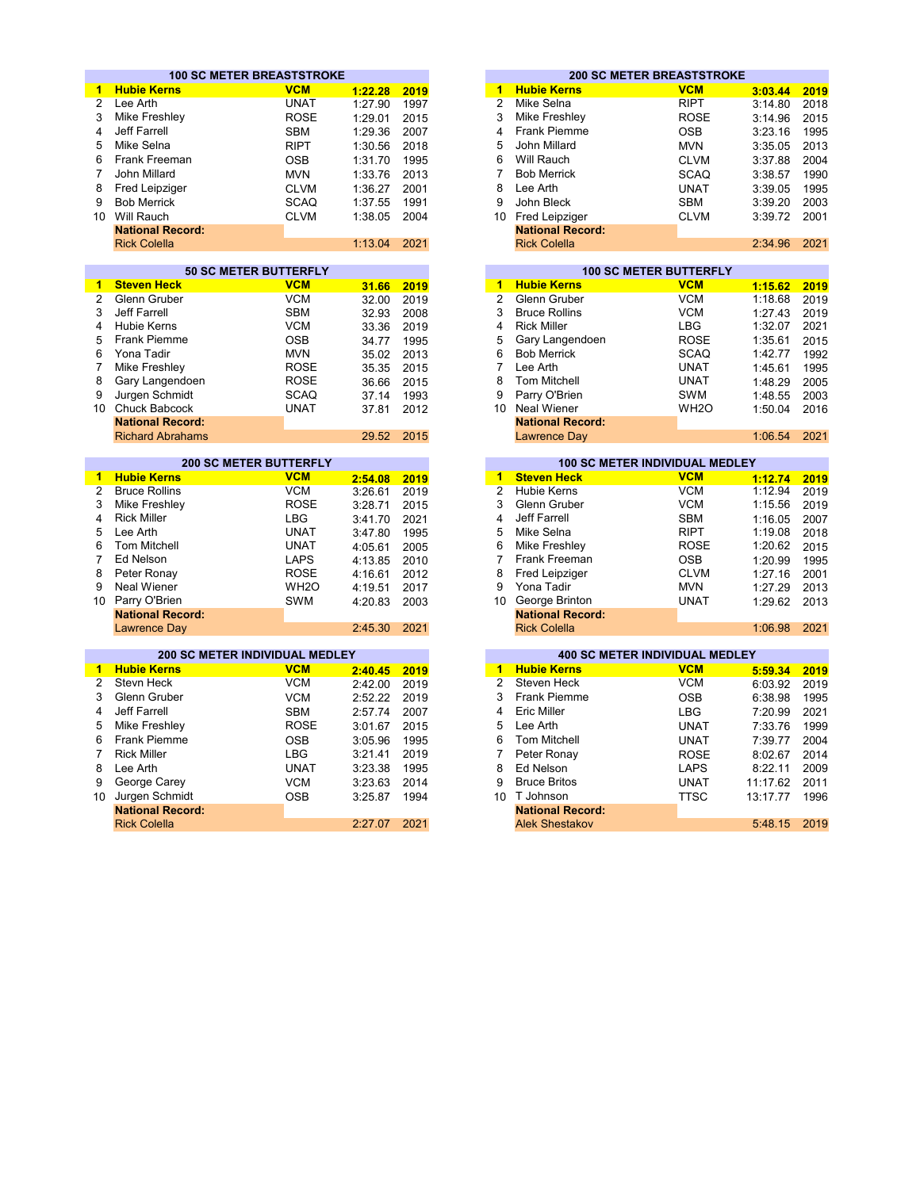|                 | <b>100 SC METER BREASTSTROKE</b>       |                   |         |      |                      |                              | <b>200 SC METER BREASTSTROKE</b>      |          |      |
|-----------------|----------------------------------------|-------------------|---------|------|----------------------|------------------------------|---------------------------------------|----------|------|
| $\mathbf{1}$    | <b>Hubie Kerns</b>                     | <b>VCM</b>        | 1:22.28 | 2019 | 1                    | <b>Hubie Kerns</b>           | <b>VCM</b>                            | 3:03.44  | 2019 |
| $\overline{2}$  | Lee Arth                               | <b>UNAT</b>       | 1:27.90 | 1997 | $\overline{2}$       | Mike Selna                   | <b>RIPT</b>                           | 3:14.80  | 2018 |
| 3               | Mike Freshley                          | <b>ROSE</b>       | 1:29.01 | 2015 | 3                    | Mike Freshley                | <b>ROSE</b>                           | 3:14.96  | 2015 |
| 4               | <b>Jeff Farrell</b>                    | <b>SBM</b>        | 1:29.36 | 2007 | $\overline{4}$       | <b>Frank Piemme</b>          | <b>OSB</b>                            | 3:23.16  | 1995 |
| 5               | Mike Selna                             | <b>RIPT</b>       | 1:30.56 | 2018 | 5                    | John Millard                 | <b>MVN</b>                            | 3:35.05  | 2013 |
| 6               | Frank Freeman                          | <b>OSB</b>        | 1:31.70 | 1995 | 6                    | Will Rauch                   | <b>CLVM</b>                           | 3:37.88  | 2004 |
| 7               | John Millard                           | <b>MVN</b>        | 1:33.76 | 2013 | $\overline{7}$       | <b>Bob Merrick</b>           | <b>SCAQ</b>                           | 3:38.57  | 1990 |
| 8               | Fred Leipziger                         | <b>CLVM</b>       | 1:36.27 | 2001 | 8                    | Lee Arth                     | <b>UNAT</b>                           | 3:39.05  | 1995 |
| 9               | <b>Bob Merrick</b>                     | <b>SCAQ</b>       | 1:37.55 | 1991 | 9                    | John Bleck                   | <b>SBM</b>                            | 3:39.20  | 2003 |
| 10 <sup>1</sup> | Will Rauch                             | <b>CLVM</b>       | 1:38.05 | 2004 |                      | 10 Fred Leipziger            | <b>CLVM</b>                           | 3:39.72  | 2001 |
|                 | <b>National Record:</b>                |                   |         |      |                      | <b>National Record:</b>      |                                       |          |      |
|                 | <b>Rick Colella</b>                    |                   | 1:13.04 | 2021 |                      | <b>Rick Colella</b>          |                                       | 2:34.96  | 2021 |
|                 |                                        |                   |         |      |                      |                              |                                       |          |      |
|                 | <b>50 SC METER BUTTERFLY</b>           |                   |         |      |                      |                              | <b>100 SC METER BUTTERFLY</b>         |          |      |
| 1.              | <b>Steven Heck</b>                     | <b>VCM</b>        | 31.66   | 2019 | 1                    | <b>Hubie Kerns</b>           | <b>VCM</b>                            | 1:15.62  | 2019 |
| $\overline{2}$  | Glenn Gruber                           | <b>VCM</b>        | 32.00   | 2019 | $\overline{2}$       | Glenn Gruber                 | <b>VCM</b>                            | 1:18.68  | 2019 |
| 3               | <b>Jeff Farrell</b>                    | <b>SBM</b>        | 32.93   | 2008 | 3                    | <b>Bruce Rollins</b>         | <b>VCM</b>                            | 1:27.43  | 2019 |
| 4               | <b>Hubie Kerns</b>                     | <b>VCM</b>        | 33.36   | 2019 | 4                    | <b>Rick Miller</b>           | <b>LBG</b>                            | 1:32.07  | 2021 |
| 5               | <b>Frank Piemme</b>                    | <b>OSB</b>        | 34.77   | 1995 | 5                    | Gary Langendoen              | <b>ROSE</b>                           | 1:35.61  | 2015 |
| 6               | Yona Tadir                             | <b>MVN</b>        | 35.02   | 2013 | 6                    | <b>Bob Merrick</b>           | <b>SCAQ</b>                           | 1:42.77  | 1992 |
| $\overline{7}$  | Mike Freshley                          | <b>ROSE</b>       |         | 2015 | $\overline{7}$       | Lee Arth                     | <b>UNAT</b>                           | 1:45.61  | 1995 |
| 8               | Gary Langendoen                        | <b>ROSE</b>       | 35.35   |      | 8                    | <b>Tom Mitchell</b>          | <b>UNAT</b>                           |          |      |
| 9               |                                        | <b>SCAQ</b>       | 36.66   | 2015 | 9                    |                              | <b>SWM</b>                            | 1:48.29  | 2005 |
| 10 <sup>1</sup> | Jurgen Schmidt<br><b>Chuck Babcock</b> | <b>UNAT</b>       | 37.14   | 1993 | 10                   | Parry O'Brien<br>Neal Wiener | WH <sub>2</sub> O                     | 1:48.55  | 2003 |
|                 | <b>National Record:</b>                |                   | 37.81   | 2012 |                      | <b>National Record:</b>      |                                       | 1:50.04  | 2016 |
|                 | <b>Richard Abrahams</b>                |                   | 29.52   | 2015 |                      | <b>Lawrence Day</b>          |                                       | 1:06.54  | 2021 |
|                 |                                        |                   |         |      |                      |                              |                                       |          |      |
|                 | <b>200 SC METER BUTTERFLY</b>          |                   |         |      |                      |                              | 100 SC METER INDIVIDUAL MEDLEY        |          |      |
| $\mathbf{1}$    | <b>Hubie Kerns</b>                     | <b>VCM</b>        | 2:54.08 | 2019 | 1                    | <b>Steven Heck</b>           | <b>VCM</b>                            | 1:12.74  | 2019 |
| $\overline{2}$  | <b>Bruce Rollins</b>                   | <b>VCM</b>        | 3:26.61 | 2019 | $\overline{2}$       | <b>Hubie Kerns</b>           | <b>VCM</b>                            | 1:12.94  | 2019 |
| 3               | Mike Freshley                          | <b>ROSE</b>       | 3:28.71 | 2015 | 3                    | Glenn Gruber                 | <b>VCM</b>                            | 1:15.56  | 2019 |
| 4               | <b>Rick Miller</b>                     | <b>LBG</b>        | 3:41.70 | 2021 | 4                    | Jeff Farrell                 | <b>SBM</b>                            | 1:16.05  | 2007 |
| 5               | Lee Arth                               | <b>UNAT</b>       | 3:47.80 | 1995 | 5                    | Mike Selna                   | <b>RIPT</b>                           | 1:19.08  | 2018 |
| 6               | <b>Tom Mitchell</b>                    | <b>UNAT</b>       | 4:05.61 | 2005 | 6                    | <b>Mike Freshley</b>         | <b>ROSE</b>                           | 1:20.62  | 2015 |
| 7               | Ed Nelson                              | <b>LAPS</b>       | 4:13.85 | 2010 | $\overline{7}$       | <b>Frank Freeman</b>         | <b>OSB</b>                            | 1:20.99  | 1995 |
| 8               | Peter Ronay                            | <b>ROSE</b>       | 4:16.61 | 2012 | 8                    | Fred Leipziger               | <b>CLVM</b>                           | 1:27.16  | 2001 |
| 9               | <b>Neal Wiener</b>                     | WH <sub>2</sub> O | 4:19.51 | 2017 | 9                    | Yona Tadir                   | <b>MVN</b>                            | 1:27.29  | 2013 |
| 10              | Parry O'Brien                          | <b>SWM</b>        | 4:20.83 | 2003 | 10                   | George Brinton               | <b>UNAT</b>                           | 1:29.62  | 2013 |
|                 | <b>National Record:</b>                |                   |         |      |                      | <b>National Record:</b>      |                                       |          |      |
|                 | <b>Lawrence Day</b>                    |                   | 2:45.30 | 2021 |                      | <b>Rick Colella</b>          |                                       | 1:06.98  | 2021 |
|                 |                                        |                   |         |      |                      |                              |                                       |          |      |
|                 | <b>200 SC METER INDIVIDUAL MEDLEY</b>  |                   |         |      |                      |                              | <b>400 SC METER INDIVIDUAL MEDLEY</b> |          |      |
| 1.              | <b>Hubie Kerns</b>                     | <b>VCM</b>        | 2:40.45 | 2019 | $\blacktriangleleft$ | <b>Hubie Kerns</b>           | <b>VCM</b>                            | 5:59.34  | 2019 |
| $\overline{2}$  | <b>Stevn Heck</b>                      | <b>VCM</b>        | 2:42.00 | 2019 | $\overline{2}$       | Steven Heck                  | <b>VCM</b>                            | 6:03.92  | 2019 |
| 3               | Glenn Gruber                           | <b>VCM</b>        | 2:52.22 | 2019 | 3                    | <b>Frank Piemme</b>          | <b>OSB</b>                            | 6:38.98  | 1995 |
| 4               | Jeff Farrell                           | <b>SBM</b>        | 2:57.74 | 2007 | 4                    | Eric Miller                  | <b>LBG</b>                            | 7:20.99  | 2021 |
| 5               | Mike Freshley                          | <b>ROSE</b>       | 3:01.67 | 2015 | 5                    | Lee Arth                     | <b>UNAT</b>                           | 7:33.76  | 1999 |
| 6               | <b>Frank Piemme</b>                    | <b>OSB</b>        | 3:05.96 | 1995 | 6                    | <b>Tom Mitchell</b>          | <b>UNAT</b>                           | 7:39.77  | 2004 |
| $\overline{7}$  | <b>Rick Miller</b>                     | <b>LBG</b>        | 3:21.41 | 2019 | 7                    | Peter Ronay                  | <b>ROSE</b>                           | 8:02.67  | 2014 |
| 8               | Lee Arth                               | <b>UNAT</b>       | 3:23.38 | 1995 | 8                    | Ed Nelson                    | <b>LAPS</b>                           | 8:22.11  | 2009 |
| 9               | George Carey                           | <b>VCM</b>        | 3:23.63 | 2014 | 9                    | <b>Bruce Britos</b>          | <b>UNAT</b>                           | 11:17.62 | 2011 |
| 10              | Jurgen Schmidt                         | <b>OSB</b>        | 3:25.87 | 1994 | 10 <sup>1</sup>      | T Johnson                    | <b>TTSC</b>                           | 13:17.77 | 1996 |
|                 | <b>National Record:</b>                |                   |         |      |                      | <b>National Record:</b>      |                                       |          |      |
|                 | <b>Rick Colella</b>                    |                   | 2:27.07 | 2021 |                      | <b>Alek Shestakov</b>        |                                       | 5:48.15  | 2019 |
|                 |                                        |                   |         |      |                      |                              |                                       |          |      |

|         |      |    |                         | <b>200 SC METER BREASTSTROKE</b> |         |      |
|---------|------|----|-------------------------|----------------------------------|---------|------|
| 1:22.28 | 2019 | 1  | <b>Hubie Kerns</b>      | <b>VCM</b>                       | 3:03.44 | 2019 |
| 1:27.90 | 1997 | 2  | Mike Selna              | <b>RIPT</b>                      | 3:14.80 | 2018 |
| 1:29.01 | 2015 | 3  | Mike Freshley           | <b>ROSE</b>                      | 3:14.96 | 2015 |
| 1:29.36 | 2007 | 4  | <b>Frank Piemme</b>     | <b>OSB</b>                       | 3:23.16 | 1995 |
| 1:30.56 | 2018 | 5  | John Millard            | <b>MVN</b>                       | 3:35.05 | 2013 |
| 1:31.70 | 1995 | 6  | Will Rauch              | <b>CLVM</b>                      | 3:37.88 | 2004 |
| 1:33.76 | 2013 |    | <b>Bob Merrick</b>      | <b>SCAQ</b>                      | 3:38.57 | 1990 |
| 1:36.27 | 2001 | 8  | Lee Arth                | <b>UNAT</b>                      | 3:39.05 | 1995 |
| 1:37.55 | 1991 | 9  | John Bleck              | <b>SBM</b>                       | 3:39.20 | 2003 |
| 1:38.05 | 2004 | 10 | Fred Leipziger          | <b>CLVM</b>                      | 3:39.72 | 2001 |
|         |      |    | <b>National Record:</b> |                                  |         |      |
| 1:13.04 | 2021 |    | <b>Rick Colella</b>     |                                  | 2:34.96 | 2021 |
|         |      |    |                         |                                  |         |      |

|       |      |    | <b>100 SC METER BUTTERFLY</b> |                   |         |      |  |  |  |  |  |  |
|-------|------|----|-------------------------------|-------------------|---------|------|--|--|--|--|--|--|
| 31.66 | 2019 | 1  | <b>Hubie Kerns</b>            | <b>VCM</b>        | 1:15.62 | 2019 |  |  |  |  |  |  |
| 32.00 | 2019 | 2  | Glenn Gruber                  | <b>VCM</b>        | 1:18.68 | 2019 |  |  |  |  |  |  |
| 32.93 | 2008 | 3  | <b>Bruce Rollins</b>          | <b>VCM</b>        | 1:27.43 | 2019 |  |  |  |  |  |  |
| 33.36 | 2019 | 4  | <b>Rick Miller</b>            | LBG               | 1:32.07 | 2021 |  |  |  |  |  |  |
| 34.77 | 1995 | 5  | Gary Langendoen               | <b>ROSE</b>       | 1:35.61 | 2015 |  |  |  |  |  |  |
| 35.02 | 2013 | 6  | <b>Bob Merrick</b>            | <b>SCAQ</b>       | 1:42.77 | 1992 |  |  |  |  |  |  |
| 35.35 | 2015 |    | Lee Arth                      | <b>UNAT</b>       | 1:45.61 | 1995 |  |  |  |  |  |  |
| 36.66 | 2015 | 8  | Tom Mitchell                  | <b>UNAT</b>       | 1:48.29 | 2005 |  |  |  |  |  |  |
| 37.14 | 1993 | 9  | Parry O'Brien                 | SWM               | 1:48.55 | 2003 |  |  |  |  |  |  |
| 37.81 | 2012 | 10 | Neal Wiener                   | WH <sub>2</sub> O | 1:50.04 | 2016 |  |  |  |  |  |  |
|       |      |    | <b>National Record:</b>       |                   |         |      |  |  |  |  |  |  |
| 29.52 | 2015 |    | Lawrence Day                  |                   | 1:06.54 | 2021 |  |  |  |  |  |  |

| <b>200 SC METER BUTTERFLY</b> |                   |         |      |    |                         | <b>100 SC METER INDIVIDUAL MEDLEY</b> |         |      |
|-------------------------------|-------------------|---------|------|----|-------------------------|---------------------------------------|---------|------|
|                               | <b>VCM</b>        | 2:54.08 | 2019 |    | <b>Steven Heck</b>      | <b>VCM</b>                            | 1:12.74 | 2019 |
|                               | <b>VCM</b>        | 3:26.61 | 2019 | 2  | <b>Hubie Kerns</b>      | <b>VCM</b>                            | 1:12.94 | 2019 |
|                               | <b>ROSE</b>       | 3:28.71 | 2015 | 3  | Glenn Gruber            | <b>VCM</b>                            | 1:15.56 | 2019 |
|                               | LBG               | 3:41.70 | 2021 | 4  | Jeff Farrell            | <b>SBM</b>                            | 1:16.05 | 2007 |
|                               | <b>UNAT</b>       | 3:47.80 | 1995 | 5  | Mike Selna              | <b>RIPT</b>                           | 1:19.08 | 2018 |
|                               | <b>UNAT</b>       | 4:05.61 | 2005 | 6  | Mike Freshley           | <b>ROSE</b>                           | 1:20.62 | 2015 |
|                               | <b>LAPS</b>       | 4:13.85 | 2010 |    | <b>Frank Freeman</b>    | <b>OSB</b>                            | 1:20.99 | 1995 |
|                               | <b>ROSE</b>       | 4:16.61 | 2012 | 8  | Fred Leipziger          | <b>CLVM</b>                           | 1:27.16 | 2001 |
|                               | WH <sub>2</sub> O | 4:19.51 | 2017 | 9  | Yona Tadir              | <b>MVN</b>                            | 1:27.29 | 2013 |
|                               | SWM               | 4:20.83 | 2003 | 10 | George Brinton          | <b>UNAT</b>                           | 1:29.62 | 2013 |
| ord:                          |                   |         |      |    | <b>National Record:</b> |                                       |         |      |
| ٧                             |                   | 2:45.30 | 2021 |    | <b>Rick Colella</b>     |                                       | 1:06.98 | 2021 |

|         |      |               | <b>400 SC METER INDIVIDUAL MEDLEY</b> |             |          |      |  |  |  |  |  |
|---------|------|---------------|---------------------------------------|-------------|----------|------|--|--|--|--|--|
| 2:40.45 | 2019 | 1             | <b>Hubie Kerns</b>                    | <b>VCM</b>  | 5:59.34  | 2019 |  |  |  |  |  |
| 2:42.00 | 2019 | $\mathcal{P}$ | Steven Heck                           | <b>VCM</b>  | 6:03.92  | 2019 |  |  |  |  |  |
| 2:52.22 | 2019 | 3             | <b>Frank Piemme</b>                   | <b>OSB</b>  | 6:38.98  | 1995 |  |  |  |  |  |
| 2:57.74 | 2007 | 4             | <b>Eric Miller</b>                    | <b>LBG</b>  | 7:20.99  | 2021 |  |  |  |  |  |
| 3:01.67 | 2015 | 5             | Lee Arth                              | <b>UNAT</b> | 7:33.76  | 1999 |  |  |  |  |  |
| 3:05.96 | 1995 | 6             | Tom Mitchell                          | <b>UNAT</b> | 7:39.77  | 2004 |  |  |  |  |  |
| 3:21.41 | 2019 |               | Peter Ronay                           | <b>ROSE</b> | 8:02.67  | 2014 |  |  |  |  |  |
| 3:23.38 | 1995 | 8             | Ed Nelson                             | LAPS        | 8:22.11  | 2009 |  |  |  |  |  |
| 3:23.63 | 2014 | 9             | <b>Bruce Britos</b>                   | <b>UNAT</b> | 11:17.62 | 2011 |  |  |  |  |  |
| 3:25.87 | 1994 | 10            | T Johnson                             | <b>TTSC</b> | 13:17.77 | 1996 |  |  |  |  |  |
|         |      |               | <b>National Record:</b>               |             |          |      |  |  |  |  |  |
| 2:27.07 | 2021 |               | <b>Alek Shestakov</b>                 |             | 5:48.15  | 2019 |  |  |  |  |  |
|         |      |               |                                       |             |          |      |  |  |  |  |  |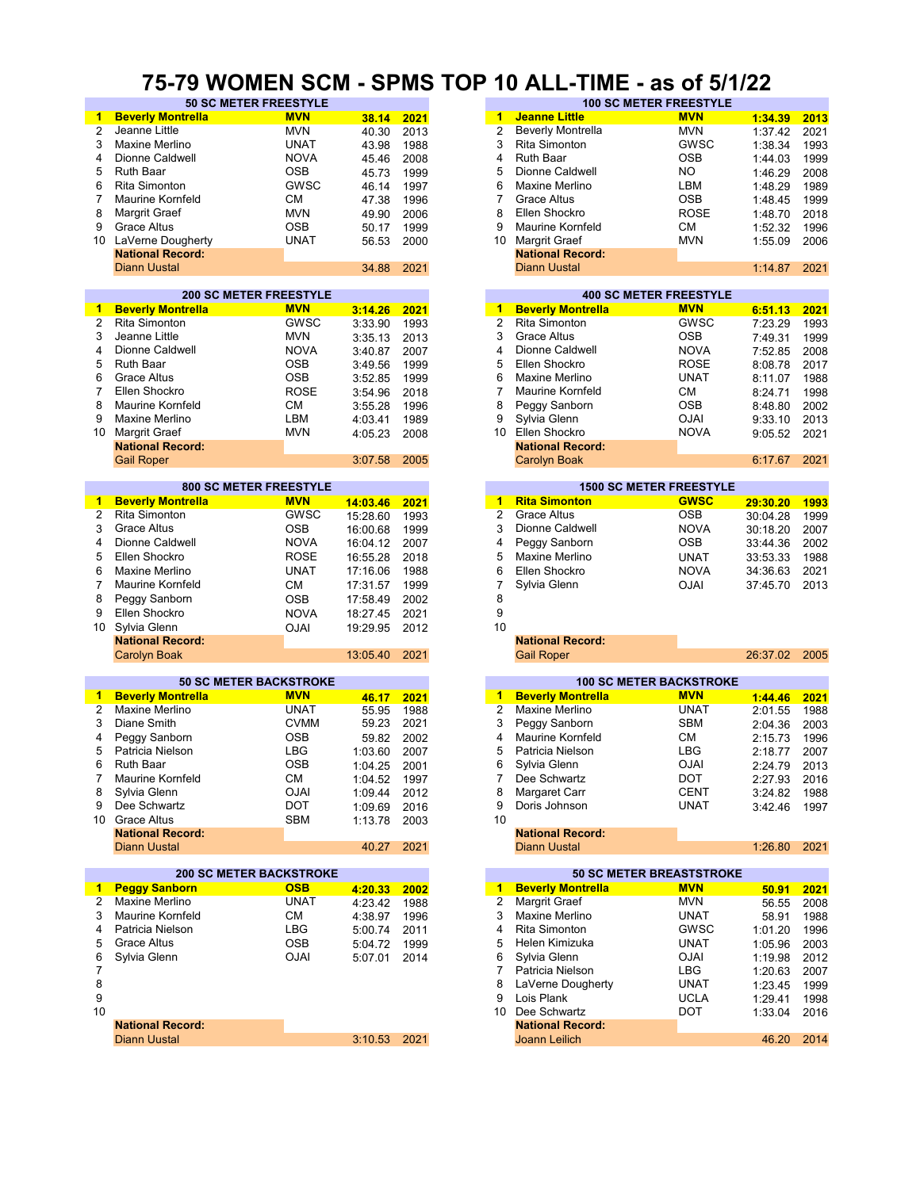#### **75-79 WOMEN SCM - SPMS TOP 10 ALL-TIME - as of 5/1/22**

| 1              | <b>Beverly Montrella</b>       | <b>MVN</b>                    | 38.14        | 2021 | $\blacktriangleleft$ | <b>Jeanne Little</b>     | <b>MVN</b>                      | 1:34.39      | 2013 |
|----------------|--------------------------------|-------------------------------|--------------|------|----------------------|--------------------------|---------------------------------|--------------|------|
| $\overline{2}$ | Jeanne Little                  | <b>MVN</b>                    | 40.30        | 2013 | $\overline{2}$       | <b>Beverly Montrella</b> | <b>MVN</b>                      | 1:37.42      | 2021 |
| 3              | Maxine Merlino                 | <b>UNAT</b>                   |              |      | 3                    | Rita Simonton            | GWSC                            |              | 1993 |
|                |                                |                               | 43.98        | 1988 |                      |                          |                                 | 1:38.34      |      |
| 4              | Dionne Caldwell                | <b>NOVA</b>                   | 45.46        | 2008 | 4                    | <b>Ruth Baar</b>         | <b>OSB</b>                      | 1:44.03      | 1999 |
| 5              | Ruth Baar                      | <b>OSB</b>                    | 45.73        | 1999 | 5                    | Dionne Caldwell          | NO.                             | 1:46.29      | 2008 |
| 6              | <b>Rita Simonton</b>           | GWSC                          |              |      | 6                    | Maxine Merlino           | LBM                             |              |      |
|                |                                |                               | 46.14        | 1997 |                      |                          |                                 | 1:48.29      | 1989 |
| $\overline{7}$ | <b>Maurine Kornfeld</b>        | СM                            | 47.38        | 1996 | 7                    | <b>Grace Altus</b>       | <b>OSB</b>                      | 1:48.45      | 1999 |
| 8              | Margrit Graef                  | <b>MVN</b>                    | 49.90        | 2006 | 8                    | Ellen Shockro            | <b>ROSE</b>                     | 1:48.70      | 2018 |
| 9              | <b>Grace Altus</b>             | <b>OSB</b>                    | 50.17        | 1999 | 9                    | <b>Maurine Kornfeld</b>  | CМ                              | 1:52.32      | 1996 |
|                |                                |                               |              |      |                      |                          |                                 |              |      |
|                | 10 LaVerne Dougherty           | <b>UNAT</b>                   | 56.53        | 2000 | 10                   | <b>Margrit Graef</b>     | <b>MVN</b>                      | 1:55.09      | 2006 |
|                | <b>National Record:</b>        |                               |              |      |                      | <b>National Record:</b>  |                                 |              |      |
|                | <b>Diann Uustal</b>            |                               | 34.88        | 2021 |                      | <b>Diann Uustal</b>      |                                 | 1:14.87      | 2021 |
|                |                                |                               |              |      |                      |                          |                                 |              |      |
|                |                                | <b>200 SC METER FREESTYLE</b> |              |      |                      |                          | <b>400 SC METER FREESTYLE</b>   |              |      |
|                |                                | <b>MVN</b>                    |              |      | 1                    |                          | <b>MVN</b>                      |              |      |
| 1              | <b>Beverly Montrella</b>       |                               | 3:14.26      | 2021 |                      | <b>Beverly Montrella</b> |                                 | 6:51.13      | 2021 |
| $\overline{2}$ | Rita Simonton                  | <b>GWSC</b>                   | 3:33.90      | 1993 | $\overline{2}$       | Rita Simonton            | GWSC                            | 7:23.29      | 1993 |
| 3              | Jeanne Little                  | <b>MVN</b>                    | 3:35.13      | 2013 | 3                    | <b>Grace Altus</b>       | <b>OSB</b>                      | 7:49.31      | 1999 |
| 4              | Dionne Caldwell                | <b>NOVA</b>                   | 3:40.87      | 2007 | 4                    | Dionne Caldwell          | <b>NOVA</b>                     | 7:52.85      | 2008 |
|                |                                |                               |              |      |                      |                          |                                 |              |      |
| 5              | <b>Ruth Baar</b>               | <b>OSB</b>                    | 3:49.56      | 1999 | 5                    | Ellen Shockro            | <b>ROSE</b>                     | 8:08.78      | 2017 |
| 6              | <b>Grace Altus</b>             | <b>OSB</b>                    | 3:52.85      | 1999 | 6                    | Maxine Merlino           | UNAT                            | 8:11.07      | 1988 |
| 7              | Ellen Shockro                  | <b>ROSE</b>                   | 3:54.96      | 2018 | $\overline{7}$       | Maurine Kornfeld         | СM                              | 8:24.71      | 1998 |
| 8              | Maurine Kornfeld               | <b>CM</b>                     |              |      | 8                    | Peggy Sanborn            | <b>OSB</b>                      |              |      |
|                |                                |                               | 3:55.28      | 1996 |                      |                          |                                 | 8:48.80      | 2002 |
| 9              | Maxine Merlino                 | LBM                           | 4:03.41      | 1989 | 9                    | Sylvia Glenn             | <b>OJAI</b>                     | 9:33.10      | 2013 |
| 10             | <b>Margrit Graef</b>           | <b>MVN</b>                    | 4:05.23      | 2008 | 10 <sup>1</sup>      | Ellen Shockro            | <b>NOVA</b>                     | 9:05.52      | 2021 |
|                | <b>National Record:</b>        |                               |              |      |                      | <b>National Record:</b>  |                                 |              |      |
|                | <b>Gail Roper</b>              |                               | 3:07.58      | 2005 |                      | Carolyn Boak             |                                 | 6:17.67      | 2021 |
|                |                                |                               |              |      |                      |                          |                                 |              |      |
|                |                                |                               |              |      |                      |                          |                                 |              |      |
|                |                                | <b>800 SC METER FREESTYLE</b> |              |      |                      |                          | <b>1500 SC METER FREESTYLE</b>  |              |      |
| $\mathbf{1}$   | <b>Beverly Montrella</b>       | <b>MVN</b>                    | 14:03.46     | 2021 | $1 -$                | <b>Rita Simonton</b>     | <b>GWSC</b>                     | 29:30.20     | 1993 |
| $\overline{2}$ | Rita Simonton                  | <b>GWSC</b>                   | 15:28.60     | 1993 | $\overline{2}$       | <b>Grace Altus</b>       | <b>OSB</b>                      | 30:04.28     | 1999 |
| 3              | <b>Grace Altus</b>             | <b>OSB</b>                    | 16:00.68     | 1999 | 3                    | Dionne Caldwell          | <b>NOVA</b>                     |              | 2007 |
|                |                                |                               |              |      |                      |                          |                                 | 30:18.20     |      |
| 4              | Dionne Caldwell                | <b>NOVA</b>                   | 16:04.12     | 2007 | 4                    | Peggy Sanborn            | <b>OSB</b>                      | 33:44.36     | 2002 |
| 5              | Ellen Shockro                  | <b>ROSE</b>                   | 16:55.28     | 2018 | 5                    | Maxine Merlino           | UNAT                            | 33:53.33     | 1988 |
| 6              | Maxine Merlino                 | <b>UNAT</b>                   | 17:16.06     | 1988 | 6                    | Ellen Shockro            | <b>NOVA</b>                     | 34:36.63     | 2021 |
|                |                                |                               |              |      |                      |                          |                                 |              |      |
| $\overline{7}$ | <b>Maurine Kornfeld</b>        | <b>CM</b>                     | 17:31.57     | 1999 | 7                    | Sylvia Glenn             | <b>OJAI</b>                     | 37:45.70     | 2013 |
| 8              | Peggy Sanborn                  | <b>OSB</b>                    | 17:58.49     | 2002 | 8                    |                          |                                 |              |      |
| 9              | Ellen Shockro                  | <b>NOVA</b>                   | 18:27.45     | 2021 | 9                    |                          |                                 |              |      |
| 10             |                                |                               |              | 2012 | 10                   |                          |                                 |              |      |
|                | Sylvia Glenn                   | <b>OJAI</b>                   | 19:29.95     |      |                      |                          |                                 |              |      |
|                | <b>National Record:</b>        |                               |              |      |                      | <b>National Record:</b>  |                                 |              |      |
|                | <b>Carolyn Boak</b>            |                               | 13:05.40     | 2021 |                      | <b>Gail Roper</b>        |                                 | 26:37.02     | 2005 |
|                |                                |                               |              |      |                      |                          |                                 |              |      |
|                |                                | <b>50 SC METER BACKSTROKE</b> |              |      |                      |                          | <b>100 SC METER BACKSTROKE</b>  |              |      |
| 1              | <b>Beverly Montrella</b>       | <b>MVN</b>                    |              | 2021 |                      | 1 Beverly Montrella      | <b>MVN</b>                      | 1:44.46      | 2021 |
|                |                                |                               | 46.17        |      |                      |                          |                                 |              |      |
| 2              | Maxine Merlino                 | <b>UNAT</b>                   | 55.95        | 1988 | 2                    | Maxine Merlino           | <b>UNAT</b>                     | 2:01.55      | 1988 |
| 3              | Diane Smith                    | <b>CVMM</b>                   | 59.23        | 2021 | 3                    | Peggy Sanborn            | SBM                             | 2:04.36      | 2003 |
| 4              | Peggy Sanborn                  | OSB                           | 59.82        | 2002 | 4                    | <b>Maurine Kornfeld</b>  | СM                              | 2:15.73      | 1996 |
| 5              | Patricia Nielson               | LBG                           | 1:03.60      | 2007 | 5                    | Patricia Nielson         | LBG                             | 2:18.77      | 2007 |
|                |                                |                               |              |      |                      |                          |                                 |              |      |
| 6              | Ruth Baar                      | <b>OSB</b>                    | 1:04.25      | 2001 | 6                    | Sylvia Glenn             | <b>OJAI</b>                     | 2:24.79      | 2013 |
| 7              | Maurine Kornfeld               | CM                            | 1:04.52 1997 |      | 7                    | Dee Schwartz             | DOT                             | 2:27.93      | 2016 |
| 8              | Sylvia Glenn                   | <b>OJAI</b>                   | 1:09.44      | 2012 | 8                    | Margaret Carr            | <b>CENT</b>                     | 3:24.82 1988 |      |
| 9              | Dee Schwartz                   | <b>DOT</b>                    | 1:09.69      | 2016 | 9                    | Doris Johnson            | UNAT                            | 3:42.46      | 1997 |
|                |                                |                               |              |      |                      |                          |                                 |              |      |
|                | 10 Grace Altus                 | <b>SBM</b>                    | 1:13.78      | 2003 | 10                   |                          |                                 |              |      |
|                | <b>National Record:</b>        |                               |              |      |                      | <b>National Record:</b>  |                                 |              |      |
|                | <b>Diann Uustal</b>            |                               | 40.27 2021   |      |                      | <b>Diann Uustal</b>      |                                 | 1:26.80      | 2021 |
|                |                                |                               |              |      |                      |                          |                                 |              |      |
|                | <b>200 SC METER BACKSTROKE</b> |                               |              |      |                      |                          | <b>50 SC METER BREASTSTROKE</b> |              |      |
|                | 1 Peggy Sanborn                | <b>OSB</b>                    | 4:20.33      | 2002 | $\mathbf 1$          | <b>Beverly Montrella</b> | <b>MVN</b>                      | 50.91        | 2021 |
|                |                                |                               |              |      |                      |                          |                                 |              |      |
| 2              | Maxine Merlino                 | <b>UNAT</b>                   | 4:23.42      | 1988 | 2                    | Margrit Graef            | <b>MVN</b>                      | 56.55        | 2008 |
| 3              | <b>Maurine Kornfeld</b>        | <b>CM</b>                     | 4:38.97      | 1996 | 3                    | Maxine Merlino           | UNAT                            | 58.91        | 1988 |
| 4              | Patricia Nielson               | LBG                           | 5:00.74      | 2011 | 4                    | Rita Simonton            | GWSC                            | 1:01.20      | 1996 |
| 5              | Grace Altus                    | <b>OSB</b>                    | 5:04.72      | 1999 | 5                    | Helen Kimizuka           | UNAT                            | 1:05.96      | 2003 |
|                |                                |                               |              |      |                      |                          |                                 |              |      |
| 6              | Sylvia Glenn                   | <b>OJAI</b>                   | 5:07.01 2014 |      | 6                    | Sylvia Glenn             | <b>OJAI</b>                     | 1:19.98      | 2012 |
| 7              |                                |                               |              |      | 7                    | Patricia Nielson         | LBG                             | 1:20.63      | 2007 |
| 8              |                                |                               |              |      | 8                    | LaVerne Dougherty        | UNAT                            | 1:23.45      | 1999 |
| 9              |                                |                               |              |      | 9                    | Lois Plank               | <b>UCLA</b>                     | 1:29.41      | 1998 |
|                |                                |                               |              |      |                      | 10 Dee Schwartz          |                                 |              |      |
| 10             |                                |                               |              |      |                      |                          | DOT                             | 1:33.04      | 2016 |
|                | <b>National Record:</b>        |                               |              |      |                      | <b>National Record:</b>  |                                 |              |      |
|                | <b>Diann Uustal</b>            |                               | 3:10.53 2021 |      |                      | Joann Leilich            |                                 | 46.20        | 2014 |
|                |                                |                               |              |      |                      |                          |                                 |              |      |
|                |                                |                               |              |      |                      |                          |                                 |              |      |

|                              | - - - -     |       | ---- |    |                               |             |         |      |
|------------------------------|-------------|-------|------|----|-------------------------------|-------------|---------|------|
| <b>50 SC METER FREESTYLE</b> |             |       |      |    | <b>100 SC METER FREESTYLE</b> |             |         |      |
| rella                        | <b>MVN</b>  | 38.14 | 2021 | 1  | <b>Jeanne Little</b>          | <b>MVN</b>  | 1:34.39 | 2013 |
|                              | <b>MVN</b>  | 40.30 | 2013 |    | <b>Beverly Montrella</b>      | <b>MVN</b>  | 1:37.42 | 2021 |
|                              | <b>UNAT</b> | 43.98 | 1988 | 3  | Rita Simonton                 | <b>GWSC</b> | 1:38.34 | 1993 |
| ell                          | <b>NOVA</b> | 45.46 | 2008 | 4  | <b>Ruth Baar</b>              | <b>OSB</b>  | 1:44.03 | 1999 |
|                              | <b>OSB</b>  | 45.73 | 1999 | 5  | Dionne Caldwell               | NO.         | 1:46.29 | 2008 |
|                              | GWSC        | 46.14 | 1997 | 6  | Maxine Merlino                | LBM         | 1:48.29 | 1989 |
| eld                          | CМ          | 47.38 | 1996 |    | Grace Altus                   | <b>OSB</b>  | 1:48.45 | 1999 |
|                              | <b>MVN</b>  | 49.90 | 2006 | 8  | Ellen Shockro                 | <b>ROSE</b> | 1:48.70 | 2018 |
|                              | <b>OSB</b>  | 50.17 | 1999 | 9  | Maurine Kornfeld              | <b>CM</b>   | 1:52.32 | 1996 |
| <b>therty</b>                | <b>UNAT</b> | 56.53 | 2000 | 10 | Margrit Graef                 | <b>MVN</b>  | 1:55.09 | 2006 |
| :bıc                         |             |       |      |    | <b>National Record:</b>       |             |         |      |
|                              |             | 34.88 | 2021 |    | <b>Diann Uustal</b>           |             | 1:14.87 | 2021 |
|                              |             |       |      |    |                               |             |         |      |

|         |      |    | <b>400 SC METER FREESTYLE</b> |             |         |      |  |  |  |  |  |
|---------|------|----|-------------------------------|-------------|---------|------|--|--|--|--|--|
| 3:14.26 | 2021 | 1  | <b>Beverly Montrella</b>      | <b>MVN</b>  | 6:51.13 |      |  |  |  |  |  |
| 3:33.90 | 1993 | 2  | Rita Simonton                 | <b>GWSC</b> | 7:23.29 | 1993 |  |  |  |  |  |
| 3:35.13 | 2013 | 3  | Grace Altus                   | <b>OSB</b>  | 7:49.31 | 1999 |  |  |  |  |  |
| 3:40.87 | 2007 | 4  | Dionne Caldwell               | <b>NOVA</b> | 7:52.85 | 2008 |  |  |  |  |  |
| 3:49.56 | 1999 | 5. | Ellen Shockro                 | <b>ROSE</b> | 8:08.78 | 2017 |  |  |  |  |  |
| 3:52.85 | 1999 | 6  | Maxine Merlino                | <b>UNAT</b> | 8:11.07 | 1988 |  |  |  |  |  |
| 3:54.96 | 2018 |    | <b>Maurine Kornfeld</b>       | <b>CM</b>   | 8:24.71 | 1998 |  |  |  |  |  |
| 3:55.28 | 1996 | 8  | Peggy Sanborn                 | <b>OSB</b>  | 8:48.80 | 2002 |  |  |  |  |  |
| 4:03.41 | 1989 | 9  | Sylvia Glenn                  | <b>OJAI</b> | 9:33.10 | 2013 |  |  |  |  |  |
| 4:05.23 | 2008 | 10 | Ellen Shockro                 | <b>NOVA</b> | 9:05.52 | 2021 |  |  |  |  |  |
|         |      |    | <b>National Record:</b>       |             |         |      |  |  |  |  |  |
| 3:07.58 | 2005 |    | Carolyn Boak                  |             | 6:17.67 | 2021 |  |  |  |  |  |
|         |      |    |                               |             |         |      |  |  |  |  |  |

|    | <b>1500 SC METER FREESTYLE</b> |             |          |      |  |  |  |  |  |  |  |  |  |
|----|--------------------------------|-------------|----------|------|--|--|--|--|--|--|--|--|--|
| 1  | <b>Rita Simonton</b>           | <b>GWSC</b> | 29:30.20 | 1993 |  |  |  |  |  |  |  |  |  |
| 2  | Grace Altus                    | <b>OSB</b>  | 30:04.28 | 1999 |  |  |  |  |  |  |  |  |  |
| 3  | Dionne Caldwell                | <b>NOVA</b> | 30:18.20 | 2007 |  |  |  |  |  |  |  |  |  |
| 4  | Peggy Sanborn                  | <b>OSB</b>  | 33:44.36 | 2002 |  |  |  |  |  |  |  |  |  |
| 5  | Maxine Merlino                 | <b>UNAT</b> | 33:53.33 | 1988 |  |  |  |  |  |  |  |  |  |
| 6  | Ellen Shockro                  | <b>NOVA</b> | 34:36.63 | 2021 |  |  |  |  |  |  |  |  |  |
|    | Sylvia Glenn                   | <b>OJAI</b> | 37:45.70 | 2013 |  |  |  |  |  |  |  |  |  |
| 8  |                                |             |          |      |  |  |  |  |  |  |  |  |  |
| 9  |                                |             |          |      |  |  |  |  |  |  |  |  |  |
| 10 |                                |             |          |      |  |  |  |  |  |  |  |  |  |

|       |      |    |                          | <b>100 SC METER BACKSTROKE</b> |         |
|-------|------|----|--------------------------|--------------------------------|---------|
| 46.17 | 2021 | 1  | <b>Beverly Montrella</b> | <b>MVN</b>                     | 1:44.46 |
| 55.95 | 1988 | 2  | Maxine Merlino           | <b>UNAT</b>                    | 2:01.55 |
| 59.23 | 2021 | 3  | Peggy Sanborn            | <b>SBM</b>                     | 2:04.36 |
| 59.82 | 2002 | 4  | Maurine Kornfeld         | <b>CM</b>                      | 2:15.73 |
| 03.60 | 2007 | 5  | Patricia Nielson         | LBG                            | 2:18.77 |
| 04.25 | 2001 | 6  | Sylvia Glenn             | <b>OJAI</b>                    | 2:24.79 |
| 04.52 | 1997 | 7  | Dee Schwartz             | <b>DOT</b>                     | 2:27.93 |
| 09.44 | 2012 | 8  | Margaret Carr            | <b>CENT</b>                    | 3:24.82 |
| 09.69 | 2016 | 9  | Doris Johnson            | <b>UNAT</b>                    | 3:42.46 |
| 13.78 | 2003 | 10 |                          |                                |         |
|       |      |    | <b>National Record:</b>  |                                |         |
| 40.27 | 2021 |    | <b>Diann Uustal</b>      |                                | 1:26.80 |

|         |      |   |    |                          | <b>50 SC METER BREASTSTROKE</b> |  |
|---------|------|---|----|--------------------------|---------------------------------|--|
| 4:20.33 | 2002 |   | 1  | <b>Beverly Montrella</b> | <b>MVN</b>                      |  |
| 4:23.42 | 1988 |   | 2  | Margrit Graef            | <b>MVN</b>                      |  |
| 4:38.97 | 1996 |   | 3  | Maxine Merlino           | <b>UNAT</b>                     |  |
| 5:00.74 | 2011 | 4 |    | <b>Rita Simonton</b>     | <b>GWSC</b>                     |  |
| 5:04.72 | 1999 |   | 5  | Helen Kimizuka           | <b>UNAT</b>                     |  |
| 5:07.01 | 2014 |   | 6  | Sylvia Glenn             | <b>OJAI</b>                     |  |
|         |      |   |    | Patricia Nielson         | <b>LBG</b>                      |  |
|         |      |   | 8  | LaVerne Dougherty        | <b>UNAT</b>                     |  |
|         |      | 9 |    | Lois Plank               | <b>UCLA</b>                     |  |
|         |      |   | 10 | Dee Schwartz             | <b>DOT</b>                      |  |
|         |      |   |    | <b>National Record:</b>  |                                 |  |
| 3:10.53 | 2021 |   |    | Joann Leilich            |                                 |  |
|         |      |   |    |                          |                                 |  |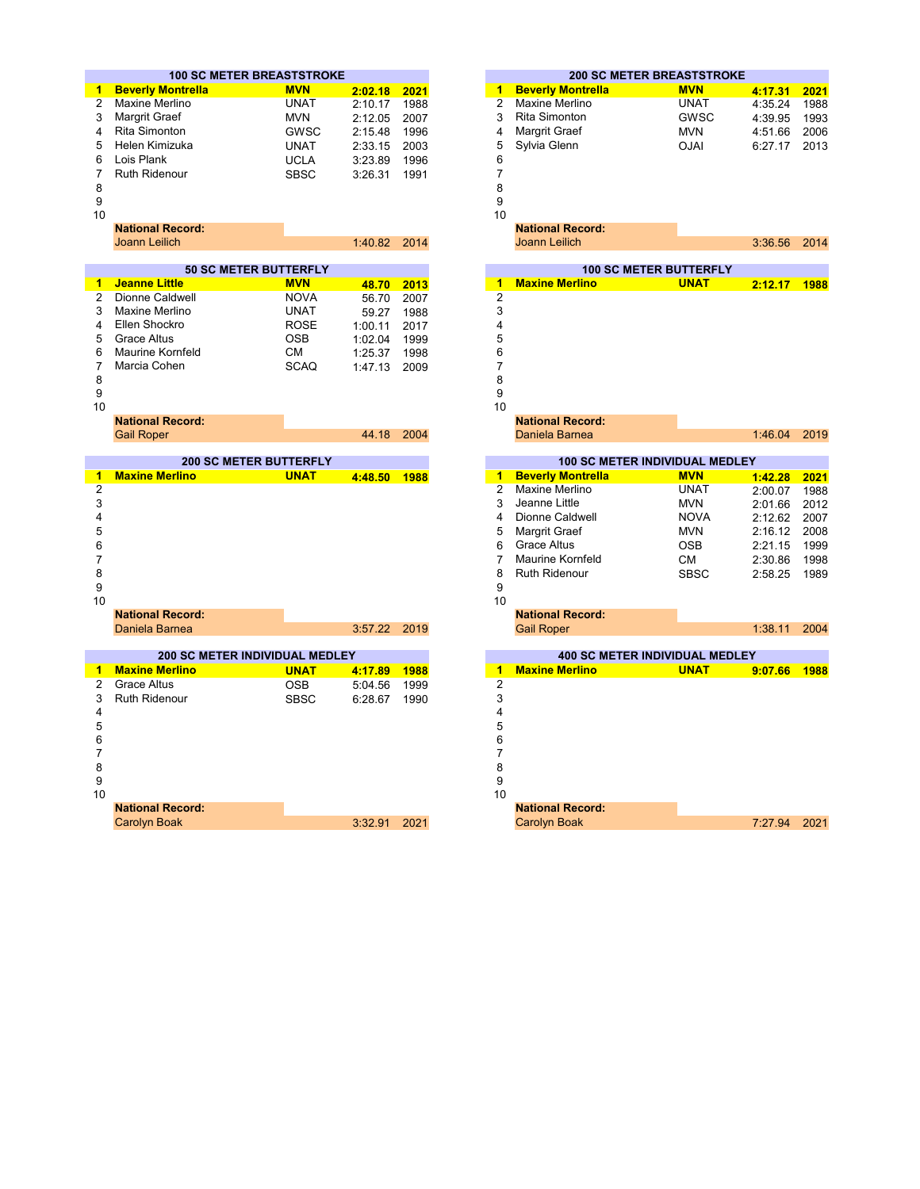|                | <b>100 SC METER BREASTSTROKE</b> |             |         |      |                      | <b>200 SC METER BREASTSTROKE</b>      |             |                    |                                                      |
|----------------|----------------------------------|-------------|---------|------|----------------------|---------------------------------------|-------------|--------------------|------------------------------------------------------|
| 1              | <b>Beverly Montrella</b>         | <b>MVN</b>  | 2:02.18 | 2021 | 1                    | <b>Beverly Montrella</b>              | <b>MVN</b>  | 4:17.31            | 2021                                                 |
| $\overline{c}$ | Maxine Merlino                   | <b>UNAT</b> | 2:10.17 | 1988 | $\overline{2}$       | <b>Maxine Merlino</b>                 | <b>UNAT</b> | 4:35.24            | 1988                                                 |
| 3              | Margrit Graef                    | <b>MVN</b>  | 2:12.05 | 2007 | 3                    | <b>Rita Simonton</b>                  | <b>GWSC</b> | 4:39.95            | 1993                                                 |
| 4              | Rita Simonton                    | <b>GWSC</b> | 2:15.48 | 1996 | 4                    | Margrit Graef                         | <b>MVN</b>  | 4:51.66            | 2006                                                 |
| 5              | Helen Kimizuka                   | <b>UNAT</b> | 2:33.15 | 2003 | 5                    | Sylvia Glenn                          | <b>OJAI</b> | 6:27.17            | 2013                                                 |
| 6              | Lois Plank                       | <b>UCLA</b> | 3:23.89 | 1996 | 6                    |                                       |             |                    |                                                      |
| 7              | <b>Ruth Ridenour</b>             | <b>SBSC</b> | 3:26.31 | 1991 | $\overline{7}$       |                                       |             |                    |                                                      |
| 8              |                                  |             |         |      | 8                    |                                       |             |                    |                                                      |
| 9              |                                  |             |         |      | 9                    |                                       |             |                    |                                                      |
| 10             |                                  |             |         |      | 10                   |                                       |             |                    |                                                      |
|                | <b>National Record:</b>          |             |         |      |                      | <b>National Record:</b>               |             |                    |                                                      |
|                | <b>Joann Leilich</b>             |             | 1:40.82 | 2014 |                      | <b>Joann Leilich</b>                  |             | 3:36.56            | 2014                                                 |
|                |                                  |             |         |      |                      |                                       |             |                    |                                                      |
|                | <b>50 SC METER BUTTERFLY</b>     |             |         |      |                      | <b>100 SC METER BUTTERFLY</b>         |             |                    |                                                      |
| 1              | <b>Jeanne Little</b>             | <b>MVN</b>  | 48.70   | 2013 | 1                    | <b>Maxine Merlino</b>                 | <b>UNAT</b> | 2:12.17            | 1988                                                 |
| 2              | Dionne Caldwell                  | <b>NOVA</b> | 56.70   | 2007 | $\overline{c}$       |                                       |             |                    |                                                      |
| 3              | Maxine Merlino                   | <b>UNAT</b> | 59.27   | 1988 | 3                    |                                       |             |                    |                                                      |
| 4              | Ellen Shockro                    | <b>ROSE</b> | 1:00.11 | 2017 | 4                    |                                       |             |                    |                                                      |
| 5              | <b>Grace Altus</b>               | <b>OSB</b>  | 1:02.04 | 1999 | 5                    |                                       |             |                    |                                                      |
| 6              | <b>Maurine Kornfeld</b>          | CМ          | 1:25.37 | 1998 | 6                    |                                       |             |                    |                                                      |
| 7              | Marcia Cohen                     | <b>SCAQ</b> | 1:47.13 | 2009 | $\overline{7}$       |                                       |             |                    |                                                      |
| 8              |                                  |             |         |      | 8                    |                                       |             |                    |                                                      |
| 9              |                                  |             |         |      | 9                    |                                       |             |                    |                                                      |
| 10             |                                  |             |         |      | 10                   |                                       |             |                    |                                                      |
|                | <b>National Record:</b>          |             |         |      |                      | <b>National Record:</b>               |             |                    |                                                      |
|                | <b>Gail Roper</b>                |             | 44.18   | 2004 |                      | Daniela Barnea                        |             | 1:46.04            | 2019                                                 |
|                | <b>200 SC METER BUTTERFLY</b>    |             |         |      |                      | <b>100 SC METER INDIVIDUAL MEDLEY</b> |             |                    |                                                      |
| 1              | <b>Maxine Merlino</b>            | <b>UNAT</b> | 4:48.50 | 1988 | $\blacktriangleleft$ | <b>Beverly Montrella</b>              | <b>MVN</b>  | 1:42.28            | 2021                                                 |
|                |                                  |             |         |      |                      |                                       |             |                    |                                                      |
| $\overline{c}$ |                                  |             |         |      | $\overline{2}$       | <b>Maxine Merlino</b>                 | <b>UNAT</b> |                    |                                                      |
| 3              |                                  |             |         |      | 3                    | Jeanne Little                         | <b>MVN</b>  | 2:00.07<br>2:01.66 |                                                      |
| 4              |                                  |             |         |      | 4                    | Dionne Caldwell                       | <b>NOVA</b> | 2:12.62            |                                                      |
| 5              |                                  |             |         |      | 5                    |                                       | <b>MVN</b>  | 2:16.12            |                                                      |
| 6              |                                  |             |         |      | 6                    | Margrit Graef<br><b>Grace Altus</b>   | <b>OSB</b>  |                    |                                                      |
| 7              |                                  |             |         |      | $\overline{7}$       | <b>Maurine Kornfeld</b>               | <b>CM</b>   | 2:21.15            |                                                      |
| 8              |                                  |             |         |      | 8                    | <b>Ruth Ridenour</b>                  | <b>SBSC</b> | 2:30.86            |                                                      |
| 9              |                                  |             |         |      | 9                    |                                       |             | 2:58.25            |                                                      |
| 10             |                                  |             |         |      | 10                   |                                       |             |                    |                                                      |
|                | <b>National Record:</b>          |             |         |      |                      | <b>National Record:</b>               |             |                    | 1988<br>2012<br>2007<br>2008<br>1999<br>1998<br>1989 |
|                | Daniela Barnea                   |             | 3:57.22 | 2019 |                      | <b>Gail Roper</b>                     |             | 1:38.11            | 2004                                                 |
|                |                                  |             |         |      |                      |                                       |             |                    |                                                      |
|                | 200 SC METER INDIVIDUAL MEDLEY   |             |         |      |                      | <b>400 SC METER INDIVIDUAL MEDLEY</b> |             |                    |                                                      |
| 1.             | <b>Maxine Merlino</b>            | <b>UNAT</b> | 4:17.89 | 1988 | -1                   | <b>Maxine Merlino</b>                 | <b>UNAT</b> | 9:07.66            | 1988                                                 |
| 2              | <b>Grace Altus</b>               | <b>OSB</b>  | 5:04.56 | 1999 | $\overline{c}$       |                                       |             |                    |                                                      |
| 3              | <b>Ruth Ridenour</b>             | <b>SBSC</b> | 6:28.67 | 1990 | 3                    |                                       |             |                    |                                                      |
| 4              |                                  |             |         |      | 4                    |                                       |             |                    |                                                      |
| 5              |                                  |             |         |      | 5                    |                                       |             |                    |                                                      |
| 6              |                                  |             |         |      | 6                    |                                       |             |                    |                                                      |
| $\overline{7}$ |                                  |             |         |      | $\overline{7}$       |                                       |             |                    |                                                      |
| 8              |                                  |             |         |      | 8                    |                                       |             |                    |                                                      |
| 9              |                                  |             |         |      | 9                    |                                       |             |                    |                                                      |
| 10             | <b>National Record:</b>          |             |         |      | 10                   | <b>National Record:</b>               |             |                    |                                                      |

|        | <b>0 SC METER BREASTSTROKE</b> |              |      |                         |                          | <b>200 SC METER BREASTSTROKE</b>      |         |      |
|--------|--------------------------------|--------------|------|-------------------------|--------------------------|---------------------------------------|---------|------|
| trella | <b>MVN</b>                     | 2:02.18 2021 |      | 1                       | <b>Beverly Montrella</b> | <b>MVN</b>                            | 4:17.31 | 2021 |
| 10     | <b>UNAT</b>                    | 2:10.17      | 1988 | $\overline{2}$          | <b>Maxine Merlino</b>    | <b>UNAT</b>                           | 4:35.24 | 1988 |
|        | <b>MVN</b>                     | 2:12.05      | 2007 | 3                       | Rita Simonton            | <b>GWSC</b>                           | 4:39.95 | 1993 |
|        | <b>GWSC</b>                    | 2:15.48      | 1996 | 4                       | Margrit Graef            | <b>MVN</b>                            | 4:51.66 | 2006 |
| ka     | <b>UNAT</b>                    | 2:33.15      | 2003 | 5                       | Sylvia Glenn             | <b>OJAI</b>                           | 6:27.17 | 2013 |
|        | <b>UCLA</b>                    | 3:23.89      | 1996 | 6                       |                          |                                       |         |      |
|        | <b>SBSC</b>                    | 3:26.31      | 1991 | $\overline{7}$          |                          |                                       |         |      |
|        |                                |              |      | 8                       |                          |                                       |         |      |
|        |                                |              |      | 9                       |                          |                                       |         |      |
|        |                                |              |      | 10                      |                          |                                       |         |      |
| ord:   |                                |              |      |                         | <b>National Record:</b>  |                                       |         |      |
|        |                                | 1:40.82      | 2014 |                         | Joann Leilich            |                                       | 3:36.56 | 2014 |
|        |                                |              |      |                         |                          |                                       |         |      |
|        | <b>50 SC METER BUTTERFLY</b>   |              |      |                         |                          | <b>100 SC METER BUTTERFLY</b>         |         |      |
|        | <b>MVN</b>                     | 48.70        | 2013 | 1                       | <b>Maxine Merlino</b>    | <b>UNAT</b>                           | 2:12.17 | 1988 |
| ιe∥    | <b>NOVA</b>                    | 56.70        | 2007 | $\overline{2}$          |                          |                                       |         |      |
| 10     | <b>UNAT</b>                    | 59.27        | 1988 | 3                       |                          |                                       |         |      |
|        | <b>ROSE</b>                    | 1:00.11      | 2017 | 4                       |                          |                                       |         |      |
|        | OSB                            | 1:02.04      | 1999 | 5                       |                          |                                       |         |      |
| feld   | СM                             | 1:25.37      | 1998 | 6                       |                          |                                       |         |      |
|        | <b>SCAQ</b>                    | 1:47.13      | 2009 | $\overline{7}$          |                          |                                       |         |      |
|        |                                |              |      | 8                       |                          |                                       |         |      |
|        |                                |              |      | 9                       |                          |                                       |         |      |
|        |                                |              |      | 10                      |                          |                                       |         |      |
| ord:   |                                |              |      |                         | <b>National Record:</b>  |                                       |         |      |
|        |                                | 44.18        | 2004 |                         | Daniela Barnea           |                                       | 1:46.04 | 2019 |
|        | <b>200 SC METER BUTTERFLY</b>  |              |      |                         |                          | 100 SC METER INDIVIDUAL MEDLEY        |         |      |
| no     | <b>UNAT</b>                    | 4:48.50      | 1988 | $\overline{1}$          | <b>Beverly Montrella</b> | <b>MVN</b>                            | 1:42.28 | 2021 |
|        |                                |              |      | $\overline{2}$          | <b>Maxine Merlino</b>    | <b>UNAT</b>                           | 2:00.07 | 1988 |
|        |                                |              |      | 3                       | Jeanne Little            | <b>MVN</b>                            | 2:01.66 | 2012 |
|        |                                |              |      | 4                       | Dionne Caldwell          | <b>NOVA</b>                           | 2:12.62 | 2007 |
|        |                                |              |      | 5                       | Margrit Graef            | <b>MVN</b>                            | 2:16.12 | 2008 |
|        |                                |              |      | 6                       | <b>Grace Altus</b>       | <b>OSB</b>                            | 2:21.15 | 1999 |
|        |                                |              |      | 7                       | Maurine Kornfeld         | СM                                    | 2:30.86 | 1998 |
|        |                                |              |      | 8                       | Ruth Ridenour            | <b>SBSC</b>                           | 2:58.25 | 1989 |
|        |                                |              |      | 9                       |                          |                                       |         |      |
|        |                                |              |      | 10                      |                          |                                       |         |      |
| ord:   |                                |              |      |                         | <b>National Record:</b>  |                                       |         |      |
| эа     |                                | 3:57.22      | 2019 |                         | <b>Gail Roper</b>        |                                       | 1:38.11 | 2004 |
|        |                                |              |      |                         |                          |                                       |         |      |
|        | SC METER INDIVIDUAL MEDLEY     |              |      |                         |                          | <b>400 SC METER INDIVIDUAL MEDLEY</b> |         |      |
| no     | <b>UNAT</b>                    | 4:17.89      | 1988 | $\blacktriangleleft$    | <b>Maxine Merlino</b>    | <b>UNAT</b>                           | 9:07.66 | 1988 |
|        | <b>OSB</b>                     | 5:04.56      | 1999 | $\overline{\mathbf{c}}$ |                          |                                       |         |      |
|        | <b>SBSC</b>                    | 6:28.67      | 1990 | 3                       |                          |                                       |         |      |
|        |                                |              |      | 4                       |                          |                                       |         |      |
|        |                                |              |      | 5                       |                          |                                       |         |      |
|        |                                |              |      | 6                       |                          |                                       |         |      |
|        |                                |              |      | 7                       |                          |                                       |         |      |
|        |                                |              |      | 8                       |                          |                                       |         |      |
|        |                                |              |      | 9                       |                          |                                       |         |      |
|        |                                |              |      | 10                      |                          |                                       |         |      |
|        |                                |              |      |                         |                          |                                       |         |      |

3:32.91 2021 7:27.94 2021 **National Record:** Carolyn Boak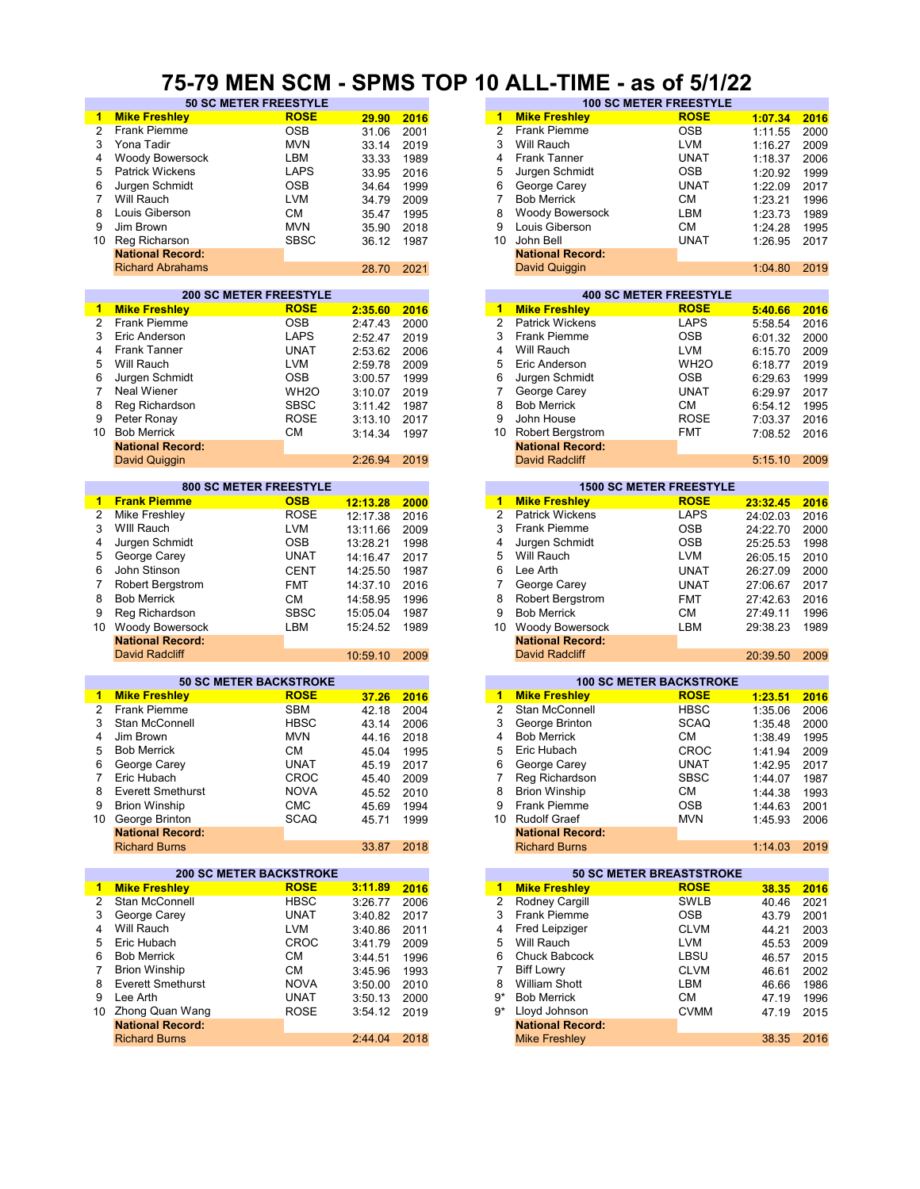#### **75-79 MEN SCM - SPMS TOP 10 ALL-TIME - as of 5/1/22**

| $\blacktriangleleft$ | <b>Mike Freshley</b>           | <b>ROSE</b>       | 29.90    | 2016 | 1              | <b>Mike Freshley</b>            | <b>ROSE</b>       | 1:07.34  | 2016 |
|----------------------|--------------------------------|-------------------|----------|------|----------------|---------------------------------|-------------------|----------|------|
| 2                    | Frank Piemme                   | <b>OSB</b>        | 31.06    | 2001 | 2              | Frank Piemme                    | <b>OSB</b>        | 1:11.55  | 2000 |
| 3                    | Yona Tadir                     | <b>MVN</b>        |          | 2019 | 3              | Will Rauch                      | <b>LVM</b>        |          | 2009 |
|                      |                                |                   | 33.14    |      | 4              |                                 |                   | 1:16.27  |      |
| 4                    | Woody Bowersock                | LBM               | 33.33    | 1989 |                | <b>Frank Tanner</b>             | <b>UNAT</b>       | 1:18.37  | 2006 |
| 5                    | <b>Patrick Wickens</b>         | <b>LAPS</b>       | 33.95    | 2016 | 5              | Jurgen Schmidt                  | <b>OSB</b>        | 1:20.92  | 1999 |
| 6                    | Jurgen Schmidt                 | <b>OSB</b>        | 34.64    | 1999 | 6              | George Carey                    | <b>UNAT</b>       | 1:22.09  | 2017 |
| $\overline{7}$       | Will Rauch                     | <b>LVM</b>        | 34.79    | 2009 | 7              | <b>Bob Merrick</b>              | CМ                | 1:23.21  | 1996 |
| 8                    | Louis Giberson                 | <b>CM</b>         | 35.47    | 1995 | 8              | <b>Woody Bowersock</b>          | LBM               | 1:23.73  | 1989 |
| 9                    | Jim Brown                      | <b>MVN</b>        | 35.90    | 2018 | 9              | Louis Giberson                  | CМ                | 1:24.28  | 1995 |
| 10                   | Reg Richarson                  | <b>SBSC</b>       | 36.12    | 1987 | 10             | John Bell                       | UNAT              | 1:26.95  | 2017 |
|                      | <b>National Record:</b>        |                   |          |      |                | <b>National Record:</b>         |                   |          |      |
|                      | <b>Richard Abrahams</b>        |                   | 28.70    | 2021 |                | David Quiggin                   |                   | 1:04.80  | 2019 |
|                      |                                |                   |          |      |                |                                 |                   |          |      |
|                      | <b>200 SC METER FREESTYLE</b>  |                   |          |      |                | <b>400 SC METER FREESTYLE</b>   |                   |          |      |
| $\mathbf{1}$         | <b>Mike Freshley</b>           | <b>ROSE</b>       | 2:35.60  | 2016 |                | 1 Mike Freshley                 | <b>ROSE</b>       | 5:40.66  | 2016 |
| 2                    | Frank Piemme                   | <b>OSB</b>        |          |      | $\overline{2}$ | <b>Patrick Wickens</b>          | <b>LAPS</b>       |          |      |
|                      |                                |                   | 2:47.43  | 2000 |                |                                 |                   | 5:58.54  | 2016 |
| 3                    | Eric Anderson                  | <b>LAPS</b>       | 2:52.47  | 2019 | 3              | Frank Piemme                    | OSB               | 6:01.32  | 2000 |
| 4                    | <b>Frank Tanner</b>            | <b>UNAT</b>       | 2:53.62  | 2006 | 4              | Will Rauch                      | <b>LVM</b>        | 6:15.70  | 2009 |
| 5                    | Will Rauch                     | <b>LVM</b>        | 2:59.78  | 2009 | 5              | Eric Anderson                   | WH <sub>2</sub> O | 6:18.77  | 2019 |
| 6                    | Jurgen Schmidt                 | <b>OSB</b>        | 3:00.57  | 1999 | 6              | Jurgen Schmidt                  | <b>OSB</b>        | 6:29.63  | 1999 |
| $\overline{7}$       | <b>Neal Wiener</b>             | WH <sub>2</sub> O | 3:10.07  | 2019 | 7              | George Carey                    | UNAT              | 6:29.97  | 2017 |
| 8                    | Reg Richardson                 | <b>SBSC</b>       | 3:11.42  | 1987 | 8              | <b>Bob Merrick</b>              | CМ                | 6:54.12  | 1995 |
| 9                    | Peter Ronay                    | <b>ROSE</b>       | 3:13.10  | 2017 | 9              | John House                      | <b>ROSE</b>       | 7:03.37  | 2016 |
| 10                   | <b>Bob Merrick</b>             | <b>CM</b>         | 3:14.34  | 1997 | 10             | <b>Robert Bergstrom</b>         | <b>FMT</b>        | 7:08.52  | 2016 |
|                      | <b>National Record:</b>        |                   |          |      |                | <b>National Record:</b>         |                   |          |      |
|                      |                                |                   |          |      |                |                                 |                   |          |      |
|                      | David Quiggin                  |                   | 2:26.94  | 2019 |                | <b>David Radcliff</b>           |                   | 5:15.10  | 2009 |
|                      | <b>800 SC METER FREESTYLE</b>  |                   |          |      |                | <b>1500 SC METER FREESTYLE</b>  |                   |          |      |
| 1                    | <b>Frank Piemme</b>            | <b>OSB</b>        |          |      |                | 1 Mike Freshley                 | <b>ROSE</b>       |          |      |
|                      |                                |                   | 12:13.28 | 2000 | $\overline{2}$ |                                 |                   | 23:32.45 | 2016 |
| $\overline{c}$       | Mike Freshley                  | <b>ROSE</b>       | 12:17.38 | 2016 |                | <b>Patrick Wickens</b>          | <b>LAPS</b>       | 24:02.03 | 2016 |
| 3                    | WIII Rauch                     | <b>LVM</b>        | 13:11.66 | 2009 | 3              | <b>Frank Piemme</b>             | <b>OSB</b>        | 24:22.70 | 2000 |
| 4                    | Jurgen Schmidt                 | <b>OSB</b>        | 13:28.21 | 1998 | 4              | Jurgen Schmidt                  | OSB               | 25:25.53 | 1998 |
| 5                    | George Carey                   | <b>UNAT</b>       | 14:16.47 | 2017 | 5              | Will Rauch                      | LVM               | 26:05.15 | 2010 |
| 6                    | John Stinson                   | <b>CENT</b>       | 14:25.50 | 1987 | 6              | Lee Arth                        | <b>UNAT</b>       | 26:27.09 | 2000 |
| $\overline{7}$       | <b>Robert Bergstrom</b>        | <b>FMT</b>        | 14:37.10 | 2016 | $\overline{7}$ | George Carey                    | <b>UNAT</b>       | 27:06.67 | 2017 |
| 8                    | <b>Bob Merrick</b>             | <b>CM</b>         | 14:58.95 | 1996 | 8              | <b>Robert Bergstrom</b>         | <b>FMT</b>        | 27:42.63 | 2016 |
| 9                    | Reg Richardson                 | <b>SBSC</b>       | 15:05.04 | 1987 | 9              | <b>Bob Merrick</b>              | СM                | 27:49.11 | 1996 |
|                      |                                |                   |          |      |                |                                 |                   |          |      |
| 10                   | Woody Bowersock                | LBM               | 15:24.52 | 1989 | 10             | Woody Bowersock                 | LBM               | 29:38.23 | 1989 |
|                      | <b>National Record:</b>        |                   |          |      |                | <b>National Record:</b>         |                   |          |      |
|                      | <b>David Radcliff</b>          |                   | 10:59.10 | 2009 |                | <b>David Radcliff</b>           |                   | 20:39.50 | 2009 |
|                      |                                |                   |          |      |                |                                 |                   |          |      |
|                      | <b>50 SC METER BACKSTROKE</b>  | <b>ROSE</b>       |          |      |                | <b>100 SC METER BACKSTROKE</b>  | <b>ROSE</b>       |          |      |
| $\mathbf{1}$         | <b>Mike Freshley</b>           |                   | 37.26    | 2016 | $\blacksquare$ | <b>Mike Freshley</b>            |                   | 1:23.51  | 2016 |
| 2                    | Frank Piemme                   | <b>SBM</b>        | 42.18    | 2004 | 2              | Stan McConnell                  | <b>HBSC</b>       | 1:35.06  | 2006 |
| 3                    | Stan McConnell                 | <b>HBSC</b>       | 43.14    | 2006 | 3              | George Brinton                  | <b>SCAQ</b>       | 1:35.48  | 2000 |
| 4                    | Jim Brown                      | <b>MVN</b>        | 44.16    | 2018 | 4              | <b>Bob Merrick</b>              | CМ                | 1:38.49  | 1995 |
| 5                    | <b>Bob Merrick</b>             | <b>CM</b>         | 45.04    | 1995 | 5              | Eric Hubach                     | CROC              | 1:41.94  | 2009 |
| 6                    | George Carey                   | <b>UNAT</b>       | 45.19    | 2017 | 6              | George Carey                    | <b>UNAT</b>       | 1:42.95  | 2017 |
|                      | Eric Hubach                    | CROC              | 45.40    | 2009 |                | Reg Richardson                  | SBSC              | 1:44.07  | 1987 |
| 8                    | <b>Everett Smethurst</b>       | <b>NOVA</b>       | 45.52    | 2010 | 8              | <b>Brion Winship</b>            | <b>CM</b>         | 1:44.38  | 1993 |
| 9                    | <b>Brion Winship</b>           | <b>CMC</b>        | 45.69    | 1994 | 9              | Frank Piemme                    | <b>OSB</b>        | 1:44.63  | 2001 |
|                      | 10 George Brinton              | SCAQ              | 45.71    | 1999 |                | 10 Rudolf Graef                 | <b>MVN</b>        | 1:45.93  | 2006 |
|                      | <b>National Record:</b>        |                   |          |      |                | <b>National Record:</b>         |                   |          |      |
|                      |                                |                   |          |      |                |                                 |                   |          |      |
|                      | <b>Richard Burns</b>           |                   | 33.87    | 2018 |                | <b>Richard Burns</b>            |                   | 1:14.03  | 2019 |
|                      | <b>200 SC METER BACKSTROKE</b> |                   |          |      |                | <b>50 SC METER BREASTSTROKE</b> |                   |          |      |
| 1                    | <b>Mike Freshley</b>           | <b>ROSE</b>       | 3:11.89  | 2016 | 1              | <b>Mike Freshley</b>            | <b>ROSE</b>       | 38.35    | 2016 |
| 2                    | Stan McConnell                 | <b>HBSC</b>       | 3:26.77  | 2006 | $\overline{2}$ | Rodney Cargill                  | <b>SWLB</b>       | 40.46    | 2021 |
| 3                    | George Carey                   | <b>UNAT</b>       |          |      | 3              | Frank Piemme                    | <b>OSB</b>        |          |      |
|                      |                                |                   | 3:40.82  | 2017 |                |                                 |                   | 43.79    | 2001 |
| 4                    | Will Rauch                     | LVM               | 3:40.86  | 2011 | 4              | Fred Leipziger                  | <b>CLVM</b>       | 44.21    | 2003 |
| 5                    | Eric Hubach                    | <b>CROC</b>       | 3:41.79  | 2009 | 5              | Will Rauch                      | LVM               | 45.53    | 2009 |
| 6                    | <b>Bob Merrick</b>             | <b>CM</b>         | 3:44.51  | 1996 | 6              | Chuck Babcock                   | LBSU              | 46.57    | 2015 |
| 7                    | <b>Brion Winship</b>           | <b>CM</b>         | 3:45.96  | 1993 | 7              | <b>Biff Lowry</b>               | <b>CLVM</b>       | 46.61    | 2002 |
| 8                    | <b>Everett Smethurst</b>       | <b>NOVA</b>       | 3:50.00  | 2010 | 8              | <b>William Shott</b>            | LBM               | 46.66    | 1986 |
| 9                    | Lee Arth                       | <b>UNAT</b>       | 3:50.13  | 2000 | 9*             | <b>Bob Merrick</b>              | СM                | 47.19    | 1996 |
|                      | 10 Zhong Quan Wang             | <b>ROSE</b>       | 3:54.12  | 2019 | 9*             | Lloyd Johnson                   | <b>CVMM</b>       | 47.19    | 2015 |
|                      | <b>National Record:</b>        |                   |          |      |                | <b>National Record:</b>         |                   |          |      |
|                      | <b>Richard Burns</b>           |                   | 2:44.04  | 2018 |                | <b>Mike Freshley</b>            |                   | 38.35    | 2016 |
|                      |                                |                   |          |      |                |                                 |                   |          |      |

|                              | ----        |       | .    |    |                         | ------                        |         |      |
|------------------------------|-------------|-------|------|----|-------------------------|-------------------------------|---------|------|
| <b>50 SC METER FREESTYLE</b> |             |       |      |    |                         | <b>100 SC METER FREESTYLE</b> |         |      |
|                              | <b>ROSE</b> | 29.90 | 2016 | 1  | <b>Mike Freshley</b>    | <b>ROSE</b>                   | 1:07.34 | 2016 |
|                              | <b>OSB</b>  | 31.06 | 2001 |    | <b>Frank Piemme</b>     | <b>OSB</b>                    | 1:11.55 | 2000 |
|                              | <b>MVN</b>  | 33.14 | 2019 | 3  | Will Rauch              | LVM                           | 1:16.27 | 2009 |
| sock                         | LBM         | 33.33 | 1989 | 4  | Frank Tanner            | <b>UNAT</b>                   | 1:18.37 | 2006 |
| าร                           | <b>LAPS</b> | 33.95 | 2016 | 5. | Jurgen Schmidt          | <b>OSB</b>                    | 1:20.92 | 1999 |
| tt                           | <b>OSB</b>  | 34.64 | 1999 | 6  | George Carey            | <b>UNAT</b>                   | 1:22.09 | 2017 |
|                              | <b>LVM</b>  | 34.79 | 2009 |    | <b>Bob Merrick</b>      | СM                            | 1:23.21 | 1996 |
|                              | <b>CM</b>   | 35.47 | 1995 | 8  | Woody Bowersock         | LBM                           | 1:23.73 | 1989 |
|                              | <b>MVN</b>  | 35.90 | 2018 | 9  | ouis Giberson           | <b>CM</b>                     | 1:24.28 | 1995 |
|                              | <b>SBSC</b> | 36.12 | 1987 | 10 | John Bell               | <b>UNAT</b>                   | 1:26.95 | 2017 |
| :bıc                         |             |       |      |    | <b>National Record:</b> |                               |         |      |
| lams                         |             | 28.70 | 2021 |    | David Quiggin           |                               | 1:04.80 | 2019 |
|                              |             |       |      |    |                         |                               |         |      |

|         |      |    | <b>400 SC METER FREESTYLE</b> |                   |         |      |  |  |  |  |  |
|---------|------|----|-------------------------------|-------------------|---------|------|--|--|--|--|--|
| 2:35.60 | 2016 | 1  | <b>Mike Freshley</b>          | <b>ROSE</b>       | 5:40.66 | 2016 |  |  |  |  |  |
| 2:47.43 | 2000 | 2  | <b>Patrick Wickens</b>        | <b>LAPS</b>       | 5:58.54 | 2016 |  |  |  |  |  |
| 2:52.47 | 2019 | 3  | <b>Frank Piemme</b>           | <b>OSB</b>        | 6:01.32 | 2000 |  |  |  |  |  |
| 2:53.62 | 2006 | 4  | Will Rauch                    | <b>LVM</b>        | 6:15.70 | 2009 |  |  |  |  |  |
| 2:59.78 | 2009 | 5  | Eric Anderson                 | WH <sub>2</sub> O | 6:18.77 | 2019 |  |  |  |  |  |
| 3:00.57 | 1999 | 6  | Jurgen Schmidt                | <b>OSB</b>        | 6:29.63 | 1999 |  |  |  |  |  |
| 3:10.07 | 2019 |    | George Carey                  | <b>UNAT</b>       | 6:29.97 | 2017 |  |  |  |  |  |
| 3:11.42 | 1987 | 8  | <b>Bob Merrick</b>            | <b>CM</b>         | 6:54.12 | 1995 |  |  |  |  |  |
| 3:13.10 | 2017 | 9  | John House                    | <b>ROSE</b>       | 7:03.37 | 2016 |  |  |  |  |  |
| 3:14.34 | 1997 | 10 | <b>Robert Bergstrom</b>       | <b>FMT</b>        | 7:08.52 | 2016 |  |  |  |  |  |
|         |      |    | <b>National Record:</b>       |                   |         |      |  |  |  |  |  |
| 2:26.94 | 2019 |    | David Radcliff                |                   | 5:15.10 | 2009 |  |  |  |  |  |
|         |      |    |                               |                   |         |      |  |  |  |  |  |

|          |      |                | <b>1500 SC METER FREESTYLE</b> |             |          |  |  |  |  |
|----------|------|----------------|--------------------------------|-------------|----------|--|--|--|--|
| 12:13.28 | 2000 | 17             | <b>Mike Freshley</b>           | <b>ROSE</b> | 23:32.45 |  |  |  |  |
| 12:17.38 | 2016 | $\overline{2}$ | <b>Patrick Wickens</b>         | <b>LAPS</b> | 24:02.03 |  |  |  |  |
| 13:11.66 | 2009 | 3              | <b>Frank Piemme</b>            | <b>OSB</b>  | 24:22.70 |  |  |  |  |
| 13:28.21 | 1998 | 4              | Jurgen Schmidt                 | <b>OSB</b>  | 25:25.53 |  |  |  |  |
| 14:16.47 | 2017 | 5              | Will Rauch                     | <b>LVM</b>  | 26:05.15 |  |  |  |  |
| 14:25.50 | 1987 | 6              | Lee Arth                       | <b>UNAT</b> | 26:27.09 |  |  |  |  |
| 14:37.10 | 2016 | 7              | George Carey                   | <b>UNAT</b> | 27:06.67 |  |  |  |  |
| 14:58.95 | 1996 | 8              | <b>Robert Bergstrom</b>        | <b>FMT</b>  | 27:42.63 |  |  |  |  |
| 15:05.04 | 1987 | 9              | <b>Bob Merrick</b>             | CМ          | 27:49.11 |  |  |  |  |
| 15:24.52 | 1989 | 10             | <b>Woody Bowersock</b>         | <b>LBM</b>  | 29:38.23 |  |  |  |  |
|          |      |                | <b>National Record:</b>        |             |          |  |  |  |  |
| 10:59.10 | 2009 |                | David Radcliff                 |             | 20:39.50 |  |  |  |  |
|          |      |                |                                |             |          |  |  |  |  |

| 37.26 | 2016 |
|-------|------|
| 42.18 | 2004 |
| 43.14 | 2006 |
| 44.16 | 2018 |
| 45.04 | 1995 |
| 45.19 | 2017 |
| 45.40 | 2009 |
| 45.52 | 2010 |
| 45.69 | 1994 |
| 45.71 | 1999 |
|       |      |
| 33.87 | 2018 |

|         |      |    |                         | <b>50 SC METER BREASTSTROKE</b> |  |
|---------|------|----|-------------------------|---------------------------------|--|
| 3:11.89 | 2016 | 1. | <b>Mike Freshley</b>    | <b>ROSE</b>                     |  |
| 3:26.77 | 2006 | 2  | Rodney Cargill          | <b>SWLB</b>                     |  |
| 3:40.82 | 2017 | 3  | <b>Frank Piemme</b>     | <b>OSB</b>                      |  |
| 3:40.86 | 2011 | 4  | Fred Leipziger          | <b>CLVM</b>                     |  |
| 3:41.79 | 2009 | 5  | Will Rauch              | <b>LVM</b>                      |  |
| 3:44.51 | 1996 | 6  | <b>Chuck Babcock</b>    | LBSU                            |  |
| 3:45.96 | 1993 | 7  | <b>Biff Lowry</b>       | <b>CLVM</b>                     |  |
| 3:50.00 | 2010 | 8  | <b>William Shott</b>    | <b>LBM</b>                      |  |
| 3:50.13 | 2000 | 9* | <b>Bob Merrick</b>      | <b>CM</b>                       |  |
| 3:54.12 | 2019 | 9* | Lloyd Johnson           | <b>CVMM</b>                     |  |
|         |      |    | <b>National Record:</b> |                                 |  |
| 2:44.04 | 2018 |    | <b>Mike Freshley</b>    |                                 |  |
|         |      |    |                         |                                 |  |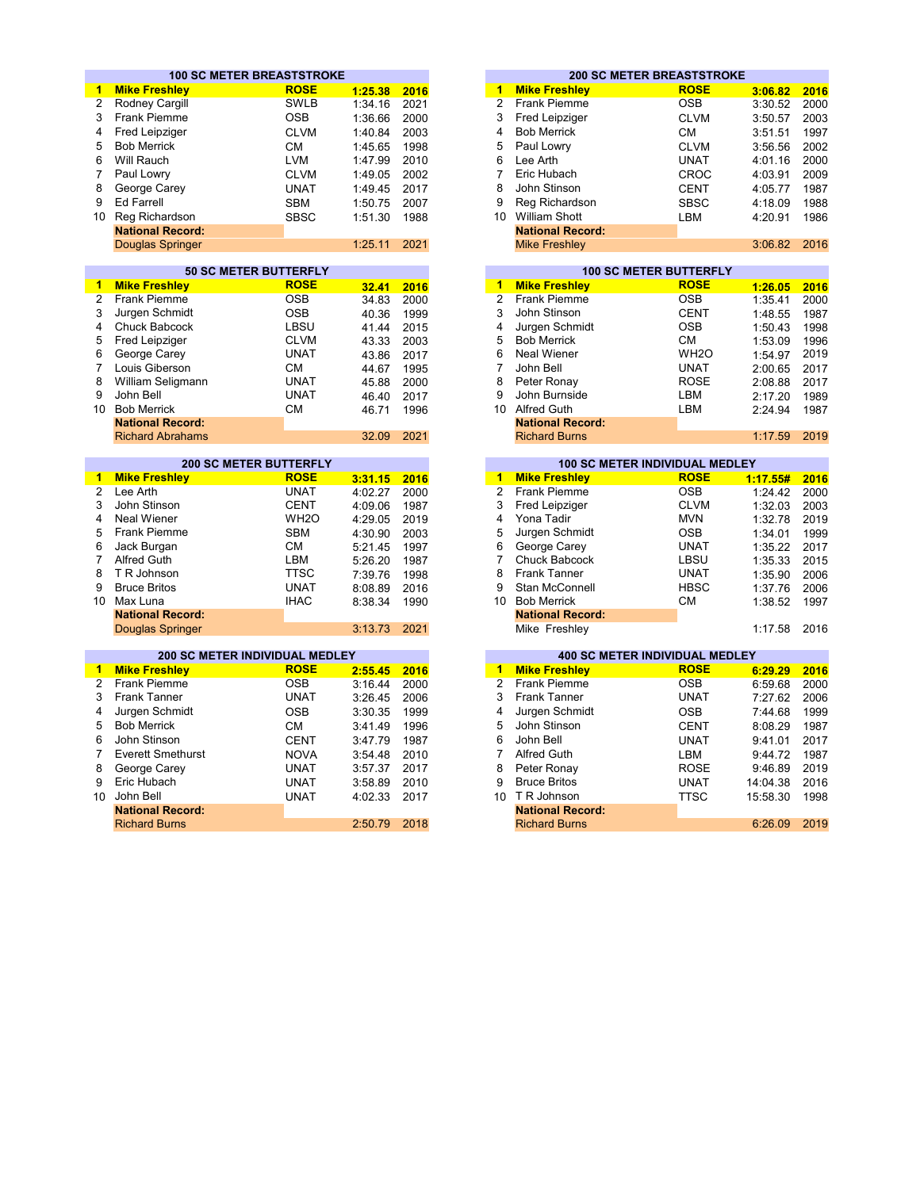|                 | <b>100 SC METER BREASTSTROKE</b>      |                                             |         |      |                         |                         | <b>200 SC METER BREASTSTROKE</b>             |          |      |
|-----------------|---------------------------------------|---------------------------------------------|---------|------|-------------------------|-------------------------|----------------------------------------------|----------|------|
| $\blacksquare$  | <b>Mike Freshley</b>                  | <b>ROSE</b>                                 | 1:25.38 | 2016 | 1                       | <b>Mike Freshley</b>    | <b>ROSE</b>                                  | 3:06.82  | 2016 |
| $\overline{2}$  | Rodney Cargill                        | <b>SWLB</b>                                 | 1:34.16 | 2021 | $\overline{2}$          | <b>Frank Piemme</b>     | <b>OSB</b>                                   | 3:30.52  | 2000 |
| 3               | <b>Frank Piemme</b>                   | <b>OSB</b>                                  | 1:36.66 | 2000 | 3                       | Fred Leipziger          | <b>CLVM</b>                                  | 3:50.57  | 2003 |
| 4               | Fred Leipziger                        | <b>CLVM</b>                                 | 1:40.84 | 2003 | 4                       | <b>Bob Merrick</b>      | <b>CM</b>                                    | 3:51.51  | 1997 |
| 5               | <b>Bob Merrick</b>                    | <b>CM</b>                                   | 1:45.65 | 1998 | 5                       | Paul Lowry              | <b>CLVM</b>                                  | 3:56.56  | 2002 |
| 6               | Will Rauch                            | <b>LVM</b>                                  | 1:47.99 | 2010 | 6                       | Lee Arth                | <b>UNAT</b>                                  | 4:01.16  | 2000 |
| 7               |                                       | <b>CLVM</b>                                 |         | 2002 | $\overline{7}$          | Eric Hubach             |                                              |          | 2009 |
|                 | Paul Lowry                            |                                             | 1:49.05 |      | 8                       |                         | <b>CROC</b>                                  | 4:03.91  |      |
| 8               | George Carey                          | <b>UNAT</b>                                 | 1:49.45 | 2017 |                         | John Stinson            | <b>CENT</b>                                  | 4:05.77  | 1987 |
| 9               | <b>Ed Farrell</b>                     | <b>SBM</b>                                  | 1:50.75 | 2007 | 9                       | Reg Richardson          | <b>SBSC</b>                                  | 4:18.09  | 1988 |
| 10 <sup>1</sup> | Reg Richardson                        | <b>SBSC</b>                                 | 1:51.30 | 1988 |                         | 10 William Shott        | LBM                                          | 4:20.91  | 1986 |
|                 | <b>National Record:</b>               |                                             |         |      |                         | <b>National Record:</b> |                                              |          |      |
|                 | Douglas Springer                      |                                             | 1:25.11 | 2021 |                         | <b>Mike Freshley</b>    |                                              | 3:06.82  | 2016 |
|                 |                                       |                                             |         |      |                         |                         |                                              |          |      |
| $\mathbf{1}$    | <b>Mike Freshley</b>                  | <b>50 SC METER BUTTERFLY</b><br><b>ROSE</b> |         |      | 1                       | <b>Mike Freshley</b>    | <b>100 SC METER BUTTERFLY</b><br><b>ROSE</b> |          |      |
| 2               | <b>Frank Piemme</b>                   | <b>OSB</b>                                  | 32.41   | 2016 | $\overline{2}$          | <b>Frank Piemme</b>     | <b>OSB</b>                                   | 1:26.05  | 2016 |
|                 |                                       |                                             | 34.83   | 2000 | 3                       |                         |                                              | 1:35.41  | 2000 |
| 3               | Jurgen Schmidt                        | <b>OSB</b>                                  | 40.36   | 1999 |                         | John Stinson            | <b>CENT</b>                                  | 1:48.55  | 1987 |
| 4               | Chuck Babcock                         | LBSU                                        | 41.44   | 2015 | $\overline{\mathbf{4}}$ | Jurgen Schmidt          | <b>OSB</b>                                   | 1:50.43  | 1998 |
| 5               | Fred Leipziger                        | <b>CLVM</b>                                 | 43.33   | 2003 | 5                       | <b>Bob Merrick</b>      | <b>CM</b>                                    | 1:53.09  | 1996 |
| 6               | George Carey                          | <b>UNAT</b>                                 | 43.86   | 2017 | 6                       | <b>Neal Wiener</b>      | WH <sub>2</sub> O                            | 1:54.97  | 2019 |
| $\overline{7}$  | Louis Giberson                        | <b>CM</b>                                   | 44.67   | 1995 | $\overline{7}$          | John Bell               | <b>UNAT</b>                                  | 2:00.65  | 2017 |
| 8               | William Seligmann                     | <b>UNAT</b>                                 | 45.88   | 2000 | 8                       | Peter Ronay             | <b>ROSE</b>                                  | 2:08.88  | 2017 |
| 9               | John Bell                             | <b>UNAT</b>                                 | 46.40   | 2017 | 9                       | John Burnside           | <b>LBM</b>                                   | 2:17.20  | 1989 |
| 10 <sup>1</sup> | <b>Bob Merrick</b>                    | <b>CM</b>                                   | 46.71   | 1996 |                         | 10 Alfred Guth          | <b>LBM</b>                                   | 2:24.94  | 1987 |
|                 | <b>National Record:</b>               |                                             |         |      |                         | <b>National Record:</b> |                                              |          |      |
|                 | <b>Richard Abrahams</b>               |                                             | 32.09   | 2021 |                         | <b>Richard Burns</b>    |                                              | 1:17.59  | 2019 |
|                 |                                       | <b>200 SC METER BUTTERFLY</b>               |         |      |                         |                         | <b>100 SC METER INDIVIDUAL MEDLEY</b>        |          |      |
| $\mathbf{1}$    | <b>Mike Freshley</b>                  | <b>ROSE</b>                                 | 3:31.15 | 2016 | $\blacktriangleleft$    | <b>Mike Freshley</b>    | <b>ROSE</b>                                  | 1:17.55# | 2016 |
| $\overline{2}$  | Lee Arth                              | <b>UNAT</b>                                 | 4:02.27 | 2000 | $\overline{2}$          | <b>Frank Piemme</b>     | <b>OSB</b>                                   | 1:24.42  | 2000 |
| 3               | John Stinson                          | <b>CENT</b>                                 | 4:09.06 | 1987 | 3                       | Fred Leipziger          | <b>CLVM</b>                                  | 1:32.03  | 2003 |
| 4               | <b>Neal Wiener</b>                    | WH <sub>2</sub> O                           | 4:29.05 | 2019 | $\overline{\mathbf{4}}$ | Yona Tadir              | <b>MVN</b>                                   | 1:32.78  | 2019 |
| 5               | Frank Piemme                          | <b>SBM</b>                                  | 4:30.90 | 2003 | 5                       | Jurgen Schmidt          | <b>OSB</b>                                   | 1:34.01  | 1999 |
| 6               | Jack Burgan                           | <b>CM</b>                                   | 5:21.45 | 1997 | 6                       | George Carey            | <b>UNAT</b>                                  | 1:35.22  | 2017 |
| $\overline{7}$  | Alfred Guth                           | LBM                                         | 5:26.20 | 1987 | $\overline{7}$          | Chuck Babcock           | LBSU                                         | 1:35.33  | 2015 |
| 8               | T R Johnson                           | <b>TTSC</b>                                 | 7:39.76 | 1998 | 8                       | <b>Frank Tanner</b>     | <b>UNAT</b>                                  | 1:35.90  | 2006 |
| 9               | <b>Bruce Britos</b>                   | <b>UNAT</b>                                 | 8:08.89 | 2016 | 9                       | Stan McConnell          | <b>HBSC</b>                                  |          | 2006 |
| 10 <sup>1</sup> | Max Luna                              | <b>IHAC</b>                                 |         | 1990 |                         | 10 Bob Merrick          | <b>CM</b>                                    | 1:37.76  | 1997 |
|                 | <b>National Record:</b>               |                                             | 8:38.34 |      |                         | <b>National Record:</b> |                                              | 1:38.52  |      |
|                 | <b>Douglas Springer</b>               |                                             | 3:13.73 | 2021 |                         | Mike Freshlev           |                                              | 1:17.58  | 2016 |
|                 |                                       |                                             |         |      |                         |                         |                                              |          |      |
|                 | <b>200 SC METER INDIVIDUAL MEDLEY</b> |                                             |         |      |                         |                         | <b>400 SC METER INDIVIDUAL MEDLEY</b>        |          |      |
| 1.              | <b>Mike Freshlev</b>                  | <b>ROSE</b>                                 | 2:55.45 | 2016 | 1                       | <b>Mike Freshlev</b>    | <b>ROSE</b>                                  | 6:29.29  | 2016 |
| $\overline{2}$  | <b>Frank Piemme</b>                   | <b>OSB</b>                                  | 3:16.44 | 2000 | $\overline{2}$          | <b>Frank Piemme</b>     | <b>OSB</b>                                   | 6:59.68  | 2000 |
| 3               | <b>Frank Tanner</b>                   | <b>UNAT</b>                                 | 3:26.45 | 2006 | 3                       | <b>Frank Tanner</b>     | <b>UNAT</b>                                  | 7:27.62  | 2006 |
| 4               | Jurgen Schmidt                        | <b>OSB</b>                                  | 3:30.35 | 1999 | 4                       | Jurgen Schmidt          | <b>OSB</b>                                   | 7:44.68  | 1999 |
| 5               | <b>Bob Merrick</b>                    | <b>CM</b>                                   | 3:41.49 | 1996 | 5                       | John Stinson            | <b>CENT</b>                                  | 8:08.29  | 1987 |
| 6               | John Stinson                          | <b>CENT</b>                                 | 3:47.79 | 1987 | 6                       | John Bell               | <b>UNAT</b>                                  | 9:41.01  | 2017 |
| $\overline{7}$  | <b>Everett Smethurst</b>              | <b>NOVA</b>                                 | 3:54.48 | 2010 | $\overline{7}$          | Alfred Guth             | LBM                                          | 9:44.72  | 1987 |
| 8               | George Carey                          | <b>UNAT</b>                                 |         | 2017 | 8                       | Peter Ronay             |                                              |          | 2019 |
|                 |                                       |                                             | 3:57.37 |      | 9                       |                         | <b>ROSE</b>                                  | 9:46.89  |      |
| 9               | Eric Hubach                           | <b>UNAT</b>                                 | 3:58.89 | 2010 |                         | <b>Bruce Britos</b>     | <b>UNAT</b>                                  | 14:04.38 | 2016 |
| 10              | John Bell                             | <b>UNAT</b>                                 | 4:02.33 | 2017 |                         | 10 T R Johnson          | <b>TTSC</b>                                  | 15:58.30 | 1998 |
|                 | <b>National Record:</b>               |                                             |         |      |                         | <b>National Record:</b> |                                              |          |      |
|                 | <b>Richard Burns</b>                  |                                             | 2:50.79 | 2018 |                         | <b>Richard Burns</b>    |                                              | 6:26.09  | 2019 |

|      |    |                         | <b>200 SC METER BREASTSTROKE</b> |         |
|------|----|-------------------------|----------------------------------|---------|
| 2016 | 1  | <b>Mike Freshley</b>    | <b>ROSE</b>                      | 3:06.82 |
| 2021 | 2  | <b>Frank Piemme</b>     | <b>OSB</b>                       | 3:30.52 |
| 2000 | 3  | Fred Leipziger          | <b>CLVM</b>                      | 3:50.57 |
| 2003 | 4  | <b>Bob Merrick</b>      | CМ                               | 3:51.51 |
| 1998 | 5  | Paul Lowry              | <b>CLVM</b>                      | 3:56.56 |
| 2010 | 6  | Lee Arth                | <b>UNAT</b>                      | 4:01.16 |
| 2002 |    | Eric Hubach             | CROC                             | 4:03.91 |
| 2017 | 8  | John Stinson            | <b>CENT</b>                      | 4:05.77 |
| 2007 | 9  | Reg Richardson          | <b>SBSC</b>                      | 4:18.09 |
| 1988 | 10 | <b>William Shott</b>    | LBM                              | 4:20.91 |
|      |    | <b>National Record:</b> |                                  |         |
| 2021 |    | <b>Mike Freshley</b>    |                                  | 3:06.82 |
|      |    |                         |                                  |         |

|       |      |    |                         | <b>100 SC METER BUTTERFLY</b> |         |
|-------|------|----|-------------------------|-------------------------------|---------|
| 32.41 | 2016 | 1  | <b>Mike Freshley</b>    | <b>ROSE</b>                   | 1:26.05 |
| 34.83 | 2000 | 2  | <b>Frank Piemme</b>     | <b>OSB</b>                    | 1:35.41 |
| 40.36 | 1999 | 3  | John Stinson            | <b>CENT</b>                   | 1:48.55 |
| 41.44 | 2015 | 4  | Jurgen Schmidt          | <b>OSB</b>                    | 1:50.43 |
| 43.33 | 2003 | 5  | <b>Bob Merrick</b>      | CM                            | 1:53.09 |
| 43.86 | 2017 | 6  | Neal Wiener             | WH <sub>2</sub> O             | 1:54.97 |
| 44.67 | 1995 |    | John Bell               | <b>UNAT</b>                   | 2:00.65 |
| 45.88 | 2000 | 8  | Peter Ronay             | <b>ROSE</b>                   | 2:08.88 |
| 46.40 | 2017 | 9  | John Burnside           | <b>LBM</b>                    | 2:17.20 |
| 46.71 | 1996 | 10 | <b>Alfred Guth</b>      | <b>LBM</b>                    | 2:24.94 |
|       |      |    | <b>National Record:</b> |                               |         |
| 32.09 | 2021 |    | <b>Richard Burns</b>    |                               | 1:17.59 |

|      | <b>200 SC METER BUTTERFLY</b> |         |      |    | <b>100 SC METER INDIVIDUAL MEDLEY</b> |             |          |      |
|------|-------------------------------|---------|------|----|---------------------------------------|-------------|----------|------|
| y    | <b>ROSE</b>                   | 3:31.15 | 2016 | 1  | <b>Mike Freshley</b>                  | <b>ROSE</b> | 1:17.55# | 2016 |
|      | <b>UNAT</b>                   | 4:02.27 | 2000 | 2  | <b>Frank Piemme</b>                   | <b>OSB</b>  | 1:24.42  | 2000 |
|      | <b>CENT</b>                   | 4:09.06 | 1987 | 3  | Fred Leipziger                        | <b>CLVM</b> | 1:32.03  | 2003 |
|      | WH <sub>2</sub> O             | 4:29.05 | 2019 | 4  | Yona Tadir                            | <b>MVN</b>  | 1:32.78  | 2019 |
| е    | <b>SBM</b>                    | 4:30.90 | 2003 | 5  | Jurgen Schmidt                        | <b>OSB</b>  | 1:34.01  | 1999 |
|      | CМ                            | 5:21.45 | 1997 | 6  | George Carey                          | <b>UNAT</b> | 1:35.22  | 2017 |
|      | LBM                           | 5:26.20 | 1987 |    | Chuck Babcock                         | LBSU        | 1:35.33  | 2015 |
|      | TTSC                          | 7:39.76 | 1998 | 8  | <b>Frank Tanner</b>                   | <b>UNAT</b> | 1:35.90  | 2006 |
|      | <b>UNAT</b>                   | 8:08.89 | 2016 | 9  | Stan McConnell                        | <b>HBSC</b> | 1:37.76  | 2006 |
|      | <b>IHAC</b>                   | 8:38.34 | 1990 | 10 | <b>Bob Merrick</b>                    | CM          | 1:38.52  | 1997 |
| ord: |                               |         |      |    | <b>National Record:</b>               |             |          |      |
| nger |                               | 3:13.73 | 2021 |    | Mike Freshley                         |             | 1:17.58  | 2016 |

|         |      |    |                         | <b>400 SC METER INDIVIDUAL MEDLEY</b> |          |      |
|---------|------|----|-------------------------|---------------------------------------|----------|------|
| 2:55.45 | 2016 | 1  | <b>Mike Freshley</b>    | <b>ROSE</b>                           | 6:29.29  | 2016 |
| 3:16.44 | 2000 | 2  | <b>Frank Piemme</b>     | <b>OSB</b>                            | 6:59.68  | 2000 |
| 3:26.45 | 2006 | 3  | <b>Frank Tanner</b>     | <b>UNAT</b>                           | 7:27.62  | 2006 |
| 3:30.35 | 1999 | 4  | Jurgen Schmidt          | <b>OSB</b>                            | 7:44.68  | 1999 |
| 3:41.49 | 1996 | 5  | John Stinson            | <b>CENT</b>                           | 8:08.29  | 1987 |
| 3:47.79 | 1987 | 6  | John Bell               | <b>UNAT</b>                           | 9:41.01  | 2017 |
| 3:54.48 | 2010 |    | <b>Alfred Guth</b>      | LBM                                   | 9:44.72  | 1987 |
| 3:57.37 | 2017 | 8  | Peter Ronay             | <b>ROSE</b>                           | 9:46.89  | 2019 |
| 3:58.89 | 2010 | 9  | <b>Bruce Britos</b>     | <b>UNAT</b>                           | 14:04.38 | 2016 |
| 4:02.33 | 2017 | 10 | T R Johnson             | TTSC                                  | 15:58.30 | 1998 |
|         |      |    | <b>National Record:</b> |                                       |          |      |
| 2:50.79 | 2018 |    | <b>Richard Burns</b>    |                                       | 6:26.09  | 2019 |
|         |      |    |                         |                                       |          |      |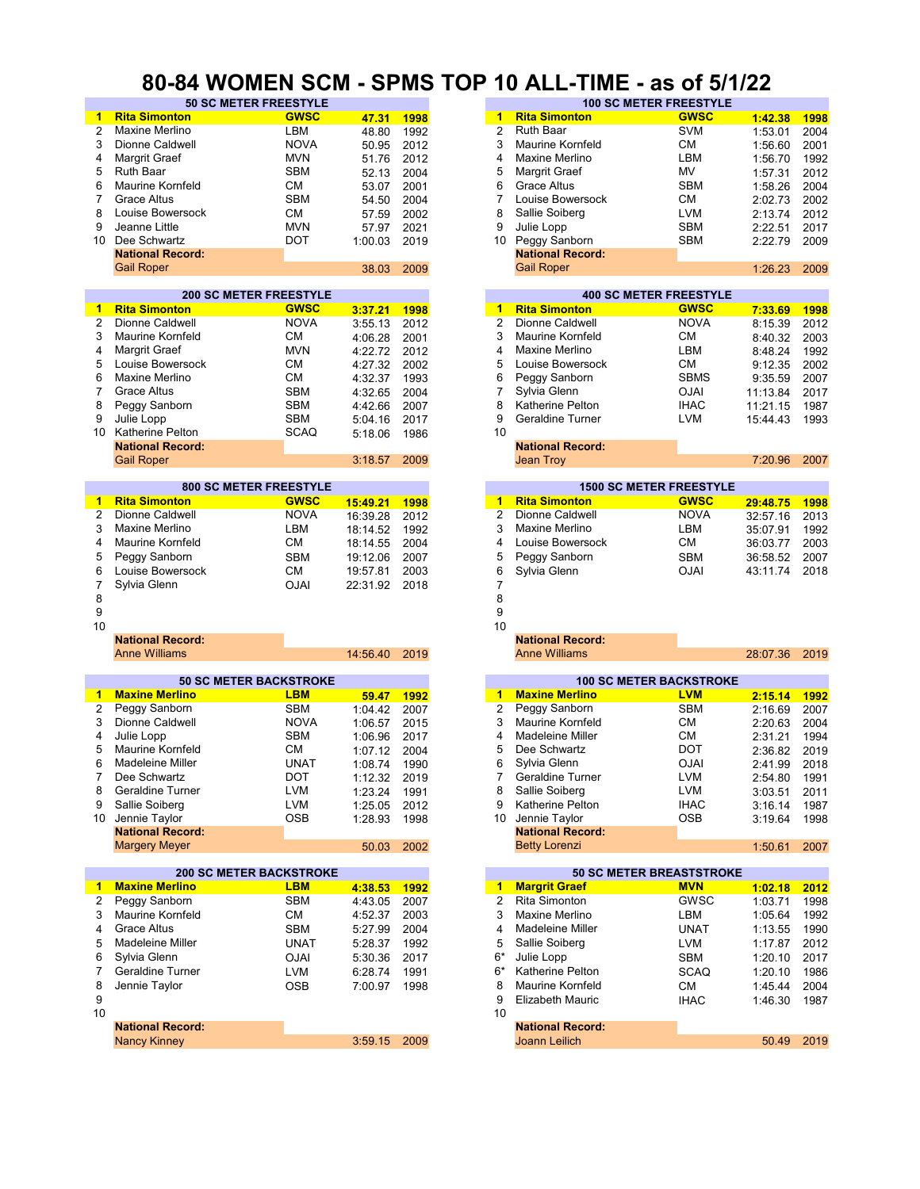#### **80-84 WOMEN SCM - SPMS TOP 10 ALL-TIME - as of 5/1/22**

| -1                   | <b>Rita Simonton</b>           | <b>GWSC</b> | 47.31        | 1998 | 1              | <b>Rita Simonton</b>           | <b>GWSC</b> | 1:42.38  | 1998 |
|----------------------|--------------------------------|-------------|--------------|------|----------------|--------------------------------|-------------|----------|------|
| 2                    | Maxine Merlino                 | LBM         | 48.80        | 1992 | $\overline{2}$ | <b>Ruth Baar</b>               | <b>SVM</b>  | 1:53.01  | 2004 |
|                      |                                |             |              |      |                |                                |             |          |      |
| 3                    | Dionne Caldwell                | <b>NOVA</b> | 50.95        | 2012 | 3              | <b>Maurine Kornfeld</b>        | СM          | 1:56.60  | 2001 |
| 4                    | Margrit Graef                  | <b>MVN</b>  | 51.76        | 2012 | 4              | Maxine Merlino                 | LBM         | 1:56.70  | 1992 |
|                      | Ruth Baar                      |             |              |      |                |                                |             |          |      |
| 5                    |                                | <b>SBM</b>  | 52.13        | 2004 | 5              | Margrit Graef                  | MV          | 1:57.31  | 2012 |
| 6                    | <b>Maurine Kornfeld</b>        | <b>CM</b>   | 53.07        | 2001 | 6              | <b>Grace Altus</b>             | <b>SBM</b>  | 1:58.26  | 2004 |
| 7                    | <b>Grace Altus</b>             | <b>SBM</b>  | 54.50        | 2004 | 7              | Louise Bowersock               | СM          | 2:02.73  | 2002 |
|                      |                                |             |              |      |                |                                |             |          |      |
| 8                    | Louise Bowersock               | <b>CM</b>   | 57.59        | 2002 | 8              | Sallie Soiberg                 | <b>LVM</b>  | 2:13.74  | 2012 |
| 9                    | Jeanne Little                  | <b>MVN</b>  | 57.97        | 2021 | 9              | Julie Lopp                     | <b>SBM</b>  | 2:22.51  | 2017 |
|                      |                                |             |              |      |                |                                |             |          |      |
| 10                   | Dee Schwartz                   | <b>DOT</b>  | 1:00.03      | 2019 |                | 10 Peggy Sanborn               | <b>SBM</b>  | 2:22.79  | 2009 |
|                      | <b>National Record:</b>        |             |              |      |                | <b>National Record:</b>        |             |          |      |
|                      |                                |             |              |      |                | <b>Gail Roper</b>              |             | 1:26.23  |      |
|                      | <b>Gail Roper</b>              |             | 38.03        | 2009 |                |                                |             |          | 2009 |
|                      |                                |             |              |      |                |                                |             |          |      |
|                      | <b>200 SC METER FREESTYLE</b>  |             |              |      |                | <b>400 SC METER FREESTYLE</b>  |             |          |      |
|                      |                                |             |              |      |                |                                |             |          |      |
| $\blacktriangleleft$ | <b>Rita Simonton</b>           | <b>GWSC</b> | 3:37.21      | 1998 | 1              | <b>Rita Simonton</b>           | <b>GWSC</b> | 7:33.69  | 1998 |
| $\overline{2}$       | Dionne Caldwell                | <b>NOVA</b> | 3:55.13      | 2012 | $\overline{2}$ | Dionne Caldwell                | <b>NOVA</b> | 8:15.39  | 2012 |
| 3                    | <b>Maurine Kornfeld</b>        | <b>CM</b>   |              |      | 3              | <b>Maurine Kornfeld</b>        | СM          |          |      |
|                      |                                |             | 4:06.28      | 2001 |                |                                |             | 8:40.32  | 2003 |
| 4                    | Margrit Graef                  | <b>MVN</b>  | 4:22.72      | 2012 | 4              | Maxine Merlino                 | LBM         | 8:48.24  | 1992 |
| 5                    | Louise Bowersock               | СM          | 4:27.32      | 2002 | 5              | Louise Bowersock               | <b>CM</b>   | 9:12.35  | 2002 |
|                      |                                |             |              |      |                |                                |             |          |      |
| 6                    | Maxine Merlino                 | СM          | 4:32.37      | 1993 | 6              | Peggy Sanborn                  | <b>SBMS</b> | 9:35.59  | 2007 |
| 7                    | Grace Altus                    | <b>SBM</b>  | 4:32.65      | 2004 | $\overline{7}$ | Sylvia Glenn                   | <b>OJAI</b> | 11:13.84 | 2017 |
|                      |                                |             |              |      |                |                                |             |          |      |
| 8                    | Peggy Sanborn                  | <b>SBM</b>  | 4:42.66      | 2007 | 8              | Katherine Pelton               | <b>IHAC</b> | 11:21.15 | 1987 |
| 9                    | Julie Lopp                     | <b>SBM</b>  | 5:04.16      | 2017 | 9              | <b>Geraldine Turner</b>        | LVM         | 15:44.43 | 1993 |
| 10                   | Katherine Pelton               | <b>SCAQ</b> |              |      | 10             |                                |             |          |      |
|                      |                                |             | 5:18.06      | 1986 |                |                                |             |          |      |
|                      | <b>National Record:</b>        |             |              |      |                | <b>National Record:</b>        |             |          |      |
|                      | <b>Gail Roper</b>              |             | 3:18.57      | 2009 |                | Jean Troy                      |             | 7:20.96  | 2007 |
|                      |                                |             |              |      |                |                                |             |          |      |
|                      |                                |             |              |      |                |                                |             |          |      |
|                      | <b>800 SC METER FREESTYLE</b>  |             |              |      |                | <b>1500 SC METER FREESTYLE</b> |             |          |      |
| 1                    | <b>Rita Simonton</b>           | <b>GWSC</b> | 15:49.21     |      |                | 1 Rita Simonton                | <b>GWSC</b> |          |      |
|                      |                                |             |              | 1998 |                |                                |             | 29:48.75 | 1998 |
| $\overline{2}$       | Dionne Caldwell                | <b>NOVA</b> | 16:39.28     | 2012 | $\overline{2}$ | Dionne Caldwell                | <b>NOVA</b> | 32:57.16 | 2013 |
| 3                    | <b>Maxine Merlino</b>          | LBM         | 18:14.52     | 1992 | 3              | Maxine Merlino                 | LBM         | 35:07.91 | 1992 |
|                      |                                |             |              |      |                |                                |             |          |      |
| 4                    | <b>Maurine Kornfeld</b>        | <b>CM</b>   | 18:14.55     | 2004 | 4              | Louise Bowersock               | СM          | 36:03.77 | 2003 |
| 5                    | Peggy Sanborn                  | <b>SBM</b>  | 19:12.06     | 2007 | 5              | Peggy Sanborn                  | <b>SBM</b>  | 36:58.52 | 2007 |
|                      |                                |             |              |      |                |                                |             |          |      |
| 6                    | Louise Bowersock               | <b>CM</b>   | 19:57.81     | 2003 | 6              | Sylvia Glenn                   | <b>OJAI</b> | 43:11.74 | 2018 |
| 7                    | Sylvia Glenn                   | <b>OJAI</b> | 22:31.92     | 2018 | 7              |                                |             |          |      |
| 8                    |                                |             |              |      | 8              |                                |             |          |      |
|                      |                                |             |              |      |                |                                |             |          |      |
|                      |                                |             |              |      |                |                                |             |          |      |
| 9                    |                                |             |              |      | 9              |                                |             |          |      |
|                      |                                |             |              |      |                |                                |             |          |      |
| 10                   |                                |             |              |      | 10             |                                |             |          |      |
|                      | <b>National Record:</b>        |             |              |      |                | <b>National Record:</b>        |             |          |      |
|                      | <b>Anne Williams</b>           |             |              |      |                | <b>Anne Williams</b>           |             |          | 2019 |
|                      |                                |             | 14:56.40     | 2019 |                |                                |             | 28:07.36 |      |
|                      |                                |             |              |      |                |                                |             |          |      |
|                      | <b>50 SC METER BACKSTROKE</b>  |             |              |      |                | <b>100 SC METER BACKSTROKE</b> |             |          |      |
|                      |                                |             |              |      |                |                                |             |          |      |
| 1                    | <b>Maxine Merlino</b>          | <b>LBM</b>  | 59.47        | 1992 |                | 1 Maxine Merlino               | <b>LVM</b>  | 2:15.14  | 1992 |
| 2                    | Peggy Sanborn                  | <b>SBM</b>  | 1:04.42      | 2007 | 2              | Peggy Sanborn                  | <b>SBM</b>  | 2:16.69  | 2007 |
| 3                    | Dionne Caldwell                | <b>NOVA</b> |              |      | 3              | <b>Maurine Kornfeld</b>        | СM          |          |      |
|                      |                                |             | 1:06.57      | 2015 |                |                                |             | 2:20.63  | 2004 |
| 4                    | Julie Lopp                     | <b>SBM</b>  | 1:06.96      | 2017 | 4              | Madeleine Miller               | CМ          | 2:31.21  | 1994 |
| 5                    | <b>Maurine Kornfeld</b>        | <b>CM</b>   | 1:07.12      | 2004 | 5              | Dee Schwartz                   | DOT         | 2:36.82  | 2019 |
| 6                    | Madeleine Miller               | <b>UNAT</b> |              | 1990 | 6              | Sylvia Glenn                   | <b>OJAI</b> |          |      |
|                      |                                |             | 1:08.74      |      |                |                                |             | 2:41.99  | 2018 |
| 7                    | Dee Schwartz                   | DOT         | 1:12.32 2019 |      | 7.             | Geraldine Turner               | <b>LVM</b>  | 2:54.80  | 1991 |
| 8                    | Geraldine Turner               | <b>LVM</b>  | 1:23.24      | 1991 | 8              | Sallie Soiberg                 | <b>LVM</b>  | 3:03.51  | 2011 |
|                      |                                |             |              |      |                |                                |             |          |      |
| 9                    | Sallie Soiberg                 | <b>LVM</b>  | 1:25.05      | 2012 | 9              | Katherine Pelton               | <b>IHAC</b> | 3:16.14  | 1987 |
| 10                   | Jennie Taylor                  | <b>OSB</b>  | 1:28.93      | 1998 | 10             | Jennie Taylor                  | OSB         | 3:19.64  | 1998 |
|                      |                                |             |              |      |                |                                |             |          |      |
|                      | <b>National Record:</b>        |             |              |      |                | <b>National Record:</b>        |             |          |      |
|                      | <b>Margery Meyer</b>           |             | 50.03        | 2002 |                | <b>Betty Lorenzi</b>           |             | 1:50.61  | 2007 |
|                      |                                |             |              |      |                |                                |             |          |      |
|                      |                                |             |              |      |                |                                |             |          |      |
|                      | <b>200 SC METER BACKSTROKE</b> |             |              |      |                | 50 SC METER BREASTSTROKE       |             |          |      |
| 1                    | <b>Maxine Merlino</b>          | <b>LBM</b>  | 4:38.53      | 1992 | $\blacksquare$ | <b>Margrit Graef</b>           | <b>MVN</b>  | 1:02.18  | 2012 |
| 2                    | Peggy Sanborn                  | <b>SBM</b>  |              |      | 2              | Rita Simonton                  | GWSC        |          |      |
|                      |                                |             | 4:43.05      | 2007 |                |                                |             | 1:03.71  | 1998 |
| 3                    | Maurine Kornfeld               | СM          | 4:52.37      | 2003 | 3              | Maxine Merlino                 | LBM         | 1:05.64  | 1992 |
| 4                    | <b>Grace Altus</b>             | <b>SBM</b>  | 5:27.99      | 2004 | 4              | Madeleine Miller               | <b>UNAT</b> | 1:13.55  | 1990 |
|                      |                                |             |              |      |                |                                |             |          |      |
| 5                    | <b>Madeleine Miller</b>        | <b>UNAT</b> | 5:28.37      | 1992 | 5              | Sallie Soiberg                 | LVM         | 1:17.87  | 2012 |
| 6                    | Sylvia Glenn                   | <b>OJAI</b> | 5:30.36      | 2017 | 6*             | Julie Lopp                     | <b>SBM</b>  | 1:20.10  | 2017 |
|                      |                                |             |              |      |                |                                |             |          |      |
| 7                    | Geraldine Turner               | <b>LVM</b>  | 6:28.74      | 1991 | 6*             | Katherine Pelton               | SCAQ        | 1:20.10  | 1986 |
| 8                    | Jennie Taylor                  | <b>OSB</b>  | 7:00.97      | 1998 | 8              | <b>Maurine Kornfeld</b>        | CM          | 1:45.44  | 2004 |
|                      |                                |             |              |      |                |                                |             |          |      |
| 9                    |                                |             |              |      | 9              | <b>Elizabeth Mauric</b>        | <b>IHAC</b> | 1:46.30  | 1987 |
| 10                   |                                |             |              |      | 10             |                                |             |          |      |
|                      | <b>National Record:</b>        |             |              |      |                | <b>National Record:</b>        |             |          |      |
|                      |                                |             |              |      |                |                                |             |          |      |
|                      | <b>Nancy Kinney</b>            |             | 3:59.15      | 2009 |                | Joann Leilich                  |             | 50.49    | 2019 |

| <b>50 SC METER FREESTYLE</b>  |             |                |              |                | <b>100 SC METER FREESTYLE</b>  |             |                    |              |
|-------------------------------|-------------|----------------|--------------|----------------|--------------------------------|-------------|--------------------|--------------|
| 'n                            | <b>GWSC</b> |                |              | 1              | <b>Rita Simonton</b>           | <b>GWSC</b> |                    |              |
| О                             | LBM         | 47.31<br>48.80 | 1998<br>1992 | $\overline{2}$ | <b>Ruth Baar</b>               | <b>SVM</b>  | 1:42.38<br>1:53.01 | 1998<br>2004 |
|                               | <b>NOVA</b> |                |              | 3              | <b>Maurine Kornfeld</b>        | CМ          |                    |              |
| ell                           |             | 50.95          | 2012         |                |                                |             | 1:56.60            | 2001         |
|                               | <b>MVN</b>  | 51.76          | 2012         | 4              | Maxine Merlino                 | LBM         | 1:56.70            | 1992         |
|                               | <b>SBM</b>  | 52.13          | 2004         | 5              | Margrit Graef                  | MV          | 1:57.31            | 2012         |
| eld                           | СM          | 53.07          | 2001         | 6              | <b>Grace Altus</b>             | <b>SBM</b>  | 1:58.26            | 2004         |
|                               | <b>SBM</b>  | 54.50          | 2004         | 7              | Louise Bowersock               | CМ          | 2:02.73            | 2002         |
| sock                          | <b>CM</b>   | 57.59          | 2002         | 8              | Sallie Soiberg                 | <b>LVM</b>  | 2:13.74            | 2012         |
|                               | <b>MVN</b>  | 57.97          | 2021         | 9              | Julie Lopp                     | <b>SBM</b>  | 2:22.51            | 2017         |
|                               | DOT         | 1:00.03        | 2019         |                | 10 Peggy Sanborn               | <b>SBM</b>  | 2:22.79            | 2009         |
| ord:                          |             |                |              |                | <b>National Record:</b>        |             |                    |              |
|                               |             | 38.03          | 2009         |                | <b>Gail Roper</b>              |             | 1:26.23            | 2009         |
|                               |             |                |              |                |                                |             |                    |              |
| <b>200 SC METER FREESTYLE</b> |             |                |              |                | <b>400 SC METER FREESTYLE</b>  |             |                    |              |
| 'n.                           | <b>GWSC</b> | 3:37.21        | 1998         | 1              | <b>Rita Simonton</b>           | <b>GWSC</b> | 7:33.69            | 1998         |
| ell                           | <b>NOVA</b> | 3:55.13        | 2012         | $\overline{2}$ | Dionne Caldwell                | <b>NOVA</b> | 8:15.39            | 2012         |
| eld                           | <b>CM</b>   | 4:06.28        | 2001         | 3              | <b>Maurine Kornfeld</b>        | СM          | 8:40.32            | 2003         |
|                               | <b>MVN</b>  | 4:22.72        | 2012         | 4              | Maxine Merlino                 | LBM         | 8:48.24            | 1992         |
| sock                          | <b>CM</b>   | 4:27.32        | 2002         | 5              | Louise Bowersock               | СM          | 9:12.35            | 2002         |
| о                             | CМ          | 4:32.37        | 1993         | 6              | Peggy Sanborn                  | <b>SBMS</b> | 9:35.59            | 2007         |
|                               | <b>SBM</b>  |                |              | 7              |                                | <b>OJAI</b> |                    |              |
|                               |             | 4:32.65        | 2004         |                | Sylvia Glenn                   |             | 11:13.84           | 2017         |
| 'n                            | <b>SBM</b>  | 4:42.66        | 2007         | 8              | Katherine Pelton               | <b>IHAC</b> | 11:21.15           | 1987         |
|                               | <b>SBM</b>  | 5:04.16        | 2017         | 9              | <b>Geraldine Turner</b>        | <b>LVM</b>  | 15:44.43           | 1993         |
| on                            | <b>SCAQ</b> | 5:18.06        | 1986         | 10             |                                |             |                    |              |
| ord:                          |             |                |              |                | <b>National Record:</b>        |             |                    |              |
|                               |             | 3:18.57        | 2009         |                | Jean Troy                      |             | 7:20.96            | 2007         |
|                               |             |                |              |                |                                |             |                    |              |
| <b>800 SC METER FREESTYLE</b> |             |                |              |                | <b>1500 SC METER FREESTYLE</b> |             |                    |              |
| n.                            | <b>GWSC</b> | 15:49.21       | 1998         | 1              | <b>Rita Simonton</b>           | <b>GWSC</b> | 29:48.75           | 1998         |
| ell                           | <b>NOVA</b> | 16:39.28       | 2012         | $\overline{2}$ | Dionne Caldwell                | <b>NOVA</b> | 32:57.16           | 2013         |
| О                             | LBM         | 18:14.52       | 1992         | 3              | Maxine Merlino                 | LBM         | 35:07.91           | 1992         |
| eld                           | СM          | 18:14.55       | 2004         | 4              | Louise Bowersock               | СM          | 36:03.77           | 2003         |
| 'n                            | <b>SBM</b>  | 19:12.06       | 2007         | 5              | Peggy Sanborn                  | <b>SBM</b>  | 36:58.52           | 2007         |
| sock                          | <b>CM</b>   | 19:57.81       | 2003         | 6              | Sylvia Glenn                   | <b>OJAI</b> | 43:11.74           | 2018         |
|                               | <b>OJAI</b> | 22:31.92       | 2018         | 7              |                                |             |                    |              |
|                               |             |                |              | 8              |                                |             |                    |              |
|                               |             |                |              | 9              |                                |             |                    |              |
|                               |             |                |              | 10             |                                |             |                    |              |
| :bic                          |             |                |              |                | <b>National Record:</b>        |             |                    |              |
|                               |             |                |              |                | <b>Anne Williams</b>           |             |                    |              |
|                               |             | 14:56.40       | 2019         |                |                                |             | 28:07.36           | 2019         |
| 0 SC METER BACKSTROKE         |             |                |              |                | <b>100 SC METER BACKSTROKE</b> |             |                    |              |
| ٦O                            | <b>LBM</b>  | 59.47          | 1992         | 1              | <b>Maxine Merlino</b>          | <b>LVM</b>  | 2:15.14            | 1992         |
|                               | <b>SBM</b>  | 1:04.42        | 2007         | $\overline{2}$ | Peggy Sanborn                  | <b>SBM</b>  |                    |              |
| 'n                            |             |                |              |                |                                |             | 2:16.69            | 2007         |
| ell                           | <b>NOVA</b> | 1:06.57        | 2015         | 3              | <b>Maurine Kornfeld</b>        | CМ          | 2:20.63            | 2004         |
|                               | <b>SBM</b>  | 1:06.96        | 2017         | 4              | <b>Madeleine Miller</b>        | СM          | 2:31.21            | 1994         |
| eld                           | СM          | 1:07.12        | 2004         | 5              | Dee Schwartz                   | DOT         | 2:36.82            | 2019         |
| ler                           | <b>UNAT</b> | 1:08.74        | 1990         | 6              | Sylvia Glenn                   | <b>OJAI</b> | 2:41.99            | 2018         |
|                               | DOT         | 1:12.32        | 2019         | 7              | Geraldine Turner               | LVM         | 2:54.80            | 1991         |
| ner                           | LVM         | 1:23.24        | 1991         | 8              | Sallie Soiberg                 | LVM         | 3:03.51            | 2011         |
|                               | LVM         | 1:25.05        | 2012         | 9              | Katherine Pelton               | <b>IHAC</b> | 3:16.14            | 1987         |
|                               | OSB         | 1:28.93        | 1998         |                | 10 Jennie Taylor               | OSB         | 3:19.64            | 1998         |
| :bıc                          |             |                |              |                | <b>National Record:</b>        |             |                    |              |
| r                             |             | 50.03          | 2002         |                | <b>Betty Lorenzi</b>           |             | 1:50.61            | 2007         |
|                               |             |                |              |                |                                |             |                    |              |
| <b>00 SC METER BACKSTROKE</b> |             |                |              |                | 50 SC METER BREASTSTROKE       |             |                    |              |
| 10                            | <b>LBM</b>  | 4:38.53        | 1992         | $\mathbf{1}$   | <b>Margrit Graef</b>           | <b>MVN</b>  | 1:02.18            | 2012         |
| 'n                            | <b>SBM</b>  | 4:43.05        | 2007         | 2              | <b>Rita Simonton</b>           | GWSC        | 1:03.71            | 1998         |
| eld                           | <b>CM</b>   | 4:52.37        | 2003         | 3              | Maxine Merlino                 | LBM         | 1:05.64            | 1992         |
|                               | SBM         | 5:27.99        | 2004         | 4              | Madeleine Miller               | UNAT        | 1:13.55            | 1990         |
| ler                           | <b>UNAT</b> | 5:28.37        | 1992         | 5              | Sallie Soiberg                 | LVM         | 1:17.87            | 2012         |
|                               |             |                |              |                |                                |             |                    |              |
|                               | <b>OJAI</b> | 5:30.36        | 2017         | 6*             | Julie Lopp                     | <b>SBM</b>  | 1:20.10            | 2017         |
| ner                           | LVM         | 6:28.74        | 1991         | $6*$           | Katherine Pelton               | <b>SCAQ</b> | 1:20.10            | 1986         |
|                               | OSB         | 7:00.97        | 1998         | 8              | Maurine Kornfeld               | СM          | 1:45.44            | 2004         |
|                               |             |                |              | 9              | <b>Elizabeth Mauric</b>        | <b>IHAC</b> | 1:46.30            | 1987         |
|                               |             |                |              | 10             |                                |             |                    |              |
| ord:                          |             |                |              |                | <b>National Record:</b>        |             |                    |              |
|                               |             | 3:59.15        | 2009         |                | Joann Leilich                  |             | 50.49              | 2019         |
|                               |             |                |              |                |                                |             |                    |              |
|                               |             |                |              |                |                                |             |                    |              |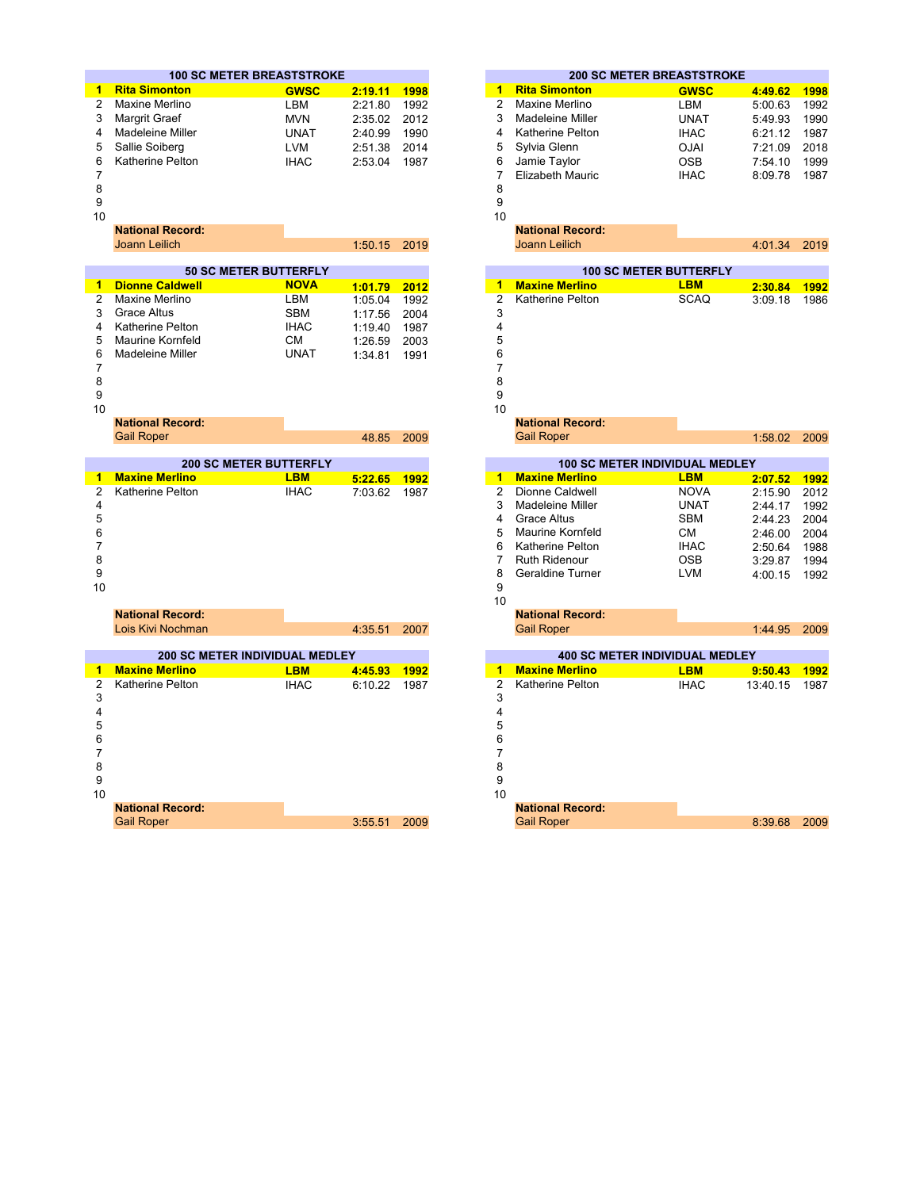|                | <b>100 SC METER BREASTSTROKE</b>                                                                                                                                                 |             |         |      |                         | <b>200 SC METER BREASTSTROKE</b>                                                                                                        |             |          |      |
|----------------|----------------------------------------------------------------------------------------------------------------------------------------------------------------------------------|-------------|---------|------|-------------------------|-----------------------------------------------------------------------------------------------------------------------------------------|-------------|----------|------|
| 1              | <b>Rita Simonton</b>                                                                                                                                                             | <b>GWSC</b> | 2:19.11 | 1998 | $\blacktriangleleft$    | <b>Rita Simonton</b>                                                                                                                    | <b>GWSC</b> | 4:49.62  | 1998 |
| 2              | Maxine Merlino                                                                                                                                                                   | LBM         | 2:21.80 | 1992 | 2                       | Maxine Merlino                                                                                                                          | <b>LBM</b>  | 5:00.63  | 1992 |
| 3              | <b>Margrit Graef</b>                                                                                                                                                             | <b>MVN</b>  | 2:35.02 | 2012 | 3                       | <b>Madeleine Miller</b>                                                                                                                 | <b>UNAT</b> |          | 1990 |
| 4              | Madeleine Miller                                                                                                                                                                 |             |         |      | $\overline{\mathbf{4}}$ | <b>Katherine Pelton</b>                                                                                                                 |             | 5:49.93  | 1987 |
|                |                                                                                                                                                                                  | <b>UNAT</b> | 2:40.99 | 1990 |                         |                                                                                                                                         | <b>IHAC</b> | 6:21.12  |      |
| 5              | Sallie Soiberg                                                                                                                                                                   | <b>LVM</b>  | 2:51.38 | 2014 | 5                       | Sylvia Glenn                                                                                                                            | <b>OJAI</b> | 7:21.09  | 2018 |
| 6              | Katherine Pelton                                                                                                                                                                 | <b>IHAC</b> | 2:53.04 | 1987 | 6                       | Jamie Taylor                                                                                                                            | <b>OSB</b>  | 7:54.10  | 1999 |
| 7              |                                                                                                                                                                                  |             |         |      | $\overline{7}$          | <b>Elizabeth Mauric</b>                                                                                                                 | <b>IHAC</b> | 8:09.78  | 1987 |
| 8<br>9         |                                                                                                                                                                                  |             |         |      | 8<br>9                  |                                                                                                                                         |             |          |      |
| 10             |                                                                                                                                                                                  |             |         |      | 10                      |                                                                                                                                         |             |          |      |
|                | <b>National Record:</b>                                                                                                                                                          |             |         |      |                         | <b>National Record:</b>                                                                                                                 |             |          |      |
|                |                                                                                                                                                                                  |             |         |      |                         |                                                                                                                                         |             |          |      |
|                | <b>Joann Leilich</b>                                                                                                                                                             |             | 1:50.15 | 2019 |                         | Joann Leilich                                                                                                                           |             | 4:01.34  | 2019 |
|                | <b>50 SC METER BUTTERFLY</b>                                                                                                                                                     |             |         |      |                         | <b>100 SC METER BUTTERFLY</b>                                                                                                           |             |          |      |
| 1              | <b>Dionne Caldwell</b><br>$\mathcal{L}(\mathcal{L})$ and $\mathcal{L}(\mathcal{L})$ and $\mathcal{L}(\mathcal{L})$ and $\mathcal{L}(\mathcal{L})$ and $\mathcal{L}(\mathcal{L})$ | <b>NOVA</b> | 1:01.79 | 2012 | 1                       | <b>Maxine Merlino</b><br>and the state of the state of the state of the state of the state of the state of the state of the state of th | <b>LBM</b>  | 2:30.84  | 1992 |
| $\overline{2}$ | Maxine Merlino                                                                                                                                                                   | LBM         | 1:05.04 | 1992 | $\overline{2}$          | Katherine Pelton                                                                                                                        | <b>SCAQ</b> | 3:09.18  | 1986 |
| 3              | <b>Grace Altus</b>                                                                                                                                                               | <b>SBM</b>  | 1:17.56 | 2004 | 3                       |                                                                                                                                         |             |          |      |
| 4              | Katherine Pelton                                                                                                                                                                 | <b>IHAC</b> | 1:19.40 | 1987 | 4                       |                                                                                                                                         |             |          |      |
| 5              | <b>Maurine Kornfeld</b>                                                                                                                                                          | CМ          | 1:26.59 | 2003 | 5                       |                                                                                                                                         |             |          |      |
| 6              | Madeleine Miller                                                                                                                                                                 | <b>UNAT</b> | 1:34.81 | 1991 | 6                       |                                                                                                                                         |             |          |      |
| 7              |                                                                                                                                                                                  |             |         |      | 7                       |                                                                                                                                         |             |          |      |
| 8              |                                                                                                                                                                                  |             |         |      | 8                       |                                                                                                                                         |             |          |      |
| 9              |                                                                                                                                                                                  |             |         |      | 9                       |                                                                                                                                         |             |          |      |
| 10             |                                                                                                                                                                                  |             |         |      | 10                      |                                                                                                                                         |             |          |      |
|                | <b>National Record:</b>                                                                                                                                                          |             |         |      |                         | <b>National Record:</b>                                                                                                                 |             |          |      |
|                | <b>Gail Roper</b>                                                                                                                                                                |             | 48.85   | 2009 |                         | <b>Gail Roper</b>                                                                                                                       |             | 1:58.02  | 2009 |
|                |                                                                                                                                                                                  |             |         |      |                         |                                                                                                                                         |             |          |      |
|                | <b>200 SC METER BUTTERFLY</b>                                                                                                                                                    |             |         |      |                         | <b>100 SC METER INDIVIDUAL MEDLEY</b>                                                                                                   |             |          |      |
| 1              | <b>Maxine Merlino</b>                                                                                                                                                            | <b>LBM</b>  | 5:22.65 | 1992 | $\mathbf{1}$            | <b>Maxine Merlino</b>                                                                                                                   | <b>LBM</b>  | 2:07.52  | 1992 |
| $\overline{2}$ | Katherine Pelton                                                                                                                                                                 | <b>IHAC</b> | 7:03.62 | 1987 | $\overline{2}$          | Dionne Caldwell                                                                                                                         | <b>NOVA</b> | 2:15.90  | 2012 |
| 4              |                                                                                                                                                                                  |             |         |      | 3                       | Madeleine Miller                                                                                                                        | <b>UNAT</b> | 2:44.17  | 1992 |
| 5              |                                                                                                                                                                                  |             |         |      | 4                       | <b>Grace Altus</b>                                                                                                                      | <b>SBM</b>  | 2:44.23  | 2004 |
| 6              |                                                                                                                                                                                  |             |         |      | 5                       | <b>Maurine Kornfeld</b>                                                                                                                 | CМ          | 2:46.00  | 2004 |
| $\overline{7}$ |                                                                                                                                                                                  |             |         |      | 6                       | <b>Katherine Pelton</b>                                                                                                                 | <b>IHAC</b> | 2:50.64  | 1988 |
| 8              |                                                                                                                                                                                  |             |         |      | $\overline{7}$          | <b>Ruth Ridenour</b>                                                                                                                    | <b>OSB</b>  | 3:29.87  | 1994 |
| 9              |                                                                                                                                                                                  |             |         |      | 8                       | <b>Geraldine Turner</b>                                                                                                                 | <b>LVM</b>  | 4:00.15  | 1992 |
| 10             |                                                                                                                                                                                  |             |         |      | 9                       |                                                                                                                                         |             |          |      |
|                |                                                                                                                                                                                  |             |         |      | 10                      |                                                                                                                                         |             |          |      |
|                | <b>National Record:</b>                                                                                                                                                          |             |         |      |                         | <b>National Record:</b>                                                                                                                 |             |          |      |
|                | Lois Kivi Nochman                                                                                                                                                                |             | 4:35.51 | 2007 |                         | <b>Gail Roper</b>                                                                                                                       |             | 1:44.95  | 2009 |
|                | 200 SC METER INDIVIDUAL MEDLEY                                                                                                                                                   |             |         |      |                         | <b>400 SC METER INDIVIDUAL MEDLEY</b>                                                                                                   |             |          |      |
| 1              | <b>Maxine Merlino</b>                                                                                                                                                            | <b>LBM</b>  | 4:45.93 | 1992 | 1                       | <b>Maxine Merlino</b>                                                                                                                   | <b>LBM</b>  | 9:50.43  | 1992 |
| $\overline{2}$ | Katherine Pelton                                                                                                                                                                 | <b>IHAC</b> | 6:10.22 | 1987 | $\overline{2}$          | Katherine Pelton                                                                                                                        | <b>IHAC</b> | 13:40.15 | 1987 |
| 3              |                                                                                                                                                                                  |             |         |      | 3                       |                                                                                                                                         |             |          |      |
| 4              |                                                                                                                                                                                  |             |         |      | 4                       |                                                                                                                                         |             |          |      |
| 5              |                                                                                                                                                                                  |             |         |      | 5                       |                                                                                                                                         |             |          |      |
| 6              |                                                                                                                                                                                  |             |         |      | 6                       |                                                                                                                                         |             |          |      |
| $\overline{7}$ |                                                                                                                                                                                  |             |         |      | $\overline{7}$          |                                                                                                                                         |             |          |      |
| 8              |                                                                                                                                                                                  |             |         |      | 8                       |                                                                                                                                         |             |          |      |
| 9              |                                                                                                                                                                                  |             |         |      | 9                       |                                                                                                                                         |             |          |      |
| 10             |                                                                                                                                                                                  |             |         |      | 10                      |                                                                                                                                         |             |          |      |
|                | <b>National Record:</b>                                                                                                                                                          |             |         |      |                         | <b>National Record:</b>                                                                                                                 |             |          |      |
|                | <b>Gail Roper</b>                                                                                                                                                                |             | 3:55.51 | 2009 |                         | <b>Gail Roper</b>                                                                                                                       |             | 8:39.68  | 2009 |

| 0 SC METER BREASTSTROKE              |             |                    |              |                         |                                               | <b>200 SC METER BREASTSTROKE</b>            |                    |              |
|--------------------------------------|-------------|--------------------|--------------|-------------------------|-----------------------------------------------|---------------------------------------------|--------------------|--------------|
| 'n                                   | <b>GWSC</b> | 2:19.11            | 1998         | 1                       | <b>Rita Simonton</b>                          | <b>GWSC</b>                                 | 4:49.62            | 1998         |
| ١O                                   | LBM         | 2:21.80            | 1992         | $\overline{2}$          | Maxine Merlino                                | LBM                                         | 5:00.63            | 1992         |
|                                      | <b>MVN</b>  | 2:35.02            | 2012         | 3                       | Madeleine Miller                              | <b>UNAT</b>                                 | 5:49.93            | 1990         |
| ller                                 | UNAT        | 2:40.99            | 1990         | 4                       | <b>Katherine Pelton</b>                       | <b>IHAC</b>                                 | 6:21.12            | 1987         |
|                                      | LVM         | 2:51.38            | 2014         | 5                       | Sylvia Glenn                                  | <b>OJAI</b>                                 | 7:21.09            | 2018         |
| ton                                  | <b>IHAC</b> | 2:53.04            | 1987         | 6                       | Jamie Taylor                                  | <b>OSB</b>                                  | 7:54.10            | 1999         |
|                                      |             |                    |              | $\overline{7}$          | <b>Elizabeth Mauric</b>                       | <b>IHAC</b>                                 | 8:09.78            | 1987         |
|                                      |             |                    |              | 8                       |                                               |                                             |                    |              |
|                                      |             |                    |              | 9                       |                                               |                                             |                    |              |
|                                      |             |                    |              | 10                      |                                               |                                             |                    |              |
| ord:                                 |             |                    |              |                         | <b>National Record:</b>                       |                                             |                    |              |
|                                      |             | 1:50.15            | 2019         |                         | <b>Joann Leilich</b>                          |                                             | 4:01.34            | 2019         |
|                                      |             |                    |              |                         |                                               |                                             |                    |              |
| <b>50 SC METER BUTTERFLY</b><br>well | <b>NOVA</b> |                    |              | 1                       | <b>Maxine Merlino</b>                         | <b>100 SC METER BUTTERFLY</b><br><b>LBM</b> |                    |              |
| ١O                                   | LBM         | 1:01.79            | 2012         | $\overline{2}$          | Katherine Pelton                              | <b>SCAQ</b>                                 | 2:30.84            | 1992         |
|                                      | SBM         | 1:05.04<br>1:17.56 | 1992<br>2004 | 3                       |                                               |                                             | 3:09.18            | 1986         |
| ton                                  | <b>IHAC</b> |                    | 1987         | 4                       |                                               |                                             |                    |              |
| feld                                 | CМ          | 1:19.40<br>1:26.59 | 2003         | 5                       |                                               |                                             |                    |              |
| ller                                 | <b>UNAT</b> | 1:34.81            | 1991         | 6                       |                                               |                                             |                    |              |
|                                      |             |                    |              | 7                       |                                               |                                             |                    |              |
|                                      |             |                    |              | 8                       |                                               |                                             |                    |              |
|                                      |             |                    |              | 9                       |                                               |                                             |                    |              |
|                                      |             |                    |              | 10                      |                                               |                                             |                    |              |
| ord:                                 |             |                    |              |                         | <b>National Record:</b>                       |                                             |                    |              |
|                                      |             | 48.85              | 2009         |                         | <b>Gail Roper</b>                             |                                             | 1:58.02            | 2009         |
|                                      |             |                    |              |                         |                                               |                                             |                    |              |
| <b>200 SC METER BUTTERFLY</b>        |             |                    |              |                         |                                               | <b>100 SC METER INDIVIDUAL MEDLEY</b>       |                    |              |
| no                                   | <b>LBM</b>  | 5:22.65            | 1992         | 1                       | <b>Maxine Merlino</b>                         | <b>LBM</b>                                  | 2:07.52            | 1992         |
| ton                                  | <b>IHAC</b> | 7:03.62            | 1987         | $\overline{2}$          | Dionne Caldwell                               | <b>NOVA</b>                                 | 2:15.90            | 2012         |
|                                      |             |                    |              | 3<br>4                  | Madeleine Miller                              | <b>UNAT</b>                                 | 2:44.17            | 1992         |
|                                      |             |                    |              | 5                       | <b>Grace Altus</b><br><b>Maurine Kornfeld</b> | <b>SBM</b><br>CМ                            | 2:44.23            | 2004         |
|                                      |             |                    |              | 6                       | Katherine Pelton                              | <b>IHAC</b>                                 | 2:46.00            | 2004         |
|                                      |             |                    |              | $\overline{7}$          | <b>Ruth Ridenour</b>                          | OSB                                         | 2:50.64            | 1988         |
|                                      |             |                    |              | 8                       | Geraldine Turner                              | <b>LVM</b>                                  | 3:29.87<br>4:00.15 | 1994<br>1992 |
|                                      |             |                    |              | 9                       |                                               |                                             |                    |              |
|                                      |             |                    |              | 10                      |                                               |                                             |                    |              |
| ord:                                 |             |                    |              |                         | <b>National Record:</b>                       |                                             |                    |              |
| าman                                 |             | 4:35.51            | 2007         |                         | <b>Gail Roper</b>                             |                                             | 1:44.95            | 2009         |
|                                      |             |                    |              |                         |                                               |                                             |                    |              |
| SC METER INDIVIDUAL MEDLEY           |             |                    |              |                         |                                               | <b>400 SC METER INDIVIDUAL MEDLEY</b>       |                    |              |
| no                                   | <b>LBM</b>  | 4:45.93            | 1992         | $\overline{\mathbf{1}}$ | <b>Maxine Merlino</b>                         | <b>LBM</b>                                  | 9:50.43            | 1992         |
| ton                                  | <b>IHAC</b> | 6:10.22            | 1987         | $\overline{2}$          | Katherine Pelton                              | <b>IHAC</b>                                 | 13:40.15           | 1987         |
|                                      |             |                    |              | 3                       |                                               |                                             |                    |              |
|                                      |             |                    |              | 4                       |                                               |                                             |                    |              |
|                                      |             |                    |              | 5                       |                                               |                                             |                    |              |
|                                      |             |                    |              | 6                       |                                               |                                             |                    |              |
|                                      |             |                    |              | 7<br>8                  |                                               |                                             |                    |              |
|                                      |             |                    |              | 9                       |                                               |                                             |                    |              |
|                                      |             |                    |              | 10                      |                                               |                                             |                    |              |
| ord:                                 |             |                    |              |                         | <b>National Record:</b>                       |                                             |                    |              |
|                                      |             | 3:55.51            | 2009         |                         | <b>Gail Roper</b>                             |                                             | 8:39.68            | 2009         |
|                                      |             |                    |              |                         |                                               |                                             |                    |              |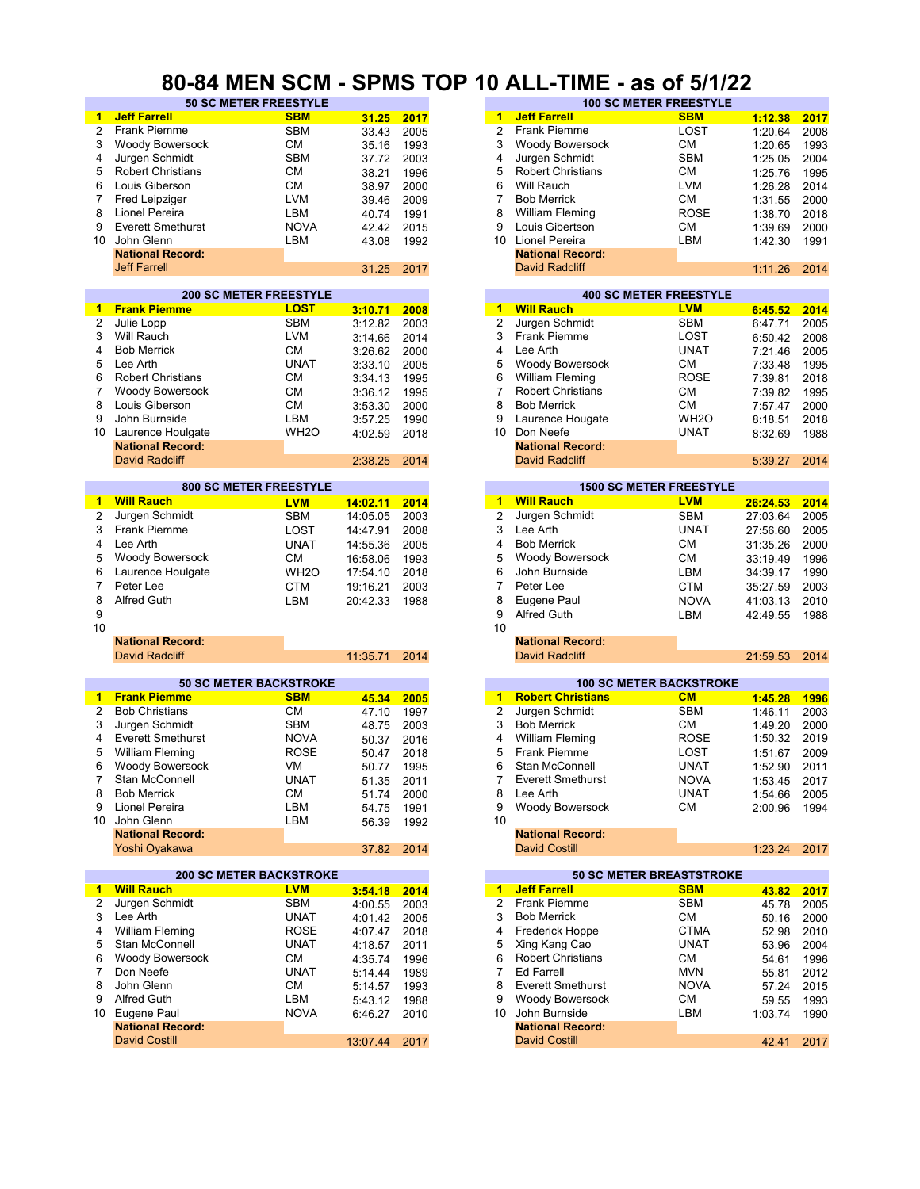#### **80-84 MEN SCM - SPMS TOP 10 ALL-TIME - as of 5/1/22**

| 1              | <b>Jeff Farrell</b>            | <b>SBM</b>        | 31.25    | 2017 | <b>Jeff Farrell</b><br><b>SBM</b><br>$\overline{1}$     |          | 2017 |
|----------------|--------------------------------|-------------------|----------|------|---------------------------------------------------------|----------|------|
| $\overline{2}$ | Frank Piemme                   | <b>SBM</b>        |          |      | 2<br><b>Frank Piemme</b><br>LOST                        | 1:12.38  |      |
|                |                                |                   | 33.43    | 2005 |                                                         | 1:20.64  | 2008 |
| 3              | Woody Bowersock                | <b>CM</b>         | 35.16    | 1993 | 3<br>СM<br><b>Woody Bowersock</b>                       | 1:20.65  | 1993 |
| 4              | Jurgen Schmidt                 | <b>SBM</b>        | 37.72    | 2003 | <b>SBM</b><br>4<br>Jurgen Schmidt                       | 1:25.05  | 2004 |
| 5              | <b>Robert Christians</b>       | <b>CM</b>         | 38.21    | 1996 | 5<br><b>Robert Christians</b><br>СM                     | 1:25.76  | 1995 |
| 6              | Louis Giberson                 | <b>CM</b>         | 38.97    | 2000 | 6<br>Will Rauch<br>LVM                                  | 1:26.28  | 2014 |
| 7              | Fred Leipziger                 | <b>LVM</b>        | 39.46    | 2009 | 7<br><b>Bob Merrick</b><br>СM                           | 1:31.55  | 2000 |
|                |                                |                   |          |      |                                                         |          |      |
| 8              | Lionel Pereira                 | LBM               | 40.74    | 1991 | <b>ROSE</b><br>8<br><b>William Fleming</b>              | 1:38.70  | 2018 |
| 9              | <b>Everett Smethurst</b>       | <b>NOVA</b>       | 42.42    | 2015 | 9<br>Louis Gibertson<br>CМ                              | 1:39.69  | 2000 |
| 10             | John Glenn                     | LBM               | 43.08    | 1992 | 10 <sup>1</sup><br>Lionel Pereira<br>LBM                | 1:42.30  | 1991 |
|                | <b>National Record:</b>        |                   |          |      | <b>National Record:</b>                                 |          |      |
|                | <b>Jeff Farrell</b>            |                   | 31.25    | 2017 | <b>David Radcliff</b>                                   | 1:11.26  | 2014 |
|                |                                |                   |          |      |                                                         |          |      |
|                | <b>200 SC METER FREESTYLE</b>  |                   |          |      | <b>400 SC METER FREESTYLE</b>                           |          |      |
| 1              | <b>Frank Piemme</b>            | <b>LOST</b>       | 3:10.71  | 2008 | <b>Will Rauch</b><br><b>LVM</b><br>$\mathbf{1}$         | 6:45.52  | 2014 |
| 2              |                                | <b>SBM</b>        |          |      | $\overline{\mathbf{c}}$<br>Jurgen Schmidt<br><b>SBM</b> |          |      |
|                | Julie Lopp                     |                   | 3:12.82  | 2003 |                                                         | 6:47.71  | 2005 |
| 3              | Will Rauch                     | <b>LVM</b>        | 3:14.66  | 2014 | 3<br>Frank Piemme<br>LOST                               | 6:50.42  | 2008 |
| 4              | <b>Bob Merrick</b>             | <b>CM</b>         | 3:26.62  | 2000 | Lee Arth<br><b>UNAT</b><br>4                            | 7:21.46  | 2005 |
| 5              | Lee Arth                       | <b>UNAT</b>       | 3:33.10  | 2005 | 5<br>Woody Bowersock<br>CМ                              | 7:33.48  | 1995 |
| 6              | <b>Robert Christians</b>       | <b>CM</b>         | 3:34.13  | 1995 | <b>ROSE</b><br>6<br><b>William Fleming</b>              | 7:39.81  | 2018 |
| $\overline{7}$ | Woody Bowersock                | <b>CM</b>         | 3:36.12  | 1995 | $\overline{7}$<br><b>Robert Christians</b><br><b>CM</b> | 7:39.82  | 1995 |
| 8              |                                | <b>CM</b>         |          |      | 8                                                       |          |      |
|                | Louis Giberson                 |                   | 3:53.30  | 2000 | <b>Bob Merrick</b><br>CМ                                | 7:57.47  | 2000 |
| 9              | John Burnside                  | LBM               | 3:57.25  | 1990 | WH <sub>2</sub> O<br>9<br>Laurence Hougate              | 8:18.51  | 2018 |
| 10             | Laurence Houlgate              | WH <sub>20</sub>  | 4:02.59  | 2018 | 10 <sup>°</sup><br>Don Neefe<br><b>UNAT</b>             | 8:32.69  | 1988 |
|                | <b>National Record:</b>        |                   |          |      | <b>National Record:</b>                                 |          |      |
|                | <b>David Radcliff</b>          |                   | 2:38.25  | 2014 | David Radcliff                                          | 5:39.27  | 2014 |
|                |                                |                   |          |      |                                                         |          |      |
|                | <b>800 SC METER FREESTYLE</b>  |                   |          |      | <b>1500 SC METER FREESTYLE</b>                          |          |      |
| 1              | <b>Will Rauch</b>              | <b>LVM</b>        | 14:02.11 | 2014 | 1 Will Rauch<br><b>LVM</b>                              | 26:24.53 | 2014 |
| 2              | Jurgen Schmidt                 | <b>SBM</b>        | 14:05.05 | 2003 | $\boldsymbol{2}$<br>Jurgen Schmidt<br><b>SBM</b>        | 27:03.64 | 2005 |
|                |                                |                   |          |      |                                                         |          |      |
| 3              | Frank Piemme                   | LOST              | 14:47.91 | 2008 | 3<br><b>UNAT</b><br>Lee Arth                            | 27:56.60 | 2005 |
| 4              | Lee Arth                       | <b>UNAT</b>       | 14:55.36 | 2005 | <b>CM</b><br>4<br><b>Bob Merrick</b>                    | 31:35.26 | 2000 |
| 5              | Woody Bowersock                | <b>CM</b>         | 16:58.06 | 1993 | 5<br><b>Woody Bowersock</b><br>СM                       | 33:19.49 | 1996 |
| 6              | Laurence Houlgate              | WH <sub>2</sub> O | 17:54.10 | 2018 | 6<br>John Burnside<br>LBM                               | 34:39.17 | 1990 |
| 7              | Peter Lee                      | <b>CTM</b>        | 19:16.21 | 2003 | $\overline{7}$<br>Peter Lee<br><b>CTM</b>               | 35:27.59 | 2003 |
|                |                                |                   |          |      |                                                         |          |      |
| 8              | <b>Alfred Guth</b>             | LBM               | 20:42.33 | 1988 | 8<br>Eugene Paul<br><b>NOVA</b>                         | 41:03.13 | 2010 |
| 9              |                                |                   |          |      | 9<br><b>Alfred Guth</b><br>LBM                          | 42:49.55 | 1988 |
| 10             |                                |                   |          |      | 10                                                      |          |      |
|                | <b>National Record:</b>        |                   |          |      | <b>National Record:</b>                                 |          |      |
|                | <b>David Radcliff</b>          |                   | 11:35.71 | 2014 | <b>David Radcliff</b>                                   | 21:59.53 | 2014 |
|                |                                |                   |          |      |                                                         |          |      |
|                | <b>50 SC METER BACKSTROKE</b>  |                   |          |      | <b>100 SC METER BACKSTROKE</b>                          |          |      |
| 1              | <b>Frank Piemme</b>            | <b>SBM</b>        | 45.34    | 2005 | <b>Robert Christians</b><br>CM<br>1                     | 1:45.28  | 1996 |
| $\overline{2}$ | <b>Bob Christians</b>          | <b>CM</b>         | 47.10    | 1997 | $\overline{2}$<br>Jurgen Schmidt<br><b>SBM</b>          | 1:46.11  | 2003 |
| 3              | Jurgen Schmidt                 | <b>SBM</b>        | 48.75    | 2003 | 3<br>СM<br><b>Bob Merrick</b>                           | 1:49.20  | 2000 |
| 4              | <b>Everett Smethurst</b>       | <b>NOVA</b>       | 50.37    | 2016 | 4<br><b>William Fleming</b><br>ROSE                     | 1:50.32  | 2019 |
| 5              |                                |                   |          |      | 5<br><b>Frank Piemme</b>                                |          |      |
|                | <b>William Fleming</b>         | <b>ROSE</b>       | 50.47    | 2018 | LOST                                                    | 1:51.67  | 2009 |
| 6              | <b>Woody Bowersock</b>         | VM                | 50.77    | 1995 | 6<br>UNAT<br>Stan McConnell                             | 1:52.90  | 2011 |
| $7^{\circ}$    | Stan McConnell                 | <b>UNAT</b>       | 51.35    | 2011 | Everett Smethurst<br><b>NOVA</b><br>7.                  | 1:53.45  | 2017 |
| 8              | <b>Bob Merrick</b>             | СM                | 51.74    | 2000 | Lee Arth<br>UNAT<br>8                                   | 1:54.66  | 2005 |
| 9              | Lionel Pereira                 | LBM               | 54.75    | 1991 | 9<br>Woody Bowersock<br>CM                              | 2:00.96  | 1994 |
|                | 10 John Glenn                  | LBM               | 56.39    | 1992 | 10                                                      |          |      |
|                | <b>National Record:</b>        |                   |          |      | <b>National Record:</b>                                 |          |      |
|                |                                |                   | 37.82    | 2014 | <b>David Costill</b>                                    | 1:23.24  |      |
|                |                                |                   |          |      |                                                         |          | 2017 |
|                | Yoshi Oyakawa                  |                   |          |      |                                                         |          |      |
|                | <b>200 SC METER BACKSTROKE</b> |                   |          |      | <b>50 SC METER BREASTSTROKE</b>                         |          |      |
| $\mathbf{1}$   | <b>Will Rauch</b>              | <b>LVM</b>        |          |      | 1 Jeff Farrell<br><b>SBM</b>                            |          |      |
|                |                                |                   | 3:54.18  | 2014 |                                                         | 43.82    | 2017 |
| 2              | Jurgen Schmidt                 | <b>SBM</b>        | 4:00.55  | 2003 | <b>Frank Piemme</b><br>$\overline{2}$<br><b>SBM</b>     | 45.78    | 2005 |
| 3              | Lee Arth                       | <b>UNAT</b>       | 4:01.42  | 2005 | 3<br><b>Bob Merrick</b><br>СM                           | 50.16    | 2000 |
| 4              | <b>William Fleming</b>         | <b>ROSE</b>       | 4:07.47  | 2018 | Frederick Hoppe<br>4<br><b>CTMA</b>                     | 52.98    | 2010 |
| 5              | Stan McConnell                 | <b>UNAT</b>       | 4:18.57  | 2011 | Xing Kang Cao<br><b>UNAT</b><br>5                       | 53.96    | 2004 |
| 6              | Woody Bowersock                | СM                | 4:35.74  | 1996 | <b>Robert Christians</b><br>СM<br>6                     | 54.61    | 1996 |
| 7              | Don Neefe                      | <b>UNAT</b>       | 5:14.44  | 1989 | <b>Ed Farrell</b><br>7<br><b>MVN</b>                    | 55.81    | 2012 |
| 8              | John Glenn                     | <b>CM</b>         |          |      | 8<br><b>Everett Smethurst</b><br><b>NOVA</b>            |          |      |
|                |                                |                   | 5:14.57  | 1993 |                                                         | 57.24    | 2015 |
| 9              | <b>Alfred Guth</b>             | LBM               | 5:43.12  | 1988 | Woody Bowersock<br>СM<br>9                              | 59.55    | 1993 |
| 10             | Eugene Paul                    | <b>NOVA</b>       | 6:46.27  | 2010 | John Burnside<br>LBM<br>10                              | 1:03.74  | 1990 |
|                | <b>National Record:</b>        |                   |          |      | <b>National Record:</b>                                 |          |      |
|                | <b>David Costill</b>           |                   | 13:07.44 | 2017 | <b>David Costill</b>                                    | 42.41    | 2017 |

| v 1111 | ----                         | .     |      |    |                          | -------                       |         |      |
|--------|------------------------------|-------|------|----|--------------------------|-------------------------------|---------|------|
|        | <b>50 SC METER FREESTYLE</b> |       |      |    |                          | <b>100 SC METER FREESTYLE</b> |         |      |
|        | <b>SBM</b>                   | 31.25 | 2017 | 1  | <b>Jeff Farrell</b>      | <b>SBM</b>                    | 1:12.38 | 2017 |
|        | <b>SBM</b>                   | 33.43 | 2005 |    | <b>Frank Piemme</b>      | LOST                          | 1:20.64 | 2008 |
| sock   | CМ                           | 35.16 | 1993 | 3  | <b>Woody Bowersock</b>   | <b>CM</b>                     | 1:20.65 | 1993 |
| tt     | <b>SBM</b>                   | 37.72 | 2003 | 4  | Jurgen Schmidt           | <b>SBM</b>                    | 1:25.05 | 2004 |
| ans    | СM                           | 38.21 | 1996 | 5  | <b>Robert Christians</b> | СM                            | 1:25.76 | 1995 |
|        | CМ                           | 38.97 | 2000 | 6  | Will Rauch               | <b>LVM</b>                    | 1:26.28 | 2014 |
|        | <b>LVM</b>                   | 39.46 | 2009 |    | <b>Bob Merrick</b>       | <b>CM</b>                     | 1:31.55 | 2000 |
|        | LBM                          | 40.74 | 1991 | 8  | William Fleming          | <b>ROSE</b>                   | 1:38.70 | 2018 |
| urst   | <b>NOVA</b>                  | 42.42 | 2015 | 9  | Louis Gibertson          | <b>CM</b>                     | 1:39.69 | 2000 |
|        | LBM                          | 43.08 | 1992 | 10 | Lionel Pereira           | LBM                           | 1:42.30 | 1991 |
| :brc   |                              |       |      |    | <b>National Record:</b>  |                               |         |      |
|        |                              | 31.25 | 2017 |    | <b>David Radcliff</b>    |                               | 1:11.26 | 2014 |
|        |                              |       |      |    |                          |                               |         |      |

|         |      |    |                          | <b>400 SC METER FREESTYLE</b> |         |
|---------|------|----|--------------------------|-------------------------------|---------|
| 3:10.71 | 2008 | 1  | <b>Will Rauch</b>        | <b>LVM</b>                    | 6:45.52 |
| 3:12.82 | 2003 | 2  | Jurgen Schmidt           | <b>SBM</b>                    | 6:47.71 |
| 3:14.66 | 2014 | 3  | <b>Frank Piemme</b>      | LOST                          | 6:50.42 |
| 3:26.62 | 2000 | 4  | Lee Arth                 | <b>UNAT</b>                   | 7:21.46 |
| 3:33.10 | 2005 | 5  | <b>Woody Bowersock</b>   | <b>CM</b>                     | 7:33.48 |
| 3:34.13 | 1995 | 6  | <b>William Fleming</b>   | <b>ROSE</b>                   | 7:39.81 |
| 3:36.12 | 1995 |    | <b>Robert Christians</b> | <b>CM</b>                     | 7:39.82 |
| 3:53.30 | 2000 | 8  | <b>Bob Merrick</b>       | <b>CM</b>                     | 7:57.47 |
| 3:57.25 | 1990 | 9  | Laurence Hougate         | WH <sub>2</sub> O             | 8:18.51 |
| 4:02.59 | 2018 | 10 | Don Neefe                | <b>UNAT</b>                   | 8:32.69 |
|         |      |    | <b>National Record:</b>  |                               |         |
| 2:38.25 | 2014 |    | David Radcliff           |                               | 5:39.27 |
|         |      |    |                          |                               |         |

| 1 Will Rauch            | <b>LVM</b>        | 14:02.11 | 2014                          |
|-------------------------|-------------------|----------|-------------------------------|
| 2 Jurgen Schmidt        | <b>SBM</b>        | 14:05.05 | 2003                          |
| 3 Frank Piemme          | LOST              | 14:47.91 | 2008                          |
| 4 Lee Arth              | <b>UNAT</b>       | 14:55.36 | 2005                          |
| 5 Woody Bowersock       | CМ                | 16:58.06 | 1993                          |
| 6 Laurence Houlgate     | WH <sub>2</sub> O | 17:54.10 | 2018                          |
| 7<br>Peter Lee          | <b>CTM</b>        | 19:16.21 | 2003                          |
| 8 Alfred Guth           | LBM               | 20:42.33 | 1988                          |
|                         |                   |          |                               |
|                         |                   |          |                               |
| <b>National Record:</b> |                   |          |                               |
| David Radcliff          |                   | 11:35.71 | 2014                          |
|                         |                   |          | <b>800 SC METER FREESTYLE</b> |

|       |      |    |                          | <b>100 SC METER BACKSTROKE</b> |         |
|-------|------|----|--------------------------|--------------------------------|---------|
| 45.34 | 2005 | 1  | <b>Robert Christians</b> | CM                             | 1:45.28 |
| 47.10 | 1997 | 2  | Jurgen Schmidt           | <b>SBM</b>                     | 1:46.11 |
| 48.75 | 2003 | 3  | <b>Bob Merrick</b>       | <b>CM</b>                      | 1:49.20 |
| 50.37 | 2016 | 4  | William Fleming          | <b>ROSE</b>                    | 1:50.32 |
| 50.47 | 2018 | 5  | <b>Frank Piemme</b>      | LOST                           | 1:51.67 |
| 50.77 | 1995 | 6  | Stan McConnell           | <b>UNAT</b>                    | 1:52.90 |
| 51.35 | 2011 |    | <b>Everett Smethurst</b> | <b>NOVA</b>                    | 1:53.45 |
| 51.74 | 2000 | 8  | Lee Arth                 | <b>UNAT</b>                    | 1:54.66 |
| 54.75 | 1991 | 9  | <b>Woody Bowersock</b>   | <b>CM</b>                      | 2:00.96 |
| 56.39 | 1992 | 10 |                          |                                |         |
|       |      |    | <b>National Record:</b>  |                                |         |
| 37.82 | 2014 |    | <b>David Costill</b>     |                                | 1:23.24 |

| 3:54.18  | 2014 |
|----------|------|
| 4:00.55  | 2003 |
| 4:01.42  | 2005 |
| 4:07.47  | 2018 |
| 4:18.57  | 2011 |
| 4:35.74  | 1996 |
| 5:14.44  | 1989 |
| 5:14.57  | 1993 |
| 5:43.12  | 1988 |
| 6:46.27  | 2010 |
|          |      |
| 13:07.44 | 2017 |
|          |      |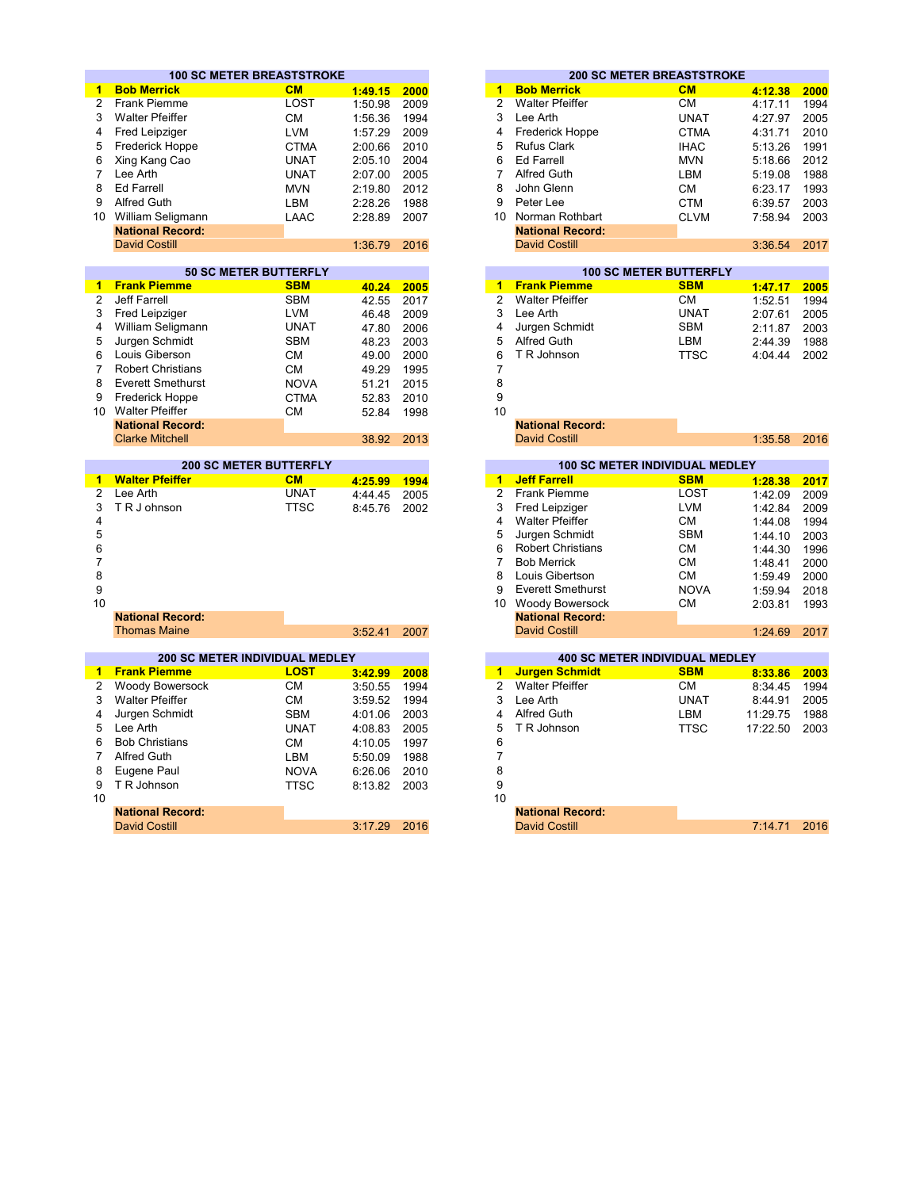|                | <b>100 SC METER BREASTSTROKE</b> |             |         |      |                |                          | <b>200 SC METER BREASTSTROKE</b>      |          |      |
|----------------|----------------------------------|-------------|---------|------|----------------|--------------------------|---------------------------------------|----------|------|
| 1              | <b>Bob Merrick</b>               | CM          | 1:49.15 | 2000 | 1              | <b>Bob Merrick</b>       | <b>CM</b>                             | 4:12.38  | 2000 |
| $\overline{2}$ | <b>Frank Piemme</b>              | LOST        | 1:50.98 | 2009 | $\overline{2}$ | <b>Walter Pfeiffer</b>   | <b>CM</b>                             | 4:17.11  | 1994 |
| 3              | <b>Walter Pfeiffer</b>           | <b>CM</b>   | 1:56.36 | 1994 | 3              | Lee Arth                 | <b>UNAT</b>                           | 4:27.97  | 2005 |
| 4              | Fred Leipziger                   | <b>LVM</b>  | 1:57.29 | 2009 | 4              | <b>Frederick Hoppe</b>   | <b>CTMA</b>                           | 4:31.71  | 2010 |
| 5              | <b>Frederick Hoppe</b>           | <b>CTMA</b> | 2:00.66 | 2010 | 5              | <b>Rufus Clark</b>       | <b>IHAC</b>                           | 5:13.26  | 1991 |
| 6              | Xing Kang Cao                    | <b>UNAT</b> | 2:05.10 | 2004 | 6              | <b>Ed Farrell</b>        | <b>MVN</b>                            | 5:18.66  | 2012 |
| $\overline{7}$ | Lee Arth                         | <b>UNAT</b> | 2:07.00 | 2005 | $\overline{7}$ | <b>Alfred Guth</b>       | LBM                                   | 5:19.08  | 1988 |
| 8              | <b>Ed Farrell</b>                | <b>MVN</b>  | 2:19.80 | 2012 | 8              | John Glenn               | СM                                    | 6:23.17  | 1993 |
| 9              | <b>Alfred Guth</b>               | <b>LBM</b>  | 2:28.26 | 1988 | 9              | Peter Lee                | <b>CTM</b>                            | 6:39.57  | 2003 |
|                | 10 William Seligmann             | LAAC        | 2:28.89 | 2007 |                | 10 Norman Rothbart       | <b>CLVM</b>                           | 7:58.94  | 2003 |
|                | <b>National Record:</b>          |             |         |      |                | <b>National Record:</b>  |                                       |          |      |
|                | <b>David Costill</b>             |             | 1:36.79 | 2016 |                | <b>David Costill</b>     |                                       | 3:36.54  | 2017 |
|                |                                  |             |         |      |                |                          |                                       |          |      |
|                | <b>50 SC METER BUTTERFLY</b>     |             |         |      |                |                          | <b>100 SC METER BUTTERFLY</b>         |          |      |
| 1.             | <b>Frank Piemme</b>              | <b>SBM</b>  | 40.24   | 2005 | 1              | <b>Frank Piemme</b>      | <b>SBM</b>                            | 1:47.17  | 2005 |
| 2              | <b>Jeff Farrell</b>              | <b>SBM</b>  | 42.55   | 2017 | $\overline{2}$ | <b>Walter Pfeiffer</b>   | <b>CM</b>                             | 1:52.51  | 1994 |
| 3              | Fred Leipziger                   | <b>LVM</b>  | 46.48   | 2009 | 3              | Lee Arth                 | <b>UNAT</b>                           | 2:07.61  | 2005 |
| 4              | William Seligmann                | <b>UNAT</b> | 47.80   | 2006 | 4              | Jurgen Schmidt           | <b>SBM</b>                            | 2:11.87  | 2003 |
| 5              | Jurgen Schmidt                   | <b>SBM</b>  | 48.23   | 2003 | 5              | <b>Alfred Guth</b>       | LBM                                   | 2:44.39  | 1988 |
| 6              | Louis Giberson                   | <b>CM</b>   | 49.00   | 2000 | 6              | T R Johnson              | <b>TTSC</b>                           | 4:04.44  | 2002 |
| 7              | <b>Robert Christians</b>         | <b>CM</b>   | 49.29   | 1995 | 7              |                          |                                       |          |      |
| 8              | <b>Everett Smethurst</b>         | <b>NOVA</b> | 51.21   | 2015 | 8              |                          |                                       |          |      |
| 9              | <b>Frederick Hoppe</b>           | <b>CTMA</b> | 52.83   | 2010 | 9              |                          |                                       |          |      |
| $10^{-7}$      | <b>Walter Pfeiffer</b>           | CМ          | 52.84   | 1998 | 10             |                          |                                       |          |      |
|                | <b>National Record:</b>          |             |         |      |                | <b>National Record:</b>  |                                       |          |      |
|                | <b>Clarke Mitchell</b>           |             | 38.92   | 2013 |                | <b>David Costill</b>     |                                       | 1:35.58  | 2016 |
|                |                                  |             |         |      |                |                          |                                       |          |      |
|                | <b>200 SC METER BUTTERFLY</b>    |             |         |      |                |                          | 100 SC METER INDIVIDUAL MEDLEY        |          |      |
| 1              | <b>Walter Pfeiffer</b>           | CM          | 4:25.99 | 1994 | $\mathbf{1}$   | <b>Jeff Farrell</b>      | <b>SBM</b>                            | 1:28.38  | 2017 |
| 2              | Lee Arth                         | <b>UNAT</b> | 4:44.45 | 2005 | $\overline{2}$ | <b>Frank Piemme</b>      | LOST                                  | 1:42.09  | 2009 |
| 3              | TR J ohnson                      | <b>TTSC</b> | 8:45.76 | 2002 | 3              | <b>Fred Leipziger</b>    | <b>LVM</b>                            | 1:42.84  | 2009 |
| 4              |                                  |             |         |      | 4              | <b>Walter Pfeiffer</b>   | <b>CM</b>                             | 1:44.08  | 1994 |
| 5              |                                  |             |         |      | 5              | Jurgen Schmidt           | <b>SBM</b>                            | 1:44.10  | 2003 |
| 6              |                                  |             |         |      | 6              | <b>Robert Christians</b> | <b>CM</b>                             | 1:44.30  | 1996 |
| $\overline{7}$ |                                  |             |         |      | $\overline{7}$ | <b>Bob Merrick</b>       | <b>CM</b>                             | 1:48.41  | 2000 |
| 8              |                                  |             |         |      | 8              | Louis Gibertson          | СM                                    | 1:59.49  | 2000 |
| 9              |                                  |             |         |      | 9              | <b>Everett Smethurst</b> | <b>NOVA</b>                           | 1:59.94  | 2018 |
| 10             |                                  |             |         |      |                | 10 Woody Bowersock       | CМ                                    | 2:03.81  | 1993 |
|                | <b>National Record:</b>          |             |         |      |                | <b>National Record:</b>  |                                       |          |      |
|                | <b>Thomas Maine</b>              |             | 3:52.41 | 2007 |                | <b>David Costill</b>     |                                       | 1:24.69  | 2017 |
|                |                                  |             |         |      |                |                          |                                       |          |      |
|                | 200 SC METER INDIVIDUAL MEDLEY   |             |         |      |                |                          | <b>400 SC METER INDIVIDUAL MEDLEY</b> |          |      |
| $\mathbf{1}$   | <b>Frank Piemme</b>              | <b>LOST</b> | 3:42.99 | 2008 | $\blacksquare$ | <b>Jurgen Schmidt</b>    | <b>SBM</b>                            | 8:33.86  | 2003 |
| 2              | Woody Bowersock                  | <b>CM</b>   | 3:50.55 | 1994 | $\overline{2}$ | <b>Walter Pfeiffer</b>   | СM                                    | 8:34.45  | 1994 |
| 3              | <b>Walter Pfeiffer</b>           | <b>CM</b>   | 3:59.52 | 1994 | 3              | Lee Arth                 | <b>UNAT</b>                           | 8:44.91  | 2005 |
| 4              | Jurgen Schmidt                   | <b>SBM</b>  | 4:01.06 | 2003 | 4              | <b>Alfred Guth</b>       | LBM                                   | 11:29.75 | 1988 |
| 5              | Lee Arth                         | <b>UNAT</b> | 4:08.83 | 2005 | 5              | T R Johnson              | <b>TTSC</b>                           | 17:22.50 | 2003 |
| 6              | <b>Bob Christians</b>            | <b>CM</b>   | 4:10.05 | 1997 | 6              |                          |                                       |          |      |
| $\overline{7}$ | <b>Alfred Guth</b>               | <b>LBM</b>  | 5:50.09 | 1988 | 7              |                          |                                       |          |      |
| 8              | Eugene Paul                      | <b>NOVA</b> | 6:26.06 | 2010 | 8              |                          |                                       |          |      |
| 9              | T R Johnson                      | <b>TTSC</b> | 8:13.82 | 2003 | 9              |                          |                                       |          |      |
| 10             |                                  |             |         |      | 10             |                          |                                       |          |      |
|                | <b>National Record:</b>          |             |         |      |                | <b>National Record:</b>  |                                       |          |      |
|                | David Costill                    |             | 3.17.20 | 2016 |                | David Costill            |                                       | 7.1471   | 2016 |

|    |                         | <b>100 SC METER BREASTSTROKE</b> |         |      |
|----|-------------------------|----------------------------------|---------|------|
|    | <b>Bob Merrick</b>      | <b>CM</b>                        | 1:49.15 | 2000 |
| 2  | <b>Frank Piemme</b>     | LOST                             | 1:50.98 | 2009 |
| 3  | Walter Pfeiffer         | CМ                               | 1:56.36 | 1994 |
|    | 4 Fred Leipziger        | <b>LVM</b>                       | 1:57.29 | 2009 |
|    | 5 Frederick Hoppe       | <b>CTMA</b>                      | 2:00.66 | 2010 |
|    | 6 Xing Kang Cao         | <b>UNAT</b>                      | 2:05.10 | 2004 |
|    | Lee Arth                | <b>UNAT</b>                      | 2:07.00 | 2005 |
|    | 8 Ed Farrell            | <b>MVN</b>                       | 2:19.80 | 2012 |
| 9  | Alfred Guth             | LBM                              | 2:28.26 | 1988 |
| ۱0 | William Seligmann       | LAAC                             | 2:28.89 | 2007 |
|    | <b>National Record:</b> |                                  |         |      |
|    | <b>David Costill</b>    |                                  | 1:36.79 | 2016 |

|                     | <b>50 SC METER BUTTERFLY</b> |       |      |  |  |  |
|---------------------|------------------------------|-------|------|--|--|--|
| 1 Frank Piemme      | <b>SBM</b>                   | 40.24 | 2005 |  |  |  |
| 2 Jeff Farrell      | <b>SBM</b>                   | 42.55 | 2017 |  |  |  |
| 3 Fred Leipziger    | LVM                          | 46.48 | 2009 |  |  |  |
| 4 William Seligmann | <b>UNAT</b>                  | 47.80 | 2006 |  |  |  |
| 5 Jurgen Schmidt    | <b>SBM</b>                   | 48.23 | 2003 |  |  |  |
| 6 Louis Giberson    | CМ                           | 49.00 | 2000 |  |  |  |
| 7 Robert Christians | rм                           | 40.20 | 1005 |  |  |  |

| 38.92 2013 | David Costill | 1:35.58 2016 |  |
|------------|---------------|--------------|--|
|            |               |              |  |

|    | <b>200 SC METER BUTTERFLY</b> |             |         |      |    | <b>100 SC METER INDIVIDUAL MEDLEY</b> |             |         |      |
|----|-------------------------------|-------------|---------|------|----|---------------------------------------|-------------|---------|------|
| 1  | <b>Walter Pfeiffer</b>        | <b>CM</b>   | 4:25.99 | 1994 |    | <b>Jeff Farrell</b>                   | <b>SBM</b>  | 1:28.38 | 2017 |
|    | 2 Lee Arth                    | <b>UNAT</b> | 4:44.45 | 2005 |    | Frank Piemme                          | LOST        | 1:42.09 | 2009 |
|    | 3 TRJohnson                   | TTSC        | 8:45.76 | 2002 | 3  | Fred Leipziger                        | <b>LVM</b>  | 1:42.84 | 2009 |
| 4  |                               |             |         |      |    | <b>Walter Pfeiffer</b>                | CМ          | 1:44.08 | 1994 |
| 5  |                               |             |         |      | 5  | Jurgen Schmidt                        | <b>SBM</b>  | 1:44.10 | 2003 |
| 6  |                               |             |         |      | 6. | <b>Robert Christians</b>              | CМ          | 1:44.30 | 1996 |
| 7  |                               |             |         |      |    | <b>Bob Merrick</b>                    | СM          | 1:48.41 | 2000 |
| 8  |                               |             |         |      | 8  | Louis Gibertson                       | CМ          | 1:59.49 | 2000 |
| 9  |                               |             |         |      | 9  | <b>Everett Smethurst</b>              | <b>NOVA</b> | 1:59.94 | 2018 |
| 10 |                               |             |         |      | 10 | <b>Woody Bowersock</b>                | CМ          | 2:03.81 | 1993 |
|    | <b>National Record:</b>       |             |         |      |    | <b>National Record:</b>               |             |         |      |
|    | <b>Thomas Maine</b>           |             | 3:52.41 | 2007 |    | <b>David Costill</b>                  |             | 1:24.69 | 2017 |

|                         | <b>200 SC METER INDIVIDUAL MEDLEY</b> |         |      |  |  |  |  |  |  |  |  |
|-------------------------|---------------------------------------|---------|------|--|--|--|--|--|--|--|--|
| 1 Frank Piemme          | <b>LOST</b>                           | 3:42.99 | 2008 |  |  |  |  |  |  |  |  |
| 2 Woody Bowersock       | CМ                                    | 3:50.55 | 1994 |  |  |  |  |  |  |  |  |
| 3 Walter Pfeiffer       | СM                                    | 3:59.52 | 1994 |  |  |  |  |  |  |  |  |
| 4 Jurgen Schmidt        | <b>SBM</b>                            | 4:01.06 | 2003 |  |  |  |  |  |  |  |  |
| 5 Lee Arth              | <b>UNAT</b>                           | 4:08.83 | 2005 |  |  |  |  |  |  |  |  |
| 6 Bob Christians        | СM                                    | 4:10.05 | 1997 |  |  |  |  |  |  |  |  |
| 7 Alfred Guth           | LBM                                   | 5:50.09 | 1988 |  |  |  |  |  |  |  |  |
| 8 Eugene Paul           | <b>NOVA</b>                           | 6:26.06 | 2010 |  |  |  |  |  |  |  |  |
| 9 TR Johnson            | <b>TTSC</b>                           | 8:13.82 | 2003 |  |  |  |  |  |  |  |  |
|                         |                                       |         |      |  |  |  |  |  |  |  |  |
| <b>National Record:</b> |                                       |         |      |  |  |  |  |  |  |  |  |
| <b>David Costill</b>    |                                       | 3:17.29 | 2016 |  |  |  |  |  |  |  |  |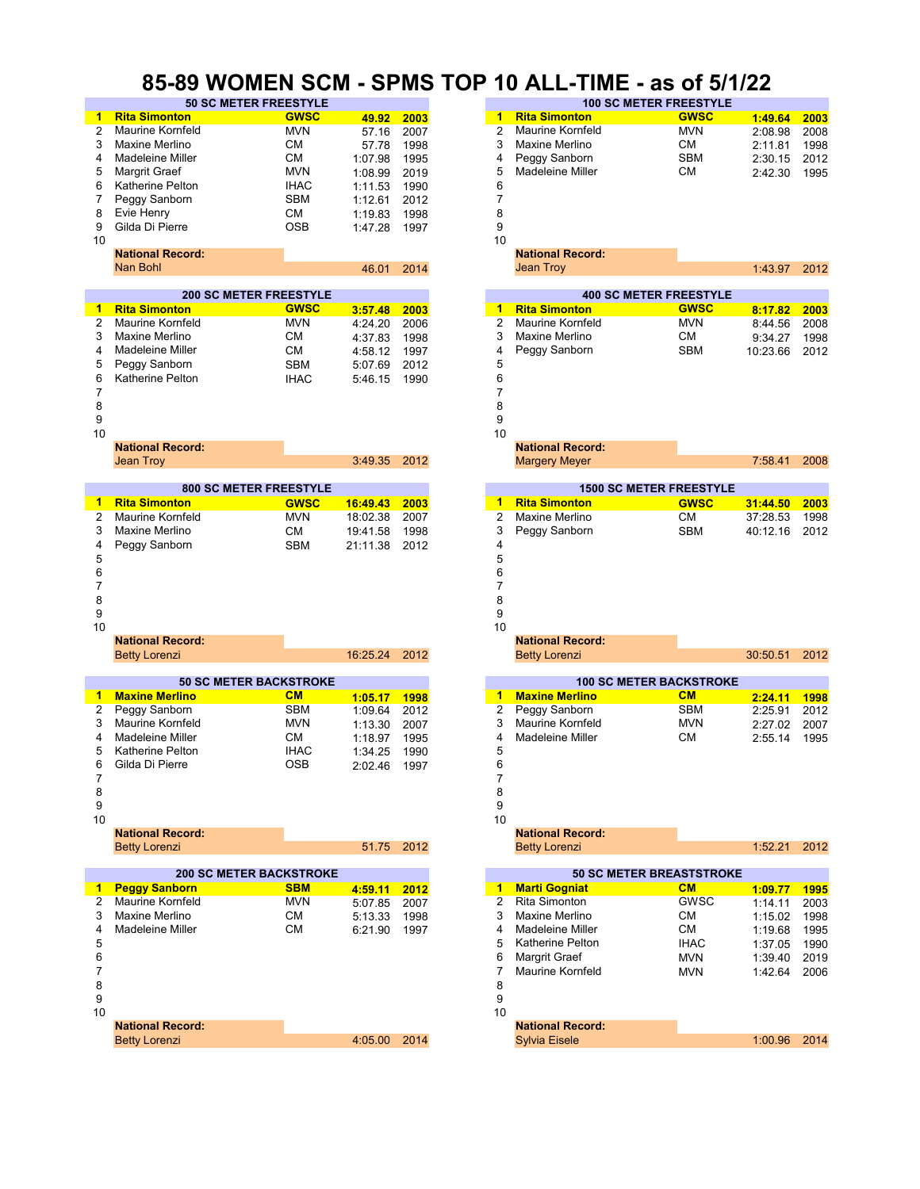#### **85-89 WOMEN SCM - SPMS TOP 10 ALL-TIME - as of 5/1/22**

|              | <b>OC METER LIVELAT</b>        |             |              |      |                      |                                 | 100 30 METER TREEST TEE |          |      |
|--------------|--------------------------------|-------------|--------------|------|----------------------|---------------------------------|-------------------------|----------|------|
| 1            | <b>Rita Simonton</b>           | <b>GWSC</b> | 49.92        | 2003 | 1                    | <b>Rita Simonton</b>            | <b>GWSC</b>             | 1:49.64  | 2003 |
| 2            | <b>Maurine Kornfeld</b>        | <b>MVN</b>  | 57.16        | 2007 | $\overline{2}$       | Maurine Kornfeld                | <b>MVN</b>              | 2:08.98  | 2008 |
|              |                                |             |              |      | 3                    | Maxine Merlino                  |                         |          |      |
| 3            | Maxine Merlino                 | <b>CM</b>   | 57.78        | 1998 |                      |                                 | СM                      | 2:11.81  | 1998 |
| 4            | Madeleine Miller               | <b>CM</b>   | 1:07.98      | 1995 | 4                    | Peggy Sanborn                   | SBM                     | 2:30.15  | 2012 |
| 5            | Margrit Graef                  | <b>MVN</b>  | 1:08.99      | 2019 | 5                    | Madeleine Miller                | СM                      | 2:42.30  | 1995 |
| 6            | Katherine Pelton               | <b>IHAC</b> | 1:11.53      | 1990 | 6                    |                                 |                         |          |      |
| 7            | Peggy Sanborn                  | <b>SBM</b>  |              | 2012 | 7                    |                                 |                         |          |      |
|              |                                |             | 1:12.61      |      |                      |                                 |                         |          |      |
| 8            | Evie Henry                     | СM          | 1:19.83      | 1998 | 8                    |                                 |                         |          |      |
| 9            | Gilda Di Pierre                | <b>OSB</b>  | 1:47.28      | 1997 | 9                    |                                 |                         |          |      |
| 10           |                                |             |              |      | 10                   |                                 |                         |          |      |
|              | <b>National Record:</b>        |             |              |      |                      | <b>National Record:</b>         |                         |          |      |
|              | Nan Bohl                       |             |              |      |                      |                                 |                         |          |      |
|              |                                |             | 46.01        | 2014 |                      | Jean Troy                       |                         | 1:43.97  | 2012 |
|              |                                |             |              |      |                      |                                 |                         |          |      |
|              | <b>200 SC METER FREESTYLE</b>  |             |              |      |                      | <b>400 SC METER FREESTYLE</b>   |                         |          |      |
| 1            | <b>Rita Simonton</b>           | <b>GWSC</b> | 3:57.48      | 2003 | $\blacktriangleleft$ | <b>Rita Simonton</b>            | <b>GWSC</b>             | 8:17.82  | 2003 |
| 2            | <b>Maurine Kornfeld</b>        | <b>MVN</b>  | 4:24.20      | 2006 | $\overline{2}$       | <b>Maurine Kornfeld</b>         | <b>MVN</b>              | 8:44.56  | 2008 |
| 3            | Maxine Merlino                 | CМ          | 4:37.83      | 1998 | 3                    | Maxine Merlino                  | СM                      | 9:34.27  | 1998 |
|              |                                |             |              |      |                      |                                 |                         |          |      |
| 4            | Madeleine Miller               | СM          | 4:58.12      | 1997 | 4                    | Peggy Sanborn                   | SBM                     | 10:23.66 | 2012 |
| 5            | Peggy Sanborn                  | <b>SBM</b>  | 5:07.69      | 2012 | 5                    |                                 |                         |          |      |
| 6            | Katherine Pelton               | <b>IHAC</b> | 5:46.15      | 1990 | 6                    |                                 |                         |          |      |
| 7            |                                |             |              |      | 7                    |                                 |                         |          |      |
| 8            |                                |             |              |      | 8                    |                                 |                         |          |      |
|              |                                |             |              |      |                      |                                 |                         |          |      |
| 9            |                                |             |              |      | 9                    |                                 |                         |          |      |
| 10           |                                |             |              |      | 10                   |                                 |                         |          |      |
|              | <b>National Record:</b>        |             |              |      |                      | <b>National Record:</b>         |                         |          |      |
|              | <b>Jean Troy</b>               |             | 3:49.35      | 2012 |                      | <b>Margery Meyer</b>            |                         | 7:58.41  | 2008 |
|              |                                |             |              |      |                      |                                 |                         |          |      |
|              | <b>800 SC METER FREESTYLE</b>  |             |              |      |                      | <b>1500 SC METER FREESTYLE</b>  |                         |          |      |
|              |                                |             |              |      |                      |                                 |                         |          |      |
| 1            | <b>Rita Simonton</b>           | <b>GWSC</b> | 16:49.43     | 2003 | 1                    | <b>Rita Simonton</b>            | <b>GWSC</b>             | 31:44.50 | 2003 |
| 2            | <b>Maurine Kornfeld</b>        | <b>MVN</b>  | 18:02.38     | 2007 | 2                    | Maxine Merlino                  | <b>CM</b>               | 37:28.53 | 1998 |
| 3            | Maxine Merlino                 | СM          | 19:41.58     | 1998 | 3                    | Peggy Sanborn                   | <b>SBM</b>              | 40:12.16 | 2012 |
| 4            | Peggy Sanborn                  | <b>SBM</b>  | 21:11.38     | 2012 | 4                    |                                 |                         |          |      |
|              |                                |             |              |      |                      |                                 |                         |          |      |
| 5            |                                |             |              |      | 5                    |                                 |                         |          |      |
| 6            |                                |             |              |      | 6                    |                                 |                         |          |      |
| 7            |                                |             |              |      | 7                    |                                 |                         |          |      |
| 8            |                                |             |              |      | 8                    |                                 |                         |          |      |
|              |                                |             |              |      |                      |                                 |                         |          |      |
| 9            |                                |             |              |      | 9                    |                                 |                         |          |      |
| 10           |                                |             |              |      | 10                   |                                 |                         |          |      |
|              | <b>National Record:</b>        |             |              |      |                      | <b>National Record:</b>         |                         |          |      |
|              | <b>Betty Lorenzi</b>           |             | 16:25.24     | 2012 |                      | <b>Betty Lorenzi</b>            |                         | 30:50.51 | 2012 |
|              |                                |             |              |      |                      |                                 |                         |          |      |
|              | <b>50 SC METER BACKSTROKE</b>  |             |              |      |                      | <b>100 SC METER BACKSTROKE</b>  |                         |          |      |
| 1            | <b>Maxine Merlino</b>          | CM          | 1:05.17      | 1998 | $\blacktriangleleft$ | <b>Maxine Merlino</b>           | CM                      | 2:24.11  | 1998 |
|              |                                |             |              |      |                      |                                 |                         |          |      |
| 2            | Peggy Sanborn                  | <b>SBM</b>  | 1:09.64      |      | 2                    |                                 |                         |          |      |
| 3            |                                |             |              | 2012 |                      | Peggy Sanborn                   | <b>SBM</b>              | 2:25.91  | 2012 |
| 4            | <b>Maurine Kornfeld</b>        | <b>MVN</b>  | 1:13.30      | 2007 | 3                    | Maurine Kornfeld                | <b>MVN</b>              | 2:27.02  | 2007 |
|              | Madeleine Miller               | СM          | 1:18.97      | 1995 | 4                    | Madeleine Miller                | СM                      | 2:55.14  | 1995 |
|              |                                |             |              |      |                      |                                 |                         |          |      |
| 5            | Katherine Pelton               | <b>IHAC</b> | 1:34.25      | 1990 | 5                    |                                 |                         |          |      |
| 6            | Gilda Di Pierre                | <b>OSB</b>  | 2:02.46      | 1997 | 6                    |                                 |                         |          |      |
| 7            |                                |             |              |      | 7                    |                                 |                         |          |      |
| 8            |                                |             |              |      | 8                    |                                 |                         |          |      |
| 9            |                                |             |              |      | 9                    |                                 |                         |          |      |
|              |                                |             |              |      |                      |                                 |                         |          |      |
| 10           |                                |             |              |      | 10                   |                                 |                         |          |      |
|              | <b>National Record:</b>        |             |              |      |                      | <b>National Record:</b>         |                         |          |      |
|              | <b>Betty Lorenzi</b>           |             | 51.75        | 2012 |                      | <b>Betty Lorenzi</b>            |                         | 1:52.21  | 2012 |
|              |                                |             |              |      |                      |                                 |                         |          |      |
|              | <b>200 SC METER BACKSTROKE</b> |             |              |      |                      | <b>50 SC METER BREASTSTROKE</b> |                         |          |      |
| $\mathbf{1}$ | <b>Peggy Sanborn</b>           | <b>SBM</b>  | 4:59.11      | 2012 |                      | 1 Marti Gogniat                 | CM                      | 1:09.77  | 1995 |
| 2            | Maurine Kornfeld               | MVN         | 5:07.85      | 2007 | $\mathbf{2}$         | Rita Simonton                   | <b>GWSC</b>             | 1:14.11  | 2003 |
| 3            | Maxine Merlino                 | СM          |              |      | 3                    | Maxine Merlino                  | CM                      |          | 1998 |
|              |                                |             | 5:13.33      | 1998 |                      |                                 |                         | 1:15.02  |      |
| 4            | Madeleine Miller               | СM          | 6:21.90      | 1997 | 4                    | Madeleine Miller                | CM                      | 1:19.68  | 1995 |
| 5            |                                |             |              |      | 5                    | <b>Katherine Pelton</b>         | <b>IHAC</b>             | 1:37.05  | 1990 |
| 6            |                                |             |              |      | 6                    | Margrit Graef                   | <b>MVN</b>              | 1:39.40  | 2019 |
| 7            |                                |             |              |      | 7                    | Maurine Kornfeld                | MVN                     | 1:42.64  | 2006 |
|              |                                |             |              |      |                      |                                 |                         |          |      |
| 8            |                                |             |              |      | 8                    |                                 |                         |          |      |
| 9            |                                |             |              |      | 9                    |                                 |                         |          |      |
| 10           |                                |             |              |      | 10                   |                                 |                         |          |      |
|              | <b>National Record:</b>        |             |              |      |                      | <b>National Record:</b>         |                         |          |      |
|              | <b>Betty Lorenzi</b>           |             | 4:05.00 2014 |      |                      | <b>Sylvia Eisele</b>            |                         | 1:00.96  | 2014 |

| פוויו <i>ס</i> אים אום אויס א |                           |                      |              | IVF |                      | IV ALL-<br><b>IIVIE</b> | <u>- as ul əl ilzz</u>          |                      |              |
|-------------------------------|---------------------------|----------------------|--------------|-----|----------------------|-------------------------|---------------------------------|----------------------|--------------|
| <b>50 SC METER FREESTYLE</b>  |                           |                      |              |     |                      |                         | <b>100 SC METER FREESTYLE</b>   |                      |              |
| 'n.                           | <b>GWSC</b>               | 49.92                | 2003         |     | $\blacktriangleleft$ | <b>Rita Simonton</b>    | <b>GWSC</b>                     | 1:49.64              | 2003         |
| eld                           | <b>MVN</b>                | 57.16                | 2007         |     | 2                    | <b>Maurine Kornfeld</b> | <b>MVN</b>                      | 2:08.98              | 2008         |
| О                             | CМ                        | 57.78                | 1998         |     | 3                    | Maxine Merlino          | СM                              | 2:11.81              | 1998         |
| ler                           | CМ                        | 1:07.98              | 1995         |     | 4                    | Peggy Sanborn           | <b>SBM</b>                      | 2:30.15              | 2012         |
|                               | <b>MVN</b>                | 1:08.99              | 2019         |     | 5                    | Madeleine Miller        | <b>CM</b>                       | 2:42.30              | 1995         |
| on                            | <b>IHAC</b>               | 1:11.53              | 1990         |     | 6                    |                         |                                 |                      |              |
| 'n                            | <b>SBM</b>                | 1:12.61              | 2012         |     | 7                    |                         |                                 |                      |              |
|                               | <b>CM</b>                 | 1:19.83              | 1998         |     | 8                    |                         |                                 |                      |              |
|                               | <b>OSB</b>                | 1:47.28              | 1997         |     | 9                    |                         |                                 |                      |              |
|                               |                           |                      |              |     | 10                   |                         |                                 |                      |              |
| ord:                          |                           |                      |              |     |                      | <b>National Record:</b> |                                 |                      |              |
|                               |                           | 46.01                | 2014         |     |                      | <b>Jean Troy</b>        |                                 | 1:43.97              | 2012         |
|                               |                           |                      |              |     |                      |                         |                                 |                      |              |
| <b>200 SC METER FREESTYLE</b> |                           |                      |              |     |                      |                         | <b>400 SC METER FREESTYLE</b>   |                      |              |
| n.                            | <b>GWSC</b>               | 3:57.48              | 2003         |     | $\blacktriangleleft$ | <b>Rita Simonton</b>    | <b>GWSC</b>                     | 8:17.82              | 2003         |
| eld                           | <b>MVN</b>                | 4:24.20              | 2006         |     | $\overline{2}$       | <b>Maurine Kornfeld</b> | <b>MVN</b>                      | 8:44.56              | 2008         |
| о                             | СM                        | 4:37.83              | 1998         |     | 3                    | Maxine Merlino          | СM                              | 9:34.27              | 1998         |
| ler                           | <b>CM</b>                 | 4:58.12              | 1997         |     | 4                    | Peggy Sanborn           | <b>SBM</b>                      | 10:23.66             | 2012         |
| 'n                            | <b>SBM</b>                | 5:07.69              | 2012         |     | 5                    |                         |                                 |                      |              |
| on                            | <b>IHAC</b>               | 5:46.15              | 1990         |     | 6                    |                         |                                 |                      |              |
|                               |                           |                      |              |     | 7                    |                         |                                 |                      |              |
|                               |                           |                      |              |     | 8                    |                         |                                 |                      |              |
|                               |                           |                      |              |     | 9                    |                         |                                 |                      |              |
|                               |                           |                      |              |     | 10                   |                         |                                 |                      |              |
| ord:                          |                           |                      |              |     |                      | <b>National Record:</b> |                                 |                      |              |
|                               |                           | 3:49.35              | 2012         |     |                      | <b>Margery Meyer</b>    |                                 | 7:58.41              | 2008         |
| <b>800 SC METER FREESTYLE</b> |                           |                      |              |     |                      |                         | <b>1500 SC METER FREESTYLE</b>  |                      |              |
| 'n.                           |                           |                      |              |     | 1                    | <b>Rita Simonton</b>    |                                 |                      |              |
| eld                           | <b>GWSC</b><br><b>MVN</b> | 16:49.43<br>18:02.38 | 2003<br>2007 |     | 2                    | Maxine Merlino          | <b>GWSC</b><br><b>CM</b>        | 31:44.50<br>37:28.53 | 2003<br>1998 |
|                               | <b>CM</b>                 |                      |              |     | 3                    |                         | <b>SBM</b>                      |                      |              |
| o                             |                           | 19:41.58             | 1998         |     |                      | Peggy Sanborn           |                                 | 40:12.16             | 2012         |
| 'n                            | <b>SBM</b>                | 21:11.38             | 2012         |     | 4                    |                         |                                 |                      |              |
|                               |                           |                      |              |     | 5                    |                         |                                 |                      |              |
|                               |                           |                      |              |     | 6                    |                         |                                 |                      |              |
|                               |                           |                      |              |     | 7<br>8               |                         |                                 |                      |              |
|                               |                           |                      |              |     |                      |                         |                                 |                      |              |
|                               |                           |                      |              |     | 9<br>10              |                         |                                 |                      |              |
|                               |                           |                      |              |     |                      | <b>National Record:</b> |                                 |                      |              |
| ord:                          |                           | 16:25.24             | 2012         |     |                      | <b>Betty Lorenzi</b>    |                                 | 30:50.51             | 2012         |
|                               |                           |                      |              |     |                      |                         |                                 |                      |              |
| <b>0 SC METER BACKSTROKE</b>  |                           |                      |              |     |                      |                         | <b>100 SC METER BACKSTROKE</b>  |                      |              |
| ٦O                            | CM                        | 1:05.17              | 1998         |     | 1                    | <b>Maxine Merlino</b>   | CM                              | 2:24.11              | 1998         |
| 'n                            | <b>SBM</b>                | 1:09.64              | 2012         |     | 2                    | Peggy Sanborn           | <b>SBM</b>                      | 2:25.91              | 2012         |
| eld                           | <b>MVN</b>                | 1:13.30              | 2007         |     | 3                    | <b>Maurine Kornfeld</b> | <b>MVN</b>                      | 2:27.02              | 2007         |
| ler                           | СM                        | 1:18.97              | 1995         |     | 4                    | <b>Madeleine Miller</b> | СM                              | 2:55.14              | 1995         |
| on                            | <b>IHAC</b>               | 1:34.25              | 1990         |     | 5                    |                         |                                 |                      |              |
|                               | <b>OSB</b>                | 2:02.46              | 1997         |     | 6                    |                         |                                 |                      |              |
|                               |                           |                      |              |     | 7                    |                         |                                 |                      |              |
|                               |                           |                      |              |     | 8                    |                         |                                 |                      |              |
|                               |                           |                      |              |     | 9                    |                         |                                 |                      |              |
|                               |                           |                      |              |     | 10                   |                         |                                 |                      |              |
| ord:                          |                           |                      |              |     |                      | <b>National Record:</b> |                                 |                      |              |
|                               |                           | 51.75                | 2012         |     |                      | <b>Betty Lorenzi</b>    |                                 | 1:52.21              | 2012         |
|                               |                           |                      |              |     |                      |                         |                                 |                      |              |
| <b>00 SC METER BACKSTROKE</b> |                           |                      |              |     |                      |                         | <b>50 SC METER BREASTSTROKE</b> |                      |              |
| rn                            | <b>SBM</b>                | 4:59.11              | 2012         |     | $\blacktriangleleft$ | <b>Marti Gogniat</b>    | <b>CM</b>                       | 1:09.77              | 1995         |
| eld                           | <b>MVN</b>                | 5:07.85              | 2007         |     | 2                    | Rita Simonton           | <b>GWSC</b>                     | 1:14.11              | 2003         |
| o                             | <b>CM</b>                 | 5:13.33              | 1998         |     | 3                    | Maxine Merlino          | СM                              | 1:15.02              | 1998         |
| ler                           | CМ                        | 6:21.90              | 1997         |     | 4                    | Madeleine Miller        | СM                              | 1:19.68              | 1995         |
|                               |                           |                      |              |     | 5                    | <b>Katherine Pelton</b> | <b>IHAC</b>                     | 1:37.05              | 1990         |
|                               |                           |                      |              |     | 6                    | Margrit Graef           | <b>MVN</b>                      | 1:39.40              | 2019         |
|                               |                           |                      |              |     | 7                    | <b>Maurine Kornfeld</b> | <b>MVN</b>                      | 1:42.64              | 2006         |
|                               |                           |                      |              |     | 8                    |                         |                                 |                      |              |
|                               |                           |                      |              |     | 9                    |                         |                                 |                      |              |
|                               |                           |                      |              |     | 10                   |                         |                                 |                      |              |
| :bıc                          |                           |                      |              |     |                      | <b>National Record:</b> |                                 |                      |              |
|                               |                           | 4:05.00              | 2014         |     |                      | <b>Sylvia Eisele</b>    |                                 | 1:00.96              | 2014         |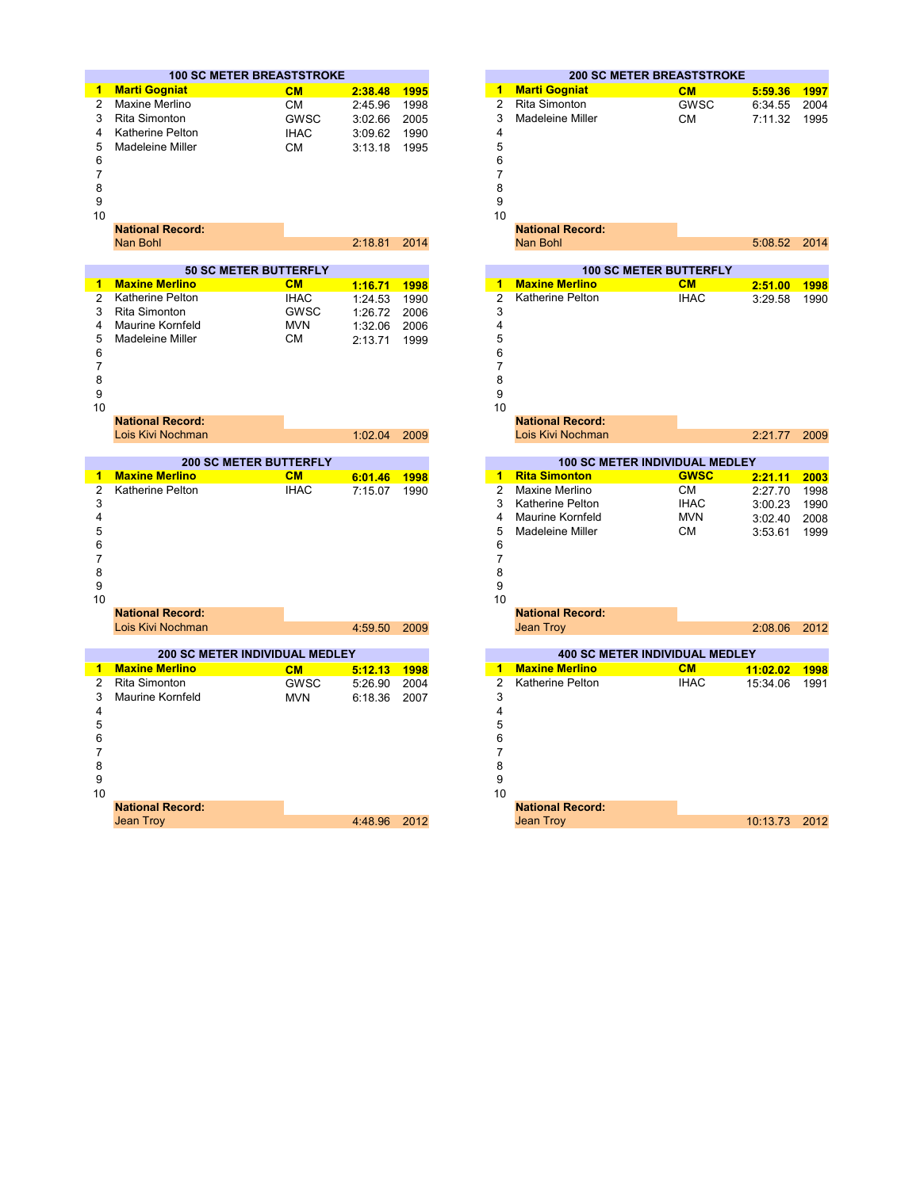|                | <b>100 SC METER BREASTSTROKE</b>      |             |         |      | <b>200 SC METER BREASTSTROKE</b>                                                                                                             |             |          |      |
|----------------|---------------------------------------|-------------|---------|------|----------------------------------------------------------------------------------------------------------------------------------------------|-------------|----------|------|
| 1              | <b>Marti Gogniat</b>                  | CM          | 2:38.48 | 1995 | <b>Marti Gogniat</b><br>$\mathbf{1}$                                                                                                         | CM          | 5:59.36  | 1997 |
| 2              | Maxine Merlino                        | СM          | 2:45.96 | 1998 | $\overline{c}$<br><b>Rita Simonton</b>                                                                                                       | GWSC        | 6:34.55  | 2004 |
| 3              | <b>Rita Simonton</b>                  | <b>GWSC</b> | 3:02.66 | 2005 | 3<br>Madeleine Miller                                                                                                                        | <b>CM</b>   | 7:11.32  | 1995 |
| 4              | <b>Katherine Pelton</b>               | <b>IHAC</b> | 3:09.62 | 1990 | 4                                                                                                                                            |             |          |      |
| 5              | <b>Madeleine Miller</b>               | <b>CM</b>   | 3:13.18 | 1995 | 5                                                                                                                                            |             |          |      |
| 6              |                                       |             |         |      | 6                                                                                                                                            |             |          |      |
| $\overline{7}$ |                                       |             |         |      | $\overline{7}$                                                                                                                               |             |          |      |
| 8              |                                       |             |         |      | 8                                                                                                                                            |             |          |      |
| 9              |                                       |             |         |      | 9                                                                                                                                            |             |          |      |
| 10             |                                       |             |         |      | 10                                                                                                                                           |             |          |      |
|                | <b>National Record:</b>               |             |         |      | <b>National Record:</b>                                                                                                                      |             |          |      |
|                | Nan Bohl                              |             | 2:18.81 | 2014 | Nan Bohl                                                                                                                                     |             | 5:08.52  | 2014 |
|                |                                       |             |         |      |                                                                                                                                              |             |          |      |
|                | <b>50 SC METER BUTTERFLY</b>          |             |         |      | <b>100 SC METER BUTTERFLY</b>                                                                                                                |             |          |      |
| 1              | <b>Maxine Merlino</b>                 | CM          | 1:16.71 | 1998 | <b>Maxine Merlino</b><br>1<br>and the state of the state of the state of the state of the state of the state of the state of the state of th | CM          | 2:51.00  | 1998 |
| 2              | <b>Katherine Pelton</b>               | <b>IHAC</b> | 1:24.53 | 1990 | Katherine Pelton<br>$\overline{2}$                                                                                                           | <b>IHAC</b> | 3:29.58  | 1990 |
| 3              | Rita Simonton                         | <b>GWSC</b> | 1:26.72 | 2006 | 3                                                                                                                                            |             |          |      |
| 4              | <b>Maurine Kornfeld</b>               | <b>MVN</b>  | 1:32.06 | 2006 | 4                                                                                                                                            |             |          |      |
| 5              | Madeleine Miller                      | <b>CM</b>   | 2:13.71 | 1999 | 5                                                                                                                                            |             |          |      |
| 6              |                                       |             |         |      | 6                                                                                                                                            |             |          |      |
| $\overline{7}$ |                                       |             |         |      | $\overline{7}$                                                                                                                               |             |          |      |
| 8              |                                       |             |         |      | 8                                                                                                                                            |             |          |      |
| 9              |                                       |             |         |      | 9                                                                                                                                            |             |          |      |
| 10             |                                       |             |         |      | 10                                                                                                                                           |             |          |      |
|                | <b>National Record:</b>               |             |         |      | <b>National Record:</b>                                                                                                                      |             |          |      |
|                | Lois Kivi Nochman                     |             | 1:02.04 | 2009 | Lois Kivi Nochman                                                                                                                            |             | 2:21.77  | 2009 |
|                | <b>200 SC METER BUTTERFLY</b>         |             |         |      | <b>100 SC METER INDIVIDUAL MEDLEY</b>                                                                                                        |             |          |      |
| 1              | <b>Maxine Merlino</b>                 | CM          | 6:01.46 | 1998 | 1 Rita Simonton                                                                                                                              | <b>GWSC</b> | 2:21.11  | 2003 |
| $\overline{2}$ | Katherine Pelton                      | <b>IHAC</b> | 7:15.07 | 1990 | $\overline{2}$<br>Maxine Merlino                                                                                                             | <b>CM</b>   | 2:27.70  | 1998 |
| 3              |                                       |             |         |      | 3<br>Katherine Pelton                                                                                                                        | <b>IHAC</b> | 3:00.23  | 1990 |
| 4              |                                       |             |         |      | 4<br><b>Maurine Kornfeld</b>                                                                                                                 | <b>MVN</b>  | 3:02.40  | 2008 |
| 5              |                                       |             |         |      | 5<br>Madeleine Miller                                                                                                                        | CМ          | 3:53.61  | 1999 |
| 6              |                                       |             |         |      | 6                                                                                                                                            |             |          |      |
| $\overline{7}$ |                                       |             |         |      | $\overline{7}$                                                                                                                               |             |          |      |
| 8              |                                       |             |         |      | 8                                                                                                                                            |             |          |      |
| 9              |                                       |             |         |      | 9                                                                                                                                            |             |          |      |
| 10             |                                       |             |         |      | 10                                                                                                                                           |             |          |      |
|                | <b>National Record:</b>               |             |         |      | <b>National Record:</b>                                                                                                                      |             |          |      |
|                | Lois Kivi Nochman                     |             | 4:59.50 | 2009 | <b>Jean Troy</b>                                                                                                                             |             | 2:08.06  | 2012 |
|                |                                       |             |         |      |                                                                                                                                              |             |          |      |
|                | <b>200 SC METER INDIVIDUAL MEDLEY</b> |             |         |      | <b>400 SC METER INDIVIDUAL MEDLEY</b>                                                                                                        |             |          |      |
| 1              | <b>Maxine Merlino</b>                 | CM          | 5:12.13 | 1998 | <b>Maxine Merlino</b><br>$\blacktriangleleft$                                                                                                | CM          | 11:02.02 | 1998 |
| 2              | Rita Simonton                         | <b>GWSC</b> | 5:26.90 | 2004 | Katherine Pelton<br>$\overline{2}$                                                                                                           | <b>IHAC</b> | 15:34.06 | 1991 |
| 3              | <b>Maurine Kornfeld</b>               | <b>MVN</b>  | 6:18.36 | 2007 | 3                                                                                                                                            |             |          |      |
| 4              |                                       |             |         |      | 4                                                                                                                                            |             |          |      |
| 5              |                                       |             |         |      | 5                                                                                                                                            |             |          |      |
| 6              |                                       |             |         |      | 6                                                                                                                                            |             |          |      |
| 7              |                                       |             |         |      | 7                                                                                                                                            |             |          |      |
| 8              |                                       |             |         |      | 8                                                                                                                                            |             |          |      |
| 9              |                                       |             |         |      | 9                                                                                                                                            |             |          |      |
| 10             |                                       |             |         |      | 10                                                                                                                                           |             |          |      |
|                | <b>National Record:</b>               |             |         |      | <b>National Record:</b>                                                                                                                      |             |          |      |
|                | <b>Jean Trov</b>                      |             | 4:48.96 | 2012 | <b>Jean Troy</b>                                                                                                                             |             | 10:13.73 | 2012 |

|      | <b>0 SC METER BREASTSTROKE</b> |         |             |                      |                         | <b>200 SC METER BREASTSTROKE</b>      |          |             |
|------|--------------------------------|---------|-------------|----------------------|-------------------------|---------------------------------------|----------|-------------|
| ıt.  | CM                             | 2:38.48 | <b>1995</b> | $\mathbf{1}$         | <b>Marti Gogniat</b>    | CM                                    | 5:59.36  | 1997        |
| ١O   | СM                             | 2:45.96 | 1998        | $\overline{2}$       | <b>Rita Simonton</b>    | <b>GWSC</b>                           | 6:34.55  | 2004        |
| J.   | <b>GWSC</b>                    | 3:02.66 | 2005        | 3                    | Madeleine Miller        | <b>CM</b>                             | 7:11.32  | 1995        |
| ton  | <b>IHAC</b>                    | 3:09.62 | 1990        | 4                    |                         |                                       |          |             |
| ller | СM                             | 3:13.18 | 1995        | 5                    |                         |                                       |          |             |
|      |                                |         |             | 6                    |                         |                                       |          |             |
|      |                                |         |             | 7                    |                         |                                       |          |             |
|      |                                |         |             | 8                    |                         |                                       |          |             |
|      |                                |         |             | 9                    |                         |                                       |          |             |
|      |                                |         |             | 10                   |                         |                                       |          |             |
| ord: |                                |         |             |                      | <b>National Record:</b> |                                       |          |             |
|      |                                | 2:18.81 | 2014        |                      | Nan Bohl                |                                       | 5:08.52  | 2014        |
|      |                                |         |             |                      |                         |                                       |          |             |
|      | <b>50 SC METER BUTTERFLY</b>   |         |             |                      |                         | <b>100 SC METER BUTTERFLY</b>         |          |             |
| no   | CM                             | 1:16.71 | 1998        | 1                    | <b>Maxine Merlino</b>   | CM                                    | 2:51.00  | <b>1998</b> |
| ton  | <b>IHAC</b>                    | 1:24.53 | 1990        | $\overline{2}$       | Katherine Pelton        | <b>IHAC</b>                           | 3:29.58  | 1990        |
| h    | <b>GWSC</b>                    | 1:26.72 | 2006        | 3                    |                         |                                       |          |             |
| feld | <b>MVN</b>                     | 1:32.06 | 2006        | 4                    |                         |                                       |          |             |
| ller | СM                             | 2:13.71 | 1999        | 5                    |                         |                                       |          |             |
|      |                                |         |             | 6                    |                         |                                       |          |             |
|      |                                |         |             | 7                    |                         |                                       |          |             |
|      |                                |         |             | 8                    |                         |                                       |          |             |
|      |                                |         |             | 9                    |                         |                                       |          |             |
|      |                                |         |             | 10                   |                         |                                       |          |             |
| ord: |                                |         |             |                      | <b>National Record:</b> |                                       |          |             |
| าman |                                | 1:02.04 | 2009        |                      | Lois Kivi Nochman       |                                       | 2:21.77  | 2009        |
|      | <b>200 SC METER BUTTERFLY</b>  |         |             |                      |                         | <b>100 SC METER INDIVIDUAL MEDLEY</b> |          |             |
| no   | CM                             | 6:01.46 | 1998        | $\blacktriangleleft$ | <b>Rita Simonton</b>    | <b>GWSC</b>                           | 2:21.11  | 2003        |
| ton  | <b>IHAC</b>                    | 7:15.07 | 1990        | $\overline{2}$       | Maxine Merlino          | <b>CM</b>                             | 2:27.70  | 1998        |
|      |                                |         |             | 3                    | Katherine Pelton        | <b>IHAC</b>                           | 3:00.23  | 1990        |
|      |                                |         |             | 4                    | <b>Maurine Kornfeld</b> | <b>MVN</b>                            | 3:02.40  | 2008        |
|      |                                |         |             | 5                    | Madeleine Miller        | <b>CM</b>                             | 3:53.61  | 1999        |
|      |                                |         |             | 6                    |                         |                                       |          |             |
|      |                                |         |             | $\overline{7}$       |                         |                                       |          |             |
|      |                                |         |             | 8                    |                         |                                       |          |             |
|      |                                |         |             | 9                    |                         |                                       |          |             |
|      |                                |         |             | 10                   |                         |                                       |          |             |
| ord: |                                |         |             |                      | <b>National Record:</b> |                                       |          |             |
| าman |                                | 4:59.50 | 2009        |                      | Jean Troy               |                                       | 2:08.06  | 2012        |
|      |                                |         |             |                      |                         |                                       |          |             |
|      | SC METER INDIVIDUAL MEDLEY     |         |             |                      |                         | <b>400 SC METER INDIVIDUAL MEDLEY</b> |          |             |
| no   | CM                             | 5:12.13 | <b>1998</b> | $\overline{1}$       | <b>Maxine Merlino</b>   | CM                                    | 11:02.02 | 1998        |
| ٦    | GWSC                           | 5:26.90 | 2004        | $\overline{2}$       | <b>Katherine Pelton</b> | <b>IHAC</b>                           | 15:34.06 | 1991        |
| feld | <b>MVN</b>                     | 6:18.36 | 2007        | 3                    |                         |                                       |          |             |
|      |                                |         |             | 4                    |                         |                                       |          |             |
|      |                                |         |             | 5                    |                         |                                       |          |             |
|      |                                |         |             | 6                    |                         |                                       |          |             |
|      |                                |         |             | 7                    |                         |                                       |          |             |
|      |                                |         |             | 8                    |                         |                                       |          |             |
|      |                                |         |             | 9                    |                         |                                       |          |             |
|      |                                |         |             | 10                   |                         |                                       |          |             |
| ord: |                                |         |             |                      | <b>National Record:</b> |                                       |          |             |
|      |                                | 4:48.96 | 2012        |                      | <b>Jean Troy</b>        |                                       | 10:13.73 | 2012        |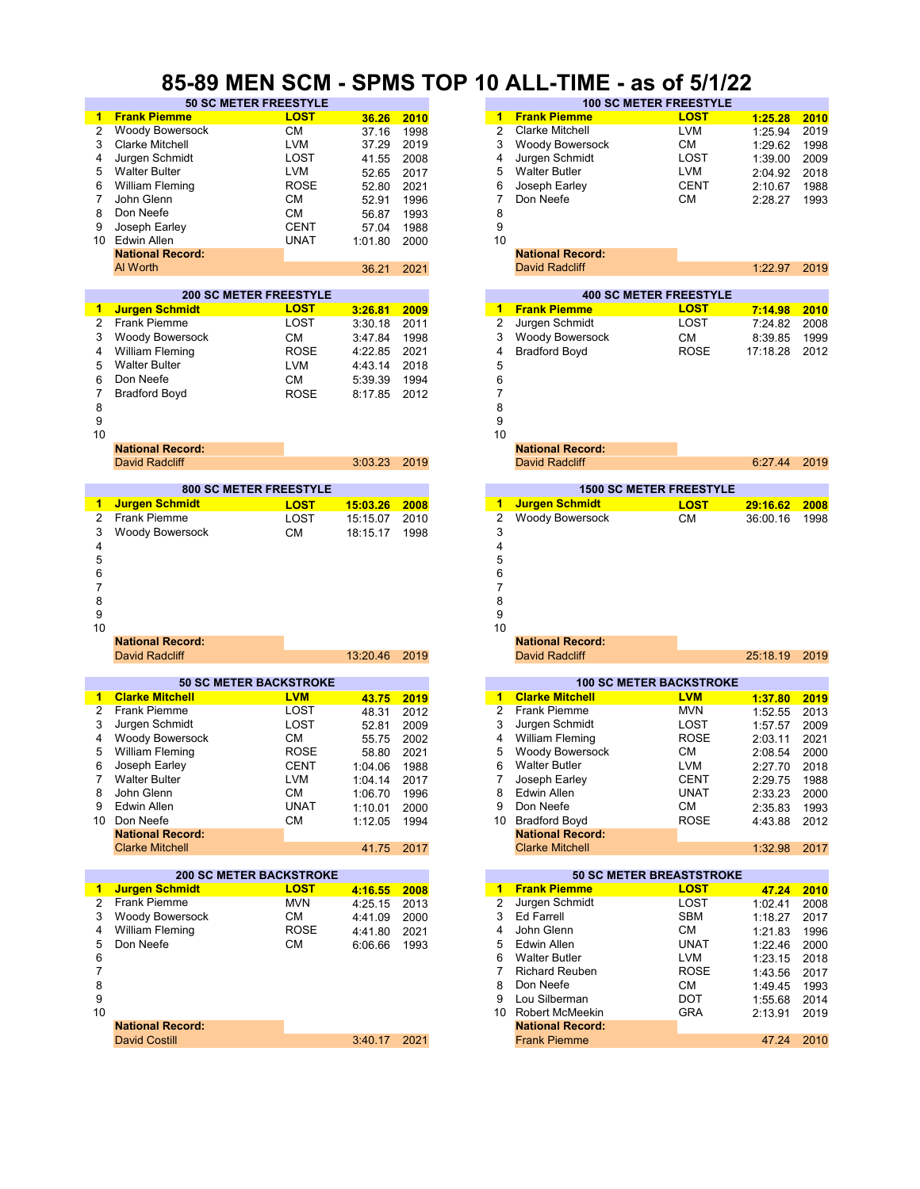# **85-89 MEN SCM - SPMS TOP 10 ALL-TIME - as of 5/1/22**

|                | <b>50 SC METER FREESTYLE</b>   |             |          |      |                         | <b>100 SC METER FREESTYLE</b>   |             |          |      |
|----------------|--------------------------------|-------------|----------|------|-------------------------|---------------------------------|-------------|----------|------|
| 1              | <b>Frank Piemme</b>            | <b>LOST</b> | 36.26    | 2010 | 1                       | <b>Frank Piemme</b>             | <b>LOST</b> | 1:25.28  | 2010 |
| 2              | Woody Bowersock                | СM          | 37.16    | 1998 | 2                       | <b>Clarke Mitchell</b>          | <b>LVM</b>  | 1:25.94  | 2019 |
| 3              | <b>Clarke Mitchell</b>         | LVM         | 37.29    | 2019 | 3                       | <b>Woody Bowersock</b>          | СM          | 1:29.62  | 1998 |
| 4              | Jurgen Schmidt                 | LOST        | 41.55    | 2008 | 4                       | Jurgen Schmidt                  | LOST        | 1:39.00  | 2009 |
|                | <b>Walter Bulter</b>           | LVM         |          |      | 5                       | <b>Walter Butler</b>            | <b>LVM</b>  |          |      |
| 5              |                                |             | 52.65    | 2017 |                         |                                 |             | 2:04.92  | 2018 |
| 6              | <b>William Fleming</b>         | <b>ROSE</b> | 52.80    | 2021 | 6                       | Joseph Earley                   | <b>CENT</b> | 2:10.67  | 1988 |
| 7              | John Glenn                     | CМ          | 52.91    | 1996 | 7                       | Don Neefe                       | СM          | 2:28.27  | 1993 |
| 8              | Don Neefe                      | <b>CM</b>   | 56.87    | 1993 | 8                       |                                 |             |          |      |
| 9              | Joseph Earley                  | <b>CENT</b> | 57.04    | 1988 | 9                       |                                 |             |          |      |
| 10             | <b>Edwin Allen</b>             | UNAT        | 1:01.80  | 2000 | 10                      |                                 |             |          |      |
|                | <b>National Record:</b>        |             |          |      |                         | <b>National Record:</b>         |             |          |      |
|                | Al Worth                       |             | 36.21    | 2021 |                         | <b>David Radcliff</b>           |             | 1:22.97  | 2019 |
|                |                                |             |          |      |                         |                                 |             |          |      |
|                |                                |             |          |      |                         |                                 |             |          |      |
|                | <b>200 SC METER FREESTYLE</b>  |             |          |      |                         | <b>400 SC METER FREESTYLE</b>   |             |          |      |
| 1              | <b>Jurgen Schmidt</b>          | LOST        | 3:26.81  | 2009 | $1 -$                   | <b>Frank Piemme</b>             | LOST        | 7:14.98  | 2010 |
| 2              | <b>Frank Piemme</b>            | LOST        | 3:30.18  | 2011 | $\overline{\mathbf{c}}$ | Jurgen Schmidt                  | LOST        | 7:24.82  | 2008 |
| 3              | <b>Woody Bowersock</b>         | <b>CM</b>   | 3:47.84  | 1998 | 3                       | <b>Woody Bowersock</b>          | СM          | 8:39.85  | 1999 |
| 4              | <b>William Fleming</b>         | <b>ROSE</b> | 4:22.85  | 2021 | 4                       | <b>Bradford Boyd</b>            | ROSE        | 17:18.28 | 2012 |
| 5              | <b>Walter Bulter</b>           | <b>LVM</b>  | 4:43.14  | 2018 | 5                       |                                 |             |          |      |
| 6              | Don Neefe                      | <b>CM</b>   |          |      |                         |                                 |             |          |      |
|                |                                |             | 5:39.39  | 1994 | 6                       |                                 |             |          |      |
| 7              | <b>Bradford Boyd</b>           | <b>ROSE</b> | 8:17.85  | 2012 | 7                       |                                 |             |          |      |
| 8              |                                |             |          |      | 8                       |                                 |             |          |      |
| 9              |                                |             |          |      | 9                       |                                 |             |          |      |
| 10             |                                |             |          |      | 10                      |                                 |             |          |      |
|                | <b>National Record:</b>        |             |          |      |                         | <b>National Record:</b>         |             |          |      |
|                | <b>David Radcliff</b>          |             | 3:03.23  | 2019 |                         | <b>David Radcliff</b>           |             | 6:27.44  | 2019 |
|                |                                |             |          |      |                         |                                 |             |          |      |
|                | <b>800 SC METER FREESTYLE</b>  |             |          |      |                         | <b>1500 SC METER FREESTYLE</b>  |             |          |      |
|                |                                |             |          |      |                         | <b>Jurgen Schmidt</b>           |             |          |      |
| 1              | <b>Jurgen Schmidt</b>          | <b>LOST</b> | 15:03.26 | 2008 | 1                       |                                 | <b>LOST</b> | 29:16.62 | 2008 |
| 2              | <b>Frank Piemme</b>            | LOST        | 15:15.07 | 2010 | $\overline{2}$          | <b>Woody Bowersock</b>          | <b>CM</b>   | 36:00.16 | 1998 |
| 3              | <b>Woody Bowersock</b>         | <b>CM</b>   | 18:15.17 | 1998 | 3                       |                                 |             |          |      |
| 4              |                                |             |          |      | 4                       |                                 |             |          |      |
| 5              |                                |             |          |      | 5                       |                                 |             |          |      |
| 6              |                                |             |          |      | 6                       |                                 |             |          |      |
|                |                                |             |          |      | 7                       |                                 |             |          |      |
| 7              |                                |             |          |      |                         |                                 |             |          |      |
| 8              |                                |             |          |      | 8                       |                                 |             |          |      |
| 9              |                                |             |          |      | 9                       |                                 |             |          |      |
| 10             |                                |             |          |      | 10                      |                                 |             |          |      |
|                | <b>National Record:</b>        |             |          |      |                         | <b>National Record:</b>         |             |          |      |
|                | <b>David Radcliff</b>          |             | 13:20.46 | 2019 |                         | <b>David Radcliff</b>           |             | 25:18.19 | 2019 |
|                |                                |             |          |      |                         |                                 |             |          |      |
|                | <b>50 SC METER BACKSTROKE</b>  |             |          |      |                         | <b>100 SC METER BACKSTROKE</b>  |             |          |      |
| 1              | <b>Clarke Mitchell</b>         | <b>LVM</b>  | 43.75    | 2019 | 1                       | <b>Clarke Mitchell</b>          | <b>LVM</b>  | 1:37.80  | 2019 |
| 2              | <b>Frank Piemme</b>            | LOST        |          | 2012 | $\overline{2}$          | <b>Frank Piemme</b>             | <b>MVN</b>  |          |      |
|                |                                |             | 48.31    |      |                         |                                 |             | 1:52.55  | 2013 |
| 3              | Jurgen Schmidt                 | LOST        | 52.81    | 2009 | 3                       | Jurgen Schmidt                  | LOST        | 1:57.57  | 2009 |
| 4              | <b>Woody Bowersock</b>         | СM          | 55.75    | 2002 | 4                       | <b>William Fleming</b>          | <b>ROSE</b> | 2:03.11  | 2021 |
| 5              | <b>William Fleming</b>         | <b>ROSE</b> | 58.80    | 2021 | 5                       | <b>Woody Bowersock</b>          | СM          | 2:08.54  | 2000 |
| 6              | Joseph Earley                  | CENT        | 1:04.06  | 1988 | 6                       | <b>Walter Butler</b>            | <b>LVM</b>  | 2:27.70  | 2018 |
| $\overline{7}$ | <b>Walter Bulter</b>           | <b>LVM</b>  | 1:04.14  | 2017 | 7                       | Joseph Earley                   | <b>CENT</b> | 2:29.75  | 1988 |
| 8              | John Glenn                     | СM          | 1:06.70  | 1996 | 8                       | <b>Edwin Allen</b>              | UNAT        | 2:33.23  | 2000 |
| 9              | Edwin Allen                    | <b>UNAT</b> |          | 2000 | 9                       | Don Neefe                       | СM          | 2:35.83  | 1993 |
|                |                                |             | 1:10.01  |      |                         |                                 |             |          |      |
| 10             | Don Neefe                      | СM          | 1:12.05  | 1994 |                         | 10 Bradford Boyd                | ROSE        | 4:43.88  | 2012 |
|                | <b>National Record:</b>        |             |          |      |                         | <b>National Record:</b>         |             |          |      |
|                | <b>Clarke Mitchell</b>         |             | 41.75    | 2017 |                         | <b>Clarke Mitchell</b>          |             | 1:32.98  | 2017 |
|                |                                |             |          |      |                         |                                 |             |          |      |
|                | <b>200 SC METER BACKSTROKE</b> |             |          |      |                         | <b>50 SC METER BREASTSTROKE</b> |             |          |      |
| 1              | <b>Jurgen Schmidt</b>          | <b>LOST</b> | 4:16.55  | 2008 |                         | 1 Frank Piemme                  | <b>LOST</b> | 47.24    | 2010 |
| $\overline{2}$ | <b>Frank Piemme</b>            | <b>MVN</b>  | 4:25.15  | 2013 | $\overline{2}$          | Jurgen Schmidt                  | LOST        | 1:02.41  | 2008 |
| 3              | Woody Bowersock                | <b>CM</b>   | 4:41.09  | 2000 | 3                       | Ed Farrell                      | <b>SBM</b>  | 1:18.27  | 2017 |
|                |                                |             |          |      | 4                       |                                 |             |          |      |
| 4              | <b>William Fleming</b>         | ROSE        | 4:41.80  | 2021 |                         | John Glenn                      | СM          | 1:21.83  | 1996 |
| 5              | Don Neefe                      | <b>CM</b>   | 6:06.66  | 1993 | 5                       | Edwin Allen                     | UNAT        | 1:22.46  | 2000 |
| 6              |                                |             |          |      | 6                       | <b>Walter Butler</b>            | <b>LVM</b>  | 1:23.15  | 2018 |
| $\overline{7}$ |                                |             |          |      | 7                       | <b>Richard Reuben</b>           | ROSE        | 1:43.56  | 2017 |
| 8              |                                |             |          |      | 8                       | Don Neefe                       | СM          | 1:49.45  | 1993 |
| 9              |                                |             |          |      | 9                       | Lou Silberman                   | <b>DOT</b>  | 1:55.68  | 2014 |
| 10             |                                |             |          |      |                         | 10 Robert McMeekin              | <b>GRA</b>  |          |      |
|                |                                |             |          |      |                         |                                 |             | 2:13.91  | 2019 |
|                | <b>National Record:</b>        |             |          |      |                         | <b>National Record:</b>         |             |          |      |
|                | <b>David Costill</b>           |             | 3:40.17  | 2021 |                         | <b>Frank Piemme</b>             |             | 47.24    | 2010 |

|       |             |    | PMS TUP TU ALL-TIME - AS 01 3/1/22 |                               |         |             |  |  |  |  |  |
|-------|-------------|----|------------------------------------|-------------------------------|---------|-------------|--|--|--|--|--|
|       |             |    | <b>100 SC METER FREESTYLE</b>      |                               |         |             |  |  |  |  |  |
| 36.26 | 2010        | 1  | <b>Frank Piemme</b>                | <b>LOST</b>                   | 1:25.28 | 2010        |  |  |  |  |  |
| 37.16 | 1998        | 2  | <b>Clarke Mitchell</b>             | <b>LVM</b>                    | 1:25.94 | 2019        |  |  |  |  |  |
| 37.29 | 2019        | 3  | <b>Woody Bowersock</b>             | CМ                            | 1:29.62 | 1998        |  |  |  |  |  |
| 41.55 | 2008        | 4  | Jurgen Schmidt                     | LOST                          | 1:39.00 | 2009        |  |  |  |  |  |
| 52.65 | 2017        | 5  | <b>Walter Butler</b>               | <b>LVM</b>                    | 2:04.92 | 2018        |  |  |  |  |  |
| 52.80 | 2021        | 6  | Joseph Earley                      | <b>CENT</b>                   | 2:10.67 | 1988        |  |  |  |  |  |
| 52.91 | 1996        | 7  | Don Neefe                          | <b>CM</b>                     | 2:28.27 | 1993        |  |  |  |  |  |
| 56.87 | 1993        | 8  |                                    |                               |         |             |  |  |  |  |  |
| 57.04 | 1988        | 9  |                                    |                               |         |             |  |  |  |  |  |
| 01.80 | 2000        | 10 |                                    |                               |         |             |  |  |  |  |  |
|       |             |    | <b>National Record:</b>            |                               |         |             |  |  |  |  |  |
| 36.21 | 2021        |    | <b>David Radcliff</b>              |                               | 1:22.97 | 2019        |  |  |  |  |  |
|       |             |    |                                    |                               |         |             |  |  |  |  |  |
|       |             |    |                                    | <b>400 SC METER FREESTYLE</b> |         |             |  |  |  |  |  |
| 88.BJ | <b>BABB</b> | 4. | <b>Erank Diamma</b>                | דסח ו                         | <b></b> | <b>0010</b> |  |  |  |  |  |

| 3.Z0.OT  | zuus | ш              | <u>LIGHR FIGHHIIG</u>          | <u>Lvu i </u> | 7.14.96  | zunu |
|----------|------|----------------|--------------------------------|---------------|----------|------|
| 3:30.18  | 2011 | $\overline{2}$ | Jurgen Schmidt                 | LOST          | 7:24.82  | 2008 |
| 3:47.84  | 1998 | 3              | <b>Woody Bowersock</b>         | <b>CM</b>     | 8:39.85  | 1999 |
| 4:22.85  | 2021 | 4              | <b>Bradford Boyd</b>           | <b>ROSE</b>   | 17:18.28 | 2012 |
| 4:43.14  | 2018 | 5              |                                |               |          |      |
| 5:39.39  | 1994 | 6              |                                |               |          |      |
| 8:17.85  | 2012 | 7              |                                |               |          |      |
|          |      | 8              |                                |               |          |      |
|          |      | 9              |                                |               |          |      |
|          |      | 10             |                                |               |          |      |
|          |      |                | <b>National Record:</b>        |               |          |      |
| 3:03.23  | 2019 |                | <b>David Radcliff</b>          |               | 6:27.44  | 2019 |
|          |      |                | <b>1500 SC METER FREESTYLE</b> |               |          |      |
|          |      |                |                                |               |          |      |
| 15:03.26 | 2008 | 1              | <b>Jurgen Schmidt</b>          | <b>LOST</b>   | 29:16.62 | 2008 |
| 15:15.07 | 2010 | $\overline{2}$ | Woody Bowersock                | <b>CM</b>     | 36:00.16 | 1998 |
| 18:15.17 | 1998 | 3              |                                |               |          |      |
|          |      | 4              |                                |               |          |      |
|          |      | 5              |                                |               |          |      |
|          |      | 6<br>7         |                                |               |          |      |
|          |      | 8              |                                |               |          |      |
|          |      | 9              |                                |               |          |      |
|          |      | 10             |                                |               |          |      |
|          |      |                | <b>National Record:</b>        |               |          |      |
| 13:20.46 | 2019 |                | <b>David Radcliff</b>          |               | 25:18.19 | 2019 |
|          |      |                |                                |               |          |      |

| 43.75 | 2019 |
|-------|------|
| 48.31 | 2012 |
| 52.81 | 2009 |
| 55.75 | 2002 |
| 58.80 | 2021 |
| 04.06 | 1988 |
| 04.14 | 2017 |
| 06.70 | 1996 |
| 10.01 | 2000 |
| 12.05 | 1994 |
|       |      |
| 41.75 | 2017 |
|       |      |

|         |      |    | <b>50 SC METER BREASTSTROKE</b> |             |  |
|---------|------|----|---------------------------------|-------------|--|
| 4:16.55 | 2008 | 1. | <b>Frank Piemme</b>             | <b>LOST</b> |  |
| 4:25.15 | 2013 | 2  | Jurgen Schmidt                  | LOST        |  |
| 4:41.09 | 2000 | 3  | Ed Farrell                      | <b>SBM</b>  |  |
| 4:41.80 | 2021 | 4  | John Glenn                      | <b>CM</b>   |  |
| 6:06.66 | 1993 | 5. | Edwin Allen                     | <b>UNAT</b> |  |
|         |      | 6  | <b>Walter Butler</b>            | <b>LVM</b>  |  |
|         |      |    | <b>Richard Reuben</b>           | <b>ROSE</b> |  |
|         |      | 8  | Don Neefe                       | <b>CM</b>   |  |
|         |      | 9  | Lou Silberman                   | <b>DOT</b>  |  |
|         |      | 10 | Robert McMeekin                 | <b>GRA</b>  |  |
|         |      |    | <b>National Record:</b>         |             |  |
| 3:40.17 | 2021 |    | <b>Frank Piemme</b>             |             |  |
|         |      |    |                                 |             |  |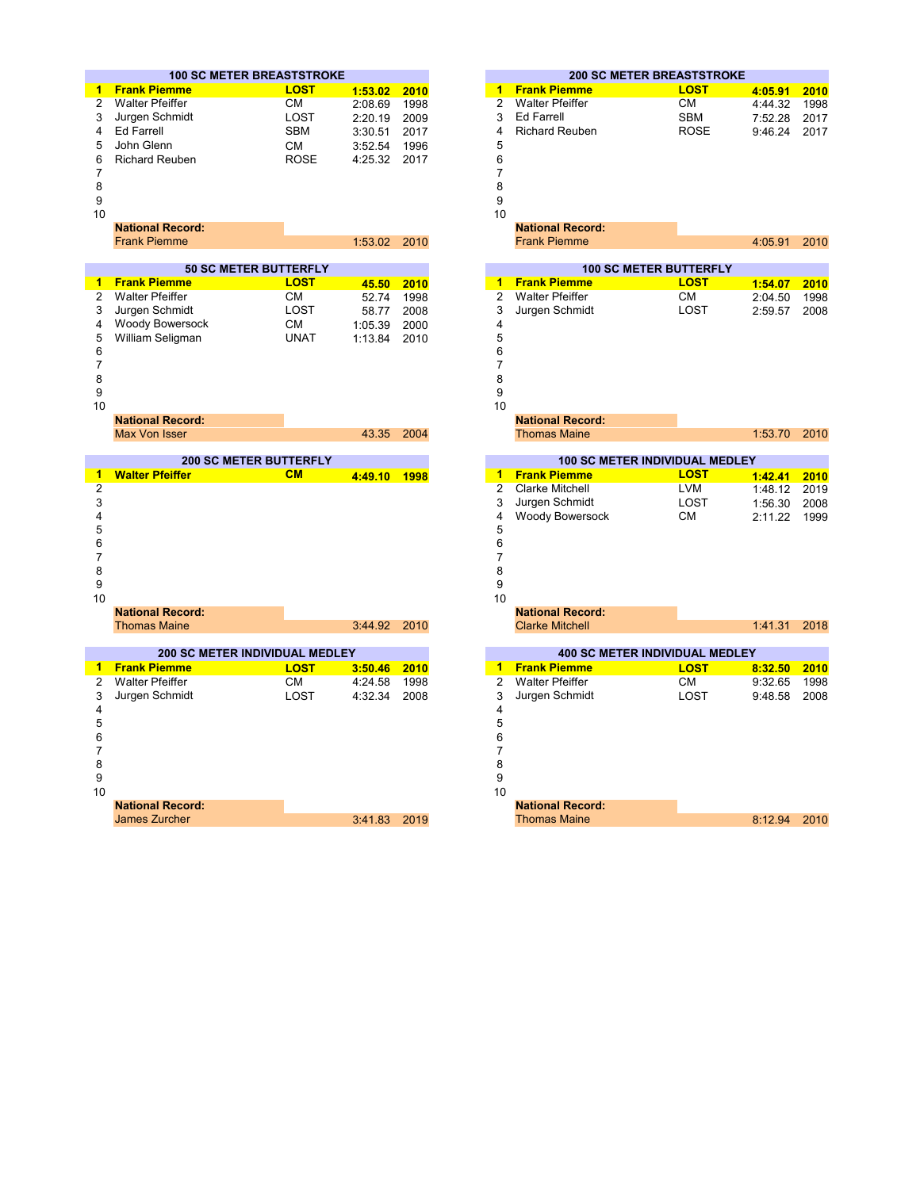|                                          | <b>100 SC METER BREASTSTROKE</b>      |              |      | <b>200 SC METER BREASTSTROKE</b>                       |         |
|------------------------------------------|---------------------------------------|--------------|------|--------------------------------------------------------|---------|
| <b>Frank Piemme</b><br>1.                | <b>LOST</b>                           | 1:53.02      | 2010 | <b>Frank Piemme</b><br><b>LOST</b><br>$1 -$            | 4:05.91 |
| <b>Walter Pfeiffer</b><br>$\overline{2}$ | <b>CM</b>                             | 2:08.69      | 1998 | $\overline{2}$<br><b>Walter Pfeiffer</b><br>СM         | 4:44.32 |
| Jurgen Schmidt<br>3                      | <b>LOST</b>                           | 2:20.19      | 2009 | 3<br><b>Ed Farrell</b><br><b>SBM</b>                   | 7:52.28 |
| <b>Ed Farrell</b><br>4                   | <b>SBM</b>                            | 3:30.51      | 2017 | 4<br><b>Richard Reuben</b><br><b>ROSE</b>              | 9:46.24 |
| 5<br>John Glenn                          | <b>CM</b>                             | 3:52.54      | 1996 | 5                                                      |         |
| 6<br><b>Richard Reuben</b>               | <b>ROSE</b>                           | 4:25.32      | 2017 | 6                                                      |         |
| 7                                        |                                       |              |      | $\overline{7}$                                         |         |
| 8                                        |                                       |              |      | 8                                                      |         |
| 9                                        |                                       |              |      | 9                                                      |         |
| 10                                       |                                       |              |      | 10                                                     |         |
| <b>National Record:</b>                  |                                       |              |      | <b>National Record:</b>                                |         |
| <b>Frank Piemme</b>                      |                                       | 1:53.02      | 2010 | <b>Frank Piemme</b>                                    | 4:05.91 |
|                                          | <b>50 SC METER BUTTERFLY</b>          |              |      | <b>100 SC METER BUTTERFLY</b>                          |         |
| <b>Frank Piemme</b><br>$\mathbf{1}$      | <b>LOST</b>                           | 45.50        | 2010 | <b>Frank Piemme</b><br>$\overline{1}$<br><b>LOST</b>   | 1:54.07 |
| <b>Walter Pfeiffer</b><br>$\overline{c}$ | <b>CM</b>                             | 52.74        | 1998 | $\overline{2}$<br><b>Walter Pfeiffer</b><br><b>CM</b>  | 2:04.50 |
| Jurgen Schmidt<br>3                      | LOST                                  | 58.77        | 2008 | 3<br>Jurgen Schmidt<br>LOST                            | 2:59.57 |
| Woody Bowersock<br>4                     | <b>CM</b>                             | 1:05.39      | 2000 | 4                                                      |         |
| 5<br>William Seligman                    | <b>UNAT</b>                           | 1:13.84      | 2010 | 5                                                      |         |
| 6                                        |                                       |              |      | 6                                                      |         |
| 7                                        |                                       |              |      | $\overline{7}$                                         |         |
| 8                                        |                                       |              |      | 8                                                      |         |
| 9                                        |                                       |              |      | 9                                                      |         |
| 10                                       |                                       |              |      | 10                                                     |         |
| <b>National Record:</b>                  |                                       |              |      | <b>National Record:</b>                                |         |
| <b>Max Von Isser</b>                     |                                       | 43.35        | 2004 | <b>Thomas Maine</b>                                    | 1:53.70 |
|                                          | <b>200 SC METER BUTTERFLY</b>         |              |      | <b>100 SC METER INDIVIDUAL MEDLEY</b>                  |         |
| <b>Walter Pfeiffer</b><br>$\mathbf{1}$   | CM                                    | 4:49.10 1998 |      | <b>Frank Piemme</b><br><b>LOST</b><br>1                | 1:42.41 |
| $\overline{2}$                           |                                       |              |      | $\overline{2}$<br><b>Clarke Mitchell</b><br><b>LVM</b> | 1:48.12 |
| 3                                        |                                       |              |      | Jurgen Schmidt<br>LOST<br>3                            | 1:56.30 |
| 4                                        |                                       |              |      | 4<br>Woody Bowersock<br><b>CM</b>                      | 2:11.22 |
| 5                                        |                                       |              |      | 5                                                      |         |
| 6                                        |                                       |              |      | 6                                                      |         |
| 7                                        |                                       |              |      | $\overline{7}$                                         |         |
| 8                                        |                                       |              |      | 8                                                      |         |
| 9                                        |                                       |              |      | 9                                                      |         |
| 10                                       |                                       |              |      | 10                                                     |         |
| <b>National Record:</b>                  |                                       |              |      | <b>National Record:</b>                                |         |
| <b>Thomas Maine</b>                      |                                       | 3:44.92      | 2010 | <b>Clarke Mitchell</b>                                 | 1:41.31 |
|                                          | <b>200 SC METER INDIVIDUAL MEDLEY</b> |              |      | <b>400 SC METER INDIVIDUAL MEDLEY</b>                  |         |
| <b>Frank Piemme</b><br>1.                | <b>LOST</b>                           | 3:50.46      | 2010 | <b>Frank Piemme</b><br>1<br><b>LOST</b>                | 8:32.50 |
| <b>Walter Pfeiffer</b><br>$\overline{2}$ | <b>CM</b>                             | 4:24.58      | 1998 | $\overline{2}$<br><b>Walter Pfeiffer</b><br><b>CM</b>  | 9:32.65 |
| 3<br>Jurgen Schmidt                      | <b>LOST</b>                           | 4:32.34      | 2008 | 3<br>LOST<br>Jurgen Schmidt                            | 9:48.58 |
| 4                                        |                                       |              |      | 4                                                      |         |
| 5                                        |                                       |              |      | 5                                                      |         |
| 6                                        |                                       |              |      | 6                                                      |         |
| 7                                        |                                       |              |      | $\overline{7}$                                         |         |
| 8                                        |                                       |              |      | 8                                                      |         |
| 9                                        |                                       |              |      | 9                                                      |         |
| 10                                       |                                       |              |      | 10                                                     |         |
|                                          |                                       |              |      |                                                        |         |

| . . |                    |                         | . .   |              |              |      |
|-----|--------------------|-------------------------|-------|--------------|--------------|------|
|     |                    |                         |       | No.<br>·ora. |              |      |
|     | cher<br><b>SOL</b> | $\mathbf{C}$<br>$\cdot$ | $-01$ | Maine        | $Q_{\Delta}$ | 0010 |
|     |                    |                         |       |              |              |      |

|       | <b>0 SC METER BREASTSTROKE</b>    |         |      |
|-------|-----------------------------------|---------|------|
| ٦ē    | <b>LOST</b>                       | 1:53.02 | 2010 |
|       | <b>CM</b>                         | 2:08.69 | 1998 |
| idt   | LOST                              | 2:20.19 | 2009 |
|       | <b>SBM</b>                        | 3:30.51 | 2017 |
|       | <b>CM</b>                         | 3:52.54 | 1996 |
| en    | <b>ROSE</b>                       | 4:25.32 | 2017 |
|       |                                   |         |      |
|       |                                   |         |      |
|       |                                   |         |      |
|       |                                   |         |      |
| ord:  |                                   |         |      |
|       |                                   | 1:53.02 | 2010 |
|       |                                   |         |      |
|       | <b>50 SC METER BUTTERFLY</b>      |         |      |
|       | <b>LOST</b>                       | 45.50   | 2010 |
|       | <b>CM</b>                         | 52.74   | 1998 |
| idt   | LOST                              | 58.77   | 2008 |
| rsock | <b>CM</b>                         | 1:05.39 | 2000 |
| nan   | <b>UNAT</b>                       | 1:13.84 | 2010 |
|       |                                   |         |      |
|       |                                   |         |      |
|       |                                   |         |      |
|       |                                   |         |      |
|       |                                   |         |      |
| ord:  |                                   |         |      |
|       |                                   | 43.35   | 2004 |
|       | <b>200 SC METER BUTTERFLY</b>     |         |      |
|       | CM                                | 4:49.10 | 1998 |
|       |                                   |         |      |
|       |                                   |         |      |
|       |                                   |         |      |
|       |                                   |         |      |
|       |                                   |         |      |
|       |                                   |         |      |
|       |                                   |         |      |
|       |                                   |         |      |
|       |                                   |         |      |
| ord:  |                                   |         |      |
|       |                                   | 3:44.92 | 2010 |
|       |                                   |         |      |
|       | <b>SC METER INDIVIDUAL MEDLEY</b> |         |      |
|       | <b>LOST</b>                       | 3:50.46 | 2010 |
|       | СM                                | 4:24.58 | 1998 |
|       | LOST                              | 4:32.34 | 2008 |
|       |                                   |         |      |
|       |                                   |         |      |
|       |                                   |         |      |
|       |                                   |         |      |
|       |                                   |         |      |
|       |                                   |         |      |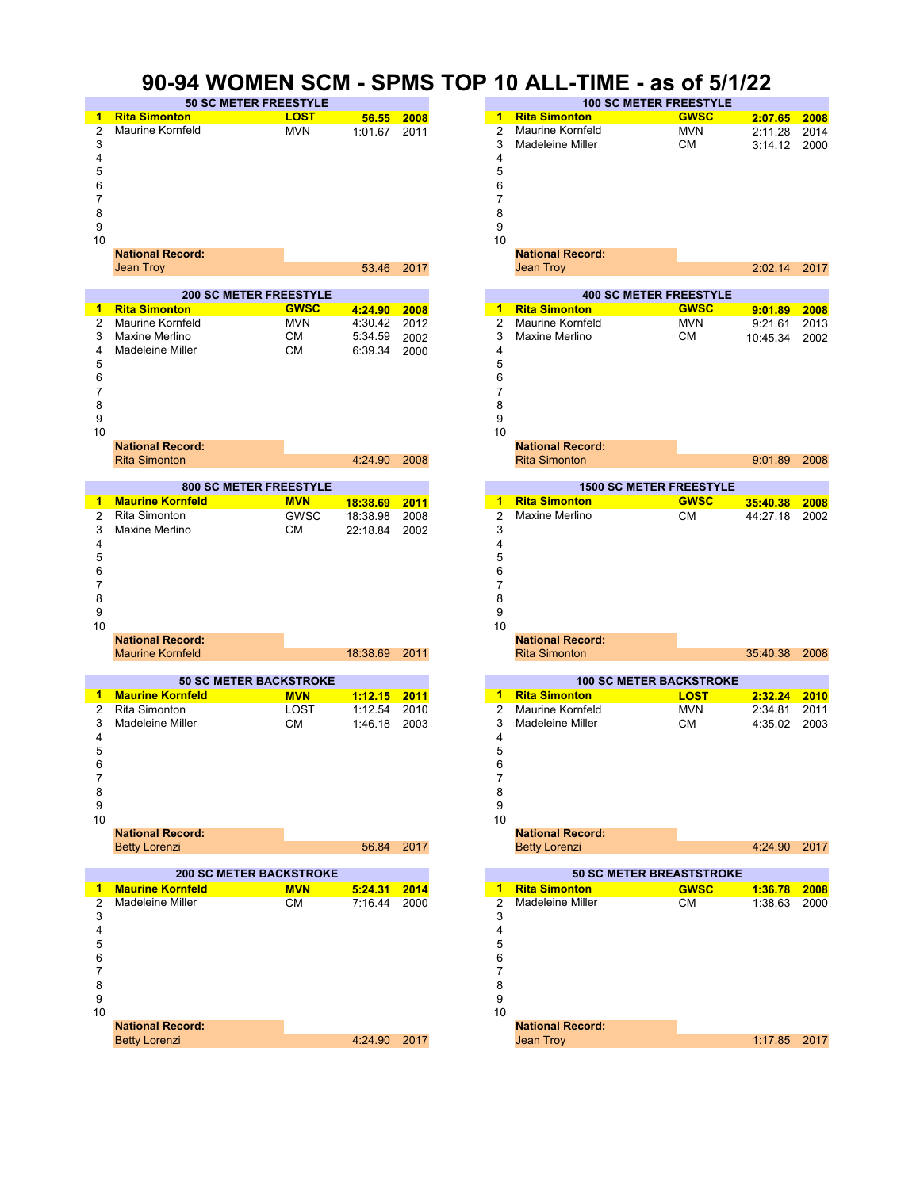# **90-94 WOMEN SCM - SPMS TOP 10 ALL-TIME - as of 5/1/22**

|                |                         | SU-94 VVUMEN ƏLMI - ƏLMIƏ      |              |            | <b>IUP</b>     | <u>10 ALL-TIME - as OT 5/1/22</u> |                                 |          |      |
|----------------|-------------------------|--------------------------------|--------------|------------|----------------|-----------------------------------|---------------------------------|----------|------|
|                |                         | <b>50 SC METER FREESTYLE</b>   |              |            |                |                                   | <b>100 SC METER FREESTYLE</b>   |          |      |
| 1              | <b>Rita Simonton</b>    | <b>LOST</b>                    | 56.55        | 2008       | $1 -$          | <b>Rita Simonton</b>              | <b>GWSC</b>                     | 2:07.65  | 2008 |
| 2              | Maurine Kornfeld        | <b>MVN</b>                     | 1:01.67 2011 |            | $\overline{2}$ | Maurine Kornfeld                  | <b>MVN</b>                      | 2:11.28  | 2014 |
| 3              |                         |                                |              |            | 3              | Madeleine Miller                  | <b>CM</b>                       | 3:14.12  | 2000 |
| 4              |                         |                                |              |            | 4              |                                   |                                 |          |      |
|                |                         |                                |              |            | 5              |                                   |                                 |          |      |
| 5              |                         |                                |              |            |                |                                   |                                 |          |      |
| 6              |                         |                                |              |            | 6              |                                   |                                 |          |      |
| 7              |                         |                                |              |            | 7              |                                   |                                 |          |      |
| 8              |                         |                                |              |            | 8              |                                   |                                 |          |      |
| 9              |                         |                                |              |            | 9              |                                   |                                 |          |      |
| 10             |                         |                                |              |            | 10             |                                   |                                 |          |      |
|                | <b>National Record:</b> |                                |              |            |                | <b>National Record:</b>           |                                 |          |      |
|                | <b>Jean Troy</b>        |                                |              | 53.46 2017 |                | <b>Jean Troy</b>                  |                                 | 2:02.14  | 2017 |
|                |                         |                                |              |            |                |                                   |                                 |          |      |
|                |                         | <b>200 SC METER FREESTYLE</b>  |              |            |                |                                   | <b>400 SC METER FREESTYLE</b>   |          |      |
|                | <b>Rita Simonton</b>    | <b>GWSC</b>                    |              |            | 1              | <b>Rita Simonton</b>              | <b>GWSC</b>                     |          |      |
| 1              |                         |                                | 4:24.90      | 2008       |                |                                   |                                 | 9:01.89  | 2008 |
| 2              | Maurine Kornfeld        | <b>MVN</b>                     | 4:30.42      | 2012       | 2              | Maurine Kornfeld                  | <b>MVN</b>                      | 9:21.61  | 2013 |
| 3              | Maxine Merlino          | СM                             | 5:34.59      | 2002       | 3              | Maxine Merlino                    | СM                              | 10:45.34 | 2002 |
| 4              | Madeleine Miller        | <b>CM</b>                      | 6:39.34      | 2000       | 4              |                                   |                                 |          |      |
| 5              |                         |                                |              |            | 5              |                                   |                                 |          |      |
| 6              |                         |                                |              |            | 6              |                                   |                                 |          |      |
| 7              |                         |                                |              |            | 7              |                                   |                                 |          |      |
| 8              |                         |                                |              |            | 8              |                                   |                                 |          |      |
| 9              |                         |                                |              |            | 9              |                                   |                                 |          |      |
|                |                         |                                |              |            |                |                                   |                                 |          |      |
| 10             |                         |                                |              |            | 10             |                                   |                                 |          |      |
|                | <b>National Record:</b> |                                |              |            |                | <b>National Record:</b>           |                                 |          |      |
|                | <b>Rita Simonton</b>    |                                | 4:24.90      | 2008       |                | <b>Rita Simonton</b>              |                                 | 9:01.89  | 2008 |
|                |                         |                                |              |            |                |                                   |                                 |          |      |
|                |                         | <b>800 SC METER FREESTYLE</b>  |              |            |                |                                   | <b>1500 SC METER FREESTYLE</b>  |          |      |
| 1              | <b>Maurine Kornfeld</b> | <b>MVN</b>                     | 18:38.69     | 2011       | 1              | <b>Rita Simonton</b>              | <b>GWSC</b>                     | 35:40.38 | 2008 |
| $\overline{2}$ | Rita Simonton           | <b>GWSC</b>                    | 18:38.98     | 2008       | $\overline{2}$ | Maxine Merlino                    | <b>CM</b>                       | 44:27.18 | 2002 |
| 3              | Maxine Merlino          | СM                             | 22:18.84     | 2002       | 3              |                                   |                                 |          |      |
| 4              |                         |                                |              |            | 4              |                                   |                                 |          |      |
| 5              |                         |                                |              |            | 5              |                                   |                                 |          |      |
| 6              |                         |                                |              |            | 6              |                                   |                                 |          |      |
|                |                         |                                |              |            |                |                                   |                                 |          |      |
| 7              |                         |                                |              |            | 7              |                                   |                                 |          |      |
| 8              |                         |                                |              |            | 8              |                                   |                                 |          |      |
| 9              |                         |                                |              |            | 9              |                                   |                                 |          |      |
| 10             |                         |                                |              |            | 10             |                                   |                                 |          |      |
|                | <b>National Record:</b> |                                |              |            |                | <b>National Record:</b>           |                                 |          |      |
|                | <b>Maurine Kornfeld</b> |                                | 18:38.69     | 2011       |                | <b>Rita Simonton</b>              |                                 | 35:40.38 | 2008 |
|                |                         |                                |              |            |                |                                   |                                 |          |      |
|                |                         | <b>50 SC METER BACKSTROKE</b>  |              |            |                |                                   | <b>100 SC METER BACKSTROKE</b>  |          |      |
| 1              | <b>Maurine Kornfeld</b> | <b>MVN</b>                     | 1:12.15      | 2011       | -1             | <b>Rita Simonton</b>              | <b>LOST</b>                     | 2:32.24  | 2010 |
| 2              | <b>Rita Simonton</b>    | LOST                           | 1:12.54      | 2010       | 2              | Maurine Kornfeld                  | <b>MVN</b>                      | 2:34.81  | 2011 |
| 3              | Madeleine Miller        | СM                             | 1:46.18      | 2003       | 3              | Madeleine Miller                  | <b>CM</b>                       | 4:35.02  | 2003 |
| 4              |                         |                                |              |            | 4              |                                   |                                 |          |      |
| 5              |                         |                                |              |            | 5              |                                   |                                 |          |      |
|                |                         |                                |              |            |                |                                   |                                 |          |      |
| 6              |                         |                                |              |            | 6              |                                   |                                 |          |      |
| 7              |                         |                                |              |            | 7              |                                   |                                 |          |      |
| 8              |                         |                                |              |            | 8              |                                   |                                 |          |      |
| 9              |                         |                                |              |            | 9              |                                   |                                 |          |      |
| 10             |                         |                                |              |            | 10             |                                   |                                 |          |      |
|                | <b>National Record:</b> |                                |              |            |                | <b>National Record:</b>           |                                 |          |      |
|                | <b>Betty Lorenzi</b>    |                                |              | 56.84 2017 |                | <b>Betty Lorenzi</b>              |                                 | 4:24.90  | 2017 |
|                |                         |                                |              |            |                |                                   |                                 |          |      |
|                |                         | <b>200 SC METER BACKSTROKE</b> |              |            |                |                                   | <b>50 SC METER BREASTSTROKE</b> |          |      |
| 1              | <b>Maurine Kornfeld</b> | <b>MVN</b>                     | 5:24.31      | 2014       | -1             | <b>Rita Simonton</b>              | <b>GWSC</b>                     | 1:36.78  | 2008 |
| 2              | Madeleine Miller        | СM                             | 7:16.44      | 2000       | $\overline{2}$ | Madeleine Miller                  | СM                              | 1:38.63  | 2000 |
|                |                         |                                |              |            |                |                                   |                                 |          |      |
| 3              |                         |                                |              |            | 3              |                                   |                                 |          |      |
| 4              |                         |                                |              |            | 4              |                                   |                                 |          |      |
| 5              |                         |                                |              |            | 5              |                                   |                                 |          |      |
| 6              |                         |                                |              |            | 6              |                                   |                                 |          |      |
| 7              |                         |                                |              |            | 7              |                                   |                                 |          |      |
| 8              |                         |                                |              |            | 8              |                                   |                                 |          |      |
| 9              |                         |                                |              |            | 9              |                                   |                                 |          |      |
|                |                         |                                |              |            |                |                                   |                                 |          |      |

| - 9 |                         |              |  |                         |
|-----|-------------------------|--------------|--|-------------------------|
| 10  |                         |              |  |                         |
|     | <b>National Record:</b> |              |  | <b>National Record:</b> |
|     | <b>Betty Lorenzi</b>    | 4:24.90 2017 |  | Jean Troy               |
|     |                         |              |  |                         |

|          |             |                         | <b>100 SC METER FREESTYLE</b>   |             |          |      |
|----------|-------------|-------------------------|---------------------------------|-------------|----------|------|
| 56.55    | 2008        | 1                       | <b>Rita Simonton</b>            | <b>GWSC</b> | 2:07.65  | 2008 |
| 1:01.67  | 2011        | 2                       | Maurine Kornfeld                | MVN         | 2:11.28  | 2014 |
|          |             | 3                       | Madeleine Miller                | CМ          | 3:14.12  | 2000 |
|          |             | 4                       |                                 |             |          |      |
|          |             | 5                       |                                 |             |          |      |
|          |             | 6                       |                                 |             |          |      |
|          |             | 7                       |                                 |             |          |      |
|          |             | 8                       |                                 |             |          |      |
|          |             | 9                       |                                 |             |          |      |
|          |             | 10                      |                                 |             |          |      |
|          |             |                         | <b>National Record:</b>         |             |          |      |
| 53.46    | 2017        |                         | <b>Jean Troy</b>                |             | 2:02.14  | 2017 |
|          |             |                         |                                 |             |          |      |
|          |             |                         | <b>400 SC METER FREESTYLE</b>   |             |          |      |
| 4:24.90  | 2008        | 1                       | <b>Rita Simonton</b>            | <b>GWSC</b> | 9:01.89  | 2008 |
| 4:30.42  | 2012        | $\overline{\mathbf{c}}$ | Maurine Kornfeld                | MVN         | 9:21.61  | 2013 |
| 5:34.59  | 2002        | 3                       | Maxine Merlino                  | CМ          | 10:45.34 | 2002 |
| 6:39.34  | 2000        | 4                       |                                 |             |          |      |
|          |             | 5                       |                                 |             |          |      |
|          |             | 6                       |                                 |             |          |      |
|          |             | $\overline{7}$          |                                 |             |          |      |
|          |             | 8                       |                                 |             |          |      |
|          |             | 9                       |                                 |             |          |      |
|          |             | 10                      |                                 |             |          |      |
|          |             |                         | <b>National Record:</b>         |             |          |      |
| 4:24.90  | 2008        |                         | <b>Rita Simonton</b>            |             | 9:01.89  | 2008 |
|          |             |                         | <b>1500 SC METER FREESTYLE</b>  |             |          |      |
| 18:38.69 | 2011        | 1                       | <b>Rita Simonton</b>            | <b>GWSC</b> | 35:40.38 | 2008 |
| 18:38.98 | 2008        | 2                       | <b>Maxine Merlino</b>           | СM          | 44:27.18 | 2002 |
| 22:18.84 | 2002        | 3                       |                                 |             |          |      |
|          |             | 4                       |                                 |             |          |      |
|          |             | 5                       |                                 |             |          |      |
|          |             | 6                       |                                 |             |          |      |
|          |             | 7                       |                                 |             |          |      |
|          |             | 8                       |                                 |             |          |      |
|          |             | 9                       |                                 |             |          |      |
|          |             | 10                      |                                 |             |          |      |
|          |             |                         | <b>National Record:</b>         |             |          |      |
| 18:38.69 | 2011        |                         | <b>Rita Simonton</b>            |             | 35:40.38 | 2008 |
|          |             |                         |                                 |             |          |      |
|          |             |                         | <b>100 SC METER BACKSTROKE</b>  |             |          |      |
| 1:12.15  | <u>2011</u> | 1                       | <b>Rita Simonton</b>            | <b>LOST</b> | 2:32.24  | 2010 |
| 1:12.54  | 2010        | $\overline{2}$          | Maurine Kornfeld                | <b>MVN</b>  | 2:34.81  | 2011 |
| 1:46.18  | 2003        | 3                       | Madeleine Miller                | CМ          | 4:35.02  | 2003 |
|          |             | 4                       |                                 |             |          |      |
|          |             | 5                       |                                 |             |          |      |
|          |             | 6                       |                                 |             |          |      |
|          |             | 7                       |                                 |             |          |      |
|          |             | 8                       |                                 |             |          |      |
|          |             | 9                       |                                 |             |          |      |
|          |             | 10                      |                                 |             |          |      |
|          |             |                         | <b>National Record:</b>         |             |          |      |
| 56.84    | 2017        |                         | <b>Betty Lorenzi</b>            |             | 4:24.90  | 2017 |
|          |             |                         | <b>50 SC METER BREASTSTROKE</b> |             |          |      |
| 5:24.31  | 2014        | 1                       | <b>Rita Simonton</b>            | <b>GWSC</b> | 1:36.78  | 2008 |
| 7:16.44  | 2000        | 2                       | <b>Madeleine Miller</b>         | СM          | 1:38.63  | 2000 |
|          |             | 3                       |                                 |             |          |      |
|          |             | 4                       |                                 |             |          |      |
|          |             | 5                       |                                 |             |          |      |
|          |             | 6                       |                                 |             |          |      |
|          |             | 7                       |                                 |             |          |      |
|          |             | 8                       |                                 |             |          |      |
|          |             | 9                       |                                 |             |          |      |
|          |             | 10                      |                                 |             |          |      |
|          |             |                         | <b>National Record:</b>         |             |          |      |
| 4:24.90  | 2017        |                         | <b>Jean Troy</b>                |             | 1:17.85  | 2017 |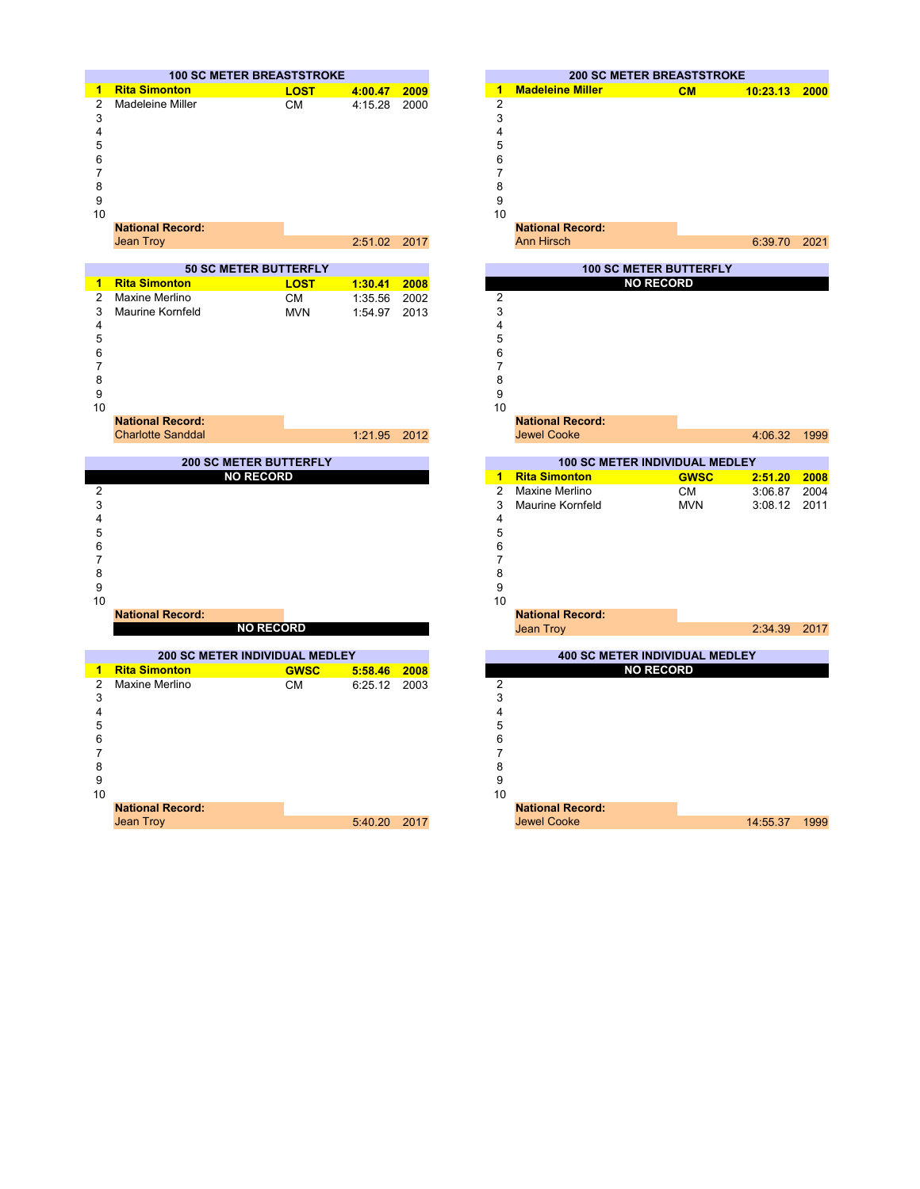





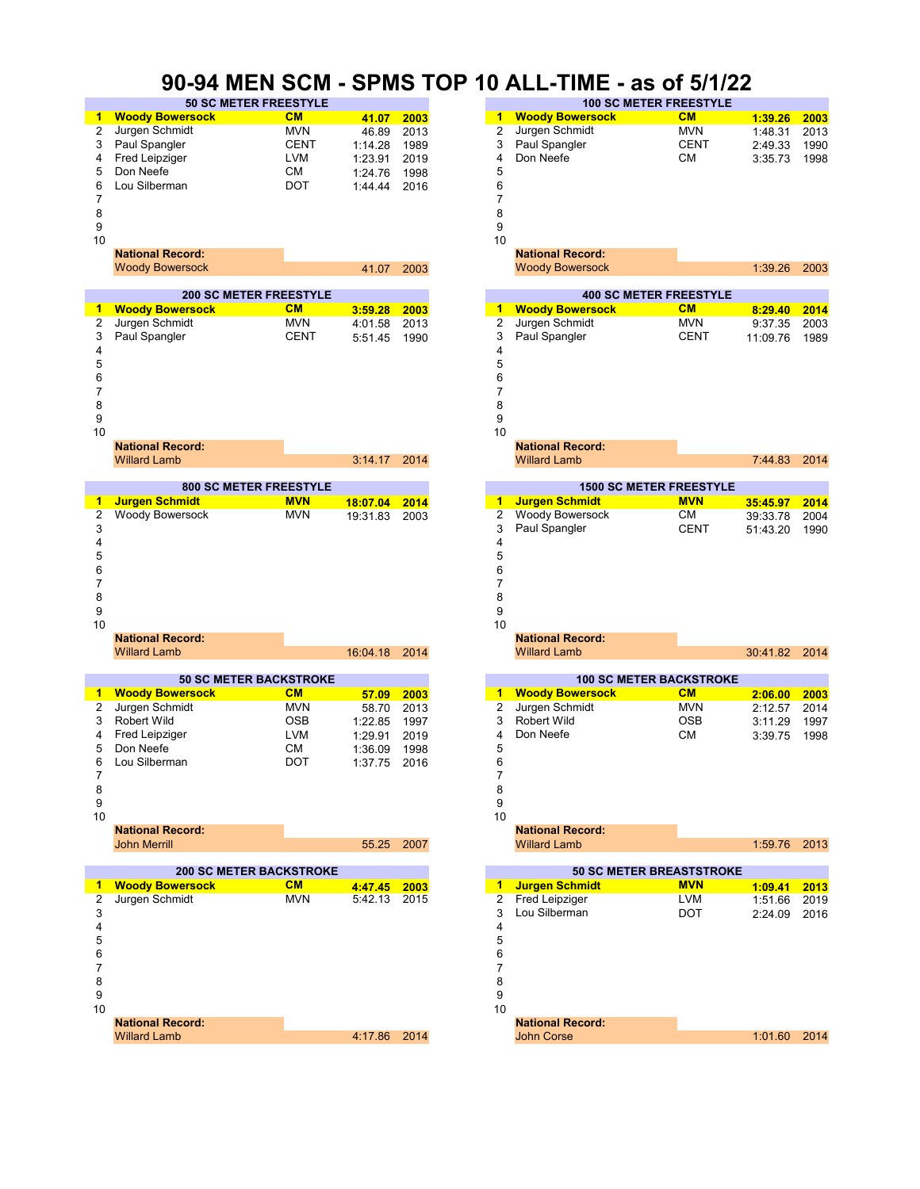### **90-94 MEN SCM - SPMS TOP 10 ALL-TIME - as of 5/1/22**

|    | <b>50 SC METER FREESTYLE</b>  |             |         |      | <b>100 SC METER FREESTYLE</b> |                               |             |
|----|-------------------------------|-------------|---------|------|-------------------------------|-------------------------------|-------------|
| 1  | <b>Woody Bowersock</b>        | <b>CM</b>   | 41.07   | 2003 | 1                             | <b>Woody Bowersock</b>        | <b>CM</b>   |
| 2  | Jurgen Schmidt                | <b>MVN</b>  | 46.89   | 2013 | 2                             | Jurgen Schmidt                | <b>MVN</b>  |
| 3  | Paul Spangler                 | <b>CENT</b> | 1:14.28 | 1989 | 3                             | Paul Spangler                 | <b>CENT</b> |
|    | Fred Leipziger                | LVM         | 1:23.91 | 2019 | 4                             | Don Neefe                     | СM          |
| 5  | Don Neefe                     | СM          | 1:24.76 | 1998 | 5                             |                               |             |
| 6  | Lou Silberman                 | <b>DOT</b>  | 1:44.44 | 2016 | 6                             |                               |             |
|    |                               |             |         |      |                               |                               |             |
| 8  |                               |             |         |      | 8                             |                               |             |
| 9  |                               |             |         |      | 9                             |                               |             |
| 10 |                               |             |         |      | 10                            |                               |             |
|    | <b>National Record:</b>       |             |         |      |                               | <b>National Record:</b>       |             |
|    | <b>Woody Bowersock</b>        |             | 41.07   | 2003 |                               | <b>Woody Bowersock</b>        |             |
|    |                               |             |         |      |                               |                               |             |
|    | <b>200 SC METER FREESTYLE</b> |             |         |      |                               | <b>400 SC METER FREESTYLE</b> |             |
| 1  | <b>Woody Bowersock</b>        | <b>CM</b>   | 3:59.28 | 2003 | 1                             | <b>Woody Bowersock</b>        | <b>CM</b>   |
| 2  | Jurgen Schmidt                | <b>MVN</b>  | 4:01.58 | 2013 |                               | Jurgen Schmidt                | <b>MVN</b>  |
| 3  | Paul Spangler                 | <b>CENT</b> | 5:51.45 | 1990 | 3                             | Paul Spangler                 | <b>CENT</b> |
| 4  |                               |             |         |      | 4                             |                               |             |
| 5  |                               |             |         |      | 5                             |                               |             |



| <b>National Record:</b> |                | <b>National Record:</b> |
|-------------------------|----------------|-------------------------|
| <b>Willard Lamb</b>     | $3:14.17$ 2014 | <b>Willard Lamb</b>     |
|                         |                |                         |

| <b>800 SC METER FREESTYLE</b> |                         |            |          |      |    |  |  |
|-------------------------------|-------------------------|------------|----------|------|----|--|--|
| 1                             | <b>Jurgen Schmidt</b>   | <b>MVN</b> | 18:07.04 | 2014 | 1  |  |  |
| 2                             | <b>Woody Bowersock</b>  | <b>MVN</b> | 19:31.83 | 2003 | 2  |  |  |
| 3                             |                         |            |          |      | 3  |  |  |
|                               |                         |            |          |      | 4  |  |  |
| 5                             |                         |            |          |      | 5  |  |  |
| 6                             |                         |            |          |      | 6  |  |  |
|                               |                         |            |          |      |    |  |  |
| 8                             |                         |            |          |      | 8  |  |  |
| 9                             |                         |            |          |      | 9  |  |  |
| 10                            |                         |            |          |      | 10 |  |  |
|                               | <b>National Record:</b> |            |          |      |    |  |  |
|                               | Willard Lamb            |            | 16:0418  | 2014 |    |  |  |

|    |                         | <b>50 SC METER BACKSTROKE</b>  |         |      |  |
|----|-------------------------|--------------------------------|---------|------|--|
|    | <b>Woody Bowersock</b>  | CM                             | 57.09   | 2003 |  |
| 2  | Jurgen Schmidt          | <b>MVN</b>                     | 58.70   | 2013 |  |
| 3  | Robert Wild             | <b>OSB</b>                     | 1:22.85 | 1997 |  |
|    | Fred Leipziger          | LVM                            | 1:29.91 | 2019 |  |
| 5. | Don Neefe               | <b>CM</b>                      | 1:36.09 | 1998 |  |
| 6  | Lou Silberman           | DOT                            | 1:37.75 | 2016 |  |
|    |                         |                                |         |      |  |
| 8  |                         |                                |         |      |  |
| 9  |                         |                                |         |      |  |
| 10 |                         |                                |         |      |  |
|    | <b>National Record:</b> |                                |         |      |  |
|    | <b>John Merrill</b>     |                                | 55.25   | 2007 |  |
|    |                         |                                |         |      |  |
|    |                         | <b>200 SC METER BACKSTROKE</b> |         |      |  |
|    | <b>Woody Bowersock</b>  | CM                             | 4:47.45 | 2003 |  |
| 2  | Jurgen Schmidt          | <b>MVN</b>                     | 5:42.13 | 2015 |  |
| 3  |                         |                                |         |      |  |
|    |                         |                                |         |      |  |
| 5  |                         |                                |         |      |  |
| 6  |                         |                                |         |      |  |
|    |                         |                                |         |      |  |

| 9<br>10 |                         |              |  |  |
|---------|-------------------------|--------------|--|--|
|         | <b>National Record:</b> |              |  |  |
|         | <b>Willard Lamb</b>     | 4:17.86 2014 |  |  |

| <b>50 SC METER FREESTYLE</b><br><b>100 SC METER FREESTYLE</b><br><b>Woody Bowersock</b><br>CM<br>CM<br>1.<br>2003<br>41.07<br>Jurgen Schmidt<br><b>MVN</b><br>Jurgen Schmidt<br><b>MVN</b><br>46.89<br>2013<br><b>CENT</b><br>Paul Spangler<br><b>CENT</b><br>3<br>1:14.28<br>1989<br><b>LVM</b><br>Don Neefe<br><b>CM</b><br>Fred Leipziger<br>1:23.91<br>2019<br>4<br>СM<br>1998<br>5<br>1:24.76<br><b>DOT</b><br>Lou Silberman<br>6<br>1:44.44<br>2016<br>8<br>9<br>10<br><b>National Record:</b><br><b>National Record:</b><br><b>Woody Bowersock</b><br><b>Woody Bowersock</b><br>2003<br>41.07<br><b>400 SC METER FREESTYLE</b> |    |                               |  |  |  |  |  |  |
|---------------------------------------------------------------------------------------------------------------------------------------------------------------------------------------------------------------------------------------------------------------------------------------------------------------------------------------------------------------------------------------------------------------------------------------------------------------------------------------------------------------------------------------------------------------------------------------------------------------------------------------|----|-------------------------------|--|--|--|--|--|--|
| 1 Woody Bowersock<br>1:39.26                                                                                                                                                                                                                                                                                                                                                                                                                                                                                                                                                                                                          |    |                               |  |  |  |  |  |  |
| 1:48.31                                                                                                                                                                                                                                                                                                                                                                                                                                                                                                                                                                                                                               |    |                               |  |  |  |  |  |  |
| 3 Paul Spangler<br>2:49.33<br>3:35.73<br>0<br>1:39.26                                                                                                                                                                                                                                                                                                                                                                                                                                                                                                                                                                                 | 2  |                               |  |  |  |  |  |  |
|                                                                                                                                                                                                                                                                                                                                                                                                                                                                                                                                                                                                                                       |    |                               |  |  |  |  |  |  |
| 5 Don Neefe                                                                                                                                                                                                                                                                                                                                                                                                                                                                                                                                                                                                                           | 4  |                               |  |  |  |  |  |  |
|                                                                                                                                                                                                                                                                                                                                                                                                                                                                                                                                                                                                                                       |    |                               |  |  |  |  |  |  |
|                                                                                                                                                                                                                                                                                                                                                                                                                                                                                                                                                                                                                                       | 6. |                               |  |  |  |  |  |  |
| 8                                                                                                                                                                                                                                                                                                                                                                                                                                                                                                                                                                                                                                     |    |                               |  |  |  |  |  |  |
|                                                                                                                                                                                                                                                                                                                                                                                                                                                                                                                                                                                                                                       |    |                               |  |  |  |  |  |  |
|                                                                                                                                                                                                                                                                                                                                                                                                                                                                                                                                                                                                                                       |    |                               |  |  |  |  |  |  |
|                                                                                                                                                                                                                                                                                                                                                                                                                                                                                                                                                                                                                                       |    |                               |  |  |  |  |  |  |
|                                                                                                                                                                                                                                                                                                                                                                                                                                                                                                                                                                                                                                       |    |                               |  |  |  |  |  |  |
|                                                                                                                                                                                                                                                                                                                                                                                                                                                                                                                                                                                                                                       |    |                               |  |  |  |  |  |  |
|                                                                                                                                                                                                                                                                                                                                                                                                                                                                                                                                                                                                                                       |    |                               |  |  |  |  |  |  |
|                                                                                                                                                                                                                                                                                                                                                                                                                                                                                                                                                                                                                                       |    | <b>200 SC METER FREESTYLE</b> |  |  |  |  |  |  |

|          | <b>Woody Bowersock</b>        | CM          | 3:59.28      | 2003 |
|----------|-------------------------------|-------------|--------------|------|
| 2        | Jurgen Schmidt                | <b>MVN</b>  | 4:01.58      | 2013 |
| 3        | Paul Spangler                 | <b>CENT</b> | 5:51.45      | 1990 |
| 4        |                               |             |              |      |
| 5        |                               |             |              |      |
| 6        |                               |             |              |      |
|          |                               |             |              |      |
| 8        |                               |             |              |      |
| 9        |                               |             |              |      |
| 10       |                               |             |              |      |
|          | <b>National Record:</b>       |             |              |      |
|          | <b>Willard Lamb</b>           |             | 3:14.17 2014 |      |
|          |                               |             |              |      |
|          | <b>800 SC METER FREESTYLE</b> |             |              |      |
|          | <b>Jurgen Schmidt</b>         | <b>MVN</b>  | 18:07.04     | 2014 |
|          | Woody Bowersock               | <b>MVN</b>  | 19:31.83     | 2003 |
| 3        |                               |             |              |      |
| 4        |                               |             |              |      |
| 5        |                               |             |              |      |
| 6        |                               |             |              |      |
|          |                               |             |              |      |
| 8        |                               |             |              |      |
| 9        |                               |             |              |      |
| $\Omega$ | <b>National Record:</b>       |             |              |      |
|          |                               |             |              |      |

30:41.82 2014 **50 SC METER BACKSTROKE 100 SC METER BACKSTROKE** 4 Don Neefe CM 3:39.75 1998<br>5 1:59.76 2013 **200 SC METER BACKSTROKE 50 SC METER BREASTSTROKE** 8 8 Willard Lamb 3 Robert Wild Don Neefe **National Record:** Willard Lamb **National Record:** 

John Corse

4:17.86 2014 1:01.60 2014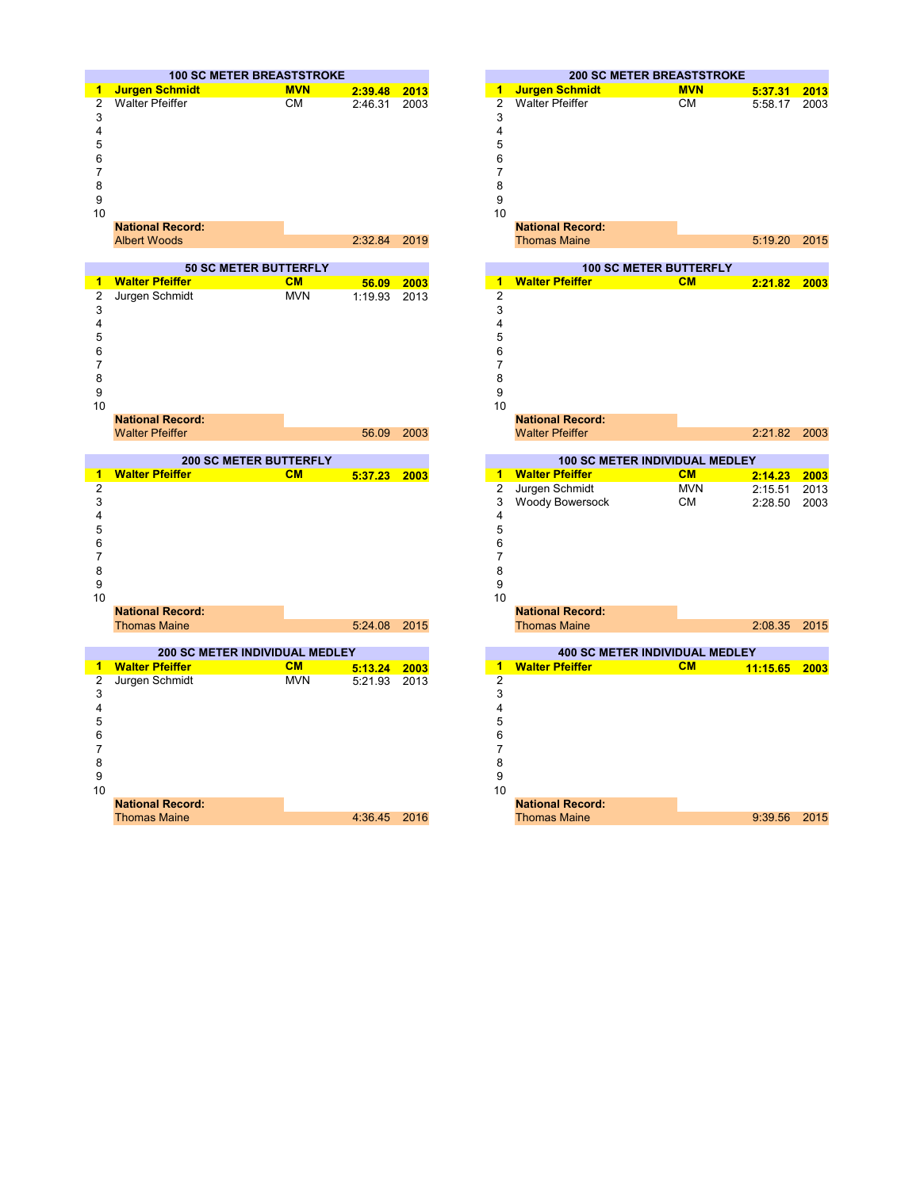

| 1  | <b>Walter Pfeiffer</b>  | CM         | 56.09   | 2003 | 1              |
|----|-------------------------|------------|---------|------|----------------|
| 2  | Jurgen Schmidt          | <b>MVN</b> | 1:19.93 | 2013 | $\overline{2}$ |
| 3  |                         |            |         |      | 3              |
|    |                         |            |         |      | 4              |
| 5  |                         |            |         |      | 5              |
| 6  |                         |            |         |      | 6              |
|    |                         |            |         |      | 7              |
| 8  |                         |            |         |      | 8              |
| 9  |                         |            |         |      | 9              |
| 10 |                         |            |         |      | 10             |
|    | <b>National Record:</b> |            |         |      |                |
|    | <b>Walter Pfeiffer</b>  |            | 56.09   | 2003 |                |



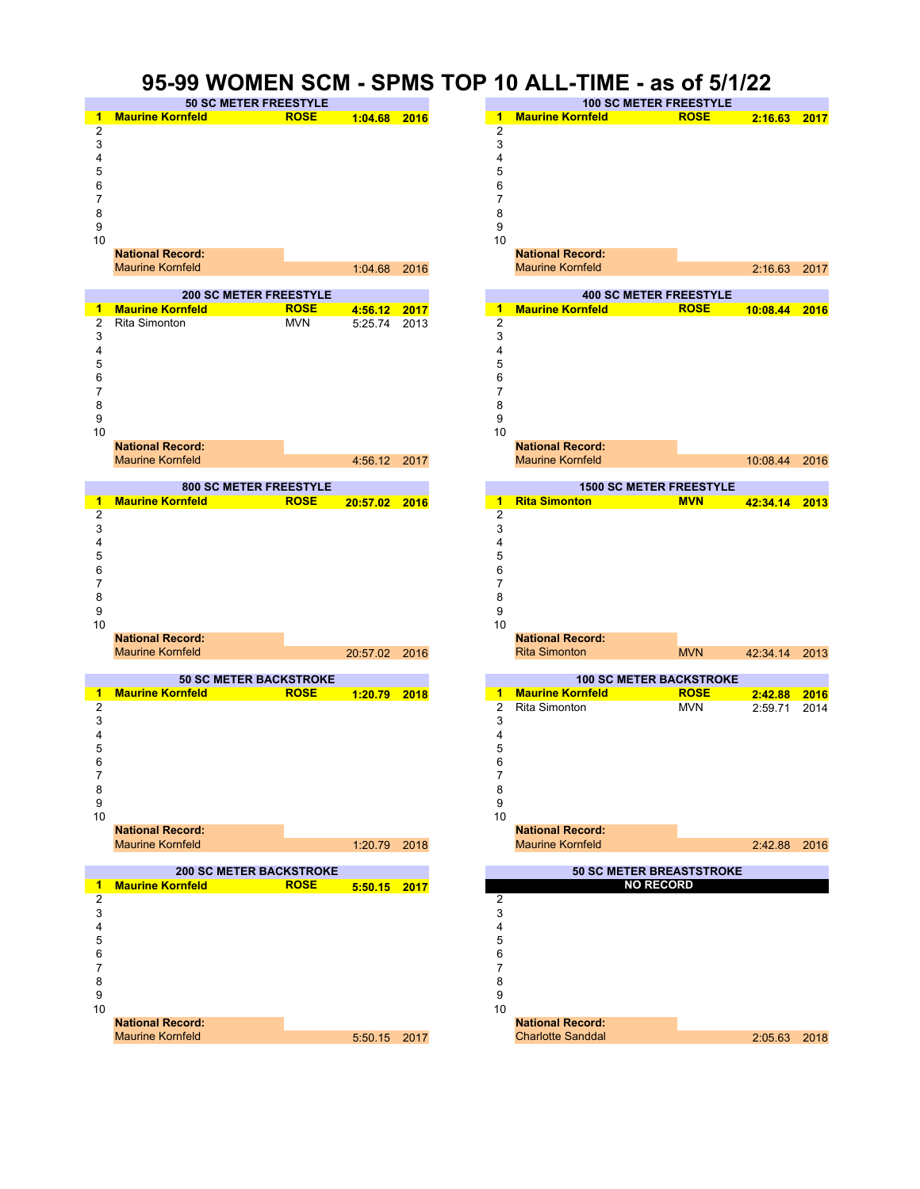#### **95-99 WOMEN SCM - SPMS TOP 10 ALL-TIME - as of 5/1/22**











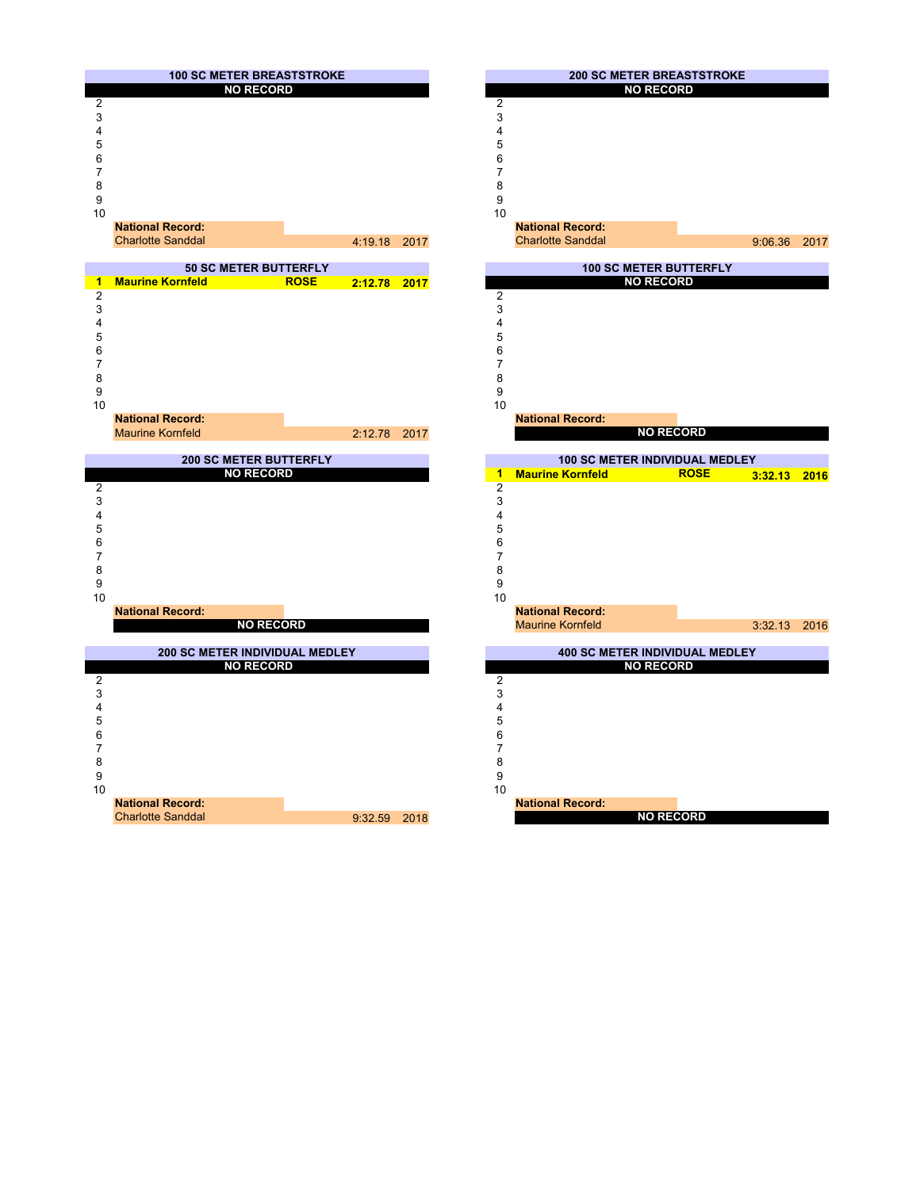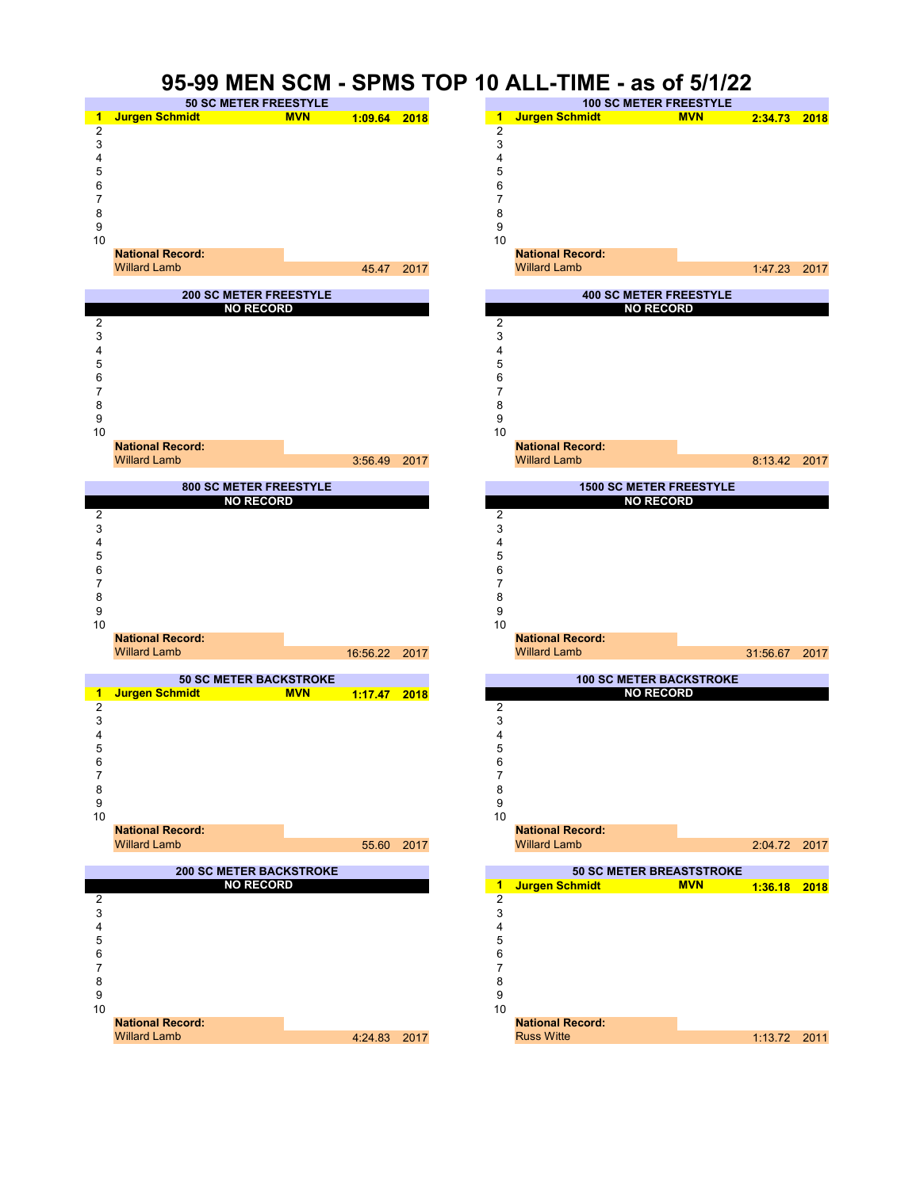

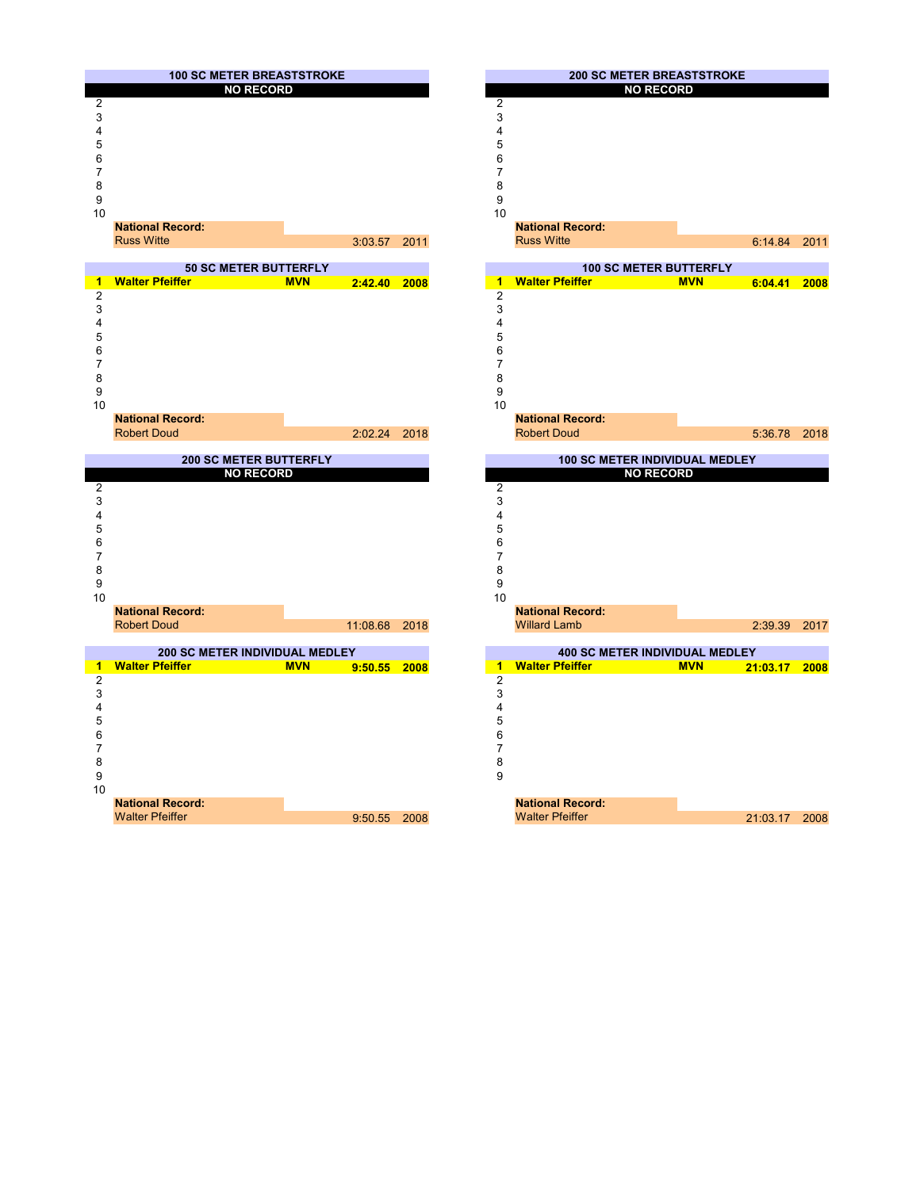





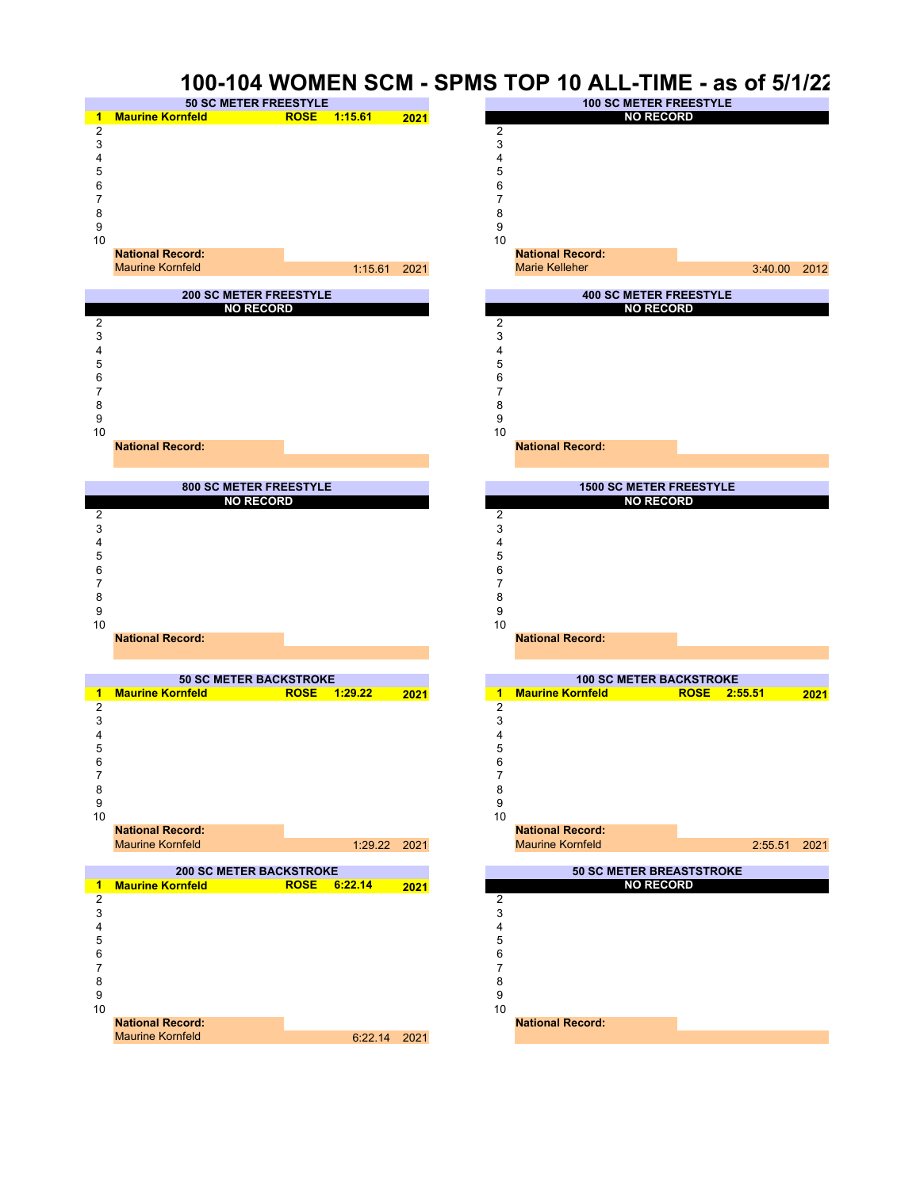